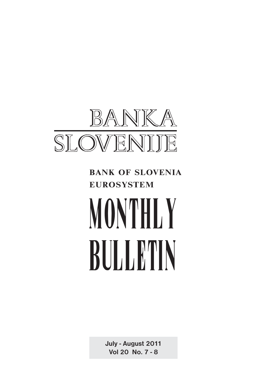

# **BANK OF SLOVENIA EUROSYSTEM**

# MONTHLY BULLEM

**July - August 2011 Vol 20 No. 7 - 8**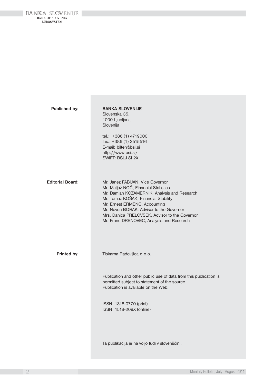

| Published by:           | <b>BANKA SLOVENIJE</b><br>Slovenska 35,<br>1000 Ljubljana<br>Slovenija<br>tel.: +386 (1) 4719000<br>fax.: +386 (1) 2515516<br>E-mail: bilten@bsi.si<br>http://www.bsi.si/<br>SWIFT: BSLJ SI 2X                                                                                                                                               |
|-------------------------|----------------------------------------------------------------------------------------------------------------------------------------------------------------------------------------------------------------------------------------------------------------------------------------------------------------------------------------------|
| <b>Editorial Board:</b> | Mr. Janez FABIJAN, Vice Governor<br>Mr. Matjaž NOČ, Financial Statistics<br>Mr. Damjan KOZAMERNIK, Analysis and Research<br>Mr. Tomaž KOŠAK, Financial Stability<br>Mr. Ernest ERMENC, Accounting<br>Mr. Neven BORAK, Advisor to the Governor<br>Mrs. Danica PRELOVŠEK, Advisor to the Governor<br>Mr. Franc DRENOVEC, Analysis and Research |
| Printed by:             | Tiskarna Radovljica d.o.o.                                                                                                                                                                                                                                                                                                                   |
|                         | Publication and other public use of data from this publication is<br>permitted subject to statement of the source.<br>Publication is available on the Web.                                                                                                                                                                                   |
|                         | ISSN 1318-0770 (print)<br>ISSN 1518-209X (online)                                                                                                                                                                                                                                                                                            |
|                         | Ta publikacija je na voljo tudi v slovenščini.                                                                                                                                                                                                                                                                                               |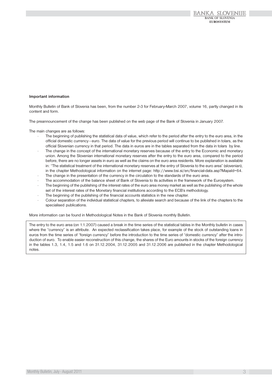#### **Important information**

Monthly Bulletin of Bank of Slovenia has been, from the number 2-3 for February-March 2007, volume 16, partly changed in its content and form.

The preannouncement of the change has been published on the web page of the Bank of Slovenia in January 2007.

The main changes are as follows:

- The beginning of publishing the statistical data of value, which refer to the period after the entry to the euro area, in the official domestic currency - euro. The data of value for the previous period will continue to be published in tolars, as the official Slovenian currency in that period. The data in euros are in the tables separated from the data in tolars by line.
- The change in the concept of the international monetary reserves because of the entry to the Economic and monetary union. Among the Slovenian international monetary reserves after the entry to the euro area, compared to the period before, there are no longer assets in euro as well as the claims on the euro area residents. More explanation is available in: "The statistical treatment of the international monetary reserves at the entry of Slovenia to the euro area" (slovenian), in the chapter Methodological information on the internet page: http://www.bsi.si/en/financial-data.asp?MapaId=64.
- The change in the presentation of the currency in the circulation to the standards of the euro area.
- The accommodation of the balance sheet of Bank of Slovenia to its activities in the framework of the Eurosystem.
- The beginning of the publishing of the interest rates of the euro area money market as well as the publishing of the whole set of the interest rates of the Monetary financial institutions according to the ECB's methodology.
- The beginning of the publishing of the financial accounts statistics in the new chapter.
- · Colour separation of the individual statistical chapters, to alleviate search and because of the link of the chapters to the specialised publications.

More information can be found in Methodological Notes in the Bank of Slovenia monthly Bulletin.

The entry to the euro area (on 1.1.2007) caused a break in the time series of the statistical tables in the Monthly bulletin in cases where the "currency" is an attribute. An expected reclassification takes place, for example of the stock of outstanding loans in euros from the time series of "foreign currency" before the introduction to the time series of "domestic currency" after the introduction of euro. To enable easier reconstruction of this change, the shares of the Euro amounts in stocks of the foreign currency in the tables 1.3, 1.4, 1.5 and 1.6 on 31.12.2004, 31.12.2005 and 31.12.2006 are published in the chapter Methodological notes.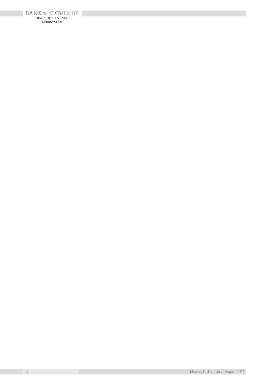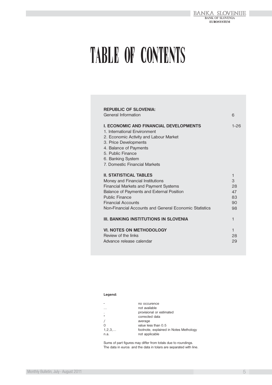# TABLE OF CONTENTS

#### **REPUBLIC OF SLOVENIA:** General Information **I. ECONOMIC AND FINANCIAL DEVELOPMENTS** 1. International Environment 2. Economic Activity and Labour Market 3. Price Developments 4. Balance of Payments 5. Public Finance 6. Banking System 7. Domestic Financial Markets **II. STATISTICAL TABLES** Money and Financial Institutions Financial Markets and Payment Systems Balance of Payments and External Position Public Finance Financial Accounts Non-Financial Accounts and General Economic Statistics **III. BANKING INSTITUTIONS IN SLOVENIA VI. NOTES ON METHODOLOGY** Review of the links Advance release calendar 6 1-26 1 3 28 47 83 90 98 1 1 28 29

#### **Legend:**

|                   | no occurence                           |
|-------------------|----------------------------------------|
|                   | not available                          |
|                   | provisional or estimated               |
| $\star$           | corrected data                         |
|                   | average                                |
| $\Omega$          | value less than 0.5                    |
| $1, 2, 3, \ldots$ | footnote, explained in Notes Methology |
| n.a.              | not applicable                         |

Sums of part figures may differ from totals due to roundings. The data in euros and the data in tolars are separated with line.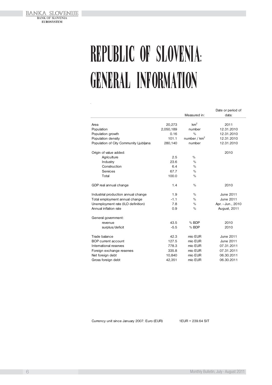# REPUBLIC OF SLOVENIA: GENERAL INFORMATION

|                                        |           |                 | Date or period of |
|----------------------------------------|-----------|-----------------|-------------------|
|                                        |           | Measured in:    | data:             |
|                                        |           |                 |                   |
| Area                                   | 20,273    | km <sup>2</sup> | 2011              |
| Population                             | 2,050,189 | number          | 12.31.2010        |
| Population growth                      | 0.16      | $\frac{0}{0}$   | 12.31.2010        |
| Population density                     | 101.1     | number / $km^2$ | 12.31.2010        |
| Population of City Community Ljubljana | 280,140   | number          | 12.31.2010        |
| Origin of value added:                 |           |                 | 2010              |
| Agriculture                            | 2.5       | $\frac{0}{0}$   |                   |
| Industry                               | 23.6      | $\frac{0}{0}$   |                   |
| Construction                           | 6.4       | $\frac{0}{0}$   |                   |
| Services                               | 67.7      | $\frac{0}{0}$   |                   |
| Total                                  | 100.0     | $\frac{0}{0}$   |                   |
| GDP real annual change                 | 1.4       | $\frac{0}{0}$   | 2010              |
| Industrial production annual change    | 1.9       | $\frac{0}{0}$   | June 2011         |
| Total employment annual change         | $-1.1$    | $\frac{0}{0}$   | June 2011         |
| Unemployment rate (ILO definition)     | 7.8       | $\frac{0}{0}$   | Apr. - Jun., 2010 |
| Annual inflation rate                  | 0.9       | $\frac{0}{0}$   | August, 2011      |
| General government:                    |           |                 |                   |
| revenue                                | 43.5      | % BDP           | 2010              |
| surplus/deficit                        | $-5.5$    | $%$ BDP         | 2010              |
| Trade balance                          | 42.3      | mio EUR         | June 2011         |
| BOP current account                    | 127.5     | mio EUR         | June 2011         |
| Intemational reserves                  | 778.3     | mio EUR         | 07.31.2011        |
| Foreign exchange reserves              | 335.8     | mio EUR         | 07.31.2011        |
| Net foreign debt                       | 10,840    | mio EUR         | 06.30.2011        |
| Gross foreign debt                     | 42,351    | mio EUR         | 06.30.2011        |

Currency unit since January 2007: Euro (EUR) 1EUR = 239.64 SIT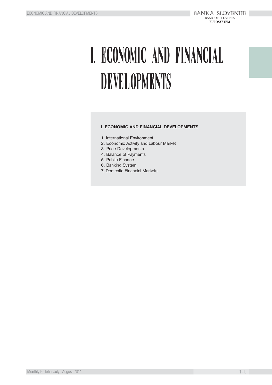# I. ECONOMIC AND FINANCIAL DEVELOPMENTS

#### **I. ECONOMIC AND FINANCIAL DEVELOPMENTS**

- 1. International Environment
- 2. Economic Activity and Labour Market
- 3. Price Developments
- 4. Balance of Payments
- 5. Public Finance
- 6. Banking System
- 7. Domestic Financial Markets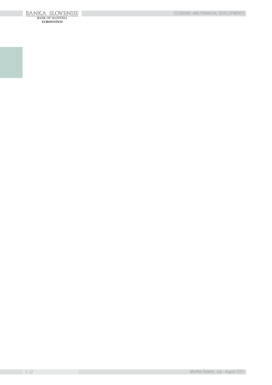**EUROSYSTEM**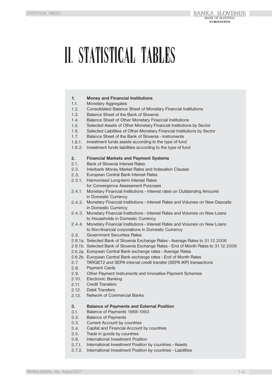# II. STATISTICAL TABLES

#### **1. Money and Financial Institutions**

- 1.1. Monetary Aggregates
- 1.2. Consolidated Balance Sheet of Monetary Financial Institutions
- 1.3. Balance Sheet of the Bank of Slovenia
- 1.4. Balance Sheet of Other Monetary Financial Institutions
- 1.5. Selected Assets of Other Monetary Financial Institutions by Sector
- 1.6. Selected Liabilities of Other Monetary Financial Institutions by Sector
- 1.7. Balance Sheet of the Bank of Slovenia - instruments
- 1.8.1. Investment funds assets according to the type of fund
- 1.8.2. Investment funds liabilities according to the type of fund

#### **2. Financial Markets and Payment Systems**

- 2.1. Bank of Slovenia Interest Rates
- 2.2. Interbank Money Market Rates and Indexation Clauses
- 2.3. European Central Bank Interest Rates
- 2.3.1. Harmonised Long-term Interest Rates for Convergence Assessment Purposes
- 2.4.1. Monetary Financial Institutions - Interest rates on Outstanding Amounts in Domestic Currency
- 2.4.2. Monetary Financial Institutions Interest Rates and Volumes on New Deposits in Domestic Currency
- 2.4.3. Monetary Financial Institutions Interest Rates and Volumes on New Loans to Households in Domestic Currency
- 2.4.4. Monetary Financial Institutions Interest Rates and Volumes on New Loans to Non-financial corporations in Domestic Currency
- 2.5. Government Securities Rates
- 2.6.1a. Selected Bank of Slovenia Exchange Rates Average Rates to 31.12.2006
- 2.6.1b. Selected Bank of Slovenia Exchange Rates End of Month Rates to 31.12.2006
- 2.6.2a. European Central Bank exchange rates Average Rates
- 2.6.2b. European Central Bank exchange rates End of Month Rates
- 2.7. TARGET2 and SEPA internal credit transfer (SEPA IKP) transactions
- 2.8. Payment Cards
- 2.9. Other Payment Instruments and Innovative Payment Schemes
- 2.10. Electronic Banking
- $2.11.$ Credit Transfers
- 2.12. Debit Transfers
- 2.13. Network of Commercial Banks

#### **3. Balance of Payments and External Position**

- 3.1. Balance of Payments 1988-1993
- 3.2. Balance of Payments
- 3.3. Current Account by countries
- 3.4. Capital and Financial Account by countries
- 3.5. Trade in goods by countries
- 3.6. International Investment Position
- 3.7.1. International Investment Position by countries - Assets
- 3.7.2. International Investment Position by countries Liabilities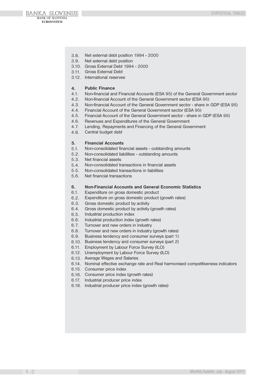- 3.8. Net external debt position 1994 2000
- 3.9. Net external debt position
- 3.10. Gross External Debt 1994 2000
- 3.11. Gross External Debt
- 3.12. International reserves

#### **4. Public Finance**

- 4.1. Non-financial and Financial Accounts (ESA 95) of the General Government sector
- 4.2. Non-financial Account of the General Government sector (ESA 95)
- 4.3. Non-financial Account of the General Government sector - share in GDP (ESA 95)
- 4.4. Financial Account of the General Government sector (ESA 95)
- 4.5. Financial Account of the General Government sector - share in GDP (ESA 95)
- 4.6. Revenues and Expenditures of the General Government
- 4.7. Lending, Repayments and Financing of the General Government
- 4.8. Central budget debt

#### **5. Financial Accounts**

- 5.1. Non-consolidated financial assets - outstanding amounts
- 5.2. Non-consolidated liabilities outstanding amounts
- 5.3. Net financial assets
- 5.4. Non-consolidated transactions in financial assets
- 5.5. Non-consolidated transactions in liabilities
- 5.6. Net financial transactions

#### **6. Non-Financial Accounts and General Economic Statistics**

- 6.1. Expenditure on gross domestic product
- 6.2. Expenditure on gross domestic product (growth rates)
- 6.3. Gross domestic product by activity
- 6.4. Gross domestic product by activity (growth rates)
- 6.5. Industrial production index
- 6.6. Industrial production index (growth rates)
- 6.7. Turnover and new orders in industry
- 6.8. Turnover and new orders in industry (growth rates)
- 6.9. Business tendency and consumer surveys (part 1)
- 6.10. Business tendency and consumer surveys (part 2)
- 6.11. Employment by Labour Force Survey (ILO)
- 6.12. Unemployment by Labour Force Survey (ILO)
- 6.13. Average Wages and Salaries
- 6.14. Nominal effective exchange rate and Real harmonised competitiveness indicators
- 6.15. Consumer price index
- 6.16. Consumer price index (growth rates)
- 6.17. Industrial producer price index
- 6.18. Industrial producer price index (growth rates)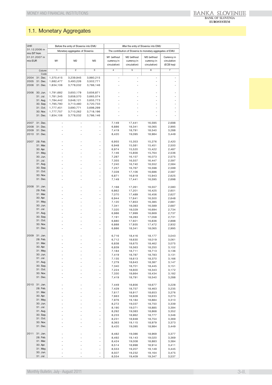# 1.1. Monetary Aggregates

| Until        |                      |              | Before the entry of Slovenia into EMU |                                  | After the entry of Slovenia into EMU |                                                            |                  |                |  |  |
|--------------|----------------------|--------------|---------------------------------------|----------------------------------|--------------------------------------|------------------------------------------------------------|------------------|----------------|--|--|
|              | 31.12.2006 in        |              | Monetary aggregates of Slovenia       |                                  |                                      | The contribution of Slovenia to monetary aggregates of EMU |                  |                |  |  |
| mio SIT from |                      |              |                                       |                                  |                                      |                                                            |                  |                |  |  |
|              | 01.01.2007 in        |              |                                       |                                  | M1 (without                          | M2 (without                                                | M3 (without      | Currency in    |  |  |
| mio EUR      |                      | M1           | M <sub>2</sub>                        | MЗ                               | currency in                          | currency in                                                | currency in      | circulation    |  |  |
|              |                      |              |                                       |                                  | circulation)                         | circulation)                                               | circulation)     | (ECB key)      |  |  |
|              | Column               | $\mathbf{1}$ | $\boldsymbol{2}$                      | 3                                | 4                                    | 5                                                          | 6                | $\overline{7}$ |  |  |
|              | Code                 |              |                                       |                                  |                                      |                                                            |                  |                |  |  |
| 2004         | 31. Dec.             | 1,370,415    | 3,239,945                             | 3,980,215                        | ÷,                                   | $\overline{a}$                                             | $\overline{a}$   | ÷,             |  |  |
| 2005         | 31. Dec.             | 1,682,477    | 3,493,226                             | 3,502,771                        | ä,                                   |                                                            | L,               |                |  |  |
| 2006         | 31. Dec.             | 1,834,106    | 3,778,032                             | 3,786,146                        |                                      |                                                            | L,               |                |  |  |
|              |                      |              |                                       |                                  |                                      |                                                            |                  |                |  |  |
| 2006         | 30. Jun.             | 1,791,682    | 3,650,179                             | 3,656,871                        |                                      |                                                            | ٠                |                |  |  |
|              | $31.$ Jul.           | 1,781,345    | 3,658,570                             | 3,665,574                        |                                      |                                                            | L,               |                |  |  |
|              | 31. Aug.             | 1,784,442    | 3,648,121                             | 3,655,773                        |                                      |                                                            | L,               |                |  |  |
|              | 30. Sep.             | 1,795,790    | 3,713,480                             | 3,720,733                        |                                      |                                                            | ä,               |                |  |  |
|              | 31. Oct.             | 1,777,451    | 3,690,771                             | 3,698,299                        |                                      |                                                            | $\overline{a}$   |                |  |  |
|              | 30. Nov.             | 1,777,757    | 3,710,262                             | 3,718,196                        |                                      |                                                            | ä,               |                |  |  |
|              | 31. Dec.             | 1,834,106    | 3,778,032                             | 3,786,146                        |                                      |                                                            | L,               |                |  |  |
|              |                      | ÷            | ÷,                                    | $\frac{1}{2}$                    |                                      |                                                            |                  |                |  |  |
| 2007<br>2008 | 31. Dec.<br>31. Dec. | ä,           | i.                                    | ÷,                               | 7,149                                | 17,441<br>18,341                                           | 16,595<br>18,065 | 2,698          |  |  |
| 2009         | 31. Dec.             |              |                                       | ÷,                               | 6,886<br>7,419                       | 18,791                                                     | 18,540           | 2,995<br>3,288 |  |  |
| 2010         | 31. Dec.             |              |                                       | ٠                                | 8,420                                | 19,095                                                     | 18,984           | 3,449          |  |  |
|              |                      |              |                                       |                                  |                                      |                                                            |                  |                |  |  |
| 2007         | 28. Feb.             |              |                                       | ٠                                | 6,955                                | 15,353                                                     | 15,276           | 2,420          |  |  |
|              | 31. Mar.             |              |                                       | ÷,                               | 6,948                                | 15,581                                                     | 15,451           | 2,500          |  |  |
|              | 30. Apr.             |              | ä,                                    | ÷,                               | 6,974                                | 15,520                                                     | 15,422           | 2,487          |  |  |
|              | 31. May.             |              |                                       | $\overline{a}$                   | 7,146                                | 15,856                                                     | 15,764           | 2,536          |  |  |
|              | 30. Jun.             |              | ä,                                    | ÷,                               | 7,287                                | 16,157                                                     | 16,073           | 2,575          |  |  |
|              | 31. Jul.             |              |                                       | ÷,                               | 7,355                                | 16,557                                                     | 16,447           | 2,597          |  |  |
|              | 31. Aug.             |              | ä,                                    | ÷,                               | 7,240                                | 16,740                                                     | 16,552           | 2,584          |  |  |
|              | 30. Sep.             |              | i,                                    | $\overline{a}$                   | 7,257                                | 16,767                                                     | 16,598           | 2,599          |  |  |
|              | 31. Oct.             |              | ä,                                    | $\overline{a}$                   | 7,028                                | 17,106                                                     | 16,686           | 2,587          |  |  |
|              | 30. Nov.             |              |                                       | ÷,                               | 6,871                                | 16,819                                                     | 15,943           | 2,625          |  |  |
|              | 31. Dec.             |              |                                       | ×,                               | 7,149                                | 17,441                                                     | 16,595           | 2,698          |  |  |
|              |                      |              |                                       |                                  |                                      |                                                            |                  |                |  |  |
| 2008         | 31. Jan.             |              |                                       | ×,                               | 7,168                                | 17,261                                                     | 16,557           | 2,580          |  |  |
|              | 29. Feb.             |              |                                       | ä,                               | 6,862                                | 17,201                                                     | 16,425           | 2,601          |  |  |
|              | 31. Mar.             |              |                                       | ٠                                | 7,070                                | 17,489                                                     | 16,456           | 2,627          |  |  |
|              | 30. Apr.             |              | ä,                                    | $\overline{a}$                   | 6,944                                | 17,641                                                     | 16,500           | 2,648          |  |  |
|              | 31. May.             |              |                                       | $\overline{a}$                   | 7,120                                | 17,853                                                     | 16,385           | 2,681          |  |  |
|              | 30. Jun.             |              |                                       | ÷,                               | 7,341                                | 18,083                                                     | 16,589           | 2,687          |  |  |
|              | 31. Jul.             |              | ä,                                    | ÷,                               | 7,020                                | 18,029                                                     | 16,694           | 2,734          |  |  |
|              | 31. Aug.             |              |                                       | ٠                                | 6,986                                | 17,999                                                     | 16,669           | 2,737          |  |  |
|              | 30. Sep.<br>31. Oct. |              | ä,                                    | ÷,                               | 7,191                                | 18,283                                                     | 17,058           | 2,731          |  |  |
|              | 30. Nov.             |              | ä,                                    | ÷,                               | 6,880                                | 17,921                                                     | 16,836           | 2,898          |  |  |
|              | 31. Dec.             |              |                                       | $\overline{a}$<br>$\overline{a}$ | 6,888                                | 17,935                                                     | 17,472           | 2,932          |  |  |
|              |                      |              |                                       |                                  | 6,886                                | 18,341                                                     | 18,065           | 2,995          |  |  |
| 2009         | 31. Jan.             |              |                                       | ٠                                | 6,716                                | 18,416                                                     | 18,177           | 3,043          |  |  |
|              | 28. Feb.             |              |                                       | ٠                                | 6,712                                | 18,630                                                     | 18,019           | 3,061          |  |  |
|              | 31. Mar.             |              |                                       | $\overline{\phantom{a}}$         | 6,838                                | 18,675                                                     | 18,462           | 3,075          |  |  |
|              | 30. Apr.             |              |                                       |                                  | 6,839                                | 18,563                                                     | 18,250           | 3,102          |  |  |
|              | 31. May.             |              |                                       | ×,                               | 7,184                                | 18,711                                                     | 18,713           | 3,136          |  |  |
|              | 30. Jun.             |              | i.                                    | $\qquad \qquad \blacksquare$     | 7,419                                | 18,787                                                     | 18,783           | 3,131          |  |  |
|              | 31. Jul.             | ÷,           |                                       | $\overline{a}$                   | 7,135                                | 18,613                                                     | 18,370           | 3,166          |  |  |
|              | 31. Aug.             | ä,           |                                       | ×,                               | 7,279                                | 18,643                                                     | 18,387           | 3,147          |  |  |
|              | 30. Sep.             | L,           | i,                                    | ÷,                               | 7,340                                | 18,701                                                     | 18,445           | 3,151          |  |  |
|              | 31. Oct.             | ä,           | ÷,                                    | $\qquad \qquad \blacksquare$     | 7,224                                | 18,600                                                     | 18,343           | 3,172          |  |  |
|              | 30. Nov.             |              | i,                                    | $\frac{1}{2}$                    | 7,330                                | 18,664                                                     | 18,434           | 3,182          |  |  |
|              | 31. Dec.             | ä,           | ÷,                                    | $\frac{1}{2}$                    | 7,419                                | 18,791                                                     | 18,540           | 3,288          |  |  |
|              | 2010 31. Jan.        |              |                                       | $\overline{\phantom{m}}$         |                                      |                                                            | 18,677           | 3,228          |  |  |
|              | 28. Feb.             | ÷            | i,                                    | ×,                               | 7,449<br>7,429                       | 18,856<br>18,757                                           | 18,463           | 3,235          |  |  |
|              | 31. Mar.             | ä,           | ä,                                    | ÷,                               | 7,617                                | 18,917                                                     | 18,653           | 3,276          |  |  |
|              | 30. Apr.             | L,           | i,                                    | ÷,                               | 7,663                                | 18,928                                                     | 18,633           | 3,273          |  |  |
|              | 31. May.             | ä,           | ÷,                                    | $\qquad \qquad \blacksquare$     | 7,976                                | 19,184                                                     | 18,884           | 3,310          |  |  |
|              | 30. Jun.             |              | i,                                    | ×,                               | 8,272                                | 19,037                                                     | 18,750           | 3,339          |  |  |
|              | 31. Jul.             | ä,           | i,                                    | $\qquad \qquad \blacksquare$     | 8,190                                | 19,071                                                     | 18,885           | 3,394          |  |  |
|              | 31. Aug.             |              | L,                                    | ÷,                               | 8,292                                | 19,083                                                     | 18,868           | 3,352          |  |  |
|              | 30. Sep.             | ä,           | ÷,                                    | $\qquad \qquad \blacksquare$     | 8,233                                | 18,962                                                     | 18,777           | 3,346          |  |  |
|              | 31. Oct.             | L,           | ÷,                                    | $\frac{1}{2}$                    | 8,231                                | 18,948                                                     | 18,754           | 3,369          |  |  |
|              | 30. Nov.             | ä,           | i,                                    | ÷,                               | 8,363                                | 19,115                                                     | 18,979           | 3,373          |  |  |
|              | 31. Dec.             | L,           | i,                                    | ÷,                               | 8,420                                | 19,095                                                     | 18,984           | 3,449          |  |  |
|              |                      |              |                                       |                                  |                                      |                                                            |                  |                |  |  |
| 2011         | 31. Jan.             |              |                                       | $\overline{\phantom{m}}$         | 8,482                                | 19,086                                                     | 18,969           | 3,377          |  |  |
|              | 28. Feb.             | ä,           | ÷,                                    | ×,                               | 8,492                                | 19,143                                                     | 19,020           | 3,369          |  |  |
|              | 31. Mar.             |              |                                       | ÷,                               | 8,424                                | 19,008                                                     | 18,883           | 3,384          |  |  |
|              | 30. Apr.             |              |                                       | $\overline{a}$                   | 8,514                                | 18,998                                                     | 18,914           | 3,411          |  |  |
|              | 31. May.<br>30. Jun. |              |                                       | $\qquad \qquad \blacksquare$     | 8,553                                | 19,207                                                     | 19,149           | 3,445          |  |  |
|              | 31. Jul.             |              |                                       | ×,<br>÷,                         | 8,507                                | 19,232<br>19,409                                           | 19,164           | 3,475          |  |  |
|              |                      |              |                                       |                                  | 8,554                                |                                                            | 19,347           | 3,537          |  |  |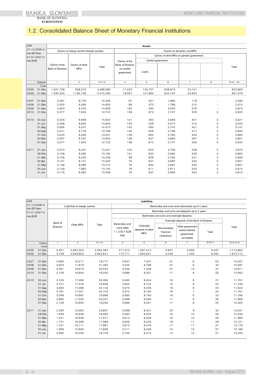**EUROSYSTEM**

### 1.2. Consolidated Balance Sheet of Monetary Financial Institutions

| Until        |               |                                   | <b>Assets</b>                              |             |                                              |                    |         |                                            |             |                 |  |  |  |  |
|--------------|---------------|-----------------------------------|--------------------------------------------|-------------|----------------------------------------------|--------------------|---------|--------------------------------------------|-------------|-----------------|--|--|--|--|
|              | 31.12.2006 in |                                   | Claims on foreign sectors (foreign assets) |             |                                              |                    |         | Claims on domestic non-MFIs                |             |                 |  |  |  |  |
| mio SIT from | 01.01.2007 in |                                   |                                            |             |                                              |                    |         | Claims of other MFIs on general government |             |                 |  |  |  |  |
| mio EUR      |               |                                   |                                            |             | Claims of the                                | Central government |         |                                            |             |                 |  |  |  |  |
|              |               | Claims of the<br>Bank of Slovenia | Claims of other<br><b>MFIs</b>             | Total       | Bank of Slovenia<br>on central<br>government | Loans              |         |                                            |             | Total           |  |  |  |  |
|              | Column        | $\mathbf{1}$                      | $\overline{2}$                             | $3 = 1 + 2$ | $\overline{4}$                               | 5                  | 6       | $\overline{7}$                             | 8           | $9 = 5 + . + 8$ |  |  |  |  |
|              | Code          |                                   |                                            |             |                                              |                    |         |                                            |             |                 |  |  |  |  |
| 2005         | 31.Dec.       | 1,637,708                         | 848,375                                    | 2,486,083   | 17,423                                       | 140,707            | 639,815 | 23,141                                     | ٠           | 803,663         |  |  |  |  |
| 2006         | 31.Dec.       | 1,290,334                         | 1,182,156                                  | 2,472,490   | 16,591                                       | 131,884            | 644,754 | 24,940                                     | ٠           | 801,579         |  |  |  |  |
| 2007         | 31.Dec.       | 5,591                             | 9,735                                      | 15,326      | 67                                           | 401                | 1,966   | 118                                        |             | 2,486           |  |  |  |  |
| 2008         | 31.Dec.       | 5,350                             | 9,280                                      | 14,630      | 68                                           | 373                | 1.789   | 212                                        |             | 2,374           |  |  |  |  |
| 2009         | 31.Dec.       | 4,903                             | 9,705                                      | 14,608      | 160                                          | 495                | 3,003   | 376                                        | ٠           | 3,874           |  |  |  |  |
| 2010         | 31.Dec.       | 5,077                             | 7,645                                      | 12,722      | 138                                          | 672                | 2,747   | 526                                        | 0           | 3,945           |  |  |  |  |
|              |               |                                   |                                            |             |                                              |                    |         |                                            |             |                 |  |  |  |  |
| 2010         | 30.Jun.       | 5,035                             | 9,599                                      | 14,633      | 141                                          | 464                | 2,656   | 401                                        | $\mathbf 0$ | 3,521           |  |  |  |  |
|              | 31.Jul.       | 5,008                             | 8,835                                      | 13,843      | 140                                          | 456                | 2,674   | 415                                        | $\Omega$    | 3,545           |  |  |  |  |
|              | 31.Aug.       | 5,066                             | 9,247                                      | 14,313      | 142                                          | 584                | 2,742   | 421                                        | 0           | 3,747           |  |  |  |  |
|              | 30.Sep.       | 5,021                             | 8,778                                      | 13,799      | 140                                          | 626                | 2,796   | 417                                        | 0           | 3,840           |  |  |  |  |
|              | 31.Oct.       | 5,025                             | 8,506                                      | 13,531      | 139                                          | 664                | 2,783   | 434                                        | 0           | 3,882           |  |  |  |  |
|              | 30.Nov.       | 5,067                             | 8,787                                      | 13,853      | 139                                          | 647                | 2,806   | 497                                        | 0           | 3,951           |  |  |  |  |
|              | 31.Dec.       | 5,077                             | 7,645                                      | 12,722      | 138                                          | 672                | 2,747   | 526                                        | 0           | 3,945           |  |  |  |  |
|              |               |                                   |                                            |             |                                              |                    |         |                                            |             |                 |  |  |  |  |
| 2011         | 31.Jan.       | 5,074                             | 8,347                                      | 13,421      | 132                                          | 625                | 2,708   | 538                                        | 0           | 3,870           |  |  |  |  |
|              | 28.Feb.       | 5,108                             | 8,085                                      | 13,192      | 101                                          | 632                | 2,694   | 536                                        | $\Omega$    | 3,862           |  |  |  |  |
|              | 31.Mar.       | 5,106                             | 8,430                                      | 13,536      | 99                                           | 626                | 2,783   | 541                                        | 0           | 3,949           |  |  |  |  |
|              | 30.Apr.       | 5,101                             | 8,131                                      | 13,232      | 76                                           | 627                | 2,693   | 532                                        | 0           | 3,851           |  |  |  |  |
|              | 31.May        | 5,148                             | 8,066                                      | 13,214      | 76                                           | 630                | 2,697   | 530                                        | 0           | 3,857           |  |  |  |  |
|              | 30.Jun.       | 5,148                             | 7,992                                      | 13,140      | 76                                           | 611                | 2,671   | 533                                        | 0           | 3,815           |  |  |  |  |
|              | 31.Jul.       | 5,176                             | 8,282                                      | 13,458      | 76                                           | 607                | 2,669   | 534                                        | 0           | 3,810           |  |  |  |  |
|              |               |                                   |                                            |             |                                              |                    |         |                                            |             |                 |  |  |  |  |

| Until        |                    |                     | Liabilities                    |                        |                                                       |                                              |                                           |                                                                |                |                        |  |  |  |  |
|--------------|--------------------|---------------------|--------------------------------|------------------------|-------------------------------------------------------|----------------------------------------------|-------------------------------------------|----------------------------------------------------------------|----------------|------------------------|--|--|--|--|
| mio SIT from | 31.12.2006 in      |                     | Liabilities to foreign sectors |                        |                                                       |                                              |                                           | Banknotes and coins and instruments up to 2 years              |                |                        |  |  |  |  |
|              | 01.01.2007 in      |                     |                                |                        |                                                       |                                              |                                           | Banknotes and coins and deposits up to 2 years                 |                |                        |  |  |  |  |
| mio EUR      |                    |                     |                                |                        |                                                       |                                              | Banknotes and coins and ovemight deposits |                                                                |                |                        |  |  |  |  |
|              |                    |                     |                                |                        |                                                       |                                              |                                           | Ovemight deposits at the Bank of Slovenia                      |                |                        |  |  |  |  |
|              |                    | Bank of<br>Slovenia | Other MFIs                     | Total                  | Banknotes and<br>coins (after<br>1.1.2007 ECB<br>key) | Ovemight<br>deposits at other<br><b>MFIs</b> | Non-monetary<br>financial<br>institutions | Other government<br>sector (Central<br>government<br>excluded) | Total          | Total                  |  |  |  |  |
|              | Column             | $\mathbf{1}$        | $\overline{2}$                 | $3=1+2$                | $\overline{4}$                                        | $\overline{5}$                               | 6                                         | $\overline{7}$                                                 | $8=6+7$        | $9 = 4 + 5 + 8$        |  |  |  |  |
|              | Code               |                     |                                |                        |                                                       |                                              |                                           |                                                                |                |                        |  |  |  |  |
| 2005<br>2006 | 31.Dec.<br>31.Dec. | 2,061<br>3,738      | 2,062,303<br>2,649,902         | 2,064,364<br>2,653,641 | 217,313<br>172,771                                    | 1,491,012<br>1,694,551                       | 2,847<br>5,048                            | 2,690<br>1,345                                                 | 5,537<br>6,393 | 1,713,862<br>1,873,715 |  |  |  |  |
|              |                    |                     |                                |                        |                                                       |                                              |                                           |                                                                |                |                        |  |  |  |  |
| 2007         | 31.Dec.            | 3,560               | 16,217                         | 19,777                 | 2,947                                                 | 7,057                                        | 47                                        | 6                                                              | 53             | 10,057                 |  |  |  |  |
| 2008         | 31.Dec.            | 3,603               | 17,879                         | 21,482                 | 3,255                                                 | 6,799                                        | 37                                        | 6                                                              | 43             | 10,097                 |  |  |  |  |
| 2009         | 31.Dec.            | 3,361               | 16,673                         | 20.034                 | 3,536                                                 | 7,338                                        | 27                                        | 10                                                             | 37             | 10,911                 |  |  |  |  |
| 2010         | 31.Dec.            | 2,126               | 16,904                         | 19,030                 | 3,686                                                 | 8,351                                        | 17                                        | 8                                                              | 25             | 12,062                 |  |  |  |  |
| 2010         | 30.Jun.            | 3,105               | 17.280                         | 20.385                 | 3,565                                                 | 8,204                                        | 16                                        | 6                                                              | 21             | 11,791                 |  |  |  |  |
|              | 31.Jul.            | 2,731               | 17,078                         | 19,809                 | 3,602                                                 | 8,122                                        | 16                                        | 6                                                              | 22             | 11,746                 |  |  |  |  |
|              | 31.Aug.            | 3,062               | 17.068                         | 20.130                 | 3,574                                                 | 8,226                                        | 16                                        | 6                                                              | 22             | 11,822                 |  |  |  |  |
|              | 30.Sep.            | 2,781               | 17.321                         | 20.102                 | 3,572                                                 | 8,165                                        | 16                                        | $\overline{7}$                                                 | 24             | 11,761                 |  |  |  |  |
|              | 31.Oct.            | 3,099               | 16,897                         | 19,996                 | 3,580                                                 | 8,164                                        | 16                                        | 6                                                              | 23             | 11,766                 |  |  |  |  |
|              | 30.Nov.            | 2,982               | 17,045                         | 20.027                 | 3.588                                                 | 8,294                                        | 17                                        | 9                                                              | 26             | 11,908                 |  |  |  |  |
|              | 31.Dec.            | 2,126               | 16,904                         | 19,030                 | 3,686                                                 | 8,351                                        | 17                                        | 8                                                              | 25             | 12,062                 |  |  |  |  |
| 2011         | 31.Jan.            | 2,265               | 16,592                         | 18,857                 | 3,598                                                 | 8,401                                        | 23                                        | 9                                                              | 32             | 12,031                 |  |  |  |  |
|              | 28.Feb.            | 1,939               | 16,646                         | 18,585                 | 3,593                                                 | 8,420                                        | 16                                        | 10                                                             | 26             | 12,039                 |  |  |  |  |
|              | 31.Mar.            | 1,321               | 16,656                         | 17,977                 | 3,612                                                 | 8,348                                        | 16                                        | 10                                                             | 26             | 11,985                 |  |  |  |  |
|              | 30.Apr.            | 1.731               | 16,266                         | 17.998                 | 3.656                                                 | 8,435                                        | 18                                        | 11                                                             | 29             | 12.121                 |  |  |  |  |
|              | 31.May             | 1,751               | 16,111                         | 17,861                 | 3,672                                                 | 8,476                                        | 17                                        | 11                                                             | 27             | 12,176                 |  |  |  |  |
|              | 30.Jun.            | 1,956               | 15,850                         | 17,806                 | 3,711                                                 | 8,428                                        | 14                                        | 13                                                             | 27             | 12,166                 |  |  |  |  |
|              | 31.Jul.            | 2,090               | 16,046                         | 18,135                 | 3,750                                                 | 8,474                                        | 15                                        | 12                                                             | 27             | 12,250                 |  |  |  |  |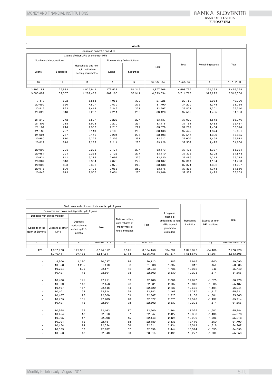2,495,187 125,683 1,025,944 179,533 51,319 3,877,666 4,698,752 291,393 7,476,228 3,083,689 152,357 1,289,432 309,165 58,911 4,893,554 5,711,723 329,295 8,513,508 17,413 692 6,818 1,966 339 27,228 29,780 3,984 49,090 20,599 550 7,827 2,539 276 31,790 34,232 4,374 53,235 20,812 892 8,413 2,349 331 32,797 36,831 4,301 55,740 20,829 818 9,282 2,211 286 33,426 37,509 4,425 54,656 21,242 772 8,897 2,228 297 33,437 37,099 4,543 56,276 21,306 718 8,928 2,230 294 33,476 37,161 4,483 55,487 21,101 714 9,062 2,210 292 33,379 37,267 4,464 56,044 21,139 722 9,119 2,193 295 33,468 37,447 4,374 55,621 21,091 757 9,149 2,201 295 33,493 37,514 4,320 55,365 20,980 810 9,225 2,206 291 33,512 37,602 4,458 55,914 20,829 818 9,282 2,211 286 33,426 37,509 4,425 54,656 20,997 795 9,226 2,177 277 33,473 37,476 4,387 55,284 20,981 794 9,233 2,126 277 33,410 37,373 4,308 54,873 20,931 841 9,276 2,097 275 33,420 37,469 4,213 55,218 20,964 818 9,304 2,078 272 33,437 37,364 4,194 54,790 20,906 808 9,383 2,079 262 33,438 37,371 4,322 54,907 20,916 809 9,425 2,066 259 33,475 37,366 4,344 54,850 20,843 813 9,507 2,054 270 33,486 37,372 4,423 55,253 **Assets** Claims on domestic non-MFIs Total Remaining Assets | Total Claims of other MFIs on other non-MFIs Total Non-financial corporations Households and nonprofit institutions Loans | Securities | serving households | Loans | Securities Non-monetary fin.institutions 10 | 11 | 12 | 13 | 14 | 15=10+..+14 | 16=4+9+15 | 17 | 18=3+16+17

|                                     |                                                |                                                       | Banknotes and coins and instruments up to 2 years |                                                                        |                |                                                                 |                          |                                            |                    |
|-------------------------------------|------------------------------------------------|-------------------------------------------------------|---------------------------------------------------|------------------------------------------------------------------------|----------------|-----------------------------------------------------------------|--------------------------|--------------------------------------------|--------------------|
|                                     | Banknotes and coins and deposits up to 2 years |                                                       |                                                   |                                                                        |                |                                                                 |                          |                                            |                    |
|                                     | Deposits with agreed maturity                  |                                                       |                                                   |                                                                        |                | Long-term<br>financial                                          |                          |                                            |                    |
| Deposits at the<br>Bank of Slovenia | Deposits at other<br><b>MFIs</b>               | Deposits<br>reedemable at<br>notice up to 3<br>months | Total                                             | Debt securities,<br>units/shares of<br>money market<br>funds and repos | Total          | obligations to non-<br>MFIs (central<br>government<br>excluded) | Remaining<br>liabilities | Excess of inter-<br><b>MFI</b> liabilities | Total              |
| 10                                  | 11                                             | 12                                                    | $13=9+10+11+12$                                   | 14                                                                     | $15 = 13 + 14$ | 16                                                              | 17                       | 18                                         | $19=3+15+16+17+18$ |
|                                     |                                                |                                                       |                                                   |                                                                        |                |                                                                 |                          |                                            |                    |
| 421                                 | 1,687,973                                      | 122,355                                               | 3,524,612                                         | 9,545                                                                  | 3,534,156      | 534,292                                                         | 1,377,822                | $-34,406$                                  | 7,476,228          |
| $\sim$                              | 1,746,441                                      | 197,485                                               | 3,817,641                                         | 8,114                                                                  | 3,825,755      | 507,374                                                         | 1,581,540                | $-54,801$                                  | 8,513,508          |
|                                     | 8,700                                          | 1,280                                                 | 20,037                                            | 76                                                                     | 20.113         | 1,485                                                           | 7,915                    | $-200$                                     | 49,090             |
|                                     | 10,058                                         | 1,265                                                 | 21,419                                            | 83                                                                     | 21,503         | 1,397                                                           | 9,012                    | $-159$                                     | 53,235             |
|                                     | 10,734                                         | 526                                                   | 22,171                                            | 72                                                                     | 22,243         | 1,738                                                           | 12,072                   | $-346$                                     | 55,740             |
|                                     | 10,427                                         | 75                                                    | 22,564                                            | 38                                                                     | 22,602         | 2,330                                                           | 12,208                   | $-1,514$                                   | 54,656             |
|                                     |                                                |                                                       |                                                   |                                                                        |                |                                                                 |                          |                                            |                    |
|                                     | 10,480                                         | 141                                                   | 22,411                                            | 69                                                                     | 22,480         | 2,089                                                           | 12,647                   | $-1,325$                                   | 56,276             |
|                                     | 10,569                                         | 143                                                   | 22,458                                            | 73                                                                     | 22,531         | 2,107                                                           | 12,348                   | $-1,308$                                   | 55,487             |
|                                     | 10,467                                         | 157                                                   | 22,446                                            | 74                                                                     | 22,520         | 2,136                                                           | 12,662                   | $-1,404$                                   | 56,044             |
|                                     | 10,401                                         | 152                                                   | 22,314                                            | 68                                                                     | 22,382         | 2,167                                                           | 12,387                   | $-1, 417$                                  | 55,621             |
|                                     | 10,467                                         | 75                                                    | 22,308                                            | 59                                                                     | 22,367         | 2,225                                                           | 12,158                   | $-1,381$                                   | 55,365             |
|                                     | 10,475                                         | 101                                                   | 22,483                                            | 43                                                                     | 22,527         | 2,275                                                           | 12,523                   | $-1,437$                                   | 55,914             |
|                                     | 10,427                                         | 75                                                    | 22,564                                            | 38                                                                     | 22,602         | 2,330                                                           | 12,208                   | $-1,514$                                   | 54,656             |
|                                     |                                                |                                                       |                                                   |                                                                        |                |                                                                 |                          |                                            |                    |
|                                     | 10,368                                         | 65                                                    | 22,463                                            | 37                                                                     | 22,500         | 2,364                                                           | 13,065                   | $-1,502$                                   | 55,284             |
|                                     | 10.454                                         | 18                                                    | 22,510                                            | 37                                                                     | 22.547         | 2.427                                                           | 12,803                   | $-1,490$                                   | 54,873             |
|                                     | 10,395                                         | 17                                                    | 22,398                                            | 45                                                                     | 22,443         | 2,424                                                           | 13,980                   | $-1,606$                                   | 55,218             |
|                                     | 10,294                                         | 16                                                    | 22,431                                            | 58                                                                     | 22,489         | 2,436                                                           | 13,416                   | $-1,550$                                   | 54,790             |
|                                     | 10,454                                         | 24                                                    | 22,654                                            | 58                                                                     | 22,711         | 2,434                                                           | 13,519                   | $-1,618$                                   | 54,907             |
|                                     | 10,539                                         | 32                                                    | 22,737                                            | 62                                                                     | 22,799         | 2,444                                                           | 13,394                   | $-1,593$                                   | 54,850             |
|                                     | 10,656                                         | 43                                                    | 22,949                                            | 66                                                                     | 23,015         | 2,435                                                           | 13,277                   | $-1,609$                                   | 55,253             |
|                                     |                                                |                                                       |                                                   |                                                                        |                |                                                                 |                          |                                            |                    |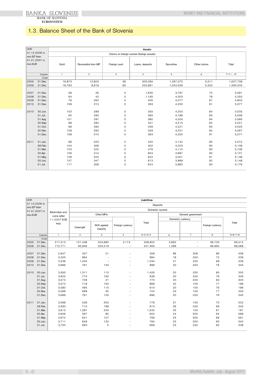**EUROSYSTEM**

#### 1.3. Balance Sheet of the Bank of Slovenia

| Until        |               | Assets       |                     |                         |                                            |                |              |                |  |  |
|--------------|---------------|--------------|---------------------|-------------------------|--------------------------------------------|----------------|--------------|----------------|--|--|
|              | 31.12.2006 in |              |                     |                         | Claims on foreign sectors (foreign assets) |                |              |                |  |  |
| mio SIT from |               |              |                     |                         |                                            |                |              |                |  |  |
|              | 01.01.2007 in |              |                     |                         |                                            |                |              |                |  |  |
| mio EUR      |               | Gold         | Receivable from IMF | Foreign cash            | Loans, deposits                            | Securities     | Other claims | Total          |  |  |
|              |               |              |                     |                         |                                            |                |              |                |  |  |
|              | Column        | $\mathbf{1}$ | $\overline{2}$      | $\overline{\mathbf{3}}$ | $\overline{4}$                             | $\overline{5}$ | 6            | $7 = 1 +  + 6$ |  |  |
|              | Code          |              |                     |                         |                                            |                |              |                |  |  |
| 2005         | 31.Dec.       | 16,873       | 12,803              | 58                      | 305,094                                    | 1,297,370      | 5,511        | 1,637,708      |  |  |
| 2006         | 31.Dec.       | 18,793       | 8,919               | 60                      | 222,681                                    | 1,034,539      | 5,343        | 1,290,334      |  |  |
|              |               |              |                     |                         |                                            |                |              |                |  |  |
| 2007         | 31.Dec.       | 58           | 26                  | $\mathsf O$             | 1,635                                      | 3,797          | 75           | 5,591          |  |  |
| 2008         | 31.Dec.       | 64           | 42                  | 0                       | 1,165                                      | 4,003          | 78           | 5,350          |  |  |
| 2009         | 31.Dec.       | 78           | 262                 | 0                       | 405                                        | 4,077          | 81           | 4,903          |  |  |
| 2010         | 31.Dec.       | 108          | 315                 | 0                       | 363                                        | 4,200          | 91           | 5,077          |  |  |
|              |               |              |                     |                         |                                            |                |              |                |  |  |
| 2010         | 30.Jun.       | 103          | 289                 | $\mathsf{O}\xspace$     | 355                                        | 4,203          | 84           | 5,035          |  |  |
|              | 31.Jul.       | 92           | 280                 | $\mathsf O$             | 365                                        | 4,188          | 83           | 5,008          |  |  |
|              | 31.Aug.       | 101          | 297                 | 0                       | 380                                        | 4,204          | 84           | 5,066          |  |  |
|              | 30.Sep.       | 98           | 284                 | 0                       | 341                                        | 4,215          | 84           | 5,021          |  |  |
|              | 31.Oct.       | 99           | 283                 | 0                       | 339                                        | 4,221          | 83           | 5,025          |  |  |
|              | 30.Nov.       | 109          | 293                 | $\circ$                 | 349                                        | 4,231          | 84           | 5,067          |  |  |
|              | 31.Dec.       | 108          | 315                 | 0                       | 363                                        | 4,200          | 91           | 5,077          |  |  |
|              |               |              |                     |                         |                                            |                |              |                |  |  |
| 2011         | 31.Jan.       | 99           | 323                 | $\mathsf O$             | 420                                        | 4,142          | 90           | 5,074          |  |  |
|              | 28.Feb.       | 104          | 308                 | 0                       | 402                                        | 4,203          | 90           | 5,108          |  |  |
|              | 31.Mar.       | 103          | 322                 | 0                       | 476                                        | 4,115          | 90           | 5,106          |  |  |
|              | 30.Apr.       | 106          | 314                 | $\mathsf{O}\xspace$     | 604                                        | 3,987          | 90           | 5,101          |  |  |
|              | 31.May        | 109          | 324                 | $\circ$                 | 622                                        | 4,001          | 91           | 5,148          |  |  |
|              | 30.Jun.       | 107          | 347                 | 0                       | 613                                        | 3,989          | 92           | 5,148          |  |  |
|              | 31.Jul.       | 117          | 358                 | 0                       | 624                                        | 3,983          | 93           | 5,176          |  |  |
|              |               |              |                     |                         |                                            |                |              |                |  |  |

| Until        |               |                              | Liabilities    |                         |                  |                  |                   |                    |                  |           |  |  |  |
|--------------|---------------|------------------------------|----------------|-------------------------|------------------|------------------|-------------------|--------------------|------------------|-----------|--|--|--|
|              | 31.12.2006 in |                              |                | Deposits                |                  |                  |                   |                    |                  |           |  |  |  |
| mio SIT from | 01.01.2007 in |                              |                |                         |                  | Domestic sectors |                   |                    |                  |           |  |  |  |
| mio EUR      |               | Banknotes and                |                | Other MFIs              |                  |                  |                   | General government |                  |           |  |  |  |
|              |               | coins (after<br>1.1.2007 ECB |                |                         |                  |                  | Domestic currency |                    |                  |           |  |  |  |
|              |               | key)                         |                |                         |                  | Total            |                   |                    |                  | Total     |  |  |  |
|              |               |                              | Ovemight       | With agreed<br>maturity | Foreign currency |                  |                   |                    | Foreign currency |           |  |  |  |
|              | Column        | $\mathbf{1}$                 | $\overline{2}$ | $\overline{3}$          | $\overline{4}$   | $5=2+3+4$        | 6                 | $\overline{7}$     | $\overline{8}$   | $9=6+7+8$ |  |  |  |
|              | Code          |                              |                |                         |                  |                  |                   |                    |                  |           |  |  |  |
| 2005         | 31.Dec.       | 217,313                      | 101.438        | 204,990                 | 2,174            | 308,602          | 2,682             | ٠                  | 66,730           | 69,412    |  |  |  |
| 2006         | 31.Dec.       | 172,771                      | 95,946         | 325,519                 | $\overline{a}$   | 421,465          | 1,296             | ÷.                 | 96,992           | 98,288    |  |  |  |
|              |               |                              |                |                         |                  |                  |                   |                    |                  |           |  |  |  |
| 2007         | 31.Dec.       | 2,947                        | 337            | 21                      |                  | 358              | 86                | 306                | 66               | 458       |  |  |  |
| 2008         | 31.Dec.       | 3,255                        | 994            |                         |                  | 994              | 18                | 250                | 72               | 339       |  |  |  |
| 2009         | 31.Dec.       | 3,536                        | 1,234          | ä,                      |                  | 1,234            | 21                | 250                | 69               | 339       |  |  |  |
| 2010         | 31.Dec.       | 3,686                        | 761            | 135                     |                  | 896              | 20                | 250                | 76               | 345       |  |  |  |
| 2010         | 30.Jun.       | 3,565                        | 1,311          | 115                     |                  | 1,426            | 20                | 250                | 80               | 350       |  |  |  |
|              | 31.Jul.       | 3,602                        | 774            | 162                     |                  | 936              | 20                | 250                | 76               | 346       |  |  |  |
|              | 31.Aug.       | 3,574                        | 749            | 21                      | $\overline{a}$   | 770              | 20                | 200                | 83               | 303       |  |  |  |
|              | 30.Sep.       | 3,572                        | 718            | 150                     |                  | 868              | 22                | 100                | 77               | 198       |  |  |  |
|              | 31.Oct.       | 3,580                        | 495            | 115                     |                  | 610              | 20                | 100                | 76               | 196       |  |  |  |
|              | 30.Nov.       | 3,588                        | 699            | 25                      |                  | 724              | 23                | 100                | 77               | 200       |  |  |  |
|              | 31.Dec.       | 3,686                        | 761            | 135                     |                  | 896              | 20                | 250                | 76               | 345       |  |  |  |
| 2011         | 31.Jan.       | 3,598                        | 528            | 250                     | ٠                | 778              | 31                | 100                | 70               | 202       |  |  |  |
|              | 28.Feb.       | 3,593                        | 715            | 198                     |                  | 913              | 26                | 250                | 69               | 345       |  |  |  |
|              | 31.Mar.       | 3,612                        | 1,287          | 245                     | ٠                | 1,532            | 25                | 100                | 67               | 191       |  |  |  |
|              | 30.Apr.       | 3.656                        | 567            | 85                      |                  | 652              | 24                | 500                | 64               | 588       |  |  |  |
|              | 31.May        | 3,672                        | 641            | 127                     |                  | 768              | 25                | 500                | 66               | 591       |  |  |  |
|              | 30.Jun.       | 3,711                        | 649            | 135                     |                  | 784              | 25                | 250                | 65               | 340       |  |  |  |
|              | 31.Jul.       | 3,750                        | 663            | $\,$ 5 $\,$             |                  | 668              | 23                | 250                | 65               | 338       |  |  |  |
|              |               |                              |                |                         |                  |                  |                   |                    |                  |           |  |  |  |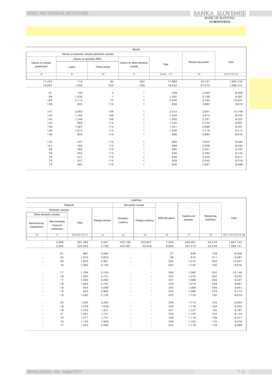|                                 |                         |                                              | Assets                              |            |                  |              |  |
|---------------------------------|-------------------------|----------------------------------------------|-------------------------------------|------------|------------------|--------------|--|
|                                 |                         | Claims on domestic sectors (domestic assets) |                                     |            |                  |              |  |
|                                 | Claims on domestic MFIs |                                              |                                     |            | Remaining assets | Total        |  |
| Claims on central<br>government | Other claims<br>Loans   |                                              | Claims on other domestic<br>sectors | Total      |                  |              |  |
| $\overline{8}$                  | $\overline{9}$          | 10                                           | $\overline{11}$                     | $12=8++11$ | $\overline{13}$  | $14=7+12+13$ |  |
|                                 |                         |                                              |                                     |            |                  |              |  |
| 17,423                          | 113                     | 84                                           | 264                                 | 17,883     | 42,151           | 1,697,742    |  |
| 16,591                          | 1,300                   | 323                                          | 229                                 | 18,442     | 57,375           | 1,366,151    |  |
| 67                              | 156                     | $\overline{4}$                               | 1                                   | 228        | 2,590            | 8,409        |  |
| 68                              | 1,230                   | $\mathbf{1}$                                 |                                     | 1,300      | 2,736            | 9,387        |  |
| 160                             | 2,115                   | 72                                           | 1                                   | 2,349      | 2,795            | 10,047       |  |
| 138                             | 602                     | 115                                          | $\mathbf{1}$                        | 856        | 2,683            | 8,616        |  |
| 141                             | 2,062                   | 108                                          | 1                                   | 2,312      | 2,801            | 10,148       |  |
| 140                             | 1,185                   | 108                                          | 1                                   | 1,434      | 2,813            | 9,255        |  |
| 142                             | 1,249                   | 108                                          |                                     | 1,500      | 2,761            | 9,327        |  |
| 140                             | 985                     | 114                                          |                                     | 1,240      | 2,730            | 8,991        |  |
| 139                             | 1,097                   | 114                                          |                                     | 1,351      | 2,686            | 9,061        |  |
| 139                             | 1,073                   | 113                                          | 1                                   | 1,326      | 2,719            | 9,112        |  |
| 138                             | 602                     | 115                                          | 1                                   | 856        | 2,683            | 8,616        |  |
| 132                             | 437                     | 115                                          | 1                                   | 685        | 2,624            | 8,384        |  |
| 101                             | 452                     | 115                                          |                                     | 668        | 2,558            | 8,334        |  |
| 99                              | 365                     | 115                                          |                                     | 580        | 2,501            | 8,187        |  |
| 76                              | 355                     | 115                                          |                                     | 546        | 2,494            | 8,142        |  |
| 76                              | 447                     | 115                                          |                                     | 639        | 2,530            | 8,317        |  |
| 76                              | 437                     | 115                                          |                                     | 628        | 2,542            | 8,318        |  |
| 76                              | 464                     | 115                                          | 1                                   | 655        | 2,567            | 8,398        |  |

|                               | Liabilities                               |                |                 |                      |                          |                       |                         |                          |                    |  |  |  |  |
|-------------------------------|-------------------------------------------|----------------|-----------------|----------------------|--------------------------|-----------------------|-------------------------|--------------------------|--------------------|--|--|--|--|
|                               |                                           | Deposits       |                 |                      | Securities issued        |                       |                         |                          |                    |  |  |  |  |
|                               | Domestic sectors                          |                |                 |                      |                          |                       |                         |                          |                    |  |  |  |  |
|                               | Other domestic sectors                    |                |                 |                      |                          |                       |                         |                          |                    |  |  |  |  |
| Non-financial<br>corporations | Non-monetary<br>financial<br>institutions | Total          | Foreign sectors | Domestic<br>currency | Foreign currency         | <b>SDR Allocation</b> | Capital and<br>reserves | Remaining<br>liabilities | Total              |  |  |  |  |
| 10                            | 11                                        | $12=5+9+10+11$ | 13              | 14                   | 15                       | 16                    | 17                      | 18                       | $19=1+12+13+14+18$ |  |  |  |  |
|                               |                                           |                |                 |                      |                          |                       |                         |                          |                    |  |  |  |  |
|                               | 3,268                                     | 381,282        | 2,061           | 525,195              | 323,927                  | 7,358                 | 206,291                 | 34,316                   | 1,697,742          |  |  |  |  |
|                               | 5,582                                     | 525,335        | 3,738           | 402,381              | 32,449                   | 6,956                 | 187,473                 | 35,049                   | 1,366,151          |  |  |  |  |
|                               | 51                                        | 867            | 3,560           |                      | ×                        | 27                    | 848                     | 159                      | 8,409              |  |  |  |  |
|                               | 42                                        | 1,375          | 3,603           |                      | ×                        | 28                    | 915                     | 211                      | 9,387              |  |  |  |  |
|                               | 29                                        | 1,603          | 3,361           |                      | ٠                        | 235                   | 1,010                   | 303                      | 10,047             |  |  |  |  |
|                               | 18                                        | 1,260          | 2,126           |                      | ×                        | 250                   | 1,134                   | 160                      | 8,616              |  |  |  |  |
|                               | 17                                        | 1,794          | 3,105           |                      | $\overline{\phantom{a}}$ | 260                   | 1,082                   | 342                      | 10,148             |  |  |  |  |
|                               | 18                                        | 1,300          | 2,731           |                      | ٠                        | 252                   | 1,070                   | 300                      | 9,255              |  |  |  |  |
|                               | 17                                        | 1,090          | 3,062           |                      | ÷,                       | 257                   | 1,088                   | 256                      | 9,327              |  |  |  |  |
|                               | 18                                        | 1,084          | 2,781           |                      | ٠                        | 246                   | 1,070                   | 239                      | 8,991              |  |  |  |  |
|                               | 18                                        | 823            | 3,099           |                      | ٠                        | 245                   | 1,068                   | 246                      | 9,061              |  |  |  |  |
|                               | 19                                        | 943            | 2,982           |                      | ×                        | 253                   | 1,068                   | 278                      | 9,112              |  |  |  |  |
|                               | 18                                        | 1,260          | 2,126           |                      |                          | 250                   | 1,134                   | 160                      | 8,616              |  |  |  |  |
|                               | 25                                        | 1,005          | 2,265           |                      | ٠                        | 246                   | 1,115                   | 154                      | 8,384              |  |  |  |  |
|                               | 18                                        | 1,276          | 1,939           |                      | ٠                        | 245                   | 1,116                   | 164                      | 8,334              |  |  |  |  |
|                               | 18                                        | 1,742          | 1,321           |                      | ٠                        | 241                   | 1,127                   | 145                      | 8,187              |  |  |  |  |
|                               | 21                                        | 1,261          | 1,731           |                      | ٠                        | 235                   | 1,104                   | 154                      | 8,142              |  |  |  |  |
|                               | 18                                        | 1,377          | 1,751           |                      | $\overline{a}$           | 239                   | 1,118                   | 159                      | 8,317              |  |  |  |  |
|                               | 16                                        | 1,140          | 1,956           |                      | ٠                        | 239                   | 1,100                   | 170                      | 8,318              |  |  |  |  |
|                               | 17                                        | 1,023          | 2,090           |                      | ÷                        | 242                   | 1,116                   | 178                      | 8,398              |  |  |  |  |
|                               |                                           |                |                 |                      |                          |                       |                         |                          |                    |  |  |  |  |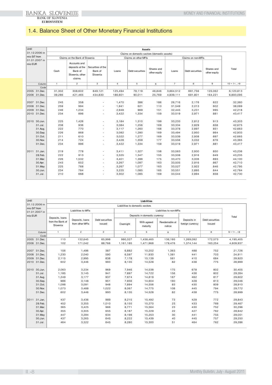### 1.4. Balance Sheet of Other Monetary Financial Institutions

| Until        |                                                                                                                 | Assets                                               |                                                                         |                                          |                                                                      |                                                                |                                                      |                                                                              |                                                                      |                                                      |                                                                              |
|--------------|-----------------------------------------------------------------------------------------------------------------|------------------------------------------------------|-------------------------------------------------------------------------|------------------------------------------|----------------------------------------------------------------------|----------------------------------------------------------------|------------------------------------------------------|------------------------------------------------------------------------------|----------------------------------------------------------------------|------------------------------------------------------|------------------------------------------------------------------------------|
|              | 31.12.2006 in                                                                                                   |                                                      |                                                                         |                                          |                                                                      | Claims on domestic sectors (domestic assets)                   |                                                      |                                                                              |                                                                      |                                                      |                                                                              |
| mio SIT from |                                                                                                                 |                                                      | Claims on the Bank of Slovenia                                          |                                          |                                                                      | Claims on other MFIs                                           |                                                      | Claims on non-MFIs                                                           |                                                                      |                                                      |                                                                              |
| mio EUR      | 01.01.2007 in                                                                                                   | Cash                                                 | Accounts and<br>deposits at the<br>Bank of<br>Slovenia, other<br>claims | Securities of the<br>Bank of<br>Slovenia | Loans                                                                | Debt securities                                                | Shares and<br>other equity                           | Loans                                                                        | Debt securities                                                      | Shares and<br>other equity                           | Total                                                                        |
|              | Column                                                                                                          | $\overline{1}$                                       | $\overline{2}$                                                          | 3                                        | $\overline{4}$                                                       | 5                                                              | 6                                                    | $\overline{7}$                                                               | 8                                                                    | 9                                                    | $10 = 1 +  + 9$                                                              |
|              | Code                                                                                                            |                                                      |                                                                         |                                          |                                                                      |                                                                |                                                      |                                                                              |                                                                      |                                                      |                                                                              |
|              | 2005 31.Dec.                                                                                                    | 31,302                                               | 308,602                                                                 | 849,121                                  | 125,494                                                              | 78,119                                                         | 46,846                                               | 3,864,512                                                                    | 691,756                                                              | 125,062                                              | 6,120,813                                                                    |
|              | 2006 31.Dec.                                                                                                    | 39,286                                               | 421,465                                                                 | 434,830                                  | 186,601                                                              | 90,011                                                         | 25,769                                               | 4,839,111                                                                    | 691,801                                                              | 164,221                                              | 6,893,095                                                                    |
|              | 2007 31.Dec.<br>2008 31.Dec.<br>2009 31.Dec.<br>2010 31.Dec.<br>2010 30.Jun.<br>$31$ Jul.<br>31.Aug.<br>30.Sep. | 245<br>259<br>246<br>234<br>225<br>208<br>222<br>226 | 358<br>994<br>1,234<br>896<br>1,426<br>936<br>770<br>868                | ٠<br>ä,<br>٠<br>ä,<br>٠<br>٠<br>ä,<br>٠  | 1.470<br>1,941<br>2,948<br>3,422<br>3,184<br>3.084<br>3.117<br>3.082 | 386<br>621<br>969<br>1,334<br>1,310<br>1,256<br>1,260<br>1,280 | 186<br>110<br>151<br>159<br>199<br>169<br>168<br>169 | 26,716<br>31,549<br>32,445<br>33,519<br>33,233<br>33,334<br>33,378<br>33,494 | 2,176<br>2,013<br>3,231<br>2,971<br>2,812<br>2,829<br>2,897<br>2,950 | 822<br>602<br>995<br>881<br>913<br>858<br>851<br>864 | 32,360<br>38,089<br>42,218<br>43,417<br>43,303<br>42,675<br>42,663<br>42,933 |
|              | 31.Oct.                                                                                                         | 211                                                  | 610                                                                     | ä,                                       | 3,022                                                                | 1,277                                                          | 169                                                  | 33,539                                                                       | 2,938                                                                | 897                                                  | 42,665                                                                       |
|              | 30.Nov.                                                                                                         | 214                                                  | 724                                                                     |                                          | 3,428                                                                | 1,359                                                          | 177                                                  | 33,556                                                                       | 3,032                                                                | 876                                                  | 43,365                                                                       |
|              | 31.Dec.                                                                                                         | 234                                                  | 896                                                                     |                                          | 3,422                                                                | 1,334                                                          | 159                                                  | 33,519                                                                       | 2,971                                                                | 881                                                  | 43,417                                                                       |
|              | 2011 31.Jan.<br>28.Feb.<br>31.Mar.                                                                              | 219<br>222<br>226                                    | 778<br>913<br>1,532                                                     | ٠<br>٠<br>٠                              | 3,411<br>3,325<br>3,401                                              | 1,327<br>1,347<br>1,396                                        | 158<br>155<br>175                                    | 33,563<br>33,508<br>33,470                                                   | 2,930<br>2,916<br>3,006                                              | 850<br>849<br>893                                    | 43,236<br>43,235<br>44,100                                                   |
|              | 30.Apr.                                                                                                         | 243                                                  | 652                                                                     | ٠                                        | 3,267                                                                | 1,097                                                          | 163                                                  | 33,505                                                                       | 2,916                                                                | 867                                                  | 42,710                                                                       |
|              | 31.May                                                                                                          | 225                                                  | 768                                                                     | ٠                                        | 3,267                                                                | 1,077                                                          | 163                                                  | 33,527                                                                       | 2,922                                                                | 846                                                  | 42,795                                                                       |
|              | 30.Jun.                                                                                                         | 234                                                  | 784                                                                     | ä,                                       | 3,225                                                                | 1,085                                                          | 165                                                  | 33,551                                                                       | 2,895                                                                | 844                                                  | 42,784                                                                       |
|              | 31.Jul.                                                                                                         | 210                                                  | 668                                                                     |                                          | 3,302                                                                | 1,085                                                          | 169                                                  | 33,544                                                                       | 2,894                                                                | 858                                                  | 42,730                                                                       |

| Liabilities<br>31.12.2006 in                  |                                                                       |                                                 |                                                             |                                                                    |                                                                                                   |                                                                                 |                                                                               |                                                                    |  |  |  |
|-----------------------------------------------|-----------------------------------------------------------------------|-------------------------------------------------|-------------------------------------------------------------|--------------------------------------------------------------------|---------------------------------------------------------------------------------------------------|---------------------------------------------------------------------------------|-------------------------------------------------------------------------------|--------------------------------------------------------------------|--|--|--|
|                                               |                                                                       |                                                 |                                                             |                                                                    |                                                                                                   |                                                                                 |                                                                               |                                                                    |  |  |  |
|                                               | Liabilities to MFIs                                                   |                                                 |                                                             |                                                                    |                                                                                                   |                                                                                 |                                                                               |                                                                    |  |  |  |
|                                               |                                                                       |                                                 |                                                             |                                                                    |                                                                                                   |                                                                                 |                                                                               | Total                                                              |  |  |  |
| from the Bank of<br>Slovenia                  | Deposits, Ioans<br>from other MFIs                                    | Debt securities<br>issued                       | Ovemight                                                    | With agreed<br>maturity                                            | Reedemable at<br>notice                                                                           | Deposits in<br>foreign currency                                                 | Debt securities<br>issued                                                     |                                                                    |  |  |  |
| $\mathbf{1}$                                  | $\overline{c}$                                                        | 3                                               | $\overline{4}$                                              | 5                                                                  | 6                                                                                                 | $\overline{7}$                                                                  | 8                                                                             | $9 = 1 +  + 8$                                                     |  |  |  |
|                                               |                                                                       |                                                 |                                                             |                                                                    |                                                                                                   |                                                                                 |                                                                               |                                                                    |  |  |  |
|                                               |                                                                       |                                                 |                                                             |                                                                    |                                                                                                   |                                                                                 |                                                                               | 4,195,405                                                          |  |  |  |
|                                               |                                                                       |                                                 |                                                             |                                                                    |                                                                                                   |                                                                                 |                                                                               | 4,609,937                                                          |  |  |  |
| 156                                           | 1,496                                                                 | 387                                             | 6,882                                                       | 10,202                                                             | 1,363                                                                                             | 488                                                                             | 752                                                                           | 21,726                                                             |  |  |  |
|                                               |                                                                       |                                                 |                                                             |                                                                    |                                                                                                   |                                                                                 |                                                                               | 24,911                                                             |  |  |  |
|                                               |                                                                       |                                                 |                                                             |                                                                    |                                                                                                   |                                                                                 |                                                                               | 29,920                                                             |  |  |  |
|                                               |                                                                       |                                                 |                                                             |                                                                    |                                                                                                   |                                                                                 |                                                                               | 28,999                                                             |  |  |  |
| 2,063<br>1,185                                | 3.234<br>3,145                                                        | 969<br>941                                      | 7,946<br>7,897                                              | 14,538<br>14,722                                                   | 175<br>156                                                                                        | 678<br>436                                                                      | 802<br>802                                                                    | 30,405<br>29,284                                                   |  |  |  |
| 1,249                                         | 3,177                                                                 | 937                                             | 7,974                                                       | 14,819                                                             | 167                                                                                               | 462                                                                             | 817                                                                           | 29,602                                                             |  |  |  |
| 986                                           | 3.148                                                                 | 951                                             | 7,956                                                       | 14,604                                                             | 160                                                                                               | 428                                                                             | 813                                                                           | 29,046                                                             |  |  |  |
| 1.098                                         | 3.091                                                                 | 948                                             | 7.894                                                       | 14.556                                                             | 83                                                                                                | 430                                                                             | 809                                                                           | 28,910                                                             |  |  |  |
| 1.073                                         | 3,488                                                                 | 1.022                                           | 8,067                                                       | 14.775                                                             | 108                                                                                               | 445                                                                             | 794                                                                           | 29,772                                                             |  |  |  |
|                                               | 3,446                                                                 |                                                 |                                                             |                                                                    |                                                                                                   |                                                                                 |                                                                               | 28,999                                                             |  |  |  |
| 437<br>452<br>365<br>355<br>447<br>437<br>464 | 3,436<br>3.355<br>3.425<br>3,305<br>3,294<br>3,265<br>3.322           | 989<br>1.010<br>966<br>655<br>634<br>645<br>645 | 8,215<br>8.155<br>8,771<br>8,187<br>8,198<br>8,222<br>8,280 | 15,492<br>15,270<br>15.564<br>15,229<br>15,253<br>15,439<br>15,300 | 73<br>23<br>23<br>22<br>30<br>40<br>51                                                            | 429<br>433<br>430<br>427<br>441<br>445<br>464                                   | 772<br>769<br>752<br>762<br>755<br>757<br>762                                 | 29,843<br>29,467<br>30,296<br>28,942<br>29,051<br>29,250<br>29,286 |  |  |  |
|                                               | Deposits, Ioans<br>Code<br>110<br>102<br>1,230<br>2,115<br>602<br>602 | 132,645<br>171,042<br>2.040<br>2,995<br>3,446   | 65,998<br>88,766<br>590<br>838<br>993<br>993                | 980,327<br>1,161,185<br>6,597<br>7,178<br>8,135<br>8,135           | Liabilities to domestic sectors<br>1,438,465<br>1,471,968<br>11.930<br>15,139<br>14,528<br>14,528 | Deposits in domestic currency<br>136,195<br>179,476<br>1.381<br>561<br>82<br>82 | Liabilities to non-MFIs<br>1,269,092<br>1,374,144<br>441<br>410<br>438<br>438 | 172,573<br>163,254<br>703<br>684<br>775<br>775                     |  |  |  |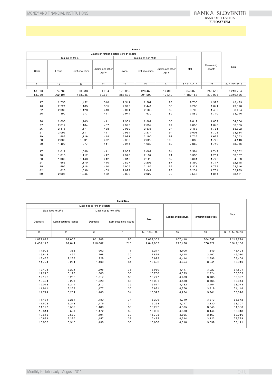|        | Assets  |                 |                                            |         |                    |                            |                   |                     |                 |  |  |  |  |
|--------|---------|-----------------|--------------------------------------------|---------|--------------------|----------------------------|-------------------|---------------------|-----------------|--|--|--|--|
|        |         |                 | Claims on foreign sectors (foreign assets) |         |                    |                            |                   |                     |                 |  |  |  |  |
|        |         | Claims on MFIs  |                                            |         | Claims on non-MFIs |                            |                   |                     |                 |  |  |  |  |
| Cash   | Loans   | Debt securities | Shares and other<br>equity                 | Loans   | Debt securities    | Shares and other<br>equity | Total             | Remaining<br>assets | Total           |  |  |  |  |
| 11     | 12      | 13              | 14                                         | 15      | 16                 | $\overline{17}$            | $18 = 11 +  + 17$ | $\overline{19}$     | $20 = 10+18+19$ |  |  |  |  |
|        |         |                 |                                            |         |                    |                            |                   |                     |                 |  |  |  |  |
| 13,096 | 374,789 | 90,238          | 51,954                                     | 179,985 | 123,453            | 14,860                     | 848,375           | 250,536             | 7,219,724       |  |  |  |  |
| 18,080 | 362,491 | 153,235         | 52,661                                     | 286,638 | 291,509            | 17,542                     | 1,182,156         | 273,935             | 8,349,186       |  |  |  |  |
| 17     | 2,753   | 1,452           | 318                                        | 2,511   | 2,587              | 98                         | 9,735             | 1,397               | 43,493          |  |  |  |  |
| 16     | 2,221   | 1,135           | 385                                        | 2,995   | 2,441              | 86                         | 9,280             | 1.641               | 49,010          |  |  |  |  |
| 22     | 2,930   | 1,123           | 419                                        | 2,961   | 2,168              | 82                         | 9,705             | 1,480               | 53,404          |  |  |  |  |
| 20     | 1,492   | 977             | 441                                        | 2,944   | 1,932              | 82                         | 7,889             | 1,710               | 53,016          |  |  |  |  |
| 26     | 2,693   | 1,243           | 441                                        | 2,954   | 2,362              | 100                        | 9,819             | 1,682               | 54,804          |  |  |  |  |
| 27     | 2,012   | 1,134           | 437                                        | 2,993   | 2,354              | 94                         | 9,050             | 1,640               | 53,365          |  |  |  |  |
| 26     | 2,415   | 1.171           | 438                                        | 2,989   | 2,335              | 94                         | 9.468             | 1.761               | 53,892          |  |  |  |  |
| 21     | 2,093   | 1,111           | 447                                        | 2,964   | 2,274              | 94                         | 9,003             | 1.708               | 53,644          |  |  |  |  |
| 19     | 1,886   | 1,116           | 448                                        | 2,981   | 2,190              | 97                         | 8,736             | 1,672               | 53,073          |  |  |  |  |
| 20     | 2,365   | 1,091           | 472                                        | 2,963   | 2,022              | 103                        | 9,036             | 1,746               | 54,148          |  |  |  |  |
| 20     | 1,492   | 977             | 441                                        | 2,944   | 1,932              | 82                         | 7,889             | 1,710               | 53,016          |  |  |  |  |
| 17     | 2,012   | 1,038           | 441                                        | 2,939   | 2,062              | 84                         | 8,594             | 1,742               | 53,572          |  |  |  |  |
| 20     | 1,613   | 1.112           | 442                                        | 2.923   | 2,137              | 91                         | 8,338             | 1.734               | 53,307          |  |  |  |  |
| 20     | 1,966   | 1,140           | 442                                        | 2,910   | 2,125              | 87                         | 8,691             | 1,742               | 54,533          |  |  |  |  |
| 24     | 1,566   | 1.170           | 440                                        | 2,897   | 2,206              | 87                         | 8,390             | 1,717               | 52,818          |  |  |  |  |
| 25     | 1,592   | 1,118           | 440                                        | 2,905   | 2,152              | 92                         | 8,323             | 1,797               | 52,916          |  |  |  |  |
| 32     | 1,623   | 1,098           | 463                                        | 2,899   | 2,042              | 93                         | 8,251             | 1,754               | 52,789          |  |  |  |  |
| 29     | 2,005   | 1.045           | 452                                        | 2,889   | 2,027              | 90                         | 8,537             | 1.844               | 53,111          |  |  |  |  |
|        |         |                 |                                            |         |                    |                            |                   |                     |                 |  |  |  |  |

| Liabilities                |                        |                                |                            |                            |                         |                         |                            |  |  |  |  |
|----------------------------|------------------------|--------------------------------|----------------------------|----------------------------|-------------------------|-------------------------|----------------------------|--|--|--|--|
|                            |                        | Liabilities to foreign sectors |                            |                            |                         |                         |                            |  |  |  |  |
|                            | Liabilities to MFIs    |                                | Liabilities to non-MFIs    |                            |                         |                         |                            |  |  |  |  |
| Deposits                   | Debt securities issued | Deposits                       | Debt securities issued     | Total                      | Capital and reserves    | Remaining liabilities   | Total                      |  |  |  |  |
| 10                         | 11                     | 12                             | 13                         | $14 = 10 +  + 13$          | 15                      | 16                      | $17 = 9 + 14 + 15 + 16$    |  |  |  |  |
|                            |                        |                                |                            |                            |                         |                         |                            |  |  |  |  |
| 1,872,623                  | 87,606                 | 101,988                        | 85                         | 2,062,303                  | 657,418                 | 304,597                 | 7,219,724                  |  |  |  |  |
| 2,439,177                  | 99,644                 | 110,867                        | 215                        | 2,649,902                  | 712,426                 | 376,922                 | 8,349,186                  |  |  |  |  |
| 14,925<br>16,643<br>13,436 | 388<br>437<br>2,263    | 902<br>768<br>929              | $\overline{1}$<br>30<br>45 | 16,217<br>17,879<br>16,673 | 3,700<br>4,118<br>4,414 | 1,849<br>2,102<br>2,396 | 43,493<br>49,010<br>53,404 |  |  |  |  |
| 11,774                     | 3,254                  | 1.460                          | 34                         | 16,522                     | 4,254                   | 3,241                   | 53,016                     |  |  |  |  |
| 12,403                     | 3,224                  | 1,295                          | 38                         | 16,960                     | 4,417                   | 3,022                   | 54,804                     |  |  |  |  |
| 12,225                     | 3.197                  | 1,300                          | 35                         | 16,758                     | 4,399                   | 2,924                   | 53,365                     |  |  |  |  |
| 12,192                     | 3,203                  | 1,317                          | 35                         | 16,747                     | 4,439                   | 3,103                   | 53,892                     |  |  |  |  |
| 12,424                     | 3,221                  | 1,320                          | 35                         | 17,001                     | 4,430                   | 3,168                   | 53,644                     |  |  |  |  |
| 12,018                     | 3,211                  | 1,313                          | 35                         | 16,577                     | 4,432                   | 3,154                   | 53,073                     |  |  |  |  |
| 11,911                     | 3,259                  | 1,477                          | 35                         | 16,681                     | 4,376                   | 3,319                   | 54,148                     |  |  |  |  |
| 11,774                     | 3,254                  | 1,460                          | 34                         | 16,522                     | 4,254                   | 3,241                   | 53,016                     |  |  |  |  |
| 11,434                     | 3,261                  | 1,480                          | 34                         | 16,209                     | 4,249                   | 3,272                   | 53,572                     |  |  |  |  |
| 11,508                     | 3,243                  | 1,479                          | 34                         | 16,263                     | 4,247                   | 3,330                   | 53,307                     |  |  |  |  |
| 11,197                     | 3,582                  | 1,480                          | 33                         | 16,292                     | 4,305                   | 3,640                   | 54,533                     |  |  |  |  |
| 10,814                     | 3,581                  | 1,472                          | 33                         | 15,900                     | 4,530                   | 3,446                   | 52,818                     |  |  |  |  |
| 10,616                     | 3,589                  | 1,494                          | 33                         | 15,733                     | 4,665                   | 3,467                   | 52,916                     |  |  |  |  |
| 10,684                     | 3,297                  | 1,457                          | 33                         | 15,472                     | 4,644                   | 3,423                   | 52,789                     |  |  |  |  |
| 10,883                     | 3,313                  | 1,438                          | 33                         | 15,668                     | 4,618                   | 3,539                   | 53,111                     |  |  |  |  |
|                            |                        |                                |                            |                            |                         |                         |                            |  |  |  |  |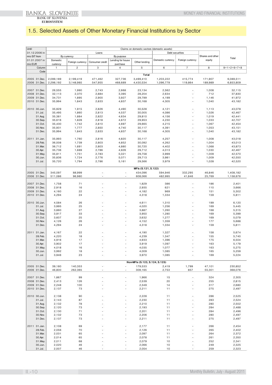**EUROSYSTEM**

# 1.5. Selected Assets of Other Monetary Financial Institutions by Sector

| Until                        |                          |                    |                           |                            |                                           | Claims on domestic sectors (domestic assets) |                  |                  |                         |  |  |
|------------------------------|--------------------------|--------------------|---------------------------|----------------------------|-------------------------------------------|----------------------------------------------|------------------|------------------|-------------------------|--|--|
| 31.12.2006 in                |                          |                    | Loans                     |                            |                                           | Debt securities                              |                  |                  |                         |  |  |
| mio SIT from                 |                          | By currency        |                           | By purpose                 |                                           |                                              |                  | Shares and other | Total                   |  |  |
| 01.01.2007 in                | Domestic                 | Foreign currency   | Consumer credit           | Lending for house          | Other lending                             | Domestic currency                            | Foreign currency | equity           |                         |  |  |
| mio EUR<br>Column            | currency<br>$\mathbf{1}$ | $\overline{c}$     | $\ensuremath{\mathsf{3}}$ | purchase<br>$\overline{4}$ | 5                                         | 6                                            | $\overline{7}$   | 8                | $9 = 1 + 2 + 6 + 7 + 8$ |  |  |
| Code                         |                          |                    |                           |                            |                                           |                                              |                  |                  |                         |  |  |
|                              |                          |                    |                           |                            | Total                                     |                                              |                  |                  |                         |  |  |
| 2005 31.Dec.                 | 2,099,189                | 2,199,419          | 471,462                   | 327,736                    | 3,499,410                                 | 1,203,222                                    | 415,774          | 171,907          | 6,089,511               |  |  |
| 2006 31.Dec.                 | 2,298,192                | 3,148,985          | 547,955                   | 468,689                    | 4,430,534                                 | 1,096,779                                    | 119,864          | 189,989          | 6,853,809               |  |  |
|                              |                          |                    |                           |                            |                                           |                                              |                  |                  |                         |  |  |
| 2007 31.Dec.                 | 26,555                   | 1,990              | 2,743                     | 2,668                      | 23,134                                    | 2,562                                        | $\overline{a}$   | 1,008            | 32,115                  |  |  |
| 2008 31.Dec.                 | 32,113                   | 2,370              | 2,884                     | 3,395                      | 28,204                                    | 2,634                                        |                  | 712              | 37,830                  |  |  |
| 2009 31.Dec.                 | 34,731                   | 1,895              | 2,900                     | 3,927                      | 29,799                                    | 4,199                                        |                  | 1,146            | 41,972                  |  |  |
| 2010 31.Dec.                 | 35,994                   | 1,843              | 2,833                     | 4,837                      | 30,168                                    | 4,305                                        | ٠                | 1,040            | 43,182                  |  |  |
| 2010 30.Jun.                 | 35,929                   | 1,915              | 2,826                     | 4,490                      | 30,528                                    | 4,121                                        | $\overline{a}$   | 1,113            | 43,078                  |  |  |
| 31.Jul.                      | 35,495                   | 1,860              | 2,813                     | 4,537                      | 30,005                                    | 4,086                                        |                  | 1,026            | 42,467                  |  |  |
| 31.Aug.                      | 35,381                   | 1,884              | 2,822                     | 4,634                      | 29,810                                    | 4,156                                        |                  | 1,019            | 42,441                  |  |  |
| 30.Sep.                      | 35,616                   | 1,828              | 2,818                     | 4,672                      | 29,953                                    | 4,230                                        |                  | 1,033            | 42,707                  |  |  |
| 31.Oct.                      | 35,430                   | 1,742              | 2,810                     | 4,697                      | 29,665                                    | 4,215                                        |                  | 1,067            | 42,454                  |  |  |
| 30.Nov.                      | 35,931                   | 1,777              | 2,850                     | 4,740                      | 30,117                                    | 4,391                                        | $\overline{a}$   | 1,053            | 43,151                  |  |  |
| 31.Dec.                      | 35,994                   | 1,843              | 2,833                     | 4,837                      | 30,168                                    | 4,305                                        | ÷,               | 1,040            | 43,182                  |  |  |
|                              |                          |                    |                           |                            |                                           |                                              |                  |                  |                         |  |  |
| 2011 31.Jan.                 | 35,993                   | 1,760              | 2,816                     | 4,820                      | 30,117                                    | 4,257                                        |                  | 1,008            | 43,018                  |  |  |
| 28.Feb.                      | 36,008                   | 1,739              | 2,803                     | 4,852                      | 30,092                                    | 4,262                                        |                  | 1,004            | 43,013                  |  |  |
| 31.Mar.                      | 36,712                   | 1,691              | 2,803                     | 4,880                      | 30,720                                    | 4,402                                        | $\overline{a}$   | 1,068            | 43,873                  |  |  |
| 30.Apr.                      | 35,736                   | 1,689              | 2,786                     | 4,926                      | 29,712                                    | 4,013                                        |                  | 1,030            | 42,467                  |  |  |
| 31.May.<br>30.Jun.           | 35,811<br>35,836         | 1,751<br>1,724     | 2,783<br>2,776            | 5,021<br>5,071             | 29,758<br>29,713                          | 3,999<br>3,981                               |                  | 1,009<br>1,009   | 42,570<br>42,550        |  |  |
| 31.Jul.                      | 35,720                   | 1,794              | 2,786                     | 5,161                      | 29,566                                    | 3,979                                        |                  | 1,028            | 42,520                  |  |  |
|                              |                          |                    |                           |                            |                                           |                                              |                  |                  |                         |  |  |
|                              |                          |                    |                           |                            | MFIs (S.121, S.122)                       |                                              |                  |                  |                         |  |  |
| 2005 31.Dec.                 | 345,097                  | 88,999             |                           | ä,                         | 434,096                                   | 594,946                                      | 332,295          | 46,846           | 1,408,182               |  |  |
| 2006 31.Dec.                 | 511,086                  | 96,980             | ÷,                        | ÷,                         | 608,066                                   | 482,995                                      | 41,846           | 25,769           | 1,158,676               |  |  |
|                              |                          |                    |                           |                            |                                           |                                              |                  |                  |                         |  |  |
| 2007 31.Dec                  | 1,758                    | 71                 |                           | ä,                         | 1,829                                     | 386                                          |                  | 186              | 2,401                   |  |  |
| 2008 31.Dec.                 | 2,918                    | 16<br>22           |                           | ä,                         | 2,935                                     | 621                                          |                  | 110              | 3,666                   |  |  |
| 2009 31.Dec.<br>2010 31.Dec. | 4,160<br>4,294           | 24                 |                           |                            | 4,182<br>4,318                            | 969<br>1,334                                 |                  | 151<br>159       | 5,302<br>5,811          |  |  |
|                              |                          |                    |                           |                            |                                           |                                              |                  |                  |                         |  |  |
| 2010 30.Jun.                 | 4,584                    | 26                 |                           |                            | 4,611                                     | 1,310                                        |                  | 199              | 6,120                   |  |  |
| 31.Jul.                      | 3,995                    | 25                 |                           | ä,                         | 4,020                                     | 1,256                                        |                  | 169              | 5,445                   |  |  |
| 31.Aug.                      | 3,860                    | 27                 |                           |                            | 3,887                                     | 1,260                                        |                  | 168              | 5,315                   |  |  |
| 30.Sep.                      | 3,917                    | 33                 |                           |                            | 3,950                                     | 1,280                                        |                  | 169              | 5,399                   |  |  |
| 31.Oct.                      | 3,607                    | 25                 |                           |                            | 3,632                                     | 1,277                                        |                  | 169              | 5,079                   |  |  |
| 30.Nov.                      | 4,126                    | 26                 |                           |                            | 4,152                                     | 1,359                                        |                  | 177              | 5,688                   |  |  |
| 31.Dec.                      | 4,294                    | 24                 |                           |                            | 4,318                                     | 1,334                                        |                  | 159              | 5,811                   |  |  |
| 2011 31.Jan.                 | 4,167                    | 22                 |                           |                            | 4,190                                     | 1,327                                        |                  | 158              | 5,674                   |  |  |
| 28.Feb.                      | 4,220                    | 18                 |                           |                            | 4,239                                     | 1,347                                        |                  | 155              | 5,740                   |  |  |
| 31.Mar.                      | 4,916                    | 17                 |                           |                            | 4,933                                     | 1,396                                        |                  | 175              | 6,504                   |  |  |
| 30.Apr.                      | 3,902                    | 17                 |                           |                            | 3,919                                     | 1,097                                        |                  | 163              | 5,179                   |  |  |
| 31.May.                      | 4,018                    | 16                 |                           |                            | 4,035                                     | 1,077                                        |                  | 163              | 5,275                   |  |  |
| 30.Jun.                      | 3,992                    | 18                 |                           |                            | 4,009                                     | 1,085                                        |                  | 165              | 5,259                   |  |  |
| 31.Jul.                      | 3,946                    | 23                 |                           |                            | 3,970                                     | 1,085                                        |                  | 169              | 5,224                   |  |  |
|                              |                          |                    |                           |                            |                                           |                                              |                  |                  |                         |  |  |
|                              |                          |                    |                           | ÷.                         | Non-MFIs (S.123, S.124, S.125)<br>179,533 |                                              |                  |                  |                         |  |  |
| 2005 31.Dec.<br>2006 31.Dec. | 39,180<br>46,800         | 140,353<br>262,365 |                           |                            | 309,165                                   | 2,419<br>2,753                               | 1,799<br>857     | 47,101<br>55,301 | 230,852<br>368,076      |  |  |
|                              |                          |                    |                           |                            |                                           |                                              |                  |                  |                         |  |  |
| 2007 31.Dec.                 | 1,867                    | 99                 |                           |                            | 1,966                                     | 15                                           |                  | 324              | 2,305                   |  |  |
| 2008 31.Dec.                 | 2,413                    | 126                |                           |                            | 2,539                                     | 20                                           |                  | 255              | 2,815                   |  |  |
| 2009 31.Dec.                 | 2,248                    | 100                |                           |                            | 2,349                                     | 14                                           |                  | 317              | 2,680                   |  |  |
| 2010 31.Dec.                 | 2,137                    | 73                 |                           |                            | 2,211                                     | 11                                           |                  | 275              | 2,497                   |  |  |
|                              |                          |                    |                           |                            |                                           |                                              |                  |                  |                         |  |  |
| 2010 30.Jun.                 | 2,138                    | 90                 |                           |                            | 2,228                                     | 11                                           |                  | 286              | 2,525                   |  |  |
| 31.Jul.<br>31.Aug.           | 2,143<br>2,132           | 87<br>78           |                           |                            | 2,230<br>2,210                            | 11<br>11                                     |                  | 283<br>280       | 2,524<br>2,502          |  |  |
| 30.Sep.                      | 2,120                    | 73                 |                           |                            | 2,193                                     | 11                                           |                  | 284              | 2,488                   |  |  |
| 31.Oct.                      | 2,130                    | 71                 |                           |                            | 2,201                                     | 11                                           |                  | 284              | 2,496                   |  |  |
| 30.Nov.                      | 2,132                    | 73                 |                           |                            | 2,206                                     | 11                                           |                  | 280              | 2,497                   |  |  |
| 31.Dec.                      | 2,137                    | 73                 |                           |                            | 2,211                                     | 11                                           |                  | 275              | 2,497                   |  |  |
|                              |                          |                    |                           |                            |                                           |                                              |                  |                  |                         |  |  |
| 2011 31.Jan.                 | 2,108                    | 69                 |                           |                            | 2,177                                     | 11                                           |                  | 266              | 2,454                   |  |  |
| 28.Feb.                      | 2,056                    | 70                 |                           |                            | 2,126                                     | 11                                           |                  | 265              | 2,402                   |  |  |
| 31.Mar.                      | 2,031                    | 65                 |                           |                            | 2,097                                     | 11                                           |                  | 264              | 2,372                   |  |  |
| 30.Apr.                      | 2,014                    | 65                 |                           |                            | 2,078                                     | 11                                           |                  | 261              | 2,350                   |  |  |
| 31.May.<br>30.Jun.           | 2,011<br>2,020           | 68<br>46           |                           |                            | 2,079<br>2,066                            | 10<br>10                                     |                  | 252<br>249       | 2,341<br>2,325          |  |  |
| 31.Jul.                      | 2,007                    | 46                 |                           |                            | 2,054                                     | 10                                           |                  | 259              | 2,323                   |  |  |
|                              |                          |                    |                           |                            |                                           |                                              |                  |                  |                         |  |  |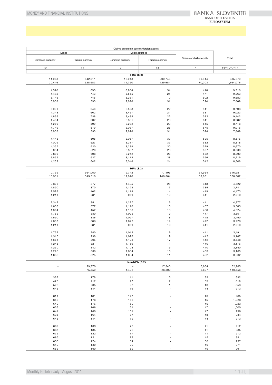| Claims on foreign sectors (foreign assets) |                  |                          |                           |                         |              |  |  |  |  |
|--------------------------------------------|------------------|--------------------------|---------------------------|-------------------------|--------------|--|--|--|--|
| Loans                                      |                  | Debt securities          |                           |                         |              |  |  |  |  |
| Domestic currency                          | Foreign currency | Domestic currency        | Foreign currency          | Shares and other equity | Total        |  |  |  |  |
| 10                                         | 11               | 12                       | 13                        | 14                      | $15=10+.+14$ |  |  |  |  |
|                                            |                  |                          |                           |                         |              |  |  |  |  |
|                                            |                  | Total (S.2)              |                           |                         |              |  |  |  |  |
| 11,963                                     | 542,811          | 12,943                   | 200,748                   | 66,814                  | 835,279      |  |  |  |  |
| 20,446                                     | 628,683          | 14,760                   | 429,984                   | 70,203                  | 1,164,076    |  |  |  |  |
|                                            |                  |                          |                           |                         |              |  |  |  |  |
| 4,570                                      | 693              | 3,984                    | 54                        | 416                     | 9,718        |  |  |  |  |
|                                            |                  |                          |                           |                         |              |  |  |  |  |
| 4,472                                      | 743              | 3,555                    | 21                        | 471                     | 9,263        |  |  |  |  |
| 5,145                                      | 746              | 3,281                    | 10                        | 502                     | 9,683        |  |  |  |  |
| 3,903                                      | 533              | 2,878                    | 31                        | 524                     | 7,869        |  |  |  |  |
|                                            |                  |                          |                           |                         |              |  |  |  |  |
| 5,001                                      | 646              | 3,583                    | 22                        | 541                     | 9,793        |  |  |  |  |
| 4,343                                      | 662              | 3,467                    | 21                        | 531                     | 9,023        |  |  |  |  |
| 4,666                                      | 738              | 3,483                    | 23                        | 532                     | 9,442        |  |  |  |  |
| 4,454                                      | 602              | 3,361                    | 23                        | 541                     | 8,982        |  |  |  |  |
| 4,269                                      | 599              | 3,282                    | 23                        | 545                     | 8,718        |  |  |  |  |
| 4,749                                      | 579              | 3,087                    | 26                        | 575                     | 9,016        |  |  |  |  |
| 3,903                                      | 533              | 2,878                    | 31                        | 524                     | 7,869        |  |  |  |  |
|                                            |                  |                          |                           |                         |              |  |  |  |  |
|                                            |                  |                          |                           |                         |              |  |  |  |  |
| 4,443                                      | 508              | 3,067                    | 33                        | 525                     | 8,576        |  |  |  |  |
| 4,009                                      | 527              | 3,217                    | 33                        | 532                     | 8,318        |  |  |  |  |
| 4,357                                      | 520              | 3,234                    | 30                        | 529                     | 8,670        |  |  |  |  |
| 3,934                                      | 529              | 3,352                    | 23                        | 527                     | 8,366        |  |  |  |  |
| 3,889                                      | 608              | 3,242                    | 28                        | 532                     | 8,299        |  |  |  |  |
| 3,895                                      | 627              | 3,113                    | 28                        | 556                     | 8,219        |  |  |  |  |
| 4,252                                      | 642              | 3,048                    | 24                        | 542                     | 8,508        |  |  |  |  |
|                                            |                  |                          |                           |                         |              |  |  |  |  |
|                                            |                  | MFIs(S.2)                |                           |                         |              |  |  |  |  |
| 10,739                                     | 364,050          | 12,742                   | 77,495                    | 51,954                  | 516,981      |  |  |  |  |
|                                            |                  |                          | 140,364                   |                         |              |  |  |  |  |
| 18,981                                     | 343,510          | 12,870                   |                           | 52,661                  | 568,387      |  |  |  |  |
|                                            |                  |                          |                           |                         |              |  |  |  |  |
| 2,376                                      | 377              | 1,425                    | 26                        | 318                     | 4,522        |  |  |  |  |
| 1,850                                      | 370              | 1,128                    | $\overline{7}$            | 385                     | 3,741        |  |  |  |  |
| 2,528                                      | 402              | 1,119                    | $\overline{4}$            | 419                     | 4,473        |  |  |  |  |
| 1,211                                      | 281              | 959                      | 19                        | 441                     | 2,910        |  |  |  |  |
|                                            |                  |                          |                           |                         |              |  |  |  |  |
| 2,342                                      | 351              | 1,227                    | 16                        | 441                     | 4,377        |  |  |  |  |
| 1,635                                      | 377              | 1,118                    | 16                        | 437                     | 3,583        |  |  |  |  |
| 1,964                                      | 452              | 1,153                    | 18                        | 438                     | 4,024        |  |  |  |  |
|                                            | 330              |                          | 19                        | 447                     |              |  |  |  |  |
| 1,762                                      |                  | 1,092                    |                           |                         | 3,651        |  |  |  |  |
| 1,550                                      | 336              | 1,097                    | 18                        | 448                     | 3,450        |  |  |  |  |
| 2,057                                      | 308              | 1,072                    | 19                        | 472                     | 3,928        |  |  |  |  |
| 1,211                                      | 281              | 959                      | 19                        | 441                     | 2,910        |  |  |  |  |
|                                            |                  |                          |                           |                         |              |  |  |  |  |
| 1,732                                      | 280              | 1,019                    | 19                        | 441                     | 3,491        |  |  |  |  |
| 1,315                                      | 298              | 1,093                    | 19                        | 442                     | 3,167        |  |  |  |  |
| 1,661                                      | 305              | 1,123                    | 17                        | 442                     | 3,548        |  |  |  |  |
| 1,245                                      | 321              | 1,159                    | 11                        | 440                     | 3,176        |  |  |  |  |
| 1,250                                      | 342              | 1,103                    | 15                        | 440                     | 3,150        |  |  |  |  |
| 1,293                                      | 330              | 1,084                    | 15                        | 463                     | 3,185        |  |  |  |  |
| 1,680                                      | 325              | 1,034                    | 11                        | 452                     | 3,502        |  |  |  |  |
|                                            |                  |                          |                           |                         |              |  |  |  |  |
|                                            |                  | Non-MFIs (S.2)           |                           |                         |              |  |  |  |  |
| ä,                                         | 29,770           | $\overline{\phantom{a}}$ | 17,340                    | 5,854                   | 52,965       |  |  |  |  |
|                                            |                  |                          |                           |                         |              |  |  |  |  |
|                                            | 75,559           | 1,492                    | 26,809                    | 6,697                   | 110,556      |  |  |  |  |
|                                            |                  |                          |                           |                         |              |  |  |  |  |
| 367                                        | 178              | 111                      | $\ensuremath{\mathsf{3}}$ | 33                      | 692          |  |  |  |  |
| 473                                        | 212              | 97                       | $\sqrt{2}$                | 35                      | 819          |  |  |  |  |
| 520                                        | 205              | 92                       | $\mathbf{1}$              | 40                      | 858          |  |  |  |  |
| 646                                        | 144              | 79                       |                           | 44                      | 913          |  |  |  |  |
|                                            |                  |                          |                           |                         |              |  |  |  |  |
| 611                                        | 181              | 147                      |                           | 46                      | 985          |  |  |  |  |
| 643                                        | 176              | 158                      |                           | 45                      | 1,023        |  |  |  |  |
| 642                                        | 176              | 160                      |                           | 46                      | 1,023        |  |  |  |  |
| 636                                        | 166              | 151                      |                           | 47                      | 1,000        |  |  |  |  |
| 641                                        | 160              | 151                      |                           | 47                      | 998          |  |  |  |  |
|                                            |                  |                          |                           |                         |              |  |  |  |  |
| 635                                        | 164              | 87                       |                           | 48                      | 934          |  |  |  |  |
| 646                                        | 144              | 79                       |                           | 44                      | 913          |  |  |  |  |
|                                            |                  |                          |                           |                         |              |  |  |  |  |
| 662                                        | 133              | 76                       |                           | 41                      | 912          |  |  |  |  |
| 687                                        | 135              | 72                       |                           | 41                      | 935          |  |  |  |  |
| 672                                        | 122              | 77                       |                           | 41                      | 913          |  |  |  |  |
| 685                                        | 121              | 79                       |                           | 45                      | 931          |  |  |  |  |
| 650                                        | 174              | 84                       |                           | 50                      | 957          |  |  |  |  |
| 642                                        | 189              | 90                       |                           | 49                      | 971          |  |  |  |  |
| 663                                        | 190              | 89                       |                           | 49                      | 991          |  |  |  |  |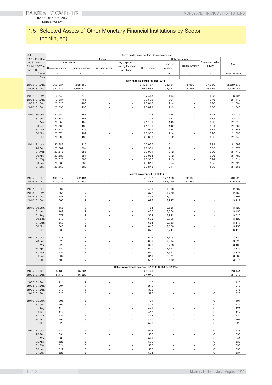# 1.5. Selected Assets of Other Monetary Financial Institutions by Sector (continued)

| Until                    |                   |                     |                          |                                                   | Claims on domestic sectors (domestic assets) |                |                  |                                    |                |
|--------------------------|-------------------|---------------------|--------------------------|---------------------------------------------------|----------------------------------------------|----------------|------------------|------------------------------------|----------------|
| 31.12.2006 in            |                   |                     | Loans                    |                                                   |                                              |                | Debt securities  |                                    |                |
| mio SIT from             |                   | By currency         |                          | By purpose                                        |                                              | Domestic       |                  | Shares and other                   | Total          |
| 01.01.2007 in<br>mio EUR | Domestic currency | Foreign currency    | Consumer credit          | Lending for house<br>purchase                     | Other lending                                | currency       | Foreign currency | equity                             |                |
| Column                   | $\mathbf{1}$      | $\sqrt{2}$          | $_{\rm 3}$               | $\sqrt{4}$                                        | $\,$ 5 $\,$                                  | 6              | $\overline{7}$   | 8                                  | $9=1+2+6+7+8$  |
| Code                     |                   |                     |                          |                                                   |                                              |                |                  |                                    |                |
|                          |                   |                     |                          |                                                   | Non-financial corporations (S.11)            |                |                  |                                    |                |
| 2005 31.Dec.             | 956,334           | 1,538,853           | ä,                       | ÷,                                                | 2,495,187                                    | 28,724         | 18,999           | 77,960                             | 2,620,870      |
| 2006 31.Dec.             | 927,775           | 2,155,914           | ä,                       | ÷.                                                | 3,083,689                                    | 28,541         | 14,897           | 108,919                            | 3,236,046      |
|                          |                   |                     |                          |                                                   |                                              |                |                  |                                    |                |
| 2007 31.Dec.             | 16,643            | 770                 | ٠                        | ۰                                                 | 17,413                                       | 194            | ٠                | 498                                | 18,105         |
| 2008 31.Dec.             | 19,834            | 765                 |                          |                                                   | 20,599                                       | 204            |                  | 346                                | 21,149         |
| 2009 31.Dec.             | 20,326            | 486                 |                          | ä,                                                | 20,812                                       | 214            | ä,               | 678                                | 21,704         |
| 2010 31.Dec.             | 20,398            | 430                 |                          | ä,                                                | 20,829                                       | 212            | ÷,               | 606                                | 21,646         |
| 2010 30.Jun.             | 20,780            | 463                 |                          | ä,                                                | 21,242                                       | 144            | ٠                | 628                                | 22,015         |
| 31.Jul.                  | 20,849            | 457                 |                          | Ĭ.                                                | 21,306                                       | 143            | ä,               | 574                                | 22,024         |
| 31.Aug.                  | 20,650            | 452                 |                          | ä,                                                | 21,101                                       | 143            |                  | 570                                | 21,815         |
| 30.Sep.                  | 20,700            | 439                 |                          |                                                   | 21,139                                       | 142            | ä,               | 581                                | 21,862         |
| 31.Oct.                  | 20,674            | 416                 |                          | ä,                                                | 21,091                                       | 144            |                  | 614                                | 21,848         |
| 30.Nov.                  | 20,571            | 409                 |                          | ä,                                                | 20,980                                       | 214            | ÷.               | 596                                | 21,790         |
| 31.Dec.                  | 20,398            | 430                 | ä,                       | ٠                                                 | 20,829                                       | 212            | ä,               | 606                                | 21,646         |
|                          |                   |                     |                          |                                                   |                                              |                |                  |                                    |                |
| 2011 31.Jan.             | 20,587            | 410                 |                          | ä,                                                | 20,997                                       | 211            |                  | 584                                | 21,793         |
| 28.Feb.                  | 20,587            | 394                 |                          | ٠                                                 | 20,981                                       | 211            | ä,               | 583                                | 21,775         |
| 31.Mar.                  | 20,546            | 386                 |                          |                                                   | 20,931                                       | 212            |                  | 629                                | 21,772         |
| 30.Apr.                  | 20,583            | 381                 |                          | í.                                                | 20,964                                       | 212            | ä,               | 606                                | 21,782         |
| 31.May.                  | 20,520            | 386                 |                          | ä,                                                | 20,906                                       | 215            | ÷                | 594                                | 21,714         |
| 30.Jun.                  | 20,535            | 382                 |                          | Ĭ.                                                | 20,916                                       | 214            | ä,               | 595                                | 21,725         |
| 31.Jul.                  | 20,453            | 389                 |                          | i,                                                | 20,843                                       | 214            | ä,               | 599                                | 21,656         |
|                          |                   |                     |                          |                                                   | Central government (S.1311)                  |                |                  |                                    |                |
| 2005 31.Dec.             | 108,217           | 32,491              | ÷                        | ä,                                                | 140,707                                      | 577,133        | 62,682           | ä,                                 | 780,523        |
| 2006 31.Dec.             | 110,035           | 21,849              | ä,                       | ×.                                                | 131,884                                      | 582,490        | 62,265           | ä,                                 | 776,638        |
|                          |                   |                     |                          |                                                   |                                              |                |                  |                                    |                |
| 2007 31.Dec.             | 394               | $\,6\,$             | ä,                       | Ĭ.                                                | 401                                          | 1,966          |                  | ä,                                 | 2,367          |
| 2008 31.Dec.             | 366               | $\boldsymbol{7}$    |                          |                                                   | 373                                          | 1,789          |                  |                                    | 2,162          |
| 2009 31.Dec.             | 488               | $\,6\,$             |                          |                                                   | 495                                          | 3,003          |                  |                                    | 3,497          |
| 2010 31.Dec.             | 665               | $\boldsymbol{7}$    |                          | ä,                                                | 672                                          | 2,747          |                  |                                    | 3,419          |
|                          |                   |                     |                          |                                                   |                                              |                |                  |                                    |                |
| 2010 30.Jun.             | 456               | 8<br>$\overline{7}$ |                          | ä,                                                | 464                                          | 2,656          |                  |                                    | 3,120          |
| 31.Jul.<br>31.Aug.       | 449<br>577        | $\overline{7}$      |                          |                                                   | 456<br>584                                   | 2,674<br>2,742 |                  |                                    | 3,130          |
| 30.Sep.                  | 619               | $\boldsymbol{7}$    |                          |                                                   | 626                                          | 2,796          |                  |                                    | 3,326<br>3,422 |
| 31.Oct.                  | 657               | $\overline{7}$      |                          |                                                   | 664                                          | 2,783          |                  |                                    | 3,447          |
| 30.Nov.                  | 640               | $\boldsymbol{7}$    |                          | ä,                                                | 647                                          | 2,806          |                  | ٠                                  | 3,453          |
| 31.Dec.                  | 665               | $\overline{7}$      |                          |                                                   | 672                                          | 2,747          |                  |                                    | 3,419          |
|                          |                   |                     |                          |                                                   |                                              |                |                  |                                    |                |
| 2011 31.Jan.             | 618               | $\overline{7}$      |                          |                                                   | 625                                          | 2,708          |                  |                                    | 3,332          |
| 28.Feb.                  | 625               | $\overline{7}$      |                          |                                                   | 632                                          | 2,694          |                  |                                    | 3,326          |
| 31.Mar.                  | 620               | $\boldsymbol{7}$    |                          |                                                   | 626                                          | 2,783          |                  |                                    | 3,409          |
| 30.Apr.                  | 620               | 6                   |                          |                                                   | 627                                          | 2,693          |                  |                                    | 3,319          |
| 31.May.                  | 623               | $\overline{7}$      |                          |                                                   | 630                                          | 2,697          |                  |                                    | 3,327          |
| 30.Jun.                  | 604               | 6                   |                          |                                                   | 611                                          | 2,671          |                  |                                    | 3,282          |
| 31.Jul.                  | 600               | $\overline{7}$      | ۰                        |                                                   | 607                                          | 2,669          |                  |                                    | 3,276          |
|                          |                   |                     |                          | Other government sectors (S.1312, S.1313, S.1314) |                                              |                |                  |                                    |                |
| 2005 31.Dec.             | 8,139             | 15,001              | $\overline{\phantom{a}}$ | Ĭ.                                                | 23,141                                       | ÷,             | ÷                | ä,                                 | 23,141         |
| 2006 31.Dec.             | 8,412             | 16,529              | ä,                       | ä,                                                | 24,940                                       | ä,             |                  |                                    | 24,940         |
|                          |                   |                     |                          |                                                   |                                              |                |                  |                                    |                |
| 2007 31.Dec.             | 111               | $\boldsymbol{7}$    |                          |                                                   | 118                                          |                |                  | Ĭ.                                 | 118            |
| 2008 31.Dec.             | 204               | $\boldsymbol{7}$    |                          | ٠                                                 | 212                                          |                |                  | ٠                                  | 212            |
| 2009 31.Dec.             | 370               | 6                   |                          |                                                   | 376                                          |                |                  |                                    | 376            |
| 2010 31.Dec.             | 520               | 6                   |                          | ٠                                                 | 526                                          |                |                  | $\mathsf O$                        | 526            |
|                          |                   |                     |                          |                                                   |                                              |                |                  |                                    |                |
| 2010 30.Jun.             | 395               | $\,6\,$             |                          |                                                   | 401                                          |                |                  | $\mathsf{O}\xspace$                | 401            |
| 31.Jul.                  | 409               | 6                   |                          |                                                   | 415                                          |                |                  | $\mathsf O$                        | 415            |
| 31.Aug.                  | 415<br>412        | 6<br>6              |                          | ä,                                                | 421<br>417                                   |                |                  | $\mathsf O$<br>$\mathsf{O}\xspace$ | 421<br>417     |
| 30.Sep.<br>31.Oct.       | 429               | 6                   |                          |                                                   | 434                                          |                |                  | $\mathsf O$                        | 434            |
| 30.Nov.                  | 491               | 6                   |                          |                                                   | 497                                          |                |                  | $\mathsf{O}\xspace$                | 497            |
| 31.Dec.                  | 520               | 6                   |                          |                                                   | 526                                          |                |                  | $\mathsf{O}\xspace$                | 526            |
|                          |                   |                     |                          |                                                   |                                              |                |                  |                                    |                |
| 2011 31.Jan.             | 532               | 6                   |                          |                                                   | 538                                          |                |                  | $\mathsf{O}\xspace$                | 538            |
| 28.Feb.                  | 531               | 6                   |                          |                                                   | 536                                          |                |                  | $\mathsf O$                        | 536            |
| 31.Mar.                  | 535               | 6                   |                          |                                                   | 541                                          |                |                  | $\mathsf{O}\xspace$                | 541            |
| 30.Apr.                  | 526               | 6                   |                          |                                                   | 532                                          |                |                  | $\mathsf{O}\xspace$                | 532            |
| 31.May.                  | 524               | 6                   |                          |                                                   | 530                                          |                |                  | $\mathsf{O}\xspace$                | 530            |
| 30.Jun.                  | 527               | 6                   |                          |                                                   | 533                                          |                |                  | $\mathsf{O}\xspace$                | 533            |
| 31.Jul.                  | 528               | 6                   |                          |                                                   | 534                                          |                |                  | $\mathsf{O}\xspace$                | 534            |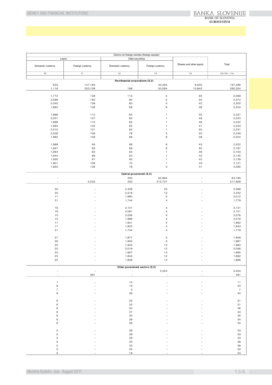|                   |                  | Claims on foreign sectors (foreign assets) |                         |                          |                |
|-------------------|------------------|--------------------------------------------|-------------------------|--------------------------|----------------|
|                   | Loans            | Debt securities                            |                         |                          |                |
| Domestic currency | Foreign currency | Domestic currency                          | Foreign currency        | Shares and other equity  | Total          |
| $10$              | $11$             | 12                                         | 13                      | $14$                     | $15=10+.+14$   |
|                   |                  |                                            |                         |                          |                |
|                   |                  | Non-financial corporations (S.2)           |                         |                          |                |
| 633               | 147,193          | $\blacksquare$                             | 40,464                  | 9,005                    | 197,296        |
| 1,119             | 203,109          | 198                                        | 50,084                  | 10,845                   | 265,354        |
|                   |                  |                                            |                         |                          |                |
| 1,772             | 138              | 110                                        | $\overline{4}$          | 65                       | 2,089          |
| 2,068             | 160              | 95                                         | $\mathsf{O}$            | 50                       | 2,374          |
| 2,045             | 138              | 80                                         | $\mathsf{O}\xspace$     | 42                       | 2,305          |
| 1,982             | 106              | 68                                         | $\boldsymbol{9}$        | 38                       | 2,204          |
|                   |                  |                                            |                         |                          |                |
| 1,986             | 112              | 84                                         | 1                       | 55                       | 2,237          |
| 2,001             | 107              | 85                                         | 1                       | 48                       | 2,243          |
| 1,998             | 110              | 85                                         | 1                       | 48                       | 2,242          |
| 1,994             | 105              | 85                                         | $\mathbf{1}$            | 47                       | 2,233          |
| 2,015             | 101              | 64                                         | $\mathbf{1}$            | 50                       | 2,231          |
| 2,008             | 106              | 78                                         | 3                       | 55                       | 2,249          |
| 1,982             | 106              | 68                                         | $\mathsf g$             | 38                       | 2,204          |
|                   |                  |                                            |                         |                          |                |
| 1,989             | 94               | 68                                         | $\bf8$                  | 43                       | 2,202          |
| 1,947             | 93               | 69                                         | 8                       | 50                       | 2,167          |
| 1,964             | 92               | 62                                         | $\mathbf{1}$            | 46                       | 2,163          |
| 1,944             | 86               | 63                                         | $\mathbf{1}$            | 42                       | 2,135          |
| 1,930             | 91               | 65                                         | $\mathbf{1}$            | 42                       | 2,129          |
| 1,901             | 106              | 70                                         | $\mathbf{1}$            | 43                       | 2,121          |
| 1,850             | 126              | 78                                         | $\mathsf{O}$            | 41                       |                |
|                   |                  |                                            |                         |                          | 2,095          |
|                   |                  | Central government (S.2)                   |                         |                          |                |
|                   | ä,               | 200                                        | 62,994                  | $\overline{\phantom{a}}$ | 63,195         |
| ÷,                | 5,032            | 200                                        | 212,727                 | ÷,                       | 217,959        |
|                   |                  |                                            |                         |                          |                |
| 20                | ÷.               | 2,328                                      | 20                      | ä,                       | 2,368          |
| 20                |                  | 2,219                                      | 12                      |                          | 2,252          |
| 17                |                  | 1,990                                      | $\,$ 5 $\,$             |                          | 2,012          |
| 31                |                  |                                            | $\overline{\mathbf{4}}$ |                          | 1,779          |
|                   |                  | 1,744                                      |                         |                          |                |
|                   |                  |                                            |                         |                          |                |
| 16                |                  | 2,101                                      | $\overline{4}$          |                          | 2,121          |
| 16                |                  | 2,081                                      | $\overline{4}$          |                          | 2,101          |
| 15                |                  | 2,056                                      | $\sqrt{4}$              |                          | 2,076          |
| 15                |                  | 1,996                                      | $\overline{4}$          |                          | 2,016          |
| 17                |                  | 1,941                                      | $\overline{\mathbf{4}}$ |                          | 1,962          |
| 17                |                  | 1,822                                      | $\overline{\mathbf{4}}$ |                          | 1,843          |
| 31                |                  | 1,744                                      | $\sqrt{4}$              | ٠                        | 1,779          |
|                   |                  |                                            |                         |                          |                |
| 27                |                  | 1,877                                      | $\,$ 5 $\,$             |                          | 1,909          |
| 26                |                  | 1,955                                      | $\,$ 5 $\,$             |                          | 1,987          |
| 25                |                  | 1,945                                      | 13                      |                          | 1,983          |
| 25                |                  | 2,019                                      | 12                      |                          | 2,056          |
| 25                |                  | 1,957                                      | 13                      |                          | 1,995          |
| 25                | ٠                | 1,844                                      | 12                      | ٠                        | 1,882          |
| 25                |                  | 1,829                                      | 13                      |                          | 1,866          |
|                   |                  |                                            |                         |                          |                |
|                   |                  | Other government sectors (S.2)             |                         |                          |                |
|                   | ä,               | Î,                                         | 2,454                   |                          | 2,454          |
|                   | 391              |                                            |                         |                          | 391            |
|                   |                  |                                            |                         |                          |                |
| $\mathbf{1}$      |                  | $10$                                       |                         |                          | 11             |
| $\,$ 8 $\,$       |                  | 15                                         |                         |                          | 23             |
| $\boldsymbol{7}$  |                  | $\mathsf{O}$                               |                         |                          | $\overline{7}$ |
| 6                 |                  | 28                                         |                         |                          | 34             |
|                   |                  |                                            |                         |                          |                |
| 6                 |                  | 25                                         |                         |                          | 31             |
| 6                 |                  | 25                                         |                         |                          | 31             |
| 6                 |                  | 30                                         |                         |                          | 36             |
| 6                 |                  | 37                                         |                         |                          | 43             |
| 6                 |                  | 30                                         |                         |                          | 35             |
| 6                 |                  | 28                                         |                         |                          | 34             |
| 6                 |                  | 28                                         |                         |                          | 34             |
|                   |                  |                                            |                         |                          |                |
| 5                 |                  | 28                                         |                         |                          | 33             |
| $\,$ 5 $\,$       |                  | 28                                         |                         |                          | 33             |
| 5                 |                  | 28                                         |                         |                          | 33             |
| $\,$ 5 $\,$       |                  | 33                                         |                         |                          | 38             |
| $\,$ 5 $\,$       |                  | 33                                         |                         |                          | 38             |
| $\,$ 5 $\,$       |                  | 25                                         |                         |                          | 30             |
| $\,$ 5 $\,$       |                  | 19                                         |                         |                          | 24             |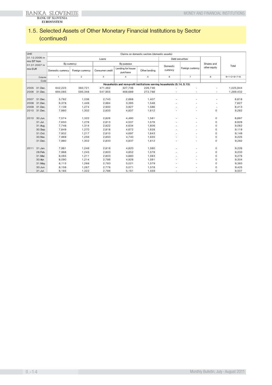# 1.5. Selected Assets of Other Monetary Financial Institutions by Sector (continued)

| Until        |               |                   |                  |                 |                                                                        | Claims on domestic sectors (domestic assets) |                 |                  |              |               |  |
|--------------|---------------|-------------------|------------------|-----------------|------------------------------------------------------------------------|----------------------------------------------|-----------------|------------------|--------------|---------------|--|
|              | 31.12.2006 in |                   |                  | Loans           |                                                                        |                                              | Debt securities |                  |              |               |  |
| mio SIT from | 01.01.2007 in |                   | By currency      |                 | By purpose                                                             |                                              | Domestic        |                  | Shares and   | Total         |  |
| mio EUR      |               | Domestic currency | Foreign currency | Consumer credit | Lending for house<br>purchase                                          | Other lending                                | currency        | Foreign currency | other equity |               |  |
|              | Column        | $\mathbf{1}$      | $\overline{c}$   | 3               | $\overline{4}$                                                         | 5                                            | 6               | $\overline{7}$   | 8            | $9=1+2+6+7+8$ |  |
|              | Code          |                   |                  |                 |                                                                        |                                              |                 |                  |              |               |  |
|              |               |                   |                  |                 | Households and non-profit institutions serving households (S.14, S.15) |                                              |                 |                  |              |               |  |
|              | 2005 31.Dec.  | 642,223           | 383,721          | 471,462         | 327,736                                                                | 226,746                                      |                 |                  |              | 1,025,944     |  |
|              | 2006 31.Dec.  | 694,085           | 595,348          | 547,955         | 468,689                                                                | 272,788                                      |                 | ä.               |              | 1,289,432     |  |
|              |               |                   |                  |                 |                                                                        |                                              |                 |                  |              |               |  |
|              | 2007 31.Dec.  | 5,782             | 1,036            | 2,743           | 2,668                                                                  | 1,407                                        |                 |                  |              | 6,818         |  |
|              | 2008 31.Dec.  | 6,378             | 1,449            | 2,884           | 3,395                                                                  | 1,548                                        |                 |                  |              | 7,827         |  |
| 2009         | 31.Dec.       | 7,139             | 1,274            | 2,900           | 3,927                                                                  | 1.586                                        |                 |                  |              | 8,413         |  |
|              | 2010 31.Dec.  | 7,980             | 1,302            | 2,833           | 4.837                                                                  | 1,612                                        |                 |                  | $\mathbf 0$  | 9,282         |  |
|              |               |                   |                  |                 |                                                                        |                                              |                 |                  |              |               |  |
|              | 2010 30.Jun.  | 7,574             | 1,322            | 2,826           | 4,490                                                                  | 1,581                                        |                 |                  | $\mathbf 0$  | 8,897         |  |
|              | 31.Jul.       | 7,650             | 1,278            | 2,813           | 4,537                                                                  | 1,578                                        |                 |                  | $\mathbf 0$  | 8,928         |  |
|              | 31.Aug.       | 7.748             | 1,314            | 2,822           | 4,634                                                                  | 1,606                                        |                 |                  | $\mathbf 0$  | 9,062         |  |
|              | 30.Sep.       | 7,849             | 1,270            | 2,818           | 4,672                                                                  | 1,628                                        |                 |                  | $\Omega$     | 9,119         |  |
|              | 31.Oct.       | 7,932             | 1,217            | 2,810           | 4,697                                                                  | 1,643                                        |                 |                  | $\mathbf 0$  | 9,149         |  |
|              | 30.Nov.       | 7,969             | 1,256            | 2,850           | 4,740                                                                  | 1,635                                        |                 |                  | $\mathbf 0$  | 9,225         |  |
|              | 31.Dec.       | 7,980             | 1,302            | 2,833           | 4,837                                                                  | 1,612                                        |                 |                  | $\Omega$     | 9,282         |  |
|              |               |                   |                  |                 |                                                                        |                                              |                 |                  |              |               |  |
| 2011         | 31.Jan.       | 7,981             | 1,246            | 2,816           | 4,820                                                                  | 1,590                                        |                 |                  | $\mathbf 0$  | 9,226         |  |
|              | 28.Feb.       | 7.988             | 1,245            | 2,803           | 4,852                                                                  | 1,578                                        |                 |                  | $\mathbf 0$  | 9,233         |  |
|              | 31.Mar.       | 8,065             | 1,211            | 2,803           | 4,880                                                                  | 1,593                                        |                 |                  | $\mathbf 0$  | 9,276         |  |
|              | 30.Apr.       | 8,090             | 1,214            | 2,786           | 4,926                                                                  | 1,591                                        |                 |                  | $\mathbf 0$  | 9,304         |  |
|              | 31.May.       | 8,115             | 1,268            | 2,783           | 5,021                                                                  | 1,579                                        |                 |                  | $\mathbf 0$  | 9,383         |  |
|              | 30.Jun.       | 8,158             | 1,267            | 2,776           | 5,071                                                                  | 1,578                                        |                 |                  | 0            | 9,425         |  |
|              | 31.Jul.       | 8,185             | 1,322            | 2,786           | 5,161                                                                  | 1,559                                        |                 |                  | $\mathbf 0$  | 9,507         |  |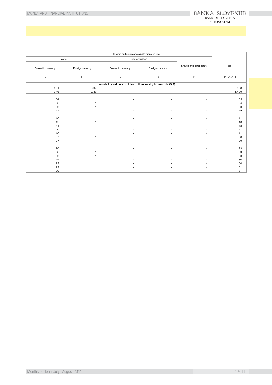|                   | Claims on foreign sectors (foreign assets) |                                                                 |                  |                         |              |  |  |  |  |  |  |  |  |
|-------------------|--------------------------------------------|-----------------------------------------------------------------|------------------|-------------------------|--------------|--|--|--|--|--|--|--|--|
| Loans             |                                            |                                                                 | Debt securities  |                         |              |  |  |  |  |  |  |  |  |
| Domestic currency | Foreign currency                           | Domestic currency                                               | Foreign currency | Shares and other equity | Total        |  |  |  |  |  |  |  |  |
| 10                | 11                                         | 12                                                              | 13               | 14                      | $15=10+.+14$ |  |  |  |  |  |  |  |  |
|                   |                                            |                                                                 |                  |                         |              |  |  |  |  |  |  |  |  |
|                   |                                            | Households and non-profit institutions serving households (S.2) |                  |                         |              |  |  |  |  |  |  |  |  |
| 591               | 1,797                                      |                                                                 |                  |                         | 2,388        |  |  |  |  |  |  |  |  |
| 346               | 1,083                                      |                                                                 | ٠                |                         | 1,429        |  |  |  |  |  |  |  |  |
| 34                |                                            |                                                                 |                  |                         | 35           |  |  |  |  |  |  |  |  |
| 53                |                                            |                                                                 |                  |                         | 54           |  |  |  |  |  |  |  |  |
| 29                |                                            |                                                                 |                  |                         | 30           |  |  |  |  |  |  |  |  |
| 27                |                                            |                                                                 |                  |                         | 29           |  |  |  |  |  |  |  |  |
|                   |                                            |                                                                 |                  |                         |              |  |  |  |  |  |  |  |  |
| 40                |                                            |                                                                 |                  |                         | 41           |  |  |  |  |  |  |  |  |
| 42                |                                            |                                                                 |                  |                         | 43           |  |  |  |  |  |  |  |  |
| 41                |                                            |                                                                 |                  |                         | 42           |  |  |  |  |  |  |  |  |
| 40                |                                            |                                                                 |                  |                         | 41           |  |  |  |  |  |  |  |  |
| 40                |                                            |                                                                 |                  |                         | 41           |  |  |  |  |  |  |  |  |
| 27                |                                            |                                                                 |                  |                         | 28           |  |  |  |  |  |  |  |  |
| 27                |                                            |                                                                 |                  |                         | 29           |  |  |  |  |  |  |  |  |
|                   |                                            |                                                                 |                  |                         |              |  |  |  |  |  |  |  |  |
| 28                |                                            |                                                                 |                  |                         | 29           |  |  |  |  |  |  |  |  |
| 28                |                                            |                                                                 |                  |                         | 29           |  |  |  |  |  |  |  |  |
| 29                |                                            |                                                                 |                  |                         | 30           |  |  |  |  |  |  |  |  |
| 29                |                                            |                                                                 |                  |                         | 30           |  |  |  |  |  |  |  |  |
| 29                |                                            |                                                                 |                  |                         | 30           |  |  |  |  |  |  |  |  |
| 29                |                                            |                                                                 |                  |                         | 31           |  |  |  |  |  |  |  |  |
| 29                |                                            |                                                                 |                  |                         | 31           |  |  |  |  |  |  |  |  |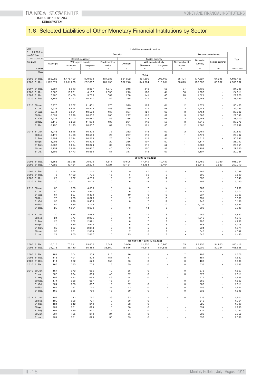**EUROSYSTEM**

### 1.6. Selected Liabilities of Other Monetary Financial Institutions by Sector

| Until                         |                  |                         |                      |                                            |                     | Liabilities to domestic sectors    |                          |                            |                  |                                |                    |
|-------------------------------|------------------|-------------------------|----------------------|--------------------------------------------|---------------------|------------------------------------|--------------------------|----------------------------|------------------|--------------------------------|--------------------|
| 31.12.2006 in                 |                  |                         |                      | Deposits                                   |                     |                                    |                          |                            |                  | Debt securities issued         |                    |
| mio SIT from<br>01.01.2007 in |                  |                         | Domestic currency    |                                            |                     | Foreign currency                   |                          |                            |                  |                                |                    |
| mio EUR                       |                  |                         | With agreed maturity | Reedemable at                              |                     | With agreed maturity               |                          | Reedemable at              | Domestic         | Foreign currency               | Total              |
|                               | Overnight        | Short-term              | Long-term            | notice                                     | Ovemight            | Short-term                         | Long-term                | notice                     | currency         |                                |                    |
| Column                        | $\mathbf{1}$     | $\overline{\mathbf{c}}$ | 3                    | $\overline{4}$                             | $\mathbf 5$         | 6                                  | $\overline{7}$           | 8                          | 9                | 10                             | $11=3++10$         |
| Code                          |                  |                         |                      |                                            |                     | Total                              |                          |                            |                  |                                |                    |
| 2005 31.Dec.                  | 986,985          | 1,175,499               | 309,939              | 137,836                                    | 534,802             | 481,200                            | 295,169                  | 35,404                     | 177,327          | 61,245                         | 4,195,405          |
| 2006 31.Dec.                  | 1,178,571        | 1,251,225               | 292,397              | 181,198                                    | 552,743             | 545,504                            | 318,261                  | 38,019                     | 193,038          | 58,982                         | 4,609,937          |
|                               |                  |                         |                      |                                            |                     |                                    |                          |                            |                  |                                |                    |
| 2007 31.Dec.<br>2008 31.Dec   | 6,887<br>6,605   | 8,913<br>10,971         | 2,857<br>4,157       | 1,372<br>1,396                             | 218<br>215          | 248<br>198                         | 56<br>41                 | 37<br>36                   | 1,139<br>1,293   | $\sim$                         | 21,726<br>24,911   |
| 2009 31.Dec.                  | 7,200            | 10,408                  | 9,788                | 569                                        | 238                 | 141                                | 45                       | 10                         | 1,521            |                                | 29,920             |
| 2010 31.Dec.                  | 8,155            | 8,193                   | 10,337               | 82                                         | 285                 | 121                                | 55                       | $\overline{\mathbf{c}}$    | 1,768            | $\overline{a}$                 | 28,999             |
|                               |                  |                         |                      |                                            |                     |                                    |                          |                            |                  |                                |                    |
| 2010 30.Jun.                  | 7,976            | 8,377                   | 11,401               | 175                                        | 513                 | 129                                | 61                       | $\sqrt{2}$                 | 1,771            | $\ddot{\phantom{a}}$           | 30,405             |
| 31.Jul.<br>31.Aug.            | 7,936<br>8,041   | 8,574<br>8,621          | 10,413<br>10,529     | 156<br>167                                 | 280<br>307          | 122<br>121                         | 58<br>60                 | $\mathbf 2$<br>3           | 1,743<br>1,754   |                                | 29,284<br>29,602   |
| 30.Sep.                       | 8,031            | 8,096                   | 10,532               | 160                                        | 277                 | 125                                | 57                       | 3                          | 1,763            |                                | 29,046             |
| 31.Oct.                       | 7,926            | 8,100                   | 10,587               | 83                                         | 286                 | 113                                | 55                       | $\overline{\mathbf{c}}$    | 1,758            |                                | 28,910             |
| 30.Nov.                       | 8,119            | 8,256                   | 11,003               | 108                                        | 291                 | 118                                | 59                       | $\ensuremath{\mathsf{3}}$  | 1,816            |                                | 29,772             |
| 31.Dec.                       | 8,155            | 8,193                   | 10,337               | 82                                         | 285                 | 121                                | 55                       | $\mathbf 2$                | 1,768            | ٠                              | 28,999             |
|                               |                  |                         |                      |                                            |                     |                                    |                          |                            |                  |                                |                    |
| 2011 31.Jan.<br>28.Feb.       | 8,245<br>8,179   | 8,816<br>8,483          | 10,496<br>10,550     | 73<br>23                                   | 282<br>287          | 115<br>116                         | 53<br>49                 | $\sqrt{2}$<br>$\mathbf{1}$ | 1,761<br>1,779   |                                | 29,843<br>29,467   |
| 31.Mar.                       | 8,799            | 8,724                   | 10,583               | 23                                         | 284                 | 113                                | 51                       | $\overline{1}$             | 1,717            |                                | 30,296             |
| 30.Apr.                       | 8,206            | 8,477                   | 10,375               | 22                                         | 286                 | 107                                | 50                       | -1                         | 1,417            |                                | 28,942             |
| 31.May.                       | 8,237            | 8,614                   | 10,324               | 30                                         | 295                 | 111                                | 52                       | $\overline{1}$             | 1,389            |                                | 29,051             |
| 30.Jun.                       | 8,259            | 8,618                   | 10,467               | 40                                         | 304                 | 107                                | 52                       | $\overline{1}$             | 1,402            |                                | 29,250             |
| 31.Jul.                       | 8,303            | 8,473                   | 10,564               | 51                                         | 317                 | 113                                | 57                       | $\mathbf{1}$               | 1,407            |                                | 29,286             |
|                               |                  |                         |                      |                                            |                     | MFIs (S.121, S.122)                |                          |                            |                  |                                |                    |
| 2005 31.Dec.                  | 6,658            | 26,368                  | 20,605               | 1,641                                      | 10,605              | 17,442                             | 49,437                   | $\overline{a}$             | 62,759           | 3,239                          | 198,754            |
| 2006 31.Dec.                  | 17,386           | 49,451                  | 22,204               | 1,721                                      | 13,434              | 18,484                             | 48,464                   | ÷,                         | 85,143           | 3,623                          | 259,910            |
|                               |                  |                         |                      |                                            |                     |                                    |                          |                            |                  |                                |                    |
| 2007 31.Dec.                  | 5                | 458                     | 1,110                | $\mathbf 9$                                | 9                   | 47                                 | 15                       |                            | 387              |                                | 2,039              |
| 2008 31.Dec.                  | 8                | 1,492                   | 1,705                | 16                                         | 5                   | 35                                 | 9                        |                            | 590              |                                | 3,860              |
| 2009 31.Dec.<br>2010 31.Dec.  | 22<br>20         | 777<br>1,001            | 4,280<br>3,002       | 9<br>$\circ$                               | $\overline{7}$<br>6 | 3<br>14                            | 12<br>6                  | ÷,                         | 838<br>993       |                                | 5,948<br>5,040     |
|                               |                  |                         |                      |                                            |                     |                                    |                          |                            |                  |                                |                    |
| 2010 30.Jun.                  | 30               | 735                     | 4,505                | 0                                          | 6                   | $\boldsymbol{7}$                   | 14                       |                            | 969              |                                | 6,265              |
| 31.Jul.                       | 40               | 824                     | 3,441                | $\mathsf{O}\xspace$                        | 6                   | $\overline{7}$                     | 13                       | ä,                         | 941              |                                | 5,271              |
| 31.Aug.                       | 67               | 897                     | 3,434                | O                                          | 10                  | 6                                  | 13                       |                            | 937              |                                | 5,363              |
| 30.Sep                        | 75               | 655                     | 3,370                | $\mathsf{O}\xspace$                        | $\overline{7}$      | 15                                 | 13                       | ä,                         | 951              |                                | 5,085              |
| 31.Oct.                       | 33               | 696                     | 3,435                | $\mathsf{O}\xspace$<br>$\mathsf{O}\xspace$ | 6                   | $\overline{7}$<br>$\overline{7}$   | 12<br>12                 | ٠                          | 948              |                                | 5,138              |
| 30.Nov.<br>31.Dec.            | 52<br>20         | 689<br>1,001            | 3,795<br>3,002       | $\mathsf{O}\xspace$                        | 7<br>6              | 14                                 | 6                        |                            | 1,022<br>993     |                                | 5,584<br>5,040     |
|                               |                  |                         |                      |                                            |                     |                                    |                          |                            |                  |                                |                    |
| 2011 31.Jan.                  | 30               | 835                     | 2,985                | $\mathsf{O}\xspace$                        | 6                   | 11                                 | 6                        |                            | 989              |                                | 4,862              |
| 28.Feb.                       | 24               | 777                     | 2,985                | 0                                          | 6                   | $\overline{7}$                     | 6                        |                            | 1,010            |                                | 4,817              |
| 31.Mar.                       | 28               | 772                     | 2,971                | $\mathsf{O}\xspace$                        | 6                   | $\overline{7}$                     | 6                        |                            | 966              |                                | 4,756              |
| 30.Apr.                       | 19               | 689                     | 2,935                | $\mathsf{O}\xspace$<br>$\mathsf{O}\xspace$ | 6<br>6              | 6<br>$\mathbf 5$                   | 5<br>6                   | ä,                         | 655<br>634       |                                | 4,315              |
| 31.May.<br>30.Jun.            | 38<br>38         | 837<br>761              | 2,848<br>2,885       | $\mathsf{O}\xspace$                        | $\overline{7}$      | 5                                  | 6                        |                            | 645              |                                | 4,374<br>4,347     |
| 31.Jul.                       | 24               | 850                     | 2,887                | $\mathsf{O}\xspace$                        | 13                  | 5                                  | 6                        |                            | 645              |                                | 4,430              |
|                               |                  |                         |                      |                                            |                     |                                    |                          |                            |                  |                                |                    |
|                               |                  |                         |                      |                                            |                     | Non-MFIs (S.123, S.124, S.125)     |                          |                            |                  |                                |                    |
| 2005 31.Dec.<br>2006 31.Dec.  | 10,513<br>21,978 | 73,011<br>86,140        | 75,832<br>55,483     | 18,349<br>36,869                           | 5,086<br>18,536     | 11,650<br>10,513                   | 110,765<br>134,836       | 35<br>138                  | 63,255<br>71,909 | 34,923<br>32,264               | 403,418<br>468,666 |
|                               |                  |                         |                      |                                            |                     |                                    |                          |                            |                  |                                |                    |
| 2007 31.Dec.                  | 181              | 504                     | 259                  | 213                                        | 16                  | 3                                  |                          | $\overline{7}$             | 493              |                                | 1,676              |
| 2008 31.Dec.                  | 118              | 491                     | 303                  | 151                                        | 17                  | 1                                  | $\mathsf{O}\xspace$      | $\circ$                    | 481              |                                | 1,562              |
| 2009 31.Dec.                  | 111              | 322                     | 578                  | 150                                        | 36                  | $\mathsf{O}\xspace$                | $\overline{\phantom{a}}$ | $\mathsf{O}\xspace$        | 489              | ÷,<br>$\overline{\phantom{a}}$ | 1,686              |
| 2010 31.Dec.                  | 163              | 335                     | 756                  | 18                                         | 39                  | $\mathsf{O}$                       |                          | $\mathsf{O}\xspace$        | 538              |                                | 1,848              |
| 2010 30.Jun.                  | 157              | 372                     | 655                  | 42                                         | 55                  | $\mathsf{O}\xspace$                |                          | 0                          | 576              |                                | 1,857              |
| 31.Jul.                       | 205              | 394                     | 669                  | 46                                         | 27                  | $\mathsf O$                        |                          | $\mathsf{O}\xspace$        | 570              | ÷,                             | 1,911              |
| 31.Aug.                       | 192              | 422                     | 685                  | 46                                         | 44                  | 0                                  |                          | $\mathbf{1}$               | 577              | $\ddot{\phantom{a}}$           | 1,968              |
| 30.Sep.                       | 174              | 356                     | 687                  | 46                                         | 31                  | $\ddot{\phantom{1}}$               |                          | 0                          | 569              | $\overline{\phantom{a}}$       | 1,862              |
| 31.Oct.                       | 204              | 388                     | 697                  | 19                                         | 37                  | $\mathsf{O}\xspace$                |                          | $\mathsf{O}\xspace$        | 566              | ä,                             | 1,911              |
| 30.Nov.                       | 187              | 397                     | 720                  | 21                                         | 43                  | $\mathsf{O}\xspace$<br>$\mathsf O$ |                          | 0<br>$\mathsf{O}\xspace$   | 556              | $\overline{\phantom{a}}$       | 1,924              |
| 31.Dec.                       | 163              | 335                     | 756                  | 18                                         | 39                  |                                    |                          |                            | 538              | $\overline{\phantom{a}}$       | 1,848              |
| 2011 31.Jan.                  | 199              | 343                     | 767                  | 23                                         | 33                  | ÷,                                 |                          | $\mathsf{O}\xspace$        | 536              | ÷,                             | 1,901              |
| 28.Feb.                       | 199              | 396                     | 771                  | $\mathbf 9$                                | 36                  | $\mathsf{O}\xspace$                |                          | ÷,                         | 542              |                                | 1,954              |
| 31.Mar.                       | 181              | 342                     | 814                  | 9                                          | 28                  | $\mathsf{O}\xspace$                |                          | $\frac{1}{2}$              | 525              | ä,                             | 1,900              |
| 30.Apr.                       | 201              | 351                     | 824                  | 10                                         | 30                  | $\mathsf{O}\xspace$                |                          | ÷,                         | 534              | $\blacksquare$                 | 1,950              |
| 31.May.                       | 191              | 459                     | 837                  | 14                                         | 33                  | $\mathsf{O}\xspace$                |                          | ÷,                         | 532              | ÷,                             | 2,067              |
| 30.Jun.<br>31.Jul.            | 207<br>204       | 405<br>381              | 849<br>879           | 24<br>35                                   | 35<br>33            | 0<br>$\mathsf O$                   |                          | ÷,                         | 532<br>537       |                                | 2,052<br>2,068     |
|                               |                  |                         |                      |                                            |                     |                                    |                          |                            |                  |                                |                    |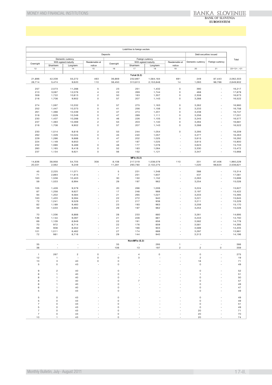| Liabilities to foreign sectors     |                     |                      |                                        |                                    |                      |                |                                |                          |                                |                   |
|------------------------------------|---------------------|----------------------|----------------------------------------|------------------------------------|----------------------|----------------|--------------------------------|--------------------------|--------------------------------|-------------------|
|                                    |                     |                      |                                        | Deposits                           |                      |                |                                |                          | Debt securities issued         |                   |
|                                    |                     | Domestic currency    |                                        |                                    | Foreign currency     |                |                                |                          |                                | Total             |
| Ovemight                           |                     | With agreed maturity | Reedemable at                          | Ovemight                           | With agreed maturity |                | Reedemable at                  | Domestic currency        | Foreign currency               |                   |
|                                    | Short-term          | Long-term            | notice                                 |                                    | Short-term           | Long-term      | notice                         |                          |                                |                   |
| 12                                 | 13                  | $14$                 | 15                                     | 16                                 | 17                   | 18             | 19                             | 20                       | 21                             | $22 - 12 +  + 21$ |
|                                    |                     |                      |                                        |                                    | Total (S.2)          |                |                                |                          |                                |                   |
| 21,896                             | 42,339              | 55,272               | 463                                    | 36,869                             | 232,897              | 1,584,184      | 691                            | 249                      | 87,443                         | 2,062,303         |
| 28,714                             | 5,474               | 9,620                | 110                                    | 38,450                             | 313,813              | 2,153,848      | 14                             | 1,093                    | 98,766                         | 2,649,902         |
|                                    |                     |                      |                                        |                                    |                      |                |                                |                          |                                |                   |
| 257<br>210                         | 2,573<br>3,087      | 11,288<br>12,076     | $\mathbf 5$<br>$\overline{\mathbf{4}}$ | 23<br>22                           | 251<br>269           | 1,432<br>1,744 | $\mathsf{O}$<br>$\mathsf{O}$   | 390<br>468               | $\overline{\phantom{a}}$<br>ä, | 16,217<br>17,879  |
| 308                                | 1,722               | 10,813               | $\boldsymbol{2}$                       | 50                                 | 163                  | 1,307          | $\mathsf{O}$                   | 2,308                    | ÷                              | 16,673            |
| 216                                | 1,708               | 9,902                | $\mathsf{o}$                           | 57                                 | 207                  | 1,143          | $\mathsf{O}$                   | 3,288                    | ÷                              | 16,522            |
|                                    |                     |                      |                                        |                                    |                      |                |                                |                          |                                |                   |
| 274                                | 1,597               | 10,332               | 0                                      | 57                                 | 275                  | 1,163          | $\mathsf{O}$                   | 3,262                    | ä,                             | 16,960            |
| 252                                | 1,447               | 10,373               | 0                                      | 41                                 | 256                  | 1,156          | $\mathsf{O}$                   | 3,233                    | ä,                             | 16,758            |
| 261                                | 1,388               | 10,339               | 0                                      | 47                                 | 274                  | 1,201          | $\mathsf{O}$                   | 3,238                    | ä,                             | 16,747            |
| 318                                | 1,629               | 10,349               | $\mathsf{O}\xspace$<br>0               | 47                                 | 289                  | 1,111          | $\mathsf{O}$                   | 3,256                    | ÷,                             | 17,001            |
| 230<br>237                         | 1,437<br>1,383      | 10,288<br>10,369     | $\overline{\mathbf{c}}$                | 46<br>53                           | 226<br>203           | 1,105<br>1,140 | $\mathsf{O}$<br>$\mathsf O$    | 3,245<br>3,294           | ł,<br>ł,                       | 16,577<br>16,681  |
| 216                                | 1,708               | 9,902                | 0                                      | 57                                 | 207                  | 1,143          | $\mathsf{O}$                   | 3,288                    | ł,                             | 16,522            |
|                                    |                     |                      |                                        |                                    |                      |                |                                |                          |                                |                   |
| 230                                | 1,514               | 9,816                | $\mathbf 2$                            | 53                                 | 244                  | 1,054          | $\mathsf{O}\xspace$            | 3,295                    | ä,                             | 16,209            |
| 292                                | 1,329               | 10,024               | 0                                      | 45                                 | 240                  | 1,057          | ÷,                             | 3,277                    | ä,                             | 16,263            |
| 229                                | 1,286               | 9,888                | 0                                      | 47                                 | 202                  | 1,025          | $\overline{\phantom{a}}$       | 3,615                    |                                | 16,292            |
| 224                                | 1,149               | 9,653                |                                        | 47                                 | 187                  | 1,025          |                                | 3,615                    | ł,                             | 15,900            |
| 232                                | 1,086               | 9,489                | $\mathsf{O}\xspace$                    | 48                                 | 177                  | 1,078          | ÷,<br>$\overline{\phantom{a}}$ | 3,623                    | l,                             | 15,733<br>15,472  |
| 260<br>237                         | 1,165<br>1,134      | 9,418<br>9,621       | 0<br>$\mathsf{O}\xspace$               | 52<br>56                           | 183<br>152           | 1,064<br>1,121 | ÷                              | 3,330<br>3,347           | ÷<br>ä,                        | 15,668            |
|                                    |                     |                      |                                        |                                    |                      |                |                                |                          |                                |                   |
|                                    |                     |                      |                                        |                                    | MFIs (S.2)           |                |                                |                          |                                |                   |
| 14,836                             | 38,958              | 54,705               | 308                                    | 8,108                              | 217,019              | 1,538,579      | 110                            | 201                      | 87,406                         | 1,960,229         |
| 20,031                             | 2,562               | 9,249                | $\overline{\phantom{a}}$               | 11,281                             | 293,780              | 2,102,275      | ÷                              | 1,020                    | 98,624                         | 2,538,821         |
| 45                                 | 2,225               | 11,071               |                                        | $\mathbf 5$                        | 231                  | 1,348          |                                | 388                      | $\overline{\phantom{a}}$       | 15,314            |
| 71                                 | 2,893               | 11,815               | ł,                                     | $\boldsymbol{7}$                   | 251                  | 1,607          |                                | 437                      | ÷                              | 17,081            |
| 163                                | 1,538               | 10,403               |                                        | 30                                 | 150                  | 1,152          |                                | 2,263                    |                                | 15,699            |
| 59                                 | 1,533               | 8,994                |                                        | 29                                 | 197                  | 962            | ÷,                             | 3,254                    | ÷                              | 15,028            |
|                                    |                     |                      |                                        |                                    |                      |                |                                |                          |                                |                   |
| 105<br>87                          | 1,428<br>1,258      | 9,579<br>9,627       |                                        | 20<br>17                           | 266<br>248           | 1,006<br>988   | $\overline{\phantom{a}}$       | 3,224<br>3,197           | ł,<br>ä,                       | 15,627<br>15,422  |
| 94                                 | 1,202               | 9,584                |                                        | 21                                 | 265                  | 1,027          | L.                             | 3,203                    | l,                             | 15,395            |
| 163                                | 1,433               | 9,594                |                                        | 22                                 | 272                  | 940            |                                | 3,221                    | ÷                              | 15,645            |
| 72                                 | 1,241               | 9,529                |                                        | 21                                 | 217                  | 938            |                                | 3,211                    | ł,                             | 15,229            |
| 82                                 | 1,189               | 9,460                |                                        | 23                                 | 193                  | 963            |                                | 3,259                    | ł,                             | 15,170            |
| 59                                 | 1,533               | 8,994                |                                        | 29                                 | 197                  | 962            | ÷.                             | 3,254                    | ÷                              | 15,028            |
|                                    |                     |                      |                                        |                                    |                      |                |                                |                          |                                |                   |
| 70                                 | 1,336               | 8,888                |                                        | 28<br>21                           | 233                  | 880            |                                | 3,261                    | ÷                              | 14,695            |
| 136<br>69                          | 1,144<br>1,109      | 9,097<br>8,949       |                                        | 22                                 | 228<br>191           | 881<br>856     |                                | 3,243<br>3,582           | ÷                              | 14,750            |
| 70                                 | 972                 | 8,714                |                                        | 22                                 | 176                  | 859            | ÷,                             | 3,581                    | ł,                             | 14,778<br>14,395  |
| 66                                 | 908                 | 8,552                | J.                                     | 21                                 | 166                  | 903            | $\sim$                         | 3,589                    | ä,                             | 14,205            |
| 101                                | 1,011               | 8,482                |                                        | 27                                 | 174                  | 888            | ٠                              | 3,297                    | ł,                             | 13,981            |
| 72                                 | 981                 | 8,716                | l,                                     | 29                                 | 144                  | 940            | ÷,                             | 3,313                    | ÷,                             | 14,196            |
|                                    |                     |                      |                                        |                                    |                      |                |                                |                          |                                |                   |
| 35                                 |                     | ÷,                   | ÷,                                     | 35                                 | Non-MFIs (S.2)       | 295            | 1                              | $\overline{\phantom{a}}$ | ÷,                             | 366               |
| 38                                 |                     | ÷.                   | J.                                     | 106                                | 13                   | 197            | $\sqrt{2}$                     | $\overline{c}$           | $\mathsf{O}\xspace$            | 359               |
|                                    |                     |                      |                                        |                                    |                      |                |                                |                          |                                |                   |
| $\mathbf{1}$                       | 267                 | $\sqrt{2}$<br>÷,     | 0                                      |                                    | 4<br>3               | 0              |                                | 0                        |                                | 275               |
| 12<br>10                           | $\overline{1}$<br>3 | 40                   | 0<br>0                                 | 0<br>$\mathsf O$                   |                      |                |                                | $\boldsymbol{2}$<br>18   |                                | 19<br>71          |
| $\mathbf 5$                        | $\mathsf{O}\xspace$ | 43                   |                                        | 0                                  |                      |                |                                | 0                        |                                | 49                |
|                                    |                     |                      |                                        |                                    |                      |                |                                |                          |                                |                   |
| $\boldsymbol{9}$                   | $\overline{c}$      | 40                   |                                        | $\mathsf O$                        |                      |                |                                | 0                        |                                | 52                |
| 8                                  | $\overline{1}$      | 40                   |                                        | $\mathsf O$                        |                      |                |                                | $\mathbf{1}$             |                                | 51                |
| 8                                  | $\overline{1}$      | 40                   |                                        | $\mathsf O$                        |                      |                |                                | 0                        |                                | 50                |
| 8                                  |                     | 40                   |                                        | 0                                  |                      |                |                                | 0<br>0                   |                                | 57                |
| 8<br>6                             | $\mathbf{1}$        | 40<br>40             |                                        | 0<br>$\mathsf O$                   |                      |                |                                | 0                        |                                | 49<br>47          |
| 5                                  | 0                   | 43                   |                                        | $\mathsf O$                        |                      |                |                                | 0                        |                                | 49                |
|                                    |                     |                      |                                        |                                    |                      |                |                                |                          |                                |                   |
| 5                                  | $\circ$             | 43                   |                                        | $\mathsf O$                        |                      |                |                                | 0                        |                                | 49                |
| 5                                  | $\circ$             | 43                   |                                        | 0                                  |                      |                |                                | 0                        |                                | 49                |
| 7                                  | $\circ$             | 43                   |                                        | 0                                  |                      |                |                                | 0                        |                                | 51                |
| 5                                  | 0                   | 43                   |                                        | $\mathsf O$                        |                      |                |                                | 0                        |                                | 49                |
| $\boldsymbol{7}$<br>$\overline{7}$ | 0<br>$\circ$        | 43<br>43             |                                        | $\mathsf O$<br>$\mathsf{O}\xspace$ |                      |                |                                | 20<br>20                 |                                | 71<br>70          |
|                                    |                     |                      |                                        |                                    |                      |                |                                |                          |                                |                   |

10 1 43 - 0 - - - 20 - 74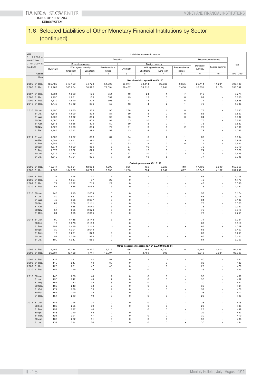# 1.6. Selected Liabilities of Other Monetary Financial Institutions by Sector (continued)

| Until                         |                    | Liabilities to domestic sectors           |                  |                           |                                            |                                                        |                                    |                                |                  |                                            |                    |
|-------------------------------|--------------------|-------------------------------------------|------------------|---------------------------|--------------------------------------------|--------------------------------------------------------|------------------------------------|--------------------------------|------------------|--------------------------------------------|--------------------|
| 31.12.2006 in                 |                    |                                           |                  | Deposits                  |                                            |                                                        |                                    |                                |                  | Debt securities issued                     |                    |
| mio SIT from<br>01.01.2007 in |                    |                                           |                  |                           |                                            | Foreign currency                                       |                                    |                                |                  |                                            |                    |
| mio EUR                       |                    | Domestic currency<br>With agreed maturity |                  | Reedemable at             |                                            | With agreed maturity                                   |                                    | Reedemable at                  | Domestic         | Foreign currency                           | Total              |
|                               | Ovemight           | Short-term                                | Long-term        | notice                    | Ovemight                                   | Short-term                                             | Long-term                          | notice                         | currency         |                                            |                    |
| Column                        | $\mathbf 1$        | $\,$                                      | 3                | $\overline{4}$            | $\mathbf 5$                                | 6                                                      | $\overline{7}$                     | 8                              | 9                | 10                                         | $11=3++10$         |
| Code                          |                    |                                           |                  |                           |                                            |                                                        |                                    |                                |                  |                                            |                    |
|                               |                    |                                           |                  |                           |                                            | Non-financial corporations (S.11)                      |                                    |                                |                  |                                            |                    |
| 2005 31.Dec.<br>2006 31.Dec.  | 185,785<br>219,967 | 317,159<br>305,864                        | 34,773<br>30,992 | 51,807<br>72,094          | 85,077<br>89,487                           | 53,414<br>63,215                                       | 22,685<br>18,941                   | 6,835<br>7,486                 | 26,714<br>18,331 | 11,241<br>12,170                           | 795,490<br>838,547 |
|                               |                    |                                           |                  |                           |                                            |                                                        |                                    |                                |                  |                                            |                    |
| 2007 31.Dec.                  | 1,301              | 1,800                                     | 126              | 351                       | 49                                         | 24                                                     | $\overline{1}$                     | $\overline{\mathfrak{c}}$      | 116              | $\overline{a}$                             | 3,774              |
| 2008 31.Dec.                  | 1,250              | 1,881                                     | 166              | 339                       | 45                                         | 12                                                     | $\mathsf{O}$                       | 8                              | 99               |                                            | 3,800              |
| 2009 31.Dec.                  | 1,372              | 1,829                                     | 225              | 306                       | 41                                         | 14                                                     | $\mathsf{O}$                       | 6                              | 74               |                                            | 3,868              |
| 2010 31.Dec.                  | 1,748              | 1,712                                     | 396              | 52                        | 43                                         | $\overline{4}$                                         | $\sqrt{2}$                         | $\mathbf{1}$                   | 79               | ä,                                         | 4,038              |
| 2010 30.Jun.                  | 1,400              | 1,680                                     | 366              | 93                        | 238                                        | 9                                                      | $\overline{1}$                     | $\mathsf{O}\xspace$            | 78               |                                            | 3,865              |
| 31.Jul.                       | 1,545              | 1,699                                     | 373              | 87                        | 59                                         | 8                                                      | $\mathsf O$                        | $\mathsf{O}\xspace$            | 85               |                                            | 3,857              |
| 31.Aug.                       | 1,600              | 1,592                                     | 394              | 98                        | 56                                         | $\overline{7}$                                         | $\mathsf{O}$                       | $\circ$                        | 84               | ä,                                         | 3,832              |
| 30.Sep.                       | 1,585              | 1,621                                     | 404              | 91                        | 53                                         | 10                                                     | $\mathsf{O}\xspace$                | $\mathbf{1}$                   | 75               | ٠                                          | 3,842              |
| 31.Oct.<br>30.Nov.            | 1,618              | 1,665<br>1,780                            | 406<br>384       | 50<br>72                  | 59<br>51                                   | 8<br>$\mathsf g$                                       | $\circ$<br>$\overline{1}$          | $\mathbf{1}$<br>$\sqrt{2}$     | 75<br>75         |                                            | 3,882<br>4,100     |
| 31.Dec.                       | 1,726<br>1,748     | 1,712                                     | 396              | 52                        | 43                                         | $\sqrt{4}$                                             | $\overline{c}$                     | $\mathbf{1}$                   | 79               | ÷,                                         | 4,038              |
|                               |                    |                                           |                  |                           |                                            |                                                        |                                    |                                |                  |                                            |                    |
| 2011 31.Jan.                  | 1,703              | 1,637                                     | 383              | 37                        | 54                                         | 6                                                      | $\sqrt{2}$                         | $\mathbf{1}$                   | 80               | ä,                                         | 3,904              |
| 28.Feb.                       | 1,691              | 1,681                                     | 390              | 5                         | 57                                         | 10                                                     | $\mathsf{O}$                       | $\sim$                         | 74               | ä,                                         | 3,909              |
| 31.Mar.                       | 1,658              | 1,707                                     | 397              | 6                         | 63                                         | 9                                                      | $_{\rm 3}$                         | $\mathsf{O}\xspace$            | 77               |                                            | 3,922              |
| 30.Apr.                       | 1,674              | 1,690<br>1,702                            | 380<br>379       | 5<br>$\mathsf g$          | 67<br>62                                   | 10<br>12                                               | $\overline{4}$<br>3                |                                | 79<br>74         |                                            | 3,910<br>3,820     |
| 31.May.<br>30.Jun.            | 1,579<br>1,575     | 1,740                                     | 371              | $\overline{7}$            | 67                                         | 10                                                     | 3                                  | $\sim$                         | 76               |                                            | 3,848              |
| 31.Jul.                       | 1,612              | 1,794                                     | 375              | $\overline{7}$            | 65                                         | 13                                                     | $\mathbf 5$                        |                                | 77               | ä,                                         | 3,948              |
|                               |                    |                                           |                  |                           |                                            |                                                        |                                    |                                |                  |                                            |                    |
|                               |                    |                                           |                  |                           |                                            | Central government (S.1311)                            |                                    |                                |                  |                                            |                    |
| 2005 31.Dec.<br>2006 31.Dec.  | 12,647<br>4,659    | 97,654<br>154,577                         | 12,958<br>16,720 | 1,609<br>2,998            | 865<br>1,283                               | 432<br>704                                             | 3,223<br>1,647                     | 410<br>627                     | 17,106<br>10,347 | 5,649<br>4,187                             | 152,553<br>197,749 |
|                               |                    |                                           |                  |                           |                                            |                                                        |                                    |                                |                  |                                            |                    |
| 2007 31.Dec.                  | 34                 | 928                                       | 77               | 11                        | $\mathsf{O}\xspace$                        | $\mathbf{1}$                                           |                                    |                                | 53               | Ĭ.                                         | 1,105              |
| 2008 31.Dec.                  | 8                  | 1,364                                     | 37               | 22                        | $\mathsf{O}\xspace$                        |                                                        |                                    |                                | 40               |                                            | 1,470              |
| 2009 31.Dec.                  | 71                 | 1,722                                     | 1,715            | 29                        | $\mathsf{O}\xspace$                        | ł,                                                     |                                    |                                | 43               |                                            | 3,580              |
| 2010 31.Dec.                  | 64                 | 555                                       | 2,055            | 3                         | $\circ$                                    |                                                        |                                    |                                | 73               | Ĭ.                                         | 2,751              |
| 2010 30.Jun.                  | 248                | 810                                       | 2,054            | 5                         | $\mathsf{O}\xspace$                        |                                                        |                                    |                                | 57               | ä,                                         | 3,174              |
| 31.Jul.                       | 49                 | 867                                       | 2,040            | 5                         | $\mathsf{O}\xspace$                        |                                                        |                                    |                                | 55               |                                            | 3,016              |
| 31.Aug.                       | 46                 | 985                                       | 2,097            | 5                         | $\circ$                                    |                                                        |                                    |                                | 64               |                                            | 3,196              |
| 30.Sep.                       | 62                 | 769                                       | 2,111            | $\overline{\mathbf{4}}$   | $\circ$                                    |                                                        |                                    |                                | 76               |                                            | 3,023              |
| 31.Oct.                       | 10                 | 668                                       | 2,040            | 3                         | $\circ$                                    |                                                        |                                    |                                | 75               |                                            | 2,797              |
| 30.Nov.<br>31.Dec.            | 57<br>64           | 805<br>555                                | 2,074<br>2,055   | 3<br>3                    | $\mathsf{O}\xspace$<br>0                   |                                                        |                                    |                                | 75<br>73         | Ĭ.                                         | 3,015<br>2,751     |
|                               |                    |                                           |                  |                           |                                            |                                                        |                                    |                                |                  |                                            |                    |
| 2011 31.Jan.                  | 90                 | 1,448                                     | 2,148            | 3                         | $\mathsf{O}\xspace$                        |                                                        |                                    |                                | 71               |                                            | 3,761              |
| 28.Feb.                       | 16                 | 1,073                                     | 2,153            |                           | $\mathsf{O}\xspace$                        |                                                        |                                    |                                | 69               |                                            | 3,310              |
| 31.Mar.                       | 701                | 1,416                                     | 2,144            |                           | $\circ$                                    |                                                        |                                    |                                | 68               |                                            | 4,329              |
| 30.Apr.<br>31.May.            | 32<br>10           | 1,291<br>1,201                            | 2,019<br>1,973   | $\mathsf{O}\xspace$       | 0<br>$\mathsf{O}\xspace$                   |                                                        |                                    |                                | 66<br>66         |                                            | 3,407<br>3,251     |
| 30.Jun.                       | 91                 | 1,288                                     | 1,974            | 3                         | $\mathsf{O}\xspace$                        |                                                        |                                    |                                | 66               | ä,                                         | 3,421              |
| 31.Jul.                       | 109                | 1,047                                     | 1,980            | $\overline{\mathbf{c}}$   | $\circ$                                    |                                                        |                                    |                                | 64               | Ĭ.                                         | 3,203              |
|                               |                    |                                           |                  |                           |                                            |                                                        |                                    |                                |                  |                                            |                    |
| 2005 31.Dec.                  | 18,488             | 37,244                                    | 8,257            | 18,215                    | 386                                        | Other government sectors (S.1312,S.1313,S.1314)<br>264 | 1,020                              | 0                              | 6,182            | 1,612                                      | 91,668             |
| 2006 31.Dec.                  | 20,507             | 42,158                                    | 4,711            | 15,994                    | 5                                          | 2,763                                                  | 696                                | $\overline{\phantom{a}}$       | 6,243            | 2,284                                      | 95,363             |
|                               |                    |                                           |                  |                           |                                            |                                                        |                                    |                                |                  |                                            |                    |
| 2007 31.Dec.                  | 122                | 281                                       | 40               | 57                        | $\circ$                                    | 2                                                      |                                    |                                | 50               | Ĭ.                                         | 551                |
| 2008 31.Dec.                  | 119                | 247                                       | 19               | 60                        | $\mathsf{O}\xspace$                        | ÷,                                                     | $\mathsf{O}$                       |                                | 36               | l,                                         | 482                |
| 2009 31.Dec.<br>2010 31.Dec.  | 123<br>157         | 231<br>219                                | 47<br>19         | 46<br>$\mathsf{O}\xspace$ | $\mathsf{O}\xspace$<br>$\mathsf{O}\xspace$ | ÷<br>$\mathsf{O}\xspace$                               | $\mathsf O$<br>$\mathsf O$         | $\overline{\phantom{a}}$<br>÷, | 28<br>28         | $\overline{a}$<br>$\overline{\phantom{a}}$ | 476<br>425         |
|                               |                    |                                           |                  |                           |                                            |                                                        |                                    |                                |                  |                                            |                    |
| 2010 30.Jun.                  | 146                | 238                                       | 48               | $\overline{7}$            | $\mathsf{O}\xspace$                        | $\mathsf{O}\xspace$                                    | $\mathsf{O}$                       | $\sim$                         | 30               | $\sim$                                     | 469                |
| 31.Jul.                       | 135                | 242                                       | 43               | $\overline{7}$            | $\mathsf{O}\xspace$                        | 0                                                      | $\mathsf O$                        | ÷,                             | 30               | $\overline{a}$                             | 457                |
| 31.Aug.                       | 151                | 242                                       | 32               | 6                         | 0                                          | 0                                                      | $\mathsf O$                        | ÷,                             | 30               | ÷,                                         | 461                |
| 30.Sep.<br>31.Oct.            | 169<br>174         | 243<br>236                                | 33<br>33         | 8<br>1                    | 0<br>0                                     | 0<br>÷                                                 | $\mathsf{O}\xspace$<br>$\mathsf O$ | ÷,                             | 30<br>32         | $\overline{a}$<br>÷,                       | 484<br>476         |
| 30.Nov.                       | 164                | 199                                       | 18               | $\overline{\mathbf{c}}$   | 0                                          | $\ddot{\phantom{1}}$                                   | $\mathsf O$                        | $\sim$                         | 28               | ÷,                                         | 411                |
| 31.Dec.                       | 157                | 219                                       | 19               | $\mathsf{O}\xspace$       | 0                                          | $\mathsf{O}\xspace$                                    | $\mathsf O$                        | $\sim$                         | 28               | $\overline{\phantom{a}}$                   | 425                |
|                               |                    |                                           |                  |                           |                                            |                                                        |                                    |                                |                  |                                            |                    |
| 2011 31.Jan.                  | 141                | 225                                       | 24               | $\mathsf{O}\xspace$       | $\mathsf{O}\xspace$                        | $\mathsf{O}\xspace$                                    | $\mathsf{O}$                       | $\overline{\phantom{a}}$       | 28               | ÷,                                         | 418                |
| 28.Feb.                       | 139                | 225                                       | 50               | $\mathsf O$               | $\mathsf{O}\xspace$                        | 0                                                      | $\mathsf O$                        | ÷,                             | 29               | ÷,                                         | 443                |
| 31.Mar.<br>30.Apr.            | 152<br>146         | 227<br>219                                | 40<br>42         | 0<br>$\mathsf{O}\xspace$  | 1<br>0                                     | 0<br>÷,                                                | $\mathsf{O}\xspace$<br>$\mathsf O$ | $\overline{a}$<br>$\sim$       | 28<br>29         | ÷,<br>÷,                                   | 449<br>437         |
| 31.May.                       | 121                | 221                                       | 47               | $\mathsf{O}\xspace$       | 0                                          | $\mathsf{O}\xspace$                                    | $\mathsf{O}$                       | $\sim$                         | 30               | ä,                                         | 419                |
| 30.Jun.                       | 135                | 222                                       | 51               | $\mathsf{O}\xspace$       | 0                                          | 0                                                      | $\mathsf{O}\xspace$                | $\overline{\phantom{a}}$       | 30               | ÷,                                         | 438                |
| 31.Jul.                       | 131                | 214                                       | 60               | $\mathsf O$               | $\mathsf{O}\xspace$                        | 0                                                      | $\mathsf{O}\xspace$                | ÷,                             | 30               | ÷,                                         | 434                |
|                               |                    |                                           |                  |                           |                                            |                                                        |                                    |                                |                  |                                            |                    |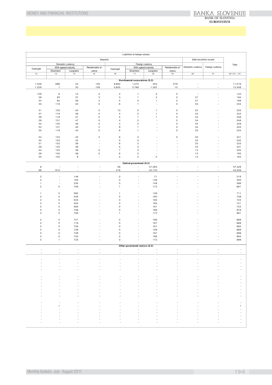| Liabilities to foreign sectors |                                            |                                                                                                                                                                                                                                                                                                                                                                 |                                         |                                                                      |                                         |                               |                                            |                                                    |                               |                          |
|--------------------------------|--------------------------------------------|-----------------------------------------------------------------------------------------------------------------------------------------------------------------------------------------------------------------------------------------------------------------------------------------------------------------------------------------------------------------|-----------------------------------------|----------------------------------------------------------------------|-----------------------------------------|-------------------------------|--------------------------------------------|----------------------------------------------------|-------------------------------|--------------------------|
|                                |                                            |                                                                                                                                                                                                                                                                                                                                                                 | Deposits                                |                                                                      |                                         |                               |                                            |                                                    | Debt securities issued        |                          |
|                                |                                            | Domestic currency                                                                                                                                                                                                                                                                                                                                               |                                         |                                                                      |                                         | Foreign currency              |                                            |                                                    |                               | Total                    |
| Ovemight                       |                                            | With agreed maturity                                                                                                                                                                                                                                                                                                                                            | Reedemable at                           | Ovemight                                                             |                                         | With agreed maturity          | Reedemable at                              | Domestic currency                                  | Foreign currency              |                          |
| 12                             | Short-term<br>13                           | Long-term<br>14                                                                                                                                                                                                                                                                                                                                                 | notice<br>15                            | 16                                                                   | Short-term<br>17                        | Long-term<br>18               | notice<br>19                               | 20                                                 | 21                            | $22 - 12 +  + 21$        |
|                                |                                            |                                                                                                                                                                                                                                                                                                                                                                 |                                         |                                                                      |                                         |                               |                                            |                                                    |                               |                          |
|                                |                                            |                                                                                                                                                                                                                                                                                                                                                                 |                                         |                                                                      | Non-financial corporations (S.2)        |                               |                                            |                                                    |                               |                          |
| 1,329                          | 686                                        | 24                                                                                                                                                                                                                                                                                                                                                              | 155                                     | 6,864                                                                | 1,075                                   | 304                           | 579                                        | $\overline{\phantom{a}}$                           | ä,                            | 11,016                   |
| 1,229                          | 1                                          | 33                                                                                                                                                                                                                                                                                                                                                              | 109                                     | 5,955                                                                | 3,768                                   | 1,352                         | 10                                         |                                                    |                               | 12,458                   |
| 109                            | 6                                          | 12                                                                                                                                                                                                                                                                                                                                                              | 5                                       | $\overline{4}$                                                       | 1                                       | $\,$ 5 $\,$                   | $\mathsf O$                                | Ĭ.                                                 | ÷,                            | 142                      |
| 28                             | 83                                         | 37                                                                                                                                                                                                                                                                                                                                                              | $_{\rm 3}$                              | $\ensuremath{\mathsf{3}}$                                            | 1                                       | $\overline{\mathbf{c}}$       | $\mathsf{O}\xspace$                        | 27                                                 | $\overline{a}$                | 184                      |
| 34                             | 82                                         | 39                                                                                                                                                                                                                                                                                                                                                              | $\overline{c}$                          | $\sqrt{5}$                                                           | 0                                       | 1                             | $\mathsf{O}\xspace$                        | 27                                                 | L,                            | 189                      |
| 35                             | 116                                        | 42                                                                                                                                                                                                                                                                                                                                                              | $\mathsf{O}\xspace$                     | 6                                                                    | 1                                       | ä,                            | $\mathsf{O}\xspace$                        | 33                                                 | ä,                            | 234                      |
|                                |                                            |                                                                                                                                                                                                                                                                                                                                                                 |                                         |                                                                      |                                         |                               |                                            |                                                    |                               |                          |
| 41                             | 100                                        | 44                                                                                                                                                                                                                                                                                                                                                              | $\mathsf{O}\xspace$                     | 13                                                                   | $\mathsf{O}\xspace$                     | 1                             | $\mathsf{O}$                               | 34                                                 | ä,                            | 234                      |
| 37                             | 119                                        | 46                                                                                                                                                                                                                                                                                                                                                              | $\circ$                                 | $\overline{4}$                                                       | 0                                       | 1                             | $\mathsf O$                                | 34                                                 |                               | 242                      |
| 39                             | 119                                        | 47                                                                                                                                                                                                                                                                                                                                                              | $\mathsf{O}\xspace$                     | $\mathbf 5$                                                          | $\mathbf{1}$                            | 1                             | $\mathsf{O}\xspace$                        | 34                                                 | ż                             | 246                      |
| 29                             | 131                                        | 47                                                                                                                                                                                                                                                                                                                                                              | $\mathsf{O}\xspace$                     | $\overline{4}$                                                       | $\overline{\mathbf{c}}$                 |                               | $\mathsf O$                                | 34                                                 |                               | 248                      |
| 32                             | 130<br>131                                 | 46<br>45                                                                                                                                                                                                                                                                                                                                                        | $\mathsf{O}$<br>$\overline{c}$          | $\overline{4}$<br>$\mathbf 9$                                        | $\overline{c}$<br>1                     |                               | $\mathsf{O}\xspace$<br>$\mathsf{o}$        | 34<br>34                                           |                               | 249<br>255               |
| 32<br>35                       | 116                                        | 42                                                                                                                                                                                                                                                                                                                                                              | $\circ$                                 | 6                                                                    | 1                                       |                               | $\mathsf{o}$                               | 33                                                 | ÷                             | 234                      |
|                                |                                            |                                                                                                                                                                                                                                                                                                                                                                 |                                         |                                                                      |                                         |                               |                                            |                                                    |                               |                          |
| 34                             | 122                                        | 42                                                                                                                                                                                                                                                                                                                                                              | $\sqrt{2}$                              | 6                                                                    | $\overline{\mathbf{c}}$                 |                               | $\mathsf{O}\xspace$                        | 33                                                 | ż                             | 241                      |
| 32                             | 125                                        | 42                                                                                                                                                                                                                                                                                                                                                              | ÷,                                      | $\mathbf 5$                                                          | 3                                       |                               | $\overline{a}$                             | 33                                                 | L,                            | 240                      |
| 31                             | 125                                        | 36                                                                                                                                                                                                                                                                                                                                                              |                                         | 6                                                                    | $\mathbf 2$                             |                               | $\sim$                                     | 33                                                 | ä,                            | 233                      |
| 29                             | 125                                        | 36                                                                                                                                                                                                                                                                                                                                                              |                                         | $\mathbf 5$                                                          | 3                                       |                               |                                            | 33                                                 |                               | 231                      |
| 34                             | 125                                        | 39                                                                                                                                                                                                                                                                                                                                                              | $\circ$                                 | $\overline{7}$                                                       | 3                                       |                               |                                            | 13                                                 |                               | 220                      |
| 29                             | 105                                        | 38                                                                                                                                                                                                                                                                                                                                                              | $\circ$                                 | 6                                                                    | $\overline{c}$                          |                               |                                            | 13                                                 |                               | 193                      |
| 35                             | 100                                        | $\mathsf g$                                                                                                                                                                                                                                                                                                                                                     | ÷,                                      | $\mathbf 5$                                                          | $\mathbf 2$                             | $\mathsf{O}\xspace$           | $\sim$                                     | 13                                                 | $\overline{a}$                | 163                      |
|                                |                                            |                                                                                                                                                                                                                                                                                                                                                                 |                                         |                                                                      | Central government (S.2)                |                               |                                            |                                                    |                               |                          |
| 8                              | $\overline{\phantom{a}}$                   | ÷,                                                                                                                                                                                                                                                                                                                                                              | $\overline{\phantom{a}}$                | 58                                                                   | ÷,                                      | 37,363                        | $\sim$                                     | $\overline{\phantom{a}}$                           | $\overline{a}$                | 37,428                   |
| 98                             | 610                                        |                                                                                                                                                                                                                                                                                                                                                                 |                                         | 416                                                                  | $\overline{\phantom{a}}$                | 42,133                        |                                            | ÷,                                                 | Ĭ.                            | 43,258                   |
|                                |                                            |                                                                                                                                                                                                                                                                                                                                                                 |                                         |                                                                      |                                         |                               |                                            |                                                    |                               |                          |
| $\sqrt{2}$                     | ÷                                          | 146                                                                                                                                                                                                                                                                                                                                                             |                                         | $\mathsf{O}\xspace$                                                  | ÷,                                      | 71                            | $\sim$                                     | ÷,                                                 | ÷,                            | 219                      |
| $\sqrt{2}$                     | J.                                         | 163                                                                                                                                                                                                                                                                                                                                                             |                                         | $\mathsf{O}\xspace$                                                  |                                         | 128                           |                                            |                                                    |                               | 293                      |
| 1                              | J.                                         | 235                                                                                                                                                                                                                                                                                                                                                             |                                         | $\mathsf{O}\xspace$                                                  | ä,                                      | 149                           |                                            |                                                    | ä,                            | 386                      |
| $\overline{c}$                 | $\mathsf{O}\xspace$                        | 706                                                                                                                                                                                                                                                                                                                                                             |                                         | $\mathbf{1}$                                                         | $\overline{a}$                          | 172                           |                                            |                                                    | ÷                             | 881                      |
| $\mathbf{1}$                   | $\mathsf{O}\xspace$                        | 560                                                                                                                                                                                                                                                                                                                                                             |                                         | 1                                                                    |                                         | 149                           |                                            |                                                    |                               | 711                      |
| $\sqrt{2}$                     | $\mathsf{O}\xspace$                        | 546                                                                                                                                                                                                                                                                                                                                                             |                                         | $\mathsf 0$                                                          |                                         | 160                           |                                            |                                                    |                               | 708                      |
| $\sqrt{2}$                     | $\mathsf{O}\xspace$                        | 555                                                                                                                                                                                                                                                                                                                                                             |                                         | $\mathsf{O}\xspace$                                                  | ä,                                      | 165                           |                                            |                                                    | ٠                             | 722                      |
| $\sqrt{2}$                     | $\mathsf{O}\xspace$                        | 554                                                                                                                                                                                                                                                                                                                                                             |                                         | $\mathsf{O}\xspace$                                                  | ä,                                      | 165                           |                                            |                                                    |                               | 721                      |
| $\sqrt{2}$                     | $\mathsf{O}\xspace$                        | 560                                                                                                                                                                                                                                                                                                                                                             |                                         | $\mathsf{O}\xspace$                                                  |                                         | 161                           |                                            |                                                    |                               | 722                      |
| $\overline{c}$                 | $\mathsf{O}\xspace$                        | 708                                                                                                                                                                                                                                                                                                                                                             |                                         | $\mathsf{O}\xspace$                                                  |                                         | 168                           |                                            |                                                    |                               | 878                      |
| $\overline{c}$                 | $\mathsf 0$                                | 706                                                                                                                                                                                                                                                                                                                                                             |                                         | $\mathbf{1}$                                                         |                                         | 172                           |                                            |                                                    |                               | 881                      |
|                                |                                            |                                                                                                                                                                                                                                                                                                                                                                 |                                         |                                                                      |                                         |                               |                                            |                                                    |                               |                          |
| $\sqrt{2}$                     | $\mathsf{O}\xspace$                        | 721                                                                                                                                                                                                                                                                                                                                                             |                                         | $\mathsf{O}\xspace$                                                  | ÷,                                      | 166                           |                                            |                                                    | ÷                             | 889                      |
| $\mathbf 2$<br>$\sqrt{2}$      | $\mathsf{O}\xspace$<br>$\mathsf{O}\xspace$ | 719<br>729                                                                                                                                                                                                                                                                                                                                                      |                                         | $\mathsf{O}\xspace$<br>$\mathsf 0$                                   |                                         | 167<br>161                    |                                            |                                                    |                               | 888<br>892               |
| $\overline{c}$                 | $\mathsf{O}\xspace$                        | 728                                                                                                                                                                                                                                                                                                                                                             |                                         | $\mathsf{O}\xspace$                                                  |                                         | 159                           |                                            |                                                    |                               | 889                      |
| $\overline{c}$                 | $\mathsf{O}\xspace$                        | 728                                                                                                                                                                                                                                                                                                                                                             |                                         | $\mathsf{O}\xspace$                                                  |                                         | 167                           |                                            |                                                    |                               | 898                      |
| $\overline{c}$                 | $\mathsf{O}\xspace$                        | 725                                                                                                                                                                                                                                                                                                                                                             |                                         | $\mathsf{O}\xspace$                                                  | ÷                                       | 166                           |                                            |                                                    |                               | 894                      |
| $_{\rm 3}$                     | $\mathbf{1}$                               | 723                                                                                                                                                                                                                                                                                                                                                             |                                         | $\mathsf{O}\xspace$                                                  |                                         | 172                           | $\sim$                                     |                                                    | ä,                            | 899                      |
|                                |                                            |                                                                                                                                                                                                                                                                                                                                                                 |                                         |                                                                      |                                         |                               |                                            |                                                    |                               |                          |
|                                |                                            |                                                                                                                                                                                                                                                                                                                                                                 |                                         |                                                                      | Other government sectors (S.2)          |                               |                                            |                                                    |                               |                          |
|                                |                                            |                                                                                                                                                                                                                                                                                                                                                                 |                                         | ÷,                                                                   |                                         |                               |                                            |                                                    |                               |                          |
|                                |                                            |                                                                                                                                                                                                                                                                                                                                                                 |                                         |                                                                      |                                         |                               |                                            |                                                    |                               |                          |
|                                |                                            |                                                                                                                                                                                                                                                                                                                                                                 |                                         |                                                                      |                                         |                               |                                            |                                                    |                               |                          |
|                                | $\overline{\phantom{a}}$                   | $\overline{\phantom{a}}$                                                                                                                                                                                                                                                                                                                                        | $\overline{\phantom{a}}$                |                                                                      | $\overline{\phantom{a}}$                | $\sim$                        |                                            |                                                    |                               |                          |
|                                | $\sim$                                     | $\sim$                                                                                                                                                                                                                                                                                                                                                          | $\sim$                                  | $\sim$                                                               | $\mathcal{L}_{\mathcal{A}}$             | $\sim$                        | $\sim$                                     |                                                    |                               |                          |
|                                | $\omega$                                   | $\omega$ .                                                                                                                                                                                                                                                                                                                                                      | $\omega$ .                              | $\omega_{\rm{eff}}$                                                  | $\omega$                                | $\omega_{\rm{max}}$           | $\omega$                                   | $\omega$                                           | $\omega$                      |                          |
|                                |                                            |                                                                                                                                                                                                                                                                                                                                                                 |                                         |                                                                      |                                         |                               |                                            |                                                    |                               |                          |
| $\blacksquare$                 | $\sim$<br>$\omega_{\rm{max}}$              | $\frac{1}{2} \sum_{i=1}^{n} \frac{1}{i} \sum_{j=1}^{n} \frac{1}{j} \sum_{j=1}^{n} \frac{1}{j} \sum_{j=1}^{n} \frac{1}{j} \sum_{j=1}^{n} \frac{1}{j} \sum_{j=1}^{n} \frac{1}{j} \sum_{j=1}^{n} \frac{1}{j} \sum_{j=1}^{n} \frac{1}{j} \sum_{j=1}^{n} \frac{1}{j} \sum_{j=1}^{n} \frac{1}{j} \sum_{j=1}^{n} \frac{1}{j} \sum_{j=1}^{n} \frac{1}{j} \sum_{j=1}^{n$ |                                         | $\frac{1}{2}$ and $\frac{1}{2}$<br>$\frac{1}{2}$ ) and $\frac{1}{2}$ | $\frac{1}{2}$ ) (                       |                               | $\frac{1}{2} \left( \frac{1}{2} \right)$ . | i<br>Elimination<br>Elimination<br>$\frac{1}{2}$ . | $\sim$<br>$\omega_{\rm{max}}$ | $\Box$                   |
|                                | $\sim$                                     |                                                                                                                                                                                                                                                                                                                                                                 | $\omega_{\rm{eff}}$                     |                                                                      |                                         | $\Delta \sim 100$             |                                            | $\omega_{\rm{max}}$                                | $\sim$                        |                          |
|                                | $\omega_{\rm{eff}}$                        |                                                                                                                                                                                                                                                                                                                                                                 | $\omega$                                | $\sim$                                                               | $\frac{1}{\sqrt{2}}$                    | $\omega_{\rm{max}}$           | $\Delta \sim 100$                          | $\omega_{\rm{max}}$                                |                               |                          |
|                                | $\mathbb{L}^+$                             | $\frac{1}{2}$                                                                                                                                                                                                                                                                                                                                                   | $\omega$                                | i<br>Ind                                                             | $\mathbb{L}^+$                          | $\omega_{\rm{eff}}$           | $\Box$                                     | ÷.                                                 |                               |                          |
|                                | $\mathbb{Z}^2$                             | $\mathbb{Z}^2$                                                                                                                                                                                                                                                                                                                                                  | $\omega_{\rm c}$                        |                                                                      | $\omega_{\rm{max}}$                     | $\omega$                      | $\overline{\phantom{a}}$                   | ÷,                                                 | ÷.                            |                          |
| $\blacksquare$                 | $\hat{\mathcal{A}}$                        | $\bar{\mathcal{A}}$                                                                                                                                                                                                                                                                                                                                             | $\omega_{\rm{max}}$                     | $\sim$                                                               | $\omega$                                | $\omega$                      | $\omega_{\rm{max}}$                        | $\mathbb{L}^2$                                     | $\Box$                        | $\overline{\phantom{a}}$ |
|                                |                                            |                                                                                                                                                                                                                                                                                                                                                                 |                                         |                                                                      |                                         |                               |                                            |                                                    |                               |                          |
|                                | $\sim$                                     | $\frac{1}{2}$                                                                                                                                                                                                                                                                                                                                                   | $\sim$                                  | $\sim$                                                               | $\sim$                                  | $\sim$                        | $\frac{1}{2}$                              | $\sigma_{\rm{max}}$                                | $\sim$                        |                          |
|                                | $1 -$                                      |                                                                                                                                                                                                                                                                                                                                                                 | $\omega_{\rm{eff}}$                     | $\omega_{\rm{eff}}$                                                  | $\omega_{\rm{eff}}$                     | $\omega_{\rm{max}}$           |                                            | $\omega_{\rm c}$                                   | $\omega$                      | 1                        |
|                                | $\overline{\phantom{a}}$<br>$\blacksquare$ | ÷.<br>$\Box$                                                                                                                                                                                                                                                                                                                                                    | $\omega_{\rm{max}}$<br>$\omega_{\rm c}$ | $\sim$                                                               | $\omega_{\rm{max}}$<br>$\omega_{\rm c}$ | $\omega_{\rm{max}}$<br>$\sim$ | $\sim$<br>$\omega_{\rm{max}}$              | $\omega_{\rm{max}}$<br>÷.                          |                               |                          |
|                                | $\omega_{\rm c}$                           | $\omega_{\rm c}$                                                                                                                                                                                                                                                                                                                                                | $\omega$                                | $\sim$                                                               | $\omega$                                | $\sim$                        | $\Delta \sim 100$                          | $\Box$                                             |                               |                          |
|                                |                                            |                                                                                                                                                                                                                                                                                                                                                                 |                                         |                                                                      |                                         |                               |                                            |                                                    |                               |                          |
|                                |                                            |                                                                                                                                                                                                                                                                                                                                                                 |                                         |                                                                      |                                         |                               |                                            |                                                    |                               |                          |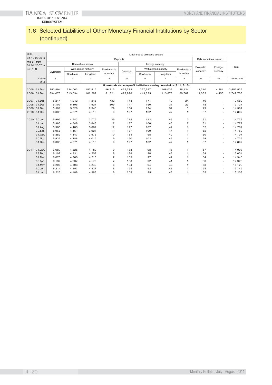# 1.6. Selected Liabilities of Other Monetary Financial Institutions by Sector (continued)

| Until        |               |           |                |                      |                |          | Liabilities to domestic sectors |                                                                        |                |          |                        |            |  |
|--------------|---------------|-----------|----------------|----------------------|----------------|----------|---------------------------------|------------------------------------------------------------------------|----------------|----------|------------------------|------------|--|
| mio SIT from | 31.12.2006 in |           |                |                      |                | Deposits |                                 |                                                                        |                |          | Debt securities issued |            |  |
|              | 01.01.2007 in |           |                | Domestic currency    |                |          |                                 | Foreign currency                                                       |                |          |                        |            |  |
| mio EUR      |               |           |                | With agreed maturity | Reedemable     |          |                                 | With agreed maturity                                                   | Reedemable     | Domestic | Foreign                | Total      |  |
|              |               | Overnight | Short-term     | Long-term            | at notice      | Ovemight | Short-term                      | Long-term                                                              | at notice      | currency | currency               |            |  |
|              | Column        | 1         | $\overline{c}$ | 3                    | $\overline{4}$ | 5        | 6                               | $\overline{7}$                                                         | 8              | 9        | 10                     | $11=3++10$ |  |
|              | Code          |           |                |                      |                |          |                                 |                                                                        |                |          |                        |            |  |
|              |               |           |                |                      |                |          |                                 | Households and non-profit institutions serving households (S.14, S.15) |                |          |                        |            |  |
|              | 2005 31.Dec.  | 752.894   | 624.063        | 157,515              | 46,215         | 432.783  | 397.997                         | 108.039                                                                | 28.124         | 1.310    | 4,581                  | 2,553,522  |  |
|              | 2006 31.Dec.  | 894,073   | 613,034        | 162,287              | 51,521         | 429,998  | 449,825                         | 113,676                                                                | 29,769         | 1,065    | 4,455                  | 2,749,703  |  |
|              |               |           |                |                      |                |          |                                 |                                                                        |                |          |                        |            |  |
|              | 2007 31.Dec.  | 5,244     | 4,942          | 1,246                | 732            | 143      | 171                             | 40                                                                     | 24             | 40       | ٠                      | 12,582     |  |
|              | 2008 31.Dec.  | 5,103     | 5,495          | 1,927                | 809            | 147      | 150                             | 31                                                                     | 29             | 48       |                        | 13,737     |  |
|              | 2009 31.Dec.  | 5.501     | 5,526          | 2,943                | 29             | 154      | 124                             | 32                                                                     | 3              | 49       | ÷                      | 14,362     |  |
|              | 2010 31.Dec.  | 6,003     | 4,371          | 4,110                | 9              | 197      | 102                             | 47                                                                     | $\overline{1}$ | 57       | ٠                      | 14,897     |  |
|              |               |           |                |                      |                |          |                                 |                                                                        |                |          |                        |            |  |
|              | 2010 30.Jun.  | 5,995     | 4,542          | 3,772                | 29             | 214      | 113                             | 46                                                                     | $\overline{c}$ | 61       |                        | 14,776     |  |
|              | 31.Jul.       | 5,963     | 4,548          | 3,846                | 12             | 187      | 106                             | 45                                                                     | $\overline{c}$ | 61       | ٠                      | 14,772     |  |
|              | 31.Aug.       | 5,985     | 4,483          | 3,887                | 12             | 197      | 107                             | 47                                                                     |                | 62       | ٠                      | 14,782     |  |
|              | 30.Sep.       | 5,966     | 4,451          | 3,927                | 11             | 187      | 100                             | 44                                                                     |                | 62       | ٠                      | 14,750     |  |
|              | 31.Oct.       | 5,889     | 4,447          | 3,976                | 10             | 184      | 98                              | 42                                                                     |                | 60       | ٠                      | 14,707     |  |
|              | 30.Nov.       | 5,933     | 4,386          | 4,012                | 9              | 190      | 102                             | 46                                                                     |                | 59       | ٠                      | 14,739     |  |
|              | 31.Dec.       | 6,003     | 4,371          | 4,110                | 9              | 197      | 102                             | 47                                                                     |                | 57       | ٠                      | 14,897     |  |
|              |               |           |                |                      |                |          |                                 |                                                                        |                |          |                        |            |  |
| 2011         | 31.Jan.       | 6,083     | 4,328          | 4,189                | 9              | 188      | 98                              | 46                                                                     | 1              | 57       | ٠                      | 14,998     |  |
|              | 28.Feb.       | 6.109     | 4,331          | 4.202                | 8              | 188      | 98                              | 43                                                                     |                | 54       | ٠                      | 15.034     |  |
|              | 31.Mar.       | 6,078     | 4,260          | 4,215                | $\overline{7}$ | 185      | 97                              | 42                                                                     |                | 54       | ٠                      | 14,940     |  |
|              | 30.Apr.       | 6,134     | 4,237          | 4,176                | $\overline{7}$ | 183      | 92                              | 41                                                                     |                | 53       | ÷                      | 14,923     |  |
|              | 31.May.       | 6,296     | 4,193          | 4,240                | 6              | 194      | 94                              | 43                                                                     |                | 53       | ٠                      | 15,120     |  |
|              | 30.Jun.       | 6,214     | 4,203          | 4,337                | 6              | 194      | 92                              | 43                                                                     |                | 54       |                        | 15,145     |  |
|              | 31.Jul.       | 6.223     | 4.188          | 4.383                | 6              | 205      | 95                              | 46                                                                     |                | 55       |                        | 15.203     |  |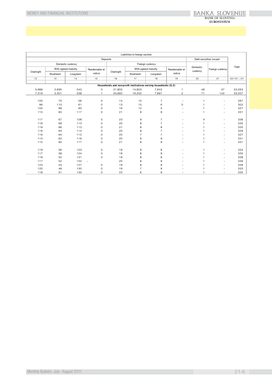| Liabilities to foreign sectors |            |                      |                          |          |                |                                                                 |                |                        |                          |             |  |  |
|--------------------------------|------------|----------------------|--------------------------|----------|----------------|-----------------------------------------------------------------|----------------|------------------------|--------------------------|-------------|--|--|
|                                |            |                      |                          | Deposits |                |                                                                 |                | Debt securities issued |                          |             |  |  |
|                                |            | Domestic currency    |                          |          |                | Foreign currency                                                |                |                        |                          |             |  |  |
|                                |            | With agreed maturity | Reedemable at            |          |                | With agreed maturity                                            | Reedemable at  | Domestic               | Foreign currency         | Total       |  |  |
| Ovemight                       | Short-term | Long-term            | notice                   | Ovemight | Short-term     | Long-term                                                       | notice         | currency               |                          |             |  |  |
| 12                             | 13         | 14                   | 15                       | 16       | 17             | 18                                                              | 19             | 20                     | 21                       | $22=12++21$ |  |  |
|                                |            |                      |                          |          |                |                                                                 |                |                        |                          |             |  |  |
|                                |            |                      |                          |          |                | Households and non-profit institutions serving households (S.2) |                |                        |                          |             |  |  |
| 5,688                          | 2,695      | 543                  | 0                        | 21,805   | 14,803         | 7,642                                                           | $\mathbf{1}$   | 48                     | 37                       | 53,263      |  |  |
| 7,319                          | 2,301      | 338                  | 1                        | 20,692   | 16,252         | 7,891                                                           | $\overline{c}$ | 71                     | 142                      | 55,007      |  |  |
|                                |            |                      |                          |          |                |                                                                 |                |                        |                          |             |  |  |
| 100                            | 75         | 56                   | 0                        | 14       | 15             | $\overline{7}$                                                  | ٠              | 1                      | ۰                        | 267         |  |  |
| 96                             | 110        | 61                   | 0                        | 13       | 15             | 6                                                               | $\circ$        | 1                      | $\overline{\phantom{a}}$ | 302         |  |  |
| 100                            | 99         | 95                   | 0                        | 16       | 12             | 5                                                               | ä,             | 1                      | ٠                        | 327         |  |  |
| 115                            | 60         | 117                  | 0                        | 21       | 8              | 9                                                               | ä,             | $\mathbf{1}$           | ٠                        | 331         |  |  |
|                                |            |                      |                          |          |                |                                                                 |                |                        |                          |             |  |  |
| 117                            | 67         | 109                  | 0                        | 23       | 9              | $\overline{7}$                                                  | ٠              | $\overline{4}$         | ٠                        | 336         |  |  |
| 118                            | 69         | 113                  | 0                        | 20       | 8              | $\overline{7}$                                                  | ä,             |                        | ٠                        | 335         |  |  |
| 119                            | 66         | 113                  | 0                        | 21       | 8              | 8                                                               |                |                        | ٠                        | 335         |  |  |
| 116                            | 64         | 114                  | 0                        | 20       | 8              | $\overline{7}$                                                  |                | 1                      | ٠                        | 329         |  |  |
| 116                            | 64         | 112                  | 0                        | 20       | $\overline{7}$ | $\overline{7}$                                                  | ٠              | $\mathbf{1}$           | $\sim$                   | 327         |  |  |
| 115                            | 62         | 116                  | 0                        | 20       | $\mathsf g$    | 9                                                               |                | 1                      | ٠                        | 331         |  |  |
| 115                            | 60         | 117                  | 0                        | 21       | 8              | $\overline{9}$                                                  | ä,             | $\mathbf{1}$           | ٠                        | 331         |  |  |
|                                |            |                      |                          |          |                |                                                                 |                |                        |                          |             |  |  |
| 119                            | 56         | 123                  | 0                        | 19       | 9              | 8                                                               | ٠              | $\mathbf{1}$           | ٠                        | 334         |  |  |
| 117                            | 58         | 124                  | $\circ$                  | 19       | 8              | $\overline{9}$                                                  | ٠              | $\mathbf{1}$           | ٠                        | 335         |  |  |
| 119                            | 52         | 131                  | 0                        | 19       | 8              | 8                                                               | ٠              |                        | ٠                        | 338         |  |  |
| 117                            | 52         | 132                  | $\overline{\phantom{a}}$ | 20       | 8              | 8                                                               | ä,             |                        | ×                        | 336         |  |  |
| 123                            | 53         | 127                  | 0                        | 19       | 8              | 8                                                               |                |                        | ٠                        | 339         |  |  |
| 120                            | 48         | 130                  | 0                        | 19       | $\overline{7}$ | 9                                                               |                |                        | ٠                        | 333         |  |  |
| 118                            | 51         | 130                  | $\Omega$                 | 22       | 6              | 9                                                               | ٠              |                        | ٠                        | 335         |  |  |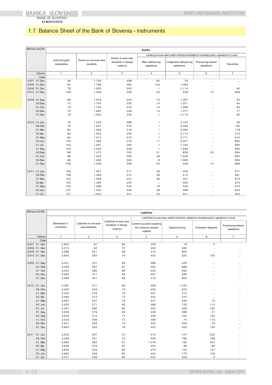**EUROSYSTEM**

#### 1.7. Balance Sheet of the Bank of Slovenia - instruments

| Millions of EUR | Assets                       |                                      |                                                         |                                |                                                                                       |                                   |                |  |  |  |  |  |
|-----------------|------------------------------|--------------------------------------|---------------------------------------------------------|--------------------------------|---------------------------------------------------------------------------------------|-----------------------------------|----------------|--|--|--|--|--|
|                 |                              |                                      |                                                         |                                | Lending to euro area credit institutionsrelated to monetary policy operations in euro |                                   |                |  |  |  |  |  |
|                 | Gold and gold<br>receivables | Claims on non-euro area<br>residents | Claims on euro area<br>residents in foreign<br>currency | Main refinancing<br>operations | Longer-term refinancing<br>operations                                                 | Fine-tuning reverse<br>operations | Securities     |  |  |  |  |  |
| Column          | $\mathbf{1}$                 | $\overline{c}$                       | 3                                                       | $\overline{4}$                 | 5                                                                                     | 6                                 | $\overline{7}$ |  |  |  |  |  |
| Code            |                              |                                      |                                                         |                                |                                                                                       |                                   |                |  |  |  |  |  |
| 2007 31.Dec.    | 58                           | 1,740                                | 498                                                     | 80                             | 76                                                                                    | $\cdots$                          | $\cdots$       |  |  |  |  |  |
| 2008 31.Dec.    | 64                           | 1,758                                | 262                                                     | 134                            | 1,064                                                                                 | $\cdots$                          | $\cdots$       |  |  |  |  |  |
| 2009 31.Dec.    | 78                           | 1,550                                | 245                                                     | $\mathbf{1}$                   | 2,114                                                                                 | $\cdots$                          | 85             |  |  |  |  |  |
| 2010 31.Dec.    | 108                          | 1,459                                | 259                                                     | 53                             | 539                                                                                   | 10                                | 669            |  |  |  |  |  |
| 2009 31.Aug.    | 68                           | 1,679                                | 244                                                     | 74                             | 1,287                                                                                 | $\cdots$                          | 64             |  |  |  |  |  |
| 30.Sep.         | 70                           | 1,704                                | 235                                                     | 13                             | 1,251                                                                                 | $\cdots$                          | 64             |  |  |  |  |  |
| 31.Oct.         | 70                           | 1,724                                | 243                                                     | 14                             | 1,286                                                                                 |                                   | 64             |  |  |  |  |  |
| 30.Nov.         | 70                           | 1,665                                | 248                                                     | 14                             | 1,277                                                                                 | $\cdots$                          | 77             |  |  |  |  |  |
| 31.Dec.         | 78                           | 1,550                                | 245                                                     | $\mathbf{1}$                   | 2,114                                                                                 | $\cdots$                          | 85             |  |  |  |  |  |
| 2010 31.Jan.    | 78                           | 1,542                                | 298                                                     | $\mathbf{1}$                   | 2,104                                                                                 | $\cdots$                          | 95             |  |  |  |  |  |
| 28.Feb.         | 78                           | 1,637                                | 316                                                     | $\mathbf{1}$                   | 2,094                                                                                 | $\cdots$                          | 150            |  |  |  |  |  |
| 31.Mar.         | 84                           | 1,556                                | 319                                                     | $\overline{1}$                 | 2,084                                                                                 | $\cdots$                          | 179            |  |  |  |  |  |
| 30.Apr.         | 84                           | 1,504                                | 333                                                     | $\overline{1}$                 | 2,174                                                                                 |                                   | 213            |  |  |  |  |  |
| 31.May.         | 84                           | 1,572                                | 273                                                     | $\mathbf{1}$                   | 2,171                                                                                 | $\cdots$                          | 615            |  |  |  |  |  |
| 30.Jun.         | 103                          | 1,480                                | 276                                                     | 11                             | 2,051                                                                                 |                                   | 665            |  |  |  |  |  |
| 31.Jul.         | 103                          | 1,597                                | 262                                                     | $\overline{1}$                 | 1,184                                                                                 | $\cdots$                          | 665            |  |  |  |  |  |
| 31.Aug.         | 103                          | 1,505                                | 249                                                     | $\overline{1}$                 | 1,248                                                                                 | $\ldots$                          | 665            |  |  |  |  |  |
| 30.Sep.         | 98                           | 1,475                                | 240                                                     | 21                             | 929                                                                                   | 35                                | 664            |  |  |  |  |  |
| 31.Oct.         | 98                           | 1,452                                | 260                                                     | 48                             | 1,049                                                                                 | $\cdots$                          | 664            |  |  |  |  |  |
| 30.Nov.         | 98                           | 1,460                                | 245                                                     | 8                              | 1,065                                                                                 | $\cdots$                          | 664            |  |  |  |  |  |
| 31.Dec.         | 108                          | 1,459                                | 259                                                     | 53                             | 539                                                                                   | 10                                | 669            |  |  |  |  |  |
| 2011 31.Jan.    | 108                          | 1,467                                | 277                                                     | 28                             | 409                                                                                   | $\cdots$                          | 677            |  |  |  |  |  |
| 28.Feb.         | 108                          | 1,466                                | 272                                                     | 38                             | 414                                                                                   | $\cdots$                          | 681            |  |  |  |  |  |
| 31.Mar.         | 103                          | 1,508                                | 231                                                     | 38                             | 327                                                                                   | $\cdots$                          | 673            |  |  |  |  |  |
| 30.Apr.         | 103                          | 1,494                                | 245                                                     | $\cdots$                       | 355                                                                                   | $\cdots$                          | 673            |  |  |  |  |  |
| 31.May.         | 103                          | 1,488                                | 243                                                     | 18                             | 429                                                                                   | $\cdots$                          | 673            |  |  |  |  |  |
| 30.Jun.         | 107                          | 1,530                                | 245                                                     | 38                             | 399                                                                                   | $\cdots$                          | 653            |  |  |  |  |  |
| 31.Jul.         | 107                          | 1,543                                | 241                                                     | 43                             | 421                                                                                   | $\cdots$                          | 643            |  |  |  |  |  |

| Millions of EUR | Liabilities                 |                                           |                                                              |                                                              |                                                                                           |                     |                                   |  |  |  |  |  |
|-----------------|-----------------------------|-------------------------------------------|--------------------------------------------------------------|--------------------------------------------------------------|-------------------------------------------------------------------------------------------|---------------------|-----------------------------------|--|--|--|--|--|
|                 |                             |                                           |                                                              |                                                              | Liabilities to euro area credit instiutions related to monetary policy operations in euro |                     |                                   |  |  |  |  |  |
|                 | Banknotes in<br>circulation | Liabilities to non-euro<br>area residents | Liabilities to euro area<br>residents in foreign<br>currency | Current accounts (covering<br>the minimum reserve<br>system) | Deposit facility                                                                          | Fixed-term deposits | Fine-tuning reverse<br>operations |  |  |  |  |  |
| Column          | $\mathbf{1}$                | $\overline{c}$                            | 3                                                            | $\overline{4}$                                               | 5                                                                                         | 6                   | $7\overline{ }$                   |  |  |  |  |  |
| Code            |                             |                                           |                                                              |                                                              |                                                                                           |                     |                                   |  |  |  |  |  |
| 2007 31. Dec.   | 2,900                       | 97                                        | 66                                                           | 335                                                          | 16                                                                                        | 5                   | $\cdots$                          |  |  |  |  |  |
| 2008 31. Dec.   | 3,215                       | 62                                        | 72                                                           | 403                                                          | 582                                                                                       | $\cdots$            |                                   |  |  |  |  |  |
| 2009 31. Dec.   | 3,496                       | 251                                       | 69                                                           | 415                                                          | 805                                                                                       | $\cdots$            | $\cdots$                          |  |  |  |  |  |
| 2010 31. Dec.   | 3,640                       | 283                                       | 76                                                           | 442                                                          | 305                                                                                       | 135                 |                                   |  |  |  |  |  |
|                 |                             |                                           |                                                              |                                                              |                                                                                           |                     |                                   |  |  |  |  |  |
| 2009 31. Aug.   | 3,327                       | 227                                       | 69                                                           | 396                                                          | 426                                                                                       | $\ldots$            | $\cdots$                          |  |  |  |  |  |
| 30. Sep.        | 3,326                       | 267                                       | 67                                                           | 350                                                          | 689                                                                                       | $\cdots$            | $\cdots$                          |  |  |  |  |  |
| 31. Oct.        | 3,344                       | 286                                       | 69                                                           | 430                                                          | 465                                                                                       | $\cdots$            |                                   |  |  |  |  |  |
| 30. Nov.        | 3,364                       | 317                                       | 68                                                           | 407                                                          | 480                                                                                       | $\cdots$            | $\cdots$                          |  |  |  |  |  |
| 31. Dec.        | 3,496                       | 251                                       | 69                                                           | 415                                                          | 805                                                                                       | $\cdots$            | $\cdots$                          |  |  |  |  |  |
|                 |                             |                                           |                                                              |                                                              |                                                                                           |                     |                                   |  |  |  |  |  |
| 2010 31. Jan.   | 3,397                       | 271                                       | 69                                                           | 408                                                          | 1,725                                                                                     | $\cdots$            | $\cdots$                          |  |  |  |  |  |
| 28. Feb.        | 3,400                       | 244                                       | 70                                                           | 455                                                          | 623                                                                                       | $\cdots$            | $\cdots$                          |  |  |  |  |  |
| 31. Mar.        | 3,455                       | 276                                       | 72                                                           | 557                                                          | 270                                                                                       | $\cdots$            |                                   |  |  |  |  |  |
| 30. Apr.        | 3,460                       | 273                                       | 73                                                           | 444                                                          | 510                                                                                       | $\cdots$            |                                   |  |  |  |  |  |
| 31. May.        | 3,491                       | 247                                       | 74                                                           | 447                                                          | 490                                                                                       | 75                  |                                   |  |  |  |  |  |
| 30. Jun.        | 3,520                       | 271                                       | 80                                                           | 566                                                          | 732                                                                                       | 115                 | $\cdots$                          |  |  |  |  |  |
| 31. Jul.        | 3,557                       | 280                                       | 80                                                           | 455                                                          | 308                                                                                       | 162                 |                                   |  |  |  |  |  |
| 31. Aug.        | 3,528                       | 278                                       | 84                                                           | 448                                                          | 289                                                                                       | 21                  | $\cdots$                          |  |  |  |  |  |
| 30. Sep.        | 3,526                       | 310                                       | 77                                                           | 459                                                          | 230                                                                                       | 150                 |                                   |  |  |  |  |  |
| 31. Oct.        | 3,533                       | 299                                       | 77                                                           | 409                                                          | 74                                                                                        | 115                 | $\cdots$                          |  |  |  |  |  |
| 30. Nov.        | 3,541                       | 256                                       | 74                                                           | 422                                                          | 264                                                                                       | 25                  |                                   |  |  |  |  |  |
| 31. Dec.        | 3,640                       | 283                                       | 76                                                           | 442                                                          | 305                                                                                       | 135                 |                                   |  |  |  |  |  |
|                 |                             |                                           |                                                              |                                                              |                                                                                           |                     |                                   |  |  |  |  |  |
| 2011 31. Jan.   | 3,552                       | 267                                       | 72                                                           | 415                                                          | 101                                                                                       | 250                 |                                   |  |  |  |  |  |
| 28. Feb.        | 3,548                       | 261                                       | 72                                                           | 535                                                          | 168                                                                                       | 198                 | $\cdots$                          |  |  |  |  |  |
| 31. Mar.        | 3,564                       | 284                                       | 67                                                           | 1,079                                                        | 192                                                                                       | 245                 |                                   |  |  |  |  |  |
| 30. Apr.        | 3,609                       | 276                                       | 67                                                           | 453                                                          | 99                                                                                        | 85                  |                                   |  |  |  |  |  |
| 31. May.        | 3,624                       | 253                                       | 66                                                           | 476                                                          | 153                                                                                       | 127                 | $\cdots$                          |  |  |  |  |  |
| 30. Jun.        | 3,663                       | 249                                       | 65                                                           | 424                                                          | 170                                                                                       | 135                 |                                   |  |  |  |  |  |
| 31. Jul.        | 3,701                       | 246                                       | 64                                                           | 442                                                          | 209                                                                                       | 5                   |                                   |  |  |  |  |  |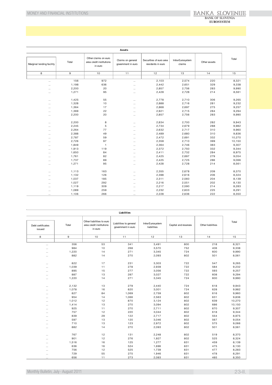| Assets                    |       |                                                             |                                         |                                              |                            |              |        |  |  |  |  |  |
|---------------------------|-------|-------------------------------------------------------------|-----------------------------------------|----------------------------------------------|----------------------------|--------------|--------|--|--|--|--|--|
| Marginal lending facility | Total | Other claims on euro<br>area credit institutions<br>in euro | Claims on general<br>government in euro | Securities of euro area<br>residents in euro | Intra-Eurosystem<br>claims | Other assets | Total  |  |  |  |  |  |
| 8                         | 9     | 10                                                          | 11                                      | 12                                           | 13                         | 14           | 15     |  |  |  |  |  |
|                           |       |                                                             |                                         |                                              |                            |              |        |  |  |  |  |  |
| $\cdots$                  | 156   | 972                                                         | $\cdots$                                | 2,103                                        | 2,574                      | 220          | 8,321  |  |  |  |  |  |
| $\cdots$                  | 1,198 | 636                                                         |                                         | 2,442                                        | 2,651                      | 329          | 9,338  |  |  |  |  |  |
| $\cdots$                  | 2,200 | 20                                                          |                                         | 2,857                                        | 2,756                      | 283          | 9,990  |  |  |  |  |  |
| $\cdots$                  | 1,271 | 95                                                          | $\cdots$                                | 2,428                                        | 2,728                      | 214          | 8,561  |  |  |  |  |  |
|                           |       |                                                             |                                         |                                              |                            |              |        |  |  |  |  |  |
| $\cdots$                  | 1,425 | 55                                                          |                                         | 2,778                                        | 2,710                      | 306          | 9,265  |  |  |  |  |  |
| $\cdots$                  | 1,328 | 10                                                          |                                         | 2,888                                        | 2,716                      | 281          | 9,232  |  |  |  |  |  |
| $\cdots$                  | 1,364 | 17                                                          |                                         | 2,868                                        | 2,697                      | 275          | 9,257  |  |  |  |  |  |
| $\cdots$                  | 1,369 | 22                                                          |                                         | 2,921                                        | 2,715                      | 284          | 9,294  |  |  |  |  |  |
| $\cdots$                  | 2,200 | 20                                                          |                                         | 2,857                                        | 2,756                      | 283          | 9,990  |  |  |  |  |  |
|                           |       |                                                             |                                         |                                              |                            |              |        |  |  |  |  |  |
| $\cdots$                  | 2,200 | 8                                                           | $\cdots$                                | 2,834                                        | 2,700                      | 282          | 9,943  |  |  |  |  |  |
| $\cdots$                  | 2,245 | 5                                                           |                                         | 2,734                                        | 2,679                      | 288          | 9,982  |  |  |  |  |  |
| $\cdots$                  | 2,264 | 77                                                          |                                         | 2,632                                        | 2,717                      | 310          | 9,960  |  |  |  |  |  |
| $\cdots$                  | 2,388 | 49                                                          | $\cdots$                                | 2,489                                        | 2,680                      | 310          | 9,836  |  |  |  |  |  |
| $\cdots$                  | 2,787 | 59                                                          |                                         | 2,472                                        | 2,691                      | 332          | 10,270 |  |  |  |  |  |
| $\cdots$                  | 2,726 | 97                                                          |                                         | 2,358                                        | 2,710                      | 399          | 10,150 |  |  |  |  |  |
| $\cdots$                  | 1,849 | $\mathbf{1}$                                                |                                         | 2,364                                        | 2,746                      | 383          | 9,307  |  |  |  |  |  |
|                           | 1,913 | 119                                                         |                                         | 2,372                                        | 2,750                      | 332          | 9,344  |  |  |  |  |  |
| $\cdots$                  | 1,650 | 84                                                          | $\cdots$                                | 2,411                                        | 2,732                      | 284          | 8,975  |  |  |  |  |  |
|                           | 1,761 | 82                                                          |                                         | 2,425                                        | 2,697                      | 279          | 9,054  |  |  |  |  |  |
| $\cdots$                  | 1,737 | 89                                                          | $\cdots$                                | 2,425                                        | 2,725                      | 286          | 9,066  |  |  |  |  |  |
| $\cdots$                  | 1,271 | 95                                                          | $\cdots$                                | 2,428                                        | 2,728                      | 214          | 8,561  |  |  |  |  |  |
|                           |       |                                                             |                                         |                                              |                            |              |        |  |  |  |  |  |
|                           | 1,113 | 163                                                         | $\cdots$                                | 2,355                                        | 2,678                      | 209          | 8,370  |  |  |  |  |  |
| $\cdots$                  | 1,132 | 126                                                         |                                         | 2,398                                        | 2,616                      | 206          | 8,324  |  |  |  |  |  |
| $\cdots$                  | 1,037 | 185                                                         | $\cdots$                                | 2,311                                        | 2,560                      | 204          | 8,139  |  |  |  |  |  |
| $\cdots$                  | 1,027 | 292                                                         | $\cdots$                                | 2,216                                        | 2,551                      | 202          | 8,130  |  |  |  |  |  |
| $\cdots$                  | 1,119 | 309                                                         | $\cdots$                                | 2,217                                        | 2,590                      | 214          | 8,283  |  |  |  |  |  |
|                           | 1,089 | 259                                                         | $\cdots$                                | 2,232                                        | 2,603                      | 225          | 8,291  |  |  |  |  |  |
|                           | 1,106 | 266                                                         | $\cdots$                                | 2,228                                        | 2,636                      | 222          | 8,350  |  |  |  |  |  |

| Liabilities                 |             |                                                                  |                                              |                                 |                      |                   |        |  |  |  |  |  |
|-----------------------------|-------------|------------------------------------------------------------------|----------------------------------------------|---------------------------------|----------------------|-------------------|--------|--|--|--|--|--|
| Debt certificates<br>issued | Total       | Other liabilities to euro<br>area credit institutions<br>in euro | Liabilities to general<br>government in euro | Intra-Eurosystem<br>liabilities | Capital and reserves | Other liabilities | Total  |  |  |  |  |  |
| 8                           | $\mathsf g$ | 10                                                               | 11                                           | 12                              | 13                   | 14                | 15     |  |  |  |  |  |
|                             |             |                                                                  |                                              |                                 |                      |                   |        |  |  |  |  |  |
| $\cdots$                    | 356         | 53                                                               | 341                                          | 3,491                           | 800                  | 218               | 8,321  |  |  |  |  |  |
| $\cdots$                    | 984         | 10                                                               | 268                                          | 3,570                           | 752                  | 406               | 9,338  |  |  |  |  |  |
| $\cdots$                    | 1,220       | 14                                                               | 271                                          | 3,345                           | 724                  | 600               | 9,990  |  |  |  |  |  |
| $\cdots$                    | 882         | 14                                                               | 270                                          | 2,093                           | 802                  | 501               | 8,561  |  |  |  |  |  |
|                             |             |                                                                  |                                              |                                 |                      |                   |        |  |  |  |  |  |
| $\cdots$                    | 822         | 17                                                               | 231                                          | 3,303                           | 722                  | 547               | 9,265  |  |  |  |  |  |
|                             | 1,039       | 11                                                               | 278                                          | 2,939                           | 722                  | 584               | 9,232  |  |  |  |  |  |
|                             | 895         | 15                                                               | 277                                          | 3,056                           | 722                  | 593               | 9,257  |  |  |  |  |  |
| $\cdots$                    | 887         | 13                                                               | 287                                          | 3,027                           | 722                  | 608               | 9,294  |  |  |  |  |  |
| $\cdots$                    | 1,220       | 14                                                               | 271                                          | 3,345                           | 724                  | 600               | 9,990  |  |  |  |  |  |
|                             |             |                                                                  |                                              |                                 |                      |                   |        |  |  |  |  |  |
|                             | 2,132       | 13                                                               | 279                                          | 2,440                           | 724                  | 618               | 9,943  |  |  |  |  |  |
| $\cdots$                    | 1,078       | 16                                                               | 820                                          | 3,001                           | 724                  | 628               | 9,982  |  |  |  |  |  |
|                             | 827         | 84                                                               | 1,069                                        | 2,759                           | 802                  | 616               | 9,960  |  |  |  |  |  |
| $\cdots$                    | 954         | 14                                                               | 1,066                                        | 2,563                           | 802                  | 631               | 9,836  |  |  |  |  |  |
| $\cdots$                    | 1,012       | 12                                                               | 870                                          | 3,124                           | 802                  | 639               | 10,270 |  |  |  |  |  |
| $\cdots$                    | 1,414       | 13                                                               | 270                                          | 3,094                           | 802                  | 686               | 10,150 |  |  |  |  |  |
|                             | 925         | 11                                                               | 270                                          | 2,711                           | 802                  | 670               | 9,307  |  |  |  |  |  |
|                             | 757         | 12                                                               | 220                                          | 3,044                           | 802                  | 618               | 9,344  |  |  |  |  |  |
|                             | 839         | 29                                                               | 122                                          | 2,717                           | 802                  | 554               | 8,975  |  |  |  |  |  |
|                             | 597         | 13                                                               | 120                                          | 3,046                           | 802                  | 567               | 9,054  |  |  |  |  |  |
|                             | 710         | 13                                                               | 123                                          | 2,972                           | 802                  | 575               | 9,066  |  |  |  |  |  |
|                             | 882         | 14                                                               | 270                                          | 2,093                           | 802                  | 501               | 8,561  |  |  |  |  |  |
|                             |             |                                                                  |                                              |                                 |                      |                   |        |  |  |  |  |  |
|                             | 767         | 12                                                               | 131                                          | 2,248                           | 802                  | 519               | 8,370  |  |  |  |  |  |
|                             | 901         | 12                                                               | 276                                          | 1,927                           | 802                  | 525               | 8,324  |  |  |  |  |  |
|                             | 1,516       | 16                                                               | 125                                          | 1,277                           | 831                  | 459               | 8,139  |  |  |  |  |  |
|                             | 636         | 16                                                               | 524                                          | 1,696                           | 831                  | 475               | 8,130  |  |  |  |  |  |
|                             | 756         | 12                                                               | 525                                          | 1,739                           | 831                  | 477               | 8,283  |  |  |  |  |  |
|                             | 729         | 55                                                               | 275                                          | 1,946                           | 831                  | 478               | 8,291  |  |  |  |  |  |
|                             | 656         | 11                                                               | 273                                          | 2,083                           | 831                  | 485               | 8,350  |  |  |  |  |  |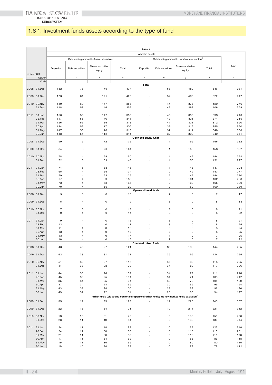**EUROSYSTEM**

### 1.8.1. Investment funds assets according to the type of fund

|            |                       | <b>Assets</b>       |                     |                                                      |                |                                |                                    |                                                                                                           |                           |                |  |
|------------|-----------------------|---------------------|---------------------|------------------------------------------------------|----------------|--------------------------------|------------------------------------|-----------------------------------------------------------------------------------------------------------|---------------------------|----------------|--|
|            |                       |                     |                     |                                                      |                | Domestic assets                |                                    |                                                                                                           |                           |                |  |
|            |                       |                     |                     | Outstanding amount to financial sectors <sup>1</sup> |                |                                |                                    | Outstanding amount to non-financial sectors <sup>2</sup>                                                  |                           |                |  |
|            |                       | Deposits            | Debt securities     | Shares and other<br>equity                           | Total          | Deposits                       | Debt securities                    | Shares and other<br>equity                                                                                | Total                     | Total          |  |
| in mio EUR | Column                | $\mathbf{1}$        | $\overline{2}$      | $\overline{3}$                                       | $\overline{4}$ | $\overline{5}$                 | 6                                  | $\overline{7}$                                                                                            | $\overline{\mathbf{8}}$   | $\overline{9}$ |  |
|            | Code                  |                     |                     |                                                      |                |                                |                                    |                                                                                                           |                           |                |  |
|            |                       |                     |                     |                                                      |                | Total                          |                                    |                                                                                                           |                           |                |  |
|            | 2008 31.Dec           | 182                 | 76                  | 175                                                  | 434            |                                | 58                                 | 489                                                                                                       | 546                       | 981            |  |
|            | 2009 31.Dec           | 173                 | 61                  | 191                                                  | 425            |                                | 54                                 | 468                                                                                                       | 522                       | 947            |  |
|            | 2010 30.Nov           | 149                 | 60                  | 147                                                  | 356            |                                | 44                                 | 376                                                                                                       | 420                       | 776            |  |
|            | 31.Dec                | 148                 | 58                  | 146                                                  | 352            |                                | 43                                 | 363                                                                                                       | 406                       | 759            |  |
|            |                       |                     |                     |                                                      |                |                                |                                    |                                                                                                           |                           |                |  |
|            | 2011 31.Jan           | 150                 | 58                  | 142                                                  | 350            |                                | 43                                 | 350                                                                                                       | 393                       | 743            |  |
|            | 28.Feb<br>31.Mar      | 147<br>126          | 55<br>53            | 140<br>139                                           | 341<br>318     |                                | 43<br>41                           | 331<br>331                                                                                                | 374<br>372                | 715<br>690     |  |
|            | 30.Apr                | 134                 | 53                  | 117                                                  | 305            |                                | 39                                 | 316                                                                                                       | 355                       | 660            |  |
|            | 31.May                | 147                 | 53                  | 118                                                  | 318            |                                | 37                                 | 311                                                                                                       | 348                       | 666            |  |
|            | 30.Jun                | 148                 | 51                  | 112                                                  | 311            |                                | 37                                 | 303                                                                                                       | 340                       | 651            |  |
|            |                       |                     |                     |                                                      |                | Open-end equity funds          |                                    |                                                                                                           |                           |                |  |
|            | 2008 31.Dec           | 99                  | $\,$ 5 $\,$         | 72                                                   | 176            |                                | $\mathbf{1}$                       | 155                                                                                                       | 156                       | 332            |  |
|            | 2009 31.Dec           | 84                  | 3                   | 76                                                   | 164            |                                | 1                                  | 158                                                                                                       | 158                       | 322            |  |
|            | 2010 30.Nov           | 78                  | $\overline{4}$      | 69                                                   | 150            |                                | 1                                  | 142                                                                                                       | 144                       | 294            |  |
|            | 31.Dec                | 72                  | 5                   | 69                                                   | 146            |                                | 1                                  | 150                                                                                                       | 152                       | 297            |  |
|            | 2011 31.Jan           | 74                  | $\,$ 5 $\,$         | 68                                                   | 146            |                                | 1                                  | 146                                                                                                       | 147                       | 293            |  |
|            | 28.Feb                | 65                  | 4                   | 65                                                   | 134            |                                | $\sqrt{2}$                         | 142                                                                                                       | 143                       | 277            |  |
|            | 31.Mar                | 59                  | 4                   | 63                                                   | 126            |                                | $\sqrt{2}$                         | 142                                                                                                       | 144                       | 270            |  |
|            | 30.Apr                | 67                  | 4                   | 59                                                   | 130            |                                | $\sqrt{2}$                         | 161                                                                                                       | 162                       | 293            |  |
|            | 31.May                | 73                  | $\overline{4}$      | 58                                                   | 135            |                                | $\overline{c}$                     | 163                                                                                                       | 165                       | 300            |  |
|            | 30.Jun                | 70                  | 4                   | 55                                                   | 129            |                                | $\overline{c}$                     | 159                                                                                                       | 160                       | 289            |  |
|            |                       |                     |                     |                                                      |                | Open-end bond funds            |                                    |                                                                                                           |                           |                |  |
|            | 2008 31.Dec           | $\,$ 5 $\,$         | $\,$ 5 $\,$         | $\mathsf O$                                          | 10             |                                | $\overline{7}$                     | $\circ$                                                                                                   | $\overline{7}$            | 17             |  |
|            | 2009 31.Dec           | 5                   | 4                   | $\mathsf O$                                          | 9              |                                | 8                                  | $\circ$                                                                                                   | 8                         | 18             |  |
|            | 2010 30.Nov<br>31.Dec | $\overline{7}$<br>9 | 5<br>$\overline{4}$ | $\mathsf O$<br>$\circ$                               | 13<br>14       |                                | 8<br>8                             | $\mathsf O$<br>$\circ$                                                                                    | 8<br>8                    | 21<br>22       |  |
|            |                       |                     |                     |                                                      |                |                                |                                    |                                                                                                           |                           |                |  |
|            | 2011 31.Jan           | $\hbox{9}$          | $\overline{4}$      | $\mathsf O$                                          | 13             |                                | $\,$ 8 $\,$                        | $\circ$                                                                                                   | 8                         | 21             |  |
|            | 28.Feb                | 12                  | 4                   | $\mathsf O$                                          | 17             |                                | 8                                  | $\mathbf 0$                                                                                               | 8                         | 25             |  |
|            | 31.Mar                | 11                  | 4                   | $\mathsf O$                                          | 16             |                                | 8                                  | $\circ$                                                                                                   | 8                         | 24             |  |
|            | 30.Apr                | 13                  | 4                   | $\mathsf O$                                          | 17             |                                | $\overline{7}$                     | $\circ$                                                                                                   | 8                         | 25             |  |
|            | 31.May                | 13                  | 4                   | $\mathsf O$                                          | 17             |                                | $\boldsymbol{7}$                   | $\mathbf 0$                                                                                               | $\overline{\mathfrak{c}}$ | 25             |  |
|            | 30.Jun                | 10                  | 4                   | $\mathsf{O}\xspace$                                  | 15             | $\sim$<br>Open-end mixed funds | $\overline{7}$                     | $\mathbf 0$                                                                                               | $\overline{7}$            | 22             |  |
|            | 2008 31.Dec           | 46                  | 48                  | 27                                                   | 121            |                                | 38                                 | 106                                                                                                       | 144                       | 265            |  |
|            | 2009 31.Dec           | 62                  | 38                  | 31                                                   | 131            |                                | 35                                 | 99                                                                                                        | 134                       | 265            |  |
|            | 2010 30.Nov           | 51                  | 39                  | 27                                                   | 117            |                                | 35                                 | 83                                                                                                        | 118                       | 235            |  |
|            | 31.Dec                | 44                  | 38                  | 28                                                   | 109            |                                | 34                                 | 83                                                                                                        | 117                       | 226            |  |
|            | 2011 31.Jan           | 44                  | 38                  | 26                                                   | 107            |                                | 34                                 | 77                                                                                                        | 111                       | 218            |  |
|            | 28.Feb                | 45                  | 35                  | 25                                                   | 104            |                                | 34                                 | 74                                                                                                        | 108                       | 212            |  |
|            | 31.Mar                | 35                  | 34                  | 25                                                   | 94             |                                | 32                                 | 73                                                                                                        | 105                       | 199            |  |
|            | 30.Apr                | 37                  | 34                  | 24                                                   | 95             |                                | 30                                 | 69                                                                                                        | 99                        | 194            |  |
|            | 31.May                | 43                  | 33                  | 24                                                   | 100            |                                | 28                                 | 68                                                                                                        | 96                        | 196            |  |
|            | 30.Jun                | 49                  | 32                  | 22                                                   | 104            |                                | 28                                 | 66                                                                                                        | 94                        | 197            |  |
|            | 2008 31.Dec           | 33                  | 19                  | 75                                                   | 127            |                                | 12                                 | other funds (close-end equity and open-end other funds; money market funds excluded <sup>3</sup> )<br>228 | 240                       | 367            |  |
|            | 2009 31.Dec           | 22                  | 15                  | 84                                                   | 121            |                                | 10                                 | 211                                                                                                       | 221                       | 342            |  |
|            |                       |                     |                     |                                                      |                |                                |                                    |                                                                                                           |                           |                |  |
|            | 2010 30.Nov           | 13                  | 13                  | 51                                                   | 76             |                                | $\mathsf{O}\xspace$                | 150                                                                                                       | 150                       | 226            |  |
|            | 31.Dec                | 23                  | 11                  | 49                                                   | 84             |                                | $\mathsf{O}\xspace$                | 130                                                                                                       | 130                       | 214            |  |
|            | 2011 31.Jan<br>28.Feb | 24<br>24            | 11<br>11            | 48<br>50                                             | 83<br>86       |                                | $\mathsf{O}\xspace$<br>$\mathsf O$ | 127<br>115                                                                                                | 127<br>115                | 210<br>201     |  |
|            | 31.Mar                | 21                  | 11                  | 50                                                   | 83             |                                | $\mathsf{O}\xspace$                | 115                                                                                                       | 115                       | 198            |  |
|            | 30.Apr                | 17                  | 11                  | 34                                                   | 62             |                                | $\mathsf{O}\xspace$                | 86                                                                                                        | 86                        | 148            |  |
|            | 31.May                | 19                  | 11                  | 35                                                   | 65             |                                | 0                                  | 80                                                                                                        | 80                        | 145            |  |
|            | 30.Jun                | 19                  | 10                  | 34                                                   | 63             |                                | $\mathsf{O}\xspace$                | 78                                                                                                        | 78                        | 142            |  |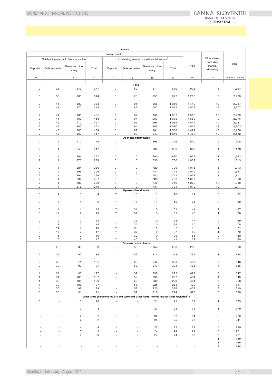|                                                      | Assets          |                                                                                    |                         |                                    |                            |                                                                                                  |                |                |                                       |                    |
|------------------------------------------------------|-----------------|------------------------------------------------------------------------------------|-------------------------|------------------------------------|----------------------------|--------------------------------------------------------------------------------------------------|----------------|----------------|---------------------------------------|--------------------|
|                                                      |                 |                                                                                    |                         | Foreign assets                     |                            |                                                                                                  |                |                | Other assets                          |                    |
| Deposits                                             | Debt securities | Outstanding amount to financial sectors <sup>1</sup><br>Shares and other<br>equity | Total                   | Deposits                           | Debt securities            | Outstanding amount to non-financial sectors <sup>2</sup><br>Shares and other<br>equity           | Total          | Total          | (including<br>financial<br>derivates) | Total              |
| 10                                                   | 11              | 12                                                                                 | 13                      | 14                                 | 15                         | 16                                                                                               | 17             | 18             | 19                                    | $20 = 9 + 18 + 19$ |
|                                                      |                 |                                                                                    |                         |                                    | Total                      |                                                                                                  |                |                |                                       |                    |
| $\overline{c}$                                       | 28              | 247                                                                                | 277                     | $\mathsf O$                        | 59                         | 571                                                                                              | 630            | 908            | 6                                     | 1,894              |
| 3                                                    | 38              | 303                                                                                | 344                     | $\mathsf O$                        | 70                         | 851                                                                                              | 922            | 1,266          | $\overline{7}$                        | 2,220              |
| $\overline{c}$                                       | 41              | 339                                                                                | 383                     | $\mathsf O$                        | 91                         | 968                                                                                              | 1,059          | 1,442          | 19                                    | 2,237              |
| $\overline{c}$                                       | 43              | 370                                                                                | 415                     | $\mathsf{O}\xspace$                | 89                         | 1,002                                                                                            | 1,091          | 1,506          | 12                                    | 2,277              |
| $\overline{c}$                                       | 44              | 385                                                                                | 431                     | $\mathsf{O}\xspace$                | 92                         | 990                                                                                              | 1,082          | 1,513          | 13                                    | 2,269              |
| $\ensuremath{\mathsf{3}}$                            | 44              | 409                                                                                | 456                     | $\mathsf O$                        | 94                         | 1,003                                                                                            | 1,096          | 1,552          | 9                                     | 2,276              |
| $\ensuremath{\mathsf{3}}$                            | 45              | 410                                                                                | 457                     | $\mathsf{O}\xspace$                | 93                         | 996                                                                                              | 1,089          | 1,547          | 10                                    | 2,247              |
| 3                                                    | 46              | 403                                                                                | 451                     | $\mathsf{O}\xspace$                | 94<br>97                   | 985                                                                                              | 1,080          | 1,531          | 13                                    | 2,203              |
| $\ensuremath{\mathsf{3}}$<br>$\overline{\mathbf{c}}$ | 46<br>46        | 386<br>369                                                                         | 434<br>417              | $\mathsf{O}\xspace$<br>$\mathsf O$ | 99                         | 961<br>947                                                                                       | 1,058<br>1,046 | 1,492<br>1,463 | 17<br>19                              | 2,176<br>2,132     |
|                                                      |                 |                                                                                    |                         |                                    | Open-end equity funds      |                                                                                                  |                |                |                                       |                    |
| $\overline{c}$                                       | $\sqrt{2}$      | 172                                                                                | 175                     | $\mathsf O$                        | 0                          | 396                                                                                              | 396            | 570            | $\overline{c}$                        | 905                |
| $\overline{c}$                                       | $\mathbf{1}$    | 243                                                                                | 247                     | $\mathsf{O}\xspace$                | 0                          | 600                                                                                              | 600            | 847            | $\overline{4}$                        | 1,173              |
| $\overline{\mathbf{c}}$                              | $\mathbf{1}$    | 264                                                                                | 267                     | $\mathsf{O}\xspace$                | $\mathsf{O}\xspace$        | 690                                                                                              | 690            | 957            | 11                                    | 1,262              |
| $\sqrt{2}$                                           | $\mathbf{1}$    | 276                                                                                | 279                     | $\mathsf O$                        | $\mathsf{O}\xspace$        | 730                                                                                              | 730            | 1,009          | $\overline{7}$                        | 1,313              |
| $\sqrt{2}$                                           | $\mathbf{1}$    | 284                                                                                | 286                     | $\mathsf{O}\xspace$                | $\mathsf{O}\xspace$        | 729                                                                                              | 729            | 1,015          | 5                                     | 1,313              |
| $\sqrt{2}$                                           | 1               | 296                                                                                | 299                     | $\mathsf O$                        | 0                          | 741                                                                                              | 741            | 1,040          | $\,$ 5 $\,$                           | 1,321              |
| $\overline{\mathbf{c}}$                              | 1               | 294                                                                                | 296                     | $\mathsf{O}\xspace$                | 0                          | 741                                                                                              | 741            | 1,038          | 3                                     | 1,311              |
| $\sqrt{2}$                                           | 1               | 294                                                                                | 297                     | $\mathsf O$                        | 0                          | 760                                                                                              | 760            | 1,057          | 8                                     | 1,358              |
| $\sqrt{2}$                                           | $\mathbf{1}$    | 286                                                                                | 289                     | $\mathsf{O}\xspace$                | 0                          | 740                                                                                              | 740            | 1,029          | 10                                    | 1,339              |
| $\overline{c}$                                       | $\mathbf{1}$    | 276                                                                                | 279                     | $\mathsf{O}\xspace$                | 0                          | 731                                                                                              | 731            | 1,010          | 12                                    | 1,311              |
| $\mathsf{O}\xspace$                                  | 4               | $\mathsf{O}\xspace$                                                                | $\sqrt{4}$              | $\overline{\phantom{0}}$           | Open-end bond funds<br>10  | $\mathbf{1}$                                                                                     | 10             | 14             | 0                                     | 32                 |
| 0                                                    | 5               | $\mathbf{1}$                                                                       | 6                       |                                    | 15                         | $\mathbf{1}$                                                                                     | 15             | 21             | 0                                     | 39                 |
| $\mathsf O$                                          | 11              | $\mathbf{1}$                                                                       | 13                      |                                    | 31                         | $\mathsf{O}\xspace$                                                                              | 31             | 44             | $\overline{c}$                        | 67                 |
| $\mathsf{O}\xspace$                                  | 12              | $\sqrt{2}$                                                                         | 13                      | $\overline{a}$                     | 31                         | $\mathsf O$                                                                                      | 32             | 45             | $\mathbf{1}$                          | 68                 |
| $\mathsf{O}\xspace$                                  | 12              | $\sqrt{2}$                                                                         | 14                      |                                    | 33                         | $\mathsf{O}\xspace$                                                                              | 33             | 47             | 0                                     | 69                 |
| $\mathsf O$                                          | 13              | $\sqrt{2}$                                                                         | 15                      |                                    | 35                         | $\mathsf{O}\xspace$                                                                              | 35             | 50             | 0                                     | 75                 |
| $\mathsf{O}\xspace$                                  | 14              | $\sqrt{2}$                                                                         | 16                      | ۰                                  | 36                         | $\mathbf 1$                                                                                      | 37             | 53             | $\mathbf{1}$                          | 77                 |
| $\mathsf O$                                          | 15              | $\sqrt{2}$                                                                         | 17                      |                                    | 37                         | 0                                                                                                | 37             | 53             | 1                                     | 79                 |
| $\mathsf{O}\xspace$                                  | 15              | $\sqrt{2}$                                                                         | 16                      | $\blacksquare$<br>$\overline{a}$   | 39                         | $\mathsf{O}\xspace$                                                                              | 39             | 55             | 0                                     | 80                 |
| $\mathsf O$                                          | 15              | $\sqrt{2}$                                                                         | 17                      |                                    | 40                         | $\mathsf{O}\xspace$                                                                              | 41             | 57             | 0                                     | 80                 |
| $\mathsf{O}\xspace$                                  | 23              | 65                                                                                 | 89                      | $\overline{\phantom{a}}$           | Open-end mixed funds<br>50 | 154                                                                                              | 203            | 292            | 3                                     | 559                |
| $\mathbf{1}$                                         | 31              | 57                                                                                 | 88                      |                                    | 56                         | 217                                                                                              | 273            | 361            | $\mathbf{1}$                          | 628                |
| $\mathsf{O}\xspace$                                  | 29              | 71                                                                                 | 101                     |                                    | 60                         | 246                                                                                              | 306            | 407            | 6                                     | 648                |
| $\mathsf{O}\xspace$                                  | 30              | 90                                                                                 | 121                     | ÷,                                 | 58                         | 247                                                                                              | 304            | 425            | $\overline{4}$                        | 655                |
| $\mathbf 1$                                          | 31              | 95                                                                                 | 127                     |                                    | 59                         | 236                                                                                              | 295            | 422            | 8                                     | 647                |
| $\mathbf{1}$                                         | 31              | 106                                                                                | 137                     |                                    | 59                         | 238                                                                                              | 297            | 434            | $\overline{4}$                        | 649                |
| $\mathbf{1}$                                         | 30              | 105                                                                                | 136                     |                                    | 58                         | 230                                                                                              | 288            | 424            | 5                                     | 628                |
| $\mathbf{1}$                                         | 30              | 106                                                                                | 137                     |                                    | 58                         | 225                                                                                              | 283            | 420            | 3                                     | 617                |
| $\mathbf 1$                                          | 30              | 98                                                                                 | 129                     |                                    | 58                         | 220                                                                                              | 278            | 408            | 6                                     | 610                |
| $\mathsf{O}\xspace$                                  | 30              | 91                                                                                 | 121                     | ä,                                 | 59                         | 216                                                                                              | 274            | 395            | 5                                     | 598                |
| $\mathsf{O}\xspace$                                  |                 | 10                                                                                 | 10                      |                                    |                            | other funds (close-end equity and open-end other funds; money market funds excluded $^3$ )<br>21 | 21             | 31             | $\mathbf{1}$                          | 399                |
|                                                      |                 | 3                                                                                  | 3                       |                                    |                            | 33                                                                                               | 33             | 36             | 1                                     | 379                |
|                                                      |                 | $\sqrt{2}$                                                                         | $\overline{\mathbf{c}}$ |                                    |                            | 32                                                                                               | 32             | 34             | $\mathsf{O}\xspace$                   | 260                |
|                                                      |                 | $\overline{c}$                                                                     | $\sqrt{2}$              |                                    |                            | 25                                                                                               | 25             | 27             | 0                                     | 241                |
|                                                      |                 | $\overline{4}$                                                                     | $\overline{4}$          |                                    |                            | 25                                                                                               | 25             | 29             | $\mathsf{O}\xspace$                   | 239                |
|                                                      |                 | 5                                                                                  | 5                       |                                    |                            | 24                                                                                               | 24             | 29             | $\mathsf{O}\xspace$                   | 231                |
|                                                      |                 | 9                                                                                  | 9                       |                                    |                            | 24                                                                                               | 24             | 32             | $\mathsf{O}\xspace$                   | 231                |
|                                                      |                 |                                                                                    |                         |                                    |                            |                                                                                                  |                | í.             | 1                                     | 149                |
|                                                      |                 |                                                                                    |                         |                                    |                            |                                                                                                  |                |                | 1                                     | 146                |
|                                                      |                 |                                                                                    |                         |                                    |                            |                                                                                                  |                |                | $\overline{c}$                        | 144                |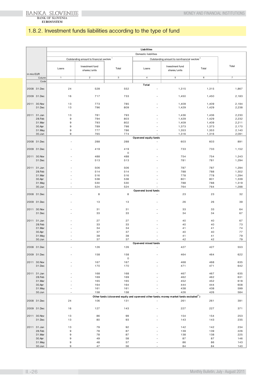**EUROSYSTEM**

### 1.8.2. Investment funds liabilities according to the type of fund

|            |                       | Liabilities    |                                                      |                     |                                                                                       |                                                          |                |                |  |  |  |
|------------|-----------------------|----------------|------------------------------------------------------|---------------------|---------------------------------------------------------------------------------------|----------------------------------------------------------|----------------|----------------|--|--|--|
|            |                       |                |                                                      |                     | Domestic liabilities                                                                  |                                                          |                |                |  |  |  |
|            |                       |                | Outstanding amount to financial sectors <sup>1</sup> |                     |                                                                                       | Outstanding amount to non-financial sectors <sup>2</sup> |                |                |  |  |  |
|            |                       |                |                                                      |                     |                                                                                       |                                                          |                |                |  |  |  |
|            |                       | Loans          | Investment fund                                      | Total               | Loans                                                                                 | Investment fund                                          | Total          | Total          |  |  |  |
|            |                       |                | shares/units                                         |                     |                                                                                       | shares/units                                             |                |                |  |  |  |
| in mio EUR |                       | $\overline{1}$ | $\overline{2}$                                       | $\overline{3}$      | $\overline{4}$                                                                        | $\overline{5}$                                           | 6              | $\overline{7}$ |  |  |  |
|            | Column<br>Code        |                |                                                      |                     |                                                                                       |                                                          |                |                |  |  |  |
|            |                       |                |                                                      |                     | Total                                                                                 |                                                          |                |                |  |  |  |
|            | 2008 31.Dec           | 24             | 528                                                  | 552                 |                                                                                       | 1,315                                                    | 1,315          | 1,867          |  |  |  |
|            |                       |                |                                                      |                     |                                                                                       |                                                          |                |                |  |  |  |
|            | 2009 31.Dec           | 16             | 717                                                  | 733                 |                                                                                       | 1,450                                                    | 1,450          | 2,183          |  |  |  |
|            |                       |                |                                                      |                     |                                                                                       |                                                          |                |                |  |  |  |
|            | 2011 30.Nov<br>31.Dec | 13<br>13       | 773<br>796                                           | 785<br>809          |                                                                                       | 1,409<br>1,429                                           | 1,409<br>1,429 | 2,194<br>2,238 |  |  |  |
|            |                       |                |                                                      |                     |                                                                                       |                                                          |                |                |  |  |  |
|            | 2011 31.Jan           | 13             | 781                                                  | 793                 |                                                                                       | 1,436                                                    | 1,436          | 2,230          |  |  |  |
|            | 28.Feb                | 9              | 794                                                  | 803                 |                                                                                       | 1,429                                                    | 1,429          | 2,232          |  |  |  |
|            | 31.Mar                | 9              | 793                                                  | 802                 |                                                                                       | 1,409                                                    | 1,409          | 2,211          |  |  |  |
|            | 30.Apr                | 9              | 789                                                  | 798                 |                                                                                       | 1,373                                                    | 1,373          | 2,170          |  |  |  |
|            | 31.May                | 9<br>9         | 777                                                  | 786<br>774          |                                                                                       | 1,353                                                    | 1,353          | 2,140          |  |  |  |
|            | 30.Jun                |                | 765                                                  |                     | Open-end equity funds                                                                 | 1,316                                                    | 1,316          | 2,091          |  |  |  |
|            | 2008 31.Dec           |                | 288                                                  | 288                 |                                                                                       | 603                                                      | 603            | 891            |  |  |  |
|            |                       |                |                                                      |                     |                                                                                       |                                                          |                |                |  |  |  |
|            | 2009 31.Dec           |                | 419                                                  | 419                 |                                                                                       | 733                                                      | 733            | 1,152          |  |  |  |
|            |                       |                |                                                      | $\mathsf O$         |                                                                                       |                                                          |                |                |  |  |  |
|            | 2011 30.Nov           |                | 488                                                  | 488                 |                                                                                       | 754                                                      | 754            | 1,243          |  |  |  |
|            | 31.Dec                |                | 513                                                  | 513                 |                                                                                       | 781                                                      | 781            | 1,294          |  |  |  |
|            | 2011 31.Jan           |                | 506                                                  | 506                 |                                                                                       | 787                                                      | 787            | 1,294          |  |  |  |
|            | 28.Feb                |                | 514                                                  | 514                 |                                                                                       | 788                                                      | 788            | 1,302          |  |  |  |
|            | 31.Mar                |                | 516                                                  | 516                 |                                                                                       | 778                                                      | 778            | 1,294          |  |  |  |
|            | 30.Apr                |                | 538                                                  | 538                 |                                                                                       | 801                                                      | 801            | 1,339          |  |  |  |
|            | 31.May                |                | 530                                                  | 530                 |                                                                                       | 788                                                      | 788            | 1,319          |  |  |  |
|            | 30.Jun                |                | 524                                                  | 524                 |                                                                                       | 764                                                      | 764            | 1,288          |  |  |  |
|            | 2008 31.Dec           |                | 8                                                    | 8                   | Open-end bond funds                                                                   | 23                                                       | 23             | 32             |  |  |  |
|            |                       |                |                                                      |                     |                                                                                       |                                                          |                |                |  |  |  |
|            | 2009 31.Dec           |                | 13                                                   | 13                  |                                                                                       | 26                                                       | 26             | 39             |  |  |  |
|            |                       |                |                                                      |                     |                                                                                       |                                                          |                |                |  |  |  |
|            | 2011 30.Nov           |                | 31                                                   | 31                  |                                                                                       | 33                                                       | 33             | 64             |  |  |  |
|            | 31.Dec                |                | 33                                                   | 33                  |                                                                                       | 34                                                       | 34             | 67             |  |  |  |
|            | 2011 31.Jan           |                | 27                                                   | 27                  |                                                                                       | 40                                                       | 40             | 67             |  |  |  |
|            | 28.Feb                |                | 33                                                   | 33                  |                                                                                       | 40                                                       | 40             | 73             |  |  |  |
|            | 31.Mar                |                | 34                                                   | 34                  |                                                                                       | 41                                                       | 41             | 74             |  |  |  |
|            | 30.Apr                |                | 37                                                   | 37                  |                                                                                       | 40                                                       | 40             | 77             |  |  |  |
|            | 31.May                |                | 38                                                   | 38                  |                                                                                       | 41                                                       | 41             | 79             |  |  |  |
|            | 30.Jun                | ÷.             | 37                                                   | 37                  | ÷.                                                                                    | 42                                                       | 42             | 79             |  |  |  |
|            | 2008 31.Dec           |                | 126                                                  | 126                 | Open-end mixed funds<br>$\overline{a}$                                                | 427                                                      | 427            | 553            |  |  |  |
|            |                       |                |                                                      |                     |                                                                                       |                                                          |                |                |  |  |  |
|            | 2009 31.Dec           |                | 158                                                  | 158                 |                                                                                       | 464                                                      | 464            | 622            |  |  |  |
|            |                       |                |                                                      | $\mathsf{O}\xspace$ |                                                                                       |                                                          |                |                |  |  |  |
|            | 2011 30.Nov           |                | 167                                                  | 167                 |                                                                                       | 468                                                      | 468            | 635            |  |  |  |
|            | 31.Dec                |                | 170                                                  | 170                 |                                                                                       | 471                                                      | 471            | 642            |  |  |  |
|            | 2011 31.Jan           |                | 168                                                  | 168                 |                                                                                       | 467                                                      | 467            | 635            |  |  |  |
|            | 28.Feb                |                | 169                                                  | 169                 |                                                                                       | 462                                                      | 462            | 631            |  |  |  |
|            | 31.Mar                |                | 165                                                  | 165                 |                                                                                       | 452                                                      | 452            | 618            |  |  |  |
|            | 30.Apr                |                | 164                                                  | 164                 |                                                                                       | 444                                                      | 444            | 608            |  |  |  |
|            | 31.May                |                | 161                                                  | 161                 |                                                                                       | 438                                                      | 438            | 599            |  |  |  |
|            | 30.Jun                | ٠              | 158                                                  | 158                 |                                                                                       | 426                                                      | 426            | 584            |  |  |  |
|            |                       |                |                                                      |                     | Other funds (close-end equity and open-end other funds; money market funds excluded3) |                                                          |                |                |  |  |  |
|            | 2008 31.Dec           | 24             | 106                                                  | 131                 |                                                                                       | 261                                                      | 261            | 391            |  |  |  |
|            | 2009 31.Dec           | 16             | 127                                                  | 143                 |                                                                                       | 227                                                      | 227            | 371            |  |  |  |
|            |                       |                |                                                      |                     |                                                                                       |                                                          |                |                |  |  |  |
|            | 2011 30.Nov           | 13             | 86                                                   | 99                  |                                                                                       | 154                                                      | 154            | 253            |  |  |  |
|            | 31.Dec                | 13             | 80                                                   | 93                  |                                                                                       | 143                                                      | 143            | 235            |  |  |  |
|            |                       |                |                                                      |                     |                                                                                       |                                                          |                |                |  |  |  |
|            | 2011 31.Jan           | 13             | 79                                                   | 92                  |                                                                                       | 142                                                      | 142            | 234            |  |  |  |
|            | 28.Feb<br>31.Mar      | 9<br>9         | 78<br>78                                             | 87<br>87            |                                                                                       | 139<br>138                                               | 139<br>138     | 226<br>225     |  |  |  |
|            | 30.Apr                | 9              | 49                                                   | 58                  |                                                                                       | 87                                                       | 87             | 146            |  |  |  |
|            | 31.May                | 9              | 48                                                   | 57                  |                                                                                       | 86                                                       | 86             | 143            |  |  |  |
|            | 30.Jun                | 9              | 47                                                   | 56                  |                                                                                       | 84                                                       | 84             | 140            |  |  |  |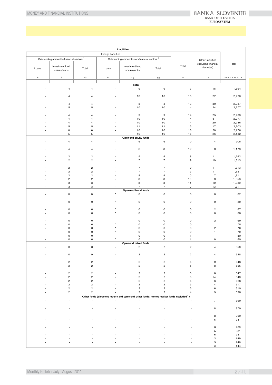| Liabilities             |                                                      |                                            |                          |                                                                                                    |                                    |                             |                                    |                    |
|-------------------------|------------------------------------------------------|--------------------------------------------|--------------------------|----------------------------------------------------------------------------------------------------|------------------------------------|-----------------------------|------------------------------------|--------------------|
|                         |                                                      |                                            | Foreign liabilities      |                                                                                                    |                                    |                             |                                    |                    |
|                         | Outstanding amount to financial sectors <sup>1</sup> |                                            |                          | Outstanding amount to non-financial sectors <sup>2</sup>                                           |                                    |                             | Other liabilities                  |                    |
| Loans                   | Investment fund<br>shares/units                      | Total                                      | Loans                    | Investment fund<br>shares/units                                                                    | Total                              | Total                       | (including financial<br>derivates) | Total              |
| $\overline{\mathbf{8}}$ | $\overline{9}$                                       | 10                                         | 11                       | 12                                                                                                 | 13                                 | 14                          | 15                                 | $16 = 7 + 14 + 15$ |
|                         |                                                      |                                            |                          |                                                                                                    |                                    |                             |                                    |                    |
|                         | $\sqrt{4}$                                           | $\ensuremath{4}$                           |                          | Total<br>$\mathsf g$                                                                               | $\boldsymbol{9}$                   | 13                          | 15                                 | 1,894              |
|                         | $\overline{\mathbf{4}}$                              | $\overline{4}$                             |                          | $10$                                                                                               | 10                                 | 15                          | 22                                 | 2,220              |
|                         | 4                                                    | $\overline{\mathbf{4}}$                    |                          | 8                                                                                                  | 8                                  | 13                          | 30                                 | 2,237              |
|                         | 5                                                    | $\,$ 5 $\,$                                |                          | 10                                                                                                 | 10                                 | 14                          | 24                                 | 2,277              |
|                         | 4                                                    | 4                                          |                          | $\mathsf g$                                                                                        | $\mathsf g$                        | 14                          | 25                                 | 2,269              |
|                         | 4                                                    | $\overline{4}$                             |                          | 10                                                                                                 | 10                                 | 14                          | 31                                 | 2,277              |
|                         | $\overline{\mathbf{4}}$                              | $\overline{4}$                             |                          | 10                                                                                                 | 10                                 | 14                          | 20                                 | 2,246              |
|                         | 5                                                    | 5                                          |                          | 11                                                                                                 | 11                                 | 15                          | 17                                 | 2,203              |
|                         | 6                                                    | 6                                          |                          | 10                                                                                                 | 10                                 | 16                          | 20                                 | 2,176              |
| ٠                       | 5                                                    | 5                                          | $\overline{\phantom{a}}$ | 10<br>Open-end equity funds                                                                        | 10                                 | 16                          | 26                                 | 2,132              |
|                         | $\sqrt{4}$                                           | $\overline{\mathbf{4}}$                    | ÷.                       | 6                                                                                                  | 6                                  | 10                          | $\overline{4}$                     | 905                |
|                         | 4                                                    | $\overline{4}$                             | $\overline{\phantom{a}}$ | 8                                                                                                  | 8                                  | 12                          | $\mathsf g$                        | 1,173              |
|                         | $\sqrt{2}$                                           | $\sqrt{2}$                                 |                          | $\,$ 5 $\,$                                                                                        | $\,$ 5 $\,$                        | 8                           | 11                                 | 1,262              |
|                         | $\overline{\mathbf{c}}$                              | $\overline{c}$                             |                          | $\overline{7}$                                                                                     | $\overline{7}$                     | $\mathsf g$                 | 10                                 | 1,313              |
|                         | $\overline{\mathbf{c}}$                              | $\sqrt{2}$                                 |                          | $\overline{\mathcal{I}}$                                                                           | $\overline{7}$                     | $\mathsf g$                 | 11                                 | 1,313              |
|                         | $\overline{\mathbf{c}}$                              | $\sqrt{2}$                                 |                          | $\overline{7}$                                                                                     | $\boldsymbol{7}$                   | $\mathsf g$                 | 11                                 | 1,321              |
|                         | $\overline{\mathbf{c}}$                              | $\sqrt{2}$                                 |                          | 8                                                                                                  | 8                                  | 10                          | $\overline{\mathcal{I}}$           | 1,311              |
|                         | $\mathbf 2$                                          | $\sqrt{2}$                                 |                          | 8                                                                                                  | 8                                  | 10                          | $\mathsf g$                        | 1,358              |
|                         | 3                                                    | 3                                          |                          | 8                                                                                                  | 8                                  | 11                          | 10                                 | 1,339              |
| ٠                       | 3                                                    | 3                                          | $\sim$                   | $\overline{\mathcal{I}}$                                                                           | $\overline{7}$                     | 10                          | 13                                 | 1,311              |
|                         | $\mathsf{O}\xspace$                                  | 0                                          | $\blacksquare$           | Open-end bond funds<br>$\mathsf O$                                                                 | $\mathsf{O}$                       | $\mathsf{O}$                | $\mathsf{O}\xspace$                | 32                 |
|                         | $\mathsf{O}\xspace$                                  | 0                                          | $\overline{\phantom{0}}$ | $\mathsf{O}\xspace$                                                                                | $\mathsf{O}\xspace$                | $\mathsf{O}$                | $\mathsf{O}\xspace$                | 39                 |
|                         | $\mathsf{O}\xspace$<br>$\circ$                       | $\mathsf{O}\xspace$<br>$\mathsf{O}\xspace$ |                          | $\mathsf O$<br>$\mathsf O$                                                                         | $\mathsf{O}\xspace$<br>$\mathsf O$ | $\mathsf{O}$<br>$\mathsf O$ | $\sqrt{2}$<br>$\mathsf O$          | 67<br>68           |
|                         | $\mathsf{O}\xspace$                                  | $\mathsf O$                                |                          | $\circ$                                                                                            | $\mathsf{O}\xspace$                | $\mathsf{O}$                | $\overline{c}$                     | 69                 |
|                         | $\mathsf{O}\xspace$                                  | $\mathsf{O}\xspace$                        |                          | $\mathsf{O}\xspace$                                                                                | $\mathsf{O}\xspace$                | $\mathsf{O}$                | $\mathbf{1}$                       | 75                 |
|                         | 0                                                    | $\mathsf O$                                |                          | $\mathsf{O}\xspace$                                                                                | $\mathsf{O}\xspace$                | $\mathsf O$                 | $\overline{c}$                     | 76                 |
|                         | $\mathsf{O}\xspace$                                  | $\mathsf{O}\xspace$                        |                          | $\mathsf{O}\xspace$                                                                                | $\mathsf{O}\xspace$                | $\mathsf{O}\xspace$         | $\mathbf{1}$                       | 79                 |
|                         | 0                                                    | $\mathsf{O}\xspace$                        |                          | $\mathsf{O}\xspace$                                                                                | $\mathsf{O}\xspace$                | $\mathbf{1}$                | $\mathbf{1}$                       | 80                 |
| ٠                       | $\mathsf{O}\xspace$                                  | 0                                          |                          | $\mathsf{O}\xspace$                                                                                | $\mathsf{O}\xspace$                | $\mathbf{1}$                | $\mathsf{O}\xspace$                | 80                 |
| ٠                       | $\mathsf{O}\xspace$                                  | $\mathsf{O}\xspace$                        | ×.                       | Open-end mixed funds<br>$\sqrt{2}$                                                                 | $\sqrt{2}$                         | $\sqrt{2}$                  | $\sqrt{4}$                         | 559                |
|                         | $\mathsf{O}\xspace$                                  | 0                                          |                          | $\sqrt{2}$                                                                                         | $\sqrt{2}$                         | $\sqrt{2}$                  | $\sqrt{4}$                         | 628                |
|                         | $\sqrt{2}$                                           | $\sqrt{2}$                                 |                          | $\sqrt{2}$                                                                                         | $\sqrt{2}$                         | $\,$ 5 $\,$                 | 9                                  | 648                |
|                         | $\sqrt{2}$                                           | $\overline{c}$                             |                          | $\sqrt{2}$                                                                                         | $\sqrt{2}$                         | $\,$ 5 $\,$                 | $\bf8$                             | 655                |
|                         | $\sqrt{2}$                                           | $\sqrt{2}$                                 |                          | $\sqrt{2}$                                                                                         | $\sqrt{2}$                         | $\,$ 5 $\,$                 | 8                                  | 647                |
|                         | $\sqrt{2}$<br>$\sqrt{2}$                             | $\overline{c}$<br>$\sqrt{2}$               |                          | $\sqrt{2}$<br>$\sqrt{2}$                                                                           | $\sqrt{2}$<br>$\sqrt{2}$           | $\,$ 5 $\,$<br>$\,$ 5 $\,$  | 14<br>$\,6\,$                      | 649<br>628         |
|                         | $\sqrt{2}$                                           | $\overline{c}$                             |                          | $\sqrt{2}$                                                                                         | $\sqrt{2}$                         | $\,$ 5 $\,$                 | $\overline{4}$                     |                    |
|                         | $\mathbf 2$                                          | $\sqrt{2}$                                 |                          | $\sqrt{2}$                                                                                         | $\sqrt{2}$                         | $\,$ 5 $\,$                 | 6                                  | 617<br>610         |
|                         | $\overline{c}$                                       | $\overline{c}$                             |                          | $\sqrt{2}$                                                                                         | $\overline{c}$                     | $\overline{4}$              | $\mathsf g$                        | 598                |
|                         |                                                      |                                            |                          | Other funds (close-end equity and open-end other funds; money market funds excluded <sup>3</sup> ) |                                    |                             |                                    |                    |
|                         | ÷.                                                   |                                            |                          |                                                                                                    | L                                  | ä,                          | $\boldsymbol{7}$                   | 399                |
|                         |                                                      |                                            |                          |                                                                                                    |                                    | ٠                           | $\bf8$                             | 379                |
|                         |                                                      |                                            |                          |                                                                                                    |                                    |                             | 8                                  | 260                |
|                         |                                                      |                                            |                          |                                                                                                    |                                    |                             | 6                                  | 241                |
|                         |                                                      |                                            |                          |                                                                                                    |                                    |                             | 6                                  | 239                |
|                         |                                                      |                                            |                          |                                                                                                    |                                    |                             | $\,$ 5 $\,$                        | 231                |
|                         |                                                      |                                            |                          |                                                                                                    |                                    |                             | $\,6$                              | 231                |
|                         |                                                      |                                            |                          |                                                                                                    |                                    |                             | $\ensuremath{\mathsf{3}}$<br>3     | 149<br>146         |
|                         |                                                      |                                            |                          |                                                                                                    |                                    |                             | 3                                  | 144                |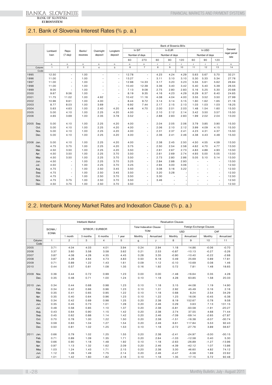**EUROSYSTEM**

### 2.1. Bank of Slovenia Interest Rates (% p. a.)

|              |                |                          |                         |                          |                          | Bank of Slovenia Bills |                          |                |                |              |              |                 |              |                     |
|--------------|----------------|--------------------------|-------------------------|--------------------------|--------------------------|------------------------|--------------------------|----------------|----------------|--------------|--------------|-----------------|--------------|---------------------|
|              | Lombard        | Repo                     | Banks'                  | Ovemight                 | Longterm                 |                        | In SIT                   |                | In EUR         |              |              | In USD          |              | General             |
|              | loan           | $(7-day)$                | reserves                | deposit                  | deposit                  |                        | Number of days           |                | Number of days |              |              | Number of days  |              | legal penal<br>rate |
|              |                |                          |                         |                          |                          | 60                     | 270                      | 60             | 90             | 120          | 60           | 90              | 120          |                     |
|              | n              | n                        | n                       | $\mathsf{n}$             | n                        | n.                     | n                        | r.             | $\mathbf{r}$   | $\mathbf{r}$ | $\mathbf{r}$ | $\mathbf{r}$    | $\mathbf{r}$ | n                   |
| Column       | $\overline{1}$ | $\overline{2}$           | $\overline{\mathbf{3}}$ | $\overline{4}$           | 5                        | $\overline{6}$         | $\overline{7}$           | $\overline{8}$ | $\overline{9}$ | 10           | 11           | $\overline{12}$ | 13           | 14                  |
| Code         |                |                          |                         |                          |                          |                        |                          |                |                |              |              |                 |              |                     |
| 1995         | 12.50          | $\sim$                   | 1.00                    | ×.                       | $\overline{\phantom{a}}$ | 12.78                  | ×                        | 4.23           | 4.24           | 4.29         | 5.63         | 5.67            | 5.70         | 32.21               |
| 1996         | 11.00          | ×.                       | 1.00                    | ×.                       | $\overline{\phantom{a}}$ | 13.27                  | $\sim$                   | 3.11           | 3.10           | 3.10         | 5.30         | 5.33            | 5.34         | 27.76               |
| 1997         | 11.00          | $\overline{\phantom{a}}$ | 1.00                    | $\overline{\phantom{a}}$ | $\overline{\phantom{a}}$ | 12.98                  | 14.33                    | 3.17           | 3.20           | 3.23         | 5.55         | 5.61            | 5.62         | 26.84               |
| 1998         | 11.00          | ÷                        | 1.00                    | ×.                       | $\overline{\phantom{a}}$ | 10.40                  | 12.39                    | 3.36           | 3.40           | 3.42         | 5.40         | 5.40            | 5.39         | 26.55               |
| 1999         | 9.00           | ä,                       | 1.00                    | ä,                       | $\overline{\phantom{a}}$ | 7.13                   | 9.08                     | 2.75           | 2.80           | 2.83         | 5.16         | 5.25            | 5.30         | 20.68               |
| 2000         | 9.67           | 9.56                     | 1.00                    | $\overline{a}$           | $\overline{\phantom{a}}$ | 8.19                   | 9.35                     | 4.16           | 4.23           | 4.29         | 6.29         | 6.37            | 6.40         | 24.65               |
| 2001         | 11.75          | 11.02                    | 1.00                    | 4.92                     | $\overline{\phantom{a}}$ | 10.42                  | 11.16                    | 4.08           | 4.04           | 4.00         | 3.55         | 3.52            | 3.50         | 27.99               |
| 2002         | 10.96          | 9.61                     | 1.00                    | 4.00                     | $\overline{\phantom{a}}$ | 8.44                   | 9.72                     | 3.14           | 3.14           | 3.15         | 1.60         | 1.62            | 1.65         | 21.16               |
| 2003         | 8.77           | 8.03                     | 1.00                    | 3.69                     | ٠                        | 6.92                   | 7.44                     | 2.17           | 2.15           | 2.13         | 1.03         | 1.03            | 1.03         | 18.25               |
| 2004         | 5.63           | 4.63                     | 1.00                    | 2.40                     | 4.20                     | 4.48                   | 4.70                     | 2.00           | 2.01           | 2.03         | 1.48         | 1.54            | 1.60         | 15.50               |
| 2005         | 5.00           | 4.10                     | 1.00                    | 2.25                     | 4.20                     | 4.00                   | $\overline{\phantom{a}}$ | 2.10           | 2.12           | 2.14         | 3.42         | 3.50            | 3.57         | 15.50               |
| 2006         | 4.65           | 3.69                     | 1.00                    | 2.35                     | 3.78                     | 3.52                   | $\overline{\phantom{a}}$ | 2.88           | 2.83           | 2.83         | 1.99         | 2.02            | 2.04         | 13.00               |
|              |                |                          |                         |                          |                          |                        |                          |                |                |              |              |                 |              |                     |
| Sep.<br>2005 | 5.00           | 4.10                     | 1.00                    | 2.25                     | 4.20                     | 4.00                   | $\overline{\phantom{a}}$ | 2.04           | 2.05           | 2.06         | 3.79         | 3.85            | 3.90         | 15.50               |
| Oct.         | 5.00           | 4.10                     | 1.00                    | 2.25                     | 4.20                     | 4.00                   | $\overline{\phantom{a}}$ | 2.06           | 2.10           | 2.12         | 3.99         | 4.09            | 4.15         | 15.50               |
| Nov.         | 5.00           | 4.10                     | 1.00                    | 2.25                     | 4.20                     | 4.00                   | ٠                        | 2.31           | 2.37           | 2.41         | 4.23         | 4.31            | 4.37         | 15.50               |
| Dec.         | 5.00           | 4.10                     | 1.00                    | 2.25                     | 4.20                     | 4.00                   | ä,                       | 2.36           | 2.41           | 2.46         | 4.38         | 4.43            | 4.48         | 15.50               |
|              |                |                          |                         |                          |                          |                        |                          |                |                |              |              |                 |              |                     |
| 2006<br>Jan. | 5.00           | 4.10                     | 1.00                    | 2.25                     | 4.20                     | 4.00                   | $\overline{\phantom{a}}$ | 2.38           | 2.45           | 2.50         | 4.50         | 4.55            | 4.59         | 13.50               |
| Feb.         | 4.75           | 3.75                     | 1.00                    | 2.25                     | 4.20                     | 3.75                   | $\overline{\phantom{a}}$ | 2.50           | 2.54           | 2.58         | 4.62         | 4.70            | 4.77         | 13.50               |
| Mar.         | 4.50           | 3.50                     | 1.00                    | 2.25                     | 4.20                     | 3.50                   | $\overline{\phantom{a}}$ | 2.61           | 2.67           | 2.73         | 4.83         | 4.89            | 4.93         | 13.50               |
| Apr.         | 4.50           | 3.50                     | 1.00                    | 2.25                     | 3.70                     | 3.50                   | $\overline{\phantom{a}}$ | 2.61           | 2.69           | 2.74         | 4.93         | 5.00            | 5.05         | 13.50               |
| May          | 4.50           | 3.50                     | 1.00                    | 2.25                     | 3.70                     | 3.50                   | $\overline{\phantom{a}}$ | 2.73           | 2.80           | 2.86         | 5.05         | 5.10            | 5.14         | 13.50               |
| Jun.         | 4.50           | ÷,                       | 1.00                    | 2.25                     | 3.70                     | 3.25                   | $\overline{\phantom{a}}$ | 2.84           | 2.88           | 2.93         | ÷            |                 | ÷.           | 13.50               |
| Jul.         | 4.50           | ٠                        | 1.00                    | 2.25                     | 3.70                     | 3.25                   | $\overline{\phantom{a}}$ | 2.94           | 3.00           | 3.06         | ÷.           |                 | ٠            | 12.50               |
| Aug.         | 4.75           | ٠                        | 1.00                    | 2.50                     | 3.45                     | 3.50                   | $\overline{\phantom{a}}$ | 3.08           | 3.16           | 3.22         | ÷            | ÷               | $\sim$       | 12.50               |
| Sep.         | 4.75           | $\overline{\phantom{a}}$ | 1.00                    | 2.50                     | 3.45                     | 3.50                   | $\overline{\phantom{a}}$ | 3.20           | 3.28           |              |              | ×.              | ×.           | 12.50               |
| Oct.         | 4.75           | ÷,                       | 1.00                    | 2.50                     | 3.70                     | 3.50                   | $\overline{\phantom{a}}$ | 3.30           |                |              |              | $\sim$          | $\sim$       | 12.50               |
| Nov.         | 4.75           | 3.75                     | 1.00                    | 2.50                     | 3.70                     | 3.50                   | $\overline{\phantom{a}}$ | 3.46           | ä,             |              |              |                 | $\sim$       | 12.50               |
| Dec.         | 4.50           | 3.75                     | 1.00                    | 2.50                     | 3.70                     | 3.50                   |                          |                |                |              | ÷.           |                 | ÷.           | 12.50               |

### 2.2. Interbank Money Market Rates and Indexation Clause (% p. a.)

|      |        | <b>Interbank Market</b> |                   |          |                |        | <b>Revaluation Clauses</b>                   |                |                          |                |         |            |
|------|--------|-------------------------|-------------------|----------|----------------|--------|----------------------------------------------|----------------|--------------------------|----------------|---------|------------|
|      |        |                         | SITIBOR / EURIBOR |          |                |        | <b>Tolar Indexation Clause</b><br><b>TOM</b> |                | Foreign Exchange Clauses |                |         |            |
|      |        | SIONIA/<br><b>EONIA</b> |                   |          |                |        |                                              |                | <b>USD</b>               |                | CHF     |            |
|      |        |                         | 1 month           | 3 months | 6 months       | 1 year | Monthly                                      | Annualized     | Monthly                  | Annualized     | Monthly | Annualized |
|      | Column | $\mathbf{1}$            | $\overline{c}$    | 3        | $\overline{4}$ | 5      | 6                                            | $\overline{7}$ | 8                        | $\overline{9}$ | 10      | 11         |
|      | Code   |                         |                   |          |                |        |                                              |                |                          |                |         |            |
| 2005 |        | 3.71                    | 4.04              | 4.03     | 4.01           | 3.94   | 0.24                                         | 2.94           | 1.18                     | 14.86          | $-0.06$ | $-0.70$    |
| 2006 |        | 3.37                    | 3.60              | 3.58     | 3.58           | 3.62   | 0.21                                         | 2.53           | $-0.87$                  | $-10.13$       | $-0.27$ | $-3.26$    |
| 2007 |        | 3.87                    | 4.08              | 4.28     | 4.35           | 4.45   | 0.28                                         | 3.35           | $-0.90$                  | $-10.40$       | $-0.22$ | $-2.68$    |
| 2008 |        | 3.87                    | 4.28              | 4.64     | 4.73           | 4.83   | 0.50                                         | 6.18           | 0.49                     | 25.69          | 0.89    | 17.81      |
| 2009 |        | 0.71                    | 0.89              | 1.22     | 1.43           | 1.61   | 0.09                                         | 1.12           | $-0.10$                  | 10.69          | 0.08    | 1.46       |
| 2010 |        | 0.44                    | 0.57              | 0.81     | 1.08           | 1.35   | 0.16                                         | 1.92           | 0.72                     | 7.81           | 1.48    | 18.65      |
| 2009 | Nov.   | 0.36                    | 0.44              | 0.72     | 0.99           | 1.23   | 0.00                                         | 0.00           | $-1.48$                  | $-16.64$       | 0.35    | 4.28       |
|      | Dec.   | 0.35                    | 0.48              | 0.71     | 1.00           | 1.24   | 0.10                                         | 1.18           | 4.28                     | 63.85          | 1.58    | 20.33      |
|      |        |                         |                   |          |                |        |                                              |                |                          |                |         |            |
| 2010 | Jan.   | 0.34                    | 0.44              | 0.68     | 0.98           | 1.23   | 0.10                                         | 1.18           | 3.15                     | 44.08          | 1.19    | 14.90      |
|      | Feb.   | 0.34                    | 0.42              | 0.66     | 0.96           | 1.23   | 0.10                                         | 1.31           | 2.92                     | 45.49          | 0.16    | 2.16       |
|      | Mar.   | 0.35                    | 0.41              | 0.65     | 0.95           | 1.22   | 0.10                                         | 1.18           | 0.68                     | 8.24           | 2.54    | 34.29      |
|      | Apr.   | 0.35                    | 0.40              | 0.64     | 0.96           | 1.23   | 0.10                                         | 1.22           | 1.23                     | 16.06          | $-0.45$ | $-5.38$    |
|      | May    | 0.34                    | 0.42              | 0.69     | 0.98           | 1.25   | 0.20                                         | 2.38           | 8.19                     | 152.67         | 0.78    | 9.58       |
|      | Jun.   | 0.35                    | 0.45              | 0.73     | 1.01           | 1.28   | 0.20                                         | 2.46           | 0.29                     | 3.63           | 7.13    | 131.15     |
|      | Jul.   | 0.48                    | 0.58              | 0.85     | 1.10           | 1.37   | 0.20                                         | 2.38           | $-5.81$                  | $-50.58$       | $-1.91$ | $-20.27$   |
|      | Aug.   | 0.43                    | 0.64              | 0.90     | 1.15           | 1.42   | 0.20                                         | 2.38           | 2.74                     | 37.55          | 4.68    | 71.44      |
|      | Sep.   | 0.45                    | 0.62              | 0.88     | 1.14           | 1.42   | 0.20                                         | 2.46           | $-7.09$                  | $-59.14$       | $-2.65$ | $-27.87$   |
|      | Oct.   | 0.70                    | 0.78              | 1.00     | 1.22           | 1.50   | 0.20                                         | 2.38           | $-1.51$                  | $-16.38$       | $-3.07$ | $-30.74$   |
|      | Nov.   | 0.59                    | 0.83              | 1.04     | 1.27           | 1.54   | 0.20                                         | 2.46           | 6.61                     | 117.84         | 5.53    | 92.43      |
|      | Dec.   | 0.50                    | 0.81              | 1.02     | 1.25           | 1.53   | 0.10                                         | 1.18           | $-2.72$                  | $-27.76$       | 3.89    | 56.67      |
|      |        |                         |                   |          |                |        |                                              |                |                          |                |         |            |
| 2011 | Jan.   | 0.66                    | 0.79              | 1.02     | 1.25           | 1.55   | 0.20                                         | 2.38           | $-2.41$                  | $-24.97$       | $-3.00$ | $-30.15$   |
|      | Feb.   | 0.71                    | 0.89              | 1.09     | 1.35           | 1.71   | 0.20                                         | 2.64           | $-1.03$                  | $-12.58$       | 0.40    | 5.30       |
|      | Mar.   | 0.66                    | 0.90              | 1.18     | 1.48           | 1.92   | 0.10                                         | 1.18           | $-2.63$                  | $-26.89$       | $-1.27$ | $-13.96$   |
|      | Apr.   | 0.97                    | 1.13              | 1.32     | 1.62           | 2.09   | 0.20                                         | 2.46           | $-4.39$                  | $-42.12$       | 1.07    | 13.86      |
|      | May    | 1.03                    | 1.24              | 1.43     | 1.71           | 2.15   | 0.20                                         | 2.38           | 3.30                     | 46.60          | 4.82    | 74.12      |
|      | Jun.   | 1.12                    | 1.28              | 1.49     | 1.75           | 2.14   | 0.20                                         | 2.46           | $-0.47$                  | $-5.58$        | 1.69    | 22.62      |
|      | Jul.   | 1.01                    | 1.42              | 1.60     | 1.82           | 2.18   | 0.10                                         | 1.18           | 1.35                     | 17.15          | 5.72    | 92.48      |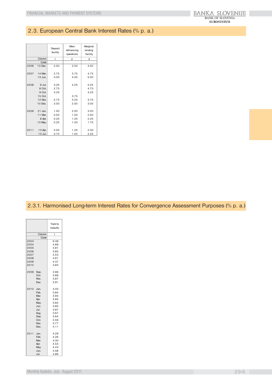# 2.3. European Central Bank Interest Rates (% p. a.)

|      |         | Deposit<br>facility | Main<br>refinancing<br>operations | Marginal<br>lending<br>facility |
|------|---------|---------------------|-----------------------------------|---------------------------------|
|      | Column  | 1                   | $\overline{c}$                    | 3                               |
|      | Code    |                     |                                   |                                 |
| 2006 | 13 Dec. | 2.50                | 3.50                              | 4.50                            |
| 2007 | 14 Mar. | 2.75                | 3.75                              | 4.75                            |
|      | 13 Jun. | 3.00                | 4.00                              | 5.00                            |
| 2008 | 9 Jul.  | 3.25                | 4.25                              | 5.25                            |
|      | 8 Oct.  | 2.75                |                                   | 4.75                            |
|      | 9 Oct.  | 3.25                |                                   | 4.25                            |
|      | 15 Oct. |                     | 3.75                              |                                 |
|      | 12 Nov. | 2.75                | 3.25                              | 3.75                            |
|      | 10 Dec. | 2.00                | 2.50                              | 3.00                            |
| 2009 | 21 Jan. | 1.00                | 2.00                              | 3.00                            |
|      | 11 Mar. | 0.50                | 1.50                              | 2.50                            |
|      | 8 Apr.  | 0.25                | 1.25                              | 2.25                            |
|      | 13 May. | 0.25                | 1.00                              | 1.75                            |
| 2011 | 13 Apr. | 0.50                | 1.25                              | 2.00                            |
|      | 13 Jul. | 0.75                | 1.50                              | 2.25                            |

# 2.3.1. Harmonised Long-term Interest Rates for Convergence Assessment Purposes (% p. a.)

|      |        | Yield to |
|------|--------|----------|
|      |        | maturity |
|      |        |          |
|      | Column | 1        |
|      | Code   |          |
| 2003 |        | 6.38     |
| 2004 |        | 4.68     |
| 2005 |        | 3.81     |
| 2006 |        | 3.85     |
| 2007 |        | 4.53     |
| 2008 |        | 4.61     |
| 2009 |        | 4.37     |
| 2010 |        | 3.83     |
|      |        |          |
| 2009 | Sep.   | 3.96     |
|      | Oct.   | 3.86     |
|      | Nov.   | 3.87     |
|      | Dec.   | 3.91     |
|      |        |          |
| 2010 | Jan.   | 4.00     |
|      | Feb.   | 3.84     |
|      | Mar.   | 3.94     |
|      | Apr.   | 3.94     |
|      | May    | 3.82     |
|      | Jun.   | 3.83     |
|      | Jul.   | 3.87     |
|      | Aug.   | 3.67     |
|      | Sep.   | 3.64     |
|      | Oct.   | 3.56     |
|      | Nov.   | 3.77     |
|      | Dec.   | 4.11     |
|      |        |          |
| 2011 | Jan.   | 4.29     |
|      | Feb.   | 4.26     |
|      | Mar.   | 4.30     |
|      | Apr.   | 4.53     |
|      | May    | 4.43     |
|      | Jun.   | 4.58     |
|      | Jul.   | 4.89     |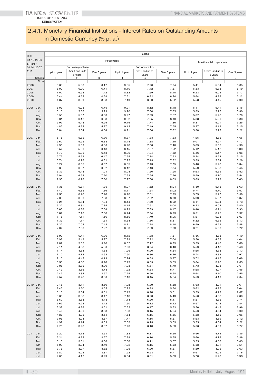# 2.4.1. Monetary Financial Institutions - Interest Rates on Outstanding Amounts in Domestic Currency (% p. a.)

|              |              |              |                    |              |                | Loans              |              |                |                            |              |
|--------------|--------------|--------------|--------------------|--------------|----------------|--------------------|--------------|----------------|----------------------------|--------------|
| Until        | 31.12.2006   |              |                    |              |                |                    |              |                |                            |              |
| SIT after    |              |              |                    |              | Households     |                    |              |                | Non-financial corporations |              |
|              | 01.01.2007   |              | For house purchase |              |                | For consumption    |              |                |                            |              |
| <b>EUR</b>   |              | Up to 1 year | Over 1 and up to   | Over 5 years | Up to 1 year   | Over 1 and up to 5 | Over 5 years | Up to 1 year   | Over 1 and up to           | Over 5 years |
|              |              |              | 5 years            |              |                | years              |              |                | 5 years                    |              |
|              | Column       | $\mathbf{1}$ | $\overline{c}$     | 3            | $\overline{4}$ | 5                  | 6            | $\overline{7}$ | 8                          | 9            |
|              | Code         |              |                    |              |                |                    |              |                |                            |              |
| 2006         |              | 5.68         | 5.50               | 6.12         | 9.65           | 7.90               | 7.94         | 5.41           | 5.34                       | 5.35         |
| 2007<br>2008 |              | 6.00<br>7.02 | 6.20               | 6.71         | 8.10           | 7.42<br>7.69       | 7.67         | 5.33           | 5.33                       | 5.19         |
| 2009         |              | 5.44         | 6.93<br>4.62       | 7.42<br>4.64 | 8.32<br>7.61   | 6.82               | 8.10<br>6.24 | 6.23<br>5.64   | 6.04<br>4.28               | 5.77<br>3.12 |
| 2010         |              | 4.87         | 3.99               | 3.53         | 7.49           | 6.20               | 5.52         | 5.58           | 4.45                       | 2.90         |
|              |              |              |                    |              |                |                    |              |                |                            |              |
| 2006         | Jun.         | 6.07         | 6.23               | 6.75         | 9.21           | 8.12               | 8.18         | 5.41           | 5.41                       | 5.45         |
|              | Jul.         | 6.10         | 5.36               | 5.99         | 9.20           | 7.80               | 7.85         | 5.39           | 5.27                       | 5.30         |
|              | Aug.         | 6.56         | 5.37               | 6.03         | 9.27           | 7.79               | 7.87         | 5.37           | 5.23                       | 5.29         |
|              | Sep.         | 6.61         | 6.12               | 6.68         | 9.32           | 7.95               | 8.10         | 5.38           | 5.30                       | 5.36         |
|              | Oct.         | 5.93         | 5.48               | 5.99         | 9.16           | 7.74               | 7.86         | 5.31           | 5.21                       | 5.25         |
|              | Nov.         | 4.83         | 4.92               | 5.37         | 9.12           | 7.49               | 7.55         | 5.27           | 5.19                       | 5.15         |
|              | Dec          | 5.84         | 5.54               | 6.04         | 8.91           | 7.66               | 7.82         | 5.30           | 5.22                       | 5.22         |
|              |              |              |                    |              |                |                    |              |                |                            |              |
| 2007         | Jan          | 5.18         | 5.82               | 6.30         | 8.37           | 7.33               | 7.33         | 4.95           | 4.86                       | 4.66         |
|              | Feb.         | 5.62         | 5.95               | 6.38         | 8.44           | 7.38               | 7.45         | 5.01           | 4.97                       | 4.77         |
|              | Mar.         | 4.93         | 5.89               | 6.36         | 8.28           | 7.36               | 7.48         | 5.09           | 5.05                       | 4.90         |
|              | Apr.         | 5.54         | 5.96               | 6.43         | 8.15           | 7.37               | 7.52         | 5.12           | 5.12                       | 5.00         |
|              | May.         | 5.70         | 5.96               | 6.43         | 8.00           | 7.34               | 7.52         | 5.16           | 5.17                       | 5.06         |
|              | Jun.         | 5.77         | 5.99               | 6.47         | 7.95           | 7.34               | 7.52         | 5.24           | 5.24                       | 5.15         |
|              | Jul          | 5.74         | 6.23               | 6.81         | 7.95           | 7.43               | 7.72         | 5.33           | 5.34                       | 5.26         |
|              | Aug.         | 6.27         | 6.35               | 6.87         | 8.05           | 7.43               | 7.75         | 5.40           | 5.43                       | 5.34         |
|              | Sep.         | 6.68         | 6.37               | 6.92         | 8.12           | 7.46               | 7.84         | 5.59           | 5.58                       | 5.45         |
|              | Oct.         | 6.33         | 6.48               | 7.04         | 8.04           | 7.50               | 7.90         | 5.63           | 5.69                       | 5.52         |
|              | Nov.<br>Dec. | 6.94<br>7.35 | 6.63<br>6.76       | 7.20<br>7.30 | 7.93<br>7.97   | 7.55<br>7.58       | 7.96<br>8.03 | 5.59<br>5.83   | 5.70<br>5.79               | 5.54<br>5.63 |
|              |              |              |                    |              |                |                    |              |                |                            |              |
| 2008 Jan.    |              | 7.38         | 6.81               | 7.35         | 8.07           | 7.62               | 8.04         | 5.80           | 5.75                       | 5.63         |
|              | Feb.         | 7.40         | 6.85               | 7.36         | 8.11           | 7.64               | 8.02         | 5.74           | 5.70                       | 5.57         |
|              | Mar.         | 7.36         | 6.78               | 7.28         | 8.10           | 7.61               | 7.99         | 5.79           | 5.77                       | 5.59         |
|              | Apr.         | 7.08         | 6.86               | 7.38         | 8.07           | 7.62               | 8.03         | 5.99           | 5.87                       | 5.67         |
|              | May          | 6.24         | 6.74               | 7.34         | 8.14           | 7.60               | 8.02         | 6.11           | 5.94                       | 5.73         |
|              | Jun.         | 6.32         | 6.81               | 7.35         | 8.15           | 7.61               | 8.04         | 6.23           | 6.04                       | 5.80         |
|              | Jul.         | 6.65         | 6.88               | 7.54         | 8.29           | 7.69               | 8.17         | 6.40           | 6.21                       | 5.93         |
|              | Aug.         | 6.89         | 7.13               | 7.60         | 8.44           | 7.74               | 8.23         | 6.51           | 6.25                       | 5.97         |
|              | Sep.         | 7.15         | 7.11               | 7.56         | 8.56           | 7.79               | 8.25         | 6.61           | 6.38                       | 6.07         |
|              | Oct.         | 7.39         | 7.17               | 7.64         | 8.64           | 7.86               | 8.31         | 6.82           | 6.52                       | 6.13         |
|              | Nov.         | 7.32         | 7.08               | 7.42         | 8.71           | 7.78               | 8.10         | 6.59           | 6.29                       | 5.88         |
|              | Dec.         | 7.02         | 7.00               | 7.22         | 8.60           | 7.69               | 7.93         | 6.21           | 5.80                       | 5.22         |
|              |              |              |                    |              |                |                    |              |                |                            |              |
| 2009         | Jan.         | 6.93         | 6.41               | 6.36         | 8.12           | 7.38               | 7.31         | 5.56           | 4.83                       | 4.40         |
|              | Feb.         | 6.98         | 5.49               | 5.97         | 7.99           | 7.22               | 7.04         | 5.50           | 4.62                       | 4.04         |
|              | Mar.         | 7.02         | 5.35               | 5.70         | 8.02           | 7.12               | 6.79         | 5.59           | 4.43                       | 3.80         |
|              | Apr.         | 7.11         | 4.88               | 5.06         | 7.96           | 6.94               | 6.46         | 5.59           | 4.18                       | 3.40         |
|              | May.         | 7.14         | 4.84               | 4.83         | 7.96           | 6.90               | 6.34         | 5.65           | 4.33                       | 3.13         |
|              | Jun.         | 7.10         | 4.73               | 4.63         | 7.90           | 6.86               | 6.26         | 5.74           | 4.34                       | 2.97         |
|              | Jul.         | 7.10         | 4.42               | 4.19         | 7.24           | 6.73               | 5.97         | 5.72           | 4.15                       | 2.68         |
|              | Aug.         | 5.30         | 4.00               | 3.98         | 7.29           | 6.65               | 5.85         | 5.64           | 3.98                       | 2.65         |
|              | Sep.<br>Oct. | 3.08         | 3.86<br>3.86       | 3.90         | 7.23           | 6.61<br>6.53       | 5.79         | 5.73<br>5.68   | 4.08                       | 2.61<br>2.55 |
|              | Nov.         | 2.47<br>2.45 | 3.84               | 3.73<br>3.67 | 7.22<br>7.25   | 6.50               | 5.71<br>5.68 | 5.64           | 4.07<br>4.10               | 2.55         |
|              | Dec.         | 2.57         | 3.78               | 3.66         | 7.16           | 6.45               | 5.64         | 5.59           | 4.19                       | 2.64         |
|              |              |              |                    |              |                |                    |              |                |                            |              |
| 2010 Jan.    |              | 2.45         | 3.71               | 3.60         | 7.28           | 6.39               | 5.58         | 5.63           | 4.21                       | 2.61         |
|              | Feb.         | 2.43         | 3.60               | 3.55         | 7.22           | 6.33               | 5.54         | 5.62           | 4.25                       | 2.64         |
|              | Mar.         | 6.18         | 3.64               | 3.51         | 7.19           | 6.28               | 5.51         | 5.59           | 4.29                       | 2.67         |
|              | Apr.         | 5.63         | 3.58               | 3.47         | 7.18           | 6.23               | 5.49         | 5.50           | 4.33                       | 2.69         |
|              | May.         | 5.62         | 3.88               | 3.48         | 7.14           | 6.20               | 5.47         | 5.51           | 4.36                       | 2.74         |
|              | Jun.         | 6.63         | 4.23               | 3.42         | 7.60           | 6.12               | 5.42         | 5.57           | 4.43                       | 2.84         |
|              | Jul.         | 6.38         | 4.38               | 3.51         | 7.62           | 6.17               | 5.53         | 5.56           | 4.49                       | 2.96         |
|              | Aug.         | 5.46         | 4.26               | 3.53         | 7.63           | 6.15               | 5.54         | 5.56           | 4.54                       | 3.00         |
|              | Sep.         | 4.86         | 4.25               | 3.54         | 7.64           | 6.15               | 5.55         | 5.58           | 4.56                       | 3.06         |
|              | Oct.         | 3.05         | 4.24               | 3.57         | 7.77           | 6.15               | 5.57         | 5.63           | 4.59                       | 3.12         |
|              | Nov.         | 4.97         | 4.14               | 3.59         | 7.83           | 6.13               | 5.53         | 5.55           | 4.64                       | 3.22         |
|              | Dec.         | 4.75         | 3.93               | 3.57         | 7.76           | 6.10               | 5.53         | 5.66           | 4.69                       | 3.27         |
|              |              |              |                    |              |                |                    |              |                |                            |              |
| 2011         | Jan.         | 6.20         | 4.18               | 3.64         | 7.83           | 6.11               | 5.55         | 5.56           | 4.74                       | 3.35         |
|              | Feb.         | 6.21         | 4.22               | 3.67         | 7.89           | 6.10               | 5.55         | 5.60           | 4.78                       | 3.36         |
|              | Mar.         | 6.10         | 3.81               | 3.66         | 7.88           | 6.11               | 5.57         | 5.55           | 4.83                       | 3.43         |
|              | Apr.         | 5.93         | 3.94               | 3.79         | 7.92           | 6.15               | 5.63         | 5.58           | 4.91                       | 3.54         |
|              | May.         | 3.76         | 3.97               | 3.82         | 7.95           | 6.20               | 5.67         | 5.59           | 4.96                       | 3.63         |
|              | Jun.         | 3.82         | 4.02               | 3.87         | 7.92           | 6.23               | 5.71         | 5.61           | 5.09                       | 3.76         |
|              | Jul          | 4.03         | 4.12               | 3.99         | 8.04           | 6.31               | 5.83         | 5.70           | 5.20                       | 3.93         |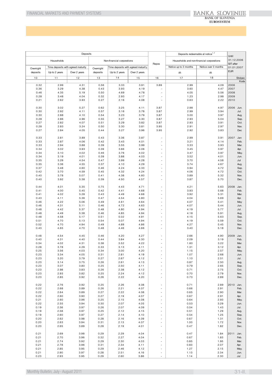|                      |               | Deposits                           |                      |                            |                                    |                                                      | Deposits redeemable at notice |                                           | Until                   |                 |
|----------------------|---------------|------------------------------------|----------------------|----------------------------|------------------------------------|------------------------------------------------------|-------------------------------|-------------------------------------------|-------------------------|-----------------|
|                      | Households    |                                    |                      | Non-financial corporations |                                    |                                                      |                               | Households and non-financial corporations | 31.12.2006              |                 |
|                      |               | Time deposits with agreed maturity |                      |                            | Time deposits with agreed maturity | Repos                                                | Notice up to 3 months         | Notice over 3 months                      | SIT after<br>01.01.2007 |                 |
| Ovemight<br>deposits | Up to 2 years | Over 2 years                       | Ovemight<br>deposits | Up to 2 years              | Over 2 years                       |                                                      |                               |                                           | <b>EUR</b>              |                 |
|                      |               |                                    |                      |                            |                                    |                                                      | IR                            | IR                                        |                         |                 |
| 10                   | 11            | 12                                 | 13                   | 14                         | 15                                 | 16                                                   | 17                            | 18                                        |                         | Stolpec<br>Koda |
| 0.32                 | 2.99          | 4.31                               | 0.56                 | 3.33                       | 3.91                               | 3.89                                                 | 2.99                          | 4.09                                      | 2006                    |                 |
| 0.36                 | 3.29          | 4.38                               | 0.43                 | 3.93                       | 4.19                               | ÷,                                                   | 3.60                          | 4.47                                      | 2007                    |                 |
| 0.46                 | 4.35          | 5.19                               | 0.50                 | 4.69                       | 4.78                               | ł,                                                   | 4.05                          | 5.56                                      | 2008                    |                 |
| 0.28                 | 3.48          | 4.04                               | 0.32                 | 2.93                       | 4.17                               | ٠                                                    | 1.23                          | 2.98                                      | 2009                    |                 |
| 0.21                 | 2.62          | 3.93                               | 0.27                 | 2.16                       | 4.08                               | ÷,                                                   | 0.63                          | 2.22                                      | 2010                    |                 |
| 0.30                 | 3.02          | 5.27                               | 0.62                 | 3.25                       | 4.11                               | 3.87                                                 | 2.98                          | 4.97                                      | 2006                    | Jun.            |
| 0.30                 | 2.92          | 4.11                               | 0.57                 | 3.16                       | 3.78                               | 3.87                                                 | 2.99                          | 3.94                                      |                         | Jul.            |
| 0.30                 | 2.88          | 4.10                               | 0.54                 | 3.23                       | 3.79                               | 3.87                                                 | 3.00                          | 3.97                                      |                         | Aug.            |
| 0.28                 | 2.86          | 4.96                               | 0.55                 | 3.27                       | 4.30                               | 3.87                                                 | 2.93                          | 5.04                                      |                         | Sep.            |
| 0.27<br>0.28         | 2.82<br>2.83  | 4.07<br>3.24                       | 0.51<br>0.50         | 3.29<br>3.30               | 3.82<br>3.81                       | 3.87<br>3.95                                         | 2.93<br>2.91                  | 3.91<br>2.97                              |                         | Oct.<br>Nov.    |
| 0.27                 | 2.84          | 4.05                               | 0.44                 | 3.27                       | 3.96                               | 3.95                                                 | 2.92                          | 3.83                                      |                         | Dec             |
|                      |               |                                    |                      |                            |                                    |                                                      |                               |                                           |                         |                 |
| 0.33                 | 2.81          | 3.89                               | 0.43                 | 3.36                       | 3.87                               | Ĭ.                                                   | 2.99                          | 3.91                                      | 2007                    | Jan             |
| 0.33                 | 2.87          | 4.06                               | 0.42                 | 3.43                       | 4.01                               | $\overline{\phantom{m}}$                             | 3.21                          | 4.14                                      |                         | Feb.            |
| 0.33                 | 2.94          | 3.88                               | 0.39                 | 3.55                       | 3.99                               | ÷,<br>ä,                                             | 3.33                          | 3.93                                      |                         | Mar.            |
| 0.34<br>0.34         | 3.02<br>3.10  | 3.93<br>4.02                       | 0.39<br>0.46         | 3.66<br>3.76               | 4.06<br>4.02                       | Ĭ.                                                   | 3.45<br>3.47                  | 3.97<br>3.97                              |                         | Apr.<br>May.    |
| 0.34                 | 3.19          | 4.01                               | 0.39                 | 3.88                       | 4.03                               | $\sim$                                               | 3.52                          | 4.01                                      |                         | Jun.            |
| 0.35                 | 3.29          | 4.54                               | 0.47                 | 3.99                       | 4.28                               | $\frac{1}{2}$                                        | 3.70                          | 4.58                                      |                         | Jul             |
| 0.35                 | 3.36          | 4.55                               | 0.37                 | 4.10                       | 4.29                               | ä,                                                   | 3.74                          | 4.67                                      |                         | Aug.            |
| 0.37                 | 3.48          | 4.60                               | 0.46                 | 4.24                       | 4.33                               | Ĭ.                                                   | 3.94                          | 4.72                                      |                         | Sep.            |
| 0.42                 | 3.70          | 4.59                               | 0.45                 | 4.32                       | 4.24                               | $\overline{\phantom{a}}$                             | 4.06                          | 4.72                                      |                         | Oct.            |
| 0.40                 | 3.78          | 5.07                               | 0.41                 | 4.38                       | 4.60                               | ÷,<br>ä,                                             | 3.89                          | 5.32                                      |                         | Nov.            |
| 0.40                 | 3.92          | 5.38                               | 0.39                 | 4.50                       | 4.57                               |                                                      | 3.87                          | 5.70                                      |                         | Dec.            |
| 0.44                 | 4.01          | 5.35                               | 0.75                 | 4.43                       | 4.71                               | ä,                                                   | 4.21                          | 5.63                                      | 2008                    | Jan.            |
| 0.41                 | 4.00          | 5.45                               | 0.42                 | 4.41                       | 4.68                               | i,                                                   | 3.93                          | 5.68                                      |                         | Feb.            |
| 0.41                 | 4.02          | 5.28                               | 0.43                 | 4.49                       | 4.68                               | L,                                                   | 3.92                          | 5.31                                      |                         | Mar.            |
| 0.43                 | 4.11          | 5.36                               | 0.47                 | 4.54                       | 4.80                               | Ĭ.                                                   | 4.04                          | 5.69                                      |                         | Apr.            |
| 0.46<br>0.46         | 4.22          | 5.06<br>5.11                       | 0.49                 | 4.61                       | 4.64                               | ٠<br>Ĭ.                                              | 4.07<br>4.07                  | 5.41<br>5.44                              |                         | May             |
| 0.48                 | 4.31<br>4.42  | 5.37                               | 0.46<br>0.48         | 4.72<br>4.80               | 4.63<br>4.94                       | ÷,                                                   | 4.19                          | 5.77                                      |                         | Jun.<br>Jul.    |
| 0.48                 | 4.49          | 5.38                               | 0.46                 | 4.85                       | 4.94                               | ä,                                                   | 4.18                          | 5.91                                      |                         | Aug.            |
| 0.48                 | 4.58          | 5.17                               | 0.51                 | 5.02                       | 4.91                               | ÷,                                                   | 4.15                          | 5.63                                      |                         | Sep.            |
| 0.51                 | 4.70          | 5.13                               | 0.54                 | 5.07                       | 4.94                               | $\overline{a}$                                       | 4.19                          | 5.59                                      |                         | Oct.            |
| 0.52                 | 4.70          | 4.94                               | 0.49                 | 4.89                       | 4.86                               | J.                                                   | 4.27                          | 5.45                                      |                         | Nov.            |
| 0.43                 | 4.65          | 4.70                               | 0.48                 | 4.46                       | 4.66                               | ä,                                                   | 3.40                          | 5.18                                      |                         | Dec.            |
| 0.48                 | 4.54          | 4.45                               | 0.46                 | 4.20                       | 4.27                               | ÷,                                                   | 2.66                          | 4.90                                      | 2009                    | Jan.            |
| 0.40                 | 4.31          | 4.40                               | 0.44                 | 3.84                       | 4.30                               | ä,                                                   | 2.09                          | 3.19                                      |                         | Feb.            |
| 0.34                 | 4.02          | 4.31                               | 0.38                 | 3.52                       | 4.22                               | ä,                                                   | 1.60                          | 3.22                                      |                         | Mar.            |
| 0.28                 | 3.78          | 4.29                               | 0.33                 | 3.13                       | 4.11                               | $\overline{a}$                                       | 1.31                          | 3.12                                      |                         | Apr.            |
| 0.25                 | 3.56          | 4.03                               | 0.34                 | 3.00                       | 4.20                               | $\overline{\phantom{a}}$                             | 1.15                          | 2.57                                      |                         | May.            |
| 0.23                 | 3.34          | 4.05                               | 0.31                 | 2.81                       | 4.19                               | ä,                                                   | 1.07                          | 2.68                                      |                         | Jun.            |
| 0.23<br>0.23         | 3.20<br>3.14  | 3.79<br>3.75                       | 0.27<br>0.26         | 2.67<br>2.61               | 4.12<br>4.13                       | ÷,                                                   | 1.10<br>0.87                  | 2.51<br>2.50                              |                         | Jul.<br>Aug.    |
| 0.23                 | 3.07          | 3.80                               | 0.25                 | 2.50                       | 4.11                               | ÷                                                    | 0.79                          | 2.65                                      |                         | Sep.            |
| 0.23                 | 2.98          | 3.83                               | 0.26                 | 2.38                       | 4.12                               | $\overline{\phantom{a}}$                             | 0.71                          | 2.75                                      |                         | Oct.            |
| 0.23                 | 2.93          | 3.82                               | 0.25                 | 2.24                       | 4.12                               | $\blacksquare$                                       | 0.70                          | 2.79                                      |                         | Nov.            |
| 0.23                 | 2.85          | 3.92                               | 0.26                 | 2.22                       | 4.20                               | $\overline{\phantom{a}}$                             | 0.73                          | 2.89                                      |                         | Dec.            |
| 0.22                 | 2.76          | 3.92                               | 0.25                 | 2.26                       | 4.08                               | $\overline{\phantom{a}}$                             | 0.71                          | 2.89                                      | 2010 Jan.               |                 |
| 0.22                 | 2.68          | 3.89                               | 0.26                 | 2.21                       | 4.07                               | $\blacksquare$                                       | 0.66                          | 2.91                                      |                         | Feb.            |
| 0.22                 | 2.64          | 3.89                               | 0.27                 | 2.22                       | 4.08                               | $\overline{\phantom{a}}$                             | 0.65                          | 2.90                                      |                         | Mar.            |
| 0.22                 | 2.60          | 3.90                               | 0.27                 | 2.19                       | 4.07                               | $\overline{\phantom{a}}$                             | 0.67                          | 2.91                                      |                         | Apr.            |
| 0.21                 | 2.60          | 3.96                               | 0.25                 | 2.15                       | 4.08                               | $\overline{\phantom{a}}$                             | 0.64                          | 2.93                                      |                         | May.            |
| 0.22                 | 2.55          | 3.94                               | 0.30                 | 2.07                       | 4.05                               | $\blacksquare$                                       | 0.53                          | 3.29                                      |                         | Jun.            |
| 0.19                 | 2.56<br>2.58  | 3.97                               | 0.26                 | 2.07                       | 4.09                               | $\overline{\phantom{a}}$                             | 0.54                          | 1.43                                      |                         | Jul.            |
| 0.19<br>0.19         | 2.60          | 3.97<br>3.97                       | 0.25<br>0.27         | 2.12<br>2.14               | 4.15<br>4.10                       | $\overline{\phantom{a}}$<br>$\blacksquare$           | 0.51<br>0.54                  | 1.29<br>1.25                              |                         | Aug.<br>Sep.    |
| 0.20                 | 2.62          | 3.98                               | 0.28                 | 2.16                       | 4.09                               | $\overline{\phantom{a}}$                             | 0.67                          | 1.31                                      |                         | Oct.            |
| 0.20                 | 2.63          | 3.94                               | 0.31                 | 2.13                       | 4.07                               | $\blacksquare$                                       | 1.00                          | 1.72                                      |                         | Nov.            |
| 0.20                 | 2.65          | 3.89                               | 0.28                 | 2.19                       | 4.01                               | $\overline{\phantom{a}}$                             | 0.47                          | 1.82                                      |                         | Dec.            |
|                      |               |                                    |                      |                            |                                    |                                                      |                               |                                           |                         |                 |
| 0.21<br>0.21         | 2.69<br>2.70  | 3.98<br>3.96                       | 0.29<br>0.32         | 2.29<br>2.27               | 4.04<br>4.04                       | $\overline{\phantom{a}}$<br>$\overline{\phantom{a}}$ | 0.47<br>0.67                  | 1.84<br>1.83                              | 2011 Jan.               | Feb.            |
| 0.21                 | 2.74          | 3.92                               | 0.29                 | 2.30                       | 4.03                               | $\blacksquare$                                       | 0.85                          | 1.95                                      |                         | Mar.            |
| 0.21                 | 2.78          | 3.96                               | 0.31                 | 2.34                       | 4.11                               | $\blacksquare$                                       | 0.83                          | 2.07                                      |                         | Apr.            |
| 0.21                 | 2.85          | 3.95                               | 0.29                 | 2.46                       | 4.12                               | ۰                                                    | 1.27                          | 2.15                                      |                         | May.            |
| 0.21                 | 2.90          | 3.97                               | 0.28                 | 2.51                       | 4.16                               | $\blacksquare$                                       | 1.13                          | 2.34                                      |                         | Jun.            |
| 0.23                 | 2.93          | 3.95                               | 0.29                 | 2.60                       | 3.86                               |                                                      | 1.14                          | 2.30                                      |                         | Jul             |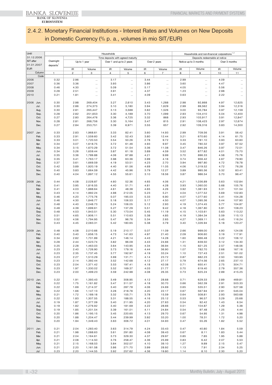# 2.4.2. Monetary Financial Institutions - Interest Rates and Volumes on New Deposits in Domestic Currency (% p. a., volumes in mio SIT/EUR)

| Until                   |                      |                |              | Households                         |                  |              |                |              | Households and non-financial corporations <sup>1,2</sup> |      |                  |
|-------------------------|----------------------|----------------|--------------|------------------------------------|------------------|--------------|----------------|--------------|----------------------------------------------------------|------|------------------|
| 31.12.2006              |                      |                |              | Time deposits with agreed maturity |                  |              |                |              | Deposits redeemable at notice                            |      |                  |
| SIT after<br>01.01.2007 | Ovemight<br>deposits |                | Up to 1 year | Over 1 and up to 2 years           |                  |              | Over 2 years   |              | Notice up to 3 months                                    |      | Over 3 months    |
| <b>EUR</b>              |                      | IR             | Volume       | IR                                 | Volume           | IR           | Volume         | IR           | Volume                                                   | IR   | Volume           |
| Column                  | $\mathbf{1}$         | $\overline{c}$ | 3            | $\overline{4}$                     | 5                | 6            | $\overline{7}$ | 8            | 9                                                        | 10   | 11               |
| Code                    |                      |                |              |                                    |                  |              |                |              |                                                          |      |                  |
| 2006                    | 0.32                 | 2.96           |              | 3.17                               | $\cdots$         | 3.44         |                | 2.99         |                                                          | 4.09 | $\cdots$         |
| 2007                    | 0.36                 | 3.36           | $\ldots$     | 3.93                               | $\cdots$         | 3.86         |                | 3.60         |                                                          | 4.47 | $\cdots$         |
| 2008                    | 0.46                 | 4.30           | $\ldots$     | 5.09                               | $\cdots$         | 5.17         |                | 4.05         | $\ddotsc$                                                | 5.56 | $\cdots$         |
| 2009                    | 0.28                 | 2.51           |              | 3.91                               |                  | 4.37         |                | 1.23         | $\cdots$                                                 | 2.98 | $\cdots$         |
| 2010                    | 0.21                 | 1.81           |              | 3.41                               |                  | 4.09         |                | 0.63         |                                                          | 2.22 | $\cdots$         |
|                         |                      |                |              |                                    |                  |              |                |              |                                                          |      |                  |
| 2006<br>Jun.            | 0.30                 | 2.98           | 269,404      | 3.27                               | 2,610            | 3.43         | 1,288          | 2.98         | 92,668                                                   | 4.97 | 12,625           |
| Jul.                    | 0.30                 | 2.86           | 274,373      | 3.10                               | 3,180            | 3.94         | 1,629          | 2.99         | 89,562                                                   | 3.94 | 12,316           |
| Aug.                    | 0.30                 | 2.81           | 265,447      | 3.13                               | 3,588            | 3.82         | 1,526          | 3.00         | 93,784                                                   | 3.97 | 12,159           |
| Sep.                    | 0.28                 | 2.82           | 251,653      | 3.30                               | 4,189            | 3.70         | 1,099          | 2.93         | 104,410                                                  | 5.04 | 12,400           |
| Oct.                    | 0.27                 | 2.80           | 264,476      | 3.36                               | 4,725            | 3.32         | 868            | 2.93         | 103,917                                                  | 3.91 | 12,847           |
| Nov.                    | 0.28                 | 2.81<br>2.84   | 268,756      | 3.30                               | 5,164            | 3.47<br>3.55 | 815            | 2.91<br>2.92 | 108,423                                                  | 2.97 | 12,674<br>14,300 |
| Dec.                    | 0.27                 |                | 253,751      | 3.39                               | 6,971            |              | 657            |              | 109,316                                                  | 3.83 |                  |
| 2007<br>Jan             | 0.33                 | 2.83           | 1,968.61     | 3.33                               | 82.41            | 3.60         | 14.93          | 2.99         | 709.56                                                   | 3.91 | 56.42            |
| Feb.                    | 0.33                 | 2.91           | 1,559.60     | 3.42                               | 52.43            | 3.80         | 12.44          | 3.21         | 670.60                                                   | 4.14 | 61.75            |
| Mar.                    | 0.33                 | 3.01           | 1,720.53     | 3.54                               | 50.26            | 2.78         | 9.72           | 3.33         | 781.10                                                   | 3.93 | 63.60            |
| Apr.                    | 0.34                 | 3.07           | 1,618.75     | 3.72                               | 61.46            | 4.93         | 9.97           | 3.45         | 780.32                                                   | 3.97 | 67.52            |
| May.                    | 0.34                 | 3.15           | 1,670.29     | 3.72                               | 51.54            | 3.36         | 11.08          | 3.47         | 846.26                                                   | 3.97 | 72.01            |
| Jun.                    | 0.34                 | 3.26           | 1,659.44     | 3.87                               | 61.18            | 3.89         | 4.59           | 3.52         | 877.82                                                   | 4.01 | 75.70            |
| Jul.                    | 0.35                 | 3.36           | 1,789.88     | 4.06                               | 87.88            | 4.21         | 9.99           | 3.70         | 896.33                                                   | 4.58 | 75.76            |
| Aug.                    | 0.35                 | 3.41           | 1,763.17     | 3.98                               | 63.36            | 3.99         | 4.16           | 3.74         | 956.42                                                   | 4.67 | 79.90            |
| Sep.                    | 0.37                 | 3.61           | 1,669.59     | 4.19                               | 53.51            | 4.23         | 2.70           | 3.94         | 997.80                                                   | 4.72 | 78.78            |
| Oct.                    | 0.42                 | 3.89           | 1,920.19     | 4.40                               | 61.56            | 4.69         | 11.05          | 4.06         | 1,019.52                                                 | 4.72 | 76.28            |
| Nov.                    | 0.40                 | 3.83           | 1,664.59     | 4.42                               | 45.96            | 3.79         | 12.27          | 3.89         | 995.56                                                   | 5.32 | 83.41            |
| Dec.                    | 0.40                 | 4.04           | 1,897.12     | 4.55                               | 55.61            | 3.10         | 18.56          | 3.87         | 986.54                                                   | 5.70 | 96.47            |
|                         |                      |                |              |                                    |                  |              |                |              |                                                          |      |                  |
| 2008<br>Jan.            | 0.44                 | 4.08           | 2,028.87     | 4.60                               | 52.36            | 4.65         | 4.06           | 4.21         | 1,036.89                                                 | 5.63 | 102.84           |
| Feb.                    | 0.41                 | 3.95           | 1,816.55     | 4.40                               | 51.71            | 4.81         | 4.28           | 3.93         | 1,060.00                                                 | 5.68 | 105.76           |
| Mar.                    | 0.41                 | 4.03           | 1,888.64     | 4.61                               | 48.38            | 4.65         | 4.26           | 3.92         | 1,081.93                                                 | 5.31 | 101.54           |
| Apr.                    | 0.43                 | 4.14           | 1,992.24     | 4.98                               | 212.05           | 5.23         | 5.21           | 4.04         | 1,077.52                                                 | 5.69 | 102.83           |
| May.                    | 0.46                 | 4.20           | 1,775.76     | 5.07                               | 195.03           | 5.33         | 6.90           | 4.07         | 1,077.60                                                 | 5.41 | 104.28           |
| Jun                     | 0.46                 | 4.30           | 1,846.77     | 5.18                               | 106.53           | 5.17         | 4.50           | 4.07         | 1,095.36                                                 | 5.44 | 107.90           |
| Jul.                    | 0.48                 | 4.40           | 2,048.73     | 5.24                               | 106.05           | 5.12         | 2.93           | 4.19         | 1,074.45                                                 | 5.77 | 104.87           |
| Aug.                    | 0.48                 | 4.39           | 1,699.61     | 5.27                               | 137.29           | 5.51         | 9.42           | 4.18         | 1,067.80                                                 | 5.91 | 108.23           |
| Sep.                    | 0.48                 | 4.53           | 1,943.51     | 5.30                               | 173.04           | 5.45         | 11.19          | 4.15         | 1,103.61                                                 | 5.63 | 113.22           |
| Oct.                    | 0.51                 | 4.65           | 1,906.11     | 5.51                               | 110.63           | 5.38         | 4.85           | 4.19         | 1,084.34                                                 | 5.59 | 115.13           |
| Nov.                    | 0.52                 | 4.56           | 1,794.95     | 5.47                               | 96.76            | 5.34         | 2.65           | 4.27         | 1,069.11                                                 | 5.45 | 116.24           |
| Dec.                    | 0.43                 | 4.45           | 2,083.31     | 5.42                               | 180.65           | 5.38         | 3.79           | 3.40         | 1,026.94                                                 | 5.18 | 120.27           |
|                         |                      |                |              |                                    |                  |              |                |              |                                                          |      |                  |
| 2009<br>Jan.            | 0.48                 | 4.08           | 2,010.66     | 5.19                               | 210.17           | 5.07         | 11.09          | 2.66         | 999.00                                                   | 4.90 | 124.08           |
| Feb.                    | 0.40                 | 3.40           | 1,656.15     | 4.73                               | 141.63           | 4.97         | 21.40          | 2.09         | 906.60                                                   | 3.19 | 117.91           |
| Mar.                    | 0.34                 | 2.82           | 1,701.89     | 4.21                               | 146.14           | 4.43         | 14.28          | 1.60         | 866.48                                                   | 3.22 | 106.12           |
| Apr.                    | 0.28                 | 2.44           | 1,523.74     | 3.82                               | 96.09            | 4.43         | 24.66          | 1.31         | 839.50                                                   | 3.12 | 134.30           |
| May.                    | 0.25                 | 2.28           | 1,463.03     | 3.64                               | 143.95           | 4.34         | 36.94          | 1.15         | 821.25                                                   | 2.57 | 148.56           |
| Jun.                    | 0.23                 | 2.40           | 1,726.90     | 3.73                               | 179.16           | 4.44         | 36.90          | 1.07         | 782.70                                                   | 2.68 | 167.16           |
| Jul.                    | 0.23                 | 2.35           | 1,737.45     | 3.77                               | 192.97           | 4.19         | 33.24          | 1.10         | 727.43                                                   | 2.51 | 161.02           |
| Aug.                    | 0.23                 | 2.27           | 1,510.29     | 3.69                               | 131.71           | 4.14         | 23.72          | 0.87         | 682.23                                                   | 2.50 | 183.95           |
| Sep.                    | 0.23                 | 2.14           | 1,392.44     | 3.52                               | 142.68           | 4.12         | 27.17          | 0.79         | 674.56                                                   | 2.65 | 237.10           |
| Oct.                    | 0.23                 | 2.04           | 1,371.42     | 3.53                               | 197.41           | 4.18         | 42.08          | 0.71         | 650.41                                                   | 2.75 | 304.71           |
| Nov.<br>Dec.            | 0.23                 | 1.97           | 1,330.02     | 3.52<br>3.59                       | 169.37<br>242.98 | 4.03         | 21.77          | 0.70         | 619.40                                                   | 2.79 | 357.36<br>415.25 |
|                         | 0.23                 | 2.00           | 1,499.23     |                                    |                  | 4.08         | 26.35          | 0.73         | 625.24                                                   | 2.89 |                  |
| 2010 Jan.               | 0.22                 | 1.91           | 1,393.43     | 3.49                               | 308.95           | 4.12         | 28.68          | 0.71         | 629.33                                                   | 2.89 | 469.81           |
| Feb.                    | 0.22                 | 1.75           | 1,161.82     | 3.47                               | 311.57           | 4.18         | 30.70          | 0.66         | 562.39                                                   | 2.91 | 503.33           |
| Mar.                    | 0.22                 | 1.69           | 1,214.37     | 3.40                               | 287.78           | 4.06         | 24.69          | 0.65         | 535.51                                                   | 2.90 | 527.58           |
| Apr.                    | 0.22                 | 1.66           | 1,147.13     | 3.28                               | 218.78           | 4.20         | 22.17          | 0.67         | 567.94                                                   | 2.91 | 545.04           |
| May.                    | 0.21                 | 1.72           | 1,189.18     | 3.32                               | 155.71           | 3.78         | 15.59          | 0.64         | 508.81                                                   | 2.93 | 563.68           |
| Jun.                    | 0.22                 | 1.83           | 1,307.55     | 3.31                               | 188.55           | 4.16         | 25.12          | 0.53         | 96.57                                                    | 3.29 | 25.68            |
| Jul.                    | 0.19                 | 1.87           | 1,377.09     | 3.40                               | 211.95           | 4.20         | 27.63          | 0.54         | 92.42                                                    | 1.43 | 6.54             |
| Aug.                    | 0.19                 | 1.82           | 1,276.92     | 3.40                               | 181.69           | 4.22         | 28.66          | 0.51         | 104.87                                                   | 1.29 | 5.38             |
| Sep.                    | 0.19                 | 1.85           | 1,201.54     | 3.39                               | 161.01           | 4.11         | 24.84          | 0.54         | 97.48                                                    | 1.25 | 4.44             |
| Oct.                    | 0.20                 | 1.86           | 1,195.15     | 3.45                               | 220.65           | 4.13         | 29.70          | 0.67         | 54.95                                                    | 1.31 | 4.98             |
| Nov.                    | 0.20                 | 1.88           | 1,204.47     | 3.44                               | 239.99           | 3.92         | 33.20          | 1.00         | 78.31                                                    | 1.72 | 5.20             |
| Dec.                    | 0.20                 | 1.94           | 1,349.43     | 3.63                               | 306.72           | 4.01         | 34.93          | 0.47         | 55.26                                                    | 1.82 | 5.52             |
|                         |                      |                |              |                                    |                  |              |                |              |                                                          |      |                  |
| 2011 Jan.               | 0.21                 | 2.04           | 1,283.40     | 3.63                               | 314.79           | 4.24         | 33.43          | 0.47         | 40.80                                                    | 1.84 | 5.59             |
| Feb.                    | 0.21                 | 1.98           | 1,088.63     | 3.61                               | 291.80           | 4.08         | 39.43          | 0.67         | 8.11                                                     | 1.83 | 5.44             |
| Mar.                    | 0.21                 | 2.04           | 1,164.61     | 3.73                               | 329.30           | 4.37         | 29.97          | 0.85         | 7.85                                                     | 1.95 | 5.88             |
| Apr.                    | 0.21                 | 2.08           | 1,114.50     | 3.76                               | 258.47           | 4.36         | 25.99          | 0.83         | 6.42                                                     | 2.07 | 5.53             |
| May.                    | 0.21                 | 2.15           | 1,168.53     | 3.84                               | 302.07           | 4.10         | 39.10          | 1.27         | 9.89                                                     | 2.15 | 5.47             |
| Jun.                    | 0.21                 | 2.20           | 1,161.58     | 3.86                               | 271.70           | 3.99         | 28.92          | 1.13         | 7.91                                                     | 2.34 | 5.25             |
| Jul                     | 0.23                 | 2.20           | 1,144.55     | 3.92                               | 257.62           | 4.36         | 19.80          | 1.14         | 8.10                                                     | 2.30 | 5.20             |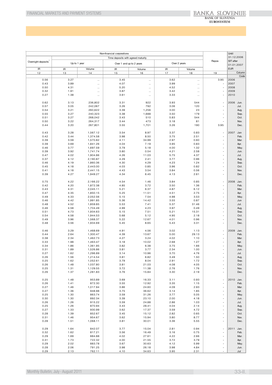|                   |              |          | Non-financial corporations         |        |      |              |                          | Until                   |
|-------------------|--------------|----------|------------------------------------|--------|------|--------------|--------------------------|-------------------------|
|                   |              |          | Time deposits with agreed maturity |        |      |              |                          | 31.12.2006              |
| Ovemight deposits | Up to 1 year |          | Over 1 and up to 2 years           |        |      | Over 2 years | Repos                    | SIT after<br>01.01.2007 |
| IR                | IR           | Volume   | IR                                 | Volume | IR   | Volume       |                          | <b>EUR</b>              |
| 12                | 13           | 14       | 15                                 | 16     | 17   | 18           | 19                       | Column                  |
|                   |              |          |                                    |        |      |              |                          | Code                    |
| 0.56              | 3.27         |          | 3.45                               |        | 3.62 |              | 3.95                     | 2006                    |
|                   |              | $\ldots$ |                                    |        |      |              |                          |                         |
| 0.43              | 3.89         |          | 4.07                               |        | 3.99 |              | ä,                       | 2007                    |
| 0.50              | 4.31         |          | 5.20                               |        | 4.52 |              | $\overline{\phantom{a}}$ | 2008                    |
| 0.32              | 1.91         |          | 3.87                               |        | 3.42 |              | $\overline{a}$           | 2009                    |
| 0.27              | 1.38         |          | 3.61                               |        | 3.33 |              |                          | 2010                    |
|                   |              |          |                                    |        |      |              |                          |                         |
| 0.62              | 3.13         | 236,802  | 3.31                               | 922    | 3.93 | 544          | $\overline{\phantom{a}}$ | 2006<br>Jun.            |
| 0.57              | 3.05         | 242,067  | 3.26                               | 792    | 3.06 | 120          | $\overline{a}$           | Jul.                    |
| 0.54              | 3.21         | 260,622  | 3.39                               | 1,256  | 3.00 | 23           | $\overline{\phantom{a}}$ | Aug.                    |
|                   |              |          |                                    |        |      |              | ä,                       |                         |
| 0.55              | 3.27         | 240,323  | 3.38                               | 1,688  | 3.50 | 179          |                          | Sep.                    |
| 0.51              | 3.27         | 268,042  | 3.43                               | 510    | 5.83 | 544          | $\overline{\phantom{a}}$ | Oct.                    |
| 0.50              | 3.22         | 264,317  | 3.44                               | 473    | 3.18 | 81           |                          | Nov.                    |
| 0.44              | 3.20         | 267,801  | 3.55                               | 1,701  | 3.26 | 190          | 3.95                     | Dec.                    |
|                   |              |          |                                    |        |      |              |                          |                         |
| 0.43              | 3.28         | 1,567.12 | 3.54                               | 8.97   | 3.37 | 0.83         | ٠                        | 2007<br>Jan             |
| 0.42              | 3.44         | 1,374.58 | 3.98                               | 8.50   | 3.75 | 2.51         | $\overline{\phantom{a}}$ | Feb.                    |
| 0.39              | 3.59         | 1,570.82 | 4.11                               | 34.99  | 2.97 | 0.60         | $\overline{\phantom{a}}$ | Mar.                    |
|                   |              |          |                                    |        |      |              |                          |                         |
| 0.39              | 3.69         | 1,841.26 | 4.04                               | 7.19   | 3.95 | 0.83         | ä,                       | Apr.                    |
| 0.46              | 3.77         | 1,697.59 | 3.79                               | 5.18   | 4.00 | 1.32         | $\overline{\phantom{a}}$ | May.                    |
| 0.39              | 3.92         | 1,741.74 | 3.80                               | 0.54   | 4.21 | 2.58         |                          | Jun.                    |
| 0.47              | 4.02         | 1,904.86 | 4.26                               | 11.03  | 5.75 | 4.37         | $\sim$                   | Jul.                    |
| 0.37              | 4.12         | 2,190.87 | 4.29                               | 2.41   | 3.77 | 0.96         | $\sim$                   | Aug.                    |
| 0.46              | 4.19         | 1,860.36 | 4.30                               | 4.29   | 4.23 | 1.24         | $\overline{a}$           | Sep.                    |
| 0.45              | 4.18         | 2,443.00 | 4.03                               | 0.85   | 3.96 | 0.82         | $\overline{a}$           | Oct.                    |
| 0.41              | 4.18         | 2,441.15 | 4.43                               | 3.54   | 3.84 | 0.56         | $\sim$                   | Nov.                    |
|                   |              |          |                                    |        |      |              |                          |                         |
| 0.39              | 4.27         | 1,949.27 | 4.34                               | 6.45   | 4.13 | 2.61         | $\overline{\phantom{a}}$ | Dec.                    |
|                   |              |          |                                    |        |      |              |                          |                         |
| 0.75              | 4.22         | 2,166.22 | 4.54                               | 1.46   | 3.84 | 0.85         | $\overline{\phantom{a}}$ | 2008<br>Jan.            |
| 0.42              | 4.20         | 1,872.38 | 4.85                               | 3.72   | 3.50 | 1.36         | $\overline{a}$           | Feb.                    |
| 0.43              | 4.31         | 2,045.11 | 5.21                               | 6.37   | 4.87 | 6.12         | $\overline{a}$           | Mar.                    |
| 0.47              | 4.35         | 1,850.15 | 5.25                               | 11.51  | 4.51 | 2.75         | $\overline{\phantom{a}}$ | Apr.                    |
| 0.49              | 4.33         | 2,052.56 | 5.15                               | 7.54   | 4.98 | 3.53         | $\overline{\phantom{a}}$ | May.                    |
| 0.46              | 4.42         | 1,991.85 | 5.36                               | 14.42  | 3.55 | 0.87         | $\overline{\phantom{a}}$ | Jun                     |
|                   |              |          |                                    |        |      |              | ÷,                       |                         |
| 0.48              | 4.52         | 1,859.85 | 5.53                               | 7.41   | 5.37 | 31.46        |                          | Jul.                    |
| 0.46              | 4.58         | 1,704.49 | 4.99                               | 4.23   | 3.97 | 0.49         | $\overline{\phantom{a}}$ | Aug.                    |
| 0.51              | 4.73         | 1,934.63 | 5.15                               | 7.51   | 5.21 | 15.31        | $\sim$                   | Sep.                    |
| 0.54              | 4.58         | 1,944.53 | 5.68                               | 5.12   | 4.95 | 2.18         | $\overline{\phantom{a}}$ | Oct.                    |
| 0.49              | 3.96         | 1,568.37 | 5.22                               | 12.67  | 4.01 | 0.96         | $\sim$                   | Nov.                    |
| 0.48              | 3.56         | 1,934.69 | 5.45                               | 8.65   | 5.43 | 3.31         | $\overline{a}$           | Dec.                    |
|                   |              |          |                                    |        |      |              |                          |                         |
| 0.46              | 3.29         | 1,468.69 | 4.91                               | 4.56   | 3.02 | 1.13         | $\blacksquare$           | 2009<br>Jan.            |
|                   |              |          |                                    |        |      |              | ä,                       | Feb.                    |
| 0.44              | 2.64         | 1,300.47 | 4.39                               | 13.67  | 5.00 | 29.13        |                          |                         |
| 0.38              | 2.34         | 1,462.73 | 4.27                               | 3.24   | 4.02 | 1.10         | $\overline{a}$           | Mar.                    |
| 0.33              | 1.98         | 1,463.47 | 3.18                               | 10.02  | 2.68 | 1.27         |                          | Apr.                    |
| 0.34              | 1.86         | 1,361.95 | 3.82                               | 6.38   | 3.75 | 1.66         | $\overline{a}$           | May.                    |
| 0.31              | 1.89         | 1,526.86 | 3.81                               | 3.77   | 2.34 | 1.00         | ٠                        | Jun.                    |
| 0.27              | 1.62         | 1,296.89 | 3.14                               | 10.96  | 3.70 | 4.76         | ٠                        | Jul.                    |
| 0.26              | 1.56         | 1,214.54 | 3.81                               | 6.82   | 3.49 | 1.50         |                          | Aug.                    |
| 0.25              | 1.62         | 1,052.61 | 3.79                               | 8.04   | 2.91 | 1.72         |                          | Sep.                    |
| 0.26              | 1.48         | 1,037.80 | 3.81                               | 21.03  | 4.08 | 4.05         |                          | Oct.                    |
| 0.25              | 1.31         | 1,129.55 | 3.72                               | 11.38  | 2.76 | 1.76         | $\overline{\phantom{a}}$ | Nov.                    |
|                   |              |          |                                    |        |      |              |                          |                         |
| 0.26              | 1.37         | 1,281.83 | 3.76                               | 15.84  | 3.30 | 2.19         | $\overline{\phantom{a}}$ | Dec.                    |
|                   |              |          |                                    |        |      |              |                          |                         |
| 0.25              | 1.48         | 953.89   | 3.69                               | 16.33  | 3.11 | 0.93         | ۰                        | 2010<br>Jan.            |
| 0.26              | 1.41         | 872.30   | 3.55                               | 12.92  | 3.35 | 1.15         | $\overline{\phantom{a}}$ | Feb.                    |
| 0.27              | 1.46         | 1,017.94 | 3.86                               | 24.60  | 4.09 | 2.93         |                          | Mar.                    |
| 0.27              | 1.36         | 948.98   | 3.75                               | 36.62  | 3.14 | 1.85         |                          | Apr.                    |
| 0.25              | 1.30         | 863.74   | 3.59                               | 31.26  | 3.77 | 5.05         |                          | May.                    |
| 0.30              | 1.30         | 892.34   | 3.39                               | 23.10  | 2.00 | 4.18         |                          | Jun.                    |
|                   |              |          |                                    |        |      |              | $\overline{a}$           |                         |
| 0.26              | 1.26         | 915.22   | 3.59                               | 24.88  | 2.86 | 1.03         |                          | Jul.                    |
| 0.25              | 1.26         | 870.94   | 3.43                               | 28.41  | 4.04 | 2.14         |                          | Aug.                    |
| 0.27              | 1.33         | 930.99   | 3.62                               | 17.37  | 3.59 | 4.72         |                          | Sep.                    |
| 0.28              | 1.39         | 852.67   | 3.45                               | 15.12  | 2.82 | 0.65         |                          | Oct.                    |
| 0.31              | 1.46         | 954.67   | 3.62                               | 15.94  | 3.80 | 8.77         | $\overline{\phantom{a}}$ | Nov.                    |
| 0.28              | 1.51         | 1,068.11 | 3.81                               | 30.01  | 3.36 | 5.55         | $\frac{1}{2}$            | Dec.                    |
|                   |              |          |                                    |        |      |              |                          |                         |
| 0.29              | 1.64         | 842.07   | 3.77                               | 15.04  | 2.81 | 0.94         | $\overline{\phantom{a}}$ | 2011<br>Jan.            |
| 0.32              | 1.62         | 817.21   | 3.56                               | 16.49  | 3.16 | 0.75         | $\overline{\phantom{a}}$ | Feb.                    |
|                   |              |          |                                    |        |      |              |                          |                         |
| 0.29              | 1.69         | 884.88   | 4.02                               | 27.61  | 4.22 | 2.66         |                          | Mar.                    |
| 0.31              | 1.73         | 722.32   | 4.00                               | 21.55  | 3.72 | 3.79         |                          | Apr.                    |
| 0.29              | 2.02         | 883.78   | 3.67                               | 30.63  | 4.12 | 5.99         |                          | May.                    |
| 0.28              | 2.06         | 791.25   | 3.98                               | 26.18  | 3.98 | 4.84         |                          | Jun.                    |
| 0.29              | 2.13         | 762.11   | 4.10                               | 34.63  | 3.95 | 2.31         |                          | Jul                     |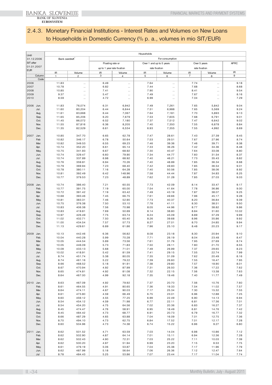# 2.4.3. Monetary Financial Institutions - Interest Rates and Volumes on New Loans to Households in Domestic Currency (% p. a., volumes in mio SIT/EUR)

| Until             |                           |                          |                            |                          | Households               |                 |                             |                |                          |
|-------------------|---------------------------|--------------------------|----------------------------|--------------------------|--------------------------|-----------------|-----------------------------|----------------|--------------------------|
| 31.12.2006        | Bank overdraft            |                          |                            |                          |                          | For consumption |                             |                |                          |
| SIT after         |                           |                          | Floating rate or           |                          | Over 1 and up to 5 years |                 | Over 5 years                |                | <b>APRC</b>              |
| 01.01.2007        |                           |                          |                            |                          |                          |                 |                             |                |                          |
| <b>EUR</b>        |                           |                          | up to 1 year rate fixation |                          | rate fixation            |                 | rate fixation               |                |                          |
| Column            | <b>IR</b><br>$\mathbf{1}$ | Volume<br>$\overline{c}$ | IR<br>3                    | Volume<br>$\overline{4}$ | IR.<br>5                 | Volume<br>6     | <b>IR</b><br>$\overline{7}$ | Volume<br>8    | <b>IR</b><br>$\mathsf g$ |
| Code              |                           |                          |                            |                          |                          |                 |                             |                |                          |
| 2006              | 11.83                     |                          | 6.49                       |                          | 7.64                     |                 | 7.74                        | $\cdots$       | 9.18                     |
| 2007              | 10.78                     |                          | 6.82                       |                          | 7.44                     |                 | 7.68                        | $\cdots$       | 8.68                     |
| 2008              | 10.85                     | $\cdots$                 | 7.41                       | $\cdots$                 | 7.90                     |                 | 8.41                        | $\cdots$       | 9.54                     |
| 2009              | 9.37                      |                          | 5.47                       |                          | 7.49                     |                 | 7.67                        | $\cdots$       | 8.16                     |
| 2010              | 8.59                      |                          | 4.72                       | $\cdots$                 | 6.99                     |                 | 7.04                        | $\cdots$       | 7.29                     |
|                   |                           |                          |                            |                          |                          |                 |                             |                |                          |
| 2006<br>Jun.      | 11.83                     | 76,074                   | 6.31                       | 6,942                    | 7.49                     | 7,261           | 7.65                        | 5,842          | 9.04                     |
| Jul.              | 11.60                     | 80,204                   | 6.44                       | 6,644                    | 7.51                     | 6,988           | 7.65                        | 5,569          | 9.24                     |
| Aug.              | 11.61<br>11.65            | 83,668                   | 6.44                       | 7,067                    | 7.64<br>7.53             | 7,181           | 7.70<br>7.68                | 5,893          | 9.13<br>9.01             |
| Sep.<br>Oct.      | 11.45                     | 85,206<br>86,072         | 6.20<br>6.52               | 7,679<br>7,180           | 7.37                     | 7,605<br>7,512  | 7.47                        | 6,791<br>6,642 | 9.02                     |
| Nov.              | 11.55                     | 87,816                   | 6.36                       | 8,205                    | 7.40                     | 7,350           | 7.55                        | 6,678          | 8.84                     |
| Dec.              | 11.35                     | 82,529                   | 6.61                       | 6,534                    | 6.93                     | 7,355           | 7.55                        | 4,992          | 8.69                     |
|                   |                           |                          |                            |                          |                          |                 |                             |                |                          |
| 2007<br>Jan.      | 10.85                     | 347.70                   | 6.65                       | 62.78                    | 7.47                     | 28.61           | 7.43                        | 27.39          | 8.45                     |
| Feb               | 10.82                     | 346.17                   | 6.78                       | 50.64                    | 7.53                     | 29.51           | 7.67                        | 27.96          | 8.74                     |
| Mar.              | 10.82                     | 349.53                   | 6.55                       | 69.23                    | 7.46                     | 39.36           | 7.46                        | 39.71          | 8.38                     |
| Apr.              | 10.74                     | 352.20                   | 6.61                       | 65.14                    | 7.33                     | 36.26           | 7.42                        | 34.36          | 8.48                     |
| May.              | 10.75                     | 341.93                   | 6.67                       | 68.92                    | 7.30                     | 40.47           | 7.64                        | 33.08          | 8.80                     |
| Jun.              | 10.74                     | 329.47                   | 6.60                       | 79.90                    | 7.34                     | 44.77           | 7.60                        | 31.54          | 8.37                     |
| Jul.              | 10.74                     | 337.89                   | 6.98                       | 68.92                    | 7.40                     | 46.21           | 7.73                        | 35.43          | 8.82                     |
| Aug.              | 10.76                     | 359.81                   | 6.94                       | 70.26                    | 7.40                     | 48.89           | 7.85                        | 36.34          | 8.68                     |
| Sep.<br>Oct.      | 10.79<br>10.78            | 369.94<br>380.11         | 7.23<br>7.16               | 68.40<br>64.28           | 7.42<br>7.40             | 49.83<br>50.56  | 7.85<br>7.85                | 36.54<br>38.06 | 9.01<br>8.92             |
| Nov.              | 10.81                     | 392.49                   | 6.42                       | 148.96                   | 7.58                     | 44.44           | 7.87                        | 34.83          | 8.25                     |
| Dec.              | 10.77                     | 379.53                   | 7.23                       | 48.89                    | 7.62                     | 31.28           | 7.85                        | 27.03          | 9.03                     |
|                   |                           |                          |                            |                          |                          |                 |                             |                |                          |
| 2008<br>Jan.      | 10.74                     | 386.40                   | 7.21                       | 60.55                    | 7.73                     | 42.09           | 8.14                        | 33.47          | 9.17                     |
| Feb.              | 10.77                     | 391.75                   | 7.19                       | 65.00                    | 7.54                     | 41.64           | 7.78                        | 36.86          | 9.00                     |
| Mar.              | 10.72                     | 391.42                   | 7.19                       | 63.42                    | 7.49                     | 43.19           | 7.87                        | 38.07          | 9.25                     |
| Apr.              | 10.68                     | 393.46                   | 7.45                       | 66.75                    | 7.61                     | 49.66           | 7.96                        | 45.17          | 9.28                     |
| May.              | 10.81                     | 383.31                   | 7.46                       | 52.90                    | 7.73                     | 40.37           | 8.20                        | 36.84          | 9.39                     |
| Jun.              | 10.75                     | 376.38                   | 7.50                       | 53.10                    | 7.78                     | 41.11           | 8.30                        | 38.51          | 9.50                     |
| Jul.              | 10.83                     | 406.38                   | 7.56                       | 70.98                    | 8.05                     | 44.96           | 8.77                        | 38.82          | 9.86                     |
| Aug.              | 10.83                     | 419.81                   | 7.69                       | 50.69                    | 8.14                     | 38.80           | 8.84                        | 31.60          | 10.02                    |
| Sep.              | 10.97                     | 426.49                   | 7.75                       | 63.74                    | 8.24                     | 45.09           | 8.89                        | 37.29          | 9.99                     |
| Oct.              | 11.02                     | 432.71                   | 7.50                       | 65.40                    | 8.26                     | 39.68           | 8.96                        | 35.86          | 9.92                     |
| Nov.              | 11.00                     | 434.54                   | 7.57                       | 57.73                    | 8.27                     | 27.01           | 8.70                        | 24.85          | 9.94                     |
| Dec.              | 11.13                     | 429.61                   | 6.89                       | 61.86                    | 7.96                     | 25.10           | 8.48                        | 20.23          | 9.17                     |
| 2009<br>Jan.      | 10.13                     | 442.46                   | 6.36                       | 56.82                    | 8.08                     | 23.18           | 8.30                        | 20.94          | 9.10                     |
| Feb.              | 10.04                     | 440.28                   | 5.99                       | 70.28                    | 7.71                     | 26.19           | 8.04                        | 23.48          | 8.47                     |
| Mar.              | 10.05                     | 444.54                   | 5.89                       | 73.56                    | 7.61                     | 31.76           | 7.95                        | 27.69          | 8.74                     |
| Apr.              | 10.05                     | 446.09                   | 5.73                       | 71.83                    | 7.50                     | 28.11           | 7.80                        | 21.70          | 8.55                     |
| May.              | 10.09                     | 433.13                   | 5.68                       | 71.01                    | 7.49                     | 26.99           | 7.37                        | 29.65          | 8.23                     |
| Jun.              | 10.02                     | 418.91                   | 5.42                       | 81.59                    | 7.41                     | 29.15           | 7.55                        | 22.74          | 7.99                     |
| Jul.              | 8.74                      | 451.74                   | 5.38                       | 80.05                    | 7.35                     | 31.09           | 7.62                        | 20.49          | 8.16                     |
| Aug.              | 8.74                      | 461.16                   | 5.22                       | 79.22                    | 7.39                     | 26.60           | 7.55                        | 16.47          | 7.95                     |
| Sep.              | 8.66                      | 468.52                   | 5.18                       | 91.91                    | 7.38                     | 29.80           | 7.57                        | 18.90          | 8.01                     |
| Oct.              | 8.67                      | 470.94                   | 4.92                       | 87.99                    | 7.31                     | 26.50           | 7.36                        | 17.22          | 7.62                     |
| Nov.              | 8.65<br>8.64              | 474.81                   | 4.92<br>4.99               | 81.08                    | 7.32<br>7.35             | 22.15           | 7.56<br>7.40                | 13.38          | 7.63                     |
| Dec.              |                           | 467.00                   |                            | 92.18                    |                          | 19.46           |                             | 11.77          | 7.49                     |
| 2010 Jan.         | 8.63                      | 467.09                   | 4.92                       | 79.92                    | 7.37                     | 20.70           | 7.56                        | 10.76          | 7.60                     |
| Feb.              | 8.61                      | 464.55                   | 4.91                       | 80.65                    | 7.36                     | 19.33           | 7.54                        | 11.02          | 7.57                     |
| Mar.              | 8.64                      | 474.11                   | 4.67                       | 90.03                    | 7.17                     | 25.34           | 7.30                        | 15.32          | 7.55                     |
| Apr.              | 8.61                      | 473.80                   | 4.59                       | 66.49                    | 6.75                     | 23.01           | 6.96                        | 12.88          | 7.25                     |
| May.              | 8.60                      | 459.12                   | 4.55                       | 77.25                    | 6.99                     | 22.49           | 6.90                        | 14.13          | 6.94                     |
| Jun.              | 8.54                      | 454.12                   | 4.59                       | 71.98                    | 6.77                     | 22.11           | 6.81                        | 17.36          | 7.01                     |
| Jul.              | 8.54                      | 454.20                   | 4.75                       | 64.56                    | 7.02                     | 20.36           | 6.83                        | 16.27          | 7.37                     |
| Aug.              | 8.45                      | 474.47                   | 4.76                       | 58.91                    | 6.95                     | 18.49           | 6.81                        | 14.76          | 7.42                     |
| Sep.              | 8.45                      | 484.42                   | 4.73                       | 68.77                    | 6.91                     | 20.73           | 6.79                        | 16.77          | 7.32                     |
| Oct.              | 8.66                      | 487.29                   | 4.65                       | 63.88                    | 7.04                     | 16.09           | 7.01                        | 12.75          | 7.36                     |
| Nov.              | 8.70                      | 494.10                   | 4.73                       | 62.75                    | 6.84                     | 17.52           | 7.01                        | 12.17          | 7.28                     |
| Dec.              | 8.60                      | 504.96                   | 4.73                       | 74.38                    | 6.74                     | 15.22           | 6.96                        | 9.27           | 6.80                     |
|                   |                           |                          |                            |                          |                          |                 |                             |                |                          |
| 2011 Jan.<br>Feb. | 8.62<br>8.62              | 501.52<br>502.90         | 4.71<br>4.87               | 63.59<br>64.14           | 7.03<br>7.01             | 14.04<br>15.11  | 6.98<br>6.94                | 10.86<br>12.36 | 7.12<br>7.28             |
| Mar.              | 8.62                      | 502.43                   | 4.90                       | 72.31                    | 7.03                     | 25.22           | 7.11                        | 10.03          | 7.39                     |
| Apr.              | 8.62                      | 500.20                   | 4.97                       | 51.94                    | 6.99                     | 23.20           | 7.15                        | 9.53           | 7.75                     |
| May.              | 8.61                      | 479.19                   | 5.06                       | 53.87                    | 7.04                     | 25.38           | 7.17                        | 11.96          | 7.79                     |
| Jun.              | 8.62                      | 487.99                   | 5.18                       | 56.64                    | 7.06                     | 26.36           | 7.12                        | 12.47          | 7.64                     |
| Jul               | 8.78                      | 484.43                   | 5.25                       | 53.86                    | 7.07                     | 23.44           | 7.17                        | 11.04          | 7.74                     |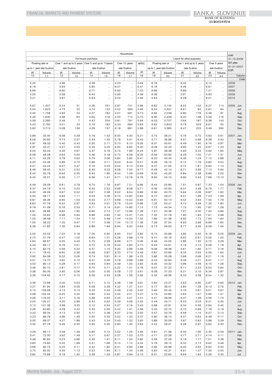|              |                            |              |                                                    |                    |               |              | Households    |              |              |                            |                          |                          |              |               | Until                    |                |
|--------------|----------------------------|--------------|----------------------------------------------------|--------------------|---------------|--------------|---------------|--------------|--------------|----------------------------|--------------------------|--------------------------|--------------|---------------|--------------------------|----------------|
|              |                            |              |                                                    | For house purchase |               |              |               |              |              |                            | Loans for other purposes |                          |              |               | 31.12.2006               |                |
|              | Floating rate or           |              | Over 1 and up to 5 years Over 5 and up to 10 years |                    |               |              | Over 10 years | <b>APRC</b>  |              | Floating rate or           |                          | Over 1 and up to 5 years |              | Over 5 years  | SIT after                |                |
|              | up to 1 year rate fixation |              | rate fixation                                      |                    | rate fixation |              | rate fixation |              |              | up to 1 year rate fixation |                          | rate fixation            |              | rate fixation | 01.01.2007<br><b>EUR</b> |                |
| IR           | Volume                     | IR           | Volume                                             | IR.                | Volume        | IR           | Volume        | IR           | IR           | Volume                     | <b>IR</b>                | Volume                   | IR.          | Volume        |                          |                |
| 10           | 11                         | 12           | 13                                                 | 14                 | 15            | 16           | 17            | 18           | 19           | 20                         | 21                       | 22                       | 23           | 24            |                          | Column<br>Code |
| 5.40         | $\cdots$                   | 4.96         | $\cdots$                                           | 4.56               | $\cdots$      | 4.03         | $\ldots$      | 5.64         | 6.76         | $\cdots$                   | 6.45                     | $\cdots$                 | 6.12         |               | 2006                     |                |
| 6.16         | $\cdots$                   | 5.93         |                                                    | 5.80               | $\cdots$      | 6.07         | $\cdots$      | 6.47         | 6.16         | $\cdots$                   | 6.46                     | $\cdots$                 | 6.81         |               | 2007                     |                |
| 6.69         | $\cdots$                   | 6.80         |                                                    | 6.77               | $\cdots$      | 6.92         | $\ldots$      | 7.03         | 6.96         | $\ddotsc$                  | 6.89                     | $\cdots$                 | 7.21         | $\cdots$      | 2008                     |                |
| 4.05         | $\cdots$                   | 5.58         | $\cdots$                                           | 6.43               | $\cdots$      | 5.95         | $\ldots$      | 4.39         | 6.08         | $\ldots$                   | 5.91                     | $\cdots$                 | 5.93         |               | 2009                     |                |
| 3.21         | $\cdots$                   | 3.97         | $\cdots$                                           | 5.53               | $\cdots$      | 5.02         | $\cdots$      | 3.48         | 5.63         | $\cdots$                   | 6.08                     | $\cdots$                 | 6.01         |               | 2010                     |                |
|              |                            |              |                                                    |                    |               |              |               |              |              |                            |                          |                          |              |               |                          |                |
| 5.67<br>5.04 | 1,407<br>1,823             | 5.24<br>4.73 | 31<br>22                                           | 4.26<br>4.74       | 331<br>152    | 3.87<br>4.02 | 741<br>593    | 5.69<br>5.46 | 6.82<br>6.54 | 3,145<br>3,357             | 6.52<br>6.61             | 152<br>93                | 6.27<br>5.81 | 114<br>94     | 2006                     | Jun.<br>Jul.   |
| 5.40         | 1,756                      | 4.83         | 24                                                 | 4.57               | 182           | 4.07         | 581           | 5.73         | 6.92         | 2,038                      | 6.80                     | 178                      | 5.48         | 81            |                          | Aug.           |
| 5.46         | 1,630                      | 4.68         | 64                                                 | 4.60               | 216           | 4.05         | 712           | 5.75         | 6.95         | 2,458                      | 6.40                     | 138                      | 5.59         | 116           |                          | Sep.           |
| 5.58         | 2,280                      | 5.49         | $\overline{7}$                                     | 4.42               | 254           | 3.81         | 781           | 5.84         | 6.53         | 2,707                      | 5.64                     | 187                      | 6.38         | 143           |                          | Oct.           |
| 5.43         | 2,160                      | 5.01         | 33                                                 | 5.19               | 163           | 4.33         | 584           | 5.83         | 6.62         | 2,943                      | 5.79                     | 323                      | 6.61         | 55            |                          | Nov.           |
| 5.92         | 3,713                      | 5.09         | 136                                                | 4.29               | 157           | 4.18         | 881           | 5.98         | 6.61         | 3,385                      | 6.47                     | 203                      | 5.49         | 260           |                          | Dec.           |
|              |                            |              |                                                    |                    |               |              |               |              |              |                            |                          |                          |              |               |                          |                |
| 5.89         | 32.40                      | 6.38         | 0.29                                               | 5.16               | 1.52          | 6.05         | 4.30          | 6.21         | 5.75         | 38.21                      | 5.76                     | 0.75                     | 5.93         | 0.61          | 2007                     | Jan.           |
| 6.06<br>5.97 | 30.60<br>48.33             | 5.74<br>5.40 | 0.37<br>0.42                                       | 5.44<br>5.50       | 1.30<br>2.71  | 5.78<br>5.73 | 4.01<br>6.10  | 6.43<br>6.26 | 5.71<br>6.07 | 36.98<br>40.61             | 6.57<br>6.49             | 0.68<br>1.90             | 6.39<br>6.76 | 0.43<br>0.97  |                          | Feb<br>Mar.    |
| 5.97         | 45.31                      | 5.47         | 0.55                                               | 5.35               | 4.25          | 5.64         | 6.84          | 6.20         | 6.09         | 32.43                      | 6.80                     | 1.55                     | 6.97         | 1.43          |                          | Apr.           |
| 6.04         | 55.44                      | 5.35         | 0.67                                               | 5.37               | 5.19          | 5.75         | 7.99          | 6.24         | 5.97         | 39.38                      | 5.93                     | 5.33                     | 5.92         | 1.95          |                          | May.           |
| 6.08         | 48.28                      | 5.63         | 0.50                                               | 5.36               | 3.18          | 5.70         | 6.29          | 6.33         | 6.09         | 50.92                      | 6.29                     | 1.52                     | 7.21         | 1.31          |                          | Jun.           |
| 6.11         | 45.26                      | 5.79         | 0.62                                               | 5.79               | 3.06          | 5.84         | 5.65          | 6.41         | 6.20         | 40.44                      | 6.36                     | 1.24                     | 7.12         | 0.88          |                          | Jul.           |
| 6.20         | 42.46                      | 5.86         | 0.72                                               | 5.98               | 3.11          | 6.03         | 8.44          | 6.51         | 6.28         | 36.10                      | 6.12                     | 1.78                     | 6.80         | 0.54          |                          | Aug.           |
| 6.31         | 44.43                      | 6.27         | 0.47                                               | 6.16               | 3.23          | 6.54         | 6.12          | 6.64         | 6.37         | 41.05                      | 6.72                     | 1.61                     | 6.90         | 1.14          |                          | Sep.           |
| 6.46         | 39.40                      | 6.31         | 0.52                                               | 6.45               | 3.02          | 6.58         | 7.50          | 6.77         | 6.49         | 42.14                      | 6.71                     | 3.66                     | 7.13         | 0.94          |                          | Oct.           |
| 6.42         | 35.79                      | 6.64         | 0.35                                               | 6.44               | 1.90          | 6.54         | 7.48          | 6.69         | 6.35         | 45.20                      | 6.84                     | 2.38                     | 6.86         | 2.20          |                          | Nov.           |
| 6.45         | 33.21                      | 6.30         | 1.17                                               | 6.58               | 1.41          | 6.71         | 12.76         | 6.76         | 6.55         | 45.15                      | 6.90                     | 2.43                     | 7.68         | 13.10         |                          | Dec.           |
| 6.49         | 29.29                      | 6.61         | 0.79                                               | 6.75               | 1.79          | 6.67         | 7.21          | 6.86         | 6.44         | 25.85                      | 7.51                     | 0.87                     | 7.33         | 1.04          | 2008                     | Jan.           |
| 6.37         | 34.16                      | 6.10         | 0.23                                               | 6.40               | 2.52          | 6.66         | 8.08          | 6.71         | 6.36         | 40.93                      | 6.07                     | 3.48                     | 6.79         | 1.77          |                          | Feb.           |
| 6.30         | 46.09                      | 6.67         | 0.52                                               | 6.61               | 2.58          | 6.52         | 8.54          | 6.66         | 6.58         | 40.75                      | 6.84                     | 2.06                     | 6.97         | 1.82          |                          | Mar.           |
| 6.50         | 58.17                      | 6.84         | 1.11                                               | 6.53               | 3.36          | 6.70         | 14.82         | 6.84         | 6.72         | 59.21                      | 6.51                     | 1.99                     | 7.23         | 1.69          |                          | Apr.           |
| 6.61         | 46.36                      | 6.60         | 1.04                                               | 6.53               | 2.77          | 6.69         | 14.52         | 6.92         | 6.91         | 50.13                      | 6.52                     | 2.83                     | 7.55         | 1.79          |                          | May.           |
| 6.63         | 47.79                      | 6.52         | 0.87                                               | 6.63               | 3.51          | 6.79         | 15.04         | 6.98         | 7.05         | 50.41                      | 6.72                     | 3.59                     | 7.35         | 1.80          |                          | Jun.           |
| 6.79         | 41.09                      | 6.76         | 0.53                                               | 6.71               | 3.14          | 6.91         | 14.85         | 7.13         | 7.15         | 44.34                      | 7.15                     | 1.95                     | 7.87         | 1.28          |                          | Jul.           |
| 6.91         | 28.96                      | 6.82         | 1.60                                               | 6.95               | 2.74          | 7.07         | 12.96         | 7.28         | 7.27         | 30.38                      | 7.27                     | 2.00                     | 7.50         | 0.86          |                          | Aug.           |
| 7.05         | 33.62                      | 6.98         | 0.94                                               | 6.99               | 4.84          | 7.32         | 15.47         | 7.43         | 7.32         | 47.78                      | 7.60                     | 1.93                     | 7.61         | 2.98          |                          | Sep.           |
| 7.25         | 36.49                      | 7.17         | 1.24                                               | 7.10               | 5.48          | 7.44         | 14.24         | 7.55<br>7.38 | 7.66         | 41.38                      | 6.92                     | 1.73                     | 7.64         | 1.84          |                          | Oct.           |
| 7.05<br>6.28 | 38.22<br>41.82             | 7.25<br>7.30 | 0.47<br>0.94                                       | 7.17<br>6.88       | 3.36<br>1.94  | 7.34<br>6.94 | 10.13<br>6.20 | 6.64         | 7.29<br>6.73 | 37.54<br>46.50             | 6.83<br>6.77             | 2.68<br>2.56             | 6.66<br>6.09 | 1.65<br>1.46  |                          | Nov.<br>Dec.   |
|              |                            |              |                                                    |                    |               |              |               |              |              |                            |                          |                          |              |               |                          |                |
| 5.50         | 42.02                      | 7.02         | 0.18                                               | 7.05               | 0.60          | 6.65         | 3.07          | 5.85         | 6.10         | 33.69                      | 4.95                     | 0.40                     | 6.18         | 0.55          | 2009                     | Jan.           |
| 4.75         | 47.76                      | 6.47         | 1.02                                               | 6.63               | 1.01          | 6.28         | 2.98          | 5.16         | 6.41         | 40.16                      | 6.62                     | 0.61                     | 5.05         | 1.20          |                          | Feb.           |
| 4.64         | 66.67                      | 5.00         | 0.45                                               | 5.75               | 2.09          | 6.69         | 4.71          | 5.06         | 6.46         | 44.05                      | 5.86                     | 1.50                     | 5.72         | 3.29          |                          | Mar.           |
| 4.34         | 66.17                      | 6.76         | 0.51                                               | 6.75               | 0.76          | 6.40         | 2.60          | 4.73         | 6.44         | 43.81                      | 5.16                     | 2.13                     | 6.08         | 1.18          |                          | Apr.           |
| 4.10         | 82.75                      | 5.56         | 0.22                                               | 6.37               | 1.15          | 6.20         | 2.96          | 4.46         | 6.08         | 48.38                      | 5.61                     | 1.82                     | 5.77         | 2.16          |                          | May.           |
| 4.11         | 78.43                      | 6.60         | 0.36                                               | 6.59               | 0.87          | 6.33         | 2.74          | 4.46         | 5.87         | 50.69                      | 6.32                     | 2.63                     | 5.56         | 1.65          |                          | Jun.           |
| 3.92<br>3.57 | 84.08<br>74.70             | 6.32<br>3.92 | 0.06<br>0.12                                       | 6.74<br>6.57       | 0.91<br>0.56  | 6.14<br>5.78 | 1.99<br>0.99  | 4.25<br>3.89 | 5.86<br>6.24 | 35.09<br>32.84             | 5.68<br>6.39             | 2.68<br>2.21             | 6.21<br>6.07 | 1.18<br>1.17  |                          | Jul.<br>Aug.   |
| 3.52         | 90.12                      | 5.28         | 0.17                                               | 6.64               | 0.84          | 5.49         | 1.55          | 3.83         | 6.05         | 43.32                      | 5.96                     | 3.49                     | 6.10         | 1.56          |                          | Sep.           |
| 3.46         | 90.10                      | 5.91         | 0.77                                               | 6.74               | 0.71          | 5.22         | 1.41          | 3.76         | 6.07         | 37.22                      | 6.11                     | 2.53                     | 6.00         | 0.84          |                          | Oct.           |
| 3.38         | 90.35                      | 2.95         | 0.06                                               | 5.00               | 0.35          | 5.09         | 1.72          | 3.61         | 6.08         | 37.23                      | 6.21                     | 2.10                     | 6.34         | 0.87          |                          | Nov.           |
| 3.36         | 104.45                     | 5.17         | 0.10                                               | 6.28               | 0.33          | 5.08         | 1.28          | 3.56         | 5.32         | 48.56                      | 6.03                     | 3.58                     | 6.04         | 1.32          |                          | Dec.           |
|              |                            |              |                                                    |                    |               |              |               |              |              |                            |                          |                          |              |               |                          |                |
| 3.39         | 73.66                      | 0.00         | 0.03                                               | 6.11               | 0.12          | 4.38         | 1.29          | 3.61         | 5.92         | 23.21                      | 5.63                     | 0.90                     | 5.87         | 0.85          | 2010                     | Jan.           |
| 3.27         | 81.94                      | 3.84         | 0.06                                               | 6.08               | 0.28          | 4.32         | 1.27          | 3.51         | 5.77         | 38.41                      | 5.84                     | 1.28                     | 6.13         | 0.76          |                          | Feb.           |
| 3.15         | 109.59                     | 4.13         | 0.13                                               | 5.33               | 0.34          | 4.39         | 2.45          | 3.42         | 5.46         | 50.45                      | 5.76                     | 2.81                     | 6.01         | 0.97          |                          | Mar.           |
| 3.08         | 105.45                     | 6.25         | 0.25                                               | 5.80               | 0.54          | 5.04         | 2.21          | 3.37         | 5.79         | 42.85                      | 5.63                     | 1.07                     | 5.95         | 1.51          |                          | Apr.           |
| 3.06         | 116.02                     | 3.11         | 0.16                                               | 5.38               | 0.62          | 4.45<br>5.29 | 3.27          | 3.31         | 5.41         | 38.09                      | 6.07                     | 1.39                     | 4.58<br>6.21 | 1.75          |                          | May.           |
| 3.04<br>3.13 | 126.27<br>101.36           | 4.20<br>3.98 | 2.99<br>3.35                                       | 5.42<br>5.12       | 0.62<br>0.54  | 5.27         | 3.06<br>2.16  | 3.32<br>3.43 | 5.44<br>5.68 | 43.71<br>42.91             | 6.23<br>6.34             | 2.03<br>0.56             | 5.84         | 0.35<br>0.45  |                          | Jun.<br>Jul.   |
| 3.26         | 83.60                      | 4.29         | 2.42                                               | 5.33               | 0.56          | 5.42         | 1.41          | 3.58         | 5.45         | 32.70                      | 6.70                     | 0.69                     | 7.19         | 0.19          |                          | Aug.           |
| 3.22         | 99.34                      | 4.13         | 2.50                                               | 5.17               | 0.38          | 5.07         | 2.34          | 3.50         | 5.57         | 33.78                      | 6.56                     | 1.15                     | 6.27         | 0.13          |                          | Sep.           |
| 3.23         | 98.78                      | 3.96         | 1.49                                               | 5.50               | 0.35          | 5.52         | 1.33          | 3.47         | 5.80         | 36.14                      | 6.07                     | 0.63                     | 6.49         | 0.17          |                          | Oct.           |
| 3.35         | 89.37                      | 4.27         | 1.98                                               | 5.43               | 0.34          | 5.45         | 1.32          | 3.60         | 5.88         | 30.59                      | 5.87                     | 0.83                     | 5.98         | 0.39          |                          | Nov.           |
| 3.35         | 97.76                      | 5.46         | 2.20                                               | 5.65               | 0.35          | 5.60         | 1.45          | 3.63         | 5.42         | 59.41                      | 6.28                     | 0.97                     | 5.64         | 0.30          |                          | Dec.           |
|              |                            |              |                                                    |                    |               |              |               |              |              |                            |                          |                          |              |               |                          |                |
| 3.29         | 66.17                      | 3.58         | 1.39                                               | 5.85               | 0.12          | 5.52         | 1.25          | 3.56         | 5.81         | 21.58                      | 6.33                     | 1.56                     | 5.35         | 0.48          | 2011                     | Jan.           |
| 3.41         | 72.00                      | 3.62         | 1.49                                               | 5.17               | 0.67          | 5.27         | 1.53          | 3.70         | 5.71         | 22.28                      | 5.77                     | 0.71                     | 4.74         | 0.11          |                          | Feb.           |
| 3.48         | 90.84<br>75.60             | 5.23         | 2.66<br>1.69                                       | 5.45               | 1.41<br>1.66  | 6.11<br>6.15 | 1.24<br>1.12  | 3.82<br>4.04 | 5.59<br>5.79 | 37.29<br>39.12             | 6.18<br>6.33             | 1.77                     | 7.01<br>6.62 | 0.38<br>0.48  |                          | Mar.           |
| 3.60<br>3.68 | 85.75                      | 5.32<br>5.25 | 2.11                                               | 5.51<br>5.42       | 1.82          | 6.41         | 0.90          | 3.99         | 5.95         | 26.99                      | 6.00                     | 2.13<br>2.62             | 6.62         | 0.50          |                          | Apr.<br>May.   |
| 3.74         | 85.50                      | 5.45         | 1.13                                               | 5.52               | 1.94          | 6.11         | 1.43          | 4.06         | 5.62         | 42.31                      | 6.61                     | 1.57                     | 7.35         | 0.55          |                          | Jun.           |
| 3.82         | 70.68                      | 5.19         | 1.40                                               | 5.39               | 1.29          | 5.87         | 0.94          | 4.13         | 6.01         | 22.62                      | 6.64                     | 1.63                     | 5.26         | 0.35          |                          | Jul            |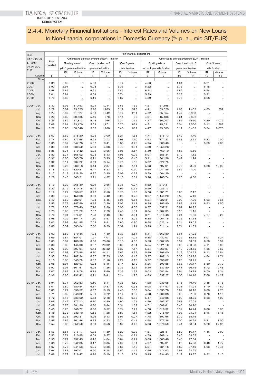# 2.4.4. Monetary Financial Institutions - Interest Rates and Volumes on New Loans to Non-financial corporations in Domestic Currency (% p. a., mio SIT/EUR)

| Until      |            |              |                               |                            |         |                                              |         | Non-financial corporations |         |                            |      |                                             |                          |                          |
|------------|------------|--------------|-------------------------------|----------------------------|---------|----------------------------------------------|---------|----------------------------|---------|----------------------------|------|---------------------------------------------|--------------------------|--------------------------|
|            | 31.12.2006 |              |                               |                            |         | Other loans up to an amount of EUR 1 million |         |                            |         |                            |      | Other loans over an amount of EUR 1 million |                          |                          |
| SIT after  |            | Bank         |                               | Floating rate or           |         | Over 1 and up to 5                           |         | Over 5 years               |         | Floating rate or           |      | Over 1 and up to 5                          |                          | Over 5 years             |
| 01.01.2007 |            | overdraft    |                               |                            |         | years rate fixation                          |         |                            |         |                            |      |                                             |                          |                          |
| <b>EUR</b> |            |              |                               | up to 1 year rate fixation |         |                                              |         | rate fixation              |         | up to 1 year rate fixation |      | years rate fixation                         |                          | rate fixation            |
|            | Column     |              | ΙR<br>$\overline{\mathbf{c}}$ | Volume<br>3                | IR<br>4 | Volume                                       | IR<br>6 | Volume<br>$\overline{7}$   | ΙR<br>8 | Volume                     | IR   | Volume                                      | IR<br>12                 | Volume<br>13             |
|            | Code       | $\mathbf{1}$ |                               |                            |         | 5                                            |         |                            |         | 9                          | 10   | 11                                          |                          |                          |
| 2006       |            | 6.33         | 5.99                          |                            | 5.66    |                                              | 5.74    |                            | 4.56    | $\cdots$                   | 4.64 |                                             | 5.21                     | $\cdots$                 |
| 2007       |            | 5.92         | 5.91                          |                            | 6.08    | $\cdots$                                     | 6.35    | $\ddotsc$                  | 5.22    | $\cdots$                   | 5.76 | $\cdots$                                    | 5.18                     | $\cdots$                 |
| 2008       |            | 6.58         | 6.66                          |                            | 6.91    | $\ldots$                                     | 6.45    | $\cdots$                   | 6.24    |                            | 6.62 |                                             | 6.54                     | $\cdots$                 |
| 2009       |            | 6.01         | 5.91                          | $\ddotsc$                  | 6.54    | $\cdots$                                     | 5.74    | $\ddotsc$                  | 5.29    | $\cdots$                   | 6.28 | $\cdots$                                    | 5.92                     | $\cdots$                 |
| 2010       |            | 5.70         | 5.68                          |                            | 6.16    |                                              | 5.67    |                            | 4.89    | $\cdots$                   | 5.76 |                                             | 6.08                     | $\cdots$                 |
|            |            |              |                               |                            |         |                                              |         |                            |         |                            |      |                                             |                          |                          |
| 2006 Jun.  |            | 6.33         | 6.05                          | 37,753                     | 5.24    | 1,044                                        | 5.66    | 169                        | 4.51    | 51,498                     |      |                                             |                          |                          |
|            | Jul.       | 6.29         | 6.09                          | 25,355                     | 5.78    | 1,283                                        | 6.19    | 396                        | 4.41    | 35,020                     | 4.66 | 1,483                                       | 4.65                     | 599                      |
|            | Aug.       | 6.24         | 6.02                          | 21,627                     | 5.56    | 1,242                                        | 5.74    | 231                        | 4.62    | 35,554                     | 4.47 | 3,350                                       | ÷                        |                          |
|            | Sep.       | 6.29         | 5.89                          | 30,735                     | 5.46    | 676                                          | 5.14    | 32                         | 4.91    | 45,186                     | 3.61 | 2,802                                       | ä,                       |                          |
|            | Oct.       | 6.25         | 5.89                          | 27,312                     | 5.48    | 966                                          | 5.34    | 319                        | 4.47    | 45,007                     | 4.66 | 4,660                                       | 4.80                     | 1,075                    |
|            | Nov.       | 6.08         | 5.81                          | 33,479                     | 5.59    | 1,171                                        | 5.70    | 664                        | 4.51    | 45,031                     | 5.04 | 2,550                                       | 5.12                     | 1,588                    |
|            | Dec.       | 6.22         | 5.90                          | 30,048                     | 5.85    | 1,768                                        | 5.48    | 662                        | 4.47    | 99,605                     | 5.11 | 3,435                                       | 5.34                     | 9,070                    |
|            |            |              |                               |                            |         |                                              |         |                            |         |                            |      |                                             |                          |                          |
| 2007       | Jan.       | 5.67         | 5.59                          | 278.20                     | 5.25    | 3.00                                         | 5.21    | 1.68                       | 4.74    | 875.73                     | 5.49 | 4.40                                        |                          |                          |
|            | Feb.       | 5.74         | 5.60                          | 277.66                     | 6.24    | 2.72                                         | 5.98    | 1.30                       | 4.62    | 871.23                     | 6.53 | 3.61                                        | 5.22                     | 2.00                     |
|            | Mar.       | 5.63         | 5.57                          | 347.78                     | 5.52    | 6.41                                         | 5.83    | 0.25                       | 4.95    | 863.40                     |      |                                             | 5.09                     | 2.00                     |
|            | Apr.       | 5.80         | 5.64                          | 339.52                     | 5.76    | 4.08                                         | 6.70    | 0.01                       | 4.89    | 1,253.23                   |      |                                             |                          |                          |
|            | May.       | 5.85         | 5.71                          | 319.42                     | 5.92    | 13.66                                        | 6.06    | 2.57                       | 5.10    | 760.10                     | 4.86 | 5.56                                        |                          |                          |
|            | Jun.       | 5.82         | 5.77                          | 355.02                     | 6.05    | 6.43                                         | 7.98    | 0.09                       | 5.07    | 886.34                     | 5.12 | 1.12                                        |                          |                          |
|            | Jul.       | 5.92         | 5.88                          | 305.78                     | 6.11    | 3.93                                         | 6.68    | 0.40                       | 5.11    | 1,241.36                   | 6.49 | 1.24                                        |                          |                          |
|            | Aug.       | 5.92         | 6.14                          | 237.22                     | 6.39    | 3.14                                         | 6.73    | 1.35                       | 5.32    | 822.76                     |      |                                             | ä,                       |                          |
|            | Sep.       | 6.05         | 6.25                          | 280.13                     | 6.44    | 2.37                                         | 6.66    | 2.51                       | 5.68    | 797.01                     | 5.76 | 3.00                                        | 5.23                     | 10.00                    |
|            | Oct.       | 6.18         | 6.22                          | 320.21                     | 6.47    | 6.23                                         | 6.12    | 0.90                       | 5.65    | 1,041.85                   | 5.59 | 7.00                                        | ä,                       |                          |
|            | Nov.       | 6.17         | 6.18                          | 328.25                     | 6.97    | 3.35                                         | 6.09    | 0.62                       | 5.59    | 1,064.39                   |      |                                             |                          |                          |
|            | Dec.       | 6.29         | 6.40                          | 345.51                     | 5.91    | 4.37                                         | 6.13    | 2.61                       | 5.96    | 1,463.74                   | 6.25 | 4.80                                        |                          |                          |
|            |            |              |                               |                            |         |                                              |         |                            |         |                            |      |                                             |                          |                          |
| 2008       | Jan.       | 6.19         | 6.22                          | 268.30                     | 6.29    | 2.95                                         | 6.35    | 0.27                       | 5.62    | 1,270.31                   | ٠    |                                             |                          | ٠                        |
|            | Feb.       | 6.22         | 6.15                          | 310.76                     | 6.44    | 3.77                                         | 4.99    | 0.31                       | 5.59    | 1,085.17                   |      |                                             |                          |                          |
|            | Mar.       | 6.19         | 6.24                          | 358.57                     | 6.42    | 2.50                                         | 5.73    | 1.63                       | 5.76    | 1,281.71                   | 5.63 | 2.17                                        |                          | ٠                        |
|            | Apr.       | 6.30         | 6.47                          | 450.03                     | 6.66    | 4.40                                         | 6.95    | 0.73                       | 6.07    | 1,449.20                   | 6.32 | 5.40                                        |                          |                          |
|            | May.       | 6.40         | 6.63                          | 382.61                     | 7.03    | 5.45                                         | 6.05    | 0.81                       | 6.24    | 1,022.31                   | 0.00 | 7.00                                        | 5.93                     | 8.65                     |
|            | Jun.       | 6.55         | 6.73                          | 457.89                     | 6.85    | 3.29                                         | 7.02    | 2.13                       | 6.25    | 1,405.80                   | 6.63 | 3.13                                        | 6.53                     | 1.50                     |
|            | Jul        | 6.72         | 6.83                          | 378.49                     | 7.18    | 2.30                                         | 6.90    | 4.36                       | 6.57    | 1,357.51                   | 6.91 | 10.72                                       |                          |                          |
|            | Aug.       | 6.78         | 6.90                          | 271.29                     | 7.07    | 2.29                                         | 7.46    | 1.01                       | 6.64    | 1,267.33                   | 6.53 | 1.15                                        | ÷,                       |                          |
|            | Sep.       | 6.76         | 7.04                          | 375.81                     | 7.28    | 2.46                                         | 6.82    | 3.64                       | 6.71    | 1,215.43                   | 6.94 | 1.50                                        | 7.17                     | 3.26                     |
|            | Oct.       | 6.98         | 7.32                          | 354.14                     | 7.30    | 5.97                                         | 7.18    | 2.22                       | 6.88    | 1,064.15                   | 6.76 | 11.18                                       |                          |                          |
|            | Nov.       | 7.02         | 6.98                          | 341.95                     | 7.03    | 6.81                                         | 6.60    | 0.80                       | 6.58    | 1,022.14                   | 7.24 | 19.02                                       |                          |                          |
|            | Dec.       | 6.88         | 6.39                          | 505.04                     | 7.30    | 9.29                                         | 5.39    | 1.21                       | 5.93    | 1,811.14                   | 7.74 | 11.39                                       |                          |                          |
|            |            |              |                               |                            |         |                                              |         |                            |         |                            |      |                                             |                          |                          |
| 2009       | Jan.       | 6.00         | 5.89                          | 379.36                     | 7.03    | 4.39                                         | 5.33    | 2.51                       | 5.44    | 1,662.80                   | 6.61 | 27.22                                       |                          |                          |
|            | Feb.       | 6.09         | 5.84                          | 384.01                     | 7.27    | 4.01                                         | 5.37    | 1.21                       | 5.38    | 1,732.07                   | 6.35 | 15.15                                       | 6.01                     | 3.34                     |
|            | Mar.       | 6.00         | 6.02                          | 468.50                     | 6.60    | 23.66                                        | 6.18    | 4.00                       | 5.53    | 1,507.53                   | 6.34 | 73.39                                       | 6.50                     | 5.59                     |
|            | Apr.       | 5.89         | 6.00                          | 445.90                     | 6.62    | 20.92                                        | 6.09    | 3.34                       | 5.54    | 1,221.16                   | 6.05 | 200.88                                      | 4.11                     | 6.00                     |
|            | May.       | 5.97         | 6.00                          | 397.94                     | 6.43    | 26.82                                        | 6.37    | 7.57                       | 5.54    | 1,269.87                   | 6.10 | 293.55                                      | 4.36                     | 2.62                     |
|            | Jun.       | 6.02         | 5.98                          | 475.98                     | 6.30    | 44.11                                        | 6.62    | 4.69                       | 5.49    | 1,396.00                   | 6.19 | 204.22                                      | 6.12                     | 22.84                    |
|            | Jul.       | 5.95         | 5.84                          | 407.94                     | 6.37    | 27.23                                        | 4.53    | 8.18                       | 5.27    | 1,407.13                   | 6.36 | 153.73                                      | 4.84                     | 11.71                    |
|            | Aug        | 6.13         | 5.88                          | 343.26                     | 6.32    | 11.16                                        | 4.29    | 3.15                       | 5.22    | 1,698.82                   | 6.20 | 73.41                                       | $\overline{\phantom{a}}$ |                          |
|            | Sep.       | 6.08         | 5.91                          | 429.53                     | 6.38    | 16.45                                        | 6.14    | 3.72                       | 5.25    | 1,309.88                   | 6.66 | 126.77                                      | 6.80                     | 2.70                     |
|            | Oct.       | 5.93         | 6.01                          | 361.91                     | 6.29    | 11.26                                        | 5.35    | 2.34                       | 5.15    | 1,237.80                   | 6.47 | 66.75                                       | 6.72                     | 10.48                    |
|            | Nov.       | 6.07         | 5.87                          | 316.78                     | 6.74    | 8.69                                         | 6.36    | 1.62                       | 5.03    | 1,052.84                   | 5.94 | 59.79                                       | 6.70                     | 3.34                     |
|            | Dec.       | 5.96         | 5.65                          | 492.42                     | 6.11    | 19.41                                        | 6.24    | 1.96                       | 4.63    | 1,857.27                   | 6.06 | 144.18                                      | 7.08                     | 24.29                    |
|            |            |              |                               |                            |         |                                              |         |                            |         |                            |      |                                             |                          |                          |
| 2010 Jan.  |            | 5.94         | 5.77                          | 262.83                     | 6.10    | 8.11                                         | 4.36    | 4.50                       | 4.98    | 1,039.08                   | 6.15 | 49.40                                       | 3.48                     | 6.18                     |
|            | Feb.       | 6.01         | 5.80                          | 280.84                     | 6.37    | 10.87                                        | 7.02    | 0.58                       | 5.08    | 974.53                     | 6.31 | 41.24                                       | 6.70                     | 14.80                    |
|            | Mar.       | 5.83         | 5.77                          | 358.52                     | 6.37    | 10.13                                        | 4.48    | 2.33                       | 5.04    | 1,335.78                   | 5.64 | 20.16                                       | 6.80                     | 2.70                     |
|            | Apr.       | 5.71         | 5.62                          | 343.02                     | 5.96    | 9.22                                         | 4.14    | 0.89                       | 4.68    | 1,086.93                   | 5.98 | 57.60                                       | 6.70                     | 1.15                     |
|            | May.       | 5.72         | 5.47                          | 333.60                     | 5.68    | 12.18                                        | 4.63    | 0.83                       | 5.17    | 840.88                     | 6.03 | 58.85                                       | 6.33                     | 4.99                     |
|            | Jun.       | 6.06         | 5.46                          | 377.13                     | 6.30    | 14.80                                        | 4.90    | 1.51                       | 4.90    | 1,507.37                   | 5.61 | 67.04                                       |                          |                          |
|            | Jul.       | 5.49         | 5.73                          | 301.30                     | 6.30    | 8.84                                         | 6.31    | 1.39                       | 4.71    | 1,006.61                   | 5.40 | 38.20                                       | $\overline{\phantom{a}}$ | $\overline{\phantom{a}}$ |
|            | Aug.       | 5.45         | 5.70                          | 248.77                     | 6.08    | 8.52                                         | 6.74    | 2.29                       | 4.70    | 1,016.32                   | 5.84 | 14.44                                       | 6.06                     | 3.90                     |
|            | Sep.       | 5.48         | 5.78                          | 332.10                     | 6.15    | 11.28                                        | 6.87    | 1.54                       | 4.92    | 1,018.90                   | 4.98 | 34.91                                       | 8.16                     | 16.45                    |
|            | Oct.       | 5.55         | 5.78                          | 292.31                     | 5.96    | 9.43                                         | 6.97    | 0.27                       | 4.78    | 807.96                     | 5.72 | 35.49                                       | $\overline{\phantom{a}}$ |                          |
|            | Nov.       | 5.59         | 5.69                          | 261.96                     | 6.32    | 14.23                                        | 5.74    | 0.41                       | 4.68    | 977.38                     | 6.00 | 40.24                                       | 5.31                     | 7.00                     |
|            | Dec.       | 5.54         | 5.60                          | 352.56                     | 6.39    | 19.53                                        | 5.92    | 0.40                       | 5.06    | 1,576.59                   | 5.44 | 63.04                                       | 5.20                     | 27.05                    |
|            |            |              |                               |                            |         |                                              |         |                            |         |                            |      |                                             |                          |                          |
| 2011 Jan.  |            | 5.56         | 5.51                          | 216.17                     | 6.32    | 11.39                                        | 6.20    | 0.09                       | 4.67    | 925.31                     | 5.83 | 16.77                                       | 4.46                     | 2.90                     |
|            | Feb.       | 5.53         | 5.71                          | 210.89                     | 6.04    | 8.57                                         | 4.54    | 0.21                       | 4.79    | 868.14                     | 5.45 | 53.55                                       | $\overline{\phantom{a}}$ |                          |
|            | Mar.       | 5.55         | 5.71                          | 292.45                     | 6.13    | 14.04                                        | 5.64    | 0.71                       | 5.03    | 1,063.48                   | 5.40 | 27.54                                       | $\overline{\phantom{a}}$ | $\overline{\phantom{a}}$ |
|            | Apr.       | 5.63         | 5.72                          | 242.35                     | 6.17    | 10.35                                        | 7.92    | 1.01                       | 4.97    | 794.31                     | 5.25 | 15.98                                       | 6.40                     | 1.77                     |
|            | May.       | 5.67         | 5.76                          | 241.53                     | 6.25    | 13.36                                        | 6.86    | 1.40                       | 5.01    | 681.18                     | 5.82 | 37.40                                       | 5.93                     | 12.45                    |
|            | Jun.       | 5.64         | 5.83                          | 293.01                     | 6.20    | 18.48                                        | 6.52    | 1.49                       | 4.95    | 1,114.02                   | 5.97 | 24.24                                       | $\sim$                   |                          |
|            | Jul.       | 5.66         | 5.79                          | 218.47                     | 6.26    | 10.19                                        | 6.15    | 3.04                       | 5.45    | 834.45                     | 6.17 | 19.87                                       | 6.32                     | 3.10                     |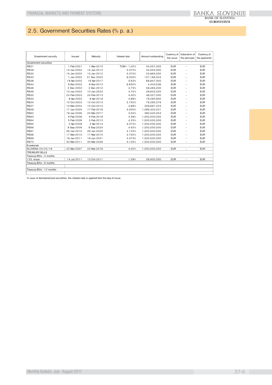# 2.5. Government Securities Rates (% p. a.)

| Government security        | Issued      | Maturity    | Interest rate | Amount outstanding | Currency of<br>the issue | Indexation of<br>the principal | Currency of<br>the payments |
|----------------------------|-------------|-------------|---------------|--------------------|--------------------------|--------------------------------|-----------------------------|
| Government securities      |             |             |               |                    |                          |                                |                             |
| <b>RS21</b>                | 1 Feb 2001  | 1 Mar 2015  | $TOM + 1.00%$ | 34.057.005         | <b>EUR</b>               | ٠                              | <b>EUR</b>                  |
| <b>RS29</b>                | 15 Jan 2002 | 15 Jan 2012 | 5.375%        | 55,000,000         | EUR                      |                                | <b>EUR</b>                  |
| <b>RS32</b>                | 15 Jan 2002 | 15 Jan 2012 | 5.375%        | 23,865,500         | <b>EUR</b>               | ٠                              | <b>EUR</b>                  |
| <b>RS33</b>                | 1 Jan 2002  | 31 Dec 2022 | 8.000%        | 127,166,004        | <b>EUR</b>               |                                | <b>EUR</b>                  |
| <b>RS38</b>                | 19 Apr 2002 | 19 Apr 2017 | 5.63%         | 68,847,000         | <b>EUR</b>               |                                | <b>EUR</b>                  |
| <b>RS44</b>                | 8 Nov 2002  | 8 Nov 2012  | 6.650%        | 4,443,536          | <b>EUR</b>               |                                | <b>EUR</b>                  |
| <b>RS48</b>                | 2 Dec 2002  | 2 Dec 2012  | 4.75%         | 56,465,200         | <b>EUR</b>               | ۰                              | <b>EUR</b>                  |
| <b>RS49</b>                | 10 Jan 2003 | 10 Jan 2022 | 4.75%         | 29,632,020         | <b>EUR</b>               | ٠                              | <b>EUR</b>                  |
| <b>RS50</b>                | 24 Feb 2003 | 24 Feb 2013 | 4.50%         | 48,527,000         | <b>EUR</b>               | ٠                              | <b>EUR</b>                  |
| <b>RS53</b>                | 8 Apr 2003  | 8 Apr 2018  | 4.88%         | 79,290,900         | <b>EUR</b>               | ٠                              | <b>EUR</b>                  |
| <b>RS54</b>                | 15 Oct 2003 | 15 Oct 2013 | 5.750%        | 76,295,376         | <b>EUR</b>               |                                | <b>EUR</b>                  |
| <b>RS57</b>                | 15 Mar 2004 | 15 Oct 2014 | 4.88%         | 259,697,224        | <b>EUR</b>               |                                | <b>EUR</b>                  |
| <b>RS59</b>                | 17 Jan 2005 | 17 Feb 2016 | 4.000%        | 1,066,332,031      | <b>EUR</b>               | ٠                              | <b>EUR</b>                  |
| <b>RS62</b>                | 18 Jan 2006 | 23 Mar 2017 | 3.50%         | 390.540.053        | <b>EUR</b>               | ٠                              | <b>EUR</b>                  |
| <b>RS63</b>                | 6 Feb 2008  | 6 Feb 2019  | 4.38%         | 1,000,000,000      | <b>EUR</b>               | ٠                              | <b>EUR</b>                  |
| <b>RS64</b>                | 5 Feb 2009  | 5 Feb 2012  | 4.25%         | 1,000,000,000      | <b>EUR</b>               | ۰                              | <b>EUR</b>                  |
| <b>RS65</b>                | 2 Apr 2009  | 2 Apr 2014  | 4.375%        | 1,500,000,000      | <b>EUR</b>               |                                | <b>EUR</b>                  |
| <b>RS66</b>                | 9 Sep 2009  | 9 Sep 2024  | 4.63%         | 1,500,000,000      | <b>EUR</b>               |                                | <b>EUR</b>                  |
| <b>RS67</b>                | 26 Jan 2010 | 26 Jan 2020 | 4.125%        | 1,500,000,000      | <b>EUR</b>               |                                | <b>EUR</b>                  |
| <b>RS68</b>                | 17 Mar 2010 | 17 Mar 2015 | 2.750%        | 1,000,000,000      | EUR                      |                                | <b>EUR</b>                  |
| <b>RS69</b>                | 18 Jan 2011 | 18 Jan 2021 | 4.375%        | 1,500,000,000      | <b>EUR</b>               |                                | <b>EUR</b>                  |
| <b>RS70</b>                | 30 Mar 2011 | 30 Mar 2026 | 5.125%        | 1,500,000,000      | <b>EUR</b>               | ٠                              | <b>EUR</b>                  |
| Eurobonds                  |             |             |               |                    |                          |                                |                             |
| SLOVEN4 03/22/18           | 22 Mar 2007 | 22 Mar 2018 | 4.00%         | 1.000.000.000      | <b>EUR</b>               | ٠                              | <b>EUR</b>                  |
| <b>TREASURY BILLS</b>      |             |             |               |                    |                          |                                |                             |
| Treasury Bills - 3 months  |             |             |               |                    |                          |                                |                             |
| 132. issue                 | 14 Jul 2011 | 13 Oct 2011 | 1.39%         | 26,600,000         | <b>EUR</b>               | ٠                              | <b>EUR</b>                  |
| Treasury Bills - 6 months  |             |             |               |                    |                          |                                |                             |
|                            |             |             |               |                    |                          |                                |                             |
| Treasury Bills - 12 months |             |             |               |                    |                          |                                |                             |
|                            |             |             |               |                    |                          |                                |                             |

In case of dematerialised securities, the interest rate is applied from the day of issue.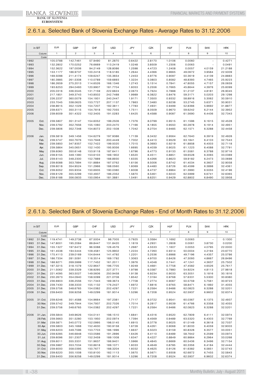**EUROSYSTEM**

# 2.6.1.a. Selected Bank of Slovenia Exchange Rates - Average Rates to 31.12.2006

|      | in SIT | <b>EUR</b>   | GBP            | CHF      | <b>USD</b>     | <b>JPY</b> | CZK    | <b>HUF</b>     | <b>PLN</b> | <b>SKK</b> | <b>HRK</b> |
|------|--------|--------------|----------------|----------|----------------|------------|--------|----------------|------------|------------|------------|
|      | Column | $\mathbf{1}$ | $\overline{c}$ | 3        | $\overline{4}$ | 5          | 6      | $\overline{7}$ | 8          | 9          | 10         |
|      | Code   |              |                |          |                |            |        |                |            |            |            |
| 1992 |        | 105.0788     | 142.7461       | 57.9490  | 81.2870        | 0.6422     | 2.8170 | 1.0106         | 0.0060     |            | 0.4271     |
| 1993 |        | 132.2802     | 170.0252       | 76.6669  | 113.2419       | 1.0248     | 3.8509 | 1.2306         | 0.0063     | ×          | 0.0491     |
| 1994 |        | 152.3622     | 197,0006       | 94.2149  | 128,8086       | 1.2598     | 4.4723 | 1.2408         | 0.0057     | 4.0159     | 21.2188    |
| 1995 |        | 153.1177     | 186.9737       | 100.2418 | 118.5185       | 1.2644     | 4.4366 | 0.9665         | 49.0672    | 3.9584     | 22.5009    |
| 1996 |        | 169.5098     | 211.4174       | 109.6247 | 135.3654       | 1.2453     | 4.9776 | 0.9097         | 50.3619    | 4.4139     | 24.8883    |
| 1997 |        | 180.3985     | 261.5308       | 110.0789 | 159.6893       | 1.3224     | 5.0803 | 0.8582         | 48.8393    | 4.7465     | 25.9223    |
| 1998 |        | 186.2659     | 275.2013       | 114.6526 | 166.1346       | 1.2743     | 5.1514 | 0.7841         | 47.8055    | 4.7157     | 26.0659    |
| 1999 |        | 193.6253     | 294.0493       | 120.9907 | 181.7704       | 1.6053     | 5.2556 | 0.7665         | 45.8644    | 4.3976     | 25.6099    |
| 2000 |        | 205.0316     | 336.5545       | 131.7159 | 222.6824       | 2.0673     | 5.7624 | 0.7888         | 51.2137    | 4.8181     | 26.9045    |
| 2001 |        | 217.1851     | 349.3743       | 143.8502 | 242.7488       | 1.9989     | 6.3822 | 0.8476         | 59.3171    | 5.0203     | 29.1298    |
| 2002 |        | 226.2237     | 360.0079       | 154.1931 | 240.2447       | 1.9171     | 7.3500 | 0.9332         | 58.8916    | 5.3062     | 30.5910    |
| 2003 |        | 233.7045     | 338.0625       | 153.7727 | 207.1137       | 1.7863     | 7.3480 | 0.9238         | 53.2745    | 5.6371     | 30.9031    |
| 2004 |        | 238.8615     | 352.1029       | 154.7207 | 192.3811       | 1.7783     | 7.4931 | 0.9499         | 52.8366    | 5.9692     | 31.8877    |
| 2005 |        | 239.6371     | 350.3115       | 154.7818 | 192.7055       | 1.7511     | 8.0509 | 0.9670         | 59.6242    | 6.2144     | 32.3952    |
| 2006 |        | 239,6009     | 351.4322       | 152.3405 | 191.0283       | 1.6425     | 8.4588 | 0.9087         | 61.5690    | 6.4436     | 32.7343    |
|      |        |              |                |          |                |            |        |                |            |            |            |
| 2005 | Oct.   | 239.5807     | 351.3147       | 154.6052 | 199.2506       | 1.7376     | 8.0799 | 0.9515         | 61.1596    | 6.1615     | 32.4528    |
|      | Nov.   | 239.5792     | 352.7656       | 155.1060 | 203.2470       | 1.7166     | 8.1855 | 0.9550         | 60.2878    | 6.1914     | 32.4951    |
|      | Dec.   | 239.5806     | 352.7348       | 154.8072 | 202.1508       | 1.7042     | 8.2754 | 0.9485         | 62.1571    | 6.3288     | 32.4458    |
|      |        |              |                |          |                |            |        |                |            |            |            |
| 2006 | Jan.   | 239.5819     | 349.1456       | 154.6279 | 197.9386       | 1.7139     | 8.3432 | 0.9564         | 62.7640    | 6.3919     | 32.4928    |
|      | Feb.   | 239.5747     | 350.7676       | 153.7948 | 200.4449       | 1.7002     | 8.4410 | 0.9529         | 63.1841    | 6.4103     | 32.7543    |
|      | Mar.   | 239.5850     | 347.9357       | 152.7422 | 199,5020       | 1.7015     | 8.3693 | 0.9219         | 61.8858    | 6.4003     | 32.7118    |
|      | Apr.   | 239.5864     | 345.0651       | 152.1430 | 195.9356       | 1.6695     | 8.4039 | 0.9025         | 61.1223    | 6.4088     | 32.7791    |
|      | May    | 239,6060     | 350.6148       | 153.9118 | 187.6411       | 1.6796     | 8.4773 | 0.9133         | 61.5581    | 6.3788     | 32.9716    |
|      | Jun.   | 239.6155     | 349.1390       | 153.6103 | 189.1902       | 1.6520     | 8.4511 | 0.8851         | 59.6528    | 6.3065     | 33.0389    |
|      | Jul.   | 239.6143     | 348.2300       | 152.7889 | 188.8930       | 1.6335     | 8.4266 | 0.8623         | 59.9182    | 6.2473     | 33.0698    |
|      | Aug.   | 239,6088     | 353.7894       | 151.8884 | 187.0762       | 1.6156     | 8.5006 | 0.8742         | 61.4034    | 6.3607     | 32.9058    |
|      | Sep.   | 239,6018     | 354.9524       | 151.2966 | 188.0560       | 1.6069     | 8.4480 | 0.8726         | 60.4599    | 6.3898     | 32.4361    |
|      | Oct.   | 239.6052     | 355.9334       | 150.6935 | 190.0380       | 1.6008     | 8.4737 | 0.8964         | 61.3990    | 6.5055     | 32.4196    |
|      | Nov.   | 239.6129     | 355.5299       | 150.4937 | 186.2352       | 1.5870     | 8.5461 | 0.9243         | 62.5999    | 6.6741     | 32.6365    |
|      | Dec.   | 239.6188     | 356.0833       | 150.0954 | 181.3881       | 1.5491     | 8.6251 | 0.9429         | 62.8802    | 6.8490     | 32.5958    |

# 2.6.1.b. Selected Bank of Slovenia Exchange Rates - End of Month Rates to 31.12.2006

|      | in SIT    | <b>EUR</b> | GBP            | CHF      | <b>USD</b>     | <b>JPY</b> | <b>CZK</b> | <b>HUF</b>     | <b>PLN</b> | <b>SKK</b> | <b>HRK</b> |
|------|-----------|------------|----------------|----------|----------------|------------|------------|----------------|------------|------------|------------|
|      | Column    | 1          | $\overline{c}$ | 3        | $\overline{4}$ | 5          | 6          | $\overline{7}$ | 8          | 9          | 10         |
|      | Code      |            |                |          |                |            |            |                |            |            |            |
| 1992 | 31.Dec.   | 119,4741   | 149.2738       | 67.5004  | 98.7005        | 0.7925     | 3.3584     | 1.1692         | 0.0063     |            | 0.1300     |
| 1993 | 31.Dec.   | 147.8001   | 195.2084       | 89.8447  | 131.8420       | 1.1819     | 4.2931     | 1.2808         | 0.0061     | 3.8730     | 0.0200     |
| 1994 | 31.Dec.   | 155.1327   | 197.6472       | 96.5088  | 126.4576       | 1.2687     | 4.5533     | 1.1607         | 0.0053     | 4.0795     | 22.0000    |
| 1995 | 31.Dec.   | 161.4538   | 194.5444       | 109.4581 | 125.9902       | 1.2224     | 4.7260     | 0.9314         | 50.0004    | 4.2194     | 23.6770    |
| 1996 | 31.Dec.   | 175.4113   | 239.0169       | 104.6444 | 141.4792       | 1.2201     | 5.2536     | 0.8988         | 49.7196    | 4.4357     | 25.5786    |
| 1997 | 31.Dec.   | 186.7334   | 281.5091       | 116.3514 | 169.1792       | 1.3063     | 4.9700     | 0.8426         | 47.3093    | 4.8667     | 26.8496    |
| 1998 | 31.Dec.   | 188.9271   | 269.5999       | 117.7452 | 161.2011       | 1.3976     | 5.4048     | 0.7441         | 47.1241    | 4.3637     | 25.7502    |
| 1999 | 31.Dec.   | 197.3215   | 318.1579       | 122.9647 | 196.7705       | 1.9249     | 5.4681     | 0.7758         | 47.4582    | 4.6526     | 25.7617    |
| 2000 | 31.Dec.   | 211.5062   | 339.3329       | 138.9295 | 227.3771       | 1.9798     | 6.0387     | 0.7980         | 54.9224    | 4.8113     | 27.9818    |
| 2001 | 31.Dec.   | 221.4095   | 363.5027       | 149.5606 | 250.9458       | 1.9138     | 6.9234     | 0.9033         | 63.3051    | 5.1816     | 30.1816    |
| 2002 | 31.Dec.   | 230.2673   | 354.0940       | 158.5099 | 221.0708       | 1.8542     | 7.3194     | 0.9768         | 57.6331    | 5.5300     | 30.8380    |
| 2003 | 31.Dec.   | 236.6903   | 336.2556       | 151.7343 | 189.3674       | 1.7708     | 7.2774     | 0.9067         | 50.5759    | 5.7561     | 30.9723    |
| 2004 | 31.Dec.   | 239.7430   | 338.3333       | 155.1132 | 176.2427       | 1.6972     | 7.8816     | 0.9765         | 58.8471    | 6.1892     | 31.4055    |
| 2005 | 31.Dec.   | 239,5756   | 348.6765       | 154.0382 | 202.4297       | 1.7221     | 8.2584     | 0.9486         | 62.0823    | 6.3288     | 32.5201    |
| 2006 | 31.Dec.   | 239.6400   | 356.9258       | 149.0299 | 181.9314       | 1.5296     | 8.7208     | 0.9524         | 62.5937    | 6.9602     | 32.6374    |
|      |           |            |                |          |                |            |            |                |            |            |            |
| 2005 | 31.Oct.   | 239.6246   | 351.4588       | 154.9664 | 197.2381       | 1.7117     | 8.0722     | 0.9541         | 60.0367    | 6.1375     | 32.4937    |
|      | 30.Nov.   | 239.5742   | 349.7944       | 154.7937 | 202.7026       | 1.7014     | 8.2817     | 0.9539         | 61.4766    | 6.3358     | 32.4055    |
|      | 31.Dec.   | 239.5756   | 348.6765       | 154.0382 | 202.4297       | 1.7221     | 8.2584     | 0.9486         | 62.0823    | 6.3288     | 32.5201    |
|      |           |            |                |          |                |            |            |                |            |            |            |
| 2006 | 31.Jan.   | 239.5844   | 349.9626       | 154.0141 | 198.1510       | 1.6841     | 8.4316     | 0.9520         | 62.7809    | 6.4111     | 32.5974    |
|      | 28.Feb.   | 239,5663   | 351.5280       | 153.1950 | 202.0974       | 1.7394     | 8.4569     | 0.9489         | 63.5320    | 6.4303     | 32.7769    |
|      | 31.Mar.   | 239.5871   | 345.0772       | 152.0995 | 198.5145       | 1.6915     | 8.3778     | 0.9025         | 61.0149    | 6.3618     | 32.7037    |
|      | 30 Apr.   | 239,5803   | 345.1668       | 152.4630 | 190.9158       | 1.6728     | 8.4261     | 0.9068         | 61.8033    | 6.4059     | 32.9003    |
|      | 31.May    | 239,6203   | 349.7596       | 153.7703 | 186.1996       | 1.6637     | 8.5023     | 0.9159         | 60.8328    | 6.3577     | 33.0051    |
|      | 30.Jun.   | 239.6285   | 346.6848       | 153.0586 | 191.2896       | 1.6426     | 8.4110     | 0.8489         | 58.7642    | 6.2599     | 33.0974    |
|      | $31$ Jul. | 239,6096   | 351.2307       | 152.3459 | 189,1008       | 1.6347     | 8.4227     | 0.8849         | 60.9864    | 6.2964     | 33.0268    |
|      | 31.Aug    | 239.6011   | 355.3331       | 151.9637 | 186.9401       | 1.5966     | 8.4845     | 0.8669         | 60.5436    | 6.3496     | 32.7154    |
|      | 30.Sep.   | 239.5987   | 353.7034       | 150.8618 | 189.1071       | 1.6033     | 8.4649     | 0.8785         | 60.3356    | 6.4184     | 32.4444    |
|      | 31.Oct.   | 239,6000   | 358.0395       | 150.7677 | 188.3204       | 1.6032     | 8.4625     | 0.9126         | 61.6382    | 6.5851     | 32.5743    |
|      | 30.Nov    | 239.6220   | 355.1008       | 150.8100 | 182.1113       | 1.5670     | 8.5671     | 0.9308         | 62.6872    | 6.7455     | 32.5843    |
|      | 31.Dec.   | 239.6400   | 356.9258       | 149.0299 | 181.9314       | 1.5296     | 8.7208     | 0.9524         | 62.5937    | 6.9602     | 32.6374    |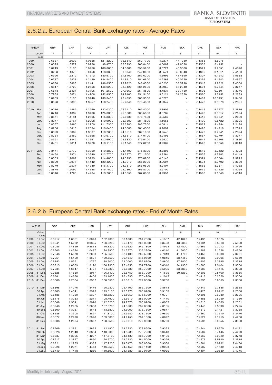### 2.6.2.a. European Central Bank exchange rates - Average Rates

| for EUR |        | GBP          | CHF            | <b>USD</b> | <b>JPY</b>     | CZK     | <b>HUF</b> | <b>PLN</b>     | <b>SKK</b> | <b>DKK</b> | <b>SEK</b> | <b>HRK</b> |
|---------|--------|--------------|----------------|------------|----------------|---------|------------|----------------|------------|------------|------------|------------|
|         | Column | $\mathbf{1}$ | $\overline{c}$ | 3          | $\overline{4}$ | 5       | 6          | $\overline{7}$ | 8          | 9          | 10         | 11         |
|         | Code   |              |                |            |                |         |            |                |            |            |            |            |
| 1999    |        | 0.6587       | 1.6003         | 1.0658     | 121.3200       | 36.8840 | 252.7700   | 4.2274         | 44.1230    | 7.4355     | 8.8075     |            |
| 2000    |        | 0.6095       | 1.5579         | 0.9236     | 99.4700        | 35.5990 | 260.0400   | 4.0082         | 42.6020    | 7.4538     | 8.4452     |            |
| 2001    |        | 0.6219       | 1.5105         | 0.8956     | 108.6800       | 34.0680 | 256.5900   | 3.6721         | 43.3000    | 7.4521     | 9.2551     | 7.4820     |
| 2002    |        | 0.6288       | 1.4670         | 0.9456     | 118.0600       | 30.8040 | 242.9600   | 3.8574         | 42.6940    | 7.4305     | 9.1611     | 7.4130     |
| 2003    |        | 0.6920       | 1.5212         | 1.1312     | 130.9700       | 31.8460 | 253.6200   | 4.3996         | 41.4890    | 7.4307     | 9.1242     | 7.5688     |
| 2004    |        | 0.6787       | 1.5438         | 1.2439     | 134.4400       | 31.8910 | 251.6600   | 4.5268         | 40.0220    | 7.4399     | 9.1243     | 7.4967     |
| 2005    |        | 0.6838       | 1.5483         | 1.2441     | 136.8500       | 29.7820 | 248.0500   | 4.0230         | 38.5990    | 7.4518     | 9.2822     | 7.4008     |
| 2006    |        | 0.6817       | 1.5729         | 1.2556     | 146.0200       | 28.3420 | 264.2600   | 3.8959         | 37.2340    | 7.4591     | 9.2544     | 7.3247     |
| 2007    |        | 0.6843       | 1.6427         | 1.3705     | 161.2500       | 27.7660 | 251.3500   | 3.7837         | 33.7750    | 7.4506     | 9.2501     | 7.3376     |
| 2008    |        | 0.7963       | 1.5874         | 1.4708     | 152.4500       | 24.9460 | 251.5100   | 3.5121         | 31.2620    | 7.4560     | 9.6152     | 7.2239     |
| 2009    |        | 0.8909       | 1.5100         | 1.3948     | 130.3400       | 26.4350 | 280.3300   | 4.3276         |            | 7.4462     | 10.6191    | 7.3400     |
| 2010    |        | 0.8578       | 1.3803         | 1.3257     | 116.2400       | 25.2840 | 275.4800   | 3.9947         |            | 7.4473     | 9.5373     | 7.2891     |
|         |        |              |                |            |                |         |            |                |            |            |            |            |
| 2010    | Mar.   | 0.9016       | 1.4482         | 1.3569     | 123.0300       | 25.5410 | 265.4000   | 3.8906         |            | 7.4416     | 9.7277     | 7.2616     |
|         | Apr.   | 0.8746       | 1.4337         | 1.3406     | 125.3300       | 25.3080 | 265.5300   | 3.8782         |            | 7.4428     | 9.6617     | 7.2594     |
|         | May.   | 0.8571       | 1.4181         | 1.2565     | 115.8300       | 25.6630 | 276.7800   | 4.0567         | ٠          | 7.4413     | 9.6641     | 7.2630     |
|         | Jun.   | 0.8277       | 1.3767         | 1.2208     | 110.9900       | 25.7800 | 281.4800   | 4.1055         |            | 7.4409     | 9.5722     | 7.2225     |
|         | Jul.   | 0.8357       | 1.3460         | 1.2770     | 111.7300       | 25.3280 | 283.7500   | 4.0814         | ٠          | 7.4522     | 9.4954     | 7.2198     |
|         | Aug.   | 0.8236       | 1.3413         | 1.2894     | 110.0400       | 24.8060 | 281.4500   | 3.9899         |            | 7.4495     | 9.4216     | 7.2525     |
|         | Sep.   | 0.8399       | 1.3089         | 1.3067     | 110.2600       | 24.6510 | 282.1000   | 3.9548         | ۰          | 7.4476     | 9.2241     | 7.2874     |
|         | Oct.   | 0.8764       | 1.3452         | 1.3898     | 113.6700       | 24.5310 | 274.0100   | 3.9496         |            | 7.4567     | 9.2794     | 7.3277     |
|         | Nov.   | 0.8551       | 1.3442         | 1.3661     | 112.6900       | 24.6330 | 275.5100   | 3.9520         |            | 7.4547     | 9.3166     | 7.3830     |
|         | Dec    | 0.8481       | 1.2811         | 1.3220     | 110.1100       | 25.1740 | 277.6200   | 3.9962         | ۰          | 7.4528     | 9.0559     | 7.3913     |
|         |        |              |                |            |                |         |            |                |            |            |            |            |
| 2011    | Jan.   | 0.8471       | 1.2779         | 1.3360     | 110.3800       | 24.4490 | 275.3300   | 3.8896         | ٠          | 7.4518     | 8.9122     | 7.4008     |
|         | Feb.   | 0.8464       | 1.2974         | 1.3649     | 112.7700       | 24.2770 | 271.1500   | 3.9264         |            | 7.4555     | 8.7882     | 7.4149     |
|         | Mar.   | 0.8665       | 1.2867         | 1.3999     | 114.4000       | 24.3930 | 270.8900   | 4.0145         |            | 7.4574     | 8.8864     | 7.3915     |
|         | Apr.   | 0.8829       | 1.2977         | 1.4442     | 120.4200       | 24.3010 | 265.2900   | 3.9694         | ۰          | 7.4574     | 8.9702     | 7.3639     |
|         | May.   | 0.8779       | 1.2537         | 1.4349     | 116.4700       | 24.3810 | 266.9600   | 3.9404         |            | 7.4566     | 8.9571     | 7.4052     |
|         | Jun.   | 0.8875       | 1.2092         | 1.4388     | 115.7500       | 24.2860 | 266.8700   | 3.9702         |            | 7.4579     | 9.1125     | 7.4065     |
|         | Jul.   | 0.8848       | 1.1766         | 1.4264     | 113.2600       | 24.3350 | 267.6800   | 3.9951         |            | 7.4560     | 9.1340     | 7.4316     |

# 2.6.2.b. European Central Bank exchange rates - End of Month Rates

|      | for EUR | GBP            | CHF            | <b>USD</b> | <b>JPY</b>     | CZK     | <b>HUF</b> | <b>PLN</b>     | <b>SKK</b>               | <b>DKK</b> | <b>SEK</b> | <b>HRK</b> |
|------|---------|----------------|----------------|------------|----------------|---------|------------|----------------|--------------------------|------------|------------|------------|
|      | Column  | $\overline{1}$ | $\overline{2}$ | 3          | $\overline{4}$ | 5       | 6          | $\overline{7}$ | 8                        | 9          | 10         | 11         |
|      | Code    |                |                |            |                |         |            |                |                          |            |            |            |
| 1999 | 31.Dec  | 0.6217         | 1.6051         | 1.0046     | 102.7300       | 36.1030 | 254.7000   | 4.1587         | 42.4020                  | 7.4433     | 8.5625     |            |
| 2000 | 31.Dec  | 0.6241         | 1.5232         | 0.9305     | 106.9200       | 35.0470 | 265,0000   | 3.8498         | 43.9330                  | 7.4631     | 8.8313     | 7.5800     |
| 2001 | 31.Dec  | 0.6085         | 1.4829         | 0.8813     | 115,3300       | 31.9620 | 245.1800   | 3.4953         | 42.7800                  | 7.4365     | 9.3012     | 7.3490     |
| 2002 | 31.Dec  | 0.6505         | 1.4524         | 1.0487     | 124.3900       | 31.5770 | 236.2900   | 4.0210         | 41.5030                  | 7.4288     | 9.1528     | 7.4750     |
| 2003 | 31.Dec  | 0.7048         | 1.5579         | 1.2630     | 135.0500       | 32.4100 | 262.5000   | 4.7019         | 41.1700                  | 7.4450     | 9.0800     | 7.6451     |
| 2004 | 31.Dec  | 0.7051         | 1.5429         | 1.3621     | 139,6500       | 30.4640 | 245.9700   | 4.0845         | 38.7450                  | 7.4388     | 9.0206     | 7.6650     |
| 2005 | 31.Dec  | 0.6853         | 1.5551         | 1.1797     | 138.9000       | 29.0000 | 252.8700   | 3.8600         | 37.8800                  | 7.4605     | 9.3885     | 7.3715     |
| 2006 | 31.Dec  | 0.6715         | 1.6069         | 1.3170     | 156.9300       | 27.4850 | 251.7700   | 3.8310         | 34.4350                  | 7.4560     | 9.0404     | 7.3504     |
| 2007 | 31.Dec  | 0.7334         | 1.6547         | 1.4721     | 164.9300       | 26.6280 | 253.7300   | 3.5935         | 33.5830                  | 7.4583     | 9.4415     | 7.3308     |
| 2008 | 31.Dec. | 0.9525         | 1.4850         | 1.3917     | 126.1400       | 26.8750 | 266.7000   | 4.1535         | 30.1260                  | 7.4506     | 10.8700    | 7.3555     |
| 2009 | 31.Dec. | 0.8881         | 1.4836         | 1.4406     | 133.1600       | 26.4730 | 270.4200   | 4.1045         |                          | 7.4418     | 10.2520    | 7.3000     |
| 2010 | 31.Dec. | 0.8608         | 1.2504         | 1.3362     | 108.6500       | 25.0610 | 277.9500   | 3.9750         |                          | 7.4535     | 8.9655     | 7.3830     |
|      |         |                |                |            |                |         |            |                |                          |            |            |            |
| 2010 | 31.Mar. | 0.8898         | 1.4276         | 1.3479     | 125.9300       | 25.4400 | 265.7500   | 3.8673         |                          | 7.4447     | 9.7135     | 7.2638     |
|      | 30.Apr. | 0.8703         | 1.4341         | 1.3315     | 125.8100       | 25.5270 | 266.8200   | 3.9163         | ٠                        | 7.4425     | 9.6217     | 7.2530     |
|      | 31.May  | 0.8486         | 1.4230         | 1.2307     | 112.6200       | 25.5050 | 275.5300   | 4.0791         | ٠                        | 7.4395     | 9.6230     | 7.2635     |
|      | 30.Jun. | 0.8175         | 1.3283         | 1.2271     | 108.7900       | 25.6910 | 286.0000   | 4.1470         |                          | 7.4488     | 9.5259     | 7.1980     |
|      | 31.Jul  | 0.8349         | 1.3541         | 1.3028     | 112.6200       | 24.7770 | 285.6200   | 4.0085         | ٠                        | 7.4510     | 9.4333     | 7.2361     |
|      | 31.Aug. | 0.8248         | 1.2935         | 1.2680     | 107.0700       | 24.8500 | 287.6800   | 4.0135         | $\overline{\phantom{a}}$ | 7.4448     | 9.3890     | 7.2725     |
|      | 30.Sep. | 0.8600         | 1.3287         | 1.3648     | 113.6800       | 24.6000 | 275.7500   | 3.9847         |                          | 7.4519     | 9.1421     | 7.3058     |
|      | 31.Oct. | 0.8686         | 1.3708         | 1.3857     | 111.8700       | 24.5980 | 271.7600   | 3.9820         | ٠                        | 7.4562     | 9.3610     | 7.3470     |
|      | 30.Nov. | 0.8377         | 1.2990         | 1.2998     | 109.0000       | 24.9150 | 284.1800   | 4.0692         | ٠                        | 7.4529     | 9.1715     | 7.4260     |
|      | 31.Dec. | 0.8608         | 1.2504         | 1.3362     | 108,6500       | 25.0610 | 277.9500   | 3.9750         |                          | 7.4535     | 8.9655     | 7.3830     |
|      |         |                |                |            |                |         |            |                |                          |            |            |            |
| 2011 | 31.Jan. | 0.8609         | 1.2891         | 1.3692     | 112,4900       | 24.2230 | 273.8500   | 3.9362         |                          | 7.4544     | 8.8670     | 7.4171     |
|      | 28.Feb. | 0.8528         | 1.2840         | 1.3834     | 113,2600       | 24.3530 | 270.7200   | 3.9548         |                          | 7.4564     | 8.7445     | 7.4279     |
|      | 31.Mar. | 0.8837         | 1.3005         | 1.4207     | 117.6100       | 24.5430 | 265.7200   | 4.0106         | ٠                        | 7.4567     | 8.9329     | 7.3778     |
|      | 30.Apr. | 0.8917         | 1.2867         | 1.4860     | 120.6700       | 24.2230 | 264.5000   | 3.9356         | ٠                        | 7.4576     | 8.9140     | 7.3615     |
|      | 31.May  | 0.8721         | 1.2275         | 1.4385     | 117.2200       | 24.5470 | 266.8500   | 3.9558         |                          | 7.4561     | 8.8932     | 7.4460     |
|      | 30.Jun. | 0.9026         | 1.2071         | 1.4453     | 116.2500       | 24.3450 | 266.1100   | 3.9903         |                          | 7.4587     | 9.1739     | 7.4018     |
|      | 31.Jul  | 0.8749         | 1.1418         | 1.4260     | 110.5900       | 24.1880 | 269.9700   | 4.0086         |                          | 7.4494     | 9.0689     | 7.4375     |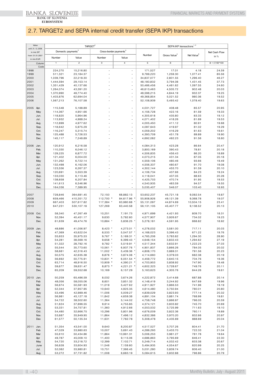**EUROSYSTEM**

## 2.7. TARGET2 and SEPA internal credit transfer (SEPA IKP) transactions

| Value                                       |                        | TARGET <sup>2</sup>    |                                  |                          |                        |                          | SEPAIKP transactions <sup>1,2</sup> |                       |
|---------------------------------------------|------------------------|------------------------|----------------------------------|--------------------------|------------------------|--------------------------|-------------------------------------|-----------------------|
| until 31.12.2006                            | Domestic payments $^3$ |                        | $\text{Cross-border payments}^4$ |                          |                        |                          |                                     |                       |
| in mio SIT<br>from 01.01.2007<br>in mio EUR | Number                 | Value                  | Number                           | Value                    | Number                 | Gross Value <sup>5</sup> | Net Value <sup>6</sup>              | Net Cash Flow<br>in % |
|                                             | $\mathbf{1}$           | $\overline{2}$         | $\overline{3}$                   | $\overline{4}$           | 5                      | 6                        | $\overline{7}$                      | $8 = (7/6)^*100$      |
| Column<br>Code                              |                        |                        |                                  |                          |                        |                          |                                     |                       |
| 1998                                        | 224,270                | 15,216.80              |                                  |                          | 171,527                | 17.01                    | 4.18                                | 24.59                 |
| 1999                                        | 511,321                | 23,184.37              |                                  | ä,                       | 9,789,220              | 1,259.30                 | 1,077.41                            | 85.56                 |
| 2000                                        | 1,039,796              | 22,218.30              |                                  | ÷,                       | 34,837,077             | 2,801.55                 | 1,296.40                            | 46.27                 |
| 2001                                        | 1,444,594              | 29,153.14              |                                  | ٠                        | 48,180,832             | 3,794.08                 | 1,431.45                            | 37.73                 |
| 2002                                        | 1,351,429              | 40,137.66              |                                  | ÷,                       | 50,486,456             | 4,461.62                 | 1,097.55                            | 24.60                 |
| 2003                                        | 1,264,074              | 43,391.20              |                                  | ä,                       | 46,613,463             | 4,505.72                 | 902.48                              | 20.03                 |
| 2004                                        | 1,370,990              | 48,774.40              |                                  |                          | 48,598,215             | 4,844.19                 | 932.37                              | 19.25                 |
| 2005                                        | 1,403,876              | 62,694.04              |                                  | ٠                        | 49,368,854             | 5,021.52                 | 980.36                              | 19.52                 |
| 2006                                        | 1,567,213              | 76,107.58              |                                  |                          | 52,108,939             | 5,493.42                 | 1,078.40                            | 19.63                 |
|                                             |                        |                        |                                  |                          |                        |                          |                                     |                       |
| 2005 Apr.                                   | 115,548                | 5,188.89               |                                  |                          | 4,031,727              | 408.48                   | 85.57                               | 20.95                 |
| May                                         | 114,367                | 4,951.66               |                                  | ٠                        | 4,156,728              | 422.16                   | 81.59                               | 19.33                 |
| Jun.                                        | 118,820                | 5,964.96               |                                  |                          | 4,305,618              | 435.80                   | 83.33                               | 19.12                 |
| Jul.                                        | 113,932                | 4,988.24               |                                  | ä,                       | 4,071,402              | 418.26                   | 81.69                               | 19.53                 |
| Aug.                                        | 112,899                | 4,977.62               |                                  |                          | 4,005,450              | 411.12                   | 80.91                               | 19.68                 |
| Sep.                                        | 118,642                | 5,975.29               |                                  | ä,                       | 4,097,643              | 419.97                   | 81.02                               | 19.29                 |
| Oct.                                        | 116,247                | 5,315.74               |                                  |                          | 4,059,202              | 416.29                   | 81.63                               | 19.61                 |
| Nov.                                        | 125,488                | 5,726.53               |                                  | ä,<br>Ĭ.                 | 4,393,709              | 451.78                   | 89.89                               | 19.90                 |
| Dec.                                        | 145,117                | 7,248.89               |                                  |                          | 4,692,082              | 492.23                   | 91.56                               | 18.60                 |
| 2006 Jan.                                   | 120,912                | 6,216.58               |                                  | ÷,                       | 4,084,313              | 423.28                   | 86.64                               | 20.47                 |
| Feb.                                        | 110,330                | 6,046.12               |                                  | ä,                       | 3,800,169              | 390.43                   | 78.81                               | 20.18                 |
| Mar.                                        | 129,225                | 6,877.72               |                                  |                          | 4,506,835              | 456.43                   | 86.20                               | 18.89                 |
| Apr.                                        | 121,402                | 6,004.00               |                                  | ä,                       | 4,073,215              | 431.34                   | 87.05                               | 20.18                 |
| May                                         | 131,262                | 6,722.14               |                                  |                          | 4,559,106              | 480.46                   | 93.66                               | 19.49                 |
| Jun.                                        | 132,498                | 6,162.06               |                                  | ä,                       | 4,556,337              | 480.67                   | 91.70                               | 19.08                 |
| Jul.                                        | 123,556                | 6,267.37               |                                  |                          | 4,302,144              | 455.70                   | 91.59                               | 20.10                 |
| Aug.                                        | 120,691                | 5,553.39               |                                  |                          | 4,106,734              | 437.66                   | 84.23                               | 19.24                 |
| Sep.                                        | 133,030                | 6,113.46               |                                  |                          | 4,118,041              | 437.05                   | 88.63                               | 20.28                 |
| Oct.                                        | 138,658                | 6,207.84               |                                  | ä,                       | 4,425,703              | 470.74                   | 91.95                               | 19.53                 |
| Nov.                                        | 141,613                | 6,546.96               |                                  | Ĭ.                       | 4,540,935              | 483.59                   | 94.57                               | 19.55                 |
| Dec.                                        | 164,036                | 7,389.95               |                                  | ٠                        | 5,035,407              | 546.07                   | 103.40                              | 18.93                 |
|                                             |                        |                        |                                  |                          |                        |                          |                                     |                       |
| 2007                                        | 728,846                | 364,681.45             | 72,150                           | 68,882.13                | 53,652,237             | 45,721.18                | 9,082.54                            | 19.87                 |
| 2008                                        | 659,466                | 410,351.72             | 112,700 *                        | 84,617.96 *              | 55,908,926             | 49,121.39                | 9,368.78                            | 19.07                 |
| 2009                                        | 667,403                | 507,617.82             | 117,384 *                        | 63,980.68 *              | 55,131,097             | 44,874.69                | 10,504.15                           | 23.41                 |
| 2010                                        | 647,231                | 530,107.18             | 127,269                          | 63,440.58                | 56,131,105             | 45,407.77                | 9,138.52                            | 20.13                 |
|                                             |                        |                        |                                  |                          |                        |                          |                                     |                       |
| 2008 Oct.                                   | 58,340                 | 47,267.49              | 10,251                           | 7,191.73                 | 4,971,699              | 4,421.93                 | 809.70                              | 18.31                 |
| Nov.                                        | 52,394                 | 40,451.17              | 9,630                            | 5,782.60                 | 4,577,907              | 3,926.67                 | 734.02                              | 19.23                 |
| Dec.                                        | 61,639                 | 49,474.76              | $10,884$ *                       | 5,836.25 *               | 5,278,181              | 4,591.95                 | 868.82                              | 18.92                 |
|                                             |                        |                        |                                  |                          |                        |                          |                                     |                       |
| 2009 Jan.                                   | 48,686                 | 41,056.97              | $8,423$ *                        | 4,273.01 *               | 4,278,032              | 3,581.00                 | 717.11                              | 20.03                 |
| Feb.                                        | 47,369                 | 43,622.04              | 8,533 *                          | 5,547.57 *               | 4,168,023              | 3,396.43                 | 671.22                              | 19.76                 |
| Mar.                                        | 55,653                 | 35,975.53              | $9,767$ *                        | $5,169.31$ *             | 4,765,206              | 3,783.82                 | 1,294.30                            | 28.90                 |
| Apr.                                        | 54,281                 | 38,569.16              | $9,658$ *                        | 6,399.43 *               | 4,648,154              | 3,832.43                 | 1,294.62                            | 27.19                 |
| May                                         | 51,322                 | 28,792.16              | $9,782$ *                        | 5,519.91 *               | 4,517,344              | 3,632.91                 | 1,222.23                            | 27.03                 |
| Jun.                                        | 55,544                 | 35,773.60              | $10,561$ *                       | 6,937.76 *               | 4,901,837              | 3,866.26                 | 784.05                              | 20.02                 |
| Jul.                                        | 58,681                 | 42,316.43              | 11,002 *                         | 5,439.36 *               | 4,808,170              | 3,889.31                 | 791.56                              | 20.23                 |
| Aug.                                        | 50,575                 | 42,635.38              | 8,876 *                          | 3,874.08 *<br>6,051.54 * | 4,114,660              | 3,379.03<br>3,640.15     | 682.38                              | 20.19<br>19.36        |
| Sep.                                        | 56,692                 | 50,775.91              | 10,831 *                         |                          | 4,459,772              |                          | 704.76                              |                       |
| Oct.                                        | 63,714                 | 48,916.50              | 10,909 *                         | 4,390.21 *               | 4,703,953              | 3,838.92                 | 747.90                              | 19.48                 |
| Nov.<br>Dec.                                | 59,677<br>65,209       | 39,631.47<br>59,552.68 | 8,873 *<br>10,169                | 4,221.21 *<br>6,157.29   | 4,602,323<br>5,163,623 | 3,728.67<br>4,305.76     | 749.76<br>844.26                    | 20.11<br>19.61        |
|                                             |                        |                        |                                  |                          |                        |                          |                                     |                       |
| 2010 Jan.                                   | 50,259                 | 65,486.59              | 8,032                            | 3,674.26                 | 4,222,872              | 3,414.68                 | 687.88                              | 20.14                 |
| Feb                                         | 48,056                 | 58,055.06              | 8,601                            | 3,851.32                 | 4,148,419              | 3,244.92                 | 647.69                              | 19.96                 |
| Mar                                         | 56,674                 | 50,581.93              | 11,019                           | 5,427.62                 | 4,911,927              | 3,866.53                 | 741.96                              | 19.19                 |
| Apr                                         | 52,344                 | 37,957.95              | 10,640                           | 4,925.35                 | 4,614,480              | 3,750.94                 | 780.01                              | 20.80                 |
| May                                         | 53,496                 | 42,989.46              | 11,006                           | 5,009.27                 | 4,839,029              | 3,823.93                 | 777.14                              | 20.32                 |
| Jun.                                        | 56,981                 | 45,127.18              | 11,842                           | 4,659.38                 | 4,891,104              | 3,881.74                 | 768.99                              | 19.81                 |
| Jul.                                        | 54,722                 | 38,502.60              | 11,364                           | 5,144.02                 | 4,758,748              | 3,866.97                 | 796.05                              | 20.59                 |
| Aug.                                        | 51,624                 | 37,896.55              | 9,614                            | 4,755.85                 | 4,374,121              | 3,603.82                 | 745.70                              | 20.69                 |
| Sep.                                        | 53,331                 | 34,757.81              | 11,360                           | 4,912.66                 | 4,553,532              | 3,725.99                 | 711.63                              | 19.10                 |
| Oct.                                        | 54,480                 | 32,666.75              | 10,296                           | 5,801.96                 | 4,676,009              | 3,822.36                 | 760.11                              | 19.89                 |
| Nov.                                        | 53,687                 | 35,949.95              | 11,864                           | 7,496.12                 | 4,832,386              | 3,970.20                 | 832.66                              | 20.97                 |
| Dec                                         | 61,577                 | 50,135.34              | 11,631                           | 7,782.78                 | 5,308,478              | 4,435.69                 | 888.69                              | 20.04                 |
|                                             |                        |                        |                                  |                          |                        |                          |                                     |                       |
| 2011 Jan.                                   | 51,354                 | 43,541.00              | 9,640                            | 8,200.87                 | 4,517,527              | 3,707.26                 | 804.41                              | 21.70                 |
| Feb                                         | 47,029                 | 33,980.63              | 10,007                           | 5,691.43                 | 4,289,293              | 3,433.70                 | 722.33                              | 21.04                 |
| Mar                                         | 55,610                 | 50,434.86              | 11,864                           | 10,991.31                | 5,006,253              | 3,981.27                 | 781.78                              | 19.64                 |
| Apr                                         | 49,787                 | 45,009.10              | 11,400                           | 9,115.06                 | 4,686,863              | 3,795.69                 | 846.41                              | 22.30                 |
| May                                         | 54,720                 | 33,218.72              | 12,399                           | 7,102.71                 | 5,249,714              | 4,032.42                 | 833.38                              | 20.67                 |
| June                                        | 56,628                 | 33,604.93              | 11,546                           | 7,159.60                 | 5,494,935              | 4,054.67                 | 820.99                              | 20.25                 |
| Jul.                                        | 52,082                 | 33,980.81              | 10,751                           | 7,366.45                 | 5,031,280              | 3,839.74                 | 806.40                              | 21.00                 |
| Aug.                                        | 53,272                 | 37,731.82              | 11,008                           | 6,683.19                 | 5,084,615              | 3,832.88                 | 796.86                              | 20.79                 |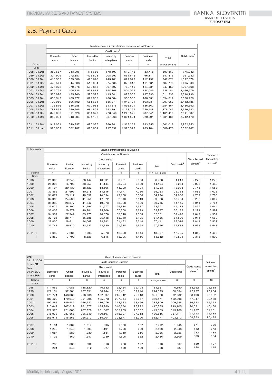# 2.8. Payment Cards

|      |              |                   | Number of cards in circulation - cards issued in Slovenia |                    |                           |                   |                          |                         |                 |  |  |  |  |
|------|--------------|-------------------|-----------------------------------------------------------|--------------------|---------------------------|-------------------|--------------------------|-------------------------|-----------------|--|--|--|--|
|      |              |                   |                                                           |                    | Credit cards <sup>1</sup> |                   |                          |                         |                 |  |  |  |  |
|      |              | Domestic<br>cards | Under<br>licence                                          | Issued by<br>banks | Issued by<br>enterprises  | Personal<br>cards | <b>Business</b><br>cards | Total                   | Debit cards $2$ |  |  |  |  |
|      | Column       | 1                 | $\overline{c}$                                            | 3                  | $\overline{4}$            | 5                 | 6                        | $7 = 1 + 2.3 + 4.5 + 6$ | 8               |  |  |  |  |
|      | Code         |                   |                                                           |                    |                           |                   |                          |                         |                 |  |  |  |  |
|      | 1998 31.Dec. | 350,567           | 243,296                                                   | 415,666            | 178,197                   | 510,145           | 83,718                   | 593,863                 | 775,032         |  |  |  |  |
| 1999 | 31.Dec.      | 374.929           | 272.887                                                   | 438.823            | 208.993                   | 551.645           | 96.171                   | 647.816                 | 961.982         |  |  |  |  |
| 2000 | 31.Dec.      | 418.565           | 323.506                                                   | 498.670            | 243.401                   | 629.879           | 112.192                  | 742.071                 | 1,392,379       |  |  |  |  |
| 2001 | 31.Dec.      | 443.541           | 344.238                                                   | 512.994            | 274.785                   | 676.018           | 111.761                  | 787.779                 | 1,495,660       |  |  |  |  |
| 2002 | 31.Dec.      | 477.072           | 370.378                                                   | 539.853            | 307.597                   | 733.119           | 114.331                  | 847.450                 | 1.707.668       |  |  |  |  |
|      | 2003 31.Dec. | 522,759           | 405,425                                                   | 573,818            | 354,366                   | 804,099           | 124,085                  | 928,184                 | 2,466,579       |  |  |  |  |
| 2004 | 31.Dec.      | 575.976           | 435.260                                                   | 595.595            | 415.641                   | 873.506           | 137.730                  | 1.011.236               | 2.310.190       |  |  |  |  |
| 2005 | 31.Dec.      | 630.342           | 463.977                                                   | 627.935            | 466.384                   | 933.588           | 160.731                  | 1,094,319               | 2.330.220       |  |  |  |  |
| 2006 | 31.Dec.      | 700.950           | 506.102                                                   | 651.681            | 555.371                   | 1.043.121         | 163.931                  | 1.207.052               | 2,412,485       |  |  |  |  |
| 2007 | 31.Dec.      | 738.876           | 545.988                                                   | 670.988            | 613.876                   | 1.098.501         | 186.363                  | 1.284.864               | 2.486.652       |  |  |  |  |
| 2008 | 31.Dec.      | 787.838           | 590.905                                                   | 684.852            | 693.891                   | 1.158.295         | 220.448                  | 1,378,743               | 2,626,982       |  |  |  |  |
| 2009 | 31.Dec.      | 849.696           | 611.720                                                   | 684.876            | 776.540                   | 1.223.575         | 237.841                  | 1,461,416               | 2.611.307       |  |  |  |  |
| 2010 | 31.Dec.      | 888.081           | 643.384                                                   | 694.102            | 837.363                   | 1.301.574         | 229.891                  | 1,531,465               | 2,742,470       |  |  |  |  |
|      |              |                   |                                                           |                    |                           |                   |                          |                         |                 |  |  |  |  |
| 2011 | 31.Mar.      | 912.061           | 649.957                                                   | 695.037            | 866.981                   | 1,328,263         | 233.755                  | 1,562,018               | 2,772,353       |  |  |  |  |
| 2011 | 31.Jun.      | 926.069           | 682.407                                                   | 690.684            | 917.792                   | 1.373.372         | 235.104                  | 1.608.476               | 2,552,967       |  |  |  |  |
|      |              |                   |                                                           |                    |                           |                   |                          |                         |                 |  |  |  |  |

| In thousands | Volume of transactions in Slovenia |                |           |                           |                          |                 |                 |                          |                     |                     |  |
|--------------|------------------------------------|----------------|-----------|---------------------------|--------------------------|-----------------|-----------------|--------------------------|---------------------|---------------------|--|
|              |                                    |                |           |                           | Cards issued in Slovenia |                 |                 |                          |                     | Number of           |  |
|              |                                    |                |           | Credit cards <sup>1</sup> |                          |                 |                 |                          | Cards issued        | transaction         |  |
|              | Domestic                           | Under          | Issued by | Issued by                 | Personal                 | <b>Business</b> |                 | Debit cards <sup>2</sup> | abroad <sup>3</sup> | abroad <sup>4</sup> |  |
|              | cards                              | licence        | banks     | enterprises               | cards                    | cards           | Total           |                          |                     |                     |  |
| Column       | 1                                  | $\overline{c}$ | 3         | $\overline{4}$            | 5                        | 6               | $7=1+2.3+4.5+6$ | 8                        | 9                   | 10                  |  |
| Code         |                                    |                |           |                           |                          |                 |                 |                          |                     |                     |  |
| 1998         | 25,993                             | 12,245         | 28.147    | 10.091                    | 33,231                   | 5,006           | 38,238          | 1,216                    | 2,278               | 1,278               |  |
| 1999         | 28,396                             | 15,798         | 33.050    | 11.144                    | 38.704                   | 5,490           | 44,194          | 5.264                    | 2,925               | 1,433               |  |
| 2000         | 31.794                             | 20.139         | 38.426    | 13.506                    | 44.209                   | 7.724           | 51.933          | 13.933                   | 3.745               | 1,558               |  |
| 2001         | 33.366                             | 21.697         | 40.218    | 14.846                    | 47.777                   | 7.286           | 55,063          | 26.388                   | 4,585               | 1,623               |  |
| 2002         | 31.877                             | 23.117         | 40.599    | 14.394                    | 49.138                   | 5.856           | 54.994          | 31.988                   | 4.752               | 1.788               |  |
| 2003         | 34.930                             | 24.598         | 41.556    | 17.972                    | 52.010                   | 7.519           | 59.528          | 37.784                   | 5.253               | 2,097               |  |
| 2004         | 34.338                             | 26,377         | 41.342    | 19.373                    | 53,228                   | 7.486           | 60.715          | 44.145                   | 5.011               | 2,764               |  |
| 2005         | 35.079                             | 28,292         | 41.794    | 21.577                    | 55.784                   | 7,587           | 63.371          | 49.178                   | 5,897               | 3,044               |  |
| 2006         | 36.408                             | 29.579         | 40.281    | 25.706                    | 57.308                   | 8.679           | 65.987          | 55.182                   | 7.221               | 3,597               |  |
| 2007         | 34.909                             | 27.942         | 35.975    | 26.876                    | 53.848                   | 9.003           | 62.851          | 59.496                   | 7.642               | 4,551               |  |
| 2008         | 32.725                             | 28.711         | 35.688    | 25.748                    | 53.310                   | 8.125           | 61.435          | 64.520                   | 8.911               | 4.560               |  |
| 2009         | 28,800                             | 28,611         | 34,069    | 23,342                    | 51,162                   | 6,248           | 57,411          | 68,016                   | 7,814               | 5,537               |  |
| 2010         | 27.747                             | 29,910         | 33.927    | 23.730                    | 51.688                   | 5,968           | 57.656          | 72.833                   | 8.561               | 6,543               |  |
|              |                                    |                |           |                           |                          |                 |                 |                          |                     |                     |  |
| $2011$       | 6.682                              | 7.284          | 7.994     | 5.973                     | 12.623                   | 1.344           | 13.967          | 17.705                   | 1.843               | 1,496               |  |
| Ш            | 6.850                              | 7.792          | 8.526     | 6,115                     | 13,226                   | 1,416           | 14,642          | 19.804                   | 2,316               | 1.802               |  |
|              |                                    |                |           |                           |                          |                 |                 |                          |                     |                     |  |

| Until      | Value of transactions in Slovenia |                |           |                           |                          |                 |                 |                          |                     |                     |  |  |
|------------|-----------------------------------|----------------|-----------|---------------------------|--------------------------|-----------------|-----------------|--------------------------|---------------------|---------------------|--|--|
| 31.12.2006 |                                   |                |           |                           | Cards issued in Slovenia |                 |                 |                          |                     | Value of            |  |  |
| in mio SIT |                                   |                |           | Credit cards <sup>1</sup> |                          |                 |                 |                          | Cards issued        | transaction         |  |  |
| from       |                                   |                |           |                           |                          |                 |                 |                          | abroad <sup>3</sup> | abroad <sup>4</sup> |  |  |
| 01.01.2007 | Domestic                          | Under          | Issued by | Issued by                 | Personal                 | <b>Business</b> | Total           | Debit cards <sup>2</sup> |                     |                     |  |  |
| in mio EUR | cards                             | licence        | banks     | enterprises               | cards                    | cards           |                 |                          |                     |                     |  |  |
| Column     | $\mathbf{1}$                      | $\overline{2}$ | 3         | $\overline{4}$            | 5                        | 6               | $7=1+2.3+4.5+6$ | 8                        | 9                   | 10                  |  |  |
| Code       |                                   |                |           |                           |                          |                 |                 |                          |                     |                     |  |  |
| 1998       | 111.565                           | 73.086         | 138,320   | 46.332                    | 152.454                  | 32.198          | 184.651         | 6,890                    | 33.552              | 22.638              |  |  |
| 1999       | 127.134                           | 97.561         | 167.751   | 56.944                    | 185.451                  | 39.244          | 224.695         | 30.034                   | 42.727              | 27,284              |  |  |
| 2000       | 178.771                           | 143.089        | 218.963   | 102.897                   | 245.942                  | 75.918          | 321.860         | 92.982                   | 58.499              | 28.552              |  |  |
| 2001       | 186.422                           | 170.049        | 251.098   | 105.373                   | 287.814                  | 68.657          | 356.471         | 162.896                  | 77.047              | 32.158              |  |  |
| 2002       | 193.263                           | 189.545        | 266.733   | 116,076                   | 314.342                  | 68.466          | 382.809         | 209.688                  | 86.323              | 35.523              |  |  |
| 2003       | 210.647                           | 207.019        | 281.677   | 135.989                   | 340.674                  | 76.992          | 417.665         | 249.105                  | 90.031              | 40.168              |  |  |
| 2004       | 227.975                           | 221.060        | 287.729   | 161.307                   | 355.983                  | 93.052          | 449.035         | 313.100                  | 81.157              | 51.101              |  |  |
| 2005       | 248.978                           | 237.568        | 296.349   | 190.197                   | 378.827                  | 107.718         | 486.546         | 357.411                  | 91.612              | 59.788              |  |  |
| 2006       | 266.911                           | 245,265        | 296.973   | 215,204                   | 393.877                  | 118,300         | 512,177         | 403.573                  | 104.853             | 70.435              |  |  |
|            |                                   |                |           |                           |                          |                 |                 |                          |                     |                     |  |  |
| 2007       | 1.131                             | 1.082          | 1.217     | 995                       | 1.680                    | 532             | 2.212           | 1.945                    | 571                 | 330                 |  |  |
| 2008       | 1.243                             | 1.243          | 1.294     | 1.191                     | 1.796                    | 690             | 2.486           | 2.248                    | 742                 | 372                 |  |  |
| 2009       | 1.084                             | 1.280          | 1.230     | 1.134                     | 1.749                    | 616             | 2.365           | 2.326                    | 582                 | 438                 |  |  |
| 2010       | 1,126                             | 1.360          | 1.247     | 1,239                     | 1.805                    | 682             | 2,486           | 2,509                    | 639                 | 504                 |  |  |
|            |                                   |                |           |                           |                          |                 |                 |                          |                     |                     |  |  |
| $2011$     | 280                               | 330            | 292       | 318                       | 438                      | 172             | 610             | 607                      | 159                 | 127                 |  |  |
| Ш          | 291                               | 348            | 312       | 327                       | 459                      | 180             | 638             | 687                      | 198                 | 148                 |  |  |
|            |                                   |                |           |                           |                          |                 |                 |                          |                     |                     |  |  |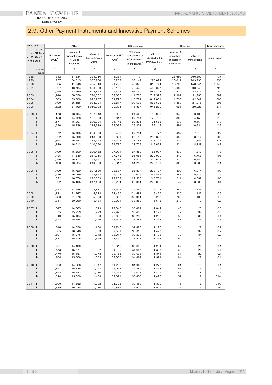**EUROSYSTEM**

# 2.9. Other Payment Instruments and Innovative Payment Schemes

| Value until                                               |                   | <b>ATMs</b>                                          |                                            |                                   | POS terminals                                                              |                                                           | Cheques                                          |                               | Travel cheques        |
|-----------------------------------------------------------|-------------------|------------------------------------------------------|--------------------------------------------|-----------------------------------|----------------------------------------------------------------------------|-----------------------------------------------------------|--------------------------------------------------|-------------------------------|-----------------------|
| 31.12.2006<br>in mio SIT from<br>01.01.2007<br>in mio EUR | Number of<br>ATMs | Volume of<br>transactions at<br>ATMs in<br>thousands | Value of<br>transactions at<br><b>ATMs</b> | Number of EFT<br>POS <sup>1</sup> | Volume of<br>transactions at<br>POS terminals<br>in thousands <sup>2</sup> | Value of<br>transactions at<br>POS terminals <sup>2</sup> | Number of<br>encashed<br>cheques in<br>thousands | Value of<br>transactions      | Value issued          |
| Column                                                    | $\mathbf{1}$      | $\overline{c}$                                       | 3                                          | $\overline{4}$                    | 5                                                                          | 6                                                         | 7                                                | 8                             | 9                     |
| Code                                                      |                   |                                                      |                                            |                                   |                                                                            |                                                           |                                                  |                               |                       |
| 1998<br>1999<br>2000                                      | 612<br>757<br>865 | 27,934<br>34,515<br>41,048                           | 224,010<br>307,768<br>425,016              | 11,361<br>15,269<br>21,723        | $\cdots$<br>38,149<br>49,376                                               | .<br>223,694<br>313,744                                   | 26,692<br>23,012<br>13,205                       | 266,650<br>249,995<br>158,841 | 1,137<br>953<br>1,043 |
| 2001                                                      | 1,027             | 46,734                                               | 566,099                                    | 26,186                            | 73,445                                                                     | 466,627                                                   | 5,663                                            | 90,049                        | 720                   |
| 2002                                                      | 1,095             | 52,160                                               | 642,742                                    | 29,452                            | 91,750                                                                     | 585,103                                                   | 4,532                                            | 82,477                        | 782                   |
| 2003                                                      | 1,240             | 58,736                                               | 770,682                                    | 32,035                            | 111,788                                                                    | 719,572                                                   | 2,967                                            | 51,935                        | 589                   |
| 2004                                                      | 1,389             | 63,700                                               | 892,207                                    | 34,770                            | 110,771                                                                    | 812,861                                                   | 1,735                                            | 32,342                        | 603                   |
| 2005                                                      | 1,490             | 66,485                                               | 983,024                                    | 28,817                            | 109,508                                                                    | 868,676                                                   | 1,350                                            | 27,275                        | 506                   |
| 2006                                                      | 1,522             | 64,160                                               | 1,010,028                                  | 29,234                            | 115,367                                                                    | 945,200                                                   | 921                                              | 20,028                        | 377                   |
| 2003                                                      | 1,173             | 13,164                                               | 162,743                                    | 30,053                            | 24,423                                                                     | 152,980                                                   | 942                                              | 16,105                        | 125                   |
| $\label{eq:1} \mathsf{II}$                                | 1,158             | 14,928                                               | 191,306                                    | 30,617                            | 27,734                                                                     | 175,793                                                   | 860                                              | 14,458                        | 115                   |
| $\mathbf{III}$                                            | 1,171             | 15,007                                               | 200,994                                    | 31,145                            | 29,831                                                                     | 191,683                                                   | 573                                              | 10,451                        | 213                   |
| IV                                                        | 1,240             | 15,636                                               | 215,639                                    | 32,035                            | 29,801                                                                     | 199,116                                                   | 591                                              | 10,921                        | 136                   |
| 2004<br>$\mathbf{I}$                                      | 1,272             | 15,105                                               | 204,576                                    | 32,496                            | 27,731                                                                     | 182,777                                                   | 437                                              | 7,813                         | 127                   |
| Ш                                                         | 1,322             | 15,300                                               | 213,299                                    | 33,321                            | 28,133                                                                     | 206,328                                                   | 455                                              | 8,314                         | 106                   |
| $\mathbf{III}$                                            | 1,354             | 16,583                                               | 234,242                                    | 34,302                            | 27,181                                                                     | 208,101                                                   | 419                                              | 7,887                         | 227                   |
| IV                                                        | 1,389             | 16,712                                               | 240,090                                    | 34,770                            | 27,726                                                                     | 215,654                                                   | 424                                              | 8,328                         | 143                   |
| 2005<br>$\mathbf{I}$                                      | 1,409             | 15,600                                               | 220,762                                    | 27,031                            | 24,382                                                                     | 185,977                                                   | 373                                              | 7,347                         | 118                   |
| Ш                                                         | 1,435             | 17,549                                               | 257,915                                    | 27,746                            | 25,055                                                                     | 202,970                                                   | 342                                              | 6,758                         | 106                   |
| Ш                                                         | 1,456             | 16,812                                               | 254,691                                    | 28,276                            | 28,836                                                                     | 230,619                                                   | 312                                              | 6,481                         | 172                   |
| IV                                                        | 1,490             | 16,524                                               | 249,656                                    | 28,817                            | 31,235                                                                     | 249,109                                                   | 322                                              | 6,689                         | 111                   |
| 2006<br>$\perp$                                           | 1,499             | 15,720                                               | 237,180                                    | 28,587                            | 26,834                                                                     | 208,497                                                   | 300                                              | 6,274                         | 103                   |
| Ш                                                         | 1,510             | 16,099                                               | 253,363                                    | 29,148                            | 30,026                                                                     | 245,869                                                   | 263                                              | 5,515                         | 75                    |
| $\mathbf{III}$                                            | 1,522             | 16,876                                               | 272,059                                    | 29,259                            | 29,506                                                                     | 245,751                                                   | 211                                              | 4,632                         | 105                   |
| IV                                                        | 1,522             | 15,465                                               | 247,426                                    | 29,234                            | 29,001                                                                     | 245,083                                                   | 147                                              | 3,608                         | 94                    |
| 2007                                                      |                   |                                                      |                                            |                                   |                                                                            |                                                           |                                                  |                               | 1.2                   |
| 2008                                                      | 1,643<br>1,731    | 61,146<br>61,567                                     | 4,731<br>5,218                             | 31,529<br>33,490                  | 129,895<br>134,581                                                         | 4,724<br>5,457                                            | 285<br>320                                       | 126<br>125                    | 0.9                   |
| 2009                                                      | 1,786             | 61,370                                               | 5,356                                      | 32,883                            | 132,991                                                                    | 5,253                                                     | 268                                              | 108                           | 0.5                   |
| 2010                                                      | 1,814             | 60,990                                               | 5,484                                      | 32,021                            | 138,853                                                                    | 5,616                                                     | 213                                              | 72                            | 0.3                   |
|                                                           |                   |                                                      |                                            |                                   |                                                                            |                                                           |                                                  |                               |                       |
| 2007                                                      | 1,547             | 14,565                                               | 1,019                                      | 29,843                            | 30,821                                                                     | 1,044                                                     | 46                                               | 28                            | 0.3                   |
| $\label{eq:1} \mathsf{II}$                                | 1,575             | 15,953                                               | 1,229                                      | 29,926                            | 33,405                                                                     | 1,192                                                     | 72                                               | 34<br>30                      | 0.3                   |
| $\mathbf{III}$<br>IV                                      | 1,619<br>1,643    | 15,184<br>15,444                                     | 1,236<br>1,246                             | 29,632<br>31,529                  | 32,280<br>33,388                                                           | 1,230<br>1,258                                            | 80<br>87                                         | 34                            | 0.4<br>0.3            |
|                                                           |                   |                                                      |                                            |                                   |                                                                            |                                                           |                                                  |                               |                       |
| 2008  <br>$\label{eq:1} \mathsf{II}$                      | 1,648<br>1,685    | 14,536<br>16,040                                     | 1,164<br>1,353                             | 31,748<br>32,581                  | 32,496<br>35,316                                                           | 1,195<br>1,427                                            | 74<br>73                                         | 27<br>34                      | 0.2<br>0.2            |
| $\mathbf{III}$                                            | 1,697             | 15,275                                               | 1,342                                      | 33,017                            | 33,238                                                                     | 1,438                                                     | 79                                               | 34                            | 0.3                   |
| IV                                                        | 1,731             | 15,716                                               | 1,359                                      | 33,490                            | 33,531                                                                     | 1,398                                                     | 94                                               | 30                            | 0.2                   |
|                                                           |                   |                                                      |                                            |                                   |                                                                            |                                                           |                                                  |                               |                       |
| 2009                                                      | 1,731             | 14,430                                               | 1,221                                      | 33,815                            | 30,808                                                                     | 1,204                                                     | 67                                               | 26                            | 0.1                   |
| Ш                                                         | 1,753             | 15,877                                               | 1,392                                      | 34,139                            | 34,056                                                                     | 1,336                                                     | 69                                               | 26                            | 0.1                   |
| $\mathop{\mathsf{III}}\nolimits$                          | 1,779             | 15,457                                               | 1,378                                      | 33,155                            | 33,636                                                                     | 1,341                                                     | 67                                               | 29                            | 0.1                   |
| IV                                                        | 1,786             | 15,606                                               | 1,365                                      | 32,883                            | 34,492                                                                     | 1,371                                                     | 64                                               | 27                            | 0.1                   |
| 2010                                                      | 1,793             | 14,283                                               | 1,247                                      | 31,236                            | 31,908                                                                     | 1,277                                                     | 61                                               | 18                            | 0.1                   |
| Ш                                                         | 1,797             | 15,835                                               | 1,424                                      | 32,092                            | 35,469                                                                     | 1,433                                                     | 51                                               | 19                            | 0.1                   |
| $\mathop{\mathsf{III}}\nolimits$                          | 1,798             | 15,242                                               | 1,410                                      | 32,249                            | 35,018                                                                     | 1,415                                                     | 49                                               | 18                            | 0.1                   |
| IV                                                        | 1,814             | 15,630                                               | 1,403                                      | 32,021                            | 36,458                                                                     | 1,490                                                     | 52                                               | 17                            | 0.04                  |
| 2011                                                      | 1,809             | 14,552                                               | 1,292                                      | 31,775                            | 33,453                                                                     | 1,372                                                     | 45                                               | 16                            | 0.03                  |
| $\ensuremath{\mathsf{II}}$                                | 1,839             | 16,038                                               | 1,470                                      | 30,886                            | 36,679                                                                     | 1,517                                                     | 36                                               | 15                            | 0.05                  |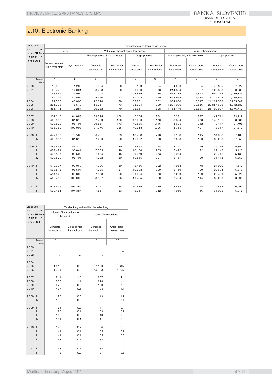

# 2.10. Electronic Banking

| Value until |                 |                    |                  |                                   |                | Personal computer banking via Internet |              |                                   |                       |                  |                |
|-------------|-----------------|--------------------|------------------|-----------------------------------|----------------|----------------------------------------|--------------|-----------------------------------|-----------------------|------------------|----------------|
| 31.12.2006  |                 |                    | <b>Users</b>     |                                   |                | Volume of transactions in thousands    |              |                                   | Value of transactions |                  |                |
| 01.01.2007  | in mio SIT from |                    |                  | Natural persons, Sole proprietors |                | legal persons                          |              | Natural persons, Sole proprietors |                       |                  | Legal persons  |
| in mio EUR  |                 |                    |                  |                                   |                |                                        |              |                                   |                       |                  |                |
|             |                 | Natural persons,   | Legal persons    | <b>Domestic</b>                   | Cross border   | Domestic                               | Cross border | Domestic                          | Cross border          | Domestic         | Cross border   |
|             |                 | Sole proprietors   |                  | transactions                      | transactions   | transactions                           | transactions | transactions                      | transactions          | transactions     | transactions   |
|             |                 |                    |                  |                                   |                |                                        |              |                                   |                       |                  |                |
|             | Stolpec         | $\mathbf{1}$       | $\overline{2}$   | $\overline{3}$                    | $\overline{4}$ | $\overline{5}$                         | 6            | $\overline{7}$                    | $\overline{8}$        | $\overline{9}$   | 10             |
|             | Koda            |                    |                  |                                   |                |                                        |              |                                   |                       |                  |                |
| 2000        |                 | 15,082             | 1,206            | 984                               | 0              | 159                                    | 24           | 54,550                            | 24                    | 79,395           | 67,924         |
| 2001        |                 | 63,440             | 14,091           | 3,403                             | $\circ$        | 6,900                                  | 93           | 214,894                           | 387                   | 3,126,883        | 350,888        |
| 2002        |                 | 98,669             | 34,094           | 7,104                             | $\overline{7}$ | 23,879                                 | 285          | 573,775                           | 9,893                 | 12,652,713       | 1,019,139      |
| 2003        |                 | 142,334            | 41,592           | 9,520                             | 12             | 31,002                                 | 410          | 658,965                           | 19,988                | 17,715,548       | 1,485,185      |
| 2004        |                 | 192,560            | 45,008           | 12,616                            | 28             | 32,751                                 | 552          | 984,660                           | 13,617                | 21,227,533       | 2,185,642      |
| 2005        |                 | 261,928            | 48,543           | 15,957                            | 73             | 33,624                                 | 709          | 1,221,006                         | 22,556                | 22,884,609       | 3,042,587      |
| 2006        |                 | 351,111            | 70,287           | 20,982                            | 70             | 35,657                                 | 808          | 1,454,449                         | 28,684                | 25,790,907       | 3,876,749      |
|             |                 |                    |                  |                                   |                |                                        |              |                                   |                       |                  |                |
| 2007        |                 | 407,210            | 61,955           | 24,735                            | 108            | 47,205                                 | 974          | 7,391                             | 357                   | 147,711          | 22,818         |
| 2008        |                 | 463,337            | 81,816           | 27,499                            | 169            | 42,096                                 | 1,176        | 8,884                             | 473                   | 145,101          | 28,786         |
| 2009        |                 | 509,572            | 96,401           | 29,867                            | 173            | 40,585                                 | 1,116        | 8,695                             | 342                   | 119,477          | 21,798         |
| 2010        |                 | 566,759            | 100,998          | 31,376                            | 235            | 40,213                                 | 1,226        | 8,755                             | 401                   | 118,317          | 21,870         |
| 2008        | - 111           | 449,207            | 70,565           | 6,751                             | 39             | 10,450                                 | 298          | 2,180                             | 115                   | 34,980           | 7,180          |
|             | IV              | 463,337            | 81,816           | 7,266                             | 50             | 11,062                                 | 303          | 2,563                             | 136                   | 38,203           | 7,658          |
|             |                 |                    |                  |                                   |                |                                        |              |                                   |                       |                  |                |
| 2009        |                 | 486.493<br>487.471 | 86,214<br>90.641 | 7.317<br>7.385                    | 30<br>48       | 9.864<br>10.186                        | 258<br>275   | 2,121<br>2.422                    | 59<br>92              | 29,116<br>29,146 | 5,351<br>5,413 |
|             | Ш<br>Ш          | 498,895            | 93,690           |                                   |                |                                        | 283          | 1,984                             | 91                    | 29,741           | 5,181          |
|             | IV              |                    |                  | 7,434                             | 45             | 9,969                                  | 301          |                                   | 100                   |                  | 5,852          |
|             |                 | 509,572            | 96,401           | 7,732                             | 50             | 10,565                                 |              | 2,167                             |                       | 31,473           |                |
| 2010        |                 | 512,337            | 97,060           | 7,396                             | 50             | 9,466                                  | 292          | 1,963                             | 78                    | 27,020           | 4,640          |
|             | Ш               | 523,818            | 98,507           | 7,935                             | 61             | 10,298                                 | 309          | 2,159                             | 100                   | 29,604           | 5,312          |
|             | III             | 534,325            | 99,899           | 7,678                             | 59             | 9,954                                  | 306          | 2,209                             | 109                   | 29,469           | 5,526          |
|             | IV              | 566.759            | 100.998          | 8.367                             | 65             | 10.495                                 | 320          | 2.424                             | 114                   | 32,223           | 6,393          |
|             |                 |                    |                  |                                   |                |                                        |              |                                   |                       |                  |                |
| 2011        |                 | 578.976            | 103.262          | 8.227                             | 48             | 10.675                                 | 440          | 2.438                             | 98                    | 32.483           | 6.097          |
|             | $\mathbf{II}$   | 592.481            | 104,384          | 7.857                             | 53             | 9,951                                  | 342          | 1,950                             | 116                   | 31,032           | 5,976          |

| Value until              |                 | Telebanking and mobile phone banking  |              |                       |                 |  |  |  |
|--------------------------|-----------------|---------------------------------------|--------------|-----------------------|-----------------|--|--|--|
| 31.12.2006<br>01.01.2007 | in mio SIT from | Volume of transactions in<br>thousand |              | Value of transactions |                 |  |  |  |
| in mio EUR               |                 | Domestic                              | Cross border | Domestic              | Cross border    |  |  |  |
|                          |                 | transactions                          | transactions | transactions          | transactions    |  |  |  |
|                          |                 | $\overline{11}$                       | 12           | 13                    | $\overline{14}$ |  |  |  |
|                          | Stolpec<br>Koda |                                       |              |                       |                 |  |  |  |
| 2000                     |                 |                                       | .            |                       | $\cdots$        |  |  |  |
| 2001                     |                 | $\cdots$                              | $\cdots$     | .                     | $\cdots$        |  |  |  |
| 2002                     |                 | $\cdots$                              | .            |                       | .               |  |  |  |
| 2003                     |                 |                                       |              |                       | .               |  |  |  |
| 2004                     |                 |                                       |              |                       | .               |  |  |  |
| 2005                     |                 | 1,518                                 | 0.8          | 62,196                | 880             |  |  |  |
| 2006                     |                 | 1,394                                 | 0.9          | 65,193                | 4,730           |  |  |  |
|                          |                 |                                       |              |                       |                 |  |  |  |
| 2007                     |                 | 914                                   | 1.0          | 237                   | 4.0             |  |  |  |
| 2008                     |                 | 836                                   | 1.1          | 213                   | 5.2             |  |  |  |
| 2009                     |                 | 673                                   | 0.6          | 160                   | 1.2             |  |  |  |
| 2010                     |                 | 437                                   | 0.3          | 103                   | 1.1             |  |  |  |
| 2008                     | Ш               | 190                                   | 0.3          | 49                    | 1.7             |  |  |  |
|                          | IV              | 188                                   | 0.2          | 51                    | 0.4             |  |  |  |
| 2009                     | L               | 171                                   | 0.2          | 41                    | 0.4             |  |  |  |
|                          | $\mathbf{I}$    | 173                                   | 0.1          | 39                    | 0.2             |  |  |  |
|                          | Ш               | 168                                   | 0.2          | 40                    | 0.3             |  |  |  |
|                          | IV              | 161                                   | 0.1          | 41                    | 0.3             |  |  |  |
| 2010                     | т               | 148                                   | 0.2          | 34                    | 0.3             |  |  |  |
|                          | Ш               | 141                                   | 0.1          | 35                    | 0.2             |  |  |  |
|                          | Ш               | 141                                   | 0.1          | 35                    | 0.3             |  |  |  |
|                          | IV              | 143                                   | 0.1          | 34                    | 0.4             |  |  |  |
| 2011                     | т               | 153                                   | 0.1          | 34                    | 0.4             |  |  |  |
|                          | Ш               | 118                                   | 0.2          | 37                    | 2.6             |  |  |  |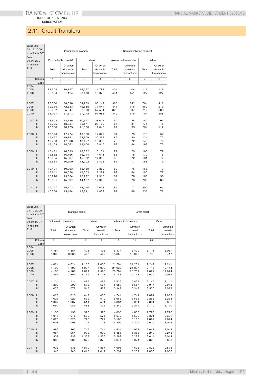BANK OF SLOVENIA **EUROSYSTEM**

## 2.11. Credit Transfers

| Value until<br>31.12.2006<br>in milliards SIT<br>from |                                      |                                      | Paper based payment                   |                                      | Non-paper based payment  |                                      |                          |                                      |  |
|-------------------------------------------------------|--------------------------------------|--------------------------------------|---------------------------------------|--------------------------------------|--------------------------|--------------------------------------|--------------------------|--------------------------------------|--|
| 01.01.2007                                            |                                      | Volume (in thousands)                |                                       | Value                                |                          | Volume (in thousands)                |                          | Value                                |  |
| in millions<br><b>EUR</b>                             | Total                                | Of which<br>domestic<br>transactions | Total                                 | Of which<br>domestic<br>transactions | Total                    | Of which<br>domestic<br>transactions | Total                    | Of which<br>domestic<br>transactions |  |
| Column                                                | 1                                    | $\overline{2}$                       | 3                                     | $\overline{4}$                       | 5                        | 6                                    | $\overline{7}$           | 8                                    |  |
| Code                                                  |                                      |                                      |                                       |                                      |                          |                                      |                          |                                      |  |
| 2004<br>2005<br>2006                                  | 87,508<br>92,004                     | 86,757<br>91,124                     | .<br>16,277<br>23,496                 | $\cdots$<br>11,783<br>18,675         | $\cdots$<br>404<br>451   | $\cdots$<br>404<br>451               | $\ddotsc$<br>116<br>127  | $\ddotsc$<br>116<br>127              |  |
| 2007<br>2008<br>2009<br>2010                          | 76,550<br>72,935<br>65,982<br>68,051 | 76,098<br>72,533<br>65,647<br>67,673 | 104,959<br>79,538<br>62,860<br>57,072 | 96,149<br>71,544<br>57,501<br>51,988 | 365<br>341<br>329<br>349 | 342<br>315<br>297<br>315             | 764<br>559<br>712<br>704 | 416<br>279<br>308<br>288             |  |
| 2007<br>$\mathsf{II}$<br>III<br>IV                    | 18,908<br>18,925<br>20,380           | 18,785<br>18,834<br>20,275           | 30,377<br>25,171<br>21,386            | 28,017<br>23,188<br>19,040           | 90<br>87<br>99           | 84<br>81<br>93                       | 182<br>171<br>204        | 95<br>75<br>117                      |  |
| 2008<br>$\blacksquare$<br>Ш<br>III<br>IV              | 17,876<br>19,497<br>17,403<br>18,159 | 17,774<br>19,391<br>17,306<br>18,062 | 19,668<br>22,309<br>18,457<br>19,104  | 17,829<br>20,297<br>16,603<br>16,815 | 84<br>86<br>79<br>92     | 79<br>80<br>72<br>84                 | 116<br>134<br>146<br>162 | 52<br>73<br>79<br>75                 |  |
| 2009<br>$\mathsf{I}$<br>$\mathbf{II}$<br>III<br>IV    | 16,481<br>16,852<br>16,065<br>16,584 | 16,393<br>16,766<br>15,987<br>16,500 | 16,362<br>16,014<br>15,582<br>14,902  | 15,104<br>14,611<br>14,353<br>13,433 | 77<br>86<br>80<br>86     | 70<br>78<br>72<br>77                 | 160<br>172<br>191<br>188 | 79<br>76<br>74<br>79                 |  |
| 2010<br>$\blacksquare$<br>$\mathbf{H}$<br>III<br>IV   | 19,401<br>16,641<br>15,918<br>16,091 | 19,303<br>16,538<br>15,834<br>15,997 | 15,439<br>13,503<br>13,992<br>14,137  | 13,869<br>12,281<br>12,910<br>12,928 | 83<br>92<br>87<br>87     | 75<br>84<br>78<br>78                 | 156<br>180<br>165<br>203 | 73<br>77<br>58<br>80                 |  |
| 2011<br>$\overline{1}$<br>$\mathsf{I}$                | 15,257<br>15,556                     | 15,173<br>15,484                     | 16,070<br>12,841                      | 15.073<br>11,859                     | 86<br>97                 | 77<br>88                             | 202<br>233               | 67<br>72                             |  |

| Value until<br>31.12.2006<br>in milliards SIT<br>from |                |                     | Standing orders                      |                        |                                      | Direct credit                |                                      |                            |                                      |  |  |
|-------------------------------------------------------|----------------|---------------------|--------------------------------------|------------------------|--------------------------------------|------------------------------|--------------------------------------|----------------------------|--------------------------------------|--|--|
| 01.01.2007                                            |                |                     | Volume (in thousands)                |                        | Value                                | Volume (in thousands)        |                                      | Value                      |                                      |  |  |
| in millions<br><b>EUR</b>                             |                | Total               | Of which<br>domestic<br>transactions | Total                  | Of which<br>domestic<br>transactions | Total                        | Of which<br>domestic<br>transactions | Total                      | Of which<br>domestic<br>transactions |  |  |
|                                                       | Column         | 9                   | 10                                   | 11                     | 12                                   | 13                           | 14                                   | 15                         | 16                                   |  |  |
|                                                       | Code           |                     |                                      |                        |                                      |                              |                                      |                            |                                      |  |  |
| 2004<br>2005<br>2006                                  |                | .<br>4,484<br>3,963 | .<br>4,484<br>3,963                  | $\cdots$<br>408<br>427 | $\cdots$<br>408<br>427               | $\cdots$<br>16,434<br>18,050 | 16,429<br>18,049                     | $\cdots$<br>6.111<br>6,736 | $\sim$<br>6,087<br>6,717             |  |  |
| 2007                                                  |                | 4,624               | 4,624                                | 2,105                  | 2,060                                | 21,284                       | 21,284                               | 12,249                     | 12,241                               |  |  |
| 2008                                                  |                | 4,199               | 4,199                                | 1,977                  | 1,932                                | 21,037                       | 21,037                               | 12,116                     | 12,114                               |  |  |
| 2009                                                  |                | 4,188               | 4.188                                | 2,611                  | 2.595                                | 20.784                       | 20.784                               | 12.024                     | 12.024                               |  |  |
| 2010                                                  |                | 2,856               | 2,855                                | 8,135                  | 8,131                                | 15,748                       | 15,748                               | 9.079                      | 9,079                                |  |  |
| 2007                                                  | $\mathbf{H}$   | 1,124               | 1,124                                | 475                    | 462                                  | 5,432                        | 5,432                                | 3,145                      | 3,141                                |  |  |
|                                                       | Ш              | 1,200               | 1,200                                | 573                    | 564                                  | 5,587                        | 5,587                                | 2,914                      | 2,913                                |  |  |
|                                                       | IV             | 1,076               | 1,076                                | 546                    | 529                                  | 5,349                        | 5,349                                | 3,530                      | 3,528                                |  |  |
| 2008                                                  | $\blacksquare$ | 1,020               | 1.020                                | 447                    | 436                                  | 4,741                        | 4,741                                | 2,891                      | 2.889                                |  |  |
|                                                       | $\mathbf{II}$  | 1,023               | 1,023                                | 532                    | 519                                  | 5,666                        | 5,666                                | 3,253                      | 3,253                                |  |  |
|                                                       | Ш              | 1,067               | 1,067                                | 511                    | 501                                  | 5,381                        | 5,381                                | 2,861                      | 2,861                                |  |  |
|                                                       | IV             | 1,090               | 1,089                                | 488                    | 476                                  | 5,249                        | 5,249                                | 3,110                      | 3,110                                |  |  |
| 2009                                                  | $\blacksquare$ | 1,138               | 1,138                                | 578                    | 573                                  | 4,836                        | 4,836                                | 2,790                      | 2,790                                |  |  |
|                                                       | $\mathbf{I}$   | 1,017               | 1.016                                | 579                    | 575                                  | 5.572                        | 5.572                                | 3,321                      | 3,321                                |  |  |
|                                                       | Ш              | 1,026               | 1,026                                | 728                    | 724                                  | 5,168                        | 5,168                                | 2,894                      | 2,894                                |  |  |
|                                                       | IV             | 1,008               | 1,008                                | 727                    | 723                                  | 5,209                        | 5,209                                | 3,019                      | 3,019                                |  |  |
| 2010                                                  | $\mathbf{I}$   | 962                 | 962                                  | 745                    | 744                                  | 4.931                        | 4.931                                | 3.043                      | 3.043                                |  |  |
|                                                       | $\mathbf{II}$  | 954                 | 954                                  | 903                    | 902                                  | 5,386                        | 5,386                                | 3,243                      | 3,243                                |  |  |
|                                                       | Ш              | 937                 | 936                                  | 1,357                  | 1,356                                | 5,289                        | 5,289                                | 3,014                      | 3,014                                |  |  |
|                                                       | IV             | 965                 | 965                                  | 5,875                  | 5,873                                | 5,074                        | 5,074                                | 2,823                      | 2,823                                |  |  |
| 2011                                                  | $\overline{1}$ | 936                 | 935                                  | 4,870                  | 4,867                                | 4,698                        | 4,698                                | 2,875                      | 2,875                                |  |  |
|                                                       | $\mathsf{II}$  | 945                 | 945                                  | 2,413                  | 2,412                                | 5,239                        | 5,239                                | 2,033                      | 2,033                                |  |  |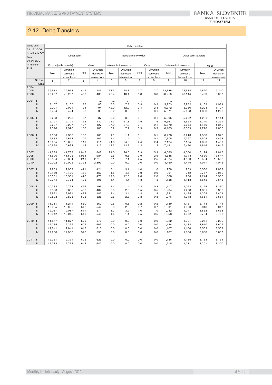## 2.12. Debit Transfers

| Value until |                      |                 |                                |            |                   |             |                       | Debit transfers     |                          |                |                       |                |                          |
|-------------|----------------------|-----------------|--------------------------------|------------|-------------------|-------------|-----------------------|---------------------|--------------------------|----------------|-----------------------|----------------|--------------------------|
|             | 31.12.2006           |                 |                                |            |                   |             |                       |                     |                          |                |                       |                |                          |
|             | in milliards SIT     |                 | Direct debit                   |            |                   |             |                       | Special money order |                          |                | Other debit transfers |                |                          |
| from        |                      |                 |                                |            |                   |             |                       |                     |                          |                |                       |                |                          |
| in millions | 01.01.2007           |                 |                                |            | Value             |             | Volume (in thousands) |                     | Value                    |                |                       |                |                          |
| <b>EUR</b>  |                      |                 | Volume (in thousands)          |            |                   |             |                       |                     |                          |                | Volume (in thousands) |                | Value                    |
|             |                      | Total           | Of which                       | Total      | Of which          | Total       | Of which              | Total               | Of which                 | Total          | Of which              | Total          | Of which                 |
|             |                      |                 | domestic                       |            | domestic          |             | domestic              |                     | domestic<br>transactions |                | domestic              |                | domestic<br>transactions |
|             | Stolpec              | $\mathbf{1}$    | transactions<br>$\overline{c}$ | 3          | transactions<br>4 | 5           | transaction<br>6      | $\overline{7}$      | 8                        | 9              | transactions<br>10    | 11             | 12                       |
|             | Koda                 |                 |                                |            |                   |             |                       |                     |                          |                |                       |                |                          |
| 2004        |                      | $\cdots$        | $\cdots$                       | $\cdots$   | $\cdots$          | $\cdots$    | $\cdots$              | $\cdots$            | $\cdots$                 | $\cdots$       | $\cdots$              | $\cdots$       |                          |
| 2005        |                      | 35,934          | 35,933                         | 449        | 449               | 68.7        | 68.7                  | 2.7                 | 2.7                      | 22,746         | 22,688                | 5,820          | 5,340                    |
| 2006        |                      | 40,237          | 40,237                         | 430        | 430               | 40.4        | 40.4                  | 3.8                 | 3.8                      | 28,219         | 28,144                | 6,499          | 6,007                    |
|             |                      |                 |                                |            |                   |             |                       |                     |                          |                |                       |                |                          |
| 2004        |                      |                 | $\cdots$                       | $\cdots$   | $\ldots$          | $\cdots$    | $\cdots$              | $\cdots$            | $\cdots$                 | $\cdots$       | .                     | $\cdots$       |                          |
|             | $\mathsf{II}$        | 8,107           | 8,107                          | 85         | 85                | 7.3         | 7.3                   | 0.3                 | 0.3                      | 5,973          | 5,962                 | 1,163          | 1,084                    |
|             | $\mathbf{III}$<br>IV | 9,001<br>9,424  | 9,001<br>9,424                 | 94<br>98   | 94<br>98          | 42.0<br>3.2 | 42.0<br>3.2           | 2.4<br>0.1          | 2.4<br>0.1               | 5,372<br>5,671 | 5,360<br>5,658        | 1,224<br>1,330 | 1,127<br>1,226           |
|             |                      |                 |                                |            |                   |             |                       |                     |                          |                |                       |                |                          |
| 2005        | $\blacksquare$       | 8,228           | 8,228                          | 87         | 87                | 3.2         | 3.2                   | 0.1                 | 0.1                      | 5,305          | 5,292                 | 1,251          | 1,144                    |
|             | Ш                    | 9,121           | 9,121                          | 132        | 132               | 21.3        | 21.3                  | 1.5                 | 1.5                      | 5,667          | 5,653                 | 1,340          | 1,251                    |
|             | III                  | 9,207           | 9,207                          | 127        | 127               | 37.0        | 37.0                  | 0.1                 | 0.1                      | 5,670          | 5,654                 | 1,459          | 1,340                    |
|             | IV                   | 9,378           | 9,378                          | 103        | 103               | 7.2         | 7.2                   | 0.9                 | 0.9                      | 6,105          | 6,089                 | 1,770          | 1,606                    |
|             |                      |                 |                                |            |                   |             |                       |                     |                          |                |                       |                |                          |
| 2006        | $\blacksquare$       | 9,306           | 9,306                          | 100        | 100               | 1.1         | 1.1                   | 0.1                 | 0.1                      | 6,228          | 6,213                 | 1,508          | 1,378                    |
|             | $\mathbf{II}$        | 9,633           | 9,633                          | 107        | 107               | 1.4         | 1.4                   | 0.1                 | 0.1                      | 7,375          | 7,357                 | 1,509          | 1,493                    |
|             | Ш                    | 10,605          | 10,605                         | 111        | 111               | 24.6        | 24.6                  | 2.4                 | 2.4                      | 7,124          | 7,105                 | 1,636          | 1,489                    |
|             | IV                   | 10,694          | 10,694                         | 112        | 112               | 13.2        | 13.2                  | 1.2                 | 1.2                      | 7,491          | 7,470                 | 1,846          | 1,647                    |
| 2007        |                      | 41,733          | 41,733                         | 1,848      | 1,848             | 24.0        | 24.0                  | 5.9                 | 5.9                      | 4,085          | 4,000                 | 16,124         | 12,815                   |
| 2008        |                      | 41,506          | 41,506                         | 1,984      | 1,984             | 9.6         | 9.6                   | 2.9                 | 2.9                      | 4,848          | 4,743                 | 17,530         | 13,547                   |
| 2009        |                      | 46,304          | 46,304                         | 2,219      | 2,219             | 7.1         | 7.1                   | 2.5                 | 2.5                      | 4,324          | 4,320                 | 13,564         | 13,562                   |
| 2010        |                      | 50,002          | 50,002                         | 2,393      | 2,393             | 0.0         | 0.0                   | 0.0                 | 0.0                      | 4,450          | 4,445                 | 14,047         | 14,045                   |
|             |                      |                 |                                |            |                   |             |                       |                     |                          |                |                       |                |                          |
| 2007        | - 1                  | 9,959           | 9,959                          | 421        | 421               | 3.1         | 3.1                   | 1.0                 | 1.0                      | 978            | 959                   | 3,580          | 2,869                    |
|             | Ш                    | 10,469          | 10,469                         | 462        | 462               | 4.5         | 4.5                   | 0.9                 | 0.9                      | 961            | 942                   | 3,757          | 3,050                    |
|             | Ш                    | 10,531          | 10,531                         | 470        | 470               | 12.0        | 12.0                  | 2.8                 | 2.8                      | 1,008          | 986                   | 4,244          | 3,350                    |
|             | IV                   | 10,774          | 10,774                         | 495        | 495               | 4.4         | 4.4                   | 1.3                 | 1.3                      | 1,138          | 1,113                 | 4,543          | 3,545                    |
|             | $\blacksquare$       |                 |                                |            |                   |             |                       |                     |                          |                |                       |                |                          |
| 2008        | Ш                    | 10,733<br>9,883 | 10,733<br>9,883                | 496<br>482 | 496<br>482        | 1.4<br>2.0  | 1.4<br>2.0            | 0.3<br>0.5          | 0.3<br>0.5               | 1,117<br>1,234 | 1,093<br>1,208        | 4,129<br>4,391 | 3,230<br>3,352           |
|             | Ш                    | 9,991           | 9,991                          | 482        | 482               | 3.4         | 3.4                   | 1.3                 | 1.3                      | 1,221          | 1,195                 | 4,358          | 3,404                    |
|             | IV                   | 10,898          | 10,898                         | 525        | 525               | 2.8         | 2.8                   | 0.8                 | 0.8                      | 1,276          | 1,248                 | 4,651          | 3,561                    |
|             |                      |                 |                                |            |                   |             |                       |                     |                          |                |                       |                |                          |
| 2009        | -1                   | 11,211          | 11,211                         | 560        | 560               | 0.5         | 0.5                   | 0.2                 | 0.2                      | 1,139          | 1,137                 | 3,144          | 3,144                    |
|             | $\mathsf{II}$        | 10,965          | 10,965                         | 542        | 542               | 2.0         | 2.0                   | 0.7                 | 0.7                      | 1,091          | 1,090                 | 3,048          | 3,047                    |
|             | $\mathbf{III}$       | 12,087          | 12,087                         | 571        | 571               | 3.2         | 3.2                   | 1.0                 | 1.0                      | 1,042          | 1,041                 | 3,668          | 3,668                    |
|             | IV                   | 12,042          | 12,042                         | 546        | 546               | 1.4         | 1.4                   | 0.5                 | 0.5                      | 1,053          | 1,052                 | 3,704          | 3,703                    |
|             |                      |                 |                                |            |                   |             |                       |                     |                          |                |                       |                |                          |
| 2010        | $\blacksquare$       | 11,877          | 11,877                         | 576        | 576               | 0.0         | 0.0                   | 0.0                 | 0.0                      | 1,022          | 1,021                 | 3,271          | 3,270                    |
|             | Ш                    | 12,335          | 12,335                         | 609        | 609               | 0.0         | 0.0                   | 0.0                 | 0.0                      | 1,134          | 1,133                 | 3,610          | 3,609                    |
|             | Ш                    | 12,841          | 12,841                         | 616        | 616               | 0.0         | 0.0                   | 0.0                 | 0.0                      | 1,107          | 1,106                 | 3,559          | 3,559                    |
|             | IV                   | 12,950          | 12,950                         | 593        | 593               | 0.0         | 0.0                   | 0.0                 | 0.0                      | 1,187          | 1,186                 | 3,608          | 3,607                    |
|             |                      |                 |                                |            |                   |             |                       |                     |                          |                |                       |                |                          |
| 2011        |                      | 12,331          | 12,331                         | 625        | 625               | 0.0         | 0.0                   | 0.0                 | 0.0                      | 1,136          | 1,135                 | 3,134          | 3,134                    |
|             | $\mathbf{I}$         | 12,772          | 12,772                         | 642        | 642               | 0.0         | 0.0                   | 0.0                 | 0.0                      | 1,215          | 1,211                 | 3,301          | 3,300                    |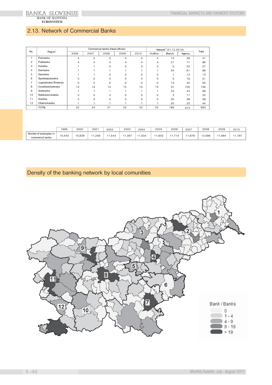**EUROSYSTEM**

### 2.13. Network of Commercial Banks

| No.            |                       |                |          | Commercial banks (Head offices) |          |                         |          | Network <sup>2</sup> (31.12.2010) |        | Total |
|----------------|-----------------------|----------------|----------|---------------------------------|----------|-------------------------|----------|-----------------------------------|--------|-------|
|                | Region <sup>1</sup>   | 2006           | 2007     | 2008                            | 2009     | 2010                    | H.office | <b>Branch</b>                     | Agency |       |
| 1              | Pomurska              | $\Omega$       | $\Omega$ | 0                               | $\Omega$ | $\Omega$                | $\Omega$ | 13                                | 28     | 41    |
| 2              | Podravska             | $\overline{4}$ | 4        | 4                               | 4        | $\overline{\mathbf{4}}$ | 4        | 21                                | 71     | 96    |
| 3              | Koroška               |                |          | $\Omega$                        | $\cap$   | $\Omega$                | $\Omega$ | 5                                 | 22     | 27    |
| $\overline{4}$ | Savinjska             |                |          |                                 |          |                         |          | 34                                | 61     | 96    |
| 5              | Zasavska              |                |          | O                               | $\cap$   | $\Omega$                | $\Omega$ |                                   | 12     | 13    |
| 6              | Spodnjeposavska       | $\Omega$       | O        | $\Omega$                        | $\Omega$ | $\Omega$                | $\Omega$ | 5                                 | 16     | 21    |
| $\overline{7}$ | Jugovzhodna Slovenija | $\Omega$       | $\Omega$ | 0                               | $\cap$   | $\Omega$                | $\Omega$ | 13                                | 42     | 55    |
| 8              | Osrednjeslovenska     | 13             | 15       | 14                              | 15       | 15                      | 15       | 31                                | 100    | 146   |
| 9              | Gorenjska             |                |          |                                 |          |                         |          | 22                                | 43     | 66    |
| 10             | Notranjsko-kraška     | $\Omega$       | $\Omega$ | $\Omega$                        | $\cap$   | $\Omega$                | $\Omega$ | 3                                 | 17     | 20    |
| 11             | Goriška               | $\Omega$       | $\Omega$ | 0                               | $\Omega$ | $\Omega$                | $\Omega$ | 20                                | 38     | 58    |
| 12             | Obalno-kraška         |                |          |                                 |          |                         |          | 20                                | 23     | 44    |
|                | <b>TOTAL</b>          | 22             | 24       | 21                              | 22       | 22                      | 22       | 188                               | 473    | 683   |

|                                            | 1999   | 2000  | $200 -$ | 2002  | 2003 | 2004 | 2005  | 2006                        | 2007  | 2008   | 2009  | 2010  |
|--------------------------------------------|--------|-------|---------|-------|------|------|-------|-----------------------------|-------|--------|-------|-------|
| Number of employees in<br>commercial banks | 10.445 | 0.929 | .258    | 1.543 | .397 | .534 | 1.632 | $\rightarrow$ $\rightarrow$ | 1.878 | 12.096 | 1.994 | .,787 |

Density of the banking network by local comunities

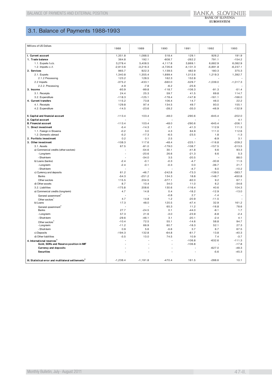# 3.1. Balance of Payments 1988-1993

| Millions of US Dollars                                           | 1988       | 1989        | 1990       | 1991        | 1992       | 1993            |
|------------------------------------------------------------------|------------|-------------|------------|-------------|------------|-----------------|
| I. Current account                                               | 1,351.8    | 1,088.5     | 518.4      | 129.1       | 926.2      | 191.9           |
| 1. Trade balance                                                 | 364.8      | 192.1       | $-608.7$   | $-262.2$    | 791.1      | $-154.2$        |
| 1.1. Exports f.o.b.                                              | 3,278.4    | 3,408.5     | 4,117.8    | 3,869.1     | 6,682.9    | 6,082.9         |
| 1.2. Imports c.i.f.                                              | $-2,913.6$ | $-3,216.3$  | $-4,726.6$ | $-4, 131.3$ | $-5,891.8$ | $-6,237.1$      |
| 2. Services                                                      | 965.7      | 922.3       | 1,139.5    | 482.9       | 180.3      | 375.3           |
| 2.1. Exports                                                     | 1,340.8    | 1,355.4     | 1,699.4    | 1,012.6     | 1,219.3    | 1,392.7         |
| 2.1.2 Processing                                                 | 123.2      | 128.5       | 162.3      | 152.8       |            |                 |
| 2.2 Imports                                                      | $-375.2$   | $-433.1$    | $-560.0$   | $-529.7$    | $-1,039.0$ | $-1,017.3$      |
| 2.2.2. Processing                                                | $-4.9$     | $-7.8$      | $-6.2$     | $-25.6$     |            |                 |
| 3. Income                                                        | $-93.9$    | $-99.8$     | $-118.7$   | $-106.3$    | $-91.3$    | $-51.4$         |
| 3.1. Receipts                                                    | 24.4       | 25.3        | 59.7       | 41.5        | 69.8       | 114.7           |
| 3.2. Expenditure                                                 | $-118.3$   | $-125.1$    | $-178.4$   | $-147.8$    | $-161.1$   | $-166.0$        |
| 4. Current transfers                                             | 115.2      | 73.8        | 106.4      | 14.7        | 46.0       | 22.2            |
| 4.1. Receipts                                                    | 129.8      | 97.4        | 134.5      | 49.7        | 93.0       | 155.1           |
| 4.2. Expenditure                                                 | $-14.5$    | $-23.6$     | $-28.2$    | $-35.0$     | $-46.9$    | $-132.9$        |
| II. Capital and financial account<br>A. Capital account          | $-113.4$   | 103.4       | $-48.0$    | $-290.6$    | $-645.4$   | $-202.0$<br>4.1 |
| <b>B.</b> Financial account                                      | $-113.4$   | 103.4       | $-48.0$    | $-290.6$    | $-645.4$   | $-206.1$        |
| 1. Direct investment                                             | $-5.4$     | $-14.3$     | $-2.1$     | $-41.3$     | 112.9      | 111.3           |
| 1.1. Foreign in Slovenia                                         | $-0.2$     | 3.0         | 4.3        | 64.9        | 111.0      | 112.6           |
| 1.2. Domestic abroad                                             | $-5.2$     | $-17.3$     | $-6.5$     | $-23.5$     | 1.8        | $-1.3$          |
| 2. Portfolio investment                                          | 0.2        | 0.1         | 2.5        |             | $-8.9$     | 3.1             |
| 3. Other investment                                              | $-108.3$   | 117.6       | $-48.4$    | $-225.1$    | $-116.8$   | $-209.2$        |
| 3.1. Assets                                                      | 67.5       | $-91.0$     | $-179.0$   | $-108.7$    | $-157.5$   | $-313.5$        |
| a) Commercial credits (other sectors)                            |            | $-54.6$     | 30.1       | $-41.8$     | 6.6        | 93.3            |
| - Long-term                                                      | L,         | $-20.6$     | 26.6       | $-21.3$     | 6.6        | 5.3             |
| - Short-term                                                     |            | $-34.0$     | 3.5        | $-20.5$     |            | 88.0            |
| b) Loans (banks)                                                 | $-2.4$     | $-0.1$      | $-0.3$     | $-4.7$      | $-30.8$    | 11.5            |
| - Long-term                                                      | $-2.4$     | $-0.1$      | $-0.3$     | 0.0         | $-36.7$    | 21.7            |
| - Short-term                                                     |            |             |            | $-4.7$      | 6.0        | $-10.2$         |
| c) Currency and deposits                                         | 61.2       | $-46.7$     | $-242.8$   | $-73.3$     | $-139.5$   | $-383.7$        |
| Banks                                                            | $-54.3$    | $-251.2$    | 134.3      | 18.8        | $-148.7$   | $-450.8$        |
| Other sectors                                                    | 115.5      | 204.5       | $-377.1$   | $-92.0$     | 9.2        | 67.1            |
| d) Other assets                                                  | 8.7        | 10.4        | 34.0       | 11.0        | 6.2        | $-34.6$         |
| 3.2. Liabilities                                                 | $-175.8$   | 208.6       | 130.6      | $-116.4$    | 40.6       | 104.3           |
| a) Commercial credits (long-term)                                | 4.7        | 14.8        | 0.4        | $-18.2$     | $-12.9$    | $-13.0$         |
| General government <sup>1</sup>                                  |            |             | $-0.8$     | 2.7         | $-1.4$     | $\sim$          |
| Other sectors                                                    | 4.7        | 14.8        | 1.2        | $-20.9$     | $-11.5$    | ÷               |
| b) Loans                                                         | 17.3       | 48.0        | 120.5      | $-47.4$     | 32.9       | 161.2           |
| General government                                               |            |             | 65.3       | 11.2        | $-16.8$    | 78.6            |
| Banks                                                            | 27.7       | $-24.5$     | 0.1        | $-44.0$     | $-9.1$     | 1.7             |
| - Long-term                                                      | 57.3       | 21.6        | $-3.0$     | $-23.9$     | $-6.8$     | $-2.4$          |
| - Short-term                                                     | $-29.6$    | $-46.1$     | 3.1        | $-20.1$     | $-2.4$     | 4.1             |
| Other sectors                                                    | $-10.4$    | 72.5        | 55.1       | $-14.6$     | 58.8       | 94.7            |
| - Long-term                                                      | $-11.2$    | 66.9        | 60.7       | $-18.3$     | 52.1       | 27.3            |
| - Short-term                                                     | 0.9        | 5.6         | $-5.6$     | 3.7         | 6.7        | 67.5            |
| c) Deposits                                                      | $-194.3$   | 132.8       | $-64.8$    | $-61.7$     | 13.8       | $-40.3$         |
| d) Other liabilities                                             | $-3.5$     | 13.0        | 74.5       | 10.9        | 7.4        | $-3.7$          |
| 4. International reserves <sup>3</sup>                           |            |             |            | $-106.8$    | $-632.6$   | $-111.3$        |
| Gold, SDRs and Reserve position in IMF                           |            |             |            | $-106.8$    |            | $-17.8$         |
| Currency and deposits                                            |            |             |            |             | $-627.0$   | $-48.3$         |
| <b>Securities</b>                                                |            |             |            |             | $-5.6$     | $-45.3$         |
| III. Statistical error and multilateral settlements <sup>2</sup> | $-1,238.4$ | $-1, 191.8$ | $-470.4$   | 161.5       | $-288.6$   | 10.1            |
|                                                                  |            |             |            |             |            |                 |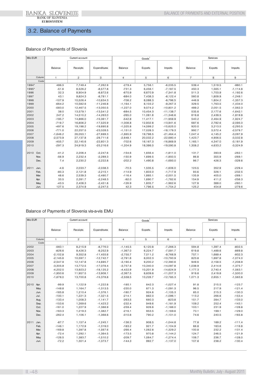BANK OF SLOVENIA **EUROSYSTEM**

### 3.2. Balance of Payments

### Balance of Payments of Slovenia

| Mio EUR      |              | Current account |              |                | Goods <sup>1</sup> |             |                | Services |             |
|--------------|--------------|-----------------|--------------|----------------|--------------------|-------------|----------------|----------|-------------|
|              | Balance      | Receipts        | Expenditures | Balance        | Exports            | Imports     | Balance        | Exports  | Imports     |
| Column       | $\mathbf{1}$ | $\overline{c}$  | 3            | $\overline{4}$ | 5                  | 6           | $\overline{7}$ | 8        | 9           |
| Code         |              |                 |              |                |                    |             |                |          |             |
| 1994*        | 486.5        | 7,749.4         | $-7,262.9$   | $-279.4$       | 5,756.1            | $-6,035.5$  | 539.4          | 1,519.5  | $-980.1$    |
| 1995*        | $-51.6$      | 8,526.2         | $-8,577.8$   | $-731.3$       | 6,456.1            | $-7,187.5$  | 450.3          | 1,565.1  | $-1, 114.8$ |
| 1996         | 32.3         | 8,904.9         | $-8,872.6$   | $-670.9$       | 6,670.9            | $-7,341.8$  | 511.3          | 1,703.9  | $-1,192.6$  |
| 1997         | 43.1         | 9,824.3         | $-9,781.1$   | $-684.0$       | 7,438.3            | $-8,122.4$  | 560.8          | 1,809.9  | $-1,249.1$  |
| 1998         | $-107.9$     | 10,526.4        | $-10,634.3$  | $-708.2$       | 8,088.3            | $-8,796.5$  | 446.9          | 1,804.2  | $-1,357.3$  |
| 1999         | $-664.2$     | 10,582.6        | $-11,246.8$  | $-1, 164.1$    | 8,103.2            | $-9,267.3$  | 329.5          | 1,763.5  | $-1,434.0$  |
| 2000         | $-583.0$     | 12,467.5        | $-13,050.5$  | $-1,227.0$     | 9,574.2            | $-10,801.2$ | 489.2          | 2,051.5  | $-1,562.3$  |
| 2001         | 38.0         | 13,579.1        | $-13,541.2$  | $-684.5$       | 10,454.3           | $-11,138.7$ | 535.6          | 2,177.6  | $-1,642.1$  |
| 2002         | 247.2        | 14,510.2        | $-14,263.0$  | $-265.0$       | 11,081.6           | $-11,346.6$ | 619.8          | 2,439.5  | $-1,819.8$  |
| 2003         | $-195.7$     | 14,866.0        | $-15,061.7$  | $-542.8$       | 11,417.1           | $-11,959.9$ | 540.2          | 2,464.9  | $-1,924.7$  |
| 2004         | $-719.7$     | 16,806.2        | $-17,525.9$  | $-1,008.8$     | 12,932.8           | $-13,941.6$ | 687.6          | 2,782.6  | $-2,095.0$  |
| 2005         | $-497.6$     | 19,198.2        | $-19,695.8$  | $-1,025.8$     | 14,599.2           | $-15,625.0$ | 920.0          | 3,213.5  | $-2,293.5$  |
| 2006         | $-771.0$     | 22,257.5        | $-23,028.5$  | $-1, 151.0$    | 17,028.3           | $-18,179.3$ | 992.7          | 3,572.4  | $-2,579.7$  |
| 2007         | $-1,646.2$   | 26,053.1        | $-27,699.3$  | $-1,665.9$     | 19,798.5           | $-21,464.4$ | 1,047.4        | 4,145.2  | $-3,097.9$  |
| 2008         | $-2,573.9$   | 27,137.8        | $-29,711.6$  | $-2,648.1$     | 20,032.2           | $-22,680.4$ | 1,423.7        | 4,956.5  | $-3,532.8$  |
| 2009         | $-455.7$     | 22,145.6        | $-22,601.3$  | $-702.6$       | 16,167.3           | $-16,869.9$ | 1,165.1        | 4,347.0  | $-3,181.9$  |
| 2010         | $-297.3$     | 24,919.3        | $-25,216.6$  | $-1,204.9$     | 18,386.0           | $-19,590.8$ | 1,308.2        | 4,633.2  | $-3,324.9$  |
| 2010 Oct.    | $-41.2$      | 2,206.4         | $-2,247.6$   | $-154.6$       | 1,656.4            | $-1,811.0$  | 131.7          | 393.9    | $-262.1$    |
| Nov.         | $-56.9$      | 2,232.4         | $-2,289.3$   | $-150.9$       | 1,699.5            | $-1,850.5$  | 86.8           | 355.9    | $-269.1$    |
| Dec.         | 7.4          | 2,230.2         | $-2,222.8$   | $-202.2$       | 1,490.8            | $-1,693.0$  | 96.7           | 426.3    | $-329.6$    |
| 2011<br>Jan. | $-4.6$       | 2,033.7         | $-2,038.3$   | $-70.5$        | 1,535.5            | $-1,606.0$  | 123.5          | 352.9    | $-229.4$    |
| Feb.         | $-93.3$      | 2,121.8         | $-2, 215.1$  | $-114.9$       | 1,603.0            | $-1,717.9$  | 93.6           | 326.1    | $-232.5$    |
| Mar.         | 48.6         | 2,539.3         | $-2,490.7$   | $-116.4$       | 1,885.1            | $-2,001.5$  | 135.9          | 405.0    | $-269.1$    |
| Apr.         | 33.5         | 2,281.7         | $-2,248.3$   | $-92.0$        | 1,690.7            | $-1,782.6$  | 154.9          | 411.2    | $-256.3$    |
| May          | $-43.5$      | 2,408.3         | $-2,451.8$   | $-126.9$       | 1,835.7            | $-1,962.6$  | 127.9          | 388.0    | $-260.1$    |
| Jun.         | 127.5        | 2,374.9         | $-2,247.5$   | 42.3           | 1,796.5            | $-1,754.2$  | 125.2          | 404.8    | $-279.6$    |

| Mio EUR      |        |              | Current account |              |                | Goods <sup>1</sup> |             |                | Services |            |
|--------------|--------|--------------|-----------------|--------------|----------------|--------------------|-------------|----------------|----------|------------|
|              |        | Balance      | Receipts        | Expenditures | Balance        | Exports            | Imports     | Balance        | Exports  | Imports    |
|              | Column | $\mathbf{1}$ | $\overline{2}$  | 3            | $\overline{4}$ | 5                  | 6           | $\overline{7}$ | 8        | 9          |
|              | Code   |              |                 |              |                |                    |             |                |          |            |
| 2002         |        | $-560.1$     | 8,215.9         | $-8,776.0$   | $-1, 145.5$    | 6,120.8            | $-7,266.3$  | 594.8          | 1,397.4  | $-802.5$   |
| 2003         |        | $-826.6$     | 8,426.3         | $-9,252.9$   | $-1,367.0$     | 6,224.7            | $-7,591.7$  | 619.8          | 1,489.6  | $-869.8$   |
| 2004         |        | $-2,102.8$   | 9,352.8         | $-11,455.6$  | $-2,755.7$     | 7,011.2            | $-9,766.9$  | 757.1          | 1,689.4  | $-932.3$   |
| 2005         |        | $-2,145.6$   | 10,597.1        | $-12,742.7$  | $-2,791.6$     | 8,002.3            | $-10,793.9$ | 823.8          | 1,897.8  | $-1,074.0$ |
| 2006         |        | $-2,547.9$   | 12,147.8        | $-14,695.7$  | $-3,190.4$     | 9,200.2            | $-12,390.6$ | 949.6          | 2,158.5  | $-1,208.9$ |
| 2007         |        | $-3,305.9$   | 13,772.5        | $-17,078.4$  | $-3,757.8$     | 10,340.0           | $-14,097.8$ | 1,038.9        | 2,414.6  | $-1,375.7$ |
| 2008         |        | $-4.202.0$   | 13,923.2        | $-18, 125.2$ | $-4,422.9$     | 10.201.9           | $-14,624.9$ | 1,177.3        | 2,740.4  | $-1,563.1$ |
| 2009         |        | $-1.950.6$   | 11.957.5        | $-13.908.1$  | $-2.367.5$     | 8.839.8            | $-11,207.3$ | 919.8          | 2.419.8  | $-1,500.0$ |
| 2010         |        | $-1,678.0$   | 13,700.8        | $-15,378.8$  | $-2,558.5$     | 10,226.7           | $-12,785.3$ | 1,071.3        | 2,655.1  | $-1,583.8$ |
|              |        |              |                 |              |                |                    |             |                |          |            |
| 2010<br>Apr. |        | $-99.9$      | 1,122.9         | $-1,222.8$   | $-185.1$       | 842.3              | $-1,027.4$  | 91.8           | 215.5    | $-123.7$   |
| May          |        | $-148.8$     | 1,164.7         | $-1,313.5$   | $-220.0$       | 871.3              | $-1,091.3$  | 96.5           | 217.9    | $-121.4$   |
| Jun.         |        | $-165.8$     | 1,210.4         | $-1,376.1$   | $-180.7$       | 924.6              | $-1, 105.3$ | 85.0           | 215.3    | $-130.3$   |
| Jul.         |        | $-100.1$     | 1,221.3         | $-1,321.5$   | $-214.1$       | 882.0              | $-1,096.1$  | 113.2          | 266.6    | $-153.4$   |
| Aug.         |        | $-133.4$     | 1,008.3         | $-1, 141.7$  | $-263.5$       | 660.3              | $-923.8$    | 151.7          | 284.7    | $-133.0$   |
| Sep.         |        | $-153.6$     | 1,269.6         | $-1,423.2$   | $-232.4$       | 949.6              | $-1, 181.9$ | 109.2          | 252.4    | $-143.1$   |
| Oct.         |        | $-161.0$     | 1,227.9         | $-1,388.9$   | $-259.4$       | 926.6              | $-1.186.0$  | 103.1          | 231.9    | $-128.8$   |
| Nov.         |        | $-163.3$     | 1.219.3         | $-1,382.7$   | $-216.1$       | 953.5              | $-1.169.6$  | 70.1           | 199.1    | $-129.0$   |
| Dec.         |        | $-262.4$     | 1,106.1         | $-1,368.6$   | $-310.8$       | 790.2              | $-1, 101.0$ | 74.6           | 240.5    | $-165.8$   |
|              |        |              |                 |              |                |                    |             |                |          |            |
| 2011<br>Jan. |        | $-87.7$      | 1,157.4         | $-1,245.1$   | $-136.3$       | 908.5              | $-1,044.8$  | 77.8           | 189.2    | $-111.4$   |
| Feb.         |        | $-146.1$     | 1,172.9         | $-1,319.0$   | $-183.2$       | 921.7              | $-1, 104.9$ | 66.8           | 183.6    | $-116.8$   |
| Mar.         |        | $-169.8$     | 1,397.8         | $-1,567.6$   | $-266.4$       | 1,062.8            | $-1,329.2$  | 100.8          | 232.2    | $-131.4$   |
| Apr.         |        | $-72.4$      | 1,292.1         | $-1,364.5$   | $-173.5$       | 970.8              | $-1, 144.2$ | 124.7          | 246.5    | $-121.9$   |
| May          |        | $-126.5$     | 1,383.7         | $-1,510.2$   | $-209.7$       | 1,064.7            | $-1,274.4$  | 108.7          | 236.7    | $-128.0$   |
| Jun.         |        | $-72.2$      | 1,301.4         | $-1,373.7$   | $-144.3$       | 992.7              | $-1, 137.0$ | 107.8          | 238.2    | $-130.4$   |
|              |        |              |                 |              |                |                    |             |                |          |            |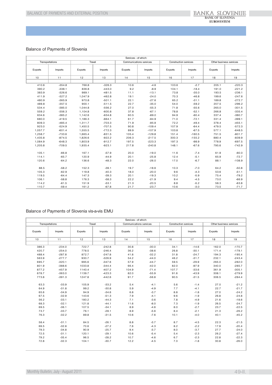### Balance of Payments of Slovenia

|         |                 |         |          | Services - of which: |                         |         |                       |                         |          |
|---------|-----------------|---------|----------|----------------------|-------------------------|---------|-----------------------|-------------------------|----------|
|         | Transportations | Travel  |          |                      | Communications services |         | Construction services | Other business services |          |
| Exports | Imports         | Exports | Imports  | Exports              | Imports                 | Exports | Imports               | Exports                 | Imports  |
| 10      | 11              | 12      | 13       | 14                   | 15                      | 16      | 17                    | 18                      | 19       |
|         |                 |         |          |                      |                         |         |                       |                         |          |
| 410.6   | $-354.8$        | 766.8   | $-326.3$ | 10.6                 | $-4.6$                  | 103.6   | $-2.7$                | 205.1                   | $-220.3$ |
| 390.2   | $-338.1$        | 836.8   | $-443.0$ | 9.2                  | $-8.9$                  | 104.1   | $-18.4$               | 191.0                   | $-221.2$ |
| 383.9   | $-326.6$        | 989.1   | $-481.5$ | 11.1                 | $-13.1$                 | 73.8    | $-35.0$               | 193.5                   | $-236.1$ |
| 411.9   | $-327.2$        | 1,047.9 | $-462.8$ | 19.1                 | $-24.0$                 | 70.3    | $-46.8$               | 199.6                   | $-247.6$ |
| 480.9   | $-365.9$        | 970.8   | $-501.1$ | 22.1                 | $-27.6$                 | 65.2    | $-31.1$               | 189.8                   | $-272.7$ |
| 489.8   | $-357.5$        | 900.1   | $-511.5$ | 22.7                 | $-35.0$                 | 54.0    | $-59.2$               | 207.5                   | $-296.2$ |
| 534.4   | $-385.0$        | 1,044.8 | $-556.2$ | 27.0                 | $-55.3$                 | 71.8    | $-55.6$               | 265.0                   | $-301.5$ |
| 559.2   | $-356.3$        | 1,104.8 | $-600.8$ | 37.8                 | $-67.1$                 | 78.8    | $-52.1$               | 266.8                   | $-335.4$ |
| 634.6   | $-385.2$        | 1,142.6 | $-634.8$ | 60.5                 | $-89.0$                 | 94.9    | $-60.4$               | 337.4                   | $-380.7$ |
| 680.0   | $-419.5$        | 1,186.3 | $-664.1$ | 61.7                 | $-94.9$                 | 71.0    | $-72.1$               | 331.4                   | $-399.1$ |
| 809.3   | $-485.4$        | 1,311.7 | $-703.3$ | 71.9                 | $-95.9$                 | 72.2    | $-49.4$               | 378.4                   | $-455.1$ |
| 923.0   | $-524.9$        | 1,450.5 | $-707.5$ | 90.8                 | $-109.4$                | 107.9   | $-64.4$               | 479.5                   | $-572.3$ |
| 1,057.7 | $-601.4$        | 1,555.5 | $-772.3$ | 89.9                 | $-107.9$                | 103.8   | $-67.5$               | 577.1                   | $-648.5$ |
| 1,258.7 | $-733.6$        | 1.665.4 | $-831.5$ | 105.4                | $-129.8$                | 151.4   | $-160.5$              | 751.5                   | $-801.7$ |
| 1,435.8 | $-874.5$        | 1,826.6 | $-922.2$ | 206.3                | $-217.5$                | 300.3   | $-155.2$              | 880.4                   | $-839.9$ |
| 1,084.9 | $-648.3$        | 1,803.9 | $-912.7$ | 197.5                | $-223.3$                | 197.3   | $-98.9$               | 778.9                   | $-697.5$ |
| 1,205.8 | $-709.5$        | 1.935.4 | $-923.1$ | 217.8                | $-240.8$                | 148.1   | $-67.6$               | 795.6                   | $-742.9$ |
| 105.1   | $-66.8$         | 167.1   | $-57.9$  | 20.0                 | $-19.0$                 | 11.6    | $-7.4$                | 61.9                    | $-60.0$  |
| 114.1   | $-65.7$         | 120.9   | $-44.9$  | 20.1                 | $-25.8$                 | 12.4    | $-5.1$                | 65.9                    | $-72.7$  |
| 120.6   | $-64.2$         | 136.6   | $-48.3$  | 22.0                 | $-26.0$                 | 17.0    | $-6.7$                | 88.1                    | $-108.9$ |
| 88.5    | $-58.2$         | 152.3   | $-39.1$  | 19.7                 | $-18.6$                 | 10.3    | $-7.0$                | 64.2                    | $-50.8$  |
| 105.3   | $-62.9$         | 119.8   | $-40.3$  | 18.0                 | $-20.0$                 | 9.6     | $-4.3$                | 53.6                    | $-51.1$  |
| 119.5   | $-64.4$         | 147.3   | $-39.3$  | 20.1                 | $-19.3$                 | 10.2    | $-5.9$                | 75.4                    | $-79.2$  |
| 106.1   | $-58.8$         | 176.3   | $-58.3$  | 22.2                 | $-21.9$                 | 9.4     | $-4.5$                | 73.0                    | $-66.9$  |
| 114.2   | $-61.5$         | 151.9   | $-53.1$  | 21.3                 | $-20.5$                 | 8.8     | $-5.2$                | 58.3                    | $-63.8$  |
| 110.7   | $-59.4$         | 161.2   | $-67.8$  | 21.7                 | $-23.7$                 | 10.6    | $-3.0$                | 73.5                    | $-71.7$  |

|         | Services - of which: |         |          |         |                         |         |                       |         |                         |  |
|---------|----------------------|---------|----------|---------|-------------------------|---------|-----------------------|---------|-------------------------|--|
|         | Transportations      | Travel  |          |         | Communications services |         | Construction services |         | Other business services |  |
| Exports | Imports              | Exports | Imports  | Exports | Imports                 | Exports | Imports               | Exports | Imports                 |  |
| 10      | 11                   | 12      | 13       | 14      | 15                      | 16      | 17                    | 18      | 19                      |  |
|         |                      |         |          |         |                         |         |                       |         |                         |  |
| 386.3   | $-234.0$             | 722.7   | $-242.8$ | 30.8    | $-30.0$                 | 34.1    | $-14.6$               | 162.0   | $-170.7$                |  |
| 420.7   | $-254.0$             | 778.5   | $-246.4$ | 36.2    | $-38.6$                 | 26.8    | $-30.1$               | 171.4   | $-179.1$                |  |
| 488.4   | $-287.8$             | 872.7   | $-247.8$ | 41.8    | $-32.2$                 | 31.8    | $-24.7$               | 194.3   | $-195.4$                |  |
| 563.9   | $-277.7$             | 930.7   | $-326.9$ | 54.2    | $-44.0$                 | 46.2    | $-31.7$               | 232.1   | $-243.4$                |  |
| 695.7   | $-320.1$             | 995.6   | $-347.6$ | 57.9    | $-44.7$                 | 59.5    | $-29.9$               | 265.0   | $-282.0$                |  |
| 801.9   | $-388.6$             | 1033.8  | $-344.4$ | 66.4    | $-42.0$                 | 82.0    | $-97.9$               | 340.0   | $-285.7$                |  |
| 877.2   | $-457.9$             | 1140.4  | $-407.2$ | 104.9   | $-71.4$                 | 107.7   | $-33.6$               | 361.9   | $-305.1$                |  |
| 678.7   | $-363.0$             | 1139.7  | $-423.3$ | 82.0    | $-55.9$                 | 91.6    | $-43.9$               | 308.1   | $-279.9$                |  |
| 773.8   | $-391.3$             | 1247.8  | $-442.6$ | 91.7    | $-56.8$                 | 90.5    | $-31.5$               | 306.5   | $-284.4$                |  |
|         |                      |         |          |         |                         |         |                       |         |                         |  |
| 63.3    | $-33.9$              | 105.9   | $-33.2$  | 5.4     | $-4.1$                  | 5.6     | $-1.4$                | 27.0    | $-21.2$                 |  |
| 64.9    | $-31.8$              | 99.2    | $-30.8$  | 5.9     | $-4.9$                  | 7.7     | $-4.1$                | 22.7    | $-21.7$                 |  |
| 65.6    | $-34.9$              | 94.9    | $-34.6$  | 6.8     | $-3.7$                  | 8.8     | $-1.8$                | 27.0    | $-24.2$                 |  |
| 67.5    | $-32.9$              | 143.6   | $-51.3$  | 7.9     | $-4.1$                  | 9.6     | $-1.9$                | 26.8    | $-24.8$                 |  |
| 56.2    | $-33.1$              | 180.2   | $-44.3$  | 7.1     | $-3.6$                  | 7.8     | $-4.9$                | 21.6    | $-18.6$                 |  |
| 68.3    | $-32.1$              | 121.8   | $-44.1$  | 11.6    | $-8.0$                  | 7.3     | $-1.9$                | 26.5    | $-24.7$                 |  |
| 69.5    | $-36.1$              | 107.5   | $-34.1$  | 8.9     | $-4.6$                  | 8.0     | $-2.7$                | 23.7    | $-22.5$                 |  |
| 73.7    | $-33.7$              | 76.1    | $-28.1$  | 8.9     | $-5.6$                  | 8.4     | $-2.1$                | 21.3    | $-26.2$                 |  |
| 76.3    | $-32.2$              | 89.8    | $-31.5$  | 10.6    | $-7.6$                  | 10.1    | $-4.0$                | 40.1    | $-45.2$                 |  |
|         |                      |         |          |         |                         |         |                       |         |                         |  |
| 58.4    | $-31.1$              | 84.5    | $-26.1$  | 8.8     | $-3.7$                  | 8.7     | $-4.5$                | 22.3    | $-21.5$                 |  |
| 69.5    | $-32.8$              | 70.6    | $-27.2$  | 7.6     | $-4.3$                  | 8.2     | $-2.2$                | 17.9    | $-20.4$                 |  |
| 79.3    | $-34.8$              | 90.9    | $-25.7$  | 9.4     | $-3.7$                  | 0.8     | $-3.7$                | 27.7    | $-24.0$                 |  |
| 72.5    | $-31.1$              | 120.1   | $-29.1$  | 10.6    | $-5.4$                  | 5.4     | $-2.3$                | 26.2    | $-27.4$                 |  |
| 79.2    | $-35.4$              | 96.5    | $-28.2$  | 10.7    | $-4.6$                  | 6.7     | $-2.3$                | 22.8    | $-22.3$                 |  |
| 72.8    | $-32.3$              | 104.1   | $-30.7$  | 12.2    | $-4.5$                  | 7.3     | $-1.8$                | 30.8    | $-26.0$                 |  |
|         |                      |         |          |         |                         |         |                       |         |                         |  |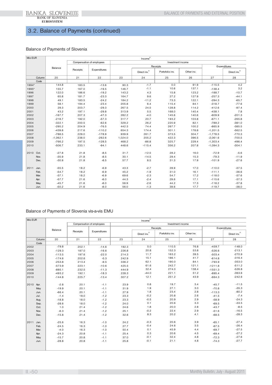**EUROSYSTEM**

### Balance of Payments of Slovenia

| Mio EUR      |            |          |                           | Income® |                          |                   |            |            |                          |  |
|--------------|------------|----------|---------------------------|---------|--------------------------|-------------------|------------|------------|--------------------------|--|
|              |            |          | Compensation of employees |         |                          | Investment income |            |            |                          |  |
|              | Balance    |          |                           |         |                          | Receipts          |            |            | Expenditures             |  |
|              |            | Receipts | Expenditures              |         | Direct inv. <sup>8</sup> | Portofolio inv.   | Other inv. |            | Direct inv. <sup>8</sup> |  |
| Column       | 20         | 21       | 22                        | 23      | 24                       | 25                | 26         | 27         | 28                       |  |
| Code         |            |          |                           |         |                          |                   |            |            |                          |  |
| 1994*        | 144.8      | 183.5    | $-13.6$                   | 90.3    | $-1.7$                   | 0.0               | 91.9       | $-115.5$   | 4.2                      |  |
| 1995*        | 155.7      | 167.0    | $-19.5$                   | 146.7   | $-1.1$                   | 10.6              | 137.1      | $-138.4$   | 3.2                      |  |
| 1996         | 122.0      | 186.6    | $-19.2$                   | 143.2   | 4.3                      | 15.8              | 123.2      | $-188.7$   | $-10.7$                  |  |
| 1997         | 65.8       | 181.7    | $-23.3$                   | 164.7   | 9.6                      | 27.2              | 127.9      | $-257.3$   | $-44.1$                  |  |
| 1998         | 49.1       | 183.5    | $-24.2$                   | 184.2   | $-11.2$                  | 73.3              | 122.1      | $-294.3$   | $-65.7$                  |  |
| 1999         | 58.1       | 194.4    | $-23.4$                   | 205.8   | 6.4                      | 115.4             | 84.1       | $-318.7$   | $-77.6$                  |  |
| 2000         | 29.3       | 203.7    | $-29.3$                   | 267.5   | 24.5                     | 128.8             | 114.2      | $-412.6$   | $-97.4$                  |  |
| 2001         | 43.2       | 197.1    | $-29.8$                   | 313.9   | 5.5                      | 168.0             | 140.4      | $-438.1$   | 7.8                      |  |
| 2002         | $-167.7$   | 207.3    | $-47.3$                   | 282.2   | $-4.0$                   | 145.6             | 140.6      | $-609.9$   | $-201.3$                 |  |
| 2003         | $-218.7$   | 192.0    | $-57.3$                   | 317.7   | 20.7                     | 193.2             | 103.8      | $-671.1$   | $-265.8$                 |  |
| 2004         | $-322.1$   | 200.5    | $-62.6$                   | 329.2   | 26.2                     | 220.9             | 82.1       | $-789.2$   | $-381.0$                 |  |
| 2005         | $-295.2$   | 204.9    | $-76.5$                   | 442.3   | 74.4                     | 267.7             | 100.2      | $-865.9$   | $-385.5$                 |  |
| 2006         | $-439.8$   | 217.6    | $-110.2$                  | 654.3   | 174.4                    | 301.1             | 178.8      | $-1,201.5$ | $-562.5$                 |  |
| 2007         | $-788.5$   | 229.0    | $-178.9$                  | 939.9   | 261.7                    | 373.5             | 304.7      | $-1,778.5$ | $-770.3$                 |  |
| 2008         | $-1,062.1$ | 238.0    | $-262.6$                  | 1,024.0 | 205.2                    | 422.3             | 396.5      | $-2,061.6$ | $-700.5$                 |  |
| 2009         | $-766.2$   | 197.5    | $-128.5$                  | 468.2   | $-86.8$                  | 325.7             | 229.4      | $-1,303.4$ | $-496.4$                 |  |
| 2010         | $-506.7$   | 233.1    | $-94.1$                   | 448.6   | $-115.4$                 | 356.2             | 207.8      | $-1,094.3$ | $-304.1$                 |  |
| Oct.<br>2010 | $-27.8$    | 21.8     | $-8.5$                    | 31.7    | $-12.5$                  | 28.2              | 16.0       | $-72.9$    | $-5.6$                   |  |
| Nov.         | $-35.9$    | 21.8     | $-8.5$                    | 30.1    | $-14.5$                  | 29.4              | 15.3       | $-79.3$    | $-11.9$                  |  |
| Dec.         | $-30.9$    | 21.8     | $-8.5$                    | 57.7    | 8.5                      | 31.3              | 17.9       | $-101.9$   | $-27.6$                  |  |
| 2011<br>Jan. | $-55.5$    | 18.2     | $-6.9$                    | 43.3    | $-2.7$                   | 28.9              | 17.0       | $-110.0$   | $-37.5$                  |  |
| Feb.         | $-54.7$    | 18.2     | $-6.9$                    | 45.2    | $-1.9$                   | 31.0              | 16.1       | $-111.1$   | $-36.6$                  |  |
| Mar.         | $-37.1$    | 18.2     | $-6.9$                    | 69.6    | $-2.3$                   | 54.7              | 17.2       | $-118.0$   | $-37.6$                  |  |
| Apr.         | $-57.7$    | 21.6     | $-8.0$                    | 44.3    | $-2.4$                   | 29.6              | 17.1       | $-115.6$   | $-37.3$                  |  |
| May          | $-45.7$    | 21.6     | $-8.0$                    | 58.9    | $-2.6$                   | 44.2              | 17.3       | $-118.2$   | $-37.8$                  |  |
| Jun.         | $-50.2$    | 21.6     | $-8.0$                    | 56.0    | $-1.3$                   | 39.6              | 17.7       | $-119.7$   | $-38.0$                  |  |

| Mio EUR |        | Income <sup>8</sup> |          |                           |       |                 |                   |            |           |                 |  |  |
|---------|--------|---------------------|----------|---------------------------|-------|-----------------|-------------------|------------|-----------|-----------------|--|--|
|         |        |                     |          | Compensation of employees |       |                 | Investment income |            |           |                 |  |  |
|         |        | Balance             |          |                           |       |                 | Receipts          |            |           | Expenditures    |  |  |
|         |        |                     | Receipts | Expenditures              |       | Direct inv. $8$ | Portofolio inv.   | Other inv. |           | Direct inv. $8$ |  |  |
|         | Column | 20                  | 21       | 22                        | 23    | 24              | 25                | 26         | 27        | 28              |  |  |
|         | Code   |                     |          |                           |       |                 |                   |            |           |                 |  |  |
| 2002    |        | $-79.8$             | 202.1    | $-14.6$                   | 192.3 | 5.0             | 110.5             | 76.8       | $-459.7$  | $-148.0$        |  |  |
| 2003    |        | $-129.3$            | 187.0    | $-16.6$                   | 226.8 | 20.8            | 152.3             | 53.8       | $-526.6$  | $-213.1$        |  |  |
| 2004    |        | $-113.5$            | 197.6    | $-22.0$                   | 214.3 | 11.7            | 163.2             | 39.5       | $-503.4$  | $-270.9$        |  |  |
| 2005    |        | $-174.6$            | 202.6    | $-5.3$                    | 242.9 | 15.1            | 186.1             | 41.7       | $-614.8$  | $-316.4$        |  |  |
| 2006    |        | $-253.8$            | 213.4    | $-9.5$                    | 336.2 | 62.1            | 190.0             | 84.1       | $-793.9$  | $-353.0$        |  |  |
| 2007    |        | $-573.9$            | 223.1    | $-10.6$                   | 425.5 | 61.6            | 242.7             | 121.1      | $-1211.8$ | $-511.2$        |  |  |
| 2008    |        | $-885.1$            | 232.5    | $-11.3$                   | 444.9 | 32.4            | 274.0             | 138.4      | $-1551.3$ | $-526.8$        |  |  |
| 2009    |        | $-493.2$            | 192.1    | $-18.3$                   | 228.3 | $-44.0$         | 221.1             | 51.2       | $-895.4$  | $-363.6$        |  |  |
| 2010    |        | $-144.8$            | 225.7    | $-13.4$                   | 307.2 | 12.1            | 251.2             | 43.9       | $-664.3$  | $-242.6$        |  |  |
|         |        |                     |          |                           |       |                 |                   |            |           |                 |  |  |
| 2010    | Apr.   | $-2.8$              | 20.1     | $-1.1$                    | 23.9  | 0.8             | 19.7              | 3.4        | $-45.7$   | $-11.5$         |  |  |
|         | May    | $-19.9$             | 20.1     | $-1.1$                    | 31.9  | 1.9             | 27.1              | 3.0        | $-70.8$   | $-35.3$         |  |  |
|         | Jun.   | $-66.4$             | 20.1     | $-1.1$                    | 27.9  | 1.8             | 23.4              | 2.8        | $-113.3$  | $-80.2$         |  |  |
|         | Jul.   | $-1.4$              | 18.0     | $-1.2$                    | 23.3  | $-0.2$          | 20.8              | 2.6        | $-41.5$   | $-7.4$          |  |  |
|         | Aug.   | $-18.8$             | 18.0     | $-1.2$                    | 23.3  | $-0.5$          | 20.9              | 2.9        | $-58.9$   | $-24.3$         |  |  |
|         | Sep.   | $-28.6$             | 18.0     | $-1.2$                    | 24.0  | 0.1             | 20.6              | 3.3        | $-69.5$   | $-33.5$         |  |  |
|         | Oct.   | 1.0                 | 21.4     | $-1.2$                    | 24.6  | 1.8             | 20.0              | 2.8        | $-43.7$   | $-8.5$          |  |  |
|         | Nov.   | $-6.3$              | 21.4     | $-1.2$                    | 25.1  | $-0.2$          | 22.4              | 2.9        | $-51.6$   | $-16.5$         |  |  |
|         | Dec.   | $-15.8$             | 21.4     | $-1.2$                    | 32.6  | 8.3             | 20.2              | 4.1        | $-68.5$   | $-28.3$         |  |  |
|         |        |                     |          |                           |       |                 |                   |            |           |                 |  |  |
| 2011    | Jan.   | $-25.6$             | 16.3     | $-1.0$                    | 24.2  | $-0.3$          | 20.6              | 3.9        | $-65.1$   | $-27.4$         |  |  |
|         | Feb.   | $-24.5$             | 16.3     | $-1.0$                    | 27.7  | $-0.4$          | 24.6              | 3.5        | $-67.5$   | $-26.4$         |  |  |
|         | Mar.   | $-4.0$              | 16.3     | $-1.0$                    | 50.4  | 0.1             | 45.9              | 4.4        | $-69.7$   | $-27.5$         |  |  |
|         | Apr.   | $-24.3$             | 20.8     | $-1.1$                    | 25.4  | 0.3             | 20.6              | 4.5        | $-69.4$   | $-27.2$         |  |  |
|         | May    | $-15.7$             | 20.8     | $-1.1$                    | 37.0  | $-0.1$          | 32.4              | 4.8        | $-72.3$   | $-27.6$         |  |  |
|         | Jun.   | $-28.8$             | 20.8     | $-1.1$                    | 25.8  | $-0.1$          | 21.1              | 4.8        | $-74.3$   | $-27.7$         |  |  |
|         |        |                     |          |                           |       |                 |                   |            |           |                 |  |  |
|         |        |                     |          |                           |       |                 |                   |            |           |                 |  |  |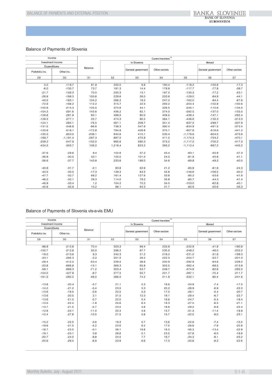### Balance of Payments of Slovenia

| Income            |            |          |         |                    | Current transfers $10$ |             |                    |               |
|-------------------|------------|----------|---------|--------------------|------------------------|-------------|--------------------|---------------|
| Investment income |            |          |         | In Slovenia        |                        |             | Abroad             |               |
| Expenditures      |            |          |         |                    |                        |             |                    |               |
|                   | Other inv. | Balance  |         | General government | Other sectors          |             | General government | Other sectors |
| Portofolio inv.   |            |          |         |                    |                        |             |                    |               |
| 29                | 30         | 31       | 32      | 33                 | 34                     | 35          | 36                 | 37            |
|                   |            |          |         |                    |                        |             |                    |               |
| 0.0               | $-119.7$   | 81.9     | 200.0   | 9.6                | 190.4                  | $-118.2$    | $-100.9$           | $-17.3$       |
| $-6.0$            | $-135.7$   | 73.7     | 191.3   | 14.4               | 176.9                  | $-117.7$    | $-77.9$            | $-39.7$       |
| $-21.7$           | $-156.3$   | 70.0     | 200.3   | 13.1               | 187.2                  | $-130.3$    | $-77.2$            | $-53.1$       |
| $-26.9$           | $-186.3$   | 100.6    | 229.6   | 26.0               | 203.6                  | $-129.0$    | $-84.9$            | $-44.1$       |
| $-45.5$           | $-183.1$   | 104.2    | 266.2   | 19.2               | 247.0                  | $-162.0$    | $-94.4$            | $-67.6$       |
| $-72.9$           | $-168.2$   | 112.2    | 315.7   | 22.5               | 293.2                  | $-203.4$    | $-102.8$           | $-100.6$      |
| $-100.9$          | $-214.3$   | 125.5    | 370.6   | 44.1               | 326.5                  | $-245.1$    | $-110.6$           | $-134.5$      |
| $-154.3$          | $-291.6$   | 143.6    | 436.2   | 62.1               | 374.0                  | $-292.5$    | $-137.0$           | $-155.5$      |
| $-126.8$          | $-281.9$   | 60.1     | 499.5   | 90.0               | 409.5                  | $-439.4$    | $-147.1$           | $-292.4$      |
| $-128.3$          | $-277.1$   | 25.7     | 474.3   | 90.2               | 384.1                  | $-448.6$    | $-135.3$           | $-313.3$      |
| $-124.1$          | $-284.1$   | $-76.5$  | 561.1   | 209.7              | 351.4                  | $-637.5$    | $-299.7$           | $-337.9$      |
| $-131.5$          | $-348.8$   | $-96.6$  | 738.3   | 347.9              | 390.4                  | $-834.9$    | $-461.5$           | $-373.4$      |
| $-120.9$          | $-518.1$   | $-172.8$ | 784.9   | 409.8              | 375.1                  | $-957.8$    | $-516.6$           | $-441.2$      |
| $-155.2$          | $-853.0$   | $-239.1$ | 940.6   | 410.1              | 530.4                  | $-1, 179.6$ | $-604.0$           | $-575.6$      |
| $-169.7$          | $-1,191.4$ | $-287.3$ | 887.0   | 475.9              | 411.2                  | $-1, 174.3$ | $-704.2$           | $-470.1$      |
| $-259.2$          | $-547.9$   | $-152.0$ | 965.6   | 590.3              | 375.2                  | $-1, 117.5$ | $-700.2$           | $-417.3$      |
| $-434.5$          | $-355.7$   | 106.0    | 1,218.4 | 823.2              | 395.2                  | $-1, 112.4$ | $-667.2$           | $-445.2$      |
|                   |            |          |         |                    |                        |             |                    |               |
| $-37.6$           | $-29.6$    | 9.4      | 102.6   | 57.2               | 45.4                   | $-93.1$     | $-55.9$            | $-37.3$       |
| $-36.9$           | $-30.5$    | 43.1     | 125.0   | 101.0              | 24.0                   | $-81.9$     | $-40.8$            | $-41.1$       |
| $-36.6$           | $-37.7$    | 143.8    | 233.6   | 199.0              | 34.6                   | $-89.8$     | $-49.2$            | $-40.5$       |
|                   |            |          |         |                    |                        |             |                    |               |
| $-40.8$           | $-31.7$    | $-2.1$   | 83.8    | 62.6               | 21.2                   | $-85.9$     | $-61.6$            | $-24.3$       |
| $-44.5$           | $-30.0$    | $-17.3$  | 129.3   | 83.5               | 45.8                   | $-146.6$    | $-106.5$           | $-40.2$       |
| $-47.7$           | $-32.7$    | 66.2     | 161.4   | 127.6              | 33.8                   | $-95.2$     | $-53.6$            | $-41.6$       |
| $-46.2$           | $-32.1$    | 28.3     | 114.0   | 78.2               | 35.8                   | $-85.7$     | $-44.3$            | $-41.4$       |
| $-46.9$           | $-33.4$    | 1.2      | 104.2   | 70.2               | 34.0                   | $-103.0$    | $-62.8$            | $-40.1$       |
| $-45.8$           | $-35.9$    | 10.2     | 96.1    | 64.3               | 31.7                   | $-85.9$     | $-50.6$            | $-35.3$       |

|                   | Income     |         |       |                    | Current transfers $10$ |          |                    |               |
|-------------------|------------|---------|-------|--------------------|------------------------|----------|--------------------|---------------|
| Investment income |            |         |       | In Slovenia        |                        |          | Abroad             |               |
| Expenditures      |            | Balance |       |                    |                        |          |                    |               |
| Portofolio inv.   | Other inv. |         |       | General government | Other sectors          |          | General government | Other sectors |
| 29                | 30         | 31      | 32    | 33                 | 34                     | 35       | 36                 | 37            |
|                   |            |         |       |                    |                        |          |                    |               |
| $-98.9$           | $-212.8$   | 70.4    | 303.3 | 69.4               | 233.9                  | $-232.9$ | $-41.9$            | $-190.9$      |
| $-100.7$          | $-212.8$   | 50.0    | 298.2 | 67.7               | 230.5                  | $-248.2$ | $-46.0$            | $-202.2$      |
| $-19.0$           | $-213.6$   | 9.3     | 240.3 | 21.2               | 219.0                  | $-231.0$ | $-31.6$            | $-199.3$      |
| $-33.1$           | $-265.3$   | $-3.2$  | 251.5 | 29.2               | 222.3                  | $-254.7$ | $-53.7$            | $-201.0$      |
| $-28.4$           | $-412.5$   | $-53.4$ | 239.5 | 38.6               | 200.9                  | $-292.9$ | $-64.6$            | $-228.2$      |
| $-33.8$           | $-666.8$   | $-13.1$ | 369.3 | 65.8               | 303.5                  | $-382.4$ | $-68.5$            | $-313.9$      |
| $-58.1$           | $-966.3$   | $-71.2$ | 303.4 | 53.7               | 249.7                  | $-374.6$ | $-82.6$            | $-292.0$      |
| $-104.0$          | $-427.8$   | $-9.7$  | 277.5 | 55.7               | 221.7                  | $-287.1$ | $-75.4$            | $-211.7$      |
| $-161.5$          | $-260.2$   | $-46.0$ | 286.0 | 74.2               | 211.9                  | $-332.1$ | $-90.4$            | $-241.6$      |
|                   |            |         |       |                    |                        |          |                    |               |
| $-13.8$           | $-20.4$    | $-3.7$  | 21.1  | 2.5                | 18.6                   | $-24.9$  | $-7.4$             | $-17.5$       |
| $-14.2$           | $-21.2$    | $-5.4$  | 23.5  | 3.3                | 20.2                   | $-28.9$  | $-6.9$             | $-22.0$       |
| $-13.6$           | $-19.5$    | $-3.6$  | 22.5  | 5.5                | 17.0                   | $-26.1$  | $-5.4$             | $-20.7$       |
| $-13.6$           | $-20.5$    | 2.1     | 31.5  | 12.3               | 19.1                   | $-29.4$  | $-6.7$             | $-22.7$       |
| $-13.6$           | $-21.0$    | $-2.7$  | 22.0  | 5.4                | 16.6                   | $-24.7$  | $-5.4$             | $-19.4$       |
| $-13.5$           | $-22.4$    | $-1.8$  | 25.6  | 6.3                | 19.3                   | $-27.5$  | $-6.3$             | $-21.1$       |
| $-13.7$           | $-21.5$    | $-5.7$  | 23.5  | 4.9                | 18.6                   | $-29.2$  | $-6.9$             | $-22.4$       |
| $-12.9$           | $-22.1$    | $-11.0$ | 20.3  | 4.6                | 15.7                   | $-31.3$  | $-11.4$            | $-19.9$       |
| $-12.4$           | $-27.8$    | $-10.5$ | 21.5  | 5.8                | 15.7                   | $-32.0$  | $-9.0$             | $-23.1$       |
|                   |            |         |       |                    |                        |          |                    |               |
| $-15.2$           | $-22.5$    | $-3.6$  | 19.3  | 5.7                | 13.6                   | $-22.9$  | $-7.4$             | $-15.5$       |
| $-19.6$           | $-21.5$    | $-5.2$  | 23.6  | 6.2                | 17.5                   | $-28.8$  | $-7.9$             | $-20.9$       |
| $-18.7$           | $-23.5$    | $-0.1$  | 36.1  | 19.8               | 16.3                   | $-36.3$  | $-13.4$            | $-22.9$       |
| $-19.1$           | $-23.1$    | 0.8     | 28.6  | 5.1                | 23.5                   | $-27.8$  | $-8.0$             | $-19.9$       |
| $-20.7$           | $-24.0$    | $-9.8$  | 24.5  | 7.7                | 16.7                   | $-34.3$  | $-9.1$             | $-25.2$       |
| $-20.6$           | $-26.0$    | $-6.9$  | 23.9  | 6.6                | 17.3                   | $-30.8$  | $-8.2$             | $-22.6$       |
|                   |            |         |       |                    |                        |          |                    |               |
|                   |            |         |       |                    |                        |          |                    |               |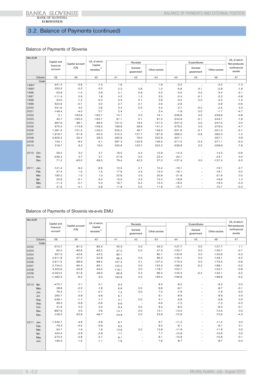**EUROSYSTEM**

### Balance of Payments of Slovenia

| Mio EUR      |                      |                 |                                   |       |                       |               |          |                          |               | CA, of which:          |
|--------------|----------------------|-----------------|-----------------------------------|-------|-----------------------|---------------|----------|--------------------------|---------------|------------------------|
|              | Capital and          | Capital account | CA, of which:                     |       | Receipts              |               |          | Expenditures             |               | Non-produced           |
|              | financial<br>account | (CA)            | Capital<br>${\sf transfers}^{10}$ |       | General<br>government | Other sectors |          | General<br>government    | Other sectors | nonfinancial<br>assets |
| Column       | 38                   | 39              | 40                                | 41    | 42                    | 43            | 44       | 45                       | 46            | 47                     |
| Code         |                      |                 |                                   |       |                       |               |          |                          |               |                        |
| 1994*        | $-441.3$             | $-2.8$          | $-1.5$                            | 1.8   | ÷,                    | 1.8           | $-3.2$   |                          | $-3.2$        | $-1.3$                 |
| 1995*        | 200.5                | $-5.3$          | $-3.5$                            | 2.3   | 0.8                   | 1.5           | $-5.8$   | $-3.1$                   | $-2.8$        | $-1.8$                 |
| 1996         | $-33.9$              | $-1.5$          | 0.6                               | 4.1   | 0.9                   | 3.2           | $-3.5$   | 0.0                      | $-3.4$        | $-2.1$                 |
| 1997         | $-111.4$             | 0.9             | 1.8                               | 4.2   | 1.2                   | 3.0           | $-2.4$   | $-0.1$                   | $-2.3$        | $-0.9$                 |
| 1998         | 53.0                 | $-1.2$          | $-0.2$                            | 3.0   | 0.1                   | 2.8           | $-3.2$   | 0.0                      | $-3.2$        | $-1.0$                 |
| 1999         | 624.6                | $-0.7$          | 0.0                               | 2.7   | 0.1                   | 2.6           | $-2.8$   | $\overline{\phantom{a}}$ | $-2.8$        | $-0.6$                 |
| 2000         | 541.6                | 4.0             | 0.8                               | 3.4   | 0.0                   | 3.4           | $-2.7$   | $-0.2$                   | $-2.5$        | 3.3                    |
| 2001         | $-148.4$             | $-4.0$          | 0.7                               | 2.4   | ÷,                    | 2.4           | $-1.8$   | 0.0                      | $-1.7$        | $-4.7$                 |
| 2002         | 3.1                  | $-163.6$        | $-162.7$                          | 74.1  | 0.0                   | 74.1          | $-236.8$ | 0.0                      | $-236.8$      | $-0.8$                 |
| 2003         | 45.7                 | $-165.5$        | $-163.7$                          | 81.1  | 0.1                   | 81.0          | $-244.8$ | $-0.1$                   | $-244.7$      | $-1.8$                 |
| 2004         | 697.6                | $-96.1$         | $-96.5$                           | 151.0 | 19.5                  | 131.5         | $-247.5$ | 0.0                      | $-247.5$      | 0.4                    |
| 2005         | 970.4                | $-113.9$        | $-109.2$                          | 169.8 | 28.6                  | 141.2         | $-279.0$ | 0.0                      | $-279.0$      | $-4.7$                 |
| 2006         | 1,091.5              | $-131.5$        | $-126.4$                          | 205.2 | 46.7                  | 158.5         | $-331.6$ | $-0.1$                   | $-331.5$      | $-5.1$                 |
| 2007         | 1,919.7              | $-51.9$         | $-50.5$                           | 315.5 | 127.7                 | 187.8         | $-366.0$ | $-0.8$                   | $-365.3$      | $-1.4$                 |
| 2008         | 2,605.2              | $-25.4$         | $-26.3$                           | 280.8 | 78.0                  | 202.9         | $-307.1$ | $\overline{\phantom{a}}$ | $-307.1$      | 0.9                    |
| 2009         | 154.1                | $-9.4$          | $-4.1$                            | 267.3 | 120.9                 | 146.5         | $-271.5$ | $-0.3$                   | $-271.1$      | $-5.3$                 |
| 2010         | 318.7                | 8.2             | 16.0                              | 355.9 | 103.7                 | 252.2         | $-339.9$ | 0.0                      | $-339.9$      | $-7.8$                 |
| 2010 Oct.    | 59.3                 | 3.2             | 3.7                               | 18.0  | 5.2                   | 12.8          | $-14.3$  |                          | $-14.3$       | $-0.6$                 |
| Nov.         | $-236.4$             | 3.7             | 3.7                               | 27.9  | 5.5                   | 22.4          | $-24.1$  |                          | $-24.1$       | 0.0                    |
| Dec.         | 71.2                 | $-63.0$         | $-58.0$                           | 79.4  | 42.5                  | 37.0          | $-137.4$ | 0.0                      | $-137.4$      | $-5.0$                 |
| 2011<br>Jan. | $-141.4$             | $-9.3$          | $-6.6$                            | 12.5  | 2.1                   | 10.4          | $-19.1$  |                          | $-19.1$       | $-2.7$                 |
| Feb.         | 57.4                 | 1.5             | 1.5                               | 17.6  | 4.3                   | 13.3          | $-16.1$  |                          | $-16.1$       | 0.0                    |
| Mar.         | 180.2                | 1.0             | 1.0                               | 22.8  | 2.0                   | 20.8          | $-21.8$  |                          | $-21.8$       | 0.0                    |
| Apr.         | 25.6                 | $-2.1$          | $-3.4$                            | 15.5  | 3.3                   | 12.2          | $-18.9$  |                          | $-18.9$       | 1.2                    |
| May          | $-11.3$              | $-0.1$          | 0.2                               | 18.7  | 6.2                   | 12.5          | $-18.5$  |                          | $-18.5$       | $-0.3$                 |
| Jun.         | 21.6                 | $-4.1$          | $-3.8$                            | 11.8  | 0.0                   | 11.8          | $-15.7$  |                          | $-15.7$       | $-0.3$                 |

| Mio EUR |        |                      |                 |                           |       |                          |               |          |                          |               | CA, of which:          |
|---------|--------|----------------------|-----------------|---------------------------|-------|--------------------------|---------------|----------|--------------------------|---------------|------------------------|
|         |        | Capital and          | Capital account | CA, of which:             |       | Receipts                 |               |          | Expenditures             |               | Non-produced,          |
|         |        | financial<br>account | (CA)            | Capital<br>transfers $10$ |       | General<br>government    | Other sectors |          | General<br>government    | Other sectors | nonfinancial<br>assets |
|         | Column | 38                   | 39              | 40                        | 41    | 42                       | 43            | 44       | 45                       | 46            | 47                     |
|         | Code   |                      |                 |                           |       |                          |               |          |                          |               |                        |
| 2002    |        | $-314.7$             | $-81.3$         | $-82.4$                   | 45.3  | 0.0                      | 45.3          | $-127.7$ | 0.0                      | $-127.7$      | 1.1                    |
| 2003    |        | 65.2                 | $-83.9$         | $-83.2$                   | 47.5  | 0.0                      | 47.5          | $-130.7$ | 0.0                      | $-130.7$      | $-0.7$                 |
| 2004    |        | 557.5                | $-42.8$         | $-42.5$                   | 90.1  | $\overline{\phantom{a}}$ | 90.1          | $-132.6$ | 0.0                      | $-132.6$      | $-0.3$                 |
| 2005    |        | 2,611.8              | $-57.0$         | $-52.8$                   | 96.3  | 0.0                      | 96.3          | $-149.1$ | 0.0                      | $-149.1$      | $-4.2$                 |
| 2006    |        | 2,611.5              | $-68.9$         | $-68.2$                   | 107.3 | 0.1                      | 107.2         | $-175.5$ | 0.0                      | $-175.5$      | $-0.6$                 |
| 2007    |        | 2,734.0              | $-65.3$         | $-65.1$                   | 123.2 | 0.0                      | 123.2         | $-188.3$ | $-0.2$                   | $-188.1$      | $-0.2$                 |
| 2008    |        | 3,325.6              | $-34.8$         | $-34.0$                   | 118.7 | 0.0                      | 118.7         | $-152.7$ | $\overline{\phantom{a}}$ | $-152.7$      | $-0.8$                 |
| 2009    |        | $-4,053.2$           | $-51.8$         | $-48.5$                   | 96.8  | 0.3                      | 96.4          | $-145.3$ | $-0.2$                   | $-145.1$      | $-3.2$                 |
| 2010    |        | $-1,482.3$           | $-8.2$          | $-3.0$                    | 193.6 | 0.2                      | 193.4         | $-196.6$ | $\overline{a}$           | $-196.6$      | $-5.2$                 |
|         |        |                      |                 |                           |       |                          |               |          |                          |               |                        |
| 2010    | Apr.   | $-475.1$             | 0.1             | 0.1                       | 9.3   | $\overline{\phantom{a}}$ | 9.3           | $-9.2$   | ×                        | $-9.2$        | 0.0                    |
|         | May    | 38.8                 | $-2.0$          | $-1.8$                    | 6.9   | 0.0                      | 6.8           | $-8.7$   | ÷.                       | $-8.7$        | $-0.1$                 |
|         | Jun.   | 76.2                 | $-1.1$          | $-0.7$                    | 7.3   | 0.0                      | 7.3           | $-7.9$   | ×                        | $-7.9$        | $-0.5$                 |
|         | Jul.   | 260.7                | $-3.8$          | $-3.8$                    | 6.1   | $\sim$                   | 6.1           | $-9.9$   | ٠                        | $-9.9$        | 0.0                    |
|         | Aug.   | $-249.1$             | $-1.7$          | $-1.7$                    | 4.1   | 0.0                      | 4.1           | $-5.8$   | ÷.                       | $-5.8$        | 0.0                    |
|         | Sep.   | 69.3                 | $-0.8$          | $-0.6$                    | 6.6   | $\overline{\phantom{a}}$ | 6.6           | $-7.2$   | ٠                        | $-7.2$        | $-0.2$                 |
|         | Oct.   | 31.6                 | 0.3             | 0.4                       | 8.4   | 0.0                      | 8.4           | $-8.0$   | ×                        | $-8.0$        | $-0.1$                 |
|         | Nov.   | $-867.6$             | 0.5             | 0.6                       | 14.1  | 0.0                      | 14.1          | $-13.5$  | ٠                        | $-13.5$       | 0.0                    |
|         | Dec.   | $-106.0$             | $-52.8$         | $-48.7$                   | 23.9  | 0.0                      | 23.9          | $-72.6$  | ٠                        | $-72.6$       | $-4.0$                 |
|         |        |                      |                 |                           |       |                          |               |          |                          |               |                        |
| 2011    | Jan.   | $-1,430.7$           | $-4.6$          | $-4.6$                    | 6.7   | ٠                        | 6.7           | $-11.2$  | ٠                        | $-11.2$       | 0.0                    |
|         | Feb.   | $-79.3$              | $-0.5$          | $-0.6$                    | 8.5   |                          | 8.5           | $-9.1$   | ×                        | $-9.1$        | 0.1                    |
|         | Mar.   | 94.7                 | 1.6             | 1.6                       | 13.6  | 0.0                      | 13.6          | $-11.9$  | ×                        | $-11.9$       | 0.0                    |
|         | Apr.   | 404.4                | $-2.9$          | $-2.9$                    | 7.7   | ٠                        | 7.7           | $-10.6$  | ٠                        | $-10.6$       | 0.0                    |
|         | May    | $-275.5$             | $-2.8$          | $-2.7$                    | 8.1   | $\overline{\phantom{a}}$ | 8.1           | $-10.8$  | ×                        | $-10.8$       | $-0.1$                 |
|         | Jun.   | 185.5                | $-1.5$          | $-1.1$                    | 7.6   |                          | 7.6           | $-8.7$   |                          | $-8.7$        | $-0.4$                 |
|         |        |                      |                 |                           |       |                          |               |          |                          |               |                        |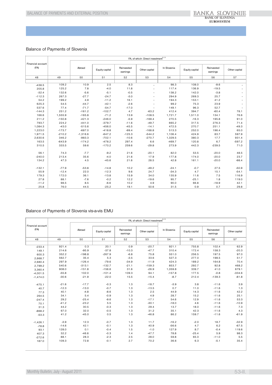### Balance of Payments of Slovenia

|                   |          |            |                |                       | FA, of which: Direct investment <sup>8, 9</sup> |             |                |                       |               |
|-------------------|----------|------------|----------------|-----------------------|-------------------------------------------------|-------------|----------------|-----------------------|---------------|
| Financial account |          |            |                |                       |                                                 |             |                |                       |               |
| (FA)<br>48        |          | Abroad     | Equity capital | Reinvested<br>eamings | Other capital                                   | In Slovenia | Equity capital | Reinvested<br>eamings | Other capital |
|                   | 49       | 50         | 51             | 52                    | 53                                              | 54          | 55             | 56                    | 57            |
|                   |          |            |                |                       |                                                 |             |                |                       |               |
| $-438.5$          | 109.2    | 10.9       | 2.5            | 8.3                   |                                                 | 98.3        | 108.0          | $-9.6$                |               |
| 205.8             | 125.2    | 7.8        | $-4.0$         | 11.8                  |                                                 | 117.4       | 136.9          | $-19.5$               |               |
| $-32.4$           | 132.6    | $-5.6$     | $-5.1$         | $-0.5$                |                                                 | 138.2       | 142.0          | $-3.8$                |               |
| $-112.3$          | 267.3    | $-27.7$    | $-24.7$        | $-3.0$                |                                                 | 294.9       | 269.3          | 25.7                  |               |
| 54.2              | 199.2    | 4.9        | $-11.2$        | 16.1                  |                                                 | 194.3       | 153.1          | 41.2                  |               |
| 625.3             | 54.5     | $-44.7$    | $-42.1$        | $-2.6$                |                                                 | 99.2        | 75.3           | 23.9                  |               |
| 537.6             | 77.4     | $-71.7$    | $-54.7$        | $-17.0$               |                                                 | 149.1       | 96.3           | 52.7                  |               |
| $-144.3$          | 251.2    | $-161.2$   | $-102.7$       | 4.7                   | $-63.2$                                         | 412.4       | 394.7          | $-60.4$               | 78.1          |
| 166.6             | 1,555.9  | $-165.8$   | $-71.2$        | 13.9                  | $-108.5$                                        | 1,721.7     | 1,511.0        | 134.1                 | 76.6          |
| 211.2             | $-150.8$ | $-421.3$   | $-246.0$       | $-5.9$                | $-169.4$                                        | 270.5       | $-16.3$        | 195.8                 | 91.0          |
| 793.7             | 224.2    | $-441.0$   | $-379.7$       | $-11.6$               | $-49.7$                                         | 665.2       | 317.5          | 276.3                 | 71.4          |
| 1,084.3           | $-43.0$  | $-515.6$   | $-456.0$       | $-45.5$               | $-14.1$                                         | 472.5       | 270.7          | 251.1                 | $-49.3$       |
| 1,223.0           | $-173.7$ | $-687.0$   | $-418.8$       | $-99.4$               | $-168.8$                                        | 513.3       | 252.0          | 196.4                 | 65.0          |
| 1,971.5           | $-210.2$ | $-1,316.6$ | $-647.2$       | $-125.3$              | $-544.2$                                        | 1,106.4     | 424.9          | 83.7                  | 597.9         |
| 2,630.6           | 346.2    | $-983.3$   | $-702.1$       | $-10.6$               | $-270.7$                                        | 1,329.5     | 380.3          | 17.7                  | 931.4         |
| 163.5             | $-643.9$ | $-174.2$   | $-478.2$       | 297.4                 | 6.6                                             | $-469.7$    | 120.8          | 6.7                   | $-597.2$      |
| 310.5             | 333.5    | 59.6       | $-170.2$       | 259.6                 | $-29.8$                                         | 273.9       | 442.3          | $-239.5$              | 71.0          |
| 56.1              | 74.3     | $-7.7$     | $-9.2$         | 21.6                  | $-20.1$                                         | 82.0        | 53.5           | $-20.0$               | 48.5          |
| $-240.0$          | 213.4    | 35.6       | $-4.0$         | 21.6                  | 17.9                                            | 177.8       | 174.0          | $-20.0$               | 23.7          |
| 134.2             | 47.3     | 4.5        | $-45.6$        | 21.6                  | 28.5                                            | 42.8        | 161.1          | $-20.0$               | $-98.4$       |
| $-132.1$          | $-77.9$  | $-53.8$    | $-14.8$        | 10.2                  | $-49.2$                                         | $-24.1$     | $-0.7$         | 27.5                  | $-50.9$       |
| 55.9              | $-12.4$  | 22.0       | $-12.3$        | 9.6                   | 24.7                                            | $-34.3$     | 4.7            | 15.1                  | $-54.1$       |
| 179.3             | 172.0    | 36.1       | $-13.8$        | 15.9                  | 34.0                                            | 135.9       | 11.6           | 7.5                   | 116.9         |
| 27.8              | 88.1     | $-7.6$     | $-0.2$         | 12.2                  | $-19.6$                                         | 95.7        | $-25.1$        | 1.8                   | 119.0         |
| $-11.2$           | 98.5     | 8.5        | $-6.6$         | 10.2                  | 4.9                                             | 90.0        | 66.8           | $-18.9$               | 42.1          |
| 25.8              | 76.0     | 44.5       | $-25.2$        | 19.1                  | 50.6                                            | 31.5        | 0.9            | 0.7                   | 29.8          |

| Financial account<br>(FA)<br>In Slovenia<br>Abroad<br>Reinvested<br>Reinvested<br>Other capital<br>Equity capital<br>Equity capital<br>eamings<br>eamings<br>48<br>50<br>51<br>52<br>53<br>54<br>55<br>56<br>49<br>921.4<br>0.3<br>20.1<br>0.9<br>$-20.7$<br>921.1<br>755.8<br>102.4<br>$-233.4$<br>$-95.9$<br>$-37.8$<br>$-10.3$<br>$-47.7$<br>310.4<br>172.4<br>214.6<br>158.3<br>149.1<br>$-6.8$<br>352.2<br>$-198.8$<br>$-267.9$<br>75.8<br>551.0<br>256.5<br>197.5<br>600.3<br>35.4<br>5.3<br>$-3.5$<br>33.6<br>527.3<br>277.0<br>562.7<br>198.5<br>2,668.7<br>$-126.4$<br>$-79.6$<br>$-34.9$<br>$-11.9$<br>424.3<br>297.9<br>189.2<br>164.8<br>2,680.4<br>540.6<br>$-313.1$<br>$-132.7$<br>$-21.1$<br>$-159.3$<br>853.7<br>292.7<br>92.8<br>2,799.2<br>31.6<br>908.0<br>$-151.8$<br>$-156.6$<br>$-26.9$<br>1,059.8<br>339.7<br>41.0<br>3,360.4 | FA, of which: Direct investment <sup>8, 9</sup> |  |  |  |  |  |  |  |  |  |  |  |  |
|------------------------------------------------------------------------------------------------------------------------------------------------------------------------------------------------------------------------------------------------------------------------------------------------------------------------------------------------------------------------------------------------------------------------------------------------------------------------------------------------------------------------------------------------------------------------------------------------------------------------------------------------------------------------------------------------------------------------------------------------------------------------------------------------------------------------------------------------------|-------------------------------------------------|--|--|--|--|--|--|--|--|--|--|--|--|
|                                                                                                                                                                                                                                                                                                                                                                                                                                                                                                                                                                                                                                                                                                                                                                                                                                                      |                                                 |  |  |  |  |  |  |  |  |  |  |  |  |
|                                                                                                                                                                                                                                                                                                                                                                                                                                                                                                                                                                                                                                                                                                                                                                                                                                                      | Other capital                                   |  |  |  |  |  |  |  |  |  |  |  |  |
|                                                                                                                                                                                                                                                                                                                                                                                                                                                                                                                                                                                                                                                                                                                                                                                                                                                      | 57                                              |  |  |  |  |  |  |  |  |  |  |  |  |
|                                                                                                                                                                                                                                                                                                                                                                                                                                                                                                                                                                                                                                                                                                                                                                                                                                                      |                                                 |  |  |  |  |  |  |  |  |  |  |  |  |
|                                                                                                                                                                                                                                                                                                                                                                                                                                                                                                                                                                                                                                                                                                                                                                                                                                                      | 62.9                                            |  |  |  |  |  |  |  |  |  |  |  |  |
|                                                                                                                                                                                                                                                                                                                                                                                                                                                                                                                                                                                                                                                                                                                                                                                                                                                      | $-20.3$                                         |  |  |  |  |  |  |  |  |  |  |  |  |
|                                                                                                                                                                                                                                                                                                                                                                                                                                                                                                                                                                                                                                                                                                                                                                                                                                                      | 97.0                                            |  |  |  |  |  |  |  |  |  |  |  |  |
|                                                                                                                                                                                                                                                                                                                                                                                                                                                                                                                                                                                                                                                                                                                                                                                                                                                      | 51.7                                            |  |  |  |  |  |  |  |  |  |  |  |  |
|                                                                                                                                                                                                                                                                                                                                                                                                                                                                                                                                                                                                                                                                                                                                                                                                                                                      | 70.4                                            |  |  |  |  |  |  |  |  |  |  |  |  |
|                                                                                                                                                                                                                                                                                                                                                                                                                                                                                                                                                                                                                                                                                                                                                                                                                                                      | 468.2                                           |  |  |  |  |  |  |  |  |  |  |  |  |
|                                                                                                                                                                                                                                                                                                                                                                                                                                                                                                                                                                                                                                                                                                                                                                                                                                                      | 679.1                                           |  |  |  |  |  |  |  |  |  |  |  |  |
| 102.0<br>$-101.4$<br>109.3<br>94.1<br>$-157.8$<br>177.5<br>$-0.8$<br>$-55.8$<br>$-4,001.5$                                                                                                                                                                                                                                                                                                                                                                                                                                                                                                                                                                                                                                                                                                                                                           | $-334.6$                                        |  |  |  |  |  |  |  |  |  |  |  |  |
| $-21.9$<br>$-22.0$<br>15.5<br>$-15.4$<br>$-8.7$<br>212.4<br>$-30.6$<br>$-139.3$<br>$-1,474.0$                                                                                                                                                                                                                                                                                                                                                                                                                                                                                                                                                                                                                                                                                                                                                        | $-81.8$                                         |  |  |  |  |  |  |  |  |  |  |  |  |
|                                                                                                                                                                                                                                                                                                                                                                                                                                                                                                                                                                                                                                                                                                                                                                                                                                                      |                                                 |  |  |  |  |  |  |  |  |  |  |  |  |
| $-17.7$<br>$-0.3$<br>1.3<br>$-18.7$<br>$-3.9$<br>3.8<br>$-21.6$<br>$-11.6$<br>$-475.1$                                                                                                                                                                                                                                                                                                                                                                                                                                                                                                                                                                                                                                                                                                                                                               | 3.9                                             |  |  |  |  |  |  |  |  |  |  |  |  |
| 1.3<br>0.7<br>$-13.0$<br>$-0.7$<br>$-13.5$<br>11.0<br>$-11.6$<br>$-12.3$<br>40.7                                                                                                                                                                                                                                                                                                                                                                                                                                                                                                                                                                                                                                                                                                                                                                     | 1.3                                             |  |  |  |  |  |  |  |  |  |  |  |  |
| 1.3<br>$-4.8$<br>$-8.6$<br>2.5<br>44.9<br>14.3<br>40.1<br>$-11.6$<br>77.3                                                                                                                                                                                                                                                                                                                                                                                                                                                                                                                                                                                                                                                                                                                                                                            | 42.2                                            |  |  |  |  |  |  |  |  |  |  |  |  |
| 34.1<br>5.4<br>$-0.9$<br>1.3<br>4.9<br>28.7<br>15.2<br>$-11.6$<br>264.5                                                                                                                                                                                                                                                                                                                                                                                                                                                                                                                                                                                                                                                                                                                                                                              | 25.1                                            |  |  |  |  |  |  |  |  |  |  |  |  |
| $-9.6$<br>1.3<br>54.6<br>12.9<br>29.2<br>$-25.4$<br>$-17.1$<br>$-11.6$<br>$-247.4$                                                                                                                                                                                                                                                                                                                                                                                                                                                                                                                                                                                                                                                                                                                                                                   | 53.3                                            |  |  |  |  |  |  |  |  |  |  |  |  |
| 5.5<br>1.3<br>4.6<br>$-41.2$<br>$-23.2$<br>$-30.1$<br>$-18.0$<br>$-11.6$<br>70.1                                                                                                                                                                                                                                                                                                                                                                                                                                                                                                                                                                                                                                                                                                                                                                     | $-10.9$                                         |  |  |  |  |  |  |  |  |  |  |  |  |
| 44.2<br>30.5<br>$-0.3$<br>1.3<br>29.4<br>13.7<br>18.0<br>$-11.6$<br>31.3                                                                                                                                                                                                                                                                                                                                                                                                                                                                                                                                                                                                                                                                                                                                                                             | 7.3                                             |  |  |  |  |  |  |  |  |  |  |  |  |
| 35.1<br>67.0<br>32.0<br>$-0.5$<br>1.3<br>31.2<br>42.3<br>$-11.6$<br>$-868.2$                                                                                                                                                                                                                                                                                                                                                                                                                                                                                                                                                                                                                                                                                                                                                                         | 4.3                                             |  |  |  |  |  |  |  |  |  |  |  |  |
| 0.5<br>$-45.0$<br>1.3<br>$-46.8$<br>86.2<br>159.7<br>41.2<br>$-11.6$<br>$-53.3$                                                                                                                                                                                                                                                                                                                                                                                                                                                                                                                                                                                                                                                                                                                                                                      | $-61.9$                                         |  |  |  |  |  |  |  |  |  |  |  |  |
|                                                                                                                                                                                                                                                                                                                                                                                                                                                                                                                                                                                                                                                                                                                                                                                                                                                      |                                                 |  |  |  |  |  |  |  |  |  |  |  |  |
| $-3.9$<br>12.3<br>$-0.7$<br>1.3<br>11.7<br>$-16.2$<br>$-2.0$<br>18.7<br>$-1,426.1$                                                                                                                                                                                                                                                                                                                                                                                                                                                                                                                                                                                                                                                                                                                                                                   | $-32.9$                                         |  |  |  |  |  |  |  |  |  |  |  |  |
| $-56.6$<br>6.2<br>$-14.6$<br>42.1<br>$-0.1$<br>1.3<br>40.9<br>4.7<br>$-78.8$                                                                                                                                                                                                                                                                                                                                                                                                                                                                                                                                                                                                                                                                                                                                                                         | $-67.5$                                         |  |  |  |  |  |  |  |  |  |  |  |  |
| 0.1<br>$-0.4$<br>1.5<br>$-1.0$<br>127.9<br>8.7<br>$-0.4$<br>128.0<br>93.1                                                                                                                                                                                                                                                                                                                                                                                                                                                                                                                                                                                                                                                                                                                                                                            | 119.6                                           |  |  |  |  |  |  |  |  |  |  |  |  |
| 78.8<br>32.2<br>$-46.6$<br>$-0.3$<br>1.4<br>$-47.7$<br>$-25.4$<br>5.9<br>407.3                                                                                                                                                                                                                                                                                                                                                                                                                                                                                                                                                                                                                                                                                                                                                                       | 98.3                                            |  |  |  |  |  |  |  |  |  |  |  |  |
| 88.1<br>$-2.3$<br>2.5<br>59.8<br>65.3<br>28.3<br>28.0<br>$-11.0$<br>$-272.6$                                                                                                                                                                                                                                                                                                                                                                                                                                                                                                                                                                                                                                                                                                                                                                         | 5.5                                             |  |  |  |  |  |  |  |  |  |  |  |  |
| 2.7<br>$-5.1$<br>72.8<br>$-0.1$<br>70.2<br>36.6<br>6.3<br>109.3<br>187.0                                                                                                                                                                                                                                                                                                                                                                                                                                                                                                                                                                                                                                                                                                                                                                             | 35.4                                            |  |  |  |  |  |  |  |  |  |  |  |  |
|                                                                                                                                                                                                                                                                                                                                                                                                                                                                                                                                                                                                                                                                                                                                                                                                                                                      |                                                 |  |  |  |  |  |  |  |  |  |  |  |  |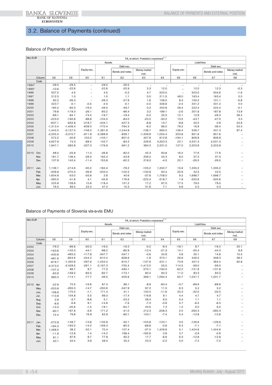**EUROSYSTEM**

# 3.2. Balance of Payments (continued)

### Balance of Payments of Slovenia

| Mio EUR      | FA, of which: Portofolio investment <sup>2, 3</sup> |            |             |            |                 |                       |          |             |             |                 |                       |
|--------------|-----------------------------------------------------|------------|-------------|------------|-----------------|-----------------------|----------|-------------|-------------|-----------------|-----------------------|
|              |                                                     |            |             | Assets     |                 |                       |          |             | Liabilities |                 |                       |
|              |                                                     |            |             |            | Debt sec.       |                       |          |             |             | Debt sec.       |                       |
|              |                                                     |            | Equity sec. |            | Bonds and notes | Money market<br>inst. |          | Equity sec. |             | Bonds and notes | Money market<br>inst. |
| Column       | 58                                                  | 59         | 60          | 61         | 62              | 63                    | 64       | 65          | 66          | 67              | 68                    |
| Code         |                                                     |            |             |            |                 |                       |          |             |             |                 |                       |
| 1994*        | $-29.5$                                             | $-29.5$    | a.          | $-29.5$    | $-29.5$         | ×.                    |          | ÷.          | ÷.          | ÷               |                       |
| 1995*        | $-10.6$                                             | $-22.6$    |             | $-22.6$    | $-25.9$         | 3.3                   | 12.0     |             | 12.0        | 12.3            | $-0.3$                |
| 1996         | 507.5                                               | 4.5        |             | 4.5        | $-0.2$          | 4.7                   | 503.0    | ä,          | 503.0       | 504.6           | $-1.6$                |
| 1997         | 212.5                                               | 1.0        |             | 1.0        | 1.1             | 0.0                   | 211.5    | 48.0        | 163.4       | 163.4           | 0.0                   |
| 1998         | 82.2                                                | $-26.3$    |             | $-26.3$    | $-27.9$         | 1.6                   | 108.5    | 8.3         | 100.2       | 101.1           | $-0.8$                |
| 1999         | 323.7                                               | $-5.1$     | $-0.5$      | $-4.5$     | $-0.1$          | $-4.5$                | 328.8    | $-2.4$      | 331.2       | 331.2           | 0.0                   |
| 2000         | 185.2                                               | $-65.5$    | $-16.0$     | $-49.5$    | $-49.7$         | 0.2                   | 250.8    | 28.4        | 222.4       | 222.4           | $-0.1$                |
| 2001         | 79.8                                                | $-119.3$   | $-26.1$     | $-93.2$    | $-96.4$         | 3.2                   | 199.1    | $-2.6$      | 201.6       | 187.8           | 13.9                  |
| 2002         | $-69.1$                                             | $-94.1$    | $-74.4$     | $-19.7$    | $-19.4$         | $-0.2$                | 25.0     | 12.1        | 12.9        | $-26.3$         | 39.2                  |
| 2003         | $-223.0$                                            | $-192.8$   | $-88.8$     | $-104.0$   | $-84.0$         | $-20.0$               | $-30.2$  | 13.5        | $-43.7$     | $-47.0$         | 3.3                   |
| 2004         | $-637.1$                                            | $-652.8$   | $-218.7$    | $-434.1$   | $-427.3$        | $-6.8$                | 15.7     | $-9.8$      | 25.5        | 0.9             | 24.6                  |
| 2005         | $-1,313.4$                                          | $-1,409.4$ | $-639.0$    | $-770.4$   | $-764.3$        | $-6.2$                | 96.0     | 79.2        | 16.9        | $-36.4$         | 53.3                  |
| 2006         | $-1,442.5$                                          | $-2,127.5$ | $-746.0$    | $-1,381.6$ | $-1,244.9$      | $-136.7$              | 685.0    | 156.4       | 528.7       | 431.3           | 97.4                  |
| 2007         | $-2,255.4$                                          | $-3,310.7$ | $-911.8$    | $-2,398.9$ | $-939.1$        | $-1,459.9$            | 1,055.4  | 203.8       | 851.6       | 851.6           |                       |
| 2008         | 572.2                                               | $-40.6$    | 102.5       | $-143.1$   | $-601.0$        | 457.9                 | 612.8    | $-194.1$    | 806.9       | 806.9           |                       |
| 2009         | 4,627.6                                             | 74.3       | $-68.4$     | 142.7      | $-84.3$         | 226.9                 | 4,553.3  | 22.1        | 4,531.3     | 4,531.3         |                       |
| 2010         | 1,947.1                                             | $-383.9$   | $-207.0$    | $-176.9$   | $-561.2$        | 384.3                 | 2,331.0  | 127.0       | 2,203.9     | 2,203.9         |                       |
| 2010 Oct.    | 68.0                                                | $-25.8$    | 11.0        | $-36.8$    | $-82.0$         | 45.3                  | 93.8     | 16.2        | 77.6        | 77.6            |                       |
| Nov.         | 181.7                                               | 136.4      | $-26.0$     | 162.4      | $-43.9$         | 206.2                 | 45.3     | 8.0         | 37.3        | 37.3            |                       |
| Dec.         | 137.9                                               | 142.4      | $-11.4$     | 153.8      | $-62.2$         | 216.0                 | $-4.5$   | 22.1        | $-26.5$     | $-26.5$         |                       |
| 2011<br>Jan. | 1,136.1                                             | $-214.6$   | $-30.2$     | $-184.4$   | $-79.2$         | $-105.2$              | 1,350.7  | 15.6        | 1,335.2     | 1,335.2         |                       |
| Feb.         | $-206.9$                                            | $-270.3$   | $-36.9$     | $-233.4$   | $-102.5$        | $-130.9$              | 63.4     | 20.9        | 42.5        | 42.5            |                       |
| Mar.         | 1,654.9                                             | $-53.0$    | $-55.8$     | 2.8        | 40.6            | $-37.8$               | 1,708.0  | 9.2         | 1,698.7     | 1,698.7         |                       |
| Apr.         | $-360.5$                                            | $-41.8$    | 4.1         | $-45.9$    | 176.6           | $-222.4$              | $-318.7$ | 1.9         | $-320.6$    | $-320.6$        |                       |
| May          | 225.9                                               | 128.9      | 10.6        | 118.4      | 101.2           | 17.2                  | 97.0     | 17.5        | 79.5        | 79.5            |                       |
| Jun.         | 76.5                                                | 69.4       | 22.2        | 47.2       | 15.3            | 31.8                  | 7.1      | 6.8         | 0.3         | 0.3             |                       |

| Mio EUR |        |            |            |             |            |                 | FA, of which: Portofolio investment <sup>2, 3</sup> |          |             |             |                 |                       |
|---------|--------|------------|------------|-------------|------------|-----------------|-----------------------------------------------------|----------|-------------|-------------|-----------------|-----------------------|
|         |        |            |            |             | Assets     |                 |                                                     |          |             | Liabilities |                 |                       |
|         |        |            |            |             |            | Debt sec.       |                                                     |          |             |             | Debt sec.       |                       |
|         |        |            |            | Equity sec. |            | Bonds and notes | Money market<br>inst.                               |          | Equity sec. |             | Bonds and notes | Money market<br>inst. |
|         | Column | 58         | 59         | 60          | 61         | 62              | 63                                                  | 64       | 65          | 66          | 67              | 68                    |
|         | Code   |            |            |             |            |                 |                                                     |          |             |             |                 |                       |
| 2002    |        | $-76.0$    | $-66.6$    | $-50.0$     | $-16.5$    | $-16.3$         | $-0.2$                                              | $-9.4$   | $-18.1$     | 8.7         | $-16.4$         | 25.1                  |
| 2003    |        | $-163.6$   | $-142.3$   | $-44.1$     | $-98.2$    | $-85.9$         | $-12.4$                                             | $-21.3$  | 14.1        | $-35.4$     | $-44.3$         | 8.9                   |
| 2004    |        | $-430.6$   | $-465.5$   | $-117.8$    | $-347.7$   | $-347.1$        | $-0.6$                                              | 34.9     | 4.8         | 30.1        | 14.6            | 15.5                  |
| 2005    |        | $-481.6$   | $-854.6$   | $-244.2$    | $-610.4$   | $-608.6$        | $-1.8$                                              | 373.1    | 26.6        | 346.5       | 308.3           | 38.2                  |
| 2006    |        | $-819.7$   | $-1,350.8$ | $-297.6$    | $-1,053.2$ | $-915.7$        | $-137.6$                                            | 531.1    | 73.9        | 457.2       | 364.4           | 92.8                  |
| 2007    |        | $-2,373.0$ | $-2,428.5$ | $-261.1$    | $-2,167.3$ | $-755.4$        | $-1,412.0$                                          | 55.5     | 114.5       | $-59.0$     | $-59.0$         |                       |
| 2008    |        | $-107.3$   | 86.7       | 9.7         | 77.0       | $-493.1$        | 570.1                                               | $-194.0$ | $-62.2$     | $-131.8$    | $-131.8$        |                       |
| 2009    |        | $-63.9$    | $-158.2$   | $-65.5$     | $-92.7$    | $-173.1$        | 80.4                                                | 94.3     | 11.0        | 83.3        | 83.3            |                       |
| 2010    |        | 980.3      | $-114.1$   | $-77.7$     | $-36.5$    | $-405.6$        | 369.1                                               | 1,094.4  | 62.7        | 1,031.7     | 1,031.7         |                       |
|         |        |            |            |             |            |                 |                                                     |          |             |             |                 |                       |
| 2010    | Apr.   | $-22.9$    | 70.5       | $-16.8$     | 87.3       | 96.1            | $-8.9$                                              | $-93.4$  | $-3.7$      | $-89.6$     | $-89.6$         |                       |
|         | May    | $-253.8$   | $-265.3$   | $-14.7$     | $-250.6$   | $-347.9$        | 97.2                                                | 11.5     | 6.3         | 5.2         | 5.2             |                       |
|         | Jun.   | 158.8      | 170.4      | $-1.1$      | 171.4      | 51.1            | 120.4                                               | $-11.6$  | 20.3        | $-32.0$     | $-32.0$         |                       |
|         | Jul.   | 113.9      | 104.8      | 5.5         | 99.3       | $-17.4$         | 116.8                                               | 9.1      | 4.4         | 4.7         | 4.7             |                       |
|         | Aug.   | 2.9        | $-3.7$     | $-8.8$      | 5.1        | $-23.2$         | 28.4                                                | 6.5      | 5.4         | 1.1         | 1.1             |                       |
|         | Sep.   | $-6.6$     | $-5.8$     | 9.1         | $-14.9$    | $-7.6$          | $-7.3$                                              | $-0.8$   | 5.7         | $-6.5$      | $-6.5$          |                       |
|         | Oct.   | $-13.3$    | $-20.6$    | $-1.5$      | $-19.1$    | $-64.7$         | 45.6                                                | 7.3      | 1.2         | 6.0         | 6.0             |                       |
|         | Nov.   | $-90.7$    | 167.6      | $-3.6$      | 171.2      | $-41.0$         | 212.3                                               | $-258.3$ | 2.0         | $-260.3$    | $-260.3$        |                       |
|         | Dec.   | 72.4       | 79.8       | 16.9        | 62.9       | $-80.1$         | 143.1                                               | $-7.4$   | 5.4         | $-12.8$     | $-12.8$         |                       |
|         |        |            |            |             |            |                 |                                                     |          |             |             |                 |                       |
| 2011    | Jan.   | $-272.8$   | $-149.7$   | $-13.8$     | $-135.9$   | $-32.1$         | $-103.8$                                            | $-123.1$ | 3.5         | $-126.6$    | $-126.6$        |                       |
|         | Feb.   | $-184.3$   | $-183.5$   | $-14.2$     | $-169.3$   | $-80.5$         | $-88.8$                                             | $-0.8$   | 6.3         | $-7.1$      | $-7.1$          |                       |
|         | Mar.   | 1,468.0    | 38.2       | $-32.1$     | 70.4       | 107.4           | $-37.0$                                             | 1,429.8  | 5.1         | 1,424.6     | 1,424.6         |                       |
|         | Apr.   | $-11.9$    | $-12.8$    | 1.4         | $-14.2$    | 168.4           | $-182.6$                                            | 0.8      | 3.7         | $-2.9$      | $-2.9$          |                       |
|         | May    | 81.1       | 87.6       | 9.7         | 77.9       | 60.2            | 17.7                                                | $-6.6$   | 6.3         | $-12.8$     | $-12.8$         |                       |
|         | Jun.   | 50.1       | 52.4       | 3.9         | 48.5       | 25.2            | 23.3                                                | $-2.2$   | 5.0         | $-7.2$      | $-7.2$          |                       |
|         |        |            |            |             |            |                 |                                                     |          |             |             |                 |                       |
|         |        |            |            |             |            |                 |                                                     |          |             |             |                 |                       |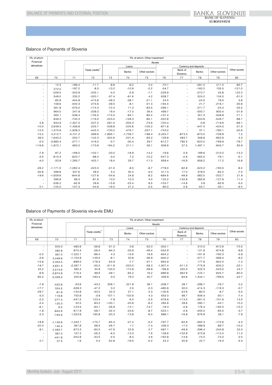### Balance of Payments of Slovenia

| FA, of which:            |             |            |                            |            |            | FA, of which: Other investment |            |          |                       |               |              |
|--------------------------|-------------|------------|----------------------------|------------|------------|--------------------------------|------------|----------|-----------------------|---------------|--------------|
| Financial                |             |            |                            |            |            | Assets                         |            |          |                       |               |              |
| derivatives              |             |            |                            |            | Loans      |                                |            |          | Currency and deposits |               |              |
|                          |             |            | Trade credits <sup>4</sup> |            | Banks      | Other sectors                  |            | Bank of  | Banks                 | Other sectors | Other assets |
|                          |             |            |                            |            |            |                                |            | Slovenia |                       |               |              |
| 69                       | 70          | 71         | 72                         | 73         | 74         | 75                             | 76         | 77       | 78                    | 79            | 80           |
|                          |             |            |                            |            |            |                                |            |          |                       |               |              |
| ÷                        | 12.3        | $-186.4$   | $-11.7$                    | $-8.8$     | $-9.2$     | 0.4                            | $-70.1$    |          | $-281.0$              | 211.0         | $-95.7$      |
| ÷.                       | 272.0       | $-197.2$   | $-8.3$                     | $-13.2$    | $-10.9$    | $-2.2$                         | $-54.7$    | $\sim$   | $-160.2$              | 105.5         | $-121.0$     |
| ٠                        | $-209.5$    | $-343.9$   | $-235.1$                   | $-4.0$     | $-2.9$     | $-1.1$                         | $-226.9$   |          | $-272.7$              | 45.8          | 122.2        |
| ٠                        | 549.0       | 230.2      | $-320.1$                   | $-57.4$    | $-61.6$    | 4.2                            | 658.7      |          | 524.2                 | 134.5         | $-51.0$      |
| ٠                        | $-80.9$     | $-404.8$   | $-415.8$                   | $-49.3$    | $-28.1$    | $-21.1$                        | 54.5       | ٠        | $-24.5$               | 79.0          | 5.8          |
| ٠                        | 158.6       | $-540.3$   | $-275.6$                   | $-39.5$    | $-8.1$     | $-31.3$                        | $-194.4$   | ٠        | 21.7                  | $-216.1$      | $-30.8$      |
| ٠                        | 461.8       | $-576.0$   | $-174.3$                   | $-72.4$    | 11.2       | $-83.5$                        | $-296.1$   |          | $-271.7$              | $-24.4$       | $-33.2$      |
| $\blacksquare$           | 964.0       | 247.9      | $-239.3$                   | 19.4       | $-17.0$    | 36.4                           | 499.7      | ٠        | $-300.7$              | 800.4         | $-31.9$      |
| $\overline{\phantom{a}}$ | 565.1       | $-538.4$   | $-135.5$                   | $-174.5$   | $-94.1$    | $-80.4$                        | $-157.4$   | ٠        | 351.3                 | $-508.8$      | $-71.1$      |
|                          | 849.2       | $-730.3$   | $-116.0$                   | $-223.4$   | $-128.3$   | $-95.1$                        | $-322.8$   | ٠        | 203.9                 | $-526.7$      | $-68.1$      |
| 5.8                      | 944.9       | $-1,307.5$ | $-237.2$                   | $-281.0$   | $-205.3$   | $-75.6$                        | $-720.4$   |          | $-0.8$                | $-719.6$      | $-69.1$      |
| $-10.0$                  | 2,639.5     | $-1,458.8$ | $-225.7$                   | $-339.8$   | $-234.6$   | $-105.2$                       | $-871.8$   |          | $-447.3$              | $-424.5$      | $-21.5$      |
| $-12.5$                  | 1.570.9     | $-1,939.2$ | $-442.4$                   | $-733.2$   | $-476.1$   | $-257.1$                       | $-743.0$   |          | 37.1                  | $-780.1$      | $-20.6$      |
| $-15.2$                  | 4,312.7     | $-4,741.2$ | $-399.6$                   | $-1,895.1$ | $-1,706.7$ | $-188.4$                       | $-2,453.7$ | $-873.3$ | $-870.5$              | $-709.9$      | 7.2          |
| 46.0                     | 1,645.2     | $-332.7$   | $-142.3$                   | $-324.6$   | $-231.4$   | $-93.2$                        | 129.9      | 483.7    | 308.8                 | $-662.6$      | 4.3          |
| $-2.0$                   | $-3,985.4$  | $-277.1$   | 416.0                      | $-0.7$     | $-30.4$    | 29.7                           | $-612.7$   | 780.5    | $-623.2$              | $-769.9$      | $-79.7$      |
| $-116.8$                 | $-1,872.1$  | 683.0      | $-173.9$                   | 164.2      | 211.1      | 56.1                           | 608.9      | 57.5     | 1,497.1               | $-945.7$      | 83.9         |
|                          |             |            |                            |            |            |                                |            |          |                       |               |              |
| $-7.9$                   | $-97.2$     | $-168.0$   | $-102.1$                   | $-33.0$    | $-18.9$    | $-14.2$                        | $-19.6$    | 0.9      | 189.6                 | $-210.0$      | $-13.3$      |
| $-3.5$                   | $-615.3$    | $-623.7$   | $-68.4$                    | $-3.0$     | 7.2        | $-10.2$                        | $-547.3$   | $-2.6$   | $-465.5$              | $-79.1$       | $-5.1$       |
| $-4.0$                   | $-33.9$     | 1,295.7    | 402.1                      | 18.4       | 29.7       | $-11.3$                        | 858.4      | $-16.9$  | 858.2                 | 17.2          | 16.8         |
|                          |             |            |                            |            |            |                                |            |          |                       |               |              |
| $-29.2$                  | $-1, 171.0$ | $-1,062.4$ | $-223.3$                   | $-51.0$    | $-9.5$     | $-8.7$                         | $-779.0$   | $-62.8$  | $-523.2$              | $-193.0$      | $-9.2$       |
| $-30.8$                  | 288.8       | 337.6      | 28.0                       | 5.4        | 30.4       | $-4.0$                         | 311.3      | 17.0     | 378.5                 | $-84.2$       | $-7.0$       |
| $-19.6$                  | $-1,609.6$  | $-844.8$   | $-127.6$                   | $-54.6$    | 24.8       | $-8.2$                         | $-684.6$   | $-49.9$  | $-382.0$              | $-252.7$      | 21.9         |
| ٠                        | 286.8       | 68.3       | $-81.8$                    | 13.5       | 10.3       | 4.0                            | 125.2      | $-132.8$ | 385.8                 | $-127.8$      | 11.4         |
|                          | $-336.2$    | $-92.9$    | 29.9                       | $-15.6$    | $-23.4$    | 8.5                            | $-103.7$   | $-14.8$  | 3.8                   | $-92.8$       | $-3.5$       |
| 0.1                      | $-125.0$    | $-157.3$   | $-44.9$                    | $-16.0$    | 21.2       | $-2.5$                         | $-90.0$    | 0.8      | $-55.7$               | $-35.1$       | $-6.4$       |

| FA, of which:            | FA of which: Other investment |            |                            |          |          |               |            |                          |                       |               |              |
|--------------------------|-------------------------------|------------|----------------------------|----------|----------|---------------|------------|--------------------------|-----------------------|---------------|--------------|
| Financial                | Assets                        |            |                            |          |          |               |            |                          |                       |               |              |
| derivatives              |                               |            |                            |          | Loans    |               |            |                          | Currency and deposits |               |              |
|                          |                               |            | Trade credits <sup>4</sup> |          | Banks    | Other sectors |            | Bank of<br>Slovenia      | Banks                 | Other sectors | Other assets |
| 69                       | 70                            | 71         | 72                         | 73       | 74       | 75            | 76         | 77                       | 78                    | 79            | 80           |
|                          |                               |            |                            |          |          |               |            |                          |                       |               |              |
| $\sim$                   | 504.0                         | $-480.6$   | $-56.8$                    | $-51.2$  | 0.8      | $-52.0$       | $-302.1$   | ÷.                       | 310.5                 | $-612.6$      | $-70.5$      |
| $\overline{\phantom{a}}$ | 480.9                         | $-675.4$   | $-28.4$                    | $-84.3$  | $-35.9$  | $-48.4$       | $-552.9$   | ٠                        | 121.9                 | $-674.8$      | $-9.8$       |
| $-0.2$                   | 367.0                         | $-1,022.1$ | $-66.4$                    | 4.3      | $-15.6$  | 19.9          | $-954.2$   | $\overline{\phantom{a}}$ | $-161.9$              | $-792.3$      | $-5.9$       |
| $-3.9$                   | 2,449.6                       | $-1,104.9$ | $-149.5$                   | $-6.1$   | 30.8     | $-36.9$       | $-940.2$   | ٠                        | $-371.7$              | $-568.4$      | $-9.2$       |
| $-15.6$                  | 2,353.5                       | $-899.3$   | $-178.3$                   | $-54.9$  | $-7.7$   | $-47.1$       | $-664.9$   | ٠                        | 177.6                 | $-842.5$      | $-1.2$       |
| $-19.7$                  | 4,651.3                       | $-2,297.7$ | $-55.5$                    | $-311.8$ | $-253.5$ | $-58.3$       | $-1,907.4$ | $-511.2$                 | $-775.9$              | $-620.2$      | $-23.1$      |
| 45.2                     | 2,514.6                       | 392.4      | 34.9                       | 133.0    | 172.8    | $-39.9$       | 199.9      | 420.5                    | 322.3                 | $-543.0$      | 24.7         |
| $-6.9$                   | $-3,874.9$                    | $-716.4$   | 99.6                       | $-49.1$  | $-65.2$  | 16.2          | $-686.8$   | 662.9                    | $-724.1$              | $-625.7$      | $-80.0$      |
| $-95.2$                  | $-2,328.5$                    | 250.8      | $-183.4$                   | $-3.0$   | 79.3     | 20.7          | 459.9      | $-84.8$                  | 1,344.1               | $-799.5$      | $-22.7$      |
|                          |                               |            |                            |          |          |               |            |                          |                       |               |              |
| $-7.9$                   | $-422.8$                      | $-23.6$    | $-43.2$                    | 358.1    | 321.9    | 36.1          | $-338.7$   | 28.7                     | $-288.7$              | $-78.7$       | 0.2          |
| $-17.7$                  | 324.5                         | $-528.3$   | $-47.2$                    | 0.2      | 2.5      | $-2.3$        | $-480.6$   | 50.0                     | $-414.3$              | $-116.3$      | $-0.7$       |
| $-29.7$                  | $-91.9$                       | $-134.8$   | $-33.0$                    | 32.3     | 27.1     | 5.3           | $-130.6$   | $-43.9$                  | $-80.0$               | $-6.7$        | $-3.5$       |
| $-3.3$                   | 119.8                         | 750.8      | $-3.9$                     | 107.1    | 102.8    | 4.3           | 655.0      | 98.7                     | 606.4                 | $-50.1$       | $-7.4$       |
| $-2.2$                   | $-277.4$                      | $-447.5$   | 123.4                      | $-7.9$   | $-5.4$   | $-2.5$        | $-576.6$   | $-113.5$                 | $-361.5$              | $-101.6$      | 13.5         |
| $-2.4$                   | 120.3                         | 52.5       | $-93.2$                    | $-130.1$ | $-20.9$  | $-6.2$        | 265.6      | 28.6                     | 280.1                 | $-43.1$       | 10.2         |
| $-6.1$                   | 6.5                           | $-123.5$   | $-63.1$                    | $-26.9$  | $-13.1$  | $-13.7$       | $-18.3$    | $-2.8$                   | 176.4                 | $-192.0$      | $-15.2$      |
| $-1.8$                   | $-842.6$                      | $-617.9$   | $-58.7$                    | $-32.4$  | $-23.6$  | $-8.7$        | $-523.1$   | $-2.6$                   | $-455.0$              | $-65.5$       | $-3.7$       |
| $-2.3$                   | $-164.6$                      | 1,053.8    | 195.8                      | $-20.3$  | $-13.8$  | $-6.5$        | 886.1      | $-16.9$                  | 876.9                 | 26.1          | $-7.9$       |
|                          |                               |            |                            |          |          |               |            |                          |                       |               |              |
| $-18.8$                  | $-1.130.6$                    | $-1,043.1$ | $-175.7$                   | $-65.4$  | $-27.4$  | $-5.2$        | $-797.7$   | $-62.8$                  | $-562.3$              | $-172.6$      | $-4.3$       |
| $-20.3$                  | 140.4                         | 367.8      | 68.5                       | $-26.7$  | 1.7      | $-7.4$        | 336.3      | 17.0                     | 388.9                 | $-69.7$       | $-10.2$      |
| $-9.1$                   | $-1,493.7$                    | $-673.3$   | $-60.5$                    | $-47.6$  | 22.9     | 0.7           | $-587.1$   | $-49.9$                  | $-296.4$              | $-240.8$      | 22.0         |
| $\overline{\phantom{a}}$ | 387.0                         | 107.2      | $-26.3$                    | $-6.5$   | $-13.3$  | 7.6           | 128.6      | $-132.8$                 | 373.8                 | $-112.4$      | 11.4         |
|                          | $-441.8$                      | $-202.9$   | $-33.5$                    | $-4.5$   | $-8.4$   | 4.6           | $-162.8$   | $-14.8$                  | $-74.0$               | $-74.0$       | $-2.0$       |
| 0.1                      | 27.5                          | 1.6        | 5.4                        | $-52.8$  | $-18.0$  | $-0.2$        | 54.2       | 50.8                     | 22.7                  | $-19.3$       | $-5.3$       |
|                          |                               |            |                            |          |          |               |            |                          |                       |               |              |
|                          |                               |            |                            |          |          |               |            |                          |                       |               |              |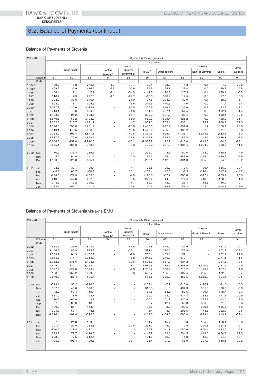**EUROSYSTEM**

# 3.2. Balance of Payments (continued)

### Balance of Payments of Slovenia

| Mio EUR      | FA, of which. Other investment<br>Liabilities |                            |            |                                  |                       |                    |               |            |                  |          |             |
|--------------|-----------------------------------------------|----------------------------|------------|----------------------------------|-----------------------|--------------------|---------------|------------|------------------|----------|-------------|
|              |                                               |                            |            |                                  |                       |                    |               |            |                  |          |             |
|              |                                               |                            |            |                                  | Loans                 |                    |               |            | Deposits         |          | Other       |
|              |                                               | Trade credits <sup>4</sup> |            | Bank of<br>Slovenia <sup>6</sup> | General<br>government | Banks <sup>2</sup> | Other sectors |            | Bank of Slovenia | Banks    | liabilities |
| Column       | 81                                            | 82                         | 83         | 84                               | 85                    | 86                 | 87            | 88         | 89               | 90       | 91          |
| Code         |                                               |                            |            |                                  |                       |                    |               |            |                  |          |             |
| 1994*        | 199.2                                         | $-8.8$                     | 272.5      | $-4.3$                           | 79.4                  | 89.4               | 108.0         | $-4.3$     | 0.1              | $-4.3$   | $-60.2$     |
| 1995*        | 469.2                                         | $-2.9$                     | 436.9      | $-2.6$                           | 106.9                 | 167.9              | 164.8         | 29.4       | 0.0              | 29.3     | 5.8         |
| 1996         | 134.4                                         | 17.1                       | $-7.7$     | $-2.1$                           | $-54.9$               | $-141.6$           | 190.8         | 128.5      | 0.1              | 128.4    | $-3.5$      |
| 1997         | 318.7                                         | 7.9                        | 292.8      | $-1.1$                           | $-22.7$               | $-12.3$            | 328.9         | 17.5       | 0.0              | 17.5     | 0.5         |
| 1998         | 323.9                                         | 39.0                       | 240.7      |                                  | $-21.0$               | 37.5               | 224.2         | 39.0       | 0.1              | 38.9     | 5.1         |
| 1999         | 698.9                                         | $-18.7$                    | 709.6      |                                  | $-3.6$                | 242.5              | 470.6         | 1.6        | 0.0              | 1.6      | 6.4         |
| 2000         | 1,037.9                                       | $-20.6$                    | 1,038.1    |                                  | 85.5                  | 305.9              | 646.6         | 33.6       | $-0.3$           | 33.9     | $-13.2$     |
| 2001         | 716.1                                         | $-9.6$                     | 574.7      |                                  | $-74.0$               | 151.6              | 497.1         | 152.4      | 0.0              | 152.4    | $-1.4$      |
| 2002         | 1,103.5                                       | 95.2                       | 838.5      |                                  | $-96.1$               | 333.3              | 601.3         | 130.4      | 0.0              | 130.4    | 39.5        |
| 2003         | 1,579.5                                       | 59.2                       | 1,123.2    |                                  | $-65.9$               | 659.7              | 529.4         | 428.2      | 0.0              | 428.2    | $-31.1$     |
| 2004         | 2,252.5                                       | 213.7                      | 1,671.1    |                                  | 4.7                   | 961.3              | 705.1         | 335.1      | 98.9             | 236.3    | 32.5        |
| 2005         | 4,098.3                                       | 291.3                      | 2,731.4    |                                  | $-26.8$               | 2,465.3            | 292.9         | 1,052.6    | 1.7              | 1,050.9  | 23.0        |
| 2006         | 3,510.1                                       | 478.5                      | 2,063.6    |                                  | $-115.0$              | 1,442.6            | 735.9         | 998.2      | 7.0              | 991.2    | $-30.3$     |
| 2007         | 9,053.9                                       | 499.4                      | 3,841.1    |                                  | $-42.8$               | 3,354.5            | 529.4         | 4,726.7    | 3,544.6          | 1,182.1  | $-13.2$     |
| 2008         | 1,977.9                                       | $-73.0$                    | 1,868.6    |                                  | $-28.8$               | 1,227.8            | 669.6         | 189.8      | 43.1             | 146.8    | $-7.5$      |
| 2009         | $-3,708.3$                                    | $-452.4$                   | $-2,910.8$ |                                  | $-20.1$               | $-2,962.9$         | 72.2          | $-318.0$   | $-243.5$         | $-74.6$  | $-27.1$     |
| 2010         | $-2,555.1$                                    | 364.3                      | $-973.5$   |                                  | $-3.0$                | $-709.2$           | $-261.3$      | $-1,934.4$ | $-1,234.8$       | $-699.6$ | $-11.5$     |
| 2010 Oct.    | 70.9                                          | 135.3                      | $-239.6$   |                                  | $-0.7$                | $-235.3$           | $-3.7$        | 180.0      | 318.2            | $-138.1$ | $-4.9$      |
| Nov.         | 8.5                                           | 61.0                       | 241.9      |                                  | 15.0                  | 172.5              | 54.4          | $-287.6$   | $-118.4$         | $-169.2$ | $-6.9$      |
| Dec.         | $-1,329.6$                                    | $-123.0$                   | $-375.4$   |                                  | $-0.7$                | $-262.1$           | $-112.5$      | $-801.0$   | $-855.6$         | 54.6     | $-30.2$     |
| 2011<br>Jan. | $-108.6$                                      | $-32.1$                    | $-109.4$   |                                  | 4.4                   | $-138.8$           | 25.0          | 2.5        | 139.4            | $-136.9$ | 30.4        |
| Feb.         | $-48.8$                                       | 60.7                       | $-86.3$    |                                  | 20.1                  | $-253.4$           | 147.0         | $-8.5$     | $-326.4$         | 317.9    | $-14.7$     |
| Mar.         | $-764.8$                                      | 179.3                      | $-189.8$   |                                  | $-4.0$                | $-128.6$           | $-57.2$       | $-780.8$   | $-617.4$         | $-163.4$ | 26.5        |
| Apr.         | 218.5                                         | 144.8                      | $-202.5$   |                                  | $-0.5$                | $-246.2$           | 44.2          | 274.4      | 410.5            | $-136.0$ | 1.8         |
| May          | $-243.3$                                      | 9.2                        | $-226.0$   |                                  | $-1.7$                | $-182.3$           | $-42.0$       | $-26.4$    | 19.6             | $-46.0$  | $-0.1$      |
| Jun.         | 32.3                                          | $-157.7$                   | 141.6      |                                  | 35.4                  | 140.9              | $-34.8$       | 86.3       | 204.4            | $-118.1$ | $-37.9$     |

| Mio EUR        |            |                            |            |                       |            | FA, of which. Other investment |               |            |                  |          |             |
|----------------|------------|----------------------------|------------|-----------------------|------------|--------------------------------|---------------|------------|------------------|----------|-------------|
|                |            |                            |            |                       |            | Liabilities                    |               |            |                  |          |             |
|                |            |                            |            |                       | Loans      |                                |               |            | Deposits         |          | Other       |
|                |            | Trade credits <sup>4</sup> |            | Bank of               | General    | Banks <sup>2</sup>             | Other sectors |            | Bank of Slovenia | Banks    | liabilities |
|                |            |                            |            | Slovenia <sup>6</sup> | government |                                |               |            |                  |          |             |
| Column<br>Code | 81         | 82                         | 83         | 84                    | 85         | 86                             | 87            | 88         | 89               | 90       | 91          |
|                | 984.6      | 26.0                       | 804.5      | ٠                     | $-43.5$    | 329.8                          | 518.2         | 121.9      |                  | 121.9    | 32.1        |
| 2002           | 1,156.3    | 85.8                       | 935.9      |                       | $-36.1$    | 591.4                          | 380.5         | 172.9      |                  | 172.9    | $-38.2$     |
| 2003<br>2004   | 1,389.2    | 81.9                       | 1,132.7    |                       | $-9.8$     | 703.4                          | 439.1         | 152.1      |                  | 152.1    | 22.6        |
| 2005           | 3,554.6    | 174.1                      | 2,314.9    |                       | $-6.8$     | 2,045.6                        | 276.2         | 1,077.1    |                  | 1,077.1  | $-11.6$     |
| 2006           | 3,252.8    | 235.5                      | 2,103.5    |                       | $-72.5$    | 1,538.0                        | 637.9         | 924.2      |                  | 924.2    | $-10.5$     |
| 2007           | 6,949.0    | 237.1                      | 2,113.4    |                       | $-7.1$     | 1,985.6                        | 134.9         | 4,588.5    | 3,490.6          | 1,097.9  | 9.9         |
| 2008           | 2,122.2    | $-122.0$                   | 2,023.7    |                       | $-7.3$     | 1,730.7                        | 300.2         | 216.2      | 79.2             | 137.0    | 4.3         |
| 2009           | $-3,158.5$ | $-352.2$                   | $-2,409.6$ |                       | $-6.8$     | $-2,507.7$                     | 105.0         | $-397.4$   | $-225.2$         | $-172.2$ | 0.7         |
| 2010           | $-2,579.3$ | 186.4                      | $-895.7$   |                       | ×          | $-615.5$                       | $-280.3$      | $-1,856.5$ | $-1,252.0$       | $-604.5$ | $-13.5$     |
|                |            |                            |            |                       |            |                                |               |            |                  |          |             |
| 2010<br>Apr.   | $-399.1$   | 35.2                       | $-216.6$   |                       | ٠          | $-209.4$                       | $-7.2$        | $-218.0$   | $-196.2$         | $-21.8$  | 0.3         |
| May            | 852.8      | 40.6                       | 320.3      |                       | ٠          | 318.8                          | 1.5           | 492.3      | 561.0            | $-68.7$  | $-0.3$      |
| Jun.           | 42.9       | 53.4                       | $-119.4$   |                       | ٠          | $-64.5$                        | $-54.8$       | 89.6       | $-29.1$          | 118.7    | 19.3        |
| Jul.           | $-631.0$   | 18.0                       | $-53.7$    |                       | ٠          | $-30.7$                        | $-23.0$       | $-574.4$   | $-383.3$         | $-191.1$ | $-20.9$     |
| Aug.           | 170.2      | $-160.0$                   | $-3.7$     |                       |            | $-55.3$                        | 51.7          | 320.9      | 332.9            | $-12.0$  | 13.0        |
| Sep.           | 67.8       | 95.9                       | 18.3       |                       |            | 30.7                           | $-12.4$       | $-55.3$    | $-326.8$         | 271.6    | 8.8         |
| Oct.           | 130.0      | 85.1                       | $-143.7$   |                       |            | $-135.6$                       | $-8.0$        | 193.5      | 329.1            | $-135.6$ | $-5.0$      |
| Nov.           | $-224.7$   | 60.7                       | 8.5        |                       |            | 5.4                            | 3.1           | $-296.6$   | $-74.6$          | $-222.0$ | 2.6         |
| Dec.           | $-1,218.4$ | $-102.4$                   | $-323.6$   |                       | ٠          | $-219.3$                       | $-104.3$      | $-760.0$   | $-879.1$         | 119.1    | $-32.4$     |
| 2011<br>Jan.   | $-87.6$    | 21.3                       | $-139.0$   |                       |            | $-154.7$                       | 15.7          | $-0.6$     | 155.6            | $-156.1$ | 30.8        |
| Feb.           | $-227.4$   | 20.0                       | $-238.8$   |                       | 20.5       | $-251.3$                       | $-8.0$        | 0.5        | $-320.8$         | 321.3    | $-9.1$      |
| Mar.           | $-820.5$   | 128.8                      | $-177.4$   |                       |            | $-135.8$                       | $-41.7$       | $-782.6$   | $-650.1$         | $-132.5$ | 10.8        |
| Apr.           | 279.7      | 77.7                       | $-114.8$   |                       |            | $-147.9$                       | 33.0          | 294.5      | 419.0            | $-124.5$ | 22.3        |
| May            | $-238.9$   | $-2.5$                     | $-212.4$   |                       |            | $-161.6$                       | $-50.8$       | $-11.8$    | 42.3             | $-54.2$  | $-12.1$     |
| Jun.           | 25.9       | $-108.4$                   | 99.6       |                       | 36.1       | 165.4                          | $-101.9$      | 66.9       | 207.0            | $-140.1$ | $-32.2$     |
|                |            |                            |            |                       |            |                                |               |            |                  |          |             |
|                |            |                            |            |                       |            |                                |               |            |                  |          |             |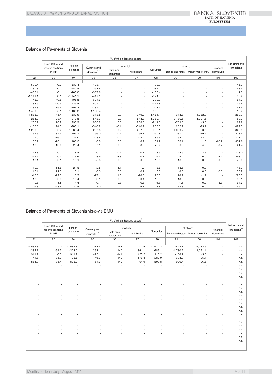### Balance of Payments of Slovenia

| FA, of which: Reserve assets <sup>7</sup> |                   |             |                   |                          |            |            |                 |                    |             |                |  |  |
|-------------------------------------------|-------------------|-------------|-------------------|--------------------------|------------|------------|-----------------|--------------------|-------------|----------------|--|--|
|                                           | Gold, SDRs and    |             |                   |                          |            |            |                 |                    |             | Net errors and |  |  |
|                                           | reserve positions | Foreign     | Currency and      |                          | of which:  |            |                 | of which:          | Financial   | omissions      |  |  |
|                                           | in IMF            | exchange    | deposits $^{2,5}$ | with mon.<br>authorities | with banks | Securities | Bonds and notes | Money market inst. | derivatives |                |  |  |
| 92                                        | 93                | 94          | 95                | 96                       | 97         | 98         | 99              | 100                | 101         | 102            |  |  |
|                                           |                   |             |                   |                          |            |            |                 |                    |             |                |  |  |
| $-530.4$                                  | 0.0               | $-530.4$    | $-498.1$          | $\overline{\phantom{a}}$ | $\sim$     | $-32.3$    | ٠               | ٠                  | ٠           | $-45.2$        |  |  |
| $-180.8$                                  | 0.0               | $-180.8$    | $-91.6$           |                          | ٠          | $-89.2$    |                 |                    | ٠           | $-148.9$       |  |  |
| $-463.1$                                  | $-0.1$            | $-463.0$    | $-307.6$          |                          | ٠          | $-155.4$   |                 |                    |             | 1.6            |  |  |
| $-1, 141.1$                               | 0.1               | $-1, 141.1$ | $-447.1$          |                          | ٠          | $-694.0$   |                 |                    |             | 68.2           |  |  |
| $-146.3$                                  | $-40.5$           | $-105.8$    | 624.2             |                          | ٠          | $-730.0$   |                 |                    |             | 54.9           |  |  |
| 88.5                                      | $-40.9$           | 129.4       | 502.2             |                          |            | $-372.8$   |                 |                    |             | 39.6           |  |  |
| $-186.8$                                  | 19.4              | $-206.2$    | $-182.7$          | ٠                        |            | $-23.4$    |                 |                    |             | 41.4           |  |  |
| $-1,439.3$                                | $-3.1$            | $-1,436.2$  | $-1,100.4$        |                          |            | $-335.8$   |                 |                    |             | 110.4          |  |  |
| $-1,885.3$                                | $-45.4$           | $-1,839.9$  | $-378.8$          | 0.3                      | $-379.2$   | $-1,461.1$ | $-378.8$        | $-1,082.3$         | ٠           | $-250.3$       |  |  |
| $-264.2$                                  | $-23.4$           | $-240.8$    | 848.3             | 0.0                      | 848.3      | $-1,089.1$ | $-2,180.6$      | 1,091.5            | ٠           | 150.0          |  |  |
| 255.9                                     | 16.9              | 238.9       | 953.7             | 0.0                      | 953.8      | $-714.8$   | $-709.8$        | $-5.0$             |             | 22.2           |  |  |
| $-188.8$                                  | 94.3              | $-283.1$    | $-540.9$          | $-0.1$                   | $-540.9$   | 257.8      | 282.9           | $-25.2$            |             | $-472.8$       |  |  |
| 1,280.8                                   | 0.4               | 1,280.4     | 297.3             | $-0.2$                   | 297.6      | 983.1      | 1,009.7         | $-26.6$            | ٠           | $-320.5$       |  |  |
| 139.6                                     | 34.5              | 105.1       | 156.0             | $-0.1$                   | 156.1      | $-50.8$    | $-31.4$         | $-19.4$            | ٠           | $-273.5$       |  |  |
| 21.0                                      | $-16.0$           | 37.0        | $-48.6$           | $-0.2$                   | $-48.4$    | 85.6       | 63.4            | 22.2               |             | $-31.3$        |  |  |
| 167.2                                     | $-13.1$           | 180.3       | 8.8               | 0.0                      | 8.9        | 181.7      | 183.1           | $-1.5$             | $-10.2$     | 301.6          |  |  |
| 18.8                                      | $-10.6$           | 29.4        | $-37.1$           | $-60.3$                  | 23.2       | 75.2       | 80.0            | $-4.8$             | $-8.7$      | $-21.4$        |  |  |
| 18.8                                      | 0.0               | 18.8        | $-0.1$            | $-0.1$                   | $-0.1$     | 18.9       | 22.5            | $-3.6$             |             | $-18.0$        |  |  |
| $-16.3$                                   | 0.3               | $-16.6$     | $-3.9$            | $-3.8$                   | $-0.1$     | $-9.4$     | $-9.4$          | 0.0                | $-3.4$      | 293.3          |  |  |
| $-13.1$                                   | $-0.1$            | $-13.1$     | $-25.8$           | 0.8                      | $-26.6$    | 13.6       | 13.6            | 0.0                | $-0.8$      | $-78.6$        |  |  |
| 10.0                                      | $-11.5$           | 21.5        | 2.8               | 4.1                      | $-1.2$     | 18.6       | 18.6            | 0.0                |             | 146.0          |  |  |
| 17.1                                      | 11.0              | 6.1         | 0.0               | 0.0                      | 0.1        | 6.0        | 6.0             | 0.0                | 0.0         | 35.9           |  |  |
| $-18.5$                                   | $-19.0$           | 0.5         | $-27.1$           | 1.5                      | $-28.6$    | 27.6       | 28.9            | $-1.2$             | ٠           | $-228.8$       |  |  |
| 13.3                                      | 0.0               | 13.4        | $-0.1$            | 0.3                      | $-0.4$     | 13.5       | 13.5            | 0.0                | ٠           | $-59.1$        |  |  |
| 0.6                                       | $-3.8$            | 4.4         | $-0.1$            | 0.5                      | $-0.6$     | $-1.3$     | $-1.3$          | 0.0                | 5.9         | 54.7           |  |  |
| $-1.8$                                    | $-23.6$           | 21.8        | 7.0               | 0.2                      | 6.7        | 14.8       | 14.8            | 0.0                |             | $-149.1$       |  |  |

| FA, of which: Reserve assets <sup>7</sup> |                          |            |                                          |                          |            |            |            |                                      |                          |                        |  |
|-------------------------------------------|--------------------------|------------|------------------------------------------|--------------------------|------------|------------|------------|--------------------------------------|--------------------------|------------------------|--|
|                                           | Gold, SDRs and           |            | Net errors and<br>of which:<br>of which: |                          |            |            |            |                                      |                          |                        |  |
|                                           | reserve positions        | Foreign    | Currency and                             |                          |            |            |            |                                      | Financial                | $\,$ omissions $^{11}$ |  |
|                                           | in IMF                   | exchange   | deposits $^{2,5}$                        | with mon.<br>authorities | with banks | Securities |            | Bonds and notes   Money market inst. | derivatives              |                        |  |
| 92                                        | 93                       | 94         | 95                                       | 96                       | 97         | 98         | 99         | 100                                  | 101                      | 102                    |  |
|                                           |                          |            |                                          |                          |            |            |            |                                      |                          |                        |  |
| $-1,582.8$                                | $\overline{\phantom{a}}$ | $-1,582.8$ | $-71.5$                                  | 0.3                      | $-71.9$    | $-1,511.3$ | $-428.7$   | $-1,082.6$                           | ٠                        | n.s.                   |  |
| $-382.7$                                  | $-54.7$                  | $-328.0$   | 361.1                                    | 0.0                      | 361.1      | $-689.1$   | $-1,780.2$ | 1,091.1                              | ٠                        | n.s.                   |  |
| 311.9                                     | 0.0                      | 311.9      | 425.1                                    | $-0.1$                   | 425.2      | $-113.2$   | $-108.2$   | $-5.0$                               | ٠                        | n.s.                   |  |
| 141.8                                     | 35.2                     | 106.6      | $-176.3$                                 | 0.0                      | $-176.3$   | 282.9      | 308.0      | $-25.1$                              |                          | n.s.                   |  |
| 864.3                                     | 35.4                     | 828.9      | $-64.9$                                  | 0.0                      | $-64.9$    | 893.8      | 920.4      | $-26.6$                              |                          | n.s.                   |  |
| ٠                                         | ä,                       | ä,         | ä,                                       | ٠                        |            |            |            |                                      |                          | n.s.                   |  |
|                                           | ×,                       | ä,         |                                          |                          |            |            |            |                                      | ٠                        | n.s.                   |  |
|                                           |                          | ä,         |                                          |                          |            |            |            |                                      | ٠                        | n.s.                   |  |
|                                           |                          | ٠          |                                          |                          |            |            |            |                                      | ٠                        | n.s.                   |  |
|                                           |                          |            |                                          |                          |            |            |            |                                      |                          |                        |  |
|                                           |                          |            |                                          |                          |            |            |            |                                      |                          | n.s.                   |  |
|                                           |                          |            |                                          |                          |            |            |            |                                      |                          | n.s.                   |  |
|                                           |                          |            |                                          |                          |            |            |            |                                      |                          | n.s.                   |  |
|                                           |                          |            |                                          |                          |            |            |            |                                      |                          | n.s.                   |  |
|                                           |                          |            |                                          |                          |            |            |            |                                      | ٠                        | n.s.                   |  |
|                                           |                          |            |                                          |                          |            |            |            |                                      |                          | n.s.                   |  |
|                                           |                          |            |                                          |                          |            |            |            |                                      | ٠                        | n.s.                   |  |
|                                           |                          |            |                                          |                          |            |            |            |                                      | ٠                        | n.s.                   |  |
|                                           |                          |            |                                          |                          |            |            |            |                                      | ×                        | n.s.                   |  |
|                                           |                          |            |                                          |                          |            |            |            |                                      |                          |                        |  |
|                                           |                          | ä,         |                                          |                          |            |            |            |                                      | ٠                        | n.s.                   |  |
|                                           |                          |            |                                          |                          |            |            |            |                                      | ٠                        | n.s.                   |  |
|                                           |                          |            |                                          |                          |            |            |            |                                      | ٠                        | n.s.                   |  |
|                                           |                          |            |                                          |                          |            |            |            |                                      | ٠                        | n.s.                   |  |
|                                           |                          |            |                                          |                          |            |            |            |                                      | ٠                        | n.s.                   |  |
|                                           |                          |            |                                          |                          |            |            |            |                                      | $\overline{\phantom{a}}$ | n.s.                   |  |
|                                           |                          |            |                                          |                          |            |            |            |                                      |                          |                        |  |
|                                           |                          |            |                                          |                          |            |            |            |                                      |                          |                        |  |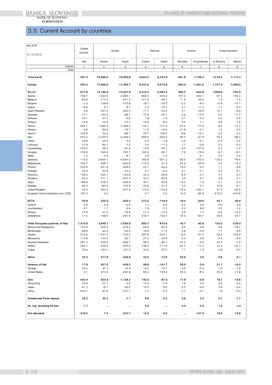**EUROSYSTEM**

# 3.3. Current Account by countries

| Mio EUR                                 |                      |                |                     |                |                    |                  |                     |             |                   |
|-----------------------------------------|----------------------|----------------|---------------------|----------------|--------------------|------------------|---------------------|-------------|-------------------|
|                                         | Current              |                | Goods               |                | Services           |                  | Income              |             | Current transfers |
| 31.12.2010                              | account              |                |                     |                |                    |                  |                     |             |                   |
|                                         |                      |                |                     |                |                    |                  |                     |             |                   |
|                                         | Net                  | Export         | Import              | Export         | Import             | Receipts         | Expenditures        | In Slovenia | Abroad            |
| Column                                  |                      |                |                     |                |                    |                  |                     |             |                   |
| Code                                    | $\mathbf{1}$         | $\overline{c}$ | 3                   | $\overline{4}$ | 5                  | 6                | $\overline{7}$      | 8           | $\mathbf 9$       |
|                                         |                      |                |                     |                |                    |                  |                     |             |                   |
| <b>Total world</b>                      | $-297.3$             | 18,386.0       | $-19,590.8$         | 4,633.2        | $-3,324.9$         | 681.8            | $-1,188.4$          | 1,218.4     | $-1, 112.4$       |
|                                         |                      |                |                     |                |                    |                  |                     |             |                   |
| Europe                                  | 493.2                | 17,069.0       | $-17,465.7$         | 4,347.6        | $-3,075.8$         | 583.0            | $-1,061.0$          | 1,157.0     | $-1,060.9$        |
|                                         |                      |                |                     |                |                    |                  |                     |             |                   |
| EU-27                                   | $-977.6$             | 13,186.8       | $-15,207.9$         | 3,274.4        | $-2,083.3$         | 580.3            | $-943.8$            | 1,008.9     | $-792.9$          |
| Austria                                 | $-758.7$             | 1,533.9        | $-2,385.1$          | 666.3          | $-425.2$           | 197.5            | $-260.1$            | 67.5        | $-153.4$          |
| Belgium                                 | $-83.8$              | 210.0          | $-421.4$            | 121.5          | $-58.1$            | 11.9             | 52.5                | 7.3         | $-7.4$            |
| Bulgaria                                | $-1.0$               | 136.9          | $-123.8$            | 19.7           | $-23.5$            | $-5.2$           | $-8.0$              | 15.9        | $-13.1$           |
| Cyprus                                  | 16.8                 | 9.1            | $-6.7$              | 7.4            | $-10.7$            | 5.1              | 11.5                | 1.7         | $-0.5$            |
| Czech Republic                          | 0.8                  | 437.0          | $-492.4$            | 71.7           | $-53.3$            | 5.1              | 29.5                | 12.1        | $-8.9$            |
| Denmark                                 | 72.1                 | 164.4          | $-66.7$             | 31.9           | $-35.1$            | 2.8              | $-13.6$             | 0.2         | $-11.7$           |
| Estionia                                | 23.1                 | 27.3           | $-3.8$              | 1.9            | $-1.5$             | 0.1              | $-0.2$              | 0.0         | $-0.6$            |
| Finland                                 | $-16.6$              | 43.6           | $-75.7$             | 15.8           | $-6.4$             | 3.6              | 1.1                 | 2.9         | $-1.6$            |
| France                                  | 366.7                | 1,489.3        | $-1,099.2$          | 134.1          | $-131.5$           | 57.0             | $-77.5$             | 8.4         | $-13.7$           |
| Greece                                  | $-0.8$               | 62.8           | $-78.7$             | 11.0           | $-18.6$            | 21.8             | $-0.1$              | 1.4         | $-0.5$            |
| Ireland                                 | $-150.9$             | 22.6           | $-86.7$             | 25.7           | $-106.5$           | 9.8              | $-14.1$             | 0.3         | $-2.0$            |
| Italy                                   | $-544.2$             | 2,240.2        | $-3,469.0$          | 999.5          | $-334.4$           | 80.2             | $-51.6$             | 49.4        | $-58.4$           |
| Latvia                                  | 22.6                 | 25.0           | $-2.9$              | 2.3            | $-1.9$             | 0.2              | $-0.1$              | 0.3         | $-0.2$            |
| Lithuania                               | 47.8                 | 60.1           | $-7.3$              | 5.0            | $-11.2$            | 1.7              | $-0.6$              | 0.4         | $-0.3$            |
| Luxembourg                              | $-193.0$<br>$-155.6$ | 36.2<br>545.4  | $-81.6$<br>$-793.7$ | 15.8<br>183.2  | $-30.7$<br>$-82.1$ | 6.0<br>7.9       | $-137.9$<br>$-19.0$ | 0.2<br>8.7  | $-1.0$<br>$-6.1$  |
| Hungary<br>Malta                        | $-1.3$               | 3.5            | $-6.1$              | 2.6            | $-1.2$             |                  | $-0.1$              | 0.0         | 0.0               |
| Germany                                 | 115.3                | 3,655.1        | $-3,654.0$          | 460.8          | $-331.2$           | $\cdots$<br>58.0 | $-132.2$            | 135.3       | $-76.6$           |
| Netherlands                             | $-183.7$             | 366.7          | $-640.9$            | 115.6          | $-37.3$            | 50.8             | $-32.6$             | 4.4         | $-10.3$           |
| Poland                                  | 224.6                | 631.8          | $-406.6$            | 42.7           | $-54.4$            | 18.0             | $-4.2$              | 1.1         | $-3.8$            |
| Portugal                                | 32.0                 | 52.8           | $-24.0$             | 4.7            | $-5.4$             | 4.1              | $-0.1$              | 0.2         | $-0.1$            |
| Romania                                 | 136.3                | 295.1          | $-164.8$            | 44.4           | $-26.9$            | $-9.5$           | $-3.7$              | 3.7         | $-2.0$            |
| Slovakia                                | $-53.2$              | 271.1          | $-307.3$            | 43.7           | $-60.4$            | 3.5              | $-4.7$              | 2.9         | $-2.1$            |
| Spain                                   | $-198.8$             | 229.7          | $-446.9$            | 30.7           | $-25.9$            | 15.0             | $-1.3$              | 4.1         | $-4.3$            |
| Sweden                                  | 96.4                 | 183.6          | $-102.8$            | 43.6           | $-31.2$            | 5.3              | $-7.7$              | 10.6        | $-5.1$            |
| United Kingdom                          | 44.5                 | 453.4          | $-257.8$            | 172.2          | $-178.4$           | 19.3             | $-183.1$            | 51.4        | $-32.5$           |
| European Union Institutions (incl. ECB) | 167.0                | 0.0            |                     | 0.7            | 0.0                | 10.3             | $-85.8$             | 618.5       | $-376.6$          |
|                                         |                      |                |                     |                |                    |                  |                     |             |                   |
| <b>EFTA</b>                             | 54.9                 | 232.5          | $-302.2$            | 272.5          | $-116.9$           | 19.4             | $-54.6$             | 43.1        | $-38.9$           |
| Iceland                                 | 0.6                  | 0.9            | $-0.9$              | 1.1            | $-0.6$             | 0.2              | 0.0                 | 0.0         | 0.0               |
| Liechtenstein                           | 9.1                  | 1.7            | $-0.6$              | 1.9            | $-1.7$             | 0.2              | 8.6                 | 0.0         | $-1.0$            |
| Norway                                  | 27.6                 | 41.0           | $-19.0$             | 21.4           | $-14.5$            | 3.5              | 1.0                 | 6.5         | $-12.2$           |
| Switzerland                             | 17.5                 | 189.0          | $-281.6$            | 248.1          | $-100.2$           | 15.5             | $-64.1$             | 36.5        | $-25.7$           |
|                                         |                      |                |                     |                |                    |                  |                     |             |                   |
| Other European countries, of that       | 1,415.9              | 3,649.7        | $-1,955.6$          | 800.7          | $-875.6$           | $-16.7$          | $-62.6$             | 105.0       | $-229.0$          |
| Bosnia and Herzegovina                  | 124.8                | 529.4          | $-316.5$            | 65.8           | $-90.3$            | 8.3              | $-4.8$              | 9.6         | $-76.7$           |
| Montenegro                              | 69.9                 | 83.2           | $-23.5$             | 18.6           | $-11.2$            | 5.6              | $-0.6$              | 1.7         | $-3.9$            |
| Croatia                                 | 273.6                | 1,231.4        | $-733.2$            | 387.9          | $-504.1$           | $-6.5$           | $-31.5$             | 32.4        | $-102.9$          |
| Macedonia                               | 110.6                | 142.4          | $-32.1$             | 27.3           | $-26.6$            | 5.4              | $-3.8$              | 4.4         | $-6.4$            |
| Russian Federation                      | 281.2                | 536.2          | $-298.7$            | 96.3           | $-80.7$            | $-10.4$          | $-2.6$              | 43.2        | $-1.9$            |
| Serbia                                  | 264.1                | 659.0          | $-354.9$            | 138.0          | $-111.8$           | $-25.7$          | $-17.0$             | 10.3        | $-33.7$           |
| Turkey                                  | 35.9                 | 193.7          | $-167.3$            | 34.2           | $-25.2$            | 1.1              | $-1.3$              | 2.6         | $-2.0$            |
| Africa                                  | 33.3                 | 217.9          | $-242.8$            | 34.2           | $-12.9$            | 35.6             | 3.9                 | 0.6         | $-3.1$            |
|                                         |                      |                |                     |                |                    |                  |                     |             |                   |
| America, of that                        | $-17.8$              | 427.0          | -436.3              | 89.8           | $-141.7$           | 38.9             | $-2.6$              | 21.1        | $-14.0$           |
| Canada                                  | 33.4                 | 47.2           | $-10.4$             | 10.0           | $-15.7$            | 3.0              | $-0.3$              | 1.0         | $-1.5$            |
| <b>United States</b>                    | 2.1                  | 273.0          | $-265.8$            | 66.3           | $-103.5$           | 30.0             | $-6.0$              | 20.0        | $-11.8$           |
|                                         |                      |                |                     |                |                    |                  |                     |             |                   |
| Asia                                    | $-420.4$             | 634.4          | $-1,128.2$          | 140.5          | $-87.3$            | 17.9             | $-0.9$              | 18.7        | $-15.6$           |
| Hong Kong                               | 25.8                 | 22.1           | $-4.6$              | 12.4           | $-7.9$             | 1.9              | 0.0                 | 5.4         | $-3.5$            |
| Japan                                   | $-31.2$              | 16.1           | $-50.2$             | 10.3           | $-9.5$             | 2.3              | $-0.6$              | 0.8         | $-0.4$            |
| China                                   | $-340.7$             | 87.6           | $-437.1$            | 7.0            | $-5.3$             | 5.7              | $-0.1$              | 1.8         | $-0.3$            |
|                                         |                      |                |                     |                |                    |                  |                     |             |                   |
| Oceania and Polar regions               | 35.5                 | 30.2           | $-7.1$              | 8.8            | $-3.2$             | 5.8              | 2.5                 | 0.1         | $-1.7$            |
|                                         |                      |                |                     |                |                    |                  |                     |             |                   |
| Int. org. excluding EU Inst.            | $-1.7$               | $\cdots$       |                     | 0.0            | $\cdots$           | 0.5              | $-2.5$              | 1.5         | $-1.3$            |
|                                         |                      |                |                     |                |                    |                  |                     |             |                   |
| Not allocated                           | -419.2               | 7.4            | $-310.7$            | 12.2           | $-4.0$             | $\cdots$         | $-127.9$            | 19.5        | $-15.8$           |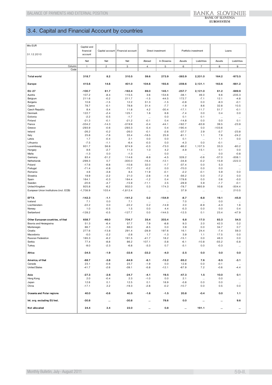# BANKA SLOVENIJE

BANK OF SLOVENIA **EUROSYSTEM**

# 3.4. Capital and Financial Account by countries

| Mio EUR<br>31.12.2010                   | Capital and<br>financial<br>account |                  | Capital account   Financial account |                    | Direct investment | Portfolio investment |                |                   | Loans           |
|-----------------------------------------|-------------------------------------|------------------|-------------------------------------|--------------------|-------------------|----------------------|----------------|-------------------|-----------------|
|                                         | Net                                 | Net              | Net                                 | Abroad             | In Slovenia       | Assets               | Liabilities    | Assets            | Liabilities     |
| Column                                  | $\mathbf{1}$                        | $\overline{c}$   | 3                                   | $\overline{4}$     | 5                 | 6                    | $\overline{7}$ | 8                 | 9               |
| Code<br><b>Total world</b>              | 318.7                               | 8.2              | 310.5                               | 59.6               | 273.9             | -383.9               | 2,331.0        | 164.2             | $-973.5$        |
| Europe                                  | 415.6                               | 14.6             | 401.0                               | 104.6              | 193.6             | $-259.6$             | 2,131.1        | 163.6             | $-981.2$        |
| EU-27                                   | $-100.7$                            | 61.7             | $-162.4$                            | 69.0               | 145.1             | $-257.7$             | 2,121.0        | 61.2              | -989.9          |
| Austria                                 | 107.2                               | $-8.4$           | 115.5                               | 3.6                | 154.6             | $-38.1$              | 46.0           | 6.6               | $-235.3$        |
| Belgium                                 | 211.6                               | $-0.2$           | 211.7                               | $-1.5$             | $-44.5$           | 172.7                | $-7.1$         | 12.1              | $-4.8$          |
| Bulgaria                                | 10.6                                | $-1.5$           | 12.2                                | 51.3               | $-1.5$            | $-0.8$               | 0.0            | $-9.3$            | $-0.1$          |
| Cyprus                                  | 78.7                                | $-0.1$           | 78.8                                | 31.4               | $-7.7$            | $-1.9$               | 8.6            | 32.8              | 10.5            |
| Czech Republic                          | 8.4                                 | $-3.4$           | 11.8                                | 4.2                | $-30.4$           | $-17.1$              | 11.7           | 51.7              | $-0.1$          |
| Denmark<br>Estionia                     | 122.7<br>$-2.2$                     | $-2.4$<br>$-0.5$ | 125.1<br>$-1.7$                     | 1.6                | 6.6<br>0.0        | $-7.4$<br>0.1        | 0.0<br>0.1     | 0.4               | 0.0             |
| Finland                                 | $-21.3$                             | $-0.1$           | $-21.2$                             | $\cdots$<br>$-0.1$ | 0.4               | $-14.8$              | 0.0            | $\cdots$<br>0.0   | $\cdots$<br>0.1 |
| France                                  | $-334.2$                            | $-14.3$          | $-319.9$                            | $-0.4$             | $-44.1$           | $-182.7$             | $-63.9$        | 39.5              | $-23.9$         |
| Greece                                  | $-293.9$                            | $-0.6$           | $-293.3$                            | $-5.4$             | 0.4               | $-190.4$             | 0.0            | $-103.6$          | $\cdots$        |
| Ireland                                 | $-26.2$                             | $-0.2$           | $-26.0$                             | $-0.1$             | $-2.6$            | $-37.7$              | 2.9            | $-3.7$            | $-23.8$         |
| Italy                                   | 25.8                                | $-7.6$           | 33.4                                | $-18.5$            | 25.9              | $-81.1$              | 1.1            | 7.6               | $-24.2$         |
| Latvia                                  | 1.7                                 | $-0.4$           | 2.1                                 | 0.0                | 0.0               | 0.1                  | $\cdots$       | 1.1               | 0.0             |
| Lithuania                               | $-7.5$                              | $-1.1$           | $-6.4$                              | $-0.3$             | 0.0               | $-4.3$               | $0.0$          | $-0.1$            |                 |
| Luxembourg                              | 931.7                               | 56.8             | 874.9                               | $-0.3$             | $-73.0$           | $-86.2$              | 1,107.5        | 33.3              | $-60.2$         |
| Hungary                                 | 8.6                                 | $-2.7$           | 11.3                                | 1.0                | 4.2               | $-4.9$               | 15.1           | 0.1               | 0.0             |
| Malta                                   | $-1.3$                              | 0.0              | $-1.3$                              | $\ddotsc$          | 0.0               |                      | $\cdots$       | 0.0               | $-0.8$          |
| Gemany                                  | 83.4                                | $-31.2$          | 114.6                               | $-9.8$             | $-4.5$            | 328.2                | -0.6           | $-37.0$           | $-308.1$        |
| Netherlands                             | $-299.3$                            | 0.7              | -300.0                              | $-16.4$            | $-12.1$           | $-34.8$              | $-0.2$         | 15.9              | $-222.3$        |
| Poland<br>Portugal                      | $-17.6$<br>$-71.4$                  | $-6.8$<br>$-0.8$ | $-10.8$<br>$-70.7$                  | 32.0<br>$-0.2$     | $-1.7$<br>0.0     | $-37.4$<br>$-70.0$   | 0.0<br>0.0     | 5.3<br>0.0        |                 |
| Romania                                 | 4.6                                 | $-3.8$           | 8.4                                 | 11.9               | $-0.1$            | $-2.2$               | -0.1           | 5.9               | <br>0.0         |
| Slovakia                                | 18.9                                | $-2.2$           | 21.0                                | $-2.8$             | $-1.8$            | $-56.2$              | 0.0            | $-7.2$            | 0.0             |
| Spain                                   | 164.1                               | $-0.3$           | 164.4                               | $-1.2$             | 0.4               | 178.6                | 0.0            | 0.6               | $-3.0$          |
| Sweden                                  | $-20.6$                             | $-4.7$           | $-15.9$                             | $-11.1$            | 2.5               | $-28.9$              | 5.9            | $-1.7$            | $-0.1$          |
| United Kingdom                          | 925.8                               | $-6.2$           | 932.0                               | 0.3                | 174.3             | $-78.7$              | 993.9          | 10.8              | $-304.4$        |
| European Union Institutions (incl. ECB) | $-1,708.9$                          | 103.4            | $-1,812.4$                          | $\cdots$           | $\cdots$          | 37.9                 |                |                   | 210.5           |
| <b>EFTA</b>                             | $-142.3$                            | $-1.1$           | $-141.2$                            | 0.2                | $-154.9$          | -8.7                 | -6.8           | 19.1              | $-45.8$         |
| Iceland                                 | 7.1                                 | 0.0              | 7.1                                 | $\ddotsc$          | $\cdots$          | 7.0                  | $\cdots$       | 0.0               |                 |
| Liechtenstein                           | $-22.2$                             | 0.0              | $-22.2$                             | 0.2                | $-14.9$           | 2.0                  | $-6.9$         | $-4.3$            | 1.6             |
| Norway                                  | 1.0                                 | $-0.5$           | 1.5                                 | 0.0                | 4.4               | $-5.3$               | 0.0            | 0.0               | 0.4             |
| Switzerland                             | $-128.2$                            | $-0.5$           | $-127.7$                            | 0.0                | $-144.5$          | $-12.5$              | 0.1            | 23.4              | $-47.9$         |
| Other European countries, of that       | 658.7                               | $-46.0$          | 704.7                               | 35.4               | 203.4             | 6.8                  | 17.0           | 83.3              | 54.5            |
| Bosnia and Herzegovina                  | 51.3                                | $-6.4$           | 57.7                                | 7.9                | $-8.8$            | 9.3                  | 2.0            | 42.3              | 0.2             |
| Montenegro                              | 86.7                                | $-1.3$           | 88.0                                | $-8.5$             | 0.0               | 3.9                  | 0.0            | 34.7              | 0.7             |
| Croatia                                 | 277.6                               | $-13.8$          | 291.4                               | $-28.9$            | 197.6             | 16.1                 | 24.4           | $-7.4$            | 59.3            |
| Macedonia                               | $-5.0$                              | $-2.2$           | $-2.8$                              | 1.7                | $-1.3$            | 3.9                  | 1.1            | 17.5              | 0.0             |
| Russian Federation<br>Serbia            | 185.3<br>77.4                       | $-6.2$<br>$-8.8$ | 191.5<br>86.2                       | $-41.7$            | 18.2<br>$-3.8$    | $-15.1$<br>$-6.1$    | 0.0<br>$-10.8$ | 46.3              | 0.0<br>$-5.8$   |
| Turkey                                  | $-9.0$                              | $-2.3$           | $-6.8$                              | 107.1<br>$-3.3$    | 0.7               | $-3.1$               | 0.0            | $-55.2$<br>$-0.3$ |                 |
|                                         |                                     |                  |                                     |                    |                   |                      |                |                   | $\cdots$        |
| Africa                                  | $-34.5$                             | $-1.9$           | $-32.6$                             | $-33.2$            | $-4.0$            | $-2.5$               | 0.0            | 0.0               | 0.0             |
| America, of that                        | $-68.7$                             | $-3.8$           | $-64.9$                             | $-6.1$             | $-13.2$           | $-95.2$              | 7.6            | $-9.5$            | $-3.1$          |
| Canada                                  | 23.1                                | $-0.6$           | 23.7                                | $-1.9$             | 0.0               | 12.8                 | 0.0            | $-0.1$            |                 |
| <b>United States</b>                    | $-41.7$                             | $-2.6$           | $-39.1$                             | $-5.8$             | $-12.1$           | $-67.9$              | 7.2            | $-0.6$            | $-4.4$          |
| Asia                                    | $-27.3$                             | $-2.6$           | $-24.7$                             | $-4.1$             | 19.5              | $-47.3$              | 1.5            | 10.0              | 0.1             |
| Hong Kong                               | 2.0                                 | $-0.4$           | 2.3                                 | $-1.0$             | 0.0               | 2.1                  | $\ldots$       | 0.0               | $\cdots$        |
| Japan                                   | 12.6                                | 0.1              | 12.5                                | 0.1                | 18.9              | $-3.8$               | 0.0            | 0.0               | $\ldots$        |
| China                                   | $-17.1$                             | 2.2              | $-19.3$                             | $-2.8$             | $-0.2$            | $-10.7$              | 0.0            | 0.5               | 0.0             |
| Oceania and Polar regions               | 40.0                                | $-0.6$           | 40.5                                | $-1.6$             | $-1.5$            | 20.8                 | $-0.4$         | 0.0               | 1.1             |
| Int. org. excluding EU Inst.            | $-30.8$                             |                  | $-30.8$                             | $\ddotsc$          | 78.6              | 0.0                  | $\cdots$       |                   | 9.6             |
| Not allocated                           | 24.4                                | 2.4              | 22.0                                |                    | 0.8               | $\cdots$             | 191.1          |                   | $\cdots$        |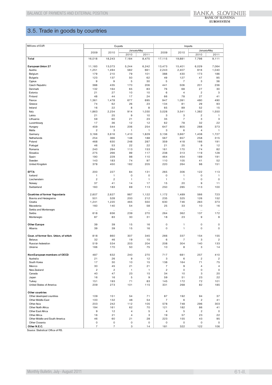# 3.5. Trade in goods by countries

| Millions of EUR                              | Exports        |                 |                |              | Imports                   |                |                          |                         |  |
|----------------------------------------------|----------------|-----------------|----------------|--------------|---------------------------|----------------|--------------------------|-------------------------|--|
|                                              | 2009           |                 | January-May    |              | 2009                      |                | January-May              |                         |  |
|                                              |                | 2010            | 2010           | 2011         |                           | 2010           | 2010                     | 2011                    |  |
| Total                                        | 16,018         | 18,243          | 7,184          | 8,475        | 17,115                    | 19,881         | 7,798                    | 9,111                   |  |
|                                              |                |                 |                |              |                           |                |                          |                         |  |
| European Union 27<br>Austria                 | 11,183         | 13,073<br>1,494 | 5,244<br>582   | 6,242<br>661 | 13,473<br>2,243           | 15,401         | 6,029<br>916             | 7,064<br>1,040          |  |
| Belgium                                      | 1,251<br>179   | 210             | 79             | 101          | 388                       | 2,407<br>430   | 173                      | 186                     |  |
| Bulgaria                                     | 123            | 137             | 50             | 62           | 49                        | 127            | 47                       | 95                      |  |
| Cyprus                                       | 9              | 9               | 5              | 30           | 5                         | $\overline{7}$ | 3                        | 36                      |  |
| Czech Republic                               | 388            | 435             | 170            | 206          | 441                       | 506            | 201                      | 236                     |  |
| Denmark                                      | 132            | 164             | 65             | 83           | 76                        | 68             | 27                       | 30                      |  |
| Estonia                                      | 21             | 27              | 10             | 10           | 6                         | 4              | $\overline{c}$           | 3                       |  |
| Finland                                      | 48             | 44              | 17             | 24           | 66                        | 78             | 27                       | 41                      |  |
| France                                       | 1,361          | 1,478           | 677            | 695          | 947                       | 1,091          | 480                      | 490                     |  |
| Greece                                       | 74             | 62              | 26             | 23           | 134                       | 81             | 29                       | 93                      |  |
| Ireland                                      | 16             | 22              | 8              | 8            | 65                        | 89             | 52                       | 15                      |  |
| Italy                                        | 1,863          | 2,234           | 914            | 1,030        | 3,028                     | 3,541          | 1,382                    | 1,550                   |  |
| Latvia                                       | 21             | 25              | 9              | 10           | 3                         | 3              | $\overline{c}$           | 1                       |  |
| Lithuania                                    | 59             | 60              | 21             | 23           | 35                        | $\overline{7}$ | 3                        | 3                       |  |
| Luxembourg                                   | 17             | 36              | 12             | 12           | 62                        | 78             | 32                       | 22                      |  |
| Hungary                                      | 459            | 544             | 206            | 254          | 647                       | 805            | 288                      | 373                     |  |
| Malta                                        | $\overline{c}$ | 3               | 1              | 1            | 3                         | 6              | $\overline{4}$           | 1                       |  |
| Germany                                      | 3,166          | 3,616           | 1,410          | 1,829        | 3,136                     | 3,667          | 1,408                    | 1,727                   |  |
| Netherlands                                  | 254            | 366             | 148            | 188          | 567                       | 657            | 258                      | 315                     |  |
| Poland                                       | 468            | 630             | 248            | 287          | 359                       | 418            | 166                      | 191                     |  |
| Portugal<br>Romania                          | 46<br>240      | 53<br>294       | 22<br>113      | 22<br>153    | 21<br>161                 | 25<br>170      | 9<br>74                  | 12<br>82                |  |
| Slovakia                                     | 275            | 266             | 99             | 117          | 238                       | 313            | 119                      | 128                     |  |
| Spain                                        | 190            | 229             | 98             | 110          | 464                       | 454            | 189                      | 191                     |  |
| Sweden                                       | 143            | 183             | 74             | 97           | 110                       | 105            | 41                       | 52                      |  |
| United Kingdom                               | 378            | 450             | 182            | 205          | 220                       | 264            | 98                       | 151                     |  |
|                                              |                |                 |                |              |                           |                |                          |                         |  |
| <b>EFTA</b>                                  | 200            | 227             | 84             | 131          | 265                       | 306            | 122                      | 113                     |  |
| Iceland                                      | 1              | 1               | 0              | $\mathsf O$  | 0                         | 1              | $\mathsf O$              | 1                       |  |
| Liechenstein                                 | $\overline{c}$ | $\overline{c}$  | 1              | 1            | 1                         | 1              | $\mathsf O$              | $\circ$                 |  |
| Norway                                       | 37             | 41              | 14             | 17           | 15                        | 20             | 9                        | 11                      |  |
| Switzerland                                  | 160            | 183             | 69             | 113          | 250                       | 285            | 113                      | 100                     |  |
|                                              |                |                 |                |              |                           |                |                          |                         |  |
| Countries of former Yugoslavia               | 2,607          | 2,627           | 987            | 1,122        | 1,172                     | 1,489          | 566                      | 723                     |  |
| Bosnia and Herzegovina                       | 501            | 528             | 200            | 212          | 235                       | 325            | 126                      | 152                     |  |
| Croatia                                      | 1,241          | 1,220           | 465            | 550          | 630                       | 746            | 283                      | 373                     |  |
| Macedonia                                    | 160            | 140             | 54             | 58           | 25                        | 33             | 10                       | 16                      |  |
| Serbia and Montenegro                        |                | $\ddotsc$       | $\cdots$       |              |                           | $\cdots$       |                          | $\ddotsc$               |  |
| Serbia                                       | 618            | 656             | 239            | 270          | 264                       | 362            | 137                      | 172                     |  |
| Montenegro                                   | 87             | 83              | 30             | 31           | 18                        | 23             | 9                        | 9                       |  |
| Other Europe                                 | 39             | 39              | 15             | 16           | 0                         |                |                          | 0                       |  |
| Albania                                      | 39             | 39              | 15             | 16           | 0                         | 1<br>1         | 0<br>$\mathsf{O}\xspace$ | 0                       |  |
|                                              |                |                 |                |              |                           |                |                          |                         |  |
| Coun. of former Sov. Union, of which         | 818            | 860             | 307            | 345          | 266                       | 337            | 154                      | 155                     |  |
| Belarus                                      | 32             | 46              | 19             | 15           | 6                         | $\overline{7}$ | 3                        | $\overline{\mathbf{c}}$ |  |
| Russian federation                           | 519            | 534             | 203            | 204          | 208                       | 304            | 140                      | 133                     |  |
| Ukraine                                      | 166            | 170             | 50             | 75           | 10                        | 8              | 3                        | 14                      |  |
|                                              |                |                 |                |              |                           |                |                          |                         |  |
| Non-European members of OECD                 | 487            | 632             | 240            | 270          | 717                       | 681            | 257                      | 410                     |  |
| Australia                                    | 21             | 26              | 9              | 12           | 3                         | 6              | $\overline{c}$           | $\overline{c}$          |  |
| South Korea                                  | 17             | 30              | 10             | 15           | 138                       | 164            | 71                       | 75                      |  |
| Mexico                                       | 30             | 45              | 21             | 21           | $\overline{7}$            | 9              | $\overline{4}$           | $\overline{4}$          |  |
| New Zealand                                  | $\overline{c}$ | $\overline{c}$  | $\mathbf{1}$   | $\mathbf{1}$ | 2                         | $\circ$        | $\circ$                  | 0                       |  |
| Canada                                       | 40             | 47              | 23             | 15           | 34                        | 10             | 3                        | 20                      |  |
| Japan                                        | 16             | 16              | 5              | 9            | 59                        | 51             | 23                       | 22                      |  |
| Turkey                                       | 151            | 193             | 71             | 83           | 145                       | 172            | 72                       | 101                     |  |
| United States of America                     | 209            | 273             | 101            | 115          | 331                       | 268            | 82                       | 185                     |  |
|                                              |                |                 |                |              |                           |                |                          |                         |  |
| Other countries<br>Other developed countries |                | 151             | 54             | 71           | 87                        | 192            | 94                       |                         |  |
| Other Middle East                            | 109<br>100     | 132             | 48             | 54           | $\overline{\mathfrak{c}}$ | 6              | $\overline{c}$           | 37<br>41                |  |
| Other Asia                                   | 203            | 242             | 112            | 105          | 578                       | 748            | 296                      | 303                     |  |
| Other North Africa                           | 194            | 161             | 62             | 70           | 121                       | 182            | 86                       | 41                      |  |
| Other East Africa                            | $\mathsf g$    | 12              | 4              | 5            | $\overline{4}$            | 5              | $\overline{c}$           | 0                       |  |
| Other Africa                                 | 16             | 21              | $\overline{4}$ | 3            | 19                        | 57             | 23                       | 22                      |  |
| Other Middle and South America               | 46             | 60              | 21             | 28           | 223                       | 155            | 43                       | 95                      |  |
| Other Oceania                                | $\mathsf O$    | 0               | $\mathsf O$    | $\mathsf O$  | 0                         | $\mathsf O$    | $\mathsf O$              | 0                       |  |
| Other N.E.C.                                 | $\overline{7}$ | $\overline{7}$  | 3              | 14           | 181                       | 322            | 122                      | 106                     |  |

Source: Statistical Office of RS.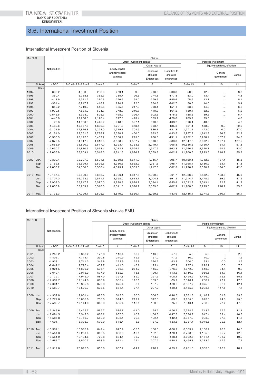**EUROSYSTEM**

### 3.6. International Investment Position

### International Investment Position of Slovenia

| Mio EUR      | Claims       |                  |             |                                             |                          |                |                                             |              |         |                             |       |  |
|--------------|--------------|------------------|-------------|---------------------------------------------|--------------------------|----------------|---------------------------------------------|--------------|---------|-----------------------------|-------|--|
|              |              |                  |             |                                             | Direct investment abroad |                |                                             |              |         | Portfolio investment        |       |  |
|              |              |                  |             |                                             |                          | Ostali kapital |                                             |              |         | Equity securities, of which |       |  |
|              | Net position |                  |             | Equity capital<br>and reinvested<br>eamings |                          |                | Liabilities to<br>affiliated<br>enterprises |              |         | General<br>government       | Banks |  |
| Column       | $1 = 2 - 50$ | $2=3+8+22+27+42$ | $3 = 4 + 5$ | $\overline{4}$                              | $5 = 6 + 7$              | 6              | $\overline{7}$                              | $8 = 9 + 13$ | 9       | 10                          | 11    |  |
| Code         |              |                  |             |                                             |                          |                |                                             |              |         |                             |       |  |
| 1994         | 600.2        | 4,830.3          | 288.6       | 279.1                                       | 9.5                      | 216.3          | $-206.8$                                    | 50.6         | 12.2    | $\cdots$                    | 3.3   |  |
| 1995         | 360.4        | 5.338.8          | 382.3       | 285.7                                       | 96.6                     | 274.3          | $-177.8$                                    | 83.0         | 13.4    | $\cdots$                    | 4.8   |  |
| 1996         | $-418.9$     | 5,771.2          | 370.6       | 276.6                                       | 94.0                     | 279.6          | $-185.6$                                    | 75.7         | 12.7    | $\cdots$                    | 5.1   |  |
| 1997         | $-361.4$     | 6,947.2          | 416.2       | 294.2                                       | 122.0                    | 364.8          | $-242.7$                                    | 50.6         | 14.0    | $\cdots$                    | 5.4   |  |
| 1998         | $-842.2$     | 7,210.2          | 542.8       | 325.5                                       | 217.3                    | 368.4          | $-151.1$                                    | 33.8         | 14.3    | $\cdots$                    | 6.2   |  |
| 1999         | $-1,970.5$   | 7,834.2          | 624.7       | 378.0                                       | 246.7                    | 410.9          | $-164.2$                                    | 130.1        | 32.3    | $\cdots$                    | 6.2   |  |
| 2000         | $-2.545.5$   | 8,923.0          | 825.3       | 498.9                                       | 326.4                    | 502.6          | $-176.2$                                    | 188.5        | 39.5    | $\cdots$                    | 5.7   |  |
| 2001         | $-448.8$     | 12,268.0         | 1,120.4     | 697.0                                       | 423.4                    | 553.2          | $-129.8$                                    | 289.2        | 29.0    | $\cdots$                    | 4.8   |  |
| 2002         | 26.8         | 14,636.8         | 1,445.2     | 918.0                                       | 527.1                    | 690.3          | $-163.2$                                    | 316.4        | 40.3    | $\cdots$                    | 4.2   |  |
| 2003         | $-1,480.6$   | 15,867.6         | 1,880.3     | 1,201.8                                     | 678.4                    | 863.7          | $-185.3$                                    | 551.4        | 188.0   | 0.0                         | 19.0  |  |
| 2004         | $-2,124.9$   | 17,876.8         | 2,224.0     | 1,519.1                                     | 704.9                    | 836.1          | $-131.3$                                    | 1,271.4      | 472.0   | 0.0                         | 37.0  |  |
| 2005         | $-3.161.0$   | 22.361.6         | 2.788.7     | 2,338.7                                     | 450.0                    | 883.5          | $-433.5$                                    | 2.757.9      | 1,242.3 | 86.8                        | 52.9  |  |
| 2006         | $-5.305.5$   | 25.122.5         | 3.452.2     | 2,656.7                                     | 795.5                    | 986.6          | $-191.1$                                    | 5.132.5      | 2.258.4 | 107.1                       | 94.6  |  |
| 2007         | $-7.372.5$   | 34,617.9         | 4,916.6     | 3,328.9                                     | 1,587.7                  | 1,818.0        | $-230.3$                                    | 12,547.8     | 3.662.2 | 197.4                       | 127.5 |  |
| 2008         | $-12,586.9$  | 33,890.9         | 5,677.0     | 3,923.4                                     | 1,753.6                  | 2,019.4        | $-265.8$                                    | 10,635.6     | 1,750.7 | 134.7                       | 57.8  |  |
| 2009         | $-12,650.7$  | 34,830.6         | 5,568.4     | 4,013.1                                     | 1,555.3                  | 1,917.5        | $-362.3$                                    | 11,296.9     | 2,320.7 | 174.6                       | 42.0  |  |
| 2010         | $-12,655.9$  | 35,209.1         | 5,518.5     | 3,841.6                                     | 1,676.9                  | 2,079.8        | $-402.9$                                    | 11,900.5     | 2,793.5 | 218.7                       | 55.3  |  |
| 2009<br>Jun. | $-12,329.4$  | 32,707.0         | 5,601.5     | 3.960.5                                     | 1,641.0                  | 1,946.7        | $-305.7$                                    | 10,150.4     | 1,912.8 | 137.4                       | 45.5  |  |
| Sep.         | $-12,162.8$  | 35,629.1         | 5,599.5     | 3,936.6                                     | 1,662.9                  | 1,961.6        | $-298.7$                                    | 11,398.1     | 2,186.2 | 153.1                       | 41.8  |  |
| Dec.         | $-12,650.7$  | 34,830.6         | 5,568.4     | 4,013.1                                     | 1,555.3                  | 1,917.5        | $-362.3$                                    | 11,296.9     | 2,320.7 | 174.6                       | 42.0  |  |
| 2010<br>Mar. | $-12, 157.4$ | 35.620.6         | 5.653.7     | 4,006.1                                     | 1.647.5                  | 2,009.2        | $-361.7$                                    | 12.036.9     | 2.532.2 | 193.5                       | 45.9  |  |
| Jun.         | $-12,707.0$  | 36,263.5         | 5,571.7     | 3,958.0                                     | 1,613.7                  | 2,004.8        | $-391.2$                                    | 11,914.7     | 2,478.2 | 189.5                       | 47.5  |  |
| Sep.         | $-12,909.0$  | 35,947.2         | 5,577.0     | 3,898.3                                     | 1,678.7                  | 2,034.4        | $-355.8$                                    | 12,032.8     | 2,543.4 | 192.9                       | 41.2  |  |
| Dec.         | $-12,655.9$  | 35,209.1         | 5,518.5     | 3,841.6                                     | 1,676.9                  | 2,079.8        | $-402.9$                                    | 11,900.5     | 2,793.5 | 218.7                       | 55.3  |  |
| 2011<br>Mar. | $-12,775.3$  | 37.099.7         | 5,506.3     | 3.840.2                                     | 1,666.1                  | 2.099.6        | $-433.6$                                    | 12.445.1     | 2.974.3 | 216.7                       | 56.1  |  |

#### International Investment Position of Slovenia vis-a-vis EMU

| Mio EUR   |        |              | Claims           |             |                                             |                          |                                        |                                             |                      |         |                             |       |
|-----------|--------|--------------|------------------|-------------|---------------------------------------------|--------------------------|----------------------------------------|---------------------------------------------|----------------------|---------|-----------------------------|-------|
|           |        |              |                  |             |                                             | Direct investment abroad |                                        |                                             | Portfolio investment |         |                             |       |
|           |        |              |                  |             |                                             |                          | Other capital                          |                                             |                      |         | Equity securities, of which |       |
|           |        | Net position |                  |             | Equity capital<br>and reinvested<br>eamings |                          | Claims on<br>affiliated<br>Enterprises | Liabilities to<br>affiliated<br>enterprises |                      |         | General<br>aovemment        | Banks |
|           | Column | $1 = 2 - 50$ | $2=3+8+22+27+42$ | $3 = 4 + 5$ | $\overline{4}$                              | $5 = 6 + 7$              | 6                                      | $\overline{7}$                              | $8 = 9 + 13$         | 9       | 10                          | 11    |
|           | Code   |              |                  |             |                                             |                          |                                        |                                             |                      |         |                             |       |
| 2001      |        | $-2,256.2$   | 5,353.2          | 177.3       | 118.4                                       | 58.9                     | 116.8                                  | $-57.9$                                     | 5.8                  | 5.8     | $\cdots$                    | 2.5   |
| 2002      |        | $-1,403.7$   | 7,714.1          | 290.8       | 210.9                                       | 79.9                     | 157.0                                  | $-77.2$                                     | 10.0                 | 10.0    | $\ddotsc$                   | 1.6   |
| 2003      |        | $-1,928.1$   | 8,711.3          | 349.8       | 222.9                                       | 126.9                    | 220.2                                  | $-93.3$                                     | 300.0                | 93.1    | 0.0                         | 2.6   |
| 2004      |        | $-2.842.2$   | 9,795.4          | 459.7       | 411.5                                       | 48.2                     | 125.4                                  | $-77.2$                                     | 777.4                | 223.2   | 0.0                         | 7.6   |
| 2005      |        | $-5.921.5$   | 11.629.2         | 505.1       | 766.8                                       | $-261.7$                 | 115.2                                  | $-376.9$                                    | 1.672.9              | 548.9   | 34.4                        | 9.3   |
| 2006      |        | $-9,049.4$   | 12,916.2         | 577.9       | 562.3                                       | 15.5                     | 129.1                                  | $-113.6$                                    | 3,110.9              | 959.5   | 54.7                        | 16.1  |
| 2007      |        | $-12, 179.7$ | 17,949.0         | 587.0       | 397.8                                       | 189.2                    | 297.3                                  | $-108.1$                                    | 8,425.2              | 1,416.0 | 115.6                       | 35.3  |
| 2008      |        | $-17.539.7$  | 17.144.0         | 668.9       | 555.4                                       | 113.5                    | 189.3                                  | $-75.9$                                     | 7.846.1              | 768.9   | 77.2                        | 17.8  |
| 2009      |        | $-14,691.1$  | 18,305.3         | 679.0       | 675.4                                       | 3.6                      | 137.2                                  | $-133.6$                                    | 8,337.7              | 1,075.6 | 92.6                        | 12.4  |
| 2010      |        | $-12.583.7$  | 18,520.7         | 698.5       | 671.4                                       | 27.1                     | 207.2                                  | $-180.1$                                    | 8,455.8              | 1,233.5 | 117.5                       | 7.7   |
| 2008 Jun. |        | $-14,939.8$  | 19,801.4         | 675.5       | 515.5                                       | 160.0                    | 306.5                                  | $-146.5$                                    | 9.661.3              | 1.148.9 | 101.8                       | 33.3  |
|           | Sep.   | $-16,277.6$  | 18,685.8         | 733.5       | 514.3                                       | 219.2                    | 312.8                                  | $-93.6$                                     | 9,155.0              | 973.5   | 94.0                        | 25.0  |
|           | Dec.   | $-17,539.7$  | 17,144.0         | 668.9       | 555.4                                       | 113.5                    | 189.3                                  | $-75.9$                                     | 7,846.1              | 768.9   | 77.2                        | 17.8  |
| 2009      | Mar.   | $-17,343.6$  | 16,425.7         | 565.7       | 576.7                                       | $-11.0$                  | 165.2                                  | $-176.2$                                    | 7,374.9              | 743.9   | 67.5                        | 11.1  |
|           | Jun.   | $-17,094.5$  | 16,542.3         | 668.2       | 657.5                                       | 10.7                     | 158.3                                  | $-147.6$                                    | 7,378.7              | 847.4   | 69.4                        | 10.8  |
|           | Sep.   | $-14.585.8$  | 18,759.7         | 582.9       | 603.1                                       | $-20.3$                  | 122.1                                  | $-142.4$                                    | 8.357.0              | 993.3   | 77.3                        | 11.5  |
|           | Dec.   | $-14.691.1$  | 18,305.3         | 679.0       | 675.4                                       | 3.6                      | 137.2                                  | $-133.6$                                    | 8.337.7              | 1.075.6 | 92.6                        | 12.4  |
| 2010      | Mar.   | $-13,902.1$  | 18,565.9         | 642.4       | 677.9                                       | $-35.5$                  | 150.8                                  | $-186.2$                                    | 8,809.4              | 1,166.9 | 98.6                        | 14.5  |
|           | Jun.   | $-13.554.6$  | 19.281.9         | 666.5       | 683.0                                       | $-16.5$                  | 162.5                                  | $-179.1$                                    | 8.723.8              | 1.135.8 | 95.7                        | 12.5  |
|           | Sep.   | $-13,551.9$  | 19,134.6         | 720.8       | 684.1                                       | 36.7                     | 174.8                                  | $-138.1$                                    | 8,692.6              | 1,171.1 | 101.2                       | 10.2  |
|           | Dec.   | $-12,583.7$  | 18,520.7         | 698.5       | 671.4                                       | 27.1                     | 207.2                                  | $-180.1$                                    | 8,455.8              | 1,233.5 | 117.5                       | 7.7   |
| 2011      | Mar.   | $-11.519.8$  | 20.015.3         | 653.0       | 667.2                                       | $-14.2$                  | 210.9                                  | $-225.2$                                    | 8.701.3              | 1.303.8 | 118.1                       | 10.2  |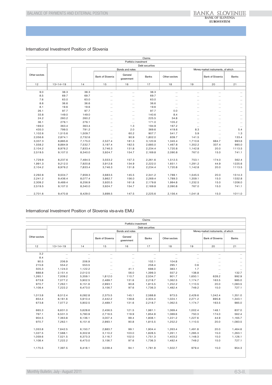### International Investment Position of Slovenia

|               | Claims         |         |                  |                      |                 |               |           |                                    |          |  |  |  |  |  |
|---------------|----------------|---------|------------------|----------------------|-----------------|---------------|-----------|------------------------------------|----------|--|--|--|--|--|
|               |                |         |                  | Portfolio investment |                 |               |           |                                    |          |  |  |  |  |  |
|               |                |         |                  |                      | Debt securities |               |           |                                    |          |  |  |  |  |  |
|               |                |         |                  | Bonds and notes      |                 |               |           | Money market instruments, of which |          |  |  |  |  |  |
| Other sectors |                |         | Bank of Slovenia | General<br>govemment | Banks           | Other sectors |           | Bank of Slovenia                   | Banks    |  |  |  |  |  |
| 12            | $13 = 14 + 19$ | 14      | 15               | 16                   | 17              | 18            | 19        | 20                                 | 21       |  |  |  |  |  |
|               |                |         |                  |                      |                 |               |           |                                    |          |  |  |  |  |  |
| 9.0           | 38.3           | 38.3    | $\cdots$         | $\cdots$             | 38.3            | $\cdots$      | $\cdots$  | $\cdots$                           | $\cdots$ |  |  |  |  |  |
| 8.5           | 69.7           | 69.7    |                  |                      | 69.7            | $\cdots$      |           |                                    | $\cdots$ |  |  |  |  |  |
| 7.6           | 63.0           | 63.0    |                  | $\cdots$             | 63.0            | $\cdots$      |           | $\cdots$                           | $\cdots$ |  |  |  |  |  |
| 8.6           | 36.6           | 36.6    |                  | $\cdots$             | 36.6            | $\cdots$      | $\ddotsc$ | $\cdots$                           | $\cdots$ |  |  |  |  |  |
| 8.1           | 19.6           | 19.6    | $\cdots$         | $\cdots$             | 19.6            | $\cdots$      | $\cdots$  | $\cdots$                           | $\cdots$ |  |  |  |  |  |
| 26.1          | 97.7           | 97.7    |                  | $\cdots$             | 97.7            | 0.0           |           |                                    | $\cdots$ |  |  |  |  |  |
| 33.8          | 149.0          | 149.0   | $\cdots$         | $\cdots$             | 140.6           | 8.4           |           |                                    | $\cdots$ |  |  |  |  |  |
| 24.2          | 260.2          | 260.2   | $\cdots$         | $\cdots$             | 225.5           | 34.8          | $\ddotsc$ |                                    | $\cdots$ |  |  |  |  |  |
| 36.1          | 276.1          | 276.1   | $\cdots$         | $\cdots$             | 171.0           | 105.2         | $\cdots$  |                                    | $\cdots$ |  |  |  |  |  |
| 169.0         | 363.4          | 363.4   | $\cdots$         | 1.3                  | 194.9           | 167.2         | $\cdots$  | $\cdots$                           | $\ldots$ |  |  |  |  |  |
| 435.0         | 799.5          | 791.2   | $\cdots$         | 2.0                  | 369.6           | 419.6         | 8.3       |                                    | 5.4      |  |  |  |  |  |
| 1,102.6       | 1,515.6        | 1,509.7 | $\cdots$         | 60.2                 | 907.7           | 541.7         | 5.9       | $\cdots$                           | 1.3      |  |  |  |  |  |
| 2,056.6       | 2,874.1        | 2,732.6 | $\cdots$         | 90.9                 | 1,802.0         | 839.7         | 141.5     | $\cdots$                           | 133.4    |  |  |  |  |  |
| 3,337.3       | 8,885.6        | 7,175.0 | 2,527.4          | 181.3                | 3,120.9         | 1,345.4       | 1,710.6   | 684.7                              | 993.6    |  |  |  |  |  |
| 1,558.2       | 8,884.9        | 7,532.7 | 3,197.4          | 182.5                | 2,685.0         | 1,467.8       | 1,352.2   | 337.4                              | 985.0    |  |  |  |  |  |
| 2,104.2       | 8,976.2        | 7,833.4 | 3,746.3          | 131.8                | 2,234.4         | 1,720.8       | 1,142.8   | 20.0                               | 1113.5   |  |  |  |  |  |
| 2,519.5       | 9,107.0        | 8,340.0 | 3,924.7          | 154.7                | 2,169.8         | 2,090.8       | 767.0     | 15.0                               | 741.1    |  |  |  |  |  |
| 1,729.9       | 8,237.6        | 7,484.5 | 3,553.2          | 157.3                | 2,261.6         | 1,512.5       | 753.1     | 174.0                              | 562.4    |  |  |  |  |  |
| 1,991.3       | 9,212.0        | 7,920.8 | 3,912.8          | 134.9                | 2,222.0         | 1,651.1       | 1,291.2   | 44.9                               | 1225.6   |  |  |  |  |  |
| 2,104.2       | 8,976.2        | 7,833.4 | 3,746.3          | 131.8                | 2,234.4         | 1,720.8       | 1,142.8   | 20.0                               | 1113.5   |  |  |  |  |  |
| 2,292.8       | 9,504.7        | 7,959.3 | 3,683.5          | 145.5                | 2,341.2         | 1,789.1       | 1,545.5   | 20.0                               | 1514.3   |  |  |  |  |  |
| 2,241.2       | 9,436.4        | 8,077.4 | 3,862.7          | 156.0                | 2,269.4         | 1,789.3       | 1,359.1   | 15.0                               | 1332.8   |  |  |  |  |  |
| 2,309.2       | 9,489.4        | 8,256.9 | 3,920.5          | 161.8                | 2,179.8         | 1,994.8       | 1,232.5   | 15.0                               | 1206.0   |  |  |  |  |  |
| 2,519.5       | 9,107.0        | 8,340.0 | 3,924.7          | 154.7                | 2,169.8         | 2,090.8       | 767.0     | 15.0                               | 741.1    |  |  |  |  |  |
| 2.701.6       | 9.470.8        | 8.429.0 | 3.899.5          | 147.5                | 2.225.6         | 2.156.4       | 1.041.8   | 15.0                               | 1011.0   |  |  |  |  |  |

### International Investment Position of Slovenia vis-a-vis EMU

|               | Claims               |          |                  |                      |                 |               |          |                                    |          |  |  |  |  |  |
|---------------|----------------------|----------|------------------|----------------------|-----------------|---------------|----------|------------------------------------|----------|--|--|--|--|--|
|               | Portfolio investment |          |                  |                      |                 |               |          |                                    |          |  |  |  |  |  |
|               |                      |          |                  |                      | Debt securities |               |          |                                    |          |  |  |  |  |  |
|               |                      |          |                  | Bonds and notes      |                 |               |          | Money market instruments, of which |          |  |  |  |  |  |
| Other sectors |                      |          | Bank of Slovenia | General<br>govemment | <b>Banks</b>    | Other sectors |          | Bank of Slovenia                   | Banks    |  |  |  |  |  |
| 12            | $13 = 14 + 19$       | 14       | 15               | 16                   | 17              | 18            | 19       | 20                                 | 21       |  |  |  |  |  |
|               |                      |          |                  |                      |                 |               |          |                                    |          |  |  |  |  |  |
| 3.2           | $\cdots$             | $\cdots$ | $\cdots$         | $\cdots$             | $\cdots$        | $\cdots$      | $\cdots$ | $\cdots$                           | $\cdots$ |  |  |  |  |  |
| 8.4           | $\cdots$             | $\cdots$ |                  | $\cdots$             | $\cdots$        | $\cdots$      | $\cdots$ |                                    | $\cdots$ |  |  |  |  |  |
| 90.5          | 206.9                | 206.9    |                  | $\cdots$             | 102.1           | 104.8         | $\cdots$ | $\cdots$                           | $\cdots$ |  |  |  |  |  |
| 215.6         | 554.2                | 553.5    | $\cdots$         | $\cdots$             | 258.4           | 295.1         | 0.6      | $\cdots$                           | $\cdots$ |  |  |  |  |  |
| 505.3         | 1,124.0              | 1,122.2  | $\cdots$         | 41.1                 | 698.0           | 383.1         | 1.7      | $\cdots$                           | $\cdots$ |  |  |  |  |  |
| 888.8         | 2,151.4              | 2,012.5  | $\cdots$         | 56.0                 | 1,399.3         | 557.2         | 138.8    | $\cdots$                           | 132.7    |  |  |  |  |  |
| 1,265.1       | 7,009.2              | 5,359.1  | 1,812.0          | 110.7                | 2,534.7         | 901.7         | 1,650.1  | 628.2                              | 992.9    |  |  |  |  |  |
| 673.8         | 7,077.2              | 5,902.5  | 2,489.7          | 131.6                | 2,218.7         | 1,062.5       | 1,174.7  | 163.5                              | 985.0    |  |  |  |  |  |
| 970.7         | 7.262.1              | 6.151.6  | 2.993.1          | 90.8                 | 1.815.5         | 1,252.2       | 1.110.5  | 20.0                               | 1,083.5  |  |  |  |  |  |
| 1,108.4       | 7,222.2              | 6.473.0  | 3.156.7          | 97.6                 | 1.736.3         | 1,482.4       | 749.2    | 15.0                               | 727.1    |  |  |  |  |  |
|               |                      |          |                  |                      |                 |               |          |                                    |          |  |  |  |  |  |
| 1,013.8       | 8,512.4              | 6,082.8  | 2,375.5          | 145.1                | 2,588.8         | 973.5         | 2,429.6  | 1,042.4                            | 1,351.0  |  |  |  |  |  |
| 854.4         | 8.181.6              | 5.910.4  | 2.442.2          | 139.8                | 2.304.4         | 1.024.1       | 2.271.2  | 895.8                              | 1,343.1  |  |  |  |  |  |
| 673.8         | 7,077.2              | 5,902.5  | 2,489.7          | 131.6                | 2,218.7         | 1,062.5       | 1,174.7  | 163.5                              | 985.0    |  |  |  |  |  |
|               |                      |          |                  |                      |                 |               |          |                                    |          |  |  |  |  |  |
| 665.3         | 6,631.0              | 5.628.6  | 2,456.5          | 121.5                | 1,981.1         | 1,069.4       | 1,002.4  | 148.1                              | 837.0    |  |  |  |  |  |
| 767.1         | 6.531.3              | 5.780.9  | 2.716.5          | 119.9                | 1.854.9         | 1.089.6       | 750.3    | 174.0                              | 562.4    |  |  |  |  |  |
| 904.5         | 7,363.8              | 6,136.1  | 3,007.4          | 99.4                 | 1,808.1         | 1,221.2       | 1,227.6  | 44.9                               | 1,165.7  |  |  |  |  |  |
| 970.7         | 7.262.1              | 6,151.6  | 2,993.1          | 90.8                 | 1,815.5         | 1,252.2       | 1,110.5  | 20.0                               | 1,083.5  |  |  |  |  |  |
|               |                      |          |                  |                      |                 |               |          |                                    |          |  |  |  |  |  |
| 1,053.8       | 7,642.5              | 6,150.7  | 2,883.7          | 99.1                 | 1,904.4         | 1,263.4       | 1,491.8  | 20.0                               | 1,464.6  |  |  |  |  |  |
| 1,027.5       | 7.588.1              | 6,302.8  | 3.110.2          | 103.0                | 1,828.5         | 1,261.1       | 1,285.3  | 15.0                               | 1,263.1  |  |  |  |  |  |
| 1.059.6       | 7,521.5              | 6,373.3  | 3,116.7          | 102.0                | 1.751.3         | 1,403.2       | 1.148.3  | 15.0                               | 1,126.1  |  |  |  |  |  |
| 1,108.4       | 7,222.2              | 6,473.0  | 3.156.7          | 97.6                 | 1.736.3         | 1,482.4       | 749.2    | 15.0                               | 727.1    |  |  |  |  |  |
| 1,175.5       | 7,397.5              | 6.418.1  | 3.039.4          | 94.1                 | 1.781.9         | 1,502.7       | 979.4    | 15.0                               | 954.3    |  |  |  |  |  |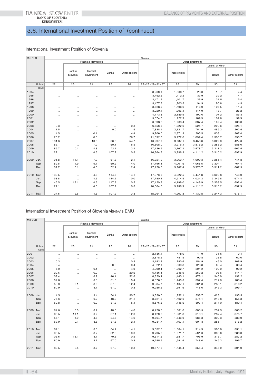**EUROSYSTEM**

# 3.6. International Investment Position of (continued)

### International Investment Position of Slovenia

| Mio EUR |        |          |                     |                       |          |               | Claims                   |               |                  |                 |               |
|---------|--------|----------|---------------------|-----------------------|----------|---------------|--------------------------|---------------|------------------|-----------------|---------------|
|         |        |          |                     | Financial derivatives |          |               |                          |               | Other investment |                 |               |
|         |        |          |                     |                       |          |               |                          |               |                  | Loans, of which |               |
|         |        |          | Bank of<br>Slovenia | General<br>government | Banks    | Other sectors |                          | Trade credits |                  | Banks           | Other sectors |
|         | Column | 22       | 23                  | 24                    | 25       | 26            | $27 = 28 + 29 + 32 + 37$ | 28            | 29               | 30              | 31            |
|         | Code   |          |                     |                       |          |               |                          |               |                  |                 |               |
| 1994    |        | $\cdots$ | $\cdots$            | $\cdots$              | $\cdots$ | $\cdots$      | 3,269.1                  | 1,360.7       | 23.0             | 18.7            | 4.4           |
| 1995    |        | $\cdots$ | $\cdots$            |                       |          | $\cdots$      | 3,452.5                  | 1,412.2       | 33.9             | 29.2            | 4.7           |
| 1996    |        | $\cdots$ | $\cdots$            |                       | $\cdots$ | $\cdots$      | 3,471.9                  | 1,401.7       | 36.9             | 31.5            | 5.4           |
| 1997    |        | $\cdots$ | $\cdots$            | $\cdots$              | $\cdots$ | $\cdots$      | 3,477.3                  | 1,703.3       | 94.9             | 90.6            | 4.3           |
| 1998    |        | $\cdots$ | $\cdots$            | $\cdots$              |          | $\cdots$      | 3,528.9                  | 1,796.0       | 118.0            | 106.5           | 11.4          |
| 1999    |        | $\cdots$ | $\cdots$            | $\cdots$              |          | $\cdots$      | 3,920.1                  | 1,996.4       | 144.9            | 118.7           | 26.2          |
| 2000    |        | $\cdots$ | $\cdots$            | $\cdots$              | $\cdots$ | $\cdots$      | 4,473.3                  | 2,189.9       | 192.6            | 107.2           | 85.3          |
| 2001    |        | $\cdots$ | $\cdots$            | $\cdots$              | $\cdots$ | $\cdots$      | 5,874.6                  | 1,927.9       | 169.5            | 109.6           | 59.9          |
| 2002    |        | $\cdots$ | $\cdots$            | $\cdots$              | $\cdots$ | $\cdots$      | 6,093.8                  | 1,908.4       | 337.4            | 199.4           | 138.0         |
| 2003    |        | 0.3      | $\cdots$            | $\cdots$              | $\cdots$ | 0.3           | 6,556.6                  | 1,922.0       | 524.7            | 299.6           | 225.1         |
| 2004    |        | 1.5      | $\cdots$            | $\cdots$              | 0.0      | 1.5           | 7,838.1                  | 2,121.7       | 751.9            | 489.3           | 262.5         |
| 2005    |        | 14.5     | $\cdots$            | 0.1                   | $\cdots$ | 14.4          | 9,906.0                  | 2,871.9       | 1,205.5          | 838.1           | 367.4         |
| 2006    |        | 26.7     | $\cdots$            | 0.0                   | $\cdots$ | 26.7          | 11,092.6                 | 3,272.0       | 1,899.4          | 1,300.7         | 598.7         |
| 2007    |        | 131.8    | $\cdots$            | 10.3                  | 66.8     | 54.7          | 16,297.9                 | 3,737.1       | 3,453.6          | 3,029.0         | 424.6         |
| 2008    |        | 83.1     | $\cdots$            | 7.2                   | 60.4     | 15.5          | 16,808.0                 | 3,975.4       | 3,876.2          | 3,288.2         | 588.0         |
| 2009    |        | 89.7     | 0.1                 | 4.8                   | 72.4     | 12.4          | 17,126.5                 | 3,767.4       | 3,978.7          | 3,311.2         | 667.5         |
| 2010    |        | 122.1    | $\cdots$            | 4.6                   | 107.2    | 10.3          | 16,864.8                 | 3,936.9       | 4,111.2          | 3,310.2         | 697.9         |
| 2009    | Jun.   | 91.8     | 11.1                | 7.3                   | 61.3     | 12.1          | 16,324.2                 | 3,969.7       | 4,000.3          | 3,255.4         | 744.8         |
|         | Sep.   | 82.5     | 1.9                 | 5.7                   | 60.9     | 14.0          | 17,796.4                 | 4,061.6       | 4,068.5          | 3,304.1         | 764.4         |
|         | Dec.   | 89.7     | 0.1                 | 4.8                   | 72.4     | 12.4          | 17,126.5                 | 3,767.4       | 3,978.7          | 3,311.2         | 667.5         |
| 2010    | Mar.   | 133.5    | $\cdots$            | 4.8                   | 114.6    | 14.1          | 17,073.5                 | 4,022.5       | 4,441.8          | 3,693.8         | 748.0         |
|         | Jun.   | 158.8    | $\cdots$            | 4.6                   | 144.2    | 10.0          | 17,780.4                 | 4,214.5       | 4,024.3          | 3,349.8         | 674.4         |
|         | Sep.   | 145.5    | 13.1                | 4.6                   | 117.3    | 10.5          | 17,420.8                 | 4,199.0       | 4,148.9          | 3,353.5         | 692.4         |
|         | Dec.   | 122.1    | $\cdots$            | 4.6                   | 107.2    | 10.3          | 16,864.8                 | 3,936.9       | 4,111.2          | 3,310.2         | 697.9         |
| 2011    | Mar.   | 124.6    | 2.5                 | 4.6                   | 107.2    | 10.3          | 18.264.3                 | 4.207.3       | 4.132.8          | 3.247.3         | 678.1         |

### International Investment Position of Slovenia vis-a-vis EMU

| Mio EUR |        |          |                     |                       |          |               | Claims                   |               |                  |                 |               |  |  |
|---------|--------|----------|---------------------|-----------------------|----------|---------------|--------------------------|---------------|------------------|-----------------|---------------|--|--|
|         |        |          |                     | Financial derivatives |          |               |                          |               | Other investment |                 |               |  |  |
|         |        |          |                     |                       |          |               |                          |               |                  | Loans, of which |               |  |  |
|         |        |          | Bank of<br>Slovenia | General<br>government | Banks    | Other sectors |                          | Trade credits |                  | Banks           | Other sectors |  |  |
|         | Column | 22       | 23                  | 24                    | 25       | 26            | $27 = 28 + 29 + 32 + 37$ | 28            | 29               | 30              | 31            |  |  |
|         | Code   |          |                     |                       |          |               |                          |               |                  |                 |               |  |  |
| 2001    |        | $\cdots$ | $\cdots$            | $\cdots$              | $\cdots$ | $\cdots$      | 2,136.1                  | 778.0         | 41.9             | 31.5            | 10.4          |  |  |
| 2002    |        | $\cdots$ | $\cdots$            | $\cdots$              | $\cdots$ | $\cdots$      | 2.878.6                  | 781.5         | 90.8             | 28.8            | 62.0          |  |  |
| 2003    |        | 0.3      | $\cdots$            | $\cdots$              | $\cdots$ | 0.3           | 3,192.3                  | 790.6         | 154.9            | 46.0            | 108.9         |  |  |
| 2004    |        | 0.4      | $\cdots$            | $\cdots$              | 0.0      | 0.4           | 4,022.1                  | 860.8         | 123.8            | 63.4            | 60.4          |  |  |
| 2005    |        | 5.0      | $\cdots$            | 0.1                   | $\cdots$ | 4.9           | 4,990.4                  | 1,202.7       | 201.2            | 102.0           | 99.2          |  |  |
| 2006    |        | 20.6     | $\cdots$            | 0.0                   | $\cdots$ | 20.6          | 5,736.4                  | 1,345.9       | 253.2            | 108.5           | 144.7         |  |  |
| 2007    |        | 107.4    | $\cdots$            | 8.2                   | 46.4     | 52.8          | 8,829.4                  | 1,440.1       | 478.1            | 345.9           | 132.2         |  |  |
| 2008    |        | 52.8     | $\cdots$            | 6.0                   | 31.3     | 15.4          | 8,576.3                  | 1,445.6       | 397.4            | 217.0           | 180.4         |  |  |
| 2009    |        | 53.9     | 0.1                 | 3.6                   | 37.8     | 12.4          | 9,234.7                  | 1,407.1       | 601.3            | 285.1           | 316.2         |  |  |
| 2010    |        | 80.9     | $\cdots$            | 3.7                   | 67.0     | 10.3          | 9,285.5                  | 1,591.6       | 748.0            | 345.3           | 299.7         |  |  |
| 2008    | Jun.   | 114.5    | $\cdots$            | 9.4                   | 74.4     | 30.7          | 9,350.0                  | 1,752.1       | 558.7            | 423.1           | 135.5         |  |  |
|         | Sep.   | 75.6     | $\cdots$            | 6.2                   | 48.3     | 21.1          | 8,721.6                  | 1,702.6       | 374.1            | 218.8           | 155.3         |  |  |
|         | Dec.   | 52.8     | $\cdots$            | 6.0                   | 31.3     | 15.4          | 8.576.3                  | 1,445.6       | 397.4            | 217.0           | 180.4         |  |  |
| 2009    | Mar.   | 64.6     | 3.5                 | 6.2                   | 40.8     | 14.0          | 8,420.5                  | 1,561.0       | 600.5            | 232.3           | 368.2         |  |  |
|         | Jun.   | 66.5     | 11.1                | 6.2                   | 37.1     | 12.0          | 8,429.0                  | 1,531.8       | 613.1            | 237.4           | 375.7         |  |  |
|         | Sep.   | 55.1     | 1.9                 | 4.6                   | 34.6     | 14.0          | 9.764.7                  | 1,546.9       | 685.3            | 302.3           | 383.0         |  |  |
|         | Dec.   | 53.9     | 0.1                 | 3.6                   | 37.8     | 12.4          | 9.234.7                  | 1.407.1       | 601.3            | 285.1           | 316.2         |  |  |
| 2010    | Mar.   | 82.1     | $\cdots$            | 3.6                   | 64.4     | 14.1          | 9,032.0                  | 1,564.1       | 914.9            | 583.8           | 331.1         |  |  |
|         | Jun.   | 96.5     | $\cdots$            | 3.7                   | 82.8     | 10.0          | 9,795.0                  | 1,671.7       | 591.6            | 308.6           | 283.0         |  |  |
|         | Sep.   | 106.6    | 13.1                | 3.7                   | 79.3     | 10.5          | 9,614.6                  | 1,681.7       | 706.9            | 316.7           | 287.2         |  |  |
|         | Dec.   | 80.9     | $\cdots$            | 3.7                   | 67.0     | 10.3          | 9,285.5                  | 1,591.6       | 748.0            | 345.3           | 299.7         |  |  |
| 2011    | Mar.   | 83.5     | 2.5                 | 3.7                   | 67.0     | 10.3          | 10.577.5                 | 1,745.4       | 855.4            | 346.9           | 301.0         |  |  |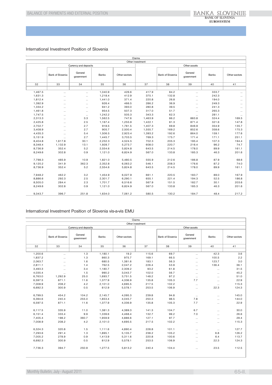#### International Investment Position of Slovenia

|         |                  |                       |         |               | Claims           |                  |                       |       |               |
|---------|------------------|-----------------------|---------|---------------|------------------|------------------|-----------------------|-------|---------------|
|         |                  |                       |         |               | Other investment |                  |                       |       |               |
|         |                  | Currency and deposits |         |               |                  |                  | Other assets          |       |               |
|         | Bank of Slovenia | General<br>government | Banks   | Other sectors |                  | Bank of Slovenia | General<br>government | Banks | Other sectors |
| 32      | 33               | 34                    | 35      | 36            | 37               | 38               | 39                    | 40    | 41            |
|         |                  |                       |         |               |                  |                  |                       |       |               |
| 1,467.5 | $\cdots$         | $\cdots$              | 1,040.9 | 426.6         | 417.9            | 84.2             | $\cdots$              | 333.7 |               |
| 1,631.3 | $\cdots$         | $\cdots$              | 1,218.4 | 412.9         | 375.1            | 132.8            | $\cdots$              | 242.3 | $\cdots$      |
| 1,812.4 | $\cdots$         | $\cdots$              | 1,441.0 | 371.4         | 220.8            | 26.8             | $\cdots$              | 194.0 |               |
| 1,392.9 | $\cdots$         | $\cdots$              | 926.4   | 466.5         | 286.2            | 36.9             | $\cdots$              | 249.3 |               |
| 1,334.2 | $\cdots$         | $\cdots$              | 941.2   | 393.0         | 280.8            | 39.5             |                       | 241.3 | $\cdots$      |
| 1,461.8 | $\cdots$         | $\cdots$              | 954.5   | 507.3         | 317.0            | 51.7             |                       | 265.3 | $\cdots$      |
| 1,747.5 | $\cdots$         | $\cdots$              | 1,242.2 | 505.3         | 343.3            | 62.3             | $\cdots$              | 281.1 | $\cdots$      |
| 2,313.3 | $\cdots$         | 3.3                   | 1,562.5 | 747.6         | 1,463.9          | 86.2             | 883.8                 | 324.4 | 169.5         |
| 2,425.8 | $\cdots$         | 2.5                   | 1,167.4 | 1,255.9       | 1,422.1          | 81.3             | 871.4                 | 321.6 | 147.8         |
| 2,702.7 | $\cdots$         | 2.7                   | 918.5   | 1,781.5       | 1,407.3          | 69.8             | 846.9                 | 354.9 | 135.7         |
| 3,408.9 | $\cdots$         | 2.7                   | 905.7   | 2,500.4       | 1,555.7          | 169.2            | 852.6                 | 358.6 | 175.3         |
| 4,435.3 | $\cdots$         | 5.4                   | 1,506.5 | 2,923.4       | 1,393.2          | 192.6            | 864.0                 | 159.1 | 177.6         |
| 5,151.9 | $\cdots$         | 2.7                   | 1,445.7 | 3,703.5       | 769.3            | 175.7            | 171.4                 | 171.1 | 251.1         |
| 8,404.8 | 1,617.8          | 30.1                  | 2,232.3 | 4,524.5       | 702.3            | 205.3            | 195.4                 | 107.3 | 194.4         |
| 8,348.4 | 1,132.9          | 13.1                  | 1,928.7 | 5,273.7       | 608.0            | 220.7            | 216.4                 | 96.2  | 74.7          |
| 8,736.9 | 352.4            | 5.2                   | 2,554.6 | 5,824.8       | 643.5            | 214.5            | 178.0                 | 89.9  | 161.1         |
| 8,249.6 | 302.8            | 0.9                   | 1,121.0 | 6,824.9       | 567.0            | 133.8            | 185.3                 | 46.3  | 201.6         |
| 7,798.3 | 485.9            | 10.9                  | 1,821.0 | 5,480.5       | 555.9            | 212.6            | 186.8                 | 87.9  | 68.6          |
| 9,120.2 | 341.9            | 362.3                 | 2,352.8 | 6,063.2       | 546.1            | 208.3            | 176.6                 | 87.2  | 74.0          |
| 8,736.9 | 352.4            | 5.2                   | 2,554.6 | 5,824.8       | 643.5            | 214.5            | 178.0                 | 89.9  | 161.1         |
| 7,948.2 | 462.2            | 3.2                   | 1,454.9 | 6,027.9       | 661.1            | 220.5            | 183.7                 | 89.0  | 167.9         |
| 8,886.6 | 292.3            | 2.5                   | 2,301.7 | 6,290.1       | 655.1            | 221.4            | 194.3                 | 52.5  | 186.8         |
| 8,505.0 | 284.4            | 2.3                   | 1,701.7 | 6,516.6       | 567.9            | 151.5            | 182.7                 | 30.1  | 203.6         |
| 8,249.6 | 302.8            | 0.9                   | 1,121.0 | 6,824.9       | 567.0            | 133.8            | 185.3                 | 46.3  | 201.6         |
| 9.343.7 | 396.7            | 251.8                 | 1.634.0 | 7.061.2       | 580.5            | 130.2            | 184.7                 | 48.4  | 217.2         |

|         |                  |                       |         |               | Claims           |                  |                       |           |               |
|---------|------------------|-----------------------|---------|---------------|------------------|------------------|-----------------------|-----------|---------------|
|         |                  |                       |         |               | Other investment |                  |                       |           |               |
|         |                  | Currency and deposits |         |               |                  |                  | Other assets          |           |               |
|         | Bank of Slovenia | General<br>government | Banks   | Other sectors |                  | Bank of Slovenia | General<br>government | Banks     | Other sectors |
| 32      | 33               | 34                    | 35      | 36            | 37               | 38               | 39                    | 40        | 41            |
|         |                  |                       |         |               |                  |                  |                       |           |               |
| 1,200.6 | $\cdots$         | 1.3                   | 1,180.1 | 19.2          | 115.6            | 69.7             |                       | 42.3      | 3.6           |
| 1,837.2 | $\cdots$         | 1.3                   | 860.3   | 975.7         | 169.1            | 66.5             |                       | 100.5     | 2.2           |
| 2,063.7 | $\cdots$         | 1.6                   | 680.5   | 1,381.6       | 183.1            | 56.3             |                       | 123.7     | 3.0           |
| 2,811.1 | $\cdots$         | 1.4                   | 762.5   | 2,047.2       | 226.4            | 53.9             |                       | 136.4     | 36.1          |
| 3,493.3 | $\cdots$         | 3.4                   | 1,180.7 | 2,309.2       | 93.2             | 61.8             | $\cdots$              | $\cdots$  | 31.5          |
| 4,035.4 | $\cdots$         | 1.5                   | 990.2   | 3,043.7       | 102.0            | 56.7             | $\cdots$              | $\cdots$  | 45.2          |
| 6,763.0 | 1,292.9          | 25.0                  | 1,693.7 | 3.751.5       | 148.2            | 97.2             | $\cdots$              | $\cdots$  | 51.0          |
| 6.597.5 | 871.1            | 11.6                  | 1.377.9 | 4.336.9       | 135.8            | 105.3            | 7.7                   | $\ddotsc$ | 22.9          |
| 7,008.9 | 208.2            | 4.2                   | 2,101.0 | 4,695.5       | 217.5            | 102.2            |                       | $\cdots$  | 115.3         |
| 6,692.3 | 300.9            | 0.5                   | 812.9   | 5,578.1       | 253.5            | 106.9            | $\cdots$              | 22.3      | 124.3         |
|         |                  |                       |         |               |                  |                  |                       |           |               |
| 6,799.5 | 454.2            | 104.2                 | 2,145.7 | 4,095.3       | 239.8            | 94.8             | $\cdots$              | $\cdots$  | 145.0         |
| 6,394.6 | 240.4            | 255.0                 | 1,853.4 | 4,045.7       | 250.3            | 98.5             | 7.8                   | $\cdots$  | 144.0         |
| 6,597.5 | 871.1            | 11.6                  | 1,377.9 | 4,336.9       | 135.8            | 105.3            | 7.7                   | $\cdots$  | 22.9          |
|         |                  |                       |         |               |                  |                  |                       |           |               |
| 6.117.5 | 335.9            | 11.0                  | 1,381.3 | 4,389.3       | 141.3            | 104.7            | 6.7                   | $\cdots$  | 30.0          |
| 6.151.4 | 333.4            | 9.9                   | 1,339.6 | 4,468.4       | 132.7            | 99.2             | 7.0                   | $\cdots$  | 26.6          |
| 7,405.4 | 198.2            | 360.7                 | 1,959.9 | 4,886.6       | 127.1            | 97.7             | $\cdots$              | $\cdots$  | 29.4          |
| 7,008.9 | 208.2            | 4.2                   | 2,101.0 | 4,695.5       | 217.5            | 102.2            | $\cdots$              | $\cdots$  | 115.3         |
|         |                  |                       |         |               |                  |                  |                       |           |               |
| 6,324.3 | 320.8            | 1.5                   | 1,111.6 | 4,890.4       | 228.8            | 101.1            | $\cdots$              | $\cdots$  | 127.7         |
| 7,293.6 | 291.4            | 1.3                   | 1,895.1 | 5,105.7       | 238.2            | 105.2            |                       | 6.8       | 126.2         |
| 7,005.2 | 278.9            | 0.9                   | 1,413.9 | 5,311.6       | 220.8            | 100.6            | $\cdots$              | 6.4       | 113.7         |
| 6,692.3 | 300.9            | 0.5                   | 812.9   | 5,578.1       | 253.5            | 106.9            |                       | 22.3      | 124.3         |
|         |                  |                       |         |               |                  |                  |                       |           |               |
| 7,736.3 | 394.7            | 250.9                 | 1,277.5 | 5.813.2       | 240.4            | 104.4            | $\cdots$              | 23.5      | 112.5         |
|         |                  |                       |         |               |                  |                  |                       |           |               |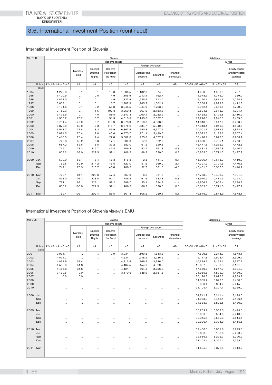**EUROSYSTEM**

# 3.6. International Investment Position (continued)

#### International Investment Position of Slovenia

| Mio EUR |      |                                 |                  |                              | Claims                             |         |                          |            |                          |                          | Liabilities    |                                             |
|---------|------|---------------------------------|------------------|------------------------------|------------------------------------|---------|--------------------------|------------|--------------------------|--------------------------|----------------|---------------------------------------------|
|         |      |                                 |                  |                              | Reserve assets                     |         |                          |            |                          |                          |                | Direct                                      |
|         |      |                                 |                  |                              |                                    |         | Foreign exchange         |            |                          |                          |                |                                             |
|         |      |                                 | Monetary<br>gold | Special<br>Drawing<br>Rights | Reserve<br>Position in<br>the Fund |         | Currency and<br>deposits | Securities | Financial<br>derivatives |                          |                | Equity capital<br>and reinvested<br>eamings |
|         |      | Column $42 = 43 + 44 + 45 + 46$ | 43               | 44                           | 45                                 | 46      | 47                       | 48         | 49                       | $50 = 51 + 56 + 66 + 71$ | $51 = 52 + 53$ | 52                                          |
|         | Code |                                 |                  |                              |                                    |         |                          |            |                          |                          |                |                                             |
| 1994    |      | 1,222.0                         | 0.1              | 0.1                          | 15.3                               | 1,206.5 | 1,132.0                  | 74.5       | $\cdots$                 | 4,230.0                  | 1,080.8        | 787.8                                       |
| 1995    |      | 1,420.9                         | 0.1              | 0.0                          | 14.9                               | 1,405.9 | 1,243.1                  | 162.7      | $\cdots$                 | 4,978.3                  | 1,376.0        | 939.2                                       |
| 1996    |      | 1,853.0                         | 0.1              | 0.1                          | 14.9                               | 1,837.9 | 1,525.9                  | 312.0      | $\cdots$                 | 6,190.1                  | 1,611.6        | 1,028.3                                     |
| 1997    |      | 3,003.1                         | 0.1              | 0.1                          | 15.7                               | 2,987.3 | 1,985.2                  | 1,002.1    | $\cdots$                 | 7,308.7                  | 1,999.8        | 1,412.8                                     |
| 1998    |      | 3,104.6                         | 0.1              | 0.2                          | 55.8                               | 3,048.5 | 1,344.9                  | 1,703.6    | $\cdots$                 | 8,052.4                  | 2,369.5        | 1,720.3                                     |
| 1999    |      | 3,159.3                         | 0.1              | 1.6                          | 107.3                              | 3,050.3 | 867.0                    | 2,183.3    | $\cdots$                 | 9,804.6                  | 2,675.0        | 1,904.7                                     |
| 2000    |      | 3,435.9                         | 0.1              | 4.0                          | 88.5                               | 3,343.3 | 1,060.4                  | 2,282.9    | $\cdots$                 | 11,468.5                 | 3,109.8        | 2,116.9                                     |
| 2001    |      | 4,983.7                         | 76.2             | 5.7                          | 91.3                               | 4,810.5 | 2,153.3                  | 2,657.3    | $\cdots$                 | 12,716.8                 | 2,940.0        | 2,489.0                                     |
| 2002    |      | 6,781.4                         | 79.9             | 6.7                          | 115.9                              | 6,578.9 | 2,510.0                  | 4,068.9    | $\cdots$                 | 14,610.0                 | 3,947.9        | 3,466.2                                     |
| 2003    |      | 6,878.9                         | 80.9             | 7.3                          | 115.7                              | 6,675.0 | 1,634.7                  | 5,040.3    | $\cdots$                 | 17,348.1                 | 5,046.8        | 4,438.6                                     |
| 2004    |      | 6,541.7                         | 77.8             | 8.2                          | 87.9                               | 6,367.9 | 690.3                    | 5,677.6    | $\cdots$                 | 20,001.7                 | 5,579.6        | 4,874.1                                     |
| 2005    |      | 6,894.5                         | 70.4             | 9.8                          | 43.6                               | 6,770.7 | 1,271.1                  | 5,499.6    | $\cdots$                 | 25,522.6                 | 6,133.6        | 5,607.4                                     |
| 2006    |      | 5,418.5                         | 78.4             | 9.4                          | 27.8                               | 5,302.8 | 925.8                    | 4,377.1    | $\cdots$                 | 30,428.1                 | 6,822.3        | 6,283.1                                     |
| 2007    |      | 723.8                           | 58.2             | 8.6                          | 17.1                               | 639.9   | 17.0                     | 622.9      | $\cdots$                 | 41,990.5                 | 9,765.1        | 6,776.0                                     |
| 2008    |      | 687.2                           | 63.6             | 8.5                          | 33.2                               | 582.0   | 61.2                     | 520.8      | $\cdots$                 | 46,477.8                 | 11,236.3       | 7,472.8                                     |
| 2009    |      | 749.1                           | 78.3             | 215.7                        | 45.8                               | 409.2   | 52.7                     | 361.3      | $-4.8$                   | 47,481.3                 | 10,537.8       | 7,440.2                                     |
| 2010    |      | 803.2                           | 108.0            | 229.5                        | 59.1                               | 406.5   | 86.2                     | 320.0      | 0.3                      | 47.865.0                 | 10,771.5       | 7,497.9                                     |
| 2009    | Jun. | 539.0                           | 68.1             | 8.4                          | 46.3                               | 416.3   | 2.8                      | 414.2      | $-0.7$                   | 45,036.4                 | 10,678.0       | 7,419.3                                     |
|         | Sep. | 752.6                           | 69.9             | 214.2                        | 45.5                               | 423.0   | 51.6                     | 369.0      | 2.4                      | 47,791.9                 | 10,701.6       | 7,470.5                                     |
|         | Dec. | 749.1                           | 78.3             | 215.7                        | 45.8                               | 409.2   | 52.7                     | 361.3      | $-4.8$                   | 47,481.3                 | 10,537.8       | 7,440.2                                     |
| 2010    | Mar. | 723.1                           | 84.1             | 223.6                        | 47.4                               | 367.9   | 6.3                      | 361.6      | $\cdots$                 | 47,778.0                 | 10,438.7       | 7,321.8                                     |
|         | Jun. | 838.0                           | 103.3            | 238.8                        | 50.7                               | 445.2   | 61.6                     | 382.8      | 0.8                      | 48,970.5                 | 10,471.9       | 7,294.0                                     |
|         | Sep. | 771.1                           | 98.1             | 226.1                        | 58.2                               | 388.7   | 55.1                     | 334.9      | $-1.4$                   | 48,856.2                 | 10,606.4       | 7,298.8                                     |
|         | Dec. | 803.2                           | 108.0            | 229.5                        | 59.1                               | 406.5   | 86.2                     | 320.0      | 0.3                      | 47,865.0                 | 10,771.5       | 7,497.9                                     |
| 2011    | Mar. | 759.4                           | 103.1            | 209.4                        | 85.5                               | 361.4   | 106.2                    | 250.1      | 5.1                      | 49.875.0                 | 10.848.9       | 7.578.1                                     |

| Mio EUR |      |                                 |                  |                              | Claims                             |          |                          |            |                          |                          | Liabilities    |                                             |
|---------|------|---------------------------------|------------------|------------------------------|------------------------------------|----------|--------------------------|------------|--------------------------|--------------------------|----------------|---------------------------------------------|
|         |      |                                 |                  |                              | Reserve assets                     |          |                          |            |                          |                          |                | Direct                                      |
|         |      |                                 |                  |                              |                                    |          | Foreign exchange         |            |                          |                          |                |                                             |
|         |      |                                 | Monetary<br>gold | Special<br>Drawing<br>Rights | Reserve<br>Position in<br>the Fund |          | Currency and<br>deposits | Securities | Financial<br>derivatives |                          |                | Equity capital<br>and reinvested<br>eamings |
|         |      | Column $42 = 43 + 44 + 45 + 46$ | 43               | 44                           | 45                                 | 46       | 47                       | 48         | 49                       | $50 = 51 + 56 + 66 + 71$ | $51 = 52 + 53$ | 52                                          |
|         | Code |                                 |                  |                              |                                    |          |                          |            |                          |                          |                |                                             |
| 2001    |      | 3.034.1                         | $\cdots$         | $\cdots$                     | 0.0                                | 3,034.1  | 1.190.8                  | 1,843.3    | $\cdots$                 | 7,609.5                  | 2.274.3        | 1.873.1                                     |
| 2002    |      | 4.534.7                         | $\cdots$         | $\cdots$                     | $\cdots$                           | 4,534.7  | 1,248.2                  | 3,286.5    | $\cdots$                 | 9.117.8                  | 2,923.4        | 2,509.9                                     |
| 2003    |      | 4.868.9                         | 53.4             |                              | $\cdots$                           | 4,815.5  | 869.5                    | 3,946.0    | $\cdots$                 | 10,639.3                 | 3.169.1        | 2,727.3                                     |
| 2004    |      | 4,535.9                         | 51.3             | $\cdots$                     | $\cdots$                           | 4,484.5  | 454.6                    | 4,029.9    | $\cdots$                 | 12,637.5                 | 3,753.8        | 3,191.0                                     |
| 2005    |      | 4.455.8                         | 34.8             | $\cdots$                     | $\cdots$                           | 4,421.1  | 664.3                    | 3.756.8    | $\cdots$                 | 17,550.7                 | 4.247.7        | 3,804.2                                     |
| 2006    |      | 3,470.5                         | 0.0              | $\cdots$                     | $\cdots$                           | 3,470.5  | 688.9                    | 2,781.6    | $\cdots$                 | 21,965.6                 | 4,892.0        | 4,439.2                                     |
| 2007    |      | 0.0                             | 0.0              | $\cdots$                     | $\cdots$                           | $\cdots$ | $\cdots$                 | $\cdots$   | $\cdots$                 | 30.128.8                 | 7.675.6        | 4.789.7                                     |
| 2008    |      | $\cdots$                        | $\cdots$         |                              | $\cdots$                           |          |                          | $\cdots$   | $\cdots$                 | 34,683.7                 | 8,826.5        | 5,430.3                                     |
| 2009    |      | $\ddotsc$                       | $\ddotsc$        | $\cdots$                     | $\cdots$                           | $\cdots$ | $\cdots$                 | $\cdots$   | $\cdots$                 | 32.996.4                 | 8.334.2        | 5,415.5                                     |
| 2010    |      | $\cdots$                        |                  | $\cdots$                     |                                    |          |                          |            | $\cdots$                 | 31,104.4                 | 8,327.1        | 5,369.0                                     |
| 2008    | Jun. |                                 |                  |                              |                                    |          |                          |            |                          | 34,741.2                 | 8,211.4        | 5,123.0                                     |
|         | Sep. | $\ddotsc$                       | $\ddotsc$        | $\ddotsc$                    | $\ddotsc$                          | $\cdots$ | $\cdots$                 | $\cdots$   | $\cdots$                 | 34,963.3                 | 8,443.1        | 5,106.4                                     |
|         | Dec. |                                 | $\cdots$         |                              |                                    | $\cdots$ | $\cdots$                 |            | $\cdots$                 | 34,683.7                 | 8,826.5        | 5,430.3                                     |
| 2009    | Mar. |                                 |                  | $\cdots$                     |                                    |          |                          |            | $\cdots$                 | 33,769.2                 | 8,539.0        | 5,445.3                                     |
|         | Jun. |                                 |                  | $\cdots$                     |                                    |          |                          |            | $\cdots$                 | 33.636.8                 | 8,584.5        | 5.410.9                                     |
|         | Sep. |                                 |                  | $\cdots$                     |                                    |          |                          |            | $\cdots$                 | 33,345.5                 | 8,569.3        | 5,514.4                                     |
|         | Dec. |                                 |                  | $\cdots$                     | $\cdots$                           |          | $\cdots$                 |            | $\cdots$                 | 32,996.4                 | 8,334.2        | 5,415.5                                     |
| 2010    | Mar. | $\cdots$                        | $\cdots$         | $\cdots$                     | $\cdots$                           | $\cdots$ | $\cdots$                 | $\cdots$   | $\cdots$                 | 32,468.0                 | 8.081.6        | 5,299.3                                     |
|         | Jun. |                                 | $\cdots$         | $\cdots$                     | $\cdots$                           | $\cdots$ | $\cdots$                 | $\cdots$   | $\cdots$                 | 32,836.5                 | 8,139.6        | 5,293.2                                     |
|         | Sep. |                                 | $\cdots$         |                              | $\cdots$                           | $\cdots$ | $\cdots$                 | $\cdots$   | $\cdots$                 | 32,686.5                 | 8.295.3        | 5,290.9                                     |
|         | Dec. |                                 |                  |                              | $\cdots$                           |          |                          |            | $\cdots$                 | 31,104.4                 | 8,327.1        | 5,369.0                                     |
| 2011    | Mar. | $\ddotsc$                       |                  |                              |                                    |          |                          |            | $\cdots$                 | 31,535.0                 | 8,375.4        | 5,418.2                                     |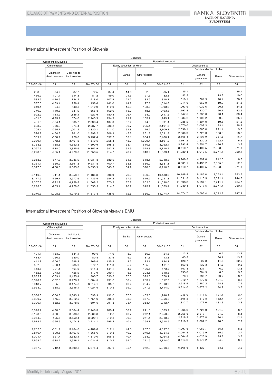#### International Investment Position of Slovenia

|                |                               |                                    |                |         |                             | Liabilities   |                      |          |                           |          |               |
|----------------|-------------------------------|------------------------------------|----------------|---------|-----------------------------|---------------|----------------------|----------|---------------------------|----------|---------------|
|                | investment in Slovenia        |                                    |                |         |                             |               | Portfolio investment |          |                           |          |               |
|                | Other capital                 |                                    |                |         | Equity securities, of which |               |                      |          | Debt securities           |          |               |
|                |                               |                                    |                |         |                             |               |                      |          | Bonds and notes, of which |          |               |
|                | Claims on<br>direct investors | Liabilities to<br>direct investors |                |         | Banks                       | Other sectors |                      |          | General<br>government     | Banks    | Other sectors |
| $53 - 55 + 54$ | 54                            | 55                                 | $56 = 57 + 60$ | 57      | 58                          | 59            | $60 = 61 + 65$       | 61       | 62                        | 63       | 64            |
|                |                               |                                    |                |         |                             |               |                      |          |                           |          |               |
| 293.0          | $-94.7$                       | 387.7                              | 72.5           | 37.4    | 14.6                        | 22.8          | 35.1                 | 35.1     | $\cdots$                  | $\cdots$ | 35.1          |
| 436.9          | $-107.4$                      | 544.3                              | 81.2           | 49.0    | 21.5                        | 27.5          | 32.3                 | 32.3     | $\cdots$                  | 13.3     | 19.0          |
| 583.3          | $-140.9$                      | 724.2                              | 918.0          | 107.9   | 24.3                        | 83.5          | 810.1                | 810.1    | 761.5                     | 20.4     | 28.2          |
| 587.0          | $-169.4$                      | 756.4                              | 1,156.6        | 142.0   | 14.2                        | 127.8         | 1,014.6              | 1,014.6  | 962.9                     | 19.9     | 31.8          |
| 649.1          | $-94.6$                       | 743.8                              | 1,212.9        | 119.0   | 15.3                        | 103.7         | 1,093.9              | 1,093.9  | 1,039.6                   | 20.1     | 34.3          |
| 770.2          | $-110.8$                      | 881.0                              | 1,656.3        | 162.6   | 13.9                        | 148.6         | 1,493.8              | 1,493.8  | 1,430.7                   | 20.1     | 42.9          |
| 992.9          | $-143.2$                      | 1,136.1                            | 1,927.9        | 180.4   | 26.4                        | 154.0         | 1,747.5              | 1,747.5  | 1,688.0                   | 20.1     | 39.4          |
| 451.0          | $-223.1$                      | 674.0                              | 2,143.9        | 194.9   | 11.7                        | 183.2         | 1,949.1              | 1,934.2  | 1,908.2                   | 0.3      | 25.6          |
| 481.6          | $-324.1$                      | 805.7                              | 2,098.4        | 107.0   | 32.2                        | 74.8          | 1,991.4              | 1,935.2  | 1,894.0                   | 19.6     | 21.6          |
| 608.2          | $-366.2$                      | 974.4                              | 2,337.7        | 236.2   | 30.7                        | 205.4         | 2,101.6              | 2,070.0  | 2,008.3                   | 33.4     | 28.3          |
| 705.4          | $-295.7$                      | 1,001.2                            | 2,320.1        | 211.0   | 34.8                        | 176.2         | 2,109.1              | 2,096.1  | 1,865.0                   | 221.4    | 9.7           |
| 526.2          | $-454.8$                      | 981.0                              | 2,398.2        | 306.9   | 45.6                        | 261.3         | 2,091.3              | 2,069.9  | 1,720.3                   | 336.3    | 13.3          |
| 539.1          | $-388.9$                      | 928.0                              | 3,137.4        | 657.2   | 53.1                        | 604.1         | 2,480.1              | 2,456.4  | 2,107.9                   | 331.8    | 16.7          |
| 2,989.1        | $-772.5$                      | 3,761.6                            | 4,549.5        | 1,358.4 | 148.9                       | 1,209.4       | 3,191.2              | 3,191.2  | 2,832.2                   | 352.7    | 6.2           |
| 3,763.5        | $-788.8$                      | 4,552.3                            | 4,590.9        | 598.5   | 58.1                        | 540.5         | 3,992.4              | 3,992.4  | 3,551.7                   | 436.9    | 3.8           |
| 3,097.6        | $-738.0$                      | 3,835.6                            | 9,353.9        | 643.2   | 64.9                        | 578.3         | 8,710.7              | 8,710.7  | 6,406.5                   | 2,033.0  | 271.1         |
| 3,273.6        | $-955.4$                      | 4,229.0                            | 11,753.5       | 714.2   | 70.2                        | 643.9         | 11,039.4             | 11,039.4 | 8,017.5                   | 2,771.7  | 250.1         |
| 3,258.7        | $-677.3$                      | 3,936.0                            | 5,931.3        | 682.9   | 64.8                        | 618.1         | 5,248.3              | 5,248.3  | 4,997.6                   | 242.0    | 8.7           |
| 3,231.1        | $-660.2$                      | 3.891.3                            | 9,231.8        | 700.7   | 63.8                        | 636.9         | 8,531.1              | 8,531.1  | 6,433.2                   | 2,085.3  | 12.6          |
| 3,097.6        | $-738.0$                      | 3,835.6                            | 9,353.9        | 643.2   | 64.9                        | 578.3         | 8,710.7              | 8,710.7  | 6,406.5                   | 2,033.0  | 271.1         |
| 3,116.9        | $-841.4$                      | 3,958.2                            | 11,185.8       | 696.9   | 70.9                        | 626.0         | 10.488.9             | 10,488.9 | 8,182.0                   | 2,053.4  | 253.5         |
| 3,177.9        | $-799.7$                      | 3.977.6                            | 11,735.5       | 684.2   | 67.9                        | 616.2         | 11.051.3             | 11,051.3 | 8,115.3                   | 2,691.4  | 244.7         |
| 3,307.6        | $-822.2$                      | 4,129.8                            | 11,768.2       | 670.2   | 67.7                        | 602.5         | 11,098.0             | 11,098.0 | 8,132.1                   | 2,711.2  | 254.7         |
| 3,273.6        | $-955.4$                      | 4,229.0                            | 11.753.5       | 714.2   | 70.2                        | 643.9         | 11.039.4             | 11,039.4 | 8,017.5                   | 2,771.7  | 250.1         |
| 3,270.7        | $-1,008.8$                    | 4,279.5                            | 14,813.3       | 738.6   | 72.5                        | 666.0         | 14,074.7             | 14,074.7 | 10,795.4                  | 3,032.2  | 247.2         |

|                |                               |                                    |                |       |                             | Liabilities   |                      |         |                           |       |               |
|----------------|-------------------------------|------------------------------------|----------------|-------|-----------------------------|---------------|----------------------|---------|---------------------------|-------|---------------|
|                | investment in Slovenia        |                                    |                |       |                             |               | Portfolio investment |         |                           |       |               |
|                | Other capital                 |                                    |                |       | Equity securities, of which |               |                      |         | Debt securities           |       |               |
|                |                               |                                    |                |       |                             |               |                      |         | Bonds and notes, of which |       |               |
|                | Claims on<br>direct investors | Liabilities to<br>direct investors |                |       | Banks                       | Other sectors |                      |         | General<br>government     | Banks | Other sectors |
|                |                               |                                    |                |       |                             |               |                      |         |                           |       |               |
| $53 = 55 + 54$ | 54                            | 55                                 | $56 = 57 + 60$ | 57    | 58                          | 59            | $60 = 61 + 65$       | 61      | 62                        | 63    | 64            |
|                |                               |                                    |                |       |                             |               |                      |         |                           |       |               |
| 401.1          | $-183.2$                      | 584.4                              | 99.5           | 74.6  | 8.3                         | 66.3          | 24.8                 | 13.3    | $\cdots$                  | 0.2   | 13.2          |
| 413.4          | $-266.6$                      | 680.0                              | 80.8           | 37.5  | 5.7                         | 31.8          | 43.3                 | 43.3    | $\cdots$                  | 30.1  | 13.2          |
| 441.8          | $-206.5$                      | 648.3                              | 269.4          | 135.3 | 3.2                         | 132.1         | 134.1                | 126.7   | 92.8                      | 11.5  | 22.5          |
| 562.8          | $-223.1$                      | 785.9                              | 272.7          | 111.0 | 5.4                         | 105.6         | 161.7                | 153.8   | 132.3                     | 11.8  | 9.6           |
| 443.5          | $-321.4$                      | 764.9                              | 614.4          | 141.1 | 4.6                         | 136.5         | 473.3                | 457.3   | 437.1                     | 6.9   | 13.3          |
| 452.8          | $-273.1$                      | 725.9                              | 1.117.9        | 299.1 | 5.6                         | 293.5         | 818.8                | 795.0   | 784.5                     | 6.8   | 3.7           |
| 2,885.9        | $-569.4$                      | 3.455.4                            | 1.300.7        | 630.6 | 37.0                        | 593.6         | 670.1                | 670.1   | 636.7                     | 29.7  | 3.7           |
| 3.396.1        | $-582.8$                      | 3.978.9                            | 1.604.5        | 291.8 | 38.4                        | 253.4         | 1.312.7              | 1.312.7 | 1.177.6                   | 131.3 | 3.8           |
| 2,918.7        | $-555.6$                      | 3,474.3                            | 3,214.1        | 295.2 | 40.4                        | 254.7         | 2,918.9              | 2,918.9 | 2,882.2                   | 28.8  | 7.9           |
| 2,958.2        | $-688.2$                      | 3,646.4                            | 4,024.5        | 310.5 | 39.0                        | 271.5         | 3,714.0              | 3,714.0 | 3,676.2                   | 34.2  | 3.6           |
|                |                               |                                    |                |       |                             |               |                      |         |                           |       |               |
| 3.088.3        | $-554.8$                      | 3.643.1                            | 1.738.9        | 492.0 | 37.0                        | 455.0         | 1.246.9              | 1,246.9 | 1,111.5                   | 131.7 | 3.7           |
| 3.336.7        | $-575.8$                      | 3.912.5                            | 1.751.6        | 395.3 | 38.3                        | 357.0         | 1.356.2              | 1,356.2 | 1,219.8                   | 132.7 | 3.7           |
| 3,396.1        | $-582.8$                      | 3,978.9                            | 1,604.5        | 291.8 | 38.4                        | 253.4         | 1,312.7              | 1,312.7 | 1,177.6                   | 131.3 | 3.8           |
|                |                               |                                    |                |       |                             |               |                      |         |                           |       |               |
| 3.093.7        | $-470.8$                      | 3.564.4                            | 2.146.3        | 280.4 | 38.9                        | 241.5         | 1.865.9              | 1,865.9 | 1,725.9                   | 131.2 | 8.7           |
| 3.173.6        | $-463.2$                      | 3.636.8                            | 2.569.3        | 312.8 | 40.7                        | 272.1         | 2.256.5              | 2,256.5 | 2,217.1                   | 31.0  | 8.4           |
| 3,054.9        | $-495.5$                      | 3,550.4                            | 3,229.1        | 310.8 | 39.3                        | 271.4         | 2,918.3              | 2.918.3 | 2.875.8                   | 30.4  | 12.1          |
| 2,918.7        | $-555.6$                      | 3,474.3                            | 3,214.1        | 295.2 | 40.4                        | 254.7         | 2,918.9              | 2,918.9 | 2,882.2                   | 28.8  | 7.9           |
|                |                               |                                    |                |       |                             |               |                      |         |                           |       |               |
| 2,782.3        | $-651.7$                      | 3.434.0                            | 4,409.6        | 312.1 | 44.8                        | 267.3         | 4.097.5              | 4,097.5 | 4,053.7                   | 35.1  | 8.6           |
| 2.846.4        | $-620.6$                      | 3.467.0                            | 4.365.6        | 310.8 | 40.7                        | 270.1         | 4.054.8              | 4.054.8 | 4.015.9                   | 35.2  | 3.7           |
| 3,004.4        | $-627.7$                      | 3,632.1                            | 4,370.0        | 305.2 | 40.4                        | 264.9         | 4,064.8              | 4,064.8 | 4,025.9                   | 35.3  | 3.6           |
| 2,958.2        | $-688.2$                      | 3,646.4                            | 4,024.5        | 310.5 | 39.0                        | 271.5         | 3,714.0              | 3,714.0 | 3,676.2                   | 34.2  | 3.6           |
|                |                               |                                    |                |       |                             |               |                      |         |                           |       |               |
| 2.957.2        | $-742.1$                      | 3.699.3                            | 5.674.4        | 307.9 | 35.1                        | 272.8         | 5.366.5              | 5.366.5 | 5,329.1                   | 33.5  | 3.9           |
|                |                               |                                    |                |       |                             |               |                      |         |                           |       |               |
|                |                               |                                    |                |       |                             |               |                      |         |                           |       |               |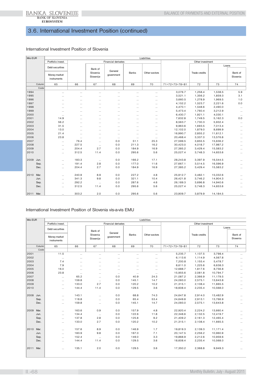**EUROSYSTEM**

# 3.6. International Investment Position (continued)

#### International Investment Position of Slovenia

| Mio EUR      |                             |          |                                  |                      |          | Liabilities   |                          |                  |          |                     |
|--------------|-----------------------------|----------|----------------------------------|----------------------|----------|---------------|--------------------------|------------------|----------|---------------------|
|              | Portfolio invest.           |          |                                  | Financial derivates  |          |               |                          | Other investment |          |                     |
|              | Debt securities             |          |                                  |                      |          |               |                          |                  | Loans    |                     |
|              | Money market<br>instruments |          | Bank of<br>Slovenia<br>Slovenije | General<br>govemment | Banks    | Other sectors |                          | Trade credits    |          | Bank of<br>Slovenia |
| Column       | 65                          | 66       | 67                               | 68                   | 69       | 70            | $71 = 72 + 73 + 78 + 81$ | 72               | 73       | 74                  |
|              | Code                        |          |                                  |                      |          |               |                          |                  |          |                     |
| 1994         | $\cdots$                    | $\cdots$ | $\cdots$                         | $\cdots$             |          | $\cdots$      | 3,076.7                  | 1,258.4          | 1,538.5  | 5.9                 |
| 1995         |                             | $\cdots$ |                                  | $\cdots$             |          | $\cdots$      | 3,521.1                  | 1,356.2          | 1,859.3  | 3.1                 |
| 1996         |                             | $\cdots$ |                                  | $\cdots$             |          | $\cdots$      | 3,660.5                  | 1,278.9          | 1,969.5  | 1.0                 |
| 1997         | $\cdots$                    |          |                                  | $\cdots$             |          | $\cdots$      | 4,152.2                  | 1,523.7          | 2,221.6  | 0.0                 |
| 1998         |                             |          |                                  | $\cdots$             |          | $\ddotsc$     | 4,470.1                  | 1,548.6          | 2,490.0  | $\cdots$            |
| 1999         | $\cdots$                    |          |                                  | $\cdots$             | $\cdots$ | $\cdots$      | 5,473.4                  | 1,760.4          | 3,212.9  | $\cdots$            |
| 2000         | $\ldots$                    |          |                                  | $\cdots$             |          | $\cdots$      | 6,430.7                  | 1,921.1          | 4,030.1  | $\cdots$            |
| 2001         | 14.9                        |          |                                  | $\cdots$             |          | $\cdots$      | 7,632.8                  | 1,749.5          | 5,162.3  | 0.0                 |
| 2002         | 56.2                        |          |                                  | $\cdots$             |          | $\cdots$      | 8,563.7                  | 1,730.3          | 5,932.4  | $\cdots$            |
| 2003         | 31.5                        | $\cdots$ | $\cdots$                         | $\cdots$             | $\cdots$ | $\cdots$      | 9,963.6                  | 1,693.5          | 7,013.4  | $\cdots$            |
| 2004         | 13.0                        | $\cdots$ |                                  | $\cdots$             |          | $\cdots$      | 12,102.0                 | 1,879.0          | 8,699.9  |                     |
| 2005         | 21.4                        | $\cdots$ |                                  | $\cdots$             |          | $\cdots$      | 16,990.7                 | 2,855.2          | 11,612.1 |                     |
| 2006         | 23.8                        | $\cdots$ | $\cdots$                         | $\cdots$             | $\cdots$ | $\cdots$      | 20,468.4                 | 3,337.0          | 13,576.8 | $\cdots$            |
| 2007         |                             | 76.4     | $\cdots$                         | 0.0                  | 51.1     | 25.3          | 27,599.5                 | 3,855.5          | 15,636.2 | $\cdots$            |
| 2008         | $\cdots$                    | 227.5    | $\cdots$                         | 0.0                  | 211.3    | 16.2          | 30,423.0                 | 4,018.7          | 17,987.2 | $\cdots$            |
| 2009         | $\cdots$                    | 204.4    | 2.7                              | 0.0                  | 184.9    | 16.9          | 27,385.2                 | 3,429.4          | 15,583.2 | $\cdots$            |
| 2010         | $\cdots$                    | 312.5    | 11.4                             | 0.0                  | 295.6    | 5.6           | 25,027.4                 | 3,748.3          | 14,653.6 |                     |
| 2009<br>Jun. |                             | 183.3    | $\cdots$                         | 0.0                  | 166.2    | 17.1          | 28,243.8                 | 3,397.9          | 16,544.5 |                     |
| Sep.         | $\cdots$                    | 191.4    | 2.8                              | 0.0                  | 177.0    | 11.6          | 27,667.1                 | 3,514.5          | 16,596.9 | $\cdots$            |
| Dec.         | $\cdots$                    | 204.4    | 2.7                              | 0.0                  | 184.9    | 16.9          | 27,385.2                 | 3,429.4          | 15,583.2 |                     |
| 2010<br>Mar. | $\cdots$                    | 240.9    | 8.9                              | 0.0                  | 227.2    | 4.8           | 25,912.7                 | 3,482.1          | 15,032.6 |                     |
| Jun.         | $\cdots$                    | 341.3    | 9.8                              | 0.0                  | 321.1    | 10.4          | 26,421.8                 | 3,746.2          | 14,904.3 | $\cdots$            |
| Sep.         |                             | 292.2    | $\cdots$                         | 0.0                  | 287.6    | 4.6           | 26,189.3                 | 3,696.8          | 14,940.6 | $\cdots$            |
| Dec.         |                             | 312.5    | 11.4                             | 0.0                  | 295.6    | 5.6           | 25,027.4                 | 3,748.3          | 14,653.6 | $\cdots$            |
| 2011<br>Mar. |                             | 303.2    | 2.0                              | 0.0                  | 295.6    | 5.6           | 23.909.7                 | 3.879.9          | 14,184.5 |                     |

| Mio EUR   |        |                             |          |                                  |                       |          | Liabilities   |                          |                  |          |                     |
|-----------|--------|-----------------------------|----------|----------------------------------|-----------------------|----------|---------------|--------------------------|------------------|----------|---------------------|
|           |        | Portfolio invest.           |          |                                  | Financial derivates   |          |               |                          | Other investment |          |                     |
|           |        | Debt securities             |          |                                  |                       |          |               |                          |                  |          | Loans               |
|           |        | Money market<br>instruments |          | Bank of<br>Slovenia<br>Slovenije | General<br>government | Banks    | Other sectors |                          | Trade credits    |          | Bank of<br>Slovenia |
|           | Column | 65                          | 66       | 67                               | 68                    | 69       | 70            | $71 = 72 + 73 + 78 + 81$ | 72               | 73       | 74                  |
|           | Code   |                             |          |                                  |                       |          |               |                          |                  |          |                     |
| 2001      |        | 11.5                        | $\cdots$ | $\cdots$                         | $\cdots$              | $\cdots$ | $\cdots$      | 5,235.7                  | 1,137.5          | 3,798.4  | $\cdots$            |
| 2002      |        | $\ldots$                    | $\cdots$ | $\cdots$                         | $\cdots$              | $\cdots$ | $\cdots$      | 6,113.6                  | 1,114.9          | 4,567.8  | $\cdots$            |
| 2003      |        | 7.4                         |          | $\cdots$                         | $\cdots$              | $\cdots$ | $\cdots$      | 7,200.8                  | 1,155.4          | 5,478.7  | $\cdots$            |
| 2004      |        | 7.9                         | $\cdots$ | $\cdots$                         | $\cdots$              | $\cdots$ | $\cdots$      | 8,611.0                  | 1,225.6          | 6,638.3  | $\cdots$            |
| 2005      |        | 16.0                        | $\cdots$ | $\cdots$                         | $\cdots$              | $\cdots$ | $\cdots$      | 12,688.7                 | 1,817.6          | 8,756.8  | $\cdots$            |
| 2006      |        | 23.8                        | $\cdots$ | $\cdots$                         | $\cdots$              | $\cdots$ | $\cdots$      | 15,955.6                 | 2,081.8          | 10,794.7 | $\cdots$            |
| 2007      |        | $\cdots$                    | 65.2     | $\cdots$                         | 0.0                   | 40.9     | 24.3          | 21,087.2                 | 2,366.9          | 11,179.5 | $\cdots$            |
| 2008      |        | $\cdots$                    | 159.8    | $\cdots$                         | 0.0                   | 145.1    | 14.7          | 24,093.0                 | 2,575.1          | 13,643.8 | $\cdots$            |
| 2009      |        | $\cdots$                    | 133.0    | 2.7                              | 0.0                   | 120.2    | 10.2          | 21,315.1                 | 2,108.4          | 11,665.5 |                     |
| 2010      |        | $\cdots$                    | 144.4    | 11.4                             | 0.0                   | 129.5    | 3.6           | 18,608.4                 | 2,235.4          | 10,568.0 | $\cdots$            |
| 2008      | Jun.   | $\cdots$                    | 143.1    | $\cdots$                         | 0.0                   | 68.8     | 74.3          | 24,647.8                 | 2,914.0          | 13,482.9 | $\cdots$            |
|           | Sep.   | $\cdots$                    | 118.8    | $\cdots$                         | 0.0                   | 65.4     | 53.4          | 24,649.8                 | 2,913.1          | 13,766.9 |                     |
|           | Dec.   | $\cdots$                    | 159.8    | $\cdots$                         | 0.0                   | 145.1    | 14.7          | 24,093.0                 | 2,575.1          | 13,643.8 |                     |
| 2009      | Mar.   | $\cdots$                    | 163.6    | 0.9                              | 0.0                   | 157.9    | 4.8           | 22,920.4                 | 2,224.2          | 13,660.4 |                     |
|           | Jun.   | $\cdots$                    | 134.4    | $\cdots$                         | 0.0                   | 122.6    | 11.8          | 22,348.6                 | 2,132.5          | 12,419.7 |                     |
|           | Sep.   | $\cdots$                    | 137.8    | 2.8                              | 0.0                   | 125.8    | 9.2           | 21,409.2                 | 2,161.3          | 12,465.4 |                     |
|           | Dec.   | $\cdots$                    | 133.0    | 2.7                              | 0.0                   | 120.2    | 10.2          | 21,315.1                 | 2,108.4          | 11,665.5 |                     |
| 2010      | Mar.   | $\cdots$                    | 157.6    | 8.9                              | 0.0                   | 146.9    | 1.7           | 19,819.3                 | 2,139.3          | 11,171.4 |                     |
|           | Jun.   | $\cdots$                    | 183.9    | 9.8                              | 0.0                   | 167.0    | 7.1           | 20.147.5                 | 2,256.2          | 10,960.9 |                     |
|           | Sep.   | $\cdots$                    | 152.4    | $\cdots$                         | 0.0                   | 149.0    | 3.3           | 19,868.9                 | 2,212.6          | 10,959.6 |                     |
|           | Dec.   | $\cdots$                    | 144.4    | 11.4                             | 0.0                   | 129.5    | 3.6           | 18,608.4                 | 2,235.4          | 10,568.0 | $\cdots$            |
| 2011 Mar. |        | $\cdots$                    | 135.1    | 2.0                              | 0.0                   | 129.5    | 3.6           | 17,350.2                 | 2,368.8          | 9,949.3  | $\cdots$            |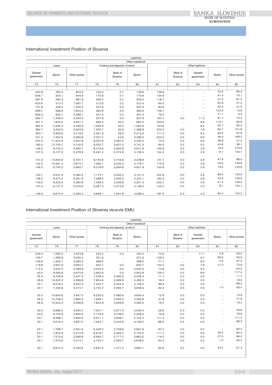#### International Investment Position of Slovenia

|                       |          |               |         |                                 | Liabilities      |       |                     |                       |       |               |
|-----------------------|----------|---------------|---------|---------------------------------|------------------|-------|---------------------|-----------------------|-------|---------------|
|                       |          |               |         |                                 | Other investment |       |                     |                       |       |               |
|                       | Loans    |               |         | Currency and deposits, of which |                  |       |                     | Other liabilities     |       |               |
| General<br>government | Banks    | Other sectors |         | Bank of<br>Slovenia             | Banks            |       | Bank of<br>Slovenia | General<br>government | Banks | Other sectors |
| 75                    | 76       | 77            | 78      | 79                              | 80               | 81    | 82                  | 83                    | 84    | 85            |
|                       |          |               |         |                                 |                  |       |                     |                       |       |               |
| 464.8                 | 264.3    | 803.5         | 140.0   | 0.1                             | 139.9            | 139.9 | $\cdots$            | $\cdots$              | 53.5  | 86.4          |
| 608.7                 | 303.1    | 944.4         | 170.9   | 0.1                             | 170.8            | 134.6 | $\cdots$            | $\cdots$              | 61.4  | 73.1          |
| 587.6                 | 493.3    | 887.6         | 293.4   | 0.2                             | 293.2            | 118.7 | $\cdots$            | $\cdots$              | 57.2  | 61.5          |
| 620.6                 | 513.3    | 1,087.7       | 312.6   | 0.2                             | 312.4            | 94.3  | $\cdots$            | $\cdots$              | 62.8  | 31.5          |
| 701.8                 | 458.3    | 1,330.0       | 347.9   | 0.3                             | 347.6            | 83.6  | $\cdots$            | $\cdots$              | 62.5  | 21.0          |
| 699.7                 | 688.9    | 1,824.2       | 363.9   | 0.3                             | 363.6            | 136.1 | $\cdots$            | $\cdots$              | 122.5 | 13.6          |
| 809.3                 | 922.7    | 2,298.1       | 401.3   | 0.0                             | 401.3            | 78.2  | $\cdots$            | $\cdots$              | 71.7  | 6.5           |
| 582.7                 | 1,329.0  | 3,250.5       | 557.9   | 0.0                             | 557.9            | 163.1 | 0.0                 | 11.3                  | 81.7  | 70.2          |
| 467.7                 | 1,633.0  | 3,831.7       | 695.5   | 33.2                            | 662.3            | 205.5 | $\cdots$            | 9.8                   | 110.1 | 85.6          |
| 382.4                 | 2,284.3  | 4,346.8       | 1,093.9 | 30.3                            | 1,063.6          | 162.8 | $\cdots$            | 8.4                   | 64.1  | 90.4          |
| 380.7                 | 3,255.5  | 5,063.8       | 1,322.7 | 35.8                            | 1,286.8          | 200.4 | 0.0                 | 7.9                   | 90.7  | 101.9         |
| 363.1                 | 5,929.6  | 5,319.5       | 2,351.9 | 39.3                            | 2,312.6          | 171.5 | 0.0                 | 9.4                   | 64.5  | 97.6          |
| 241.3                 | 7,354.6  | 5,980.9       | 3,331.2 | 44.6                            | 3,286.5          | 223.4 | 0.0                 | 8.9                   | 46.2  | 168.2         |
| 203.4                 | 11,374.9 | 4,057.9       | 8,037.6 | 3,587.5                         | 4,450.0          | 70.2  | 0.0                 | 0.0                   | 38.8  | 31.5          |
| 180.0                 | 12.704.7 | 5.102.5       | 8.332.7 | 3,631.4                         | 4.701.3          | 84.5  | 0.0                 | 4.2                   | 43.6  | 36.7          |
| 149.3                 | 9,740.2  | 5,693.7       | 8,216.6 | 3,594.8                         | 4,621.8          | 155.9 | 0.2                 | 2.9                   | 19.2  | 133.6         |
| 147.0                 | 9,127.0  | 5,379.6       | 6,481.3 | 2,374.9                         | 4,106.4          | 144.2 | 0.0                 | 2.0                   | 8.1   | 134.1         |
| 151.3                 | 10.605.6 | 5.787.7       | 8,153.8 | 3,744.9                         | 4,408.9          | 147.7 | 0.0                 | 3.9                   | 47.8  | 96.0          |
| 142.5                 | 10,481.3 | 5,973.1       | 7,382.1 | 3,205.4                         | 4.176.7          | 173.6 | 0.0                 | 3.9                   | 20.0  | 149.6         |
| 149.3                 | 9,740.2  | 5,693.7       | 8,216.6 | 3,594.8                         | 4,621.8          | 155.9 | 0.2                 | 2.9                   | 19.2  | 133.6         |
| 140.7                 | 9,531.4  | 5,360.5       | 7,175.1 | 3,034.2                         | 4,141.0          | 222.9 | 0.0                 | 2.9                   | 86.3  | 133.6         |
| 138.2                 | 9,474.3  | 5,291.8       | 7,589.0 | 3,365.0                         | 4,224.1          | 182.3 | 0.0                 | 2.9                   | 42.9  | 136.5         |
| 133.2                 | 9,423.4  | 5,383.9       | 7,348.3 | 3,026.9                         | 4,321.3          | 203.7 | 0.0                 | 2.9                   | 41.4  | 159.4         |
| 147.0                 | 9,127.0  | 5,379.6       | 6,481.3 | 2,374.9                         | 4,106.4          | 144.2 | 0.0                 | 2.0                   | 8.1   | 134.1         |
| 146.8                 | 8,574.5  | 5,463.2       | 5,658.1 | 1,561.6                         | 4,096.5          | 187.3 | 0.0                 | 2.0                   | 60.2  | 125.2         |

|                       |              |               |         |                                 | Liabilities      |       |                     |                       |          |               |
|-----------------------|--------------|---------------|---------|---------------------------------|------------------|-------|---------------------|-----------------------|----------|---------------|
|                       |              |               |         |                                 | Other investment |       |                     |                       |          |               |
|                       | Loans        |               |         | Currency and deposits, of which |                  |       |                     | Other liabilities     |          |               |
| General<br>government | <b>Banks</b> | Other sectors |         | Bank of<br>Slovenia             | <b>Banks</b>     |       | Bank of<br>Slovenia | General<br>government | Banks    | Other sectors |
| 75                    | 76           | 77            | 78      | 79                              | 80               | 81    | 82                  | 83                    | 84       | 85            |
|                       |              |               |         |                                 |                  |       |                     |                       |          |               |
| 209.3                 | 1.065.3      | 2,523.8       | 225.2   | 0.0                             | 225.2            | 74.6  | $\cdots$            | 11.1                  | 4.9      | 58.5          |
| 165.7                 | 1,366.8      | 3,035.4       | 321.6   | $\cdots$                        | 321.6            | 109.2 |                     | 9.7                   | 36.6     | 63.0          |
| 129.6                 | 1,953.7      | 3,395.5       | 489.0   | $\cdots$                        | 489.0            | 77.7  | $\cdots$            | 8.3                   | 2.0      | 67.5          |
| 119.8                 | 2.667.8      | 3,850.7       | 642.7   | 0.0                             | 642.7            | 104.4 | 0.0                 | 7.8                   | 21.0     | 75.6          |
| 113.0                 | 4,554.0      | 4,089.8       | 2,040.5 | 0.0                             | 2,040.5          | 73.8  | 0.0                 | 9.3                   | $\cdots$ | 64.5          |
| 40.5                  | 6,083.6      | 4,670.6       | 2,952.9 | 0.0                             | 2,952.9          | 126.2 | 0.0                 | 8.8                   | $\cdots$ | 117.4         |
| 35.4                  | 8.706.6      | 2,437.5       | 7,529.0 | 3,490.6                         | 4,038.4          | 11.7  | 0.0                 | 0.0                   | $\cdots$ | 11.7          |
| 28.6                  | 10,525.3     | 3.089.8       | 7.854.9 | 3.569.8                         | 4,285.0          | 19.2  | 0.0                 | 0.0                   | $\cdots$ | 19.2          |
| 20.1                  | 8,018.4      | 3,627.0       | 7,452.7 | 3,344.6                         | 4,108.0          | 88.5  | 0.2                 | 0.0                   | $\cdots$ | 88.3          |
| 20.1                  | 7,234.8      | 3,313.1       | 5,740.7 | 2,092.7                         | 3,648.0          | 64.3  | 0.0                 | 0.0                   | 1.0      | 63.4          |
| 32.3                  | 10,603.6     | 2,847.0       | 8,235.0 | 3,580.6                         | 4,654.4          | 15.9  | 0.0                 | 0.0                   | $\cdots$ | 15.9          |
| 28.5                  | 10.758.0     | 2.980.3       | 7.948.1 | 3.584.3                         | 4,363.8          | 21.8  | 0.0                 | 0.0                   | $\cdots$ | 21.8          |
| 28.6                  | 10,525.3     | 3,089.8       | 7,854.9 | 3,569.8                         | 4,285.0          | 19.2  | 0.0                 | 0.0                   | $\cdots$ | 19.2          |
| 23.5                  | 9,986.5      | 3.650.4       | 7,007.1 | 2.971.5                         | 4,035.5          | 28.8  | 0.0                 | 0.0                   | $\cdots$ | 28.8          |
| 23.5                  | 8.702.9      | 3.693.3       | 7.716.5 | 3.708.0                         | 4.008.5          | 79.9  | 0.0                 | 0.0                   | $\cdots$ | 79.9          |
| 20.1                  | 8,588.7      | 3,856.6       | 6,671.1 | 2,938.7                         | 3,732.4          | 111.4 | 0.0                 | 0.0                   | $\cdots$ | 111.4         |
| 20.1                  | 8,018.4      | 3,627.0       | 7,452.7 | 3,344.6                         | 4,108.0          | 88.5  | 0.2                 | 0.0                   | $\cdots$ | 88.3          |
| 20.1                  | 7,789.7      | 3,361.6       | 6,426.3 | 2,758.8                         | 3,667.6          | 82.3  | 0.0                 | 0.0                   | $\cdots$ | 82.3          |
| 20.1                  | 7,625.8      | 3,314.9       | 6,818.7 | 3,094.4                         | 3,724.2          | 111.7 | 0.0                 | 0.0                   | 28.3     | 83.4          |
| 20.1                  | 7,570.6      | 3.368.9       | 6,580.7 | 2,717.2                         | 3.863.5          | 116.0 | 0.0                 | 0.0                   | 27.0     | 89.0          |
| 20.1                  | 7,234.8      | 3.313.1       | 5.740.7 | 2.092.7                         | 3.648.0          | 64.3  | 0.0                 | 0.0                   | 1.0      | 63.4          |
| 20.1                  | 6,673.4      | 3.255.8       | 4.937.5 | 1.277.4                         | 3.660.1          | 94.6  | 0.0                 | 0.0                   | 33.2     | 61.4          |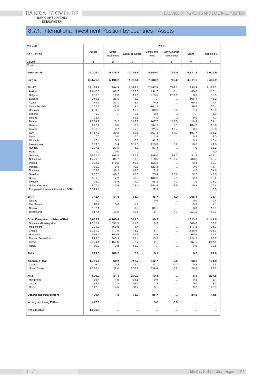**EUROSYSTEM**

# 3.7.1. International Investment Position by countries - Assets

| Mio EUR                                 |          |                      |                   |                    | Of that:                    |                |                |
|-----------------------------------------|----------|----------------------|-------------------|--------------------|-----------------------------|----------------|----------------|
| 31.12.2010                              | Assets   | Direct<br>investment | Equity securities | Bonds and<br>notes | Money market<br>instruments | Loans          | Trade credits  |
| Column                                  | 1        | $\overline{c}$       | 3                 | 4                  | 5                           | $\overline{6}$ | $\overline{7}$ |
| Code                                    |          |                      |                   |                    |                             |                |                |
| <b>Total world</b>                      | 35,209.1 | 5,518.5              | 2,793.5           | 8,340.0            | 767.0                       | 4,111.2        | 3,936.9        |
| Europe                                  | 30,576.9 | 5,196.2              | 1,787.6           | 7,583.2            | 766.2                       | 4,011.8        | 3,487.9        |
| EU-27                                   | 21,168.8 | 984.2                | 1,393.2           | 7,497.9            | 759.2                       | 933.2          | 2,175.2        |
| Austria                                 | 1,640.5  | 86.7                 | 262.5             | 492.7              | 5.1                         | 88.6           | 213.1          |
| Belgium                                 | 656.0    | 2.3                  | 11.3              | 215.5              | 209.5                       | 0.9            | 36.0           |
| Bulgaria                                | 219.5    | 26.5                 | 3.9               |                    |                             | 106.1          | 45.2           |
| Cyprus                                  | 74.5     | $-27.1$              | 3.7               | 16.8               | $\ddotsc$                   | 65.2           | 15.4           |
| Czech Republic                          | 261.6    | 47.6                 | 4.1               | 101.2              |                             | 36.8           | 66.1           |
| Denmark                                 | 209.9    | 17.6                 | 10.9              | 66.6               | 0.0                         | 1.1            | 19.0           |
| Estionia                                | 5.9      |                      | 0.8               | 0.0                | $\ddotsc$                   | $\cdots$       | 5.0            |
| Finland                                 | 105.1    | 1.1                  | 11.6              | 74.0               | $\cdots$                    | 0.0            | 7.7            |
| France                                  | 2,234.2  | 20.2                 | 215.9             | 1,407.7            | 213.5                       | 10.9           | 154.1          |
| Greece                                  | 672.7    | 6.6                  | 8.6               | 534.2              | 0.0                         | 104.0          | 18.6           |
| Ireland                                 | 303.0    | 0.7                  | 25.0              | 221.5              | 18.7                        | 0.3            | 30.8           |
| Italy                                   | 1,417.6  | 39.2                 | 50.8              | 567.3              | 53.9                        | 107.7          | 461.2          |
| Latvia                                  | 7.0      | 0.0                  | 0.0               | 2.8                |                             | 0.8            | 3.0            |
| Lithuania                               | 47.4     | 0.3                  | 0.6               | 32.5               | $\cdots$                    | 0.1            | 13.4           |
| Luxembourg                              | 569.3    | 5.4                  | 301.8             | 113.0              | 0.2                         | 16.0           | 44.8           |
| Hungary                                 | 207.8    | 23.5                 | 8.2               | 87.4               | $\ddotsc$                   | 1.0            | 85.2           |
| Malta                                   | 1.0      | 0.0                  |                   |                    | $\cdots$                    |                | 1.0            |
| Germany                                 | 2,991.1  | 198.3                | 261.7             | 1,488.0            | 72.3                        | 51.3           | 457.1          |
| Netherlands                             | 1,771.0  | 300.7                | 36.3              | 713.5              | 159.7                       | 288.3          | 45.7           |
| Poland                                  | 382.6    | 110.2                | 10.8              | 158.2              | $\ddotsc$                   | 13.4           | 88.7           |
| Portugal                                | 135.2    | 0.5                  | 0.6               | 122.8              | $\cdots$                    | 0.0            | 11.1           |
| Romania                                 | 165.8    | 36.2                 | 13.0              | 7.9                | $\cdots$                    | 4.0            | 104.6          |
| Slovakia                                | 207.6    | 46.7                 | 20.5              | 73.4               | 10.9                        | 12.7           | 42.8           |
| Spain                                   | 551.0    | 17.2                 | 23.2              | 432.6              | 5.5                         | 2.1            | 52.2           |
| Sweden                                  | 195.0    | 15.8                 | 4.0               | 86.2               | 7.0                         | 1.9            | 28.2           |
| United Kingdom                          | 807.4    | 7.9                  | 103.4             | 454.8              | 2.9                         | 19.8           | 125.4          |
| European Union Institutions (incl. ECB) | 5,329.1  |                      |                   | 27.3               | $\cdots$                    |                | 0.0            |
| <b>EFTA</b>                             | 742.4    | 51.6                 | 75.1              | 45.7               | 7.0                         | 265.4          | 171.1          |
| Iceland                                 | 1.0      | $\ddotsc$            | $\ddotsc$         | 0.6                | $\ddotsc$                   | 0.0            | 0.4            |
| Liechtenstein                           | 16.9     | 3.6                  | 1.1               | $\cdots$           | $\cdots$                    | 10.9           | 1.1            |
| Norway                                  | 107.1    |                      | 3.9               | 33.1               | $\cdots$                    | 0.0            | 10.6           |
| Switzerland                             | 617.4    | 48.0                 | 70.1              | 12.1               | 7.0                         | 254.5          | 158.9          |
| Other European countries, of that       | 8,665.7  | 4,160.4              | 319.3             | 39.5               | $\ddotsc$                   | 2,813.3        | 1,141.6        |
| Bosnia and Herzegovina                  | 1,332.7  | 656.5                | 41.1              | 0.3                | $\cdots$                    | 386.9          | 182.7          |
| Montenegro                              | 394.9    | 169.8                | 4.4               | 1.1                | $\cdots$                    | 177.5          | 34.9           |
| Croatia                                 | 2,761.9  | 1,117.9              | 48.9              | 8.1                | $\cdots$                    | 1,139.9        | 395.7          |
| Macedonia                               | 535.1    | 350.9                | 24.6              | 5.6                |                             | 65.4           | 51.9           |
| Russian Federation                      | 715.3    | 345.3                | 83.4              | 20.3               | $\cdots$                    | 124.2          | 128.8          |
| Serbia                                  | 2,684.1  | 1,459.0              | 97.7              | 2.1                |                             | 867.1          | 241.5          |
| Turkey                                  | 66.2     | 10.8                 | 15.3              | $\cdots$           | $\cdots$                    | 0.5            | 39.5           |
| Africa                                  | 299.3    | 209.2                | 6.8               | 8.1                | $\ddotsc$                   | 0.2            | 74.9           |
| America, of that                        | 1,766.3  | 60.2                 | 712.7             | 642.7              | 0.8                         | 68.6           | 134.9          |
| Canada                                  | 106.0    | 10.2                 | 44.0              | 27.7               | 0.0                         | 0.3            | 4.9            |
| <b>United States</b>                    | 1,392.1  | 29.0                 | 603.9             | 539.4              | 0.8                         | 29.5           | 79.2           |
| Asia                                    | 599.7    | 51.1                 | 270.7             | 19.3               |                             | 6.4            | 227.8          |
| Hong Kong                               | 65.4     | 1.6                  | 53.6              | 0.9                | $\ddot{\phantom{a}}$        | 0.2            | 6.1            |
| Japan                                   | 38.7     | 2.4                  | 26.3              | 2.2                |                             | 0.0            | 3.7            |
| China                                   | 147.5    | 14.5                 | 88.4              | 3.1                | $\cdots$                    | 0.2            | 40.8           |
| Oceania and Polar regions               | 199.4    | 1.8                  | 15.7              | 86.7               | $\ddotsc$                   | 24.2           | 11.5           |
| Int. org. excluding EU Inst.            | 447.6    |                      |                   | 0.0                | 0.0                         | $\ddotsc$      |                |
| Not allocated                           | 1,320.0  |                      |                   |                    | $\cdots$                    |                | $\cdots$       |
|                                         |          |                      |                   |                    |                             |                |                |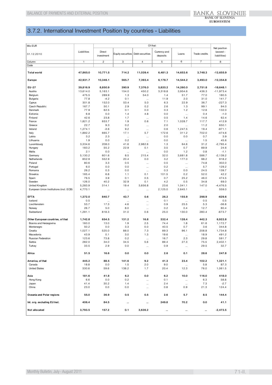# 3.7.2. International Investment Position by countries - Liabilities

| Mio EUR                                 |                |                      |                                     |                | Of that:                 |                    |                      |                                          |
|-----------------------------------------|----------------|----------------------|-------------------------------------|----------------|--------------------------|--------------------|----------------------|------------------------------------------|
| 31.12.2010                              | Liabilities    | Direct<br>investment | Equity securities   Debt securities |                | Currency and<br>deposits | Loans              | <b>Trade credits</b> | Net position<br>(assest-<br>liabilities) |
|                                         |                |                      |                                     |                |                          |                    |                      |                                          |
| Column                                  | $\mathbf{1}$   | $\overline{c}$       | 3                                   | $\overline{4}$ | 5                        | $\overline{6}$     | $\overline{7}$       | 8                                        |
| Code                                    |                |                      |                                     |                |                          |                    |                      |                                          |
| <b>Total world</b>                      | 47.865.0       | 10,771.5             | 714.2                               | 11,039.4       | 6,481.3                  | 14,653.6           | 3,748.3              | $-12,655.9$                              |
| Europe                                  | 42,931.7       | 10,346.1             | 565.7                               | 7,393.4        | 6,178.7                  | 14,544.2           | 3,493.0              | $-12,354.8$                              |
| EU-27                                   | 39,816.9       | 8,850.9              | 390.9                               | 7,376.0        | 5,820.2                  | 14,260.0           | 2,751.8              | $-18,648.1$                              |
| Austria                                 | 13,614.0       | 5,163.1              | 154.0                               | 450.2          | 3,318.8                  | 3,954.6            | 436.3                | $-11,973.4$                              |
| Belgium                                 | 475.5          | 289.9                | 1.3                                 | 54.0           | 1.4                      | 51.7               | 77.0                 | 180.5                                    |
| Bulgaria                                | 77.8           | $-4.2$               | 0.1                                 |                | 11.9                     | 2.0                | 31.0                 | 141.7                                    |
| Cyprus                                  | 301.8          | 152.0                | 53.4                                | 5.0            | 6.3                      | 22.9               | 36.7                 | $-227.3$                                 |
| Czech Republic                          | 167.7          | 50.1                 | 2.9                                 | 0.2            | 2.6                      | 1.3                | 99.1                 | 94.0                                     |
| Denmark                                 | 77.9           | 62.5                 | 0.1                                 | 0.0            | 0.3                      | 1.2                | 12.6                 | 132.0                                    |
| Estionia                                | 6.8            | 0.0                  | 1.4                                 | 4.8            | 0.0                      |                    | 0.4                  | $-1.0$                                   |
| Finland                                 | 42.6           | 23.8                 | 1.7                                 | $\ddotsc$      | 0.5                      | 1.4                | 14.6                 | 62.4                                     |
| France                                  | 1,821.2        | 653.7                | 1.9                                 | 0.6            | 7.1                      | 1,028.7            | 117.7                | 412.9                                    |
| Greece                                  | 22.7           | 9.3                  | 0.2                                 | $\ddotsc$      | 2.0                      | $\ddotsc$          | 11.2                 | 650.1                                    |
| Ireland                                 | 1,274.1        | $-3.6$               | 9.2                                 | $\ddotsc$      | 0.6                      | 1,247.5            | 19.4                 | $-971.1$                                 |
| Italy                                   | 1,892.2        | 665.7                | 17.1                                | 5.7            | 172.6                    | 311.2              | 702.0                | $-474.6$                                 |
| Latvia                                  | 3.2            | 2.3                  | $\cdots$                            |                | 0.0                      | 0.0                | 0.7                  | 3.9                                      |
| Lithuania                               | 1.9            | 0.0                  | 0.2                                 | $\ddotsc$      | 0.0                      | $\ddotsc$          | 1.5                  | 45.6                                     |
| Luxembourg                              | 3,334.6        | 208.0                | 41.6                                | 2,982.6        | 1.3                      | 64.6               | 31.2                 | $-2,765.4$                               |
| Hungary                                 | 183.2          | 55.2                 | 22.9                                | 0.1            | 3.5                      | 0.7                | 89.9                 | 24.6                                     |
| Malta                                   | 2.1            | 0.0                  |                                     |                | 0.0                      | 1.2                | 0.8                  | $-1.1$                                   |
| Germany                                 | 5,130.2        | 601.6                | 8.5                                 | 215.4          | 32.0                     | 3,681.8            | 586.7                | $-2,139.2$                               |
| Netherlands                             | 852.9          | 552.9                | 20.4                                | 0.0            | 3.2                      | 177.0              | 98.2                 | 918.2                                    |
| Poland                                  | 80.6           | 3.3                  | 0.5                                 |                | 0.5                      | $\cdots$           | 74.8                 | 302.0                                    |
| Portugal                                | 6.0            | 0.0                  | 0.0                                 |                | 0.2                      | $\cdots$           | 5.7                  | 129.2                                    |
| Romania                                 | 26.2           | 0.3                  | 0.0                                 | $\cdots$       | 0.3                      | 0.0                | 24.5                 | 139.7                                    |
| Slovakia                                | 165.4          | 6.8                  | 1.1                                 | 0.1            | 101.5                    | 0.2                | 52.0                 | 42.2                                     |
| Spain                                   | 76.5           | 3.9                  | 0.1                                 | 0.5            | 0.7                      | 25.2               | 46.0                 | 474.5                                    |
| Sweden                                  | 126.0          | 40.2                 | 32.9                                | 0.1            | 4.2                      | 0.5                | 34.8                 | 69.0                                     |
| United Kingdom                          | 5,283.9        | 314.1                | 19.4                                | 3,656.8        | 23.6                     | 1,041.1            | 147.0                | $-4,476.5$                               |
| European Union Institutions (incl. ECB) | 4,770.1        | $\cdots$             | $\cdots$                            |                | 2,125.0                  | 2,645.1            | $\cdots$             | 559.0                                    |
| <b>EFTA</b><br>Iceland                  | 1,372.0<br>0.5 | 840.7<br>$\cdots$    | 43.7<br>$\ddotsc$                   | 0.6<br>        | 26.2<br>0.1              | 155.9<br>$\ddotsc$ | 298.9<br>0.5         | $-629.6$<br>0.5                          |
| Liechtenstein                           | 53.7           | 17.3                 | 4.6                                 |                | 0.9                      | 25.5               | 5.3                  | $-36.8$                                  |
| Norway                                  | 26.7           | 5.0                  | 8.0                                 | <br>           | 0.2                      | 0.4                | 12.7                 | 80.4                                     |
| Switzerland                             | 1,291.1        | 818.3                | 31.0                                | 0.6            | 25.0                     | 130.0              | 280.4                | $-673.7$                                 |
| Other European countries, of that       | 1,742.8        | 654.5                | 131.2                               | 16.8           | 332.4                    | 128.4              | 442.3                | 6,922.8                                  |
| Bosnia and Herzegovina                  | 160.0          | 13.0                 | 1.9                                 | 2.5            | 74.4                     | 1.8                | 61.6                 | 1,172.7                                  |
| Montenegro                              | 50.2           | 0.0                  | 3.3                                 | 0.0            | 40.5                     | 0.7                | 3.6                  | 344.8                                    |
| Croatia                                 | 1,027.1        | 525.0                | 88.0                                | 7.3            | 89.3                     | 96.1               | 208.8                | 1,734.8                                  |
| Macedonia                               | 43.9           | 0.1                  | 3.0                                 | 1.3            | 19.6                     |                    | 18.9                 | 491.2                                    |
| Russian Federation                      | 123.6          | 73.8                 | 0.2                                 | $\cdots$       | 16.7                     | 2.3                | 29.8                 | 591.7                                    |
| Serbia                                  | 282.0          | 34.0                 | 34.5                                | 5.6            | 89.4                     | 27.3               | 75.5                 | 2,402.1                                  |
| Turkey                                  | 33.5           | 2.9                  | 0.0                                 | $\cdots$       | 0.9                      | $\cdots$           | 29.5                 | 32.7                                     |
| Africa                                  | 51.5           | 16.6                 | 0.0                                 | 0.0            | 2.6                      | 0.1                | 28.6                 | 247.8                                    |
| America, of that                        | 445.2          | 88.5                 | 141.6                               | 9.2            | 41.3                     | 23.4               | 102.2                | 1,321.1                                  |
| Canada                                  | 18.8           | 0.0                  | 1.5                                 | 2.0            | 9.0                      | $\cdots$           | 5.8                  | 87.3                                     |
| <b>United States</b>                    | 330.6          | 59.6                 | 138.2                               | 1.7            | 20.4                     | 12.3               | 76.0                 | 1,061.5                                  |
| Asia                                    | 181.6          | 41.8                 | 6.2                                 | 0.0            | 6.2                      | 10.0               | 116.0                | 418.0                                    |
| Hong Kong                               | 6.6            | 0.0                  | 0.2                                 | $\cdots$       | 0.1                      | $\cdots$           | 6.3                  | 58.8                                     |
| Japan                                   | 41.4           | 30.2                 | 1.4                                 | $\cdots$       | 2.4                      | $\ldots$           | 7.3                  | $-2.7$                                   |
| China                                   | 23.0           | 0.0                  | 0.0                                 | $\cdots$       | 0.8                      | 0.9                | 21.3                 | 124.4                                    |
| Oceania and Polar regions               | 55.0           | 36.9                 | 0.5                                 | 0.5            | 2.6                      | 5.7                | 8.5                  | 144.4                                    |
| Int. org. excluding EU Inst.            | 406.4          | 84.5                 | $\cdots$                            | $\sim$         | 249.8                    | 70.2               | 0.0                  | 41.1                                     |
| Not allocated                           | 3,793.5        | 157.2                | 0.1                                 | 3,636.2        |                          | $\sim$             | $\cdots$             | $-2,473.5$                               |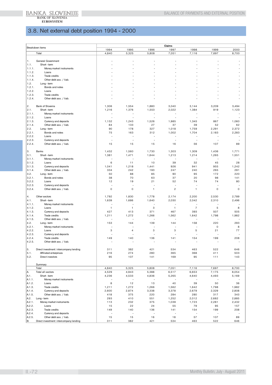**EUROSYSTEM**

# 3.8. Net external debt position 1994 - 2000

|        | Breakdown items                         |              |              |              | Claims         |                |       |             |
|--------|-----------------------------------------|--------------|--------------|--------------|----------------|----------------|-------|-------------|
|        |                                         | 1994         | 1995         | 1996         | 1997           | 1998           | 1999  | 2000        |
|        | Total                                   | 4,840        | 5,325        | 5,808        | 7,051          | 7,116          | 7,697 | 8,700       |
|        |                                         |              |              |              |                |                |       |             |
|        |                                         |              |              |              |                |                |       |             |
| 1.     | General Government                      |              |              |              |                |                |       |             |
| 1.1.   | Short - term                            |              |              |              |                |                |       |             |
| 1.1.1. | Money market instruments                |              |              |              |                |                |       |             |
| 1.1.2. | Loans                                   |              |              |              |                |                |       |             |
| 1.1.3. | Trade credits                           |              |              |              |                |                |       |             |
| 1.1.4. | Other debt ass. / liab.                 |              |              |              |                |                |       |             |
|        |                                         |              |              |              |                |                |       |             |
| 1.2.   | Long - term                             |              |              |              |                |                |       |             |
| 1.2.1. | Bonds and notes                         |              |              |              |                |                |       |             |
| 1.2.2. | Loans                                   |              |              |              |                |                |       |             |
| 1.2.3. | Trade credits                           |              |              |              |                |                |       |             |
| 1.2.4. | Other debt ass. / liab.                 |              |              |              |                |                |       |             |
|        |                                         |              |              |              |                |                |       |             |
| 2.     | Bank of Slovenia                        | 1,306        | 1,554        | 1,880        | 3,040          | 3,144          | 3,209 | 3,494       |
| 2.1.   | Short - term                            | 1,216        | 1,376        | 1,553        | 2,022          | 1,384          | 919   | 1,123       |
|        |                                         |              |              |              |                |                |       |             |
| 2.1.1. | Money market instruments                |              |              |              |                |                |       |             |
| 2.1.2. | Loans                                   |              |              |              |                |                | ٠     |             |
| 2.1.3. | Currency and deposits                   | 1,132        | 1,243        | 1,526        | 1,985          | 1,345          | 867   | 1,060       |
| 2.1.4. | Other debt ass. / liab.                 | 84           | 133          | 27           | 37             | 39             | 52    | 62          |
| 2.2.   | Long - term                             | 90           | 178          | 327          | 1,018          | 1,759          | 2,291 | 2,372       |
| 2.2.1. | Bonds and notes                         | 75           | 163          | 312          | 1,002          | 1,704          | 2,183 | 2,283       |
| 2.2.2. | Loans                                   |              |              |              |                |                |       |             |
|        |                                         |              |              |              |                |                |       |             |
| 2.2.3. | Currency and deposits                   | ä,           |              |              | ×              | ÷              | ٠     |             |
| 2.2.4. | Other debt ass. / liab.                 | 15           | 15           | 15           | 16             | 56             | 107   | 89          |
|        |                                         |              |              |              |                |                |       |             |
| 3.     | Banks                                   | 1,432        | 1,560        | 1,730        | 1,303          | 1,309          | 1,436 | 1,771       |
| 3.1.   | Short - term                            | 1,381        | 1,471        | 1,644        | 1,213          | 1,214          | 1,265 | 1,551       |
| 3.1.1. | Money market instruments                |              |              |              |                |                |       |             |
| 3.1.2. | Loans                                   | 6            |              | 10           | 39             | 32             | 45    | 28          |
|        |                                         |              | 11           |              |                |                |       |             |
| 3.1.3. | Currency and deposits                   | 1,041        | 1,218        | 1,441        | 926            | 941            | 955   | 1,242       |
| 3.1.4. | Other debt ass. / liab.                 | 334          | 242          | 193          | 247            | 240            | 265   | 281         |
| 3.2.   | Long - term                             | 50           | 88           | 85           | 90             | 95             | 172   | 220         |
| 3.2.1. | Bonds and notes                         | 38           | 70           | 63           | 37             | 20             | 98    | 141         |
| 3.2.2. | Loans                                   | 12           | 19           | 21           | 52             | 74             | 74    | 80          |
| 3.2.3. | Currency and deposits                   |              |              |              | ٠              |                |       |             |
| 3.2.4. | Other debt ass. / liab.                 | $\circ$      | $\mathsf O$  | $\mathbf{1}$ | $\overline{c}$ | 1              | 0     | $\mathsf O$ |
|        |                                         |              |              |              |                |                |       |             |
|        |                                         |              |              |              |                |                |       |             |
| 4.     | Other sectors                           | 1,792        | 1,830        | 1,778        | 2,174          | 2,200          | 2,530 | 2,789       |
| 4.1.   | Short - term                            | 1,639        | 1,686        | 1,640        | 2,030          | 2,042          | 2,310 | 2,496       |
| 4.1.1. | Money market instruments                |              |              |              |                | J.             |       |             |
| 4.1.2. | Loans                                   | $\mathbf{1}$ | $\mathbf{1}$ | 3            | 1              | $\overline{7}$ | 5     | 8           |
| 4.1.3. | Currency and deposits                   | 427          | 413          | 371          | 467            | 393            | 507   | 505         |
| 4.1.4. | Trade credits                           | 1,211        | 1,272        | 1,266        | 1,562          | 1,642          | 1,798 | 1,982       |
| 4.1.5. | Other debt ass. / liab.                 |              |              |              |                | ×.             |       |             |
|        |                                         |              |              |              |                |                |       |             |
| 4.2.   | Long - term                             | 153          | 144          | 139          | 144            | 158            | 220   | 293         |
| 4.2.1. | Money market instruments                |              |              |              |                | ÷,             | 0     | 8           |
| 4.2.2. | Loans                                   | 3            | 4            | 3            | 3              | 5              | 21    | 77          |
| 4.2.3. | Currency and deposits                   |              |              |              |                | ä,             |       |             |
| 4.2.4. | Trade credits                           | 149          | 140          | 136          | 141            | 154            | 199   | 208         |
| 4.2.5. | Other debt ass. / liab.                 |              |              |              |                |                |       |             |
|        |                                         |              |              |              |                |                |       |             |
| 5.     |                                         | 311          | 382          | 421          | 534            | 463            | 522   | 646         |
|        | Direct investment: intercompany lending |              |              |              |                |                |       |             |
| 5.1.   | Affiliated enterprises                  | 216          | 274          | 280          | 365            | 368            | 411   | 503         |
| 5.2.   | Direct investors                        | 95           | 107          | 141          | 169            | 95             | 111   | 143         |
|        |                                         |              |              |              |                |                |       |             |
|        | Summary                                 |              |              |              |                |                |       |             |
|        | Total                                   | 4,840        | 5,325        | 5,808        | 7,051          | 7,116          | 7,697 | 8,700       |
| A.     | Total all sectors                       | 4,529        | 4,943        | 5,388        | 6,517          | 6,653          | 7,175 | 8,054       |
| A.1.   | Short - term                            | 4,236        | 4,533        | 4,836        | 5,265          | 4,640          | 4,493 | 5,169       |
| A.1.1. |                                         |              |              |              |                | ÷,             | ÷,    |             |
|        | Money market instruments                |              |              |              |                |                |       |             |
| A.1.2. | Loans                                   | 8            | 12           | 13           | 40             | 39             | 50    | 36          |
| A.1.3. | Trade credits                           | 1,211        | 1,272        | 1,266        | 1,562          | 1,642          | 1,798 | 1,982       |
| A.1.4. | Currency and deposits                   | 2,600        | 2,874        | 3,338        | 3,378          | 2,679          | 2,329 | 2,808       |
| A.1.5. | Other debt ass. / liab.                 | 418          | 375          | 220          | 284            | 280            | 317   | 343         |
| A.2.   | Long - term                             | 293          | 410          | 551          | 1,252          | 2,012          | 2,682 | 2,885       |
| A.2.1. | Money market instruments                | 113          | 232          | 375          | 1,039          | 1,723          | 2,281 | 2,432       |
|        |                                         |              |              |              |                |                |       |             |
| A.2.2. | Loans                                   | 15           | 22           | 24           | 55             | 79             | 95    | 157         |
| A.2.3. | Trade credits                           | 149          | 140          | 136          | 141            | 154            | 199   | 208         |
| A.2.4. | Currency and deposits                   |              |              |              |                | ٠              |       |             |
| A.2.5. | Other debt ass. / liab.                 | 15           | 15           | 16           | 18             | 57             | 107   | 89          |
| ΙB.    | Direct investment: intercompany lending | 311          | 382          | 421          | 534            | 463            | 522   | 646         |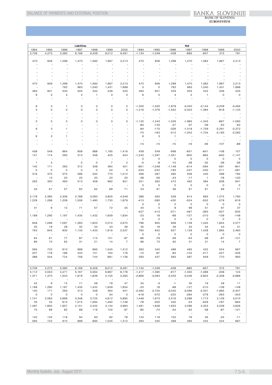#### BANKA SLOVENIJE BANK OF SLOVENIA **EUROSYSTEM**

|                          |                          |                          | Liabilities              |                          |                          |                          |                          |                               |                          | Net                      |                          |                          |                          |
|--------------------------|--------------------------|--------------------------|--------------------------|--------------------------|--------------------------|--------------------------|--------------------------|-------------------------------|--------------------------|--------------------------|--------------------------|--------------------------|--------------------------|
| 1994                     | 1995                     | 1996                     | 1997                     | 1998                     | 1999                     | 2000                     | 1994                     | 1995                          | 1996                     | 1997                     | 1998                     | 1999                     | 2000                     |
| 3,706                    | 4,275                    | 5,380                    | 6,166                    | 6,459                    | 8,012                    | 9,491                    | $-1, 134$                | $-1,049$                      | $-428$                   | $-885$                   | $-657$                   | 315                      | 791                      |
|                          |                          |                          |                          |                          |                          |                          |                          |                               |                          |                          |                          |                          |                          |
| 470                      | 606                      | 1,299                    | 1,470                    | 1,582                    | 1,967                    | 2,213                    | 470                      | 606                           | 1,299                    | 1,470                    | 1,582                    | 1,967                    | 2,213                    |
|                          |                          |                          |                          |                          |                          |                          |                          |                               |                          |                          |                          |                          |                          |
| ÷                        |                          | ٠                        |                          |                          |                          | $\overline{a}$           | ä,                       | J.                            |                          |                          |                          |                          |                          |
|                          |                          |                          |                          |                          |                          | ٠                        |                          |                               |                          |                          |                          |                          |                          |
| ÷                        |                          | ä,                       |                          |                          |                          | ÷                        | ÷,                       |                               |                          |                          |                          |                          |                          |
|                          |                          |                          |                          |                          |                          |                          |                          |                               |                          |                          |                          |                          |                          |
| 470                      | 606                      | 1,299                    | 1,470                    | 1,582                    | 1,967                    | 2,213                    | 470                      | 606                           | 1,299                    | 1,470                    | 1,582                    | 1,967                    | 2,213                    |
| $\overline{\phantom{a}}$ | $\overline{a}$           | 762                      | 963                      | 1,040                    | 1,431                    | 1,688                    | $\circ$                  | 0                             | 762                      | 963                      | 1,040                    | 1,431                    | 1,688                    |
| 465                      | 601                      | 533                      | 505                      | 542                      | 536                      | 525                      | 465                      | 601                           | 533                      | 505                      | 542                      | 536                      | 525                      |
| 6                        | 5                        | 4                        |                          | 1                        | 0                        | 0                        | 6                        |                               |                          | $\sqrt{2}$               | $\mathbf{1}$             | 0                        | $\mathsf O$              |
| ٠                        | $\overline{a}$           | ÷,                       | 2<br>$\overline{a}$      |                          | $\overline{a}$           | $\overline{a}$           | $\overline{\phantom{a}}$ | 5<br>$\overline{\phantom{a}}$ | 4                        | ÷,                       |                          | ÷,                       | $\sim$                   |
|                          |                          |                          |                          | ÷                        |                          |                          |                          |                               |                          |                          |                          |                          |                          |
|                          |                          |                          |                          |                          |                          |                          |                          |                               |                          |                          |                          |                          |                          |
| 6                        | 3                        | 1                        | $\mathsf{O}\xspace$      | 0                        | 0                        | 0                        | $-1,300$                 | $-1,550$                      | $-1,878$                 | $-3,040$                 | $-3,144$                 | $-3,209$                 | $-3,494$                 |
| 0                        | $\mathsf O$              | $\mathsf O$              | $\mathsf O$              | 0                        | 0                        | 0                        | $-1,216$                 | $-1,376$                      | $-1,552$                 | $-2,022$                 | $-1,384$                 | $-918$                   | $-1, 123$                |
| ÷                        | ٠                        | ä,                       | ×.                       |                          |                          | ÷,                       | ٠.                       | $\overline{\phantom{a}}$      | $\overline{\phantom{a}}$ | $\overline{\phantom{a}}$ |                          | ÷,                       | $\overline{\phantom{a}}$ |
|                          | $\overline{a}$           | ä,                       | ٠                        |                          | ÷,                       | $\overline{\phantom{a}}$ | ÷.                       | $\overline{\phantom{a}}$      | $\overline{\phantom{a}}$ | $\overline{\phantom{a}}$ | $\overline{\phantom{a}}$ | $\overline{\phantom{a}}$ | $\sim$                   |
| 0                        | $\mathsf O$              | 0                        | $\mathsf O$              | 0                        | 0                        | 0                        | $-1,132$                 | $-1,243$                      | $-1,526$                 | $-1,985$                 | $-1,345$                 | $-867$                   | $-1,060$                 |
|                          | ٠                        | ×,                       |                          |                          |                          |                          | $-84$                    | $-133$                        | $-27$                    | $-37$                    | $-39$                    | $-52$                    | $-62$                    |
| 6                        | 3                        | 1                        | ×.                       |                          | ÷,                       | ٠                        | $-84$                    | $-175$                        | $-326$                   | $-1,018$                 | $-1,759$                 | $-2,291$                 | $-2,372$                 |
|                          | ÷,                       |                          |                          |                          |                          | ٠                        | $-75$                    | $-163$                        | $-312$                   | $-1,002$                 | $-1,704$                 | $-2,183$                 | $-2,283$                 |
| 6                        | 3                        | 1                        |                          |                          |                          | ٠                        | 6                        | 3                             | $\mathbf{1}$             | $\overline{\phantom{a}}$ |                          | $\overline{\phantom{a}}$ | $\overline{\phantom{a}}$ |
|                          |                          |                          |                          |                          |                          | ä,                       | ÷,                       | $\sim$                        |                          |                          | $\overline{\phantom{a}}$ | ÷,                       |                          |
| ×                        |                          | ÷,                       |                          |                          |                          | ×                        | $-15$                    | $-15$                         | $-15$                    | $-16$                    | $-56$                    | $-107$                   | $-89$                    |
|                          |                          |                          |                          |                          |                          |                          |                          |                               |                          |                          |                          |                          |                          |
| 458                      | 549                      | 864                      | 908                      | 888                      | 1,195                    | 1,416                    | 458                      | 549                           | $-568$                   | $-651$                   | $-841$                   | $-108$                   | 107                      |
| 141                      | 174                      | 293                      | 313                      | 348                      | 425                      | 404                      | $-1,240$                 | $-1,297$                      | $-1,351$                 | $-900$                   | $-865$                   | $-840$                   | $-1, 147$                |
| $\overline{\phantom{a}}$ | $\overline{\phantom{a}}$ | $\overline{\phantom{a}}$ | $\overline{\phantom{a}}$ | $\overline{\phantom{a}}$ | $\sim$                   | $\overline{\phantom{a}}$ | $\circ$                  | $\mathsf O$                   | $\circ$                  | $\circ$                  | $\circ$                  | $\circ$                  | $\circ$                  |
| $\overline{1}$           | 3                        |                          | $\mathsf O$              | $\mathsf O$              | $\overline{7}$           | $\overline{c}$           | $-5$                     | $-8$                          | $-10$                    | $-39$                    | $-32$                    | $-38$                    | $-26$                    |
| 140                      | 171                      | 293                      | 312                      | 348                      | 364                      | 401                      | -901                     | $-1,048$                      | $-1, 148$                | $-614$                   | $-594$                   | $-591$                   | $-841$                   |
| 0                        | $\circ$                  | $\circ$                  | $\mathsf{O}\xspace$      | 0                        | 54                       | $\mathsf{O}\xspace$      | $-334$                   | $-242$                        | $-193$                   | $-247$                   | $-240$                   | $-211$                   | $-281$                   |
| 316                      | 375                      | 570                      | 596                      | 540                      | 770                      | 1,012                    | 266                      | 287                           | 485                      | 506                      | 445                      | 599                      | 792                      |
| $\overline{\phantom{a}}$ | 13                       | 20                       | 20                       | 20                       | 20                       | 20                       | $-38$                    | $-56$                         | $-43$                    | $-17$                    | $\overline{1}$           | $-78$                    | $-120$                   |
| 263                      | 300                      | 493                      | 513                      | 458                      | 682                      | 921                      | 251                      | 282                           | 472                      | 462                      | 384                      | 608                      | 841                      |
| $\sim$                   | $\overline{\phantom{a}}$ | $\sim$                   | ÷,                       | $\overline{\phantom{a}}$ | $\sim$                   | $\sim$                   | $\circ$                  | $\mathsf{O}$                  | $\circ$                  | $\circ$                  | $\circ$                  | $\circ$                  | $\circ$                  |
| 53                       | 61                       | 57                       | 62                       | 62                       | 69                       | 71                       | 53                       | 61                            | 56                       | 61                       | 61                       | 69                       | 71                       |
|                          |                          |                          |                          |                          |                          |                          |                          |                               |                          |                          |                          |                          |                          |
| 2,178                    | 2,395                    | 2,306                    | 2,789                    | 3,093                    | 3,805                    | 4,549                    | 386                      | 565                           | 528                      | 614                      | 893                      | 1,275                    | 1,760                    |
| 1,229                    | 1,296                    | 1,209                    | 1,506                    | 1,490                    | 1,730                    | 1,879                    | $-410$                   | $-390$                        | $-430$                   | $-524$                   | $-552$                   | $-579$                   | $-616$                   |
| $\blacksquare$           | ٠                        | $\overline{\phantom{a}}$ | $\overline{\phantom{a}}$ | $\overline{\phantom{a}}$ | $\sim$                   | $\overline{\phantom{a}}$ | $\mathsf{O}\xspace$      | $\mathsf O$                   | $\circ$                  | $\circ$                  | $\circ$                  | $\circ$                  | $\circ$                  |
| 41                       | 6                        | 12                       | 71                       | 57                       | 72                       | 45                       | 40                       | 5                             | 9                        | 69                       | 51                       | 67                       | 37                       |
|                          |                          | ۰.                       |                          |                          | $\overline{\phantom{a}}$ | $\sim$                   | $-427$                   | $-413$                        | $-371$                   | $-467$                   | $-393$                   | $-507$                   | $-505$                   |
| 1,189                    | 1,290                    | 1,197                    | 1,435                    | 1,432                    | 1,659                    | 1,834                    | $-23$                    | 18                            | $-68$                    | $-127$                   | $-210$                   | $-139$                   | $-148$                   |
| $\overline{\phantom{a}}$ | ٠                        | $\overline{\phantom{a}}$ |                          | $\overline{\phantom{a}}$ |                          | $\overline{\phantom{a}}$ | $\circ$                  | $\mathsf O$                   | $\circ$                  | $\mathsf O$              | $\circ$                  | $\mathsf O$              | $\mathsf O$              |
| 948                      | 1,099                    | 1,097                    | 1,283                    | 1,603                    | 2,074                    | 2,670                    | 796                      | 955                           | 958                      | 1,139                    | 1,445                    | 1,854                    | 2,377                    |
| 35                       | 19                       | 28                       | 32                       | 34                       | 43                       | 39                       | 35                       | 19                            | 28                       | 32                       | 34                       | 43                       | 31                       |
| 763                      | 945                      | 930                      | 1,133                    | 1,433                    | 1,916                    | 2,537                    | 760                      | 942                           | 927                      | 1,129                    | 1,428                    | 1,895                    | 2,460                    |
| $\overline{\phantom{a}}$ | $\overline{\phantom{a}}$ | $\overline{\phantom{a}}$ | $\overline{\phantom{a}}$ | $\overline{\phantom{a}}$ | ÷                        | $\sim$                   | $\mathsf O$              | $\mathsf O$                   | $\circ$                  | $\mathsf O$              | $\circ$                  | $\mathsf O$              | $\mathsf O$              |
| 64                       | 61                       | 77                       | 87                       | 115                      | 101                      | 87                       | $-86$                    | $-79$                         | $-59$                    | $-54$                    | $-38$                    | $-97$                    | $-121$                   |
| 86                       | 73                       | 62                       | 31                       | 21                       | 14                       | $\overline{7}$           | 86                       | 73                            | 62                       | 31                       | 21                       | 14                       | $\overline{7}$           |
|                          |                          |                          |                          |                          |                          |                          |                          |                               |                          |                          |                          |                          |                          |
| 595                      | 722                      | 910                      | 999                      | 895                      | 1,045                    | 1,312                    | 283                      | 340                           | 489                      | 465                      | 432                      | 524                      | 667                      |
| 207                      | 178                      | 186                      | 243                      | 151                      | 164                      | 176                      | $-10$                    | $-97$                         | $-94$                    | $-122$                   | $-217$                   | $-247$                   | $-326$                   |
| 388                      | 544                      | 724                      | 756                      | 744                      | 881                      | 1,136                    | 293                      | 437                           | 583                      | 587                      | 649                      | 770                      | 993                      |
|                          |                          |                          |                          |                          |                          |                          |                          |                               |                          |                          |                          |                          |                          |
|                          |                          |                          |                          |                          |                          |                          |                          |                               |                          |                          |                          |                          |                          |
| 3,706                    | 4,275                    | 5,380                    | 6,166                    | 6,459                    | 8,012                    | 9,491                    | $-1,134$                 | $-1,049$                      | $-428$                   | $-885$                   | $-657$                   | 315                      | 791                      |
| 3,112                    | 3,553                    | 4,471                    | 5,167                    | 5,564                    | 6,967                    | 8,178                    | $-1,417$                 | $-1,390$                      | $-917$                   | $-1,350$                 | $-1,089$                 | $-208$                   | 124                      |
| 1,371                    | 1,470                    | 1,503                    | 1,819                    | 1,839                    | 2,155                    | 2,283                    | $-2,866$                 | $-3,063$                      | $-3,333$                 | $-3,446$                 | $-2,802$                 | $-2,338$                 | $-2,886$                 |
| $\overline{\phantom{a}}$ | $\overline{\phantom{a}}$ | $\overline{\phantom{a}}$ | $\overline{\phantom{a}}$ | $\overline{\phantom{a}}$ | $\sim$                   | $\overline{\phantom{a}}$ | $\overline{\phantom{a}}$ | $\overline{\phantom{a}}$      | $\overline{\phantom{a}}$ | $\sim$                   | $\overline{\phantom{a}}$ | $\overline{\phantom{a}}$ | $\sim$                   |
| 42                       | $\mathsf g$              | 12                       | 71                       | 58                       | 79                       | 47                       | 34                       | $-3$                          | $-1$                     | 30                       | 19                       | 29                       | 11                       |
| 1,189                    | 1,290                    | 1,197                    | 1,435                    | 1,432                    | 1,659                    | 1,834                    | $-23$                    | 18                            | $-68$                    | $-127$                   | $-210$                   | $-139$                   | $-148$                   |
| 140                      | 171                      | 293                      | 313                      | 348                      | 364                      | 401                      | $-2,460$                 | $-2,704$                      | $-3,045$                 | $-3,066$                 | $-2,331$                 | $-1,965$                 | $-2,407$                 |
|                          | $\mathsf{O}\xspace$      |                          | $\mathsf{O}\xspace$      | $\circ$                  |                          | $\mathsf{O}\xspace$      |                          |                               |                          |                          |                          |                          |                          |
| $\mathsf{O}$             |                          | $\circ$                  |                          |                          | 54                       |                          | $-418$                   | $-375$                        | $-220$                   | $-284$                   | $-279$                   | $-263$                   | $-343$                   |
| 1,741                    | 2,083                    | 2,968                    | 3,348                    | 3,725                    | 4,812                    | 5,895                    | 1,448                    | 1,673                         | 2,416                    | 2,096                    | 1,713                    | 2,129                    | 3,010                    |
| 35                       | 32                       | 810                      | 1,015                    | 1,094                    | 1,494                    | 1,748                    | $-78$                    | $-200$                        | 435                      | $-24$                    | $-629$                   | $-787$                   | $-684$                   |
| 1,497                    | 1,850                    | 1,957                    | 2,151                    | 2,432                    | 3,134                    | 3,983                    | 1,481                    | 1,828                         | 1,933                    | 2,096                    | 2,353                    | 3,039                    | 3,826                    |
| 70                       | 66                       | 82                       | 88                       | 116                      | 102                      | 87                       | $-80$                    | $-74$                         | $-54$                    | $-52$                    | $-38$                    | $-97$                    | $-121$                   |
| $\overline{\phantom{a}}$ | $\overline{\phantom{a}}$ | $\overline{\phantom{a}}$ | $\overline{\phantom{a}}$ | $\overline{\phantom{a}}$ | $\overline{\phantom{a}}$ | $\overline{\phantom{a}}$ | $\overline{\phantom{a}}$ | $\overline{\phantom{a}}$      | $\overline{\phantom{a}}$ | $\overline{\phantom{a}}$ | $\overline{\phantom{a}}$ | $\overline{\phantom{a}}$ | $\overline{\phantom{a}}$ |
| 140                      | 134                      | 118                      | 94                       | 83                       | 82                       | 78                       | 124                      | 119                           | 102                      | 76                       | 26                       | $-25$                    | $-11$                    |
| 595                      | 722                      | 910                      | 999                      | 895                      | 1,045                    | 1,312                    | 283                      | 340                           | 489                      | 465                      | 432                      | 524                      | 667                      |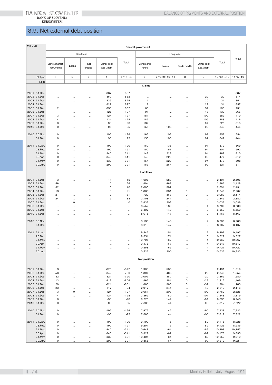**EUROSYSTEM**

# 3.9. Net external debt position

| Mio EUR                      |                             |                         |                           |                          |                  | General government   |                       |                       |                          |                  |                 |
|------------------------------|-----------------------------|-------------------------|---------------------------|--------------------------|------------------|----------------------|-----------------------|-----------------------|--------------------------|------------------|-----------------|
|                              |                             |                         | Short-term                |                          |                  |                      | Long-term             |                       |                          |                  |                 |
|                              | Money market<br>instruments | Loans                   | Trade<br>credits          | Other debt<br>ass./liab. | Total            | Bonds and<br>notes   | Loans                 | Trade credits         | Other debt<br>ass./liab. | Total            | Total           |
| Stolpec                      | $\mathbf{1}$                | $\overline{\mathbf{c}}$ | $\ensuremath{\mathsf{3}}$ | $\overline{4}$           | $5 = 1 +  4$     | $\,6$                | $7 = 8 + 9 + 10 + 11$ | 8                     | 9                        | $10=6++9$        | $11 = 5 + 10$   |
| Koda                         |                             |                         |                           |                          |                  |                      |                       |                       |                          |                  |                 |
|                              |                             |                         |                           |                          |                  | Claims               |                       |                       |                          |                  |                 |
| 2001 31.Dec.                 |                             |                         | $\cdots$                  | 887                      | 887              | $\ddotsc$            | $\ddotsc$             | $\ddotsc$             | $\cdots$                 | $\cdots$         | 887             |
| 2002 31.Dec.                 |                             |                         | $\cdots$                  | 852                      | 852              | $\ddotsc$            | $\ddotsc$             |                       | 22                       | 22               | 874             |
| 2003 31.Dec.                 | $\cdots$                    |                         | $\cdots$                  | 829                      | 829              | $\mathbf{1}$         | $\cdots$              | $\cdots$              | 20                       | 21               | 851             |
| 2004 31.Dec.<br>2005 31.Dec. | <br>$\overline{\mathbf{c}}$ |                         |                           | 827<br>830               | 827<br>832       | $\overline{c}$<br>60 | $\ddotsc$             |                       | 29<br>39                 | 31<br>100        | 857<br>931      |
| 2006 31.Dec.                 | 1                           | <br>                    | $\cdots$<br>$\cdots$      | 126                      | 127              | 91                   | $\cdots$<br>$\ddotsc$ | $\cdots$<br>$\cdots$  | 48                       | 139              | 266             |
| 2007 31.Dec.                 | 3                           |                         | $\cdots$                  | 124                      | 127              | 181                  |                       |                       | 102                      | 283              | 410             |
| 2008 31.Dec.                 | 4                           |                         | $\cdots$                  | 124                      | 128              | 183                  | $\cdots$              | $\cdots$              | 105                      | 288              | 416             |
| 2009 31.Dec.                 | 0                           |                         | $\cdots$                  | 90                       | 90               | 132                  | $\ddotsc$             |                       | 94                       | 225              | 315             |
| 2010 31.Dec.                 | 0                           |                         |                           | 95                       | 95               | 155                  | 103                   | $\cdots$              | 92                       | 349              | 444             |
| 2010 30.Nov.                 | 0                           |                         |                           | 195                      | 196              | 163                  | 103                   |                       | 92                       | 358              | 554             |
| 31.Dec.                      | 0                           |                         | $\cdots$                  | 95                       | 95               | 155                  | 103                   | $\cdots$              | 92                       | 349              | 444             |
|                              |                             |                         |                           |                          |                  |                      |                       |                       |                          |                  |                 |
| 2011 31.Jan.<br>28.Feb.      | $\mathsf O$<br>0            | <br>                    | $\cdots$<br>$\cdots$      | 190<br>190               | 190<br>191       | 152<br>150           | 136<br>157            | <br>                  | 91<br>94                 | 379<br>401       | 569<br>592      |
| 31.Mar.                      | 0                           |                         | $\cdots$                  | 340                      | 341              | 148                  | 228                   |                       | 94                       | 469              | 810             |
| 30.Apr.                      | $\mathsf O$                 |                         | $\cdots$                  | 340                      | 341              | 149                  | 229                   | $\cdots$              | 93                       | 472              | 812             |
| 31.May                       | $\mathsf O$                 |                         | $\cdots$                  | 330                      | 331              | 154                  | 229                   | $\cdots$              | 94                       | 477              | 808             |
| 30.Jun.                      | 0                           |                         | $\cdots$                  | 290                      | 291              | 157                  | 264                   |                       | 99                       | 521              | 811             |
|                              |                             |                         |                           |                          |                  | Liabilities          |                       |                       |                          |                  |                 |
|                              |                             |                         |                           |                          |                  |                      |                       |                       |                          |                  |                 |
| 2001 31.Dec.<br>2002 31.Dec. | 3<br>56                     |                         | $\cdots$                  | 11<br>10                 | 15<br>66         | 1,908<br>1,894       | 583<br>468            |                       | $\cdots$                 | 2,491<br>2,362   | 2,506<br>2,428  |
| 2003 31.Dec.                 | 32                          | <br>                    | <br>                      | 8                        | 40               | 2,008                | 382                   | <br>$\cdots$          | $\ddotsc$<br>$\cdots$    | 2,391            | 2,431           |
| 2004 31.Dec.                 | 13                          |                         | $\cdots$                  | 8                        | 21               | 1,865                | 381                   | $\mathsf{O}\xspace$   | $\cdots$                 | 2,246            | 2,267           |
| 2005 31.Dec.                 | 21                          |                         | $\cdots$                  | 9                        | 31               | 1,720                | 363                   | $\mathsf{O}\xspace$   | $\cdots$                 | 2,083            | 2,114           |
| 2006 31.Dec.<br>2007 31.Dec. | 24                          | <br>0                   | $\cdots$                  | 9                        | 33<br>0          | 2,108                | 241<br>203            | $\cdots$              | $\cdots$                 | 2,349            | 2,382<br>3,036  |
| 2008 31.Dec.                 | <br>                        |                         | <br>                      | $\cdots$<br>             | $\cdots$         | 2,832<br>3,552       | 180                   | $\ddotsc$<br>$\cdots$ | $\cdots$<br>4            | 3,036<br>3,736   | 3,736           |
| 2009 31.Dec.                 |                             |                         | $\cdots$                  |                          | $\cdots$         | 6,407                | 149                   |                       | 3                        | 6,559            | 6,559           |
| 2010 31.Dec.                 | $\cdots$                    |                         |                           |                          | $\cdots$         | 8,018                | 147                   | $\cdots$              | $\overline{c}$           | 8,167            | 8,167           |
| 2010 30.Nov.                 |                             |                         | $\cdots$                  | $\cdots$                 | $\cdots$         | 8,136                | 148                   | $\ddotsc$             | $\sqrt{2}$               | 8,286            | 8,286           |
| 31.Dec.                      | $\cdots$                    |                         |                           | $\cdots$                 | $\ldots$         | 8,018                | 147                   |                       | 2                        | 8,167            | 8,167           |
|                              |                             |                         |                           |                          |                  |                      |                       |                       |                          |                  |                 |
| 2011 31.Jan.                 | $\cdots$                    |                         | $\cdots$                  | $\cdots$                 | $\cdots$         | 9,343                | 151                   |                       | $\sqrt{2}$<br>5          | 9,497            | 9,497           |
| 28.Feb.<br>31.Mar.           | <br>$\cdots$                | <br>                    | <br>$\cdots$              | <br>$\cdots$             | <br>$\ldots$     | 9,351<br>10,795      | 171<br>167            | <br>                  | 4                        | 9,527<br>10,967  | 9,527<br>10,967 |
| 30.Apr.                      |                             |                         |                           |                          | $\cdots$         | 10,476               | 167                   |                       | 4                        | 10,647           | 10,647          |
| 31.May                       |                             |                         |                           | $\cdots$                 | $\cdots$         | 10,558               | 165                   | $\cdots$              | 4                        | 10,727           | 10,727          |
| 30.Jun.                      | $\cdots$                    | $\cdots$                | $\ldots$                  | $\cdots$                 | $\ldots$         | 10,522               | 200                   | $\cdots$              | 10                       | 10,733           | 10,733          |
|                              |                             |                         |                           |                          |                  | Net position         |                       |                       |                          |                  |                 |
|                              |                             |                         |                           |                          |                  |                      |                       |                       |                          |                  |                 |
| 2001 31.Dec.<br>2002 31.Dec. | 3<br>56                     |                         | $\cdots$                  | $-876$<br>$-842$         | $-872$<br>$-786$ | 1,908<br>1,894       | 583<br>468            | $\cdots$              | $\cdots$<br>$-22$        | 2,491<br>2,340   | 1,619<br>1,554  |
| 2003 31.Dec.                 | 32                          | <br>                    | <br>$\cdots$              | $-821$                   | $-790$           | 2,007                | 382                   | $\cdots$<br>$\cdots$  | $-20$                    | 2,369            | 1,580           |
| 2004 31.Dec.                 | 13                          |                         | $\cdots$                  | $-819$                   | -806             | 1,863                | 381                   | $\mathsf{O}\xspace$   | $-29$                    | 2,215            | 1,409           |
| 2005 31.Dec.                 | 20                          | $\cdots$                | $\cdots$                  | $-821$                   | $-801$           | 1,660                | 363                   | $\mathsf{O}\xspace$   | $-39$                    | 1,984            | 1,183           |
| 2006 31.Dec.                 | 23                          | $\cdots$                |                           | $-117$                   | $-94$            | 2,017                | 241                   | $\cdots$              | $-48$                    | 2,210            | 2,116           |
| 2007 31.Dec.<br>2008 31.Dec. | $-3$<br>$-4$                | 0<br>                   | $\cdots$<br>$\cdots$      | $-124$<br>$-124$         | $-127$<br>$-128$ | 2,651<br>3,369       | 203<br>180            | $\cdots$<br>$\cdots$  | $-102$<br>$-101$         | 2,752<br>3,448   | 2,625<br>3,319  |
| 2009 31.Dec.                 | 0                           |                         | $\cdots$                  | $-90$                    | $-90$            | 6,275                | 149                   | $\cdots$              | $-91$                    | 6,333            | 6,243           |
| 2010 31.Dec.                 | 0                           |                         | $\cdots$                  | $-95$                    | $-95$            | 7,863                | 44                    |                       | $-90$                    | 7,817            | 7,722           |
| 2010 30.Nov.                 | 0                           |                         |                           | $-195$                   | $-196$           |                      | 45                    |                       | $-90$                    |                  |                 |
| 31.Dec.                      | 0                           | <br>                    | $\cdots$<br>$\cdots$      | $-95$                    | $-95$            | 7,973<br>7,863       | 44                    | $\cdots$<br>$\cdots$  | $-90$                    | 7,928<br>7,817   | 7,732<br>7,722  |
|                              |                             |                         |                           |                          |                  |                      |                       |                       |                          |                  |                 |
| 2011 31.Jan.                 | 0                           |                         | $\cdots$                  | $-190$                   | $-190$           | 9,192                | 16                    | $\cdots$              | $-89$                    | 9,118            | 8,928           |
| 28.Feb.                      | 0                           |                         | $\cdots$                  | $-190$                   | $-191$           | 9,201                | 15                    |                       | $-89$                    | 9,126            | 8,935           |
| 31.Mar.<br>30.Apr.           | 0<br>0                      | <br>                    | $\cdots$<br>              | $-340$<br>$-340$         | -341<br>$-341$   | 10,648<br>10,327     | $-61$<br>$-62$        | $\cdots$<br>$\cdots$  | $-89$<br>$-89$           | 10,498<br>10,176 | 10,157<br>9,835 |
| 31.May                       | 0                           |                         | $\cdots$                  | $-330$                   | $-331$           | 10,404               | $-64$                 | $\cdots$              | $-89$                    | 10,250           | 9,919           |
| 30.Jun.                      | 0                           |                         |                           | $-290$                   | $-291$           | 10,365               | $-64$                 |                       | $-90$                    | 10,212           | 9,921           |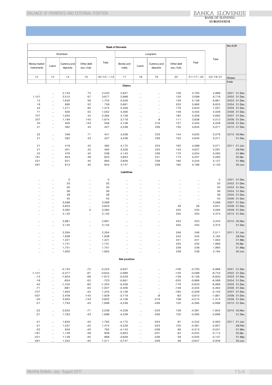**EUROSYSTEM**

|                             |                      |                          |                          |                    | <b>Bank of Slovenia</b> |                      |                          |                          |                      |                      | Mio EUR                      |
|-----------------------------|----------------------|--------------------------|--------------------------|--------------------|-------------------------|----------------------|--------------------------|--------------------------|----------------------|----------------------|------------------------------|
|                             |                      | Short-term               |                          |                    |                         |                      | Long-term                |                          |                      |                      |                              |
| Money market<br>instruments | Loans                | Currency and<br>deposits | Other debt<br>ass./liab. | Total              | Bonds and<br>notes      | Loans                | Currency and<br>deposits | Other debt<br>ass./liab. | Total                | Total                |                              |
| 12                          | 13                   | 14                       | 15                       | $16 = 12 + . + 15$ | 17                      | 18                   | 19                       | 20                       | $21 = 17 + .20$      | $22 = 16 + 21$       | Stolpec                      |
|                             |                      |                          |                          |                    |                         |                      |                          |                          |                      |                      | Koda                         |
|                             |                      |                          |                          |                    | Claims                  |                      |                          |                          |                      |                      |                              |
| $\cdots$                    | $\ddotsc$            | 2,153                    | 72                       | 2,225              | 2,657                   |                      |                          | 106                      | 2,763                | 4,988                | 2001 31.Dec.                 |
| 1,101                       |                      | 2,510                    | 67                       | 3,677              | 2,968                   | $\cdots$             |                          | 130                      | 3,099                | 6,776                | 2002 31.Dec.                 |
| 12                          | $\ddotsc$            | 1,635                    | 56                       | 1,703              | 5,029                   |                      |                          | 129                      | 5,158                | 6,861                | 2003 31.Dec.                 |
| 16                          | $\cdots$             | 690                      | 52                       | 759                | 5,661                   | $\cdots$             |                          | 205                      | 5,866                | 6,625                | 2004 31.Dec.                 |
| 42<br>71                    |                      | 1,271<br>926             | 60<br>55                 | 1,374<br>1,052     | 5,458<br>4,306          | $\cdots$             | $\cdots$                 | 176<br>148               | 5,633                | 7,007                | 2005 31.Dec.<br>2006 31.Dec. |
| 707                         | $\cdots$<br>$\cdots$ | 1,635                    | 42                       | 2,384              | 3,128                   | $\cdots$             | <br>$\cdots$             | 180                      | 4,455<br>3,309       | 5,506<br>5,692       | 2007 31.Dec.                 |
| 337                         | $\cdots$             | 1,194                    | 143                      | 1,674              | 3,718                   | $\cdots$<br>$\cdots$ | 8                        | 111                      | 3,838                | 5,512                | 2008 31.Dec.                 |
| 20                          | $\cdots$             | 405                      | 133                      | 558                | 4,108                   | $\cdots$             | 216                      | 127                      | 4,450                | 5,009                | 2009 31.Dec.                 |
| 21                          | $\cdots$             | 362                      | 43                       | 427                | 4,238                   | $\cdots$             | 256                      | 150                      | 4,645                | 5,071                | 2010 31.Dec.                 |
|                             |                      |                          |                          |                    |                         |                      |                          |                          |                      |                      |                              |
| 22                          | $\cdots$             | 349                      | 71                       | 441                | 4,258                   | $\cdots$             | 233                      | 144                      | 4,635                | 5,076                | 2010 30.Nov.                 |
| 21                          |                      | 362                      | 43                       | 427                | 4,238                   | $\cdots$             | 256                      | 150                      | 4,645                | 5,071                | 31.Dec.                      |
| 21                          | $\ddotsc$            | 419                      | 42                       | 482                | 4,175                   | $\cdots$             | 254                      | 160                      | 4,588                | 5,071                | 2011 31.Jan.                 |
| 21                          | $\cdots$             | 401                      | 42                       | 464                | 4,228                   | $\cdots$             | 253                      | 145                      | 4,627                | 5,091                | 28.Feb.                      |
| 22                          | $\cdots$             | 476                      | 40                       | 538                | 4,143                   |                      | 236                      | 175                      | 4,554                | 5,093                | 31.Mar.                      |
| 181                         | $\cdots$             | 603                      | 39                       | 823                | 3,853                   | $\cdots$             | 231                      | 174                      | 4,257                | 5,080                | 30.Apr.                      |
| 221                         | $\ddotsc$            | 621                      | 40                       | 883                | 3,828                   |                      | 236                      | 180                      | 4,244                | 5,127                | 31.May                       |
| 291                         | $\cdots$             | 613                      | 40                       | 944                | 3,747                   | $\cdots$             | 259                      | 180                      | 4,186                | 5,130                | 30.Jun.                      |
|                             |                      |                          |                          |                    | Liabilities             |                      |                          |                          |                      |                      |                              |
|                             |                      |                          |                          |                    |                         |                      |                          |                          |                      |                      |                              |
|                             | $\ddotsc$            | $\mathsf O$              |                          | $\circ$            |                         |                      | $\cdots$                 | .                        |                      | $\mathsf O$          | 2001 31.Dec.                 |
|                             | $\cdots$             | 33<br>30                 |                          | 33<br>30           |                         |                      |                          | $\cdots$                 |                      | 33<br>30             | 2002 31.Dec.<br>2003 31.Dec. |
|                             | $\cdots$             | 36                       | <br>$\ddotsc$            | 36                 |                         |                      |                          |                          |                      | 36                   | 2004 31.Dec.                 |
|                             | $\cdots$<br>         | 39                       |                          | 39                 | $\cdots$<br>            | <br>                 | $\cdots$<br>$\cdots$     | <br>$\cdots$             | <br>                 | 39                   | 2005 31.Dec.                 |
|                             | $\cdots$             | 45                       |                          | 45                 |                         |                      |                          | $\cdots$                 | $\cdots$             | 45                   | 2006 31.Dec.                 |
|                             | $\cdots$             | 3,588                    | $\cdots$                 | 3,588              |                         |                      |                          | $\cdots$                 | $\cdots$             | 3,588                | 2007 31.Dec.                 |
|                             | $\cdots$             | 3,603                    | $\ddotsc$                | 3,603              |                         |                      |                          | 28                       | 28                   | 3,631                | 2008 31.Dec.                 |
|                             | $\cdots$             | 3,360                    | $\circ$                  | 3,360              |                         |                      |                          | 235                      | 235                  | 3,595                | 2009 31.Dec.                 |
| $\cdots$                    | $\cdots$             | 2,125                    |                          | 2,125              |                         |                      |                          | 250                      | 250                  | 2,375                | 2010 31.Dec.                 |
|                             |                      |                          |                          |                    |                         |                      |                          |                          |                      |                      |                              |
|                             | $\cdots$<br>$\cdots$ | 2,981<br>2,125           | $\ddotsc$<br>$\cdots$    | 2,981<br>2,125     | <br>                    | <br>$\cdots$         | <br>$\cdots$             | 253<br>250               | 253<br>250           | 3,234<br>2,375       | 2010 30.Nov.<br>31.Dec.      |
|                             |                      |                          |                          |                    |                         |                      |                          |                          |                      |                      |                              |
|                             | $\cdots$             | 2,264                    | $\ddotsc$                | 2,264              |                         |                      |                          | 246                      | 246                  | 2,511                | 2011 31.Jan.                 |
|                             | $\cdots$             | 1,938                    |                          | 1,938              | $\cdots$                |                      |                          | 245                      | 245                  | 2,184                | 28.Feb.                      |
|                             |                      | 1,321                    | $\cdots$                 | 1,321              | $\cdots$                | $\cdots$             |                          | 241                      | 241                  | 1,562                | 31.Mar.                      |
|                             | $\cdots$             | 1,731                    | $\cdots$                 | 1,731              | $\cdots$                | $\cdots$             |                          | 235                      | 235                  | 1,966                | 30.Apr.                      |
| $\cdots$                    | $\cdots$             | 1,751                    | $\cdots$                 | 1,751              | $\cdots$                | $\cdots$             | $\cdots$                 | 239                      | 239                  | 1,990                | 31.May                       |
| $\cdots$                    | $\cdots$             | 1,955                    |                          | 1,955              |                         |                      |                          | 239                      | 239                  | 2,194                | 30.Jun.                      |
|                             |                      |                          |                          |                    | Net position            |                      |                          |                          |                      |                      |                              |
|                             |                      |                          |                          |                    |                         |                      |                          |                          |                      |                      |                              |
| $\ldots$                    |                      | $-2,153$                 | $-72$                    | $-2,225$           | $-2,657$                |                      |                          | $-106$                   | $-2,763$             | $-4,988$             | 2001 31.Dec.                 |
| $-1,101$                    | $\cdots$             | $-2,477$                 | $-67$                    | $-3,644$           | $-2,968$                | $\cdots$             |                          | $-130$                   | $-3,099$             | $-6,743$             | 2002 31.Dec.                 |
| $-12$                       |                      | $-1,604$                 | $-56$                    | $-1,672$           | $-5,029$                | $\cdots$             |                          | $-129$                   | $-5,158$             | $-6,830$             | 2003 31.Dec.                 |
| $-16$                       |                      | $-654$                   | $-52$                    | $-723$             | $-5,661$                | $\cdots$             | $\cdots$                 | $-205$                   | $-5,866$             | $-6,589$             | 2004 31.Dec.                 |
| $-42$                       |                      | $-1,232$                 | $-60$                    | $-1,334$           | $-5,458$                | $\cdots$             | $\cdots$                 | $-176$                   | $-5,633$             | $-6,968$             | 2005 31.Dec.                 |
| $-71$<br>$-707$             |                      | $-881$<br>1,953          | $-55$<br>$-42$           | $-1,007$<br>1,204  | $-4,306$<br>$-3,128$    | $\cdots$             | $\cdots$                 | $-148$<br>$-180$         | $-4,455$<br>$-3,309$ | $-5,462$<br>$-2,105$ | 2006 31.Dec.<br>2007 31.Dec. |
| $-337$                      | $\cdots$             | 2,409                    | $-143$                   | 1,929              | $-3,718$                | $\cdots$             | $\cdots$<br>-8           | $-83$                    | $-3,810$             | $-1,881$             | 2008 31.Dec.                 |
| $-20$                       | <br>                 | 2,955                    | $-133$                   | 2,802              | $-4,108$                | $\cdots$<br>         | $-216$                   | 108                      | $-4,215$             | $-1,414$             | 2009 31.Dec.                 |
| $-21$                       | $\cdots$             | 1,763                    | $-43$                    | 1,698              | $-4,238$                | $\cdots$             | $-256$                   | 100                      | $-4,395$             | $-2,696$             | 2010 31.Dec.                 |
|                             |                      |                          |                          |                    |                         |                      |                          |                          |                      |                      |                              |
| $-22$                       |                      | 2,632                    | $-71$                    | 2,539              | $-4,258$                |                      | $-233$                   | 109                      | $-4,381$             | $-1,842$             | 2010 30.Nov.                 |
| $-21$                       | $\cdots$             | 1,763                    | $-43$                    | 1,698              | $-4,238$                | $\cdots$             | $-256$                   | 100                      | $-4,395$             | $-2,696$             | 31.Dec.                      |
| $-21$                       | $\cdots$             | 1,845                    | $-42$                    | 1,782              | $-4, 175$               |                      | $-254$                   | 87                       | $-4,342$             | $-2,560$             | 2011 31.Jan.                 |
| $-21$                       | $\cdots$             | 1,537                    | $-42$                    | 1,474              | $-4,228$                | $\cdots$             | $-253$                   | 100                      | $-4,381$             | $-2,907$             | 28.Feb.                      |
| $-22$                       | $\cdots$             | 845                      | $-40$                    | 782                | $-4, 143$               |                      | $-236$                   | 66                       | $-4,313$             | $-3,531$             | 31.Mar.                      |
| $-181$                      | $\cdots$             | 1,128                    | $-39$                    | 908                | $-3,853$                |                      | $-231$                   | 62                       | $-4,022$             | $-3,114$             | 30.Apr.                      |
| $-221$                      | $\cdots$             | 1,129                    | $-40$                    | 868                | $-3,828$                |                      | $-236$                   | 59                       | $-4,005$             | $-3,137$             | 31.May                       |
| $-291$                      |                      | 1,342                    | $-40$                    | 1,011              | $-3,747$                |                      | $-259$                   | 58                       | $-3,947$             | $-2,936$             | 30.Jun.                      |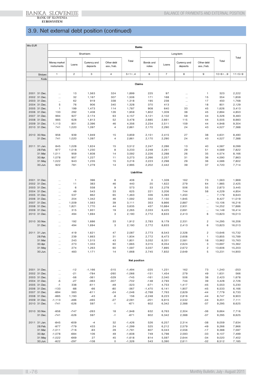**EUROSYSTEM**

# 3.9. Net external debt position (continued)

| Mio EUR      |                             |                         |                          |                          | <b>Banks</b>        |                    |                |                          |                          |                  |                  |
|--------------|-----------------------------|-------------------------|--------------------------|--------------------------|---------------------|--------------------|----------------|--------------------------|--------------------------|------------------|------------------|
|              |                             |                         | Short-term               |                          |                     |                    |                | Long-term                |                          |                  |                  |
|              | Money market<br>instruments | Loans                   | Currency and<br>deposits | Other debt<br>ass./liab. | Total               | Bonds and<br>notes | Loans          | Currency and<br>deposits | Other debt<br>ass./liab. | Total            | Total            |
| Stolpec      | $\mathbf{1}$                | $\overline{\mathbf{c}}$ | 3                        | $\overline{4}$           | $5 = 1 + .4$        | 6                  | $\overline{7}$ | 8                        | 9                        | $10 = 6 +  9$    | $11 = 5 + 9$     |
| Koda         |                             |                         |                          |                          |                     |                    |                |                          |                          |                  |                  |
|              |                             |                         |                          |                          | Claims              |                    |                |                          |                          |                  |                  |
| 2001 31.Dec. |                             | 13                      | 1,563                    | 324                      | 1,899               | 225                | 97             |                          | $\overline{1}$           | 323              | 2,222            |
| 2002 31.Dec  | $\cdots$                    | 32                      | 1,167                    | 307                      | 1,506               | 171                | 168            | $\ddotsc$                | 15                       | 354              | 1,859            |
| 2003 31.Dec. |                             | 62                      | 919                      | 338                      | 1,318               | 195                | 238            | $\cdots$                 | 17                       | 450              | 1,768            |
| 2004 31.Dec  | 5                           | 76                      | 906                      | 340                      | 1,328               | 370                | 413            | $\ddotsc$                | 18                       | 801              | 2,129            |
| 2005 31.Dec. | $\mathbf{1}$                | 199                     | 1,473                    | 114                      | 1,787               | 908                | 640            | 33                       | 45                       | 1,626            | 3,413            |
| 2006 31.Dec  | 133                         | 292                     | 1,408                    | 126                      | 1,959               | 1,802              | 1,009          | 38                       | 45                       | 2,894            | 4,853            |
| 2007 31.Dec. | 994                         | 927                     | 2,174                    | 63                       | 4,157               | 3,121              | 2,102          | 59                       | 44                       | 5,326            | 9,483            |
| 2008 31.Dec  | 985                         | 628                     | 1,813                    | 52                       | 3,478               | 2,685              | 2,661          | 115                      | 44                       | 5,505            | 8,983            |
|              |                             |                         |                          |                          |                     |                    |                |                          |                          |                  |                  |
| 2009 31.Dec. | 1,113                       | 801                     | 2,396                    | 46                       | 4,356               | 2,234              | 2,511          | 159                      | 44                       | 4,948            | 9,304            |
| 2010 31.Dec. | 741                         | 1,020                   | 1,097                    | $\overline{4}$           | 2,861               | 2,170              | 2,290          | 24                       | 43                       | 4,527            | 7,388            |
| 2010 30.Nov. | 956                         | 939                     | 1,949                    | 15                       | 3,859               | 2,151              | 2,415          | 27                       | 38                       | 4,631            | 8,490            |
| 31.Dec.      | 741                         | 1,020                   | 1,097                    | $\overline{4}$           | 2,861               | 2,170              | 2,290          | 24                       | 43                       | 4,527            | 7,388            |
| 2011 31.Jan. | 845                         | 1,028                   | 1,624                    | 15                       | 3,512               | 2,247              | 2,286          | 13                       | 40                       | 4,587            | 8,099            |
| 28.Feb.      | 977                         | 1,018                   | 1,230                    | 8                        | 3,233               | 2,248              | 2,261          | 29                       | 51                       | 4,589            | 7,822            |
| 31.Mar.      | 1,011                       | 959                     | 1,608                    | 14                       | 3,592               | 2,226              | 2,288          | 26                       | 35                       | 4,574            | 8,166            |
|              | 1,078                       |                         | 1,227                    |                          | 3,273               |                    |                |                          | 36                       |                  | 7,863            |
| 30.Apr.      |                             | 957                     |                          | 11                       |                     | 2,266              | 2,257          | 31                       |                          | 4,590            |                  |
| 31.May       | 1,022                       | 943                     | 1,235                    | 15                       | 3,216               | 2,223              | 2,298          | 29                       | 36                       | 4,586            | 7,802            |
| 30.Jun.      | 922                         | 781                     | 1,279                    | 14                       | 2,995               | 2,202              | 2,442          | 39                       | 37                       | 4,720            | 7,714            |
|              |                             |                         |                          |                          | Liabilities         |                    |                |                          |                          |                  |                  |
| 2001 31.Dec. |                             | $\mathbf{1}$            | 396                      | 8                        | 406                 | $\mathsf O$        | 1,328          | 162                      | 73                       | 1,563            | 1,969            |
| 2002 31.Dec. |                             | 11                      | 383                      | 46                       | 440                 | 20                 | 1,622          | 279                      | 64                       | 1,985            | 2,425            |
| 2003 31.Dec. | $\cdots$                    | 6                       | 558                      | 9                        | 573                 | 33                 | 2,278          | 506                      | 55                       | 2,873            | 3,445            |
| 2004 31.Dec. |                             | 49                      | 543                      | 33                       | 625                 | 221                | 3,206          | 744                      | 58                       | 4,229            | 4,854            |
| 2005 31.Dec  |                             |                         | 862                      |                          |                     |                    |                |                          |                          |                  |                  |
|              |                             | 537                     |                          | 65                       | 1,463               | 336                | 5,393          | 1,450                    | $\cdots$                 | 7,179            | 8,643            |
| 2006 31.Dec. |                             | 204                     | 1,342                    | 46                       | 1,592               | 332                | 7,150          | 1,945                    | $\cdots$                 | 9,427            | 11,019           |
| 2007 31.Dec. |                             | 1,509                   | 1,563                    | 39                       | 3,111               | 353                | 9,866          | 2,887                    | $\cdots$                 | 13,106           | 16,216           |
| 2008 31.Dec  |                             | 1,821                   | 1,770                    | 44                       | 3,635               | 437                | 10,884         | 2,931                    | $\cdots$                 | 14,252           | 17,886           |
| 2009 31.Dec. |                             | 315                     | 1,931                    | 19                       | 2,265               | 2,033              | 9,425          | 2,691                    | $\cdots$                 | 14,149           | 16,414           |
| 2010 31.Dec. |                             | 494                     | 1,694                    | 3                        | 2,190               | 2,772              | 8,633          | 2,413                    | 6                        | 13,823           | 16,013           |
| 2010 30.Nov. |                             |                         |                          |                          |                     |                    |                |                          |                          |                  |                  |
| 31.Dec       |                             | 192<br>494              | 1,686<br>1,694           | 33<br>3                  | 1,912<br>2,190      | 2,783<br>2,772     | 9,179<br>8,633 | 2,331<br>2,413           | $\overline{c}$<br>6      | 14,295<br>13,823 | 16,206<br>16,013 |
|              |                             |                         |                          |                          |                     |                    |                |                          |                          |                  |                  |
| 2011 31.Jan. |                             | 419                     | 1,621                    | 47                       | 2,087               | 2,773              | 8,543          | 2,328                    | $\sqrt{2}$               | 13,646           | 15,732           |
| 28.Feb.      |                             | 239                     | 1,663                    | 31                       | 1,934               | 2,772              | 8,473          | 2,608                    | $\mathbf{1}$             | 13,855           | 15,789           |
| 31.Mar.      |                             | 243                     | 1,515                    | 43                       | 1,801               | 3,032              | 8,331          | 2,581                    | 18                       | 13,962           | 15,763           |
| 30.Apr.      |                             | 273                     | 1,333                    | 60                       | 1,665               | 3,015              | 8,054          | 2,624                    | 3                        | 13,697           | 15,362           |
| 31.May       |                             | 274                     | 1,263                    | 60                       | 1,597               | 3,037              | 7,895          | 2,672                    | $\overline{c}$           | 13,606           | 15,203           |
| 30.Jun.      |                             | 483                     | 1,171                    | 14                       | 1,668               | 2,745              | 7,832          | 2,649                    | $\,$ 5                   | 13,231           | 14,900           |
|              |                             |                         |                          |                          |                     |                    |                |                          |                          |                  |                  |
|              |                             |                         |                          |                          | <b>Net position</b> |                    |                |                          |                          |                  |                  |
| 2001 31.Dec. | $\cdots$                    | $-12$                   | $-1,166$                 | $-315$                   | $-1,494$            | $-225$             | 1,231          | 162                      | 73                       | 1,240            | $-253$           |
| 2002 31.Dec. |                             | $-21$                   | $-784$                   | $-260$                   | $-1,066$            | $-151$             | 1,454          | 279                      | 49                       | 1,631            | 566              |
| 2003 31.Dec. | $\cdots$                    |                         |                          |                          |                     |                    |                | 506                      |                          |                  |                  |
|              | $\cdots$                    | $-56$                   | $-361$                   | $-329$                   | $-745$              | $-161$             | 2,040          |                          | 38                       | 2,423            | 1,678            |
| 2004 31.Dec. | $-5$                        | $-27$                   | $-363$                   | $-307$                   | $-702$              | $-148$             | 2,793          | 744                      | 39                       | 3,428            | 2,726            |
| 2005 31.Dec. | $-1$                        | 338                     | $-611$                   | $-49$                    | $-323$              | $-571$             | 4,753          | 1,417                    | $-45$                    | 5,553            | 5,230            |
| 2006 31.Dec. | $-133$                      | $-88$                   | $-66$                    | $-80$                    | $-367$              | $-1,470$           | 6,141          | 1,907                    | $-45$                    | 6,533            | 6,166            |
| 2007 31.Dec. | $-994$                      | 583                     | $-611$                   | $-24$                    | $-1,046$            | $-2,768$           | 7,763          | 2,829                    | $-44$                    | 7,779            | 6,733            |
| 2008 31.Dec. | $-985$                      | 1,193                   | $-43$                    | -9                       | 156                 | $-2,248$           | 8,223          | 2,816                    | $-44$                    | 8,747            | 8,903            |
| 2009 31.Dec. | $-1, 113$                   | $-486$                  | $-465$                   | $-27$                    | $-2,091$            | $-201$             | 6,915          | 2,532                    | $-44$                    | 9,201            | 7,111            |
| 2010 31.Dec. | $-741$                      | $-526$                  | 597                      | $-1$                     | $-671$              | 602                | 6,342          | 2,388                    | $-37$                    | 9,295            | 8,625            |
| 2010 30.Nov. | $-956$                      | $-747$                  | $-263$                   | 18                       | $-1,948$            | 632                | 6,763          | 2,304                    | $-36$                    | 9,664            | 7,716            |
| 31.Dec.      | $-741$                      | $-526$                  | 597                      | $-1$                     | $-671$              | 602                | 6,342          | 2,388                    | $-37$                    | 9,295            | 8,625            |
| 2011 31.Jan. | $-845$                      | $-609$                  | $-4$                     | 32                       | $-1,426$            | 526                | 6,257          | 2,314                    | $-38$                    | 9,059            | 7,634            |
| 28.Feb.      | $-977$                      | $-779$                  | 433                      | 24                       | $-1,299$            | 525                | 6,212          | 2,579                    | $-49$                    | 9,266            | 7,966            |
| 31.Mar.      | $-1,011$                    | $-716$                  | $-93$                    | 29                       | $-1,791$            | 807                | 6,043          | 2,556                    | $-17$                    | 9,388            | 7,597            |
| 30.Apr.      | $-1,078$                    | $-684$                  | 106                      | 49                       | $-1,608$            | 749                | 5,798          | 2,593                    | $-33$                    | 9,107            | 7,499            |
|              |                             |                         |                          |                          |                     |                    |                |                          |                          |                  |                  |
| 31.May       | $-1,022$                    | $-669$                  | 27                       | 45                       | $-1,618$            | 814                | 5,597          | 2,644                    | $-34$                    | 9,020            | 7,402            |
| 30.Jun.      | $-922$                      | $-297$                  | $-108$                   | $\mathsf O$              | $-1,326$            | 543                | 5,390          | 2,611                    | $-32$                    | 8,512            | 7,185            |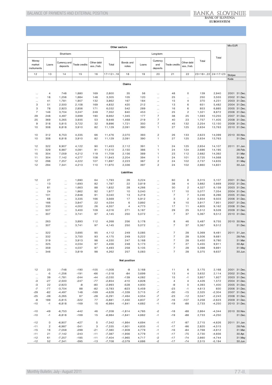|                                |                               |                          |                  |                          | Other sectors        |                      |                |                                           |                      |                          |                |                      | Mio EUR |                              |
|--------------------------------|-------------------------------|--------------------------|------------------|--------------------------|----------------------|----------------------|----------------|-------------------------------------------|----------------------|--------------------------|----------------|----------------------|---------|------------------------------|
|                                |                               | Short-term               |                  |                          |                      |                      |                | Long-term                                 |                      |                          |                |                      |         |                              |
|                                |                               |                          |                  |                          |                      |                      |                |                                           |                      |                          |                | Total                |         |                              |
| Money<br>market<br>instruments | Loans                         | Currency and<br>deposits | Trade credits    | Other debt<br>ass./liab. | Total                | Bonds and<br>notes   | Loans          | Currency<br>and<br>deposits               | <b>Trade credits</b> | Other debt<br>ass./liab. | Total          |                      |         |                              |
| 12                             | 13                            | 14                       | 15               | 16                       | $17 = 12 + .16$      | 18                   | 19             | 20                                        | 21                   | 22                       |                | 23=18+22 24=17+23    | Stolpec |                              |
|                                |                               |                          |                  |                          |                      |                      |                |                                           |                      |                          |                |                      | Koda    |                              |
|                                |                               |                          |                  |                          |                      | Claims               |                |                                           |                      |                          |                |                      |         |                              |
|                                |                               |                          |                  |                          |                      |                      |                |                                           |                      |                          |                |                      |         |                              |
| $\cdots$                       | $\overline{4}$                | 748                      | 1,880            | 169                      | 2,800                | 35                   | 56             | $\cdots$                                  | 48                   | 0                        | 139            | 2,940                |         | 2001 31.Dec.                 |
| $\cdots$                       | 18                            | 1,256                    | 1,884            | 148                      | 3,305                | 105                  | 120            |                                           | 25                   | $\cdots$                 | 250            | 3,555                |         | 2002 31.Dec.                 |
|                                | 41                            | 1,781                    | 1,907            | 132                      | 3,862                | 167                  | 184            | $\cdots$                                  | 15                   | 4                        | 370            | 4,231                |         | 2003 31.Dec.                 |
| 3<br>3                         | 51<br>78                      | 2,500<br>2,923           | 2,108<br>2,856   | 169<br>171               | 4,832<br>6,032       | 420<br>542           | 212<br>289     |                                           | 13<br>16             | 6<br>6                   | 651<br>853     | 5,482<br>6,885       |         | 2004 31.Dec.<br>2005 31.Dec. |
| $\overline{7}$                 | 146                           | 3,704                    | 3,247            | 249                      | 7,352                | 840                  | 453            | $\cdots$<br>$\cdots$                      | 25                   | $\overline{\mathbf{c}}$  | 1,321          | 8,672                |         | 2006 31.Dec.                 |
| 29                             | 248                           | 4,497                    | 3,699            | 190                      | 8,662                | 1,345                | 177            | $\overline{7}$                            | 38                   | 25                       | 1,593          | 10,255               |         | 2007 31.Dec.                 |
| 25                             | 369                           | 5,265                    | 3,935            | 53                       | 9,648                | 1,468                | 219            | $\overline{\mathfrak{c}}$                 | 40                   | 23                       | 1,757          | 11,405               |         | 2008 31.Dec.                 |
| $\mathsf g$                    | 318                           | 5,815                    | 3,722            | 32                       | 9,896                | 1,721                | 350            | $\overline{7}$                            | 45                   | 132                      | 2,254          | 12,150               |         | 2009 31.Dec.                 |
| 10                             | 308                           | 6,818                    | 3,910            | 82                       | 11,129               | 2,091                | 390            | 1                                         | 27                   | 125                      | 2,634          | 13,763               |         | 2010 31.Dec.                 |
| 10                             | 312                           | 6,753                    | 4,335            | 66                       | 11,476               | 2,070                | 393            | $\overline{\mathbf{c}}$                   | 26                   | 133                      | 2,623          | 14,099               |         | 2010 30.Nov.                 |
| 10                             | 308                           | 6,818                    | 3,910            | 82                       | 11,129               | 2,091                | 390            | 1                                         | 27                   | 125                      | 2,634          | 13,763               |         | 31.Dec.                      |
|                                |                               |                          |                  |                          |                      |                      |                |                                           |                      |                          |                |                      |         |                              |
| 12                             | 322                           | 6,907                    | 4,122            | 90                       | 11,453               | 2,112                | 391            | 1                                         | 24                   | 125                      | 2,654          | 14,107               |         | 2011 31.Jan.                 |
| 11                             | 329                           | 6,987                    | 4,091            | 91                       | 11,510               | 2,150                | 386            | 1                                         | 24                   | 124                      | 2,686          | 14,195               |         | 28.Feb.                      |
| 15                             | 304                           | 7,059                    | 4,212            | 119                      | 11,709               | 2,156                | 389            | 1                                         | 23                   | 112                      | 2,682          | 14,392               |         | 31.Mar.                      |
| 11                             | 304                           | 7,142                    | 4,277            | 108                      | 11,843               | 2,204                | 394            | 1                                         | 24                   | 101                      | 2,725          | 14,568               |         | 30.Apr.                      |
| 12<br>12                       | 298<br>294                    | 7,257<br>7,341           | 4,222<br>4,213   | 107<br>110               | 11,897<br>11,970     | 2,223<br>2,336       | 387<br>397     | $\overline{\mathbf{c}}$<br>$\overline{c}$ | 24<br>24             | 102<br>102               | 2,737<br>2,860 | 14,635<br>14,831     |         | 31.May<br>30.Jun.            |
|                                |                               |                          |                  |                          |                      |                      |                |                                           |                      |                          |                |                      |         |                              |
|                                |                               |                          |                  |                          |                      | Liabilities          |                |                                           |                      |                          |                |                      |         |                              |
| 12                             | 27                            |                          | 1,690            | 64                       | 1,793                | 26                   | 3,224          |                                           | 60                   | 6                        | 3,315          | 5,107                |         | 2001 31.Dec.                 |
|                                | 13                            | $\ddotsc$                | 1,693            | 82                       | 1,787                | 22                   | 3,819          | $\ddotsc$                                 | 38                   | 4                        | 3,882          | 5,669                |         | 2002 31.Dec.                 |
| $\cdots$<br>                   | 81                            | $\cdots$<br>             | 1,663            | 88                       | 1,832                | 28                   | 4,266          | $\cdots$<br>                              | 30                   | $\overline{\mathbf{c}}$  | 4,327          | 6,159                |         | 2003 31.Dec.                 |
|                                | 24                            | $\cdots$                 | 1,862            | 92                       | 1,977                | 10                   | 5,040          |                                           | 17                   | 10                       | 5,077          | 7,054                |         | 2004 31.Dec.                 |
|                                | 101                           | $\cdots$                 | 2,848            | 91                       | 3,040                | 13                   | 5,219          | $\cdots$                                  | $\overline{7}$       | $\overline{7}$           | 5,246          | 8,286                |         | 2005 31.Dec.                 |
|                                | 68                            | $\ddotsc$                | 3,335            | 166                      | 3,569                | 17                   | 5,912          | $\cdots$                                  | 3                    | $\overline{c}$           | 5,934          | 9,503                |         | 2006 31.Dec.                 |
|                                | 166                           | $\cdots$                 | 3,847            | 22                       | 4,034                | 6                    | 3,892          |                                           | 9                    | 10                       | 3,917          | 7,951                |         | 2007 31.Dec.                 |
|                                | 330                           | $\cdots$                 | 4,002            | 26                       | 4,357                | $\overline{4}$       | 4,773          | $\cdots$                                  | 17                   | 11                       | 4,805          | 9,162                |         | 2008 31.Dec.                 |
|                                | 507                           | $\cdots$                 | 3,400            | 109                      | 4,016                | 271                  | 5,187          |                                           | 29                   | 25                       | 5,512          | 9,528                |         | 2009 31.Dec.                 |
|                                | 307                           | $\cdots$                 | 3,741            | 97                       | 4,145                | 250                  | 5,072          | $\cdots$                                  | 7                    | 37                       | 5,367          | 9,512                |         | 2010 31.Dec.                 |
|                                | 263                           | $\cdots$                 | 3,893            | 112                      | 4,268                | 256                  | 5,178          |                                           | 8                    | 46                       | 5,487          | 9,755                |         | 2010 30.Nov.                 |
|                                | 307                           | $\cdots$                 | 3,741            | 97                       | 4,145                | 250                  | 5,072          |                                           | $\overline{7}$       | 37                       | 5,367          | 9,512                |         | 31.Dec.                      |
|                                |                               |                          |                  |                          |                      |                      |                |                                           |                      |                          |                |                      |         |                              |
|                                | 322                           |                          | 3,695            | 95                       | 4,112                | 249                  | 5,085          |                                           | $\overline{7}$       | 28                       | 5,369          | 9,481                |         | 2011 31.Jan.                 |
| $\cdots$                       | 332                           | $\cdots$                 | 3,750            | 93                       | 4,175                | 249                  | 5,222          | $\cdots$                                  | $\overline{7}$       | 28                       | 5,506          | 9,681                |         | 28.Feb.                      |
|                                | 319<br>325                    | $\cdots$<br>$\ddotsc$    | 3,913<br>4,034   | 98<br>97                 | 4,330<br>4,456       | 247<br>248           | 5,168<br>5,173 | <br>                                      | 7<br>$\overline{7}$  | 28<br>27                 | 5,450<br>5,455 | 9,780<br>9,911       |         | 31.Mar.<br>30.Apr.           |
| <br>                           | 359                           |                          | 4,037            | 97                       | 4,493                | 258                  | 5,105          |                                           | $\overline{7}$       | 28                       | 5,398          | 9,891                |         | 31.May                       |
|                                | 346                           | $\cdots$                 | 3,819            | 98                       | 4,262                | 257                  | 5,083          | $\cdots$                                  | 7                    | 28                       | 5,375          | 9,637                |         | 30.Jun.                      |
|                                |                               |                          |                  |                          |                      |                      |                |                                           |                      |                          |                |                      |         |                              |
|                                |                               |                          |                  |                          |                      | Net position         |                |                                           |                      |                          |                |                      |         |                              |
|                                |                               |                          |                  |                          |                      |                      |                |                                           |                      |                          |                |                      |         |                              |
| 12                             | 23                            | $-748$                   | $-190$           | $-105$                   | $-1,008$             | -9                   | 3,168          |                                           | 11                   | 6                        | 3,175          | 2,168                |         | 2001 31.Dec.                 |
| $\ldots$                       | $-5$<br>39                    | $-1,256$<br>$-1,781$     | $-191$<br>$-244$ | $-66$<br>$-44$           | $-1,518$<br>$-2,030$ | $-84$<br>$-139$      | 3,699<br>4,082 | $\cdots$                                  | 13<br>15             | 4<br>$-1$                | 3,632<br>3,957 | 2,114<br>1,927       |         | 2002 31.Dec.<br>2003 31.Dec. |
| $\cdots$<br>-3                 | $-27$                         | $-2,500$                 | $-247$           | $-77$                    | $-2,854$             | $-410$               | 4,828          | $\cdots$<br>$\cdots$                      | 4                    | 4                        | 4,426          | 1,572                |         | 2004 31.Dec.                 |
| $-3$                           | 22                            | $-2,923$                 | $-8$             | -80                      | $-2,993$             | $-528$               | 4,930          | $\cdots$                                  | -9                   | 0                        | 4,393          | 1,400                |         | 2005 31.Dec.                 |
| $-7$                           | $-77$                         | $-3,704$                 | 88               | $-82$                    | $-3,783$             | $-823$               | 5,459          | $\cdots$                                  | $-23$                | $-1$                     | 4,613          | 830                  |         | 2006 31.Dec.                 |
| $-29$                          | $-82$                         | $-4,497$                 | 148              | $-169$                   | $-4,628$             | $-1,339$             | 3,715          | $-7$                                      | $-30$                | $-15$                    | 2,325          | $-2,304$             |         | 2007 31.Dec.                 |
| $-25$                          | $-39$                         | $-5,265$                 | 67               | $-28$                    | $-5,291$             | $-1,464$             | 4,554          | $-7$                                      | $-23$                | $-12$                    | 3,047          | $-2,243$             |         | 2008 31.Dec.                 |
| -9                             | 189                           | $-5,815$                 | $-322$           | 77                       | $-5,881$             | $-1,450$             | 4,837          | $-7$                                      | $-16$                | $-107$                   | 3,258          | $-2,623$             |         | 2009 31.Dec.                 |
| $-10$                          | $-1$                          | $-6,818$                 | $-169$           | 15                       | $-6,984$             | $-1,841$             | 4,682          | $-1$                                      | $-19$                | $-88$                    | 2,733          | $-4,250$             |         | 2010 31.Dec.                 |
| $-10$                          | $-49$                         | $-6,753$                 | $-442$           | 46                       | $-7,208$             | $-1,814$             | 4,785          | $-2$                                      | $-18$                | $-88$                    | 2,864          | $-4,344$             |         | 2010 30.Nov.                 |
| $-10$                          | $-1$                          | $-6,818$                 | $-169$           | 15                       | $-6,984$             | $-1,841$             | 4,682          | $-1$                                      | $-19$                | $-88$                    | 2,733          | $-4,250$             |         | 31.Dec.                      |
|                                |                               |                          |                  |                          |                      |                      |                |                                           |                      |                          |                |                      |         |                              |
| $-12$<br>$-11$                 | $\mathsf O$<br>$\overline{c}$ | $-6,907$<br>$-6,987$     | $-427$<br>$-341$ | 5<br>3                   | $-7,342$<br>$-7,335$ | $-1,864$<br>$-1,901$ | 4,694<br>4,835 | $-1$<br>$-1$                              | $-17$<br>$-17$       | $-97$<br>-96             | 2,715<br>2,820 | $-4,626$<br>$-4,515$ |         | 2011 31.Jan.<br>28.Feb.      |
| $-15$                          | 16                            | $-7,059$                 | $-299$           | $-21$                    | $-7,380$             | $-1,909$             | 4,779          | $-1$                                      | $-16$                | $-84$                    | 2,768          | $-4,612$             |         | 31.Mar.                      |
| $-11$                          | 21                            | $-7,142$                 | $-243$           | $-11$                    | $-7,387$             | $-1,956$             | 4,779          | $-1$                                      | $-17$                | $-75$                    | 2,730          | $-4,656$             |         | 30.Apr.                      |
| $-12$                          | 61                            | $-7,257$                 | $-185$           | $-11$                    | $-7,404$             | $-1,965$             | 4,717          | $-2$                                      | $-17$                | $-74$                    | 2,660          | $-4,744$             |         | 31.May                       |
| $-12$                          | 52                            | $-7,341$                 | $-395$           | $-13$                    | $-7,708$             | $-2,079$             | 4,686          | $-2$                                      | $-17$                | $-74$                    | 2,515          | $-5,194$             |         | 30.Jun.                      |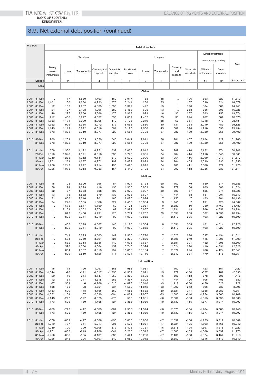| Mio EUR |                              |                                |                  |                  |                          |                          |                      | Total all sectors      |                      |                             |                          |                           |                      |                    |
|---------|------------------------------|--------------------------------|------------------|------------------|--------------------------|--------------------------|----------------------|------------------------|----------------------|-----------------------------|--------------------------|---------------------------|----------------------|--------------------|
|         |                              |                                |                  | Short-term       |                          |                          |                      |                        | Long-term            |                             |                          |                           | Direct investment:   |                    |
|         |                              |                                |                  |                  |                          |                          |                      |                        |                      |                             |                          |                           | Intercomapny lending |                    |
|         |                              | Money<br>market<br>instruments | Loans            | Trade credits    | Currency and<br>deposits | Other debt<br>ass./liab. | Bonds and<br>notes   | Loans                  | Trade credits        | Currency<br>and<br>deposits | Other debt<br>ass./liab. | Affiliated<br>enterprises | Direct<br>investors  | Total              |
|         | Stolpec                      | $\mathbf{1}$                   | $\overline{c}$   | 3                | $\overline{4}$           | 5                        | 6                    | $\overline{7}$         | 8                    | 9                           | 10                       | 11                        | 12                   | $13 = 1 +  + 12$   |
|         | Koda                         |                                |                  |                  |                          |                          |                      |                        |                      |                             |                          |                           |                      |                    |
|         |                              |                                |                  |                  |                          |                          |                      | Claims                 |                      |                             |                          |                           |                      |                    |
|         |                              |                                |                  |                  |                          |                          |                      |                        |                      |                             |                          |                           |                      |                    |
|         | 2001 31.Dec.<br>2002 31.Dec. | <br>1,101                      | 17<br>50         | 1,880<br>1,884   | 4,463<br>4,933           | 1,452<br>1,373           | 2,917<br>3,244       | 153<br>288             | 48<br>25             | $\cdots$                    | 106<br>167               | 553<br>690                | 223<br>324           | 11,813<br>14,079   |
|         | 2003 31.Dec                  | 12                             | 103              | 1,907            | 4,335                    | 1,356                    | 5,392                | 422                    | 15                   | $\cdots$<br>$\cdots$        | 170                      | 864                       | 366                  | 14,941             |
|         | 2004 31.Dec.                 | 24                             | 127              | 2,108            | 4,096                    | 1,389                    | 6,453                | 625                    | 13                   | $\cdots$                    | 258                      | 836                       | 296                  | 16,225             |
|         | 2005 31.Dec.                 | 48                             | 277              | 2,856            | 5,668                    | 1,175                    | 6,967                | 929                    | 16                   | 33                          | 267                      | 883                       | 455                  | 19,574             |
|         | 2006 31.Dec                  | 212                            | 438              | 3,247            | 6,037                    | 556                      | 7,039                | 1,462                  | 25                   | 38                          | 244                      | 987                       | 389                  | 20,673             |
|         | 2007 31.Dec.<br>2008 31.Dec. | 1,733<br>1,352                 | 1,174<br>996     | 3,699<br>3,935   | 8,305<br>8,272           | 419<br>373               | 7,776<br>8,053       | 2,279<br>2,880         | 38<br>40             | 66<br>131                   | 351<br>283               | 1,818<br>2,019            | 773<br>789           | 28,431<br>29,125   |
|         | 2009 31.Dec.                 | 1,143                          | 1,119            | 3,722            | 8,616                    | 301                      | 8,195                | 2,860                  | 45                   | 382                         | 396                      | 1,918                     | 738                  | 29,434             |
|         | 2010 31.Dec.                 | 773                            | 1,328            | 3,910            | 8,277                    | 223                      | 8,654                | 2,783                  | 27                   | 282                         | 409                      | 2,080                     | 955                  | 29,702             |
|         |                              |                                |                  |                  |                          |                          |                      |                        |                      |                             |                          |                           |                      |                    |
|         | 2010 30.Nov.<br>31.Dec.      | 989<br>773                     | 1,251<br>1,328   | 4,335<br>3,910   | 9,050<br>8,277           | 348<br>223               | 8,641<br>8,654       | 2,911<br>2,783         | 26<br>27             | 261<br>282                  | 407<br>409               | 2,134<br>2,080            | 927<br>955           | 31,280<br>29,702   |
|         | 2011 31.Jan.                 | 878                            | 1,350            | 4,122            | 8,951                    | 337                      | 8,686                | 2,812                  | 24                   | 269                         | 416                      | 2,122                     | 974                  | 30,942             |
|         | 28.Feb.                      | 1,010                          | 1,348            | 4,091            | 8,618                    | 330                      | 8,776                | 2,805                  | 24                   | 284                         | 414                      | 2,118                     | 1,043                | 30,861             |
|         | 31.Mar                       | 1,049                          | 1,263            | 4,212            | 9,144                    | 513                      | 8,672                | 2,906                  | 23                   | 264                         | 416                      | 2,099                     | 1,017                | 31,577             |
|         | 30.Apr.                      | 1,271<br>1,256                 | 1,261            | 4,277<br>4,222   | 8,972                    | 499                      | 8,472<br>8,428       | 2,879<br>2,915         | 24<br>24             | 264<br>266                  | 405                      | 2,099<br>2,080            | 933<br>972           | 31,355             |
|         | 31.May<br>30.Jun.            | 1,225                          | 1,242<br>1,075   | 4,213            | 9,114<br>9,233           | 493<br>454               | 8,442                | 3,103                  | 24                   | 299                         | 411<br>418               | 2,086                     | 939                  | 31,423<br>31,511   |
|         |                              |                                |                  |                  |                          |                          |                      | Liabilities            |                      |                             |                          |                           |                      |                    |
|         | 2001 31.Dec.                 | 15                             | 28               | 1,690            | 396                      | 84                       | 1,934                | 5,134                  | 60                   | 162                         | 79                       | 130                       | 674                  | 10,386             |
|         | 2002 31.Dec.                 | 56                             | 24               | 1,693            | 416                      | 138                      | 1,935                | 5,909                  | 38                   | 279                         | 68                       | 163                       | 806                  | 11,524             |
|         | 2003 31.Dec                  | 32                             | 87               | 1,663            | 588                      | 106                      | 2,070                | 6,927                  | 30                   | 506                         | 57                       | 185                       | 974                  | 13,225             |
|         | 2004 31.Dec.                 | 13                             | 73               | 1,862            | 579                      | 133                      | 2,096                | 8,627                  | 17                   | 744                         | 68                       | 131                       | 1,001                | 15,343             |
|         | 2005 31.Dec.                 | 21                             | 638              | 2,848            | 901                      | 165                      | 2,070                | 10,974                 | $\overline{7}$       | 1,450                       | $\overline{7}$           | 433                       | 981                  | 20,496             |
|         | 2006 31.Dec<br>2007 31.Dec.  | 24<br>$\cdots$                 | 273<br>1,675     | 3,335<br>3,847   | 1,386<br>5,150           | 222<br>60                | 2,456<br>3,191       | 13,304<br>13,961       | 3<br>9               | 1,945<br>2,887              | $\overline{c}$<br>10     | 191<br>230                | 928<br>3,762         | 24,067<br>34,783   |
|         | 2008 31.Dec.                 |                                | 2,151            | 4,002            | 5,374                    | 69                       | 3,992                | 15,837                 | 17                   | 2,931                       | 43                       | 266                       | 4,552                | 39,234             |
|         | 2009 31.Dec                  | $\ddotsc$                      | 822              | 3,400            | 5,291                    | 128                      | 8,711                | 14,762                 | 29                   | 2,691                       | 263                      | 362                       | 3,836                | 40,294             |
|         | 2010 31.Dec.                 |                                | 802              | 3,741            | 3,819                    | 99                       | 11,039               | 13,852                 | $\overline{7}$       | 2,413                       | 295                      | 403                       | 4,229                | 40,699             |
|         | 2010 30.Nov.<br>31.Dec.      | $\ddotsc$<br>$\ddotsc$         | 456<br>802       | 3,893<br>3,741   | 4,667<br>3,819           | 146<br>99                | 11,175<br>11,039     | 14,504<br>13,852       | 8<br>$\overline{7}$  | 2,331<br>2,413              | 303<br>295               | 431<br>403                | 4,314<br>4,229       | 42,226<br>40,699   |
|         | 2011 31.Jan                  |                                | 741              | 3,695            | 3,885                    | 142                      | 12,366               | 13,778                 | $\overline{7}$       | 2,328                       | 278                      | 397                       | 4,194                | 41,811             |
|         | 28.Feb.                      | $\ddotsc$<br>                  | 571              | 3,750            | 3,601                    | 125                      | 12,372               | 13,866                 | $\overline{7}$       | 2,608                       | 279                      | 415                       | 4,208                | 41,803             |
|         | 31.Mar                       | $\cdots$                       | 562              | 3,913            | 2,836                    | 140                      | 14,075               | 13,667                 | $\overline{7}$       | 2,581                       | 291                      | 432                       | 4,295                | 42,800             |
|         | 30. Apr.                     |                                | 598              | 4,034            | 3,064                    | 157                      | 13,740               | 13,394                 | 7                    | 2,624                       | 270                      | 410                       | 4,331                | 42,628             |
|         | 31.May                       | $\cdots$                       | 634              | 4,037            | 3,013                    | 15/                      | 13,853               | 13,164                 | $\boldsymbol{7}$     | 2,672                       | 274                      | 406                       | 4,424                | 42,641             |
|         | 30.Jun.                      |                                | 829              | 3,819            | 3,126                    | 111                      | 13,524               | 13,116<br>Net position |                      | 2,649                       | 281                      | 470                       | 4,418                | 42,351             |
|         |                              |                                |                  |                  |                          |                          |                      |                        |                      |                             |                          |                           |                      |                    |
|         | 2001 31.Dec.                 | 15                             | 11               | $-190$           | $-4,067$                 | $-1,368$                 | $-983$               | 4,981                  | 11                   | 162                         | $-27$                    | $-423$                    | 451                  | $-1,427$           |
|         | 2002 31.Dec.                 | $-1,044$                       | $-26$            | $-191$           | $-4,517$                 | $-1,236$                 | $-1,309$             | 5,621                  | 13                   | 279                         | $-100$                   | $-527$                    | 482                  | $-2,555$           |
|         | 2003 31.Dec.<br>2004 31.Dec. | 20<br>$-12$                    | $-16$<br>$-54$   | $-244$<br>$-247$ | $-3,747$<br>$-3,518$     | $-1,250$<br>$-1,256$     | $-3,322$<br>$-4,357$ | 6,505<br>8,002         | 15<br>$\overline{4}$ | 506<br>744                  | $-113$<br>$-190$         | $-678$<br>$-705$          | 608<br>705           | $-1,716$<br>$-882$ |
|         | 2005 31.Dec.                 | $-27$                          | 361              | -8               | -4,766                   | $-1,010$                 | $-4,897$             | 10,046                 | -9                   | 1,417                       | $-260$                   | $-450$                    | 526                  | 922                |
|         | 2006 31.Dec.                 | $-188$                         | $-165$           | 88               | $-4,651$                 | $-334$                   | $-4,583$             | 11,842                 | $-23$                | 1,907                       | $-242$                   | $-796$                    | 539                  | 3,395              |
|         | 2007 31.Dec.                 | $-1,733$                       | 500              | 148              | $-3,155$                 | $-359$                   | $-4,585$             | 11,682                 | $-30$                | 2,821                       | $-341$                   | $-1,588$                  | 2,989                | 6,351              |
|         | 2008 31.Dec.                 | $-1,352$                       | 1,154            | 67               | $-2,899$                 | $-304$                   | $-4,061$             | 12,957                 | $-23$                | 2,800                       | $-240$                   | $-1,754$                  | 3,763                | 10,109             |
|         | 2009 31.Dec.<br>2010 31.Dec. | $-1, 143$<br>$-773$            | $-297$<br>$-526$ | $-322$<br>$-169$ | $-3,325$<br>$-4,458$     | $-173$<br>$-124$         | 516<br>2,386         | 11,901<br>11,069       | $-16$<br>$-19$       | 2,309<br>2,130              | $-133$<br>$-115$         | $-1,555$<br>$-1,677$      | 3,098<br>3,274       | 10,860<br>10,997   |
|         | 2010 30.Nov.<br>31.Dec.      | $-989$<br>$-773$               | $-796$<br>$-526$ | $-442$<br>$-169$ | $-4,383$<br>$-4,458$     | $-202$<br>$-124$         | 2,533<br>2,386       | 11,594<br>11,069       | $-18$<br>$-19$       | 2,070<br>2,130              | $-104$<br>$-115$         | $-1,704$<br>$-1,677$      | 3,388<br>3,274       | 10,946<br>10,997   |
|         | 2011 31.Jan.                 | $-878$                         | $-609$           | $-427$           | $-5,066$                 | $-195$                   | 3,680                | 10,966                 | $-17$                | 2,059                       | $-138$                   | $-1,725$                  | 3,219                | 10,869             |
|         | 28.Feb.                      | $-1,010$                       | $-777$           | $-341$           | $-5,017$                 | $-205$                   | 3,596                | 11,061                 | $-17$                | 2,324                       | $-135$                   | $-1,703$                  | 3,165                | 10,942             |
|         | 31.Mar.                      | $-1,049$                       | $-700$           | $-299$           | $-6,308$                 | -373                     | 5,403                | 10,761                 | $-16$                | 2,318                       | $-125$                   | $-1,667$                  | 3,278                | 11,223             |
|         | 30. Apr.                     | $-1,271$                       | $-663$           | $-243$           | $-5,908$                 | $-341$                   | 5,268                | 10,515                 | $-17$                | 2,360                       | $-135$                   | $-1,688$                  | 3,397                | 11,273             |
|         | 31.May                       | $-1,256$                       | $-608$           | $-185$           | $-6,101$                 | $-336$                   | 5,424                | 10,250                 | $-17$                | 2,406                       | $-138$                   | $-1,674$                  | 3,452                | 11,218             |
|         | 30.Jun.                      | $-1,225$                       | $-245$           | $-395$           | $-6,107$                 | $-342$                   | 5,082                | 10,012                 | $-17$                | 2,350                       | $-137$                   | $-1,616$                  | 3,479                | 10,840             |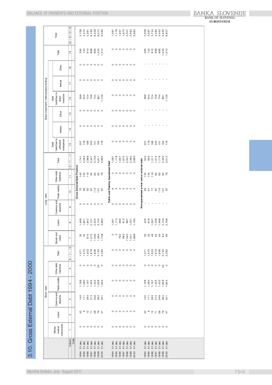|                                         |      | Total                                       | $20 = 6 + 12 + 19$            |      |                                     |                | 3,706<br>4,275                                                                                   | 5,381                       |                |                |                                                    | 6,165<br>6,459<br>6,012<br>9,490 |                                     | 1,097          | 1,178                                 | 1,657<br>1,875 |                | 2,007          |                     | 2,462<br>2,883     |                                            |                | 2,609<br>3,097    | 3,724                                                                | 4,290             | 4,452             | 5,550          | 6,607                                               |
|-----------------------------------------|------|---------------------------------------------|-------------------------------|------|-------------------------------------|----------------|--------------------------------------------------------------------------------------------------|-----------------------------|----------------|----------------|----------------------------------------------------|----------------------------------|-------------------------------------|----------------|---------------------------------------|----------------|----------------|----------------|---------------------|--------------------|--------------------------------------------|----------------|-------------------|----------------------------------------------------------------------|-------------------|-------------------|----------------|-----------------------------------------------------|
|                                         |      | Total                                       | $\frac{0}{1}$                 |      |                                     | 595            | 722                                                                                              | 910                         | 999            | 895            |                                                    | $1,045$<br>$1,312$               |                                     |                | $\circ\circ\circ\circ\circ\circ\circ$ |                |                |                |                     |                    |                                            | 595            |                   | $722$<br>$999$<br>$995$<br>$895$                                     |                   |                   | 1,045          | 1,312                                               |
|                                         |      | Other                                       | $\frac{8}{1}$                 |      |                                     |                | 00000000                                                                                         |                             |                |                |                                                    |                                  |                                     |                | 00000000                              |                |                |                |                     |                    |                                            |                |                   |                                                                      |                   |                   |                |                                                     |
|                                         |      | Arears                                      | $\overline{1}$                |      |                                     |                | 00000000                                                                                         |                             |                |                |                                                    |                                  |                                     |                | 00000000                              |                |                |                |                     |                    |                                            |                | $\blacksquare$    | $\mathcal{A}$                                                        | $\blacksquare$    | $\,$              | $\mathbf{I}$   |                                                     |
| Direct investment: Intercompany lending | Debt | liabilities to<br>investors<br>direct       | $\frac{6}{1}$                 |      |                                     | 388            | 544<br>724<br>756                                                                                |                             |                | 744            | 881                                                | 1,136                            |                                     |                | $\circ\circ\circ\circ\circ\circ\circ$ |                |                |                |                     |                    |                                            | 388            |                   | 544<br>724                                                           | 756               | 744               | 881            | 1,136                                               |
|                                         |      | Other                                       | $\frac{10}{10}$               |      |                                     |                | $\circ\circ\circ\circ\circ\circ\circ$                                                            |                             |                |                |                                                    |                                  |                                     |                | 00000000                              |                |                |                |                     |                    |                                            |                | $\,$              | $\mathbf{u}$                                                         |                   |                   |                |                                                     |
|                                         |      | Arrears                                     | $\frac{4}{3}$                 |      |                                     |                | 00000000                                                                                         |                             |                |                |                                                    |                                  |                                     |                | 00000000                              |                |                |                |                     |                    |                                            |                | $\mathcal{A}$     | $\sim$ 1                                                             | $\sim$            | $\mathcal{A}$     | $\sim$ 1       | $\mathbf{I}$                                        |
|                                         | Debt | liabilities to<br>enterprises<br>affiliated | $\frac{8}{1}$                 |      |                                     | 207            | 178                                                                                              |                             |                |                |                                                    | 243<br>151<br>176<br>176         |                                     |                | 00000000                              |                |                |                |                     |                    |                                            | 207            |                   | $178$<br>$186$<br>$245$<br>$164$<br>$176$                            |                   |                   |                |                                                     |
|                                         |      | Total                                       | $= 7 +  + 1$<br>$\frac{2}{1}$ |      |                                     | 1,741          | 2,083                                                                                            | 2,968                       | 3,347          | 3,726          | 4,811                                              | 5,895                            |                                     | 1,097          | 1,178                                 | 1,657          | 1,875          | 2,007          | 2,462               | 2,883              |                                            | 644            | 905               | 1,311                                                                |                   |                   |                | $1,472$<br>$1,719$<br>$2,350$<br>$2,350$<br>$3,012$ |
|                                         |      | Other debt<br>liabilities                   | $\overline{1}$                |      | <b>Gross External Debt Position</b> | 140            |                                                                                                  | $134$<br>118                | $\overline{9}$ |                | $\begin{array}{c} 30 \\ 30 \\ 30 \\ 5 \end{array}$ |                                  | Public and Publicly Guaranteed Debt |                | $\circ\circ\circ\circ$                |                |                |                | $\circ \circ \circ$ |                    | Non-guaranteed privat sector external debt | 140            | 134               | 118                                                                  |                   |                   | 98887          |                                                     |
|                                         |      | Trade credits                               | $\frac{1}{2}$                 |      |                                     |                | <b>PO</b><br>66                                                                                  | 82<br>87                    |                | 115            | 101                                                | 87                               |                                     |                | 0 0 0 0 0 0 0                         |                |                |                |                     |                    |                                            |                |                   | $\frac{4}{9}$ $\frac{2}{9}$ $\frac{2}{9}$                            |                   |                   | $115$<br>$101$ | $\overline{8}$                                      |
| $Long-term$                             |      | Currency and<br>deposits                    | တ                             |      |                                     |                | $\circ$ $\circ$                                                                                  | $\circ\circ\circ\circ\circ$ |                |                |                                                    |                                  |                                     |                | $\circ\circ\circ\circ\circ\circ\circ$ |                |                |                |                     |                    |                                            |                |                   | $\,$                                                                 | $\,$              | $\,$              |                |                                                     |
|                                         |      | Loans                                       | ${}^{\circ}$                  |      |                                     | 1,496          | 1,851                                                                                            | 1,957                       | 2,151          |                |                                                    | 2,433<br>3,134<br>3,983          |                                     | 1,091          | 1,173                                 | 890            | 912            | 967            | 1,0.31              | 1,195              |                                            | 405            | 678               | 1,067                                                                | 1,239             | 1,466             | 2,103          | 2,788                                               |
|                                         |      | Bonds and<br>notes                          | N                             |      |                                     |                |                                                                                                  |                             |                |                |                                                    |                                  |                                     |                |                                       |                |                | 1,040          |                     | $1,431$<br>$1,688$ |                                            |                |                   | 5<br>5 5 5 5 7 5 6 7                                                 |                   |                   |                |                                                     |
|                                         |      | Total                                       | $= 1 +  + 5$<br>$\circ$       |      |                                     |                | $\begin{array}{cccc}\n1.371 \\ 7.470 \\ 1.503 \\ 8.385 \\ 1.503 \\ 1.6385 \\ 2.283\n\end{array}$ |                             |                |                |                                                    |                                  |                                     |                | $\circ\circ\circ\circ\circ\circ\circ$ |                |                |                |                     |                    |                                            |                |                   |                                                                      |                   |                   |                |                                                     |
|                                         |      | Other debt<br>liabilities                   | LO                            |      |                                     |                | $\circ \circ \circ \circ \circ \circ \underset{\omega}{\circ} \circ$                             |                             |                |                |                                                    |                                  |                                     |                | 00000000                              |                |                |                |                     |                    |                                            |                |                   | $\circ \circ \circ \circ \circ \circ \underset{\omega}{\circ} \circ$ |                   |                   |                |                                                     |
| Short-term                              |      | Trade credits                               | 4                             |      |                                     |                |                                                                                                  |                             |                |                |                                                    |                                  |                                     |                | $\circ\circ\circ\circ\circ\circ\circ$ |                |                |                |                     |                    |                                            |                |                   |                                                                      |                   |                   |                |                                                     |
|                                         |      | Currency and<br>deposits                    | S                             |      |                                     |                | $140$<br>$171$                                                                                   |                             | 0.78804        |                |                                                    |                                  |                                     |                | 00000000                              |                |                |                |                     |                    |                                            |                |                   | 75878870                                                             |                   |                   |                |                                                     |
|                                         |      | Loans                                       | $\sim$                        |      |                                     |                | 4 9 2 7 8 9 7 4                                                                                  |                             |                |                |                                                    |                                  |                                     |                | 00000000                              |                |                |                |                     |                    |                                            |                |                   | 4 9 2 7 8 9 7 4 9 7                                                  |                   |                   |                |                                                     |
|                                         |      | instruments<br>market<br>Money              | ÷                             |      |                                     |                | 00000000                                                                                         |                             |                |                |                                                    |                                  |                                     |                | 00000000                              |                |                |                |                     |                    |                                            |                |                   | 00000000                                                             |                   |                   |                |                                                     |
|                                         |      |                                             | Column                        | Code |                                     | 31.dec<br>1994 | 31.dec<br>1995                                                                                   | 31.dec<br>1996              | 31.dec<br>1997 | 31.dec<br>1998 | 31.dec<br>1999                                     | 31.dec<br>2000                   |                                     | 31.dec<br>1994 | 31.dec<br>31.dec<br>1995              | 1996           | 31.dec<br>1997 | 31.dec<br>1998 | $31$ .dec<br>1999   | 31.dec<br>2000     |                                            | 31.dec<br>1994 | $31$ .dec<br>1995 | $31$ .dec<br>1996                                                    | $31$ .dec<br>1997 | $31$ .dec<br>1998 | 31.dec<br>1999 | 31.dec<br>2000                                      |

#### BANKA SLOVENIJE BANK OF SLOVENIA **EUROSYSTEM**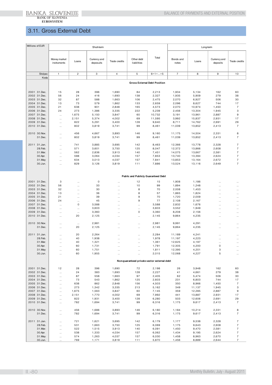**EUROSYSTEM**

# 3.11. Gross External Debt

| Millions of EUR |                             |                | Short-term                |                |                                     |                                             |                    | Long-term      |                          |                           |
|-----------------|-----------------------------|----------------|---------------------------|----------------|-------------------------------------|---------------------------------------------|--------------------|----------------|--------------------------|---------------------------|
|                 | Money market<br>instruments | Loans          | Currency and<br>deposuits | Trade credits  | Other debt<br>liabilities           | Total                                       | Bonds and<br>notes | Loans          | Currency and<br>deposits | Trade credits             |
| Stolpec         | 1                           | $\overline{c}$ | 3                         | $\overline{4}$ | 5                                   | $6 = 1 +  + 5$                              | $\overline{7}$     | 8              | 9                        | 10                        |
| Koda            |                             |                |                           |                |                                     |                                             |                    |                |                          |                           |
|                 |                             |                |                           |                |                                     | <b>Gross External Debt Position</b>         |                    |                |                          |                           |
| 2001 31.Dec.    |                             | 28             | 396                       | 1,690          | 84                                  |                                             |                    |                | 162                      | 60                        |
| 2002 31.Dec.    | 15<br>56                    | 24             | 416                       | 1,693          | 138                                 | 2,213<br>2,327                              | 1,934<br>1,935     | 5,134<br>5,909 | 279                      | 38                        |
| 2003 31.Dec.    | 32                          | 87             | 588                       | 1,663          | 106                                 | 2,475                                       | 2,070              | 6,927          | 506                      | 30                        |
| 2004 31.Dec.    | 13                          | 73             | 579                       | 1,862          | 133                                 | 2,659                                       | 2,096              | 8,627          | 744                      | 17                        |
| 2005 31.Dec.    | 21                          | 638            | 901                       | 2,848          | 165                                 | 4,573                                       | 2,070              | 10,974         | 1,450                    | $\overline{7}$            |
| 2006 31.Dec.    | 24                          | 273            | 1,386                     | 3,335          | 222                                 | 5,239                                       | 2,456              | 13,304         | 1,945                    | 3                         |
| 2007 31.Dec.    | $\cdots$                    | 1,675          | 5,150                     | 3,847          | 60                                  | 10,732                                      | 3,191              | 13,961         | 2,887                    | 9                         |
| 2008 31.Dec.    |                             | 2,151          | 5,374                     | 4,002          | 69                                  | 11,595                                      | 3,992              | 15,837         | 2,931                    | 17                        |
| 2009 31.Dec.    | $\cdots$                    | 822            |                           |                | 128                                 | 9,640                                       | 8,711              | 14,762         |                          | 29                        |
| 2010 31.Dec.    | $\cdots$                    | 802            | 5,291<br>3,819            | 3,400<br>3,741 | 99                                  | 8,461                                       | 11,039             |                | 2,691<br>2,413           | $\overline{\mathfrak{c}}$ |
|                 | $\cdots$                    |                |                           |                |                                     |                                             |                    | 13,852         |                          |                           |
| 2010 30.Nov.    | $\cdots$                    | 456            | 4,667                     | 3,893          | 146                                 | 9,160                                       | 11,175             | 14,504         | 2,331                    | 8                         |
| 31.Dec.         | $\ldots$                    | 802            | 3,819                     | 3,741          | 99                                  | 8,461                                       | 11,039             | 13,852         | 2,413                    | $\overline{7}$            |
|                 |                             |                |                           |                |                                     |                                             |                    |                |                          |                           |
| 2011 31.Jan.    | $\cdots$                    | 741            | 3,885                     | 3,695          | 142                                 | 8,463                                       | 12,366             | 13,778         | 2,328                    | $\overline{7}$            |
| 28.Feb.         | $\cdots$                    | 571            | 3,601                     | 3,750          | 125                                 | 8,047                                       | 12,372             | 13,866         | 2,608                    | $\overline{7}$            |
| 31.Mar.         | $\ldots$                    | 562            | 2,836                     | 3,913          | 140                                 | 7,451                                       | 14,075             | 13,667         | 2,581                    | $\overline{7}$            |
| 30.Apr.         | $\cdots$                    | 598            | 3,064                     | 4,034          | 157                                 | 7,853                                       | 13,740             | 13,394         | 2,624                    | $\overline{7}$            |
| 31.May          | $\cdots$                    | 634            | 3,013                     | 4,037          | 157                                 | 7,841                                       | 13,853             | 13,164         | 2,672                    | $\overline{7}$            |
| 30.Jun.         | $\cdots$                    | 829            | 3,126                     | 3,819          | 111                                 | 7,886                                       | 13,524             | 13,116         | 2,649                    | $\overline{7}$            |
|                 |                             |                |                           |                |                                     |                                             |                    |                |                          |                           |
|                 |                             |                |                           |                | Public and Publicly Guaranteed Debt |                                             |                    |                |                          |                           |
|                 |                             |                |                           |                |                                     |                                             |                    |                |                          |                           |
| 2001 31.Dec.    | 3                           | $\cdots$       | $\mathsf O$               |                | 12                                  | 15                                          | 1,908              | 1,186          |                          |                           |
| 2002 31.Dec.    | 56                          | $\cdots$       | 33                        | $\cdots$       | 10                                  | 99                                          | 1,894              | 1,248          | $\cdots$                 |                           |
| 2003 31.Dec.    | 32                          |                | 30                        |                | 8                                   | 70                                          | 2,008              | 1,453          |                          |                           |
| 2004 31.Dec.    | 13                          |                | 36                        |                | 8                                   | 57                                          | 1,865              | 1,824          |                          |                           |
| 2005 31.Dec.    | 21                          |                | 39                        |                | 9                                   | 70                                          | 1,720              | 2,009          |                          |                           |
| 2006 31.Dec.    | 24                          |                | 45                        | $\cdots$       | $\mathsf g$                         | 77                                          | 2,108              | 2,167          |                          |                           |
| 2007 31.Dec.    | $\ldots$                    | 0              | 3,588                     |                |                                     | 3,588                                       | 2,832              | 1,676          |                          | $\cdots$                  |
| 2008 31.Dec.    | $\cdots$                    | $\cdots$       | 3,603                     | $\cdots$       |                                     | 3,603                                       | 3,552              | 1,949          |                          |                           |
| 2009 31.Dec.    | $\cdots$                    | $\cdots$       | 3,360                     |                | 0                                   | 3,360                                       | 8,208              | 2,156          |                          |                           |
| 2010 31.Dec.    | $\cdots$                    | 20             | 2,125                     |                | $\cdots$                            | 2,145                                       | 9,864              | 4,235          |                          | $\ldots$                  |
| 2010 30.Nov.    |                             |                | 2,981                     |                |                                     | 2,981                                       | 9,991              | 4,291          |                          |                           |
| 31.Dec.         | $\cdots$<br>$\cdots$        | $\ldots$<br>20 | 2,125                     | $\cdots$<br>   | $\cdots$<br>$\cdots$                | 2,145                                       | 9,864              | 4,235          | <br>                     | <br>                      |
|                 |                             |                |                           |                |                                     |                                             |                    |                |                          |                           |
| 2011 31.Jan.    | $\cdots$                    | 20             | 2,264                     |                |                                     | 2,284                                       | 11,189             | 4,241          |                          |                           |
| 28.Feb.         | $\cdots$                    | 40             | 1,938                     |                | $\cdots$                            | 1,978                                       | 11,197             | 4,223          |                          |                           |
| 31.Mar.         |                             | 40             | 1,321                     |                |                                     | 1,361                                       | 12,625             | 4,197          |                          |                           |
| 30.Apr.         | $\cdots$                    | 60             | 1,731                     | $\cdots$       | $\cdots$                            | 1,791                                       | 12,305             | 4,200          | 0                        | $\cdots$                  |
| 31.May          |                             | 60             | 1,751                     |                |                                     | 1,811                                       | 12,395             | 4,201          | 3                        |                           |
| 30.Jun.         | $\cdots$                    | 60             | 1,955                     |                |                                     | 2,015                                       | 12,068             | 4,227          | 5                        | $\ldots$                  |
|                 |                             |                |                           |                |                                     |                                             |                    |                |                          |                           |
|                 |                             |                |                           |                |                                     | Non-guaranteed private sector external debt |                    |                |                          |                           |
| 2001 31.Dec.    | 12                          | 28             | 396                       | 1,690          | 72                                  | 2,198                                       | 26                 | 3,948          | 162                      | 60                        |
| 2002 31.Dec.    | $\cdots$                    | 24             | 383                       | 1,693          | 128                                 | 2,227                                       | 41                 | 4,661          | 279                      | 38                        |
| 2003 31.Dec.    | $\cdots$                    | 87             | 558                       | 1,663          | 97                                  | 2,405                                       | 62                 | 5,474          | 506                      | 30                        |
| 2004 31.Dec.    | $\cdots$                    | 73             | 543                       | 1,862          | 125                                 | 2,603                                       | 231                | 6,803          | 744                      | 17                        |
| 2005 31.Dec.    | $\cdots$                    | 638            | 862                       | 2,848          | 156                                 | 4,503                                       | 350                | 8,966          | 1,450                    | $\overline{7}$            |
| 2006 31.Dec.    | $\cdots$                    | 273            | 1,342                     | 3,335          | 213                                 | 5,162                                       | 349                | 11,137         | 1,945                    | 3                         |
| 2007 31.Dec.    | $\cdots$                    | 1,675          | 1,563                     | 3,847          | 60                                  | 7,145                                       | 359                | 12,285         | 2,887                    | 9                         |
| 2008 31.Dec.    | $\cdots$                    | 2,151          | 1,770                     | 4,002          | 69                                  | 7,992                                       | 441                | 13,887         | 2,931                    | 17                        |
| 2009 31.Dec.    | $\cdots$                    | 822            | 1,931                     | 3,400          | 128                                 | 6,280                                       | 503                | 12,606         | 2,691                    | 29                        |
| 2010 31.Dec.    | $\cdots$                    | 782            | 1,694                     | 3,741          | 99                                  | 6,316                                       | 1,175              | 9,617          | 2,413                    | $\overline{7}$            |
| 2010 30.Nov.    |                             | 456            | 1,686                     | 3,893          | 146                                 | 6,180                                       | 1,184              | 10,214         | 2,331                    | 8                         |
| 31.Dec.         | $\cdots$<br>$\cdots$        | 782            | 1,694                     | 3,741          | 99                                  | 6,316                                       | 1,175              | 9,617          | 2,413                    | $\overline{7}$            |
|                 |                             |                |                           |                |                                     |                                             |                    |                |                          |                           |
| 2011 31.Jan.    | $\cdots$                    | 721            | 1,621                     | 3,695          | 142                                 | 6,179                                       | 1,177              | 9,538          | 2,328                    | $\boldsymbol{7}$          |
| 28.Feb.         | $\cdots$                    | 531            | 1,663                     | 3,750          | 125                                 | 6,069                                       | 1,175              | 9,643          | 2,608                    | $\overline{7}$            |
| 31.Mar.         | $\cdots$                    | 522            | 1,515                     | 3,913          | 140                                 | 6,091                                       | 1,450              | 9,470          | 2,581                    | $\boldsymbol{7}$          |
| 30.Apr.         | $\cdots$                    | 538            | 1,333                     | 4,034          | 157                                 | 6,062                                       | 1,434              | 9,195          | 2,624                    | $\boldsymbol{7}$          |
| 31.May          | $\cdots$                    | 574            | 1,263                     | 4,037          | 157                                 | 6,030                                       | 1,458              | 8,963          | 2,670                    | $\boldsymbol{7}$          |
| 30.Jun.         |                             | 769            | 1,171                     | 3,819          | 111                                 | 5,870                                       | 1,456              | 8,889          | 2,644                    | $\overline{7}$            |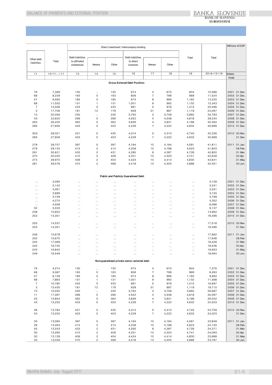|                  |                  |                              |                                       |          | Direct investment: Intercompany lending     |                           |          |          |              | Millions of EUR |
|------------------|------------------|------------------------------|---------------------------------------|----------|---------------------------------------------|---------------------------|----------|----------|--------------|-----------------|
|                  |                  |                              |                                       |          |                                             |                           |          |          |              |                 |
| Other debt       |                  | Debt liabilities             |                                       |          | Debt liabilities                            |                           |          | Total    | Total        |                 |
| liabilities      | Total            | to affiliated<br>enterprises | Arrears                               | Other    | to direct<br>investors                      | Arrears                   | Other    |          |              |                 |
| 11               | $12 = 7 +  + 11$ | 13                           | 14                                    | 15       | 16                                          | 17                        | 18       | 19       | $20=6+12+19$ | Stolpec         |
|                  |                  |                              |                                       |          |                                             |                           |          |          |              | Koda            |
|                  |                  |                              |                                       |          | <b>Gross External Debt Position</b>         |                           |          |          |              |                 |
| 79               | 7,369            | 130                          | $\cdots$                              | 130      | 674                                         | 4                         | 670      | 804      | 10,386       | 2001 31.Dec     |
| 68               | 8,229            | 163                          | $\mathsf O$                           | 163      | 806                                         | $\overline{7}$            | 799      | 969      | 11,524       | 2002 31.Dec     |
| 57               | 9,590            | 185                          | 0                                     | 185      | 974                                         | 8                         | 966      | 1,160    | 13,225       | 2003 31.Dec.    |
| 68               | 11,552           | 131                          | $\mathbf{1}$                          | 131      | 1,001                                       | 9                         | 992      | 1,132    | 15,343       | 2004 31.Dec     |
| $\overline{7}$   | 14,509           | 433                          | 0                                     | 433      | 981                                         | 5                         | 976      | 1,415    | 20,496       | 2005 31.Dec     |
| $\overline{c}$   | 17,709           | 191                          | 12                                    | 179      | 928                                         | 31                        | 897      | 1,119    | 24,067       | 2006 31.Dec     |
| 10               | 20,059           | 230                          | $\cdots$                              | 230      | 3,762                                       | $\overline{c}$            | 3,759    | 3,992    | 34,783       | 2007 31.Dec     |
| 43               | 22,820           | 266                          | $\mathsf O$                           | 266      | 4,552                                       | $\overline{\mathbf{4}}$   | 4,548    | 4,818    | 39,234       | 2008 31.Dec     |
| 263              | 26,455           | 362                          | $\mathbf 0$                           | 362      | 3,836                                       | 4                         | 3,831    | 4,198    | 40,294       | 2009 31.Dec.    |
| 295              | 27,606           | 403                          | 0                                     | 403      | 4,229                                       | $\overline{\mathfrak{c}}$ | 4,222    | 4,632    | 40,699       | 2010 31.Dec     |
| 303              | 28,321           | 431                          | $\mathbf 0$                           | 430      | 4,314                                       | 5                         | 4,310    | 4,745    | 42,226       | 2010 30.Nov.    |
| 295              | 27,606           | 403                          | 0                                     | 403      | 4,229                                       | $\overline{7}$            | 4,222    | 4,632    | 40,699       | 31.Dec          |
| 278              | 28,757           | 397                          | $\mathsf O$                           | 397      | 4,194                                       | 10                        | 4,184    | 4,591    | 41,811       | 2011 31.Jan.    |
| 279              | 29,133           | 415                          | $\overline{\mathbf{c}}$               | 414      | 4,208                                       | 10                        | 4,198    | 4,623    | 41,803       | 28.Feb.         |
| 291              | 30,621           | 432                          | $\boldsymbol{2}$                      | 431      | 4,295                                       | 9                         | 4,287    | 4,728    | 42,800       | 31.Mar.         |
| 270              | 30,035           | 410                          | $\boldsymbol{2}$                      | 409      | 4,331                                       | 10                        | 4,320    | 4,741    | 42,628       | 30.Apr.         |
| 274              | 29,970           | 406                          | $\boldsymbol{2}$                      | 404      | 4,424                                       | 10                        | 4,414    | 4,830    | 42,641       | 31.May          |
| 281              | 29,578           | 470                          | $\overline{\mathbf{c}}$               | 468      | 4,418                                       | 13                        | 4,405    | 4,888    | 42,351       | 30.Jun.         |
|                  |                  |                              |                                       |          |                                             |                           |          |          |              |                 |
|                  |                  |                              |                                       |          | Public and Publicly Guaranteed Debt         |                           |          |          |              |                 |
|                  | 3,095            | $\cdots$                     |                                       |          |                                             |                           |          |          | 3,109        | 2001 31.Dec     |
|                  | 3,142            |                              |                                       |          | $\ddotsc$                                   |                           |          |          | 3,241        | 2002 31.Dec     |
|                  | 3,461            | $\cdots$                     |                                       | $\cdots$ | $\ddotsc$                                   |                           |          |          | 3,531        | 2003 31.Dec     |
| $\cdots$         | 3,689            |                              |                                       | $\cdots$ | $\cdots$                                    |                           |          |          | 3,745        | 2004 31.Dec     |
|                  | 3,729            | $\cdots$                     |                                       | $\cdots$ | $\cdots$                                    |                           |          |          | 3,799        | 2005 31.Dec     |
| $\cdots$         | 4,275            |                              |                                       | $\cdots$ | $\ddotsc$                                   |                           |          | $\cdots$ | 4,352        | 2006 31.Dec     |
| $\cdots$         | 4,508            | $\cdots$                     |                                       |          |                                             |                           |          |          | 8,096        | 2007 31.Dec.    |
| 32               | 5,533            |                              |                                       | $\cdots$ | $\ddotsc$                                   |                           |          |          | 9,137        | 2008 31.Dec.    |
| 238              | 10,602           | $\cdots$                     |                                       | $\cdots$ | $\cdots$                                    |                           |          |          | 13,962       | 2009 31.Dec     |
| 252              | 14,351           |                              |                                       |          |                                             |                           |          |          | 16,496       | 2010 31.Dec     |
| 255              | 14,537           |                              |                                       | $\cdots$ | $\cdots$                                    |                           |          |          | 17,518       | 2010 30.Nov.    |
| 252              | 14,351           | $\cdots$                     |                                       |          |                                             |                           |          |          | 16,496       | 31.Dec.         |
| 248              | 15,678           |                              |                                       |          |                                             |                           |          |          | 17,962       | 2011 31.Jan.    |
| 250              | 15,670           |                              |                                       |          |                                             |                           |          |          | 17,648       | 28.Feb.         |
| 245              | 17,068           |                              |                                       | $\cdots$ | $\cdots$                                    |                           | $\cdots$ |          | 18,428       | 31.Mar.         |
| 240              | 16,745           | $\cdots$                     |                                       |          |                                             |                           |          |          | 18,536       | 30.Apr.         |
| 243              | 16,842           |                              |                                       | $\cdots$ | $\cdots$                                    |                           |          |          | 18,653       | 31.May          |
| 249              | 16,549           | $\cdots$                     | <br>                                  |          |                                             |                           |          | <br>     | 18,564       | 30.Jun.         |
|                  |                  |                              |                                       |          |                                             |                           |          |          |              |                 |
|                  |                  |                              |                                       |          | Non-guaranteed private sector external debt |                           |          |          |              |                 |
| 79               | 4,274            | 130                          | $\ldots$                              | 130      | 674                                         | $\overline{\mathbf{4}}$   | 670      | 804      | 7,276        | 2001 31.Dec.    |
| 68               | 5,087            | 163                          | 0                                     | 163      | 806                                         | $\boldsymbol{7}$          | 799      | 969      | 8,283        | 2002 31.Dec.    |
| 57               | 6,129            | 185                          | $\mathsf{O}\xspace$                   | 185      | 974                                         | 8                         | 966      | 1,160    | 9,694        | 2003 31.Dec.    |
| 68               | 7,863            | 131                          | 1                                     | 131      | 1,001                                       | 9                         | 992      | 1,132    | 11,598       | 2004 31.Dec.    |
| $\boldsymbol{7}$ | 10,780           | 433                          | 0                                     | 433      | 981                                         | 5                         | 976      | 1,415    | 16,697       | 2005 31.Dec.    |
| $\sqrt{2}$       | 13,435           | 191                          | 12                                    | 179      | 928                                         | 31                        | 897      | 1,119    | 19,715       | 2006 31.Dec.    |
| 10               | 15,550           | 230                          |                                       | 230      | 3,762                                       | $\overline{\mathbf{c}}$   | 3,759    | 3,992    | 26,687       | 2007 31.Dec.    |
| 11               | 17,287           | 266                          | $\mathsf{O}\xspace$                   | 266      | 4,552                                       | 4                         | 4,548    | 4,818    | 30,097       | 2008 31.Dec.    |
| 25               | 15,854           | 362                          | 0                                     | 362      | 3,836                                       | 4                         | 3,831    | 4,198    | 26,332       | 2009 31.Dec.    |
| 43               | 13,255           | 403                          | 0                                     | 403      | 4,229                                       | $\overline{7}$            | 4,222    | 4,632    | 24,203       | 2010 31.Dec.    |
| 48               | 13,784           | 431                          | $\mathsf{O}\xspace$                   | 430      | 4,314                                       | 5                         | 4,310    | 4,745    | 24,709       | 2010 30.Nov.    |
| 43               | 13,255           | 403                          | $\mathsf{O}\xspace$                   | 403      | 4,229                                       | $\boldsymbol{7}$          | 4,222    | 4,632    | 24,203       | 31.Dec.         |
| 30               | 13,080           | 397                          | $\mathsf{O}\xspace$                   | 397      | 4,194                                       | 10                        | 4,184    | 4,591    | 23,849       | 2011 31.Jan.    |
| 29               | 13,463           | 415                          | $\mathfrak{2}% _{H}=\mathfrak{2}_{H}$ | 414      | 4,208                                       | 10                        | 4,198    | 4,623    | 24,155       | 28.Feb.         |
| 45               | 13,553           | 432                          | $\mathfrak{2}% _{H}=\mathfrak{2}_{H}$ | 431      | 4,295                                       | 9                         | 4,287    | 4,728    | 24,371       | 31.Mar.         |
| 30               | 13,290           | 410                          | $\mathfrak{2}% _{H}=\mathfrak{2}_{H}$ | 409      | 4,331                                       | 10                        | 4,320    | 4,741    | 24,093       | 30.Apr.         |
| 30               | 13,128           | 406                          | $\overline{\mathbf{c}}$               | 404      | 4,424                                       | 10                        | 4,414    | 4,830    | 23,988       | 31.May          |
| 33               | 13,029           | 470                          | $\overline{c}$                        | 468      | 4,418                                       | 13                        | 4,405    | 4,888    | 23,787       | 30.Jun.         |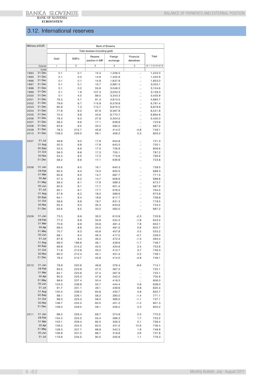BANK OF SLOVENIA **EUROSYSTEM**

# 3.12. International reserves

|              | Millions of EUR  |                |                |                                 | Bank of Slovenia    |                          |                         |
|--------------|------------------|----------------|----------------|---------------------------------|---------------------|--------------------------|-------------------------|
|              |                  |                |                | Total reserves (including gold) |                     |                          |                         |
|              |                  | Gold           | SDR's          | Reserve<br>position in IMF      | Foreign<br>exchange | Financial<br>derivatives | Total                   |
|              | Column           | 1              | 2              | 3                               | 4                   | 5                        | $6 = 1 + 2 + 3 + 4 + 5$ |
|              | Code<br>31.Dec   |                |                |                                 |                     |                          |                         |
| 1994<br>1995 | 31.Dec           | 0.1<br>0.1     | 0.1<br>0.0     | 15.3<br>14.9                    | 1,206.5<br>1,405.9  | <br>                     | 1,222.0<br>1,420.9      |
| 1996         | 31.Dec           | 0.1            | 0.1            | 14.9                            | 1,837.9             |                          | 1,853.0                 |
| 1997         | 31.Dec           | 0.1            | 0.1            | 15.7                            | 2,987.3             |                          | 3,003.1                 |
| 1998         | 31.Dec           | 0.1            | 0.2            | 55.8                            | 3,048.5             |                          | 3,104.6                 |
| 1999         | 31.Dec           | 0.1            | 1.6            | 107.3                           | 3,050.3             |                          | 3,159.3                 |
| 2000         | 31.Dec           | 0.1            | 4.0            | 88.5                            | 3,343.3             |                          | 3,435.9                 |
| 2001         | 31.Dec           | 76.2           | 5.7            | 91.3                            | 4,810.5             |                          | 4,983.7                 |
| 2002         | 31.Dec           | 79.9           | 6.7            | 115.9                           | 6,578.9             |                          | 6,781.4                 |
| 2003<br>2004 | 31.Dec<br>31.Dec | 80.9           | 7.3<br>8.2     | 115.7                           | 6,675.0             |                          | 6,878.9                 |
| 2005         | 31.Dec           | 77.8<br>70.4   | 9.8            | 87.9<br>43.6                    | 6,367.9<br>6,770.7  |                          | 6,541.8<br>6,894.6      |
| 2006         | 31.Dec           | 78.4           | 9.3            | 27.8                            | 5,304.5             | <br>                     | 5,420.0                 |
| 2007         | 31.Dec           | 58.2           | 8.6            | 17.1                            | 639.9               |                          | 723.8                   |
| 2008         | 31.Dec           | 63.6           | 8.5            | 33.2                            | 582.0               |                          | 687.2                   |
| 2009         | 31.Dec           | 78.3           | 215.7          | 45.8                            | 414.0               | $-4.8$                   | 749.1                   |
| 2010         | 31.Dec           | 108.0          | 229.5          | 59.1                            | 406.2               | 0.3                      | 803.2                   |
|              |                  |                |                |                                 |                     |                          |                         |
| 2007         | 31.Jul           | 49.8           | 9.0            | 17.8                            | 644.8               |                          | 721.3                   |
|              | 31.Aug<br>30.Sep | 50.3           | 8.8            | 17.8                            | 643.3               |                          | 720.1                   |
|              | 31.Oct           | 53.3<br>56.0   | 8.9<br>8.8     | 17.5                            | 726.9<br>705.1      |                          | 806.6<br>787.2          |
|              | 30.Nov           | 54.4           | 8.5            | 17.3<br>17.2                    | 715.6               | <br>                     | 795.6                   |
|              | 31.Dec           | 58.2           | 8.6            | 17.1                            | 639.9               |                          | 723.8                   |
|              |                  |                |                |                                 |                     |                          |                         |
| 2008         | 31.Jan           | 63.6           | 8.5            | 16.1                            | 640.3               |                          | 728.5                   |
|              | 29.Feb           | 65.5           | 8.4            | 15.0                            | 600.5               |                          | 689.3                   |
|              | 31.Mar           | 60.6           | 8.5            | 14.7                            | 687.7               |                          | 771.5                   |
|              | 30.Apr           | 57.3           | 8.2            | 14.7                            | 608.6               |                          | 688.8                   |
|              | 31.May           | 58.4           | 8.1            | 17.9                            | 589.3               |                          | 673.7                   |
|              | 30.Jun<br>31.Jul | 60.5           | 8.1            | 17.7                            | 601.4               |                          | 687.6                   |
|              | 31.Aug           | 60.1<br>57.8   | 8.1<br>8.2     | 17.7<br>18.2                    | 678.5<br>589.6      |                          | 764.5<br>673.9          |
|              | 30.Sep           | 64.1           | 8.4            | 18.6                            | 617.7               | <br>                     | 708.9                   |
|              | 31.Oct           | 58.6           | 8.9            | 19.7                            | 631.3               |                          | 718.5                   |
|              | 30.Nov           | 65.4           | 9.0            | 35.3                            | 633.6               |                          | 743.4                   |
|              | 31.Dec           | 63.6           | 8.5            | 33.2                            | 582.0               |                          | 687.2                   |
|              |                  |                |                |                                 |                     |                          |                         |
| 2009         | 31.Jan           | 73.3           | 8.9            | 35.0                            | 610.9               | $-2.3$                   | 725.9                   |
|              | 28.Feb<br>31.Mar | 77.0           | 8.9            | 34.9                            | 524.2               | $-1.8$                   | 643.2                   |
|              | 30.Apr           | 70.6<br>68.0   | 8.6<br>8.6     | 33.8                            | 481.4<br>491.5      | 7.8<br>0.6               | 602.1<br>602.7          |
|              | 31.May           | 70.7           | 8.3            | 34.0<br>45.8                    | 407.8               | 0.5                      | 533.2                   |
|              | 30.Jun           | 68.1           | 8.4            | 46.3                            | 417.0               | $-0.7$                   | 539.0                   |
|              | $31$ .Jul        | 67.9           | 8.4            | 46.2                            | 472.4               | $-1.5$                   | 593.4                   |
|              | 31.Aug           | 68.0           | 196.6          | 46.1                            | 439.6               | $-1.7$                   | 748.7                   |
|              | 30.Sep           | 69.9           | 214.2          | 45.5                            | 420.6               | 2.4                      | 752.6                   |
|              | 31.Oct           | 71.8           | 212.8          | 45.2                            | 412.7               | 3.7                      | 746.3                   |
|              | 30.Nov           | 80.0           | 212.4          | 45.1                            | 401.4               | 0.2                      | 739.1                   |
|              | 31.Dec           | 78.3           | 215.7          | 45.8                            | 414.0               | $-4.8$                   | 749.1                   |
| 2010         | 31.Jan           | 78.9           | 220.6          | 46.8                            | 376.4               | $-8.6$                   | 714.1                   |
|              | 28.Feb           | 83.5           | 223.9          | 47.5                            | 367.2               |                          | 722.1                   |
|              | 31.Mar           | 84.1           | 223.6          | 47.4                            | 367.9               |                          | 723.1                   |
|              | 30.Apr           | 90.5           | 225.3          | 47.8                            | 342.0               | $\cdots$                 | 705.6                   |
|              | 31.May           | 99.6           | 237.4          | 50.4                            | 418.5               |                          | 806.0                   |
|              | 30.Jun           | 103.3          | 238.8          | 50.7                            | 444.4               | 0.8                      | 838.0                   |
|              | $31$ Jul         | 91.7           | 231.1          | 49.1                            | 439.6               | 8.8                      | 820.4                   |
|              | 31.Aug           | 100.4          | 236.0          | 60.8                            | 430.7               | 4.8                      | 832.7                   |
|              | 30.Sep<br>31.Oct | 98.1           | 226.1          | 58.2                            | 390.0               | $-1.4$<br>$-1.1$         | 771.1                   |
|              | 30.Nov           | 99.3<br>108.7  | 225.0<br>232.5 | 58.0<br>60.0                    | 366.0<br>401.2      | $-1.2$                   | 747.1<br>801.3          |
|              | 31.Dec           | 108.0          | 229.5          | 59.1                            | 406.2               | 0.3                      | 803.2                   |
|              |                  |                |                |                                 |                     |                          |                         |
| 2011         | 31.Jan           | 99.2           | 226.4          | 69.7                            | 374.9               | 0.3                      | 770.5                   |
|              | 28.Feb           | 104.4          | 225.5          | 55.4                            | 366.3               | 1.7                      | 753.2                   |
|              | 31.Mar<br>30.Apr | 103.1          | 209.4          | 85.5                            | 356.3               | 5.1<br>10.6              | 759.4                   |
|              | 31.May           | 106.2<br>109.3 | 204.5<br>207.7 | 83.5<br>88.8                    | 331.5<br>342.2      | 1.9                      | 736.4<br>749.9          |
|              | 30.Jun           | 106.8          | 231.0          | 88.7                            | 318.8               | 2.6                      | 747.8                   |
|              | 31.Jul           | 116.9          | 234.5          | 90.0                            | 335.8               | 1.1                      | 778.3                   |
|              |                  |                |                |                                 |                     |                          |                         |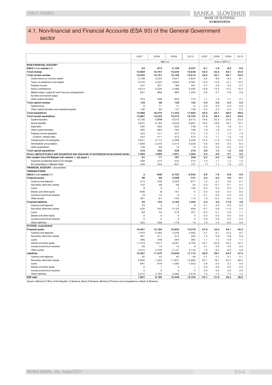### 4.1. Non-financial and Financial Accounts (ESA 95) of the General Government sector

|                                                                                              | 2007           | 2008                  | 2009           | 2010         | 2007        | 2008        | 2009             | 2010        |
|----------------------------------------------------------------------------------------------|----------------|-----------------------|----------------|--------------|-------------|-------------|------------------|-------------|
|                                                                                              |                |                       | milijon eur    |              |             |             | share in GDP (%) |             |
| NON-FINANCIAL ACCOUNT                                                                        |                |                       |                |              |             |             |                  |             |
| Deficit (-) or surplus (+)                                                                   | $-22$          | $-673$                | $-2,109$       | $-2.027$     | $-0.1$      | $-1.8$      | $-6.0$           | $-5.6$      |
| Total revenue                                                                                | 14,664         | 15,797                | 15,244         | 15,636       | 42.4        | 42.3        | 43.1             | 43.4        |
| Total current revenue                                                                        | 14,520         | 15,701                | 15,106         | 15,515       | 42.0        | 42.1        | 42.7             | 43.0        |
| Current taxes on income, wealth                                                              | 3,168          | 3,320                 | 2,931          | 2,922        | 9.2         | 8.9         | 8.3              | 8.1         |
| Taxes on production and imports<br>Property income                                           | 5,016<br>247   | 5,225<br>327          | 4,995<br>189   | 5,062<br>261 | 14.5<br>0.7 | 14.0<br>0.9 | 14.1<br>0.5      | 14.0<br>0.7 |
| Social contributions                                                                         | 4,814          | 5,326                 | 5,388          | 5,495        | 13.9        | 14.3        | 15.2             | 15.2        |
| Market output, output for own final use and payments                                         | 901            | 996                   | 999            | 1,005        | 2.6         | 2.7         | 2.8              | 2.8         |
| for other non-market output                                                                  |                |                       |                |              |             |             |                  |             |
| Other current transfers                                                                      | 375            | 508                   | 605            | 770          | 1.1         | 1.4         | 1.7              | 2.1         |
| Total capital revenue                                                                        | 145            | 96                    | 138            | 122          | 0.4         | 0.3         | 0.4              | 0.3         |
| Capital taxes                                                                                | $\overline{9}$ | 11                    | 11             | 14           | 0.0         | 0.0         | 0.0              | 0.0         |
| Other capital transfers and investment grants                                                | 136            | 85                    | 127            | 108          | 0.4         | 0.2         | 0.4              | 0.3         |
| <b>Total expenditure</b>                                                                     | 14,686         | 16,470                | 17,353         | 17,663       | 42.5        | 44.1        | 49.0             | 49.0        |
| Total current expenditure                                                                    | 12,887         | 14,332                | 15,273         | 15,783       | 37.3        | 38.4        | 43.2             | 43.8        |
| Current transfers                                                                            | 6,736          | 7,479                 | 8,075          | 8,413        | 19.5        | 20.0        | 22.8             | 23.3        |
| Social benefits                                                                              | 5,627          | 6,192                 | 6,634          | 6,897        | 16.3        | 16.6        | 18.7             | 19.1        |
| Subsidies                                                                                    | 550            | 594                   | 650            | 748          | 1.6         | 1.6         | 1.8              | 2.1         |
| Other current transfers                                                                      | 560            | 694                   | 792            | 768          | 1.6         | 1.9         | 2.2              | 2.1         |
| Property income (payable)                                                                    | 443            | 411                   | 475            | 573          | 1.3         | 11          | 1.3              | 16          |
| of which: interest rates                                                                     | 443            | 411                   | 475            | 573          | 1.3         | 1.1         | 1.3              | 1.6         |
| Compensation of employees                                                                    | 3,641          | 4.112                 | 4,399          | 4.456        | 10.5        | 11.0        | 12.4             | 12.4        |
| Intermediate consumption                                                                     | 1,939          | 2,245                 | 2,310          | 2,328        | 5.6         | 6.0         | 6.5              | 6.5         |
| Other expenditure                                                                            | 128            | 85                    | 14             | 12           | 0.4         | 0.2         | 0.0              | 0.0         |
| Total capital expenditure                                                                    | 316            | 452                   | 429            | 316          | 0.9         | $1.2$       | 1.2              | 0.9         |
| Gross capital formation and Acquisitions less disposals of non-financial non-produced assets | 1,483          | 1,686                 | 1,651          | 1,564        | 4.3         | 4.5         | 4.7              | 4.3         |
| Net receipts from EU Budget (net receiver +, net payer -)                                    | 91             | $-11$                 | 197            | 358          | 0.3         | 0.0         | 0.6              | 1.0         |
| Payments by Member State to EU Budget                                                        | 358            | 414                   | 423            | 372          | 1.0         | 1.1         | 1.2              | 1.0         |
| EU expenditure in Member State                                                               | 449            | 404                   | 621            | 731          | 1.3         | 1.1         | 1.8              | 2.0         |
| FINANCIAL ACCOUNT, consolidated                                                              |                |                       |                |              |             |             |                  |             |
| <b>TRANSACTIONS</b>                                                                          |                |                       |                |              |             |             |                  |             |
| Deficit (-) or surplus (+)                                                                   | 3              | $-658$                | $-2,102$       | $-2,024$     | 0.0         | $-1.8$      | $-5.9$           | $-5.6$      |
| <b>Financial assets</b>                                                                      | 96             | 85                    | 2,059          | $-741$       | 0.3         | 0.2         | 5.8              | $-2.1$      |
| Currency and deposits                                                                        | 412            | 248                   | 2,062          | $-971$       | 1.2         | 0.7         | 5.8              | $-2.7$      |
| Securities other than shares                                                                 | 103            | $-49$                 | $-46$          | 23           | 0.3         | $-0.1$      | $-0.1$           | 0.1         |
| Loans                                                                                        | 9              | $-3$                  | $\mathfrak{p}$ | 100          | 0.0         | 0.0         | 0.0              | 0.3         |
| Shares and other equity                                                                      | -806           | -8                    | 151            | $-4$         | $-2.3$      | 0.0         | 0.4              | 0.0         |
| Insurance technical reserves                                                                 | 18             | $-13$                 | $-4$           | $-1$         | 0.1         | 0.0         | 0.0              | 0.0         |
| Other assets                                                                                 | 361            | $-91$                 | $-105$         | 113          | 1.0         | $-0.2$      | $-0.3$           | 0.3<br>3.6  |
| <b>Financial liabilities</b><br>Currency and deposits                                        | 93<br>34       | 743<br>$\overline{c}$ | 4,162<br>$-2$  | 1,283<br>6   | 0.3<br>0.1  | 2.0<br>0.0  | 11.8<br>0.0      | 0.0         |
| Securities other than shares                                                                 | $-226$         | 340                   | 4,120          | 858          | $-0.7$      | 0.9         | 11.6             | 2.4         |
| Loans                                                                                        | $-59$          | 44                    | 219            | 407          | $-0.2$      | 0.1         | 0.6              | 1.1         |
| Shares and other equity                                                                      | $\circ$        | 0                     | $\Omega$       | $\mathsf O$  | 0.0         | 0.0         | 0.0              | 0.0         |
| Insurance technical reserves                                                                 | $\Omega$       | $\circ$               | $\Omega$       | $\circ$      | 0.0         | 0.0         | 0.0              | 0.0         |
| Other liabilities                                                                            | 345            | 358                   | $-176$         | 13           | 1.0         | 1.0         | $-0.5$           | 0.0         |
| STOCKS, consolidated                                                                         |                |                       |                |              |             |             |                  |             |
| <b>Financial assets</b>                                                                      | 16,461         | 13,194                | 15,602         | 14,519       | 47.6        | 35.4        | 44.1             | 40.3        |
| Currency and deposits                                                                        | 1,978          | 2,280                 | 4,336          | 3,485        | 5.7         | 6.1         | 12.3             | 9.7         |
| Securities other than shares                                                                 | 361            | 311                   | 274            | 304          | 1.0         | 0.8         | 0.8              | 0.8         |
| Loans                                                                                        | 366            | 448                   | 284            | 382          | 1.1         | 1.2         | 0.8              | 1.1         |
| Shares and other equity                                                                      | 11,319         | 7,811                 | 8,561          | 8,195        | 32.7        | 20.9        | 24.2             | 22.7        |
| Insurance technical reserves                                                                 | 26             | 13                    | 10             | 9            | 0.1         | 0.0         | 0.0              | 0.0         |
| Other assets                                                                                 | 2,412          | 2,330                 | 2,137          | 2,143        | 7.0         | 6.2         | 6.0              | 5.9         |
| Liabilities                                                                                  | 10,367         | 11,070                | 15,636         | 17,112       | 30.0        | 29.7        | 44.2             | 47.5        |
| Currency and deposits                                                                        | 40             | 42                    | 40             | 46           | 0.1         | 0.1         | 0.1              | 0.1         |
| Securities other than shares                                                                 | 6,955          | 7,353                 | 11,937         | 12,983       | 20.1        | 19.7        | 33.7             | 36.0        |
| Loans                                                                                        | 961            | 878                   | 1,093          | 1,503        | 2.8         | 2.4         | 3.1              | 4.2         |
| Shares and other equity                                                                      | $\circ$        | 1                     | $\circ$        | $\mathbf{1}$ | 0.0         | 0.0         | 0.0              | 0.0         |
| Insurance technical reserves                                                                 | $\Omega$       | $\circ$               | 0              | $\circ$      | 0.0         | 0.0         | 0.0              | 0.0         |
| Other liabilities                                                                            | 2,410          | 2,795                 | 2,566          | 2,579        | 7.0         | 7.5         | 7.3              | 7.2         |
| EDP debt                                                                                     | 7,981          | 8.180                 | 12.449         | 13.704       | 23.1        | 21.9        | 35.2             | 38.0        |

Source: Statistical Office of the Republic of Slovenia, Bank of Slovenia, Ministry of Finance and computations in Bank of Slovenia.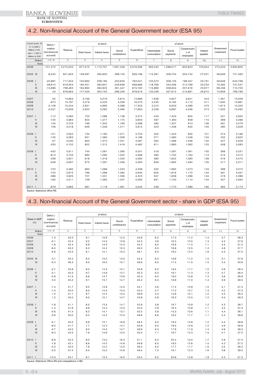# BANKA SLOVENIJE

BANK OF SLOVENIA **EUROSYSTEM**

## 4.2. Non-financial Account of the General Government sector (ESA 95)

|                                                      | Current prices, till               | Deficit /                             |                |                         | of which       |                         |             |                             |                    | of which                         |                     |                         |               |
|------------------------------------------------------|------------------------------------|---------------------------------------|----------------|-------------------------|----------------|-------------------------|-------------|-----------------------------|--------------------|----------------------------------|---------------------|-------------------------|---------------|
| 31.12.2006 in<br>Millions of SIT.<br>Millions of EUR | after 1.1.2007 in                  | surplus<br>(non-financial<br>account) | Revenue        | Direct taxes            | Indirect taxes | Social<br>contributions | Expenditure | Intermediate<br>consumption | Social<br>payments | Compensatio<br>n of<br>employees | Interest<br>payable | Govemment<br>investment | Fiscal burden |
|                                                      | Stolpec                            | $1 = 2 - 6$                           | $\overline{2}$ | $\overline{\mathbf{3}}$ | $\overline{4}$ | $\overline{5}$          | 6           | $\overline{7}$              | 8                  | 9                                | 10                  | 11                      | 12            |
|                                                      | Koda                               |                                       |                |                         |                |                         |             |                             |                    |                                  |                     |                         |               |
| 2006                                                 |                                    | $-101,272$                            | 3,215,034      | 677,510                 | 1,110,707      | 1,061,246               | 3,316,306   | 463,440                     | 1,288,017          | 833,923                          | 103,644             | 274,244                 | 2,850,805     |
| 2005 IV                                              |                                    | $-6,542$                              | 821,654        | 159,097                 | 292,840        | 269,140                 | 828,196     | 115,291                     | 308,704            | 203,742                          | 27,031              | 59,646                  | 721,460       |
| 2006                                                 |                                    | $-45.987$                             | 717,554        | 150.662                 | 239.185        | 253,635                 | 763,541     | 103,572                     | 308.105            | 196,457                          | 25,761              | 59.646                  | 643,769       |
|                                                      | II                                 | $-39,612$                             | 819,353        | 184,451                 | 282,847        | 259,938                 | 858,966     | 118,766                     | 343,356            | 214,789                          | 25,234              | 70,382                  | 727,547       |
|                                                      | III                                | $-15,696$                             | 799.463        | 164,992                 | 283,925        | 261,447                 | 815,183     | 115,866                     | 308,944            | 207,816                          | 25,977              | 69,256                  | 710,700       |
|                                                      | IV                                 | 24                                    | 878,664        | 177,405                 | 304,750        | 286,226                 | 878,616     | 125,236                     | 327,612            | 214,861                          | 26,672              | 74,959                  | 768,789       |
|                                                      |                                    |                                       |                |                         |                |                         |             |                             |                    |                                  |                     |                         |               |
| 2007                                                 |                                    | $-22$                                 | 14.664         | 3.168                   | 5,016          | 4.814                   | 14.686      | 1,939                       | 5,627              | 3,641                            | 443                 | 1,461                   | 13,006        |
| 2008                                                 |                                    | $-673$                                | 15,797         | 3,319                   | 5,225          | 5,326                   | 16,470      | 2,245                       | 6,192              | 4,112                            | 411                 | 1,640                   | 13,881        |
| 2009                                                 |                                    | $-2,109$                              | 15,244         | 2,931                   | 4,995          | 5,388                   | 17,353      | 2,310                       | 6,633              | 4,399                            | 475                 | 1,613                   | 13,325        |
| 2010                                                 |                                    | $-2,027$                              | 15,636         | 2,922                   | 5,062          | 5,495                   | 17,663      | 2,328                       | 6,897              | 4,456                            | 573                 | 1,555                   | 13,492        |
|                                                      |                                    |                                       |                |                         |                |                         |             |                             |                    |                                  |                     |                         |               |
| 2007                                                 |                                    | $-112$                                | 3,260          | 702                     | 1,088          | 1.138                   | 3,372       | 434                         | 1,343              | 855                              | 117                 | 321                     | 2.930         |
|                                                      | $\mathbf{H}$                       | $-120$                                | 3,684          | 834                     | 1,277          | 1,175                   | 3,803       | 497                         | 1,490              | 939                              | 115                 | 369                     | 3,288         |
|                                                      | $\ensuremath{\mathsf{III}}\xspace$ | 104                                   | 3,703          | 786                     | 1,302          | 1,190                   | 3,598       | 485                         | 1,337              | 913                              | 106                 | 381                     | 3,279         |
|                                                      | IV                                 | 106                                   | 4,018          | 846                     | 1,349          | 1,311                   | 3,912       | 523                         | 1,456              | 935                              | 105                 | 390                     | 3,509         |
| 2008                                                 |                                    | $-151$                                | 3,552          | 734                     | 1,160          | 1,271                   | 3,703       | 502                         | 1,443              | 945                              | 101                 | 374                     | 3,168         |
|                                                      | Ш                                  | $-135$                                | 4,063          | 931                     | 1,380          | 1,308                   | 4,198       | 571                         | 1,580              | 1,049                            | 104                 | 432                     | 3,622         |
|                                                      | $\ensuremath{\mathsf{III}}\xspace$ | $-57$                                 | 4,030          | 803                     | 1,373          | 1,331                   | 4,087       | 562                         | 1,486              | 1,036                            | 102                 | 427                     | 3,509         |
|                                                      | IV                                 | $-330$                                | 4,152          | 852                     | 1,312          | 1,416                   | 4,482       | 611                         | 1,683              | 1,082                            | 103                 | 408                     | 3,583         |
| 2009                                                 |                                    | $-420$                                | 3,611          | 744                     | 1,091          | 1,395                   | 4,031       | 518                         | 1,597              | 1,061                            | 100                 | 366                     | 3,231         |
|                                                      | $\mathbf{H}$                       | $-813$                                | 3,755          | 695                     | 1,290          | 1,325                   | 4,568       | 583                         | 1.752              | 1,164                            | 113                 | 415                     | 3,312         |
|                                                      | III                                | $-339$                                | 3,921          | 818                     | 1,318          | 1,332                   | 4,260       | 580                         | 1,622              | 1,080                            | 128                 | 416                     | 3,470         |
|                                                      | IV                                 | $-536$                                | 3,957          | 675                     | 1,297          | 1,336                   | 4,493       | 629                         | 1,662              | 1,094                            | 135                 | 417                     | 3,311         |
| 2010 l                                               |                                    | $-722$                                | 3,485          | 660                     | 1,068          | 1,343                   | 4,208       | 520                         | 1,682              | 1,073                            | 143                 | 399                     | 3,074         |
|                                                      | Ш                                  | $-725$                                | 3,915          | 796                     | 1,298          | 1,360                   | 4,640       | 600                         | 1,816              | 1,172                            | 142                 | 391                     | 3,457         |
|                                                      | $\ensuremath{\mathsf{III}}\xspace$ | $-398$                                | 3,925          | 707                     | 1,331          | 1,356                   | 4,323       | 557                         | 1,659              | 1,098                            | 144                 | 419                     | 3,396         |
|                                                      | IV                                 | $-182$                                | 4,311          | 759                     | 1,365          | 1,437                   | 4,493       | 651                         | 1,740              | 1,114                            | 144                 | 347                     | 3,564         |
|                                                      |                                    |                                       |                |                         |                |                         |             |                             |                    |                                  |                     |                         |               |
| 2011                                                 |                                    | $-879$                                | 3,665          | 691                     | 1,119          | 1,361                   | 4,545       | 529                         | 1,770              | 1,089                            | 160                 | 365                     | 3,173         |
|                                                      |                                    | Source: Statistical office RS         |                |                         |                |                         |             |                             |                    |                                  |                     |                         |               |

# 4.3. Non-financial Account of the General Government sector - share in GDP (ESA 95)

|                                    | Deficit /                             |                |              | of which       |                         | of which    |                             |                    |                                  |                     |                         |               |
|------------------------------------|---------------------------------------|----------------|--------------|----------------|-------------------------|-------------|-----------------------------|--------------------|----------------------------------|---------------------|-------------------------|---------------|
| Share in GDP<br>(%)                | surplus<br>(non-financial<br>account) | Revenue        | Direct taxes | Indirect taxes | Social<br>contributions | Expenditure | Intermediate<br>consumption | Social<br>payments | Compensatio<br>n of<br>employees | Interest<br>payable | Govemment<br>investment | Fiscal burden |
| Stolpec                            | $1 = 2 - 6$                           | $\overline{c}$ | 3            | $\overline{4}$ | 5                       | 6           | $\overline{7}$              | 8                  | $\overline{9}$                   | 10                  | 11                      | 12            |
| Koda                               |                                       |                |              |                |                         |             |                             |                    |                                  |                     |                         |               |
| 2006                               | $-1.4$                                | 43.2           | 9.1          | 14.9           | 14.3                    | 44.6        | 6.2                         | 17.3               | 11.2                             | 1.4                 | 3.7                     | 38.3          |
| 2007                               | $-0.1$                                | 42.4           | 9.2          | 14.5           | 13.9                    | 42.5        | 5.6                         | 16.3               | 10.5                             | 1.3                 | 4.2                     | 37.6          |
| 2008                               | $-1.8$                                | 42.4           | 8.9          | 14.0           | 14.3                    | 44.2        | 6.0                         | 16.6               | 11.0                             | 1.1                 | 4.4                     | 37.2          |
| 2009                               | $-6.0$                                | 43.2           | 8.3          | 14.2           | 15.3                    | 49.2        | 6.5                         | 18.8               | 12.5                             | 1.3                 | 4.6                     | 37.7          |
| 2010                               | $-5.6$                                | 43.5           | 8.1          | 14.1           | 15.3                    | 49.1        | 6.5                         | 19.2               | 12.4                             | 1.6                 | 4.3                     | 37.5          |
| 2005 III                           | 0.1                                   | 43.2           | 8.4          | 15.2           | 14.0                    | 43.2        | 6.0                         | 16.8               | 11.2                             | 1.5                 | 3.1                     | 37.6          |
| IV                                 | $-0.4$                                | 46.2           | 9.0          | 16.5           | 15.1                    | 46.6        | 6.5                         | 17.4               | 11.5                             | 1.5                 | 3.4                     | 40.6          |
| 2006                               | $-2.7$                                | 42.8           | 9.0          | 14.3           | 15.1                    | 45.6        | 6.2                         | 18.4               | 11.7                             | 1.5                 | 3.6                     | 38.4          |
| $\mathbf{I}$                       | $-2.1$                                | 43.3           | 9.7          | 14.9           | 13.7                    | 45.3        | 6.3                         | 18.1               | 11.3                             | 1.3                 | 3.7                     | 38.4          |
| $\ensuremath{\mathsf{III}}\xspace$ | $-0.8$                                | 41.5           | 8.6          | 14.7           | 13.6                    | 42.3        | 6.0                         | 16.0               | 10.8                             | 1.3                 | 3.6                     | 36.9          |
| IV.                                | 0.0                                   | 45.2           | 9.1          | 15.7           | 14.7                    | 45.2        | 6.4                         | 16.8               | 11.0                             | 1.4                 | 3.9                     | 39.5          |
| 2007                               | $-1.4$                                | 41.7           | 9.0          | 13.9           | 14.5                    | 43.1        | 5.6                         | 17.2               | 10.9                             | 1.5                 | 4.1                     | 37.4          |
| $\,$ II                            | $-1.4$                                | 42.0           | 9.5          | 14.5           | 13.4                    | 43.3        | 5.7                         | 17.0               | 10.7                             | 1.3                 | 4.2                     | 37.5          |
| $\mathbf{III}$                     | 1.2                                   | 41.1           | 8.7          | 14.4           | 13.2                    | 39.9        | 5.4                         | 14.8               | 10.1                             | 1.2                 | 4.2                     | 36.4          |
| IV                                 | 1.2                                   | 45.0           | 9.5          | 15.1           | 14.7                    | 43.8        | 5.9                         | 16.3               | 10.5                             | 1.2                 | 4.4                     | 39.3          |
| 2008                               | $-1.8$                                | 41.1           | 8.5          | 13.4           | 14.7                    | 42.9        | 5.8                         | 16.7               | 10.9                             | 1.2                 | 4.3                     | 36.7          |
| $\mathsf{II}$                      | $-1.4$                                | 41.9           | 9.6          | 14.2           | 13.5                    | 43.3        | 5.9                         | 16.3               | 10.8                             | 1.1                 | 4.5                     | 37.4          |
| $\ensuremath{\mathsf{III}}\xspace$ | $-0.6$                                | 41.4           | 8.3          | 14.1           | 13.7                    | 42.0        | 5.8                         | 15.3               | 10.6                             | 1.1                 | 4.4                     | 36.1          |
| IV                                 | $-3.6$                                | 45.0           | 9.2          | 14.2           | 15.4                    | 48.6        | 6.6                         | 18.2               | 11.7                             | 1.1                 | 4.4                     | 38.8          |
| 2009                               | $-5.1$                                | 43.4           | 8.9          | 13.1           | 16.8                    | 48.4        | 6.2                         | 19.2               | 12.8                             | 1.2                 | 4.4                     | 38.8          |
| $\mathsf{II}$                      | $-9.0$                                | 41.7           | 7.7          | 14.3           | 14.7                    | 50.8        | 6.5                         | 19.5               | 12.9                             | 1.2                 | 4.6                     | 36.8          |
| $\mathbf{III}$                     | $-3.7$                                | 43.2           | 9.0          | 14.5           | 14.7                    | 46.9        | 6.4                         | 17.9               | 11.9                             | 1.4                 | 4.6                     | 38.2          |
| IV                                 | $-6.0$                                | 44.5           | 7.6          | 14.6           | 15.0                    | 50.5        | 7.1                         | 18.7               | 12.3                             | 1.5                 | 4.7                     | 37.2          |
| 2010                               | $-8.8$                                | 42.3           | 8.0          | 13.0           | 16.3                    | 51.1        | 6.3                         | 20.4               | 13.0                             | 1.7                 | 4.8                     | 37.3          |
| $\mathbf H$                        | $-7.8$                                | 42.1           | 8.6          | 14.0           | 14.6                    | 49.9        | 6.5                         | 19.5               | 12.6                             | 1.5                 | 4.2                     | 37.2          |
| $\ensuremath{\mathsf{III}}\xspace$ | $-4.3$                                | 42.0           | 7.6          | 14.2           | 14.5                    | 46.2        | 6.0                         | 17.7               | 11.7                             | 1.5                 | 4.5                     | 36.3          |
| IV                                 | $-2.0$                                | 47.4           | 8.3          | 15.0           | 15.8                    | 49.4        | 7.2                         | 19.1               | 12.3                             | 1.6                 | 3.8                     | 39.2          |
| 2011                               | $-10.3$                               | 43.1           | 8.1          | 13.2           | 16.0                    | 53.4        | 6.2                         | 20.8               | 12.8                             | 1.9                 | 4.3                     | 37.3          |

Source: Statistical Office RS and computations in BS.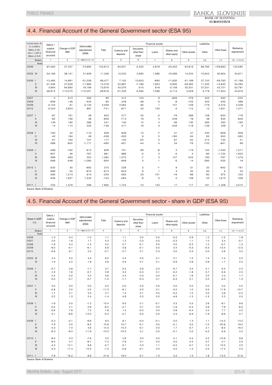# 4.4. Financial Account of the General Government sector (ESA 95)

| Current prices, till               |                |                |                          |                                |                |            |                     | Liabilities  |                |        |             |                    |
|------------------------------------|----------------|----------------|--------------------------|--------------------------------|----------------|------------|---------------------|--------------|----------------|--------|-------------|--------------------|
| 31.12.2006 in                      | Deficit /      |                | Deficit-debt             | Financial assets<br>Securities |                |            |                     |              |                |        |             |                    |
| Millions of SIT,                   | surplus        | Change in EDP  | adjustement              | Total                          | Currency and   |            |                     | Shares and   |                |        | Other flows | Borrowing          |
| after 1.1.2007 in                  | (financial     | debt           | (DDA)                    |                                | deposits       | other than | Loans               | other equity | Other assets   | Other  |             | requirement        |
| Millions of EUR                    | account)       |                |                          |                                |                | share      |                     |              |                |        |             |                    |
| Stolpec                            | $\overline{1}$ | $\overline{2}$ | $3 = \frac{1}{2}(1) + 2$ | $\overline{4}$                 | $\overline{5}$ | 6          | $\overline{7}$      | 8            | $\mathsf g$    | 10     | 11          | $12 = -1 + 4 - 10$ |
| Koda                               |                |                |                          |                                |                |            |                     |              |                |        |             |                    |
| 2006                               | $-97,062$      | 27,407         | $-73,865$                | 125,813                        | 84,001         | $-2,332$   | 2,979               | $-23,452$    | 64,616         | 89,785 | $-109,893$  | 133,090            |
| 2005 IV                            | $-34,166$      | 38,151         | 31,609                   | 11,348                         | 10,033         | 2,090      | 1,386               | $-16,396$    | 14,234         | 10,643 | 30,904      | 34,871             |
|                                    |                |                |                          |                                |                |            |                     |              |                |        |             |                    |
| 2006<br>- 1                        | $-12,465$      | 14,961         | $-31.026$                | 66,477                         | 7,155          | 10,653     | $-690$              | $-11,830$    | 61,189         | 37,743 | $-59.760$   | 41,199             |
| $\mathbf{H}$                       | $-31,346$      | 27,629         | $-11,984$                | 14,278                         | 52,997         | $-7,189$   | 1,653               | $-3,800$     | $-29,382$      | 11,332 | $-14,930$   | 34,292             |
| $\mathbf{III}$                     | 3,664          | 94,892         | 79,196                   | 73,976                         | 45,076         | $-210$     | 918                 | $-2,108$     | 30,301         | 37,531 | 42,751      | 32,781             |
| $\mathsf{N}$                       | $-56,915$      | $-110,075$     | $-110,051$               | $-28,918$                      | $-21,226$      | $-5,585$   | 1,098               | $-5,714$     | 2,509          | 3,179  | $-77,954$   | 24,818             |
|                                    |                |                |                          |                                |                |            |                     |              |                |        |             |                    |
| 2007                               | 3              | 613            | 592                      | 96                             | 412            | 103        | 9                   | $-806$       | 379            | 345    | 840         | $-252$             |
| 2008                               | $-658$         | 148            | $-525$                   | 85                             | 248            | $-49$      | $-3$                | $-8$         | $-103$         | 355    | $-255$      | 388                |
| 2009                               | $-2,102$       | $-31$          | $-2,140$                 | 2,059                          | 2,062          | $-46$      | $\mathbf{1}$        | 151          | $-109$         | $-176$ | $-4,375$    | 4,338              |
| 2010                               | $-2,024$       | 2,924          | 897                      | $-741$                         | $-971$         | 23         | 100                 | $-4$         | 112            | 12     | 1,651       | 1,271              |
|                                    |                |                |                          |                                |                |            |                     |              |                |        |             |                    |
| 2007                               | $-97$          | 161            | 49                       | 840                            | 577            | 53         | $-2$                | $-76$        | 289            | 158    | $-633$      | 779                |
| $\rm H$                            | $-62$          | 156            | 36                       | $-859$                         | $-713$         | 19         | $\overline{4}$      | $-248$       | 78             | 38     | 934         | $-835$             |
| $\mathbf{III}$                     | 149            | 182            | 286                      | 241                            | 130            | 12         | $\overline{4}$      | $-36$        | 130            | 285    | 330         | $-193$             |
| $\mathsf{N}$                       | 14             | 114            | 220                      | $-126$                         | 417            | 19         | 3                   | $-446$       | $-118$         | $-136$ | 209         | $-3$               |
|                                    |                |                |                          |                                |                |            |                     |              |                |        |             |                    |
| 2008                               | $-160$         | 42             | $-110$                   | 929                            | 848            | 10         | $-7$                | 31           | 47             | 230    | $-809$      | 859                |
| $\mathsf{II}$                      | $-43$          | 184            | 49                       | $-538$                         | $-350$         | 6          | $\mathsf{O}\xspace$ | $-160$       | $-34$          | 65     | 652         | $-560$             |
| $\begin{array}{c} \Pi \end{array}$ | $-57$          | 764            | 707                      | 177                            | 150            | $-20$      | $\mathsf{O}\xspace$ | 87           | $-40$          | 213    | 743         | 21                 |
| IV                                 | $-398$         | $-842$         | $-1, 171$                | $-483$                         | $-401$         | $-44$      | $\overline{4}$      | 34           | $-76$          | $-152$ | $-841$      | 68                 |
|                                    |                |                |                          |                                |                |            |                     |              |                |        |             |                    |
| 2009<br>- 1                        | $-489$         | $-192$         | $-612$                   | 829                            | 751            | $-39$      | -6                  | 3            | 119            | 100    | $-1,340$    | 1,217              |
| $\mathbf{H}$                       | $-657$         | 46             | $-767$                   | 881                            | 886            | $-5$       | 3                   | $-5$         | $\overline{c}$ | $-85$  | $-1,734$    | 1,623              |
| $\mathbf{H}$                       | $-389$         | 663            | 324                      | 1,284                          | 1,373          | $-7$       | 3                   | 157          | $-244$         | 193    | $-767$      | 1,479              |
| $\mathsf{N}$                       | $-568$         | $-548$         | $-1,084$                 | $-934$                         | $-949$         | 5          | $\mathbf{1}$        | $-5$         | 14             | $-385$ | $-535$      | 18                 |
|                                    |                |                |                          |                                |                |            |                     |              |                |        |             |                    |
| 2010                               | $-530$         | 30             | $-692$                   | 270                            | 228            | 3          | $-1$                | 9            | 31             | 20     | $-942$      | 781                |
| $\rm{II}$                          | $-698$         | 55             | $-670$                   | $-613$                         | $-643$         | 6          | $\mathbf{1}$        | 3            | 20             | 62     | 5           | 23                 |
| $\begin{array}{c} \Pi \end{array}$ | $-390$         | 1,213          | 815                      | $-253$                         | $-292$         | 23         | 101                 | $-16$        | $-68$          | $-92$  | 975         | 230                |
| $\mathbf{III}$                     | $-406$         | 1,627          | 1,445                    | $-145$                         | $-264$         | $-9$       | $\Omega$            | $\Omega$     | 129            | 23     | 1,613       | 238                |
|                                    |                |                |                          |                                |                |            |                     |              |                |        |             |                    |
| $2011$                             | $-705$         | 1,476          | 596                      | 1.965                          | 1,724          | $-13$      | 120                 | 17           | 117            | 161    | $-1,208$    | 2.510              |

Source: Bank of Slovenia

# 4.5. Financial Account of the General Government sector - share in GDP (ESA 95)

| Deficit /<br>Deficit-debt          |                                   |                       |                          |                | Financial assets         |                                   |                | Liabilities                |              |        |             |                          |
|------------------------------------|-----------------------------------|-----------------------|--------------------------|----------------|--------------------------|-----------------------------------|----------------|----------------------------|--------------|--------|-------------|--------------------------|
| Share in GDP<br>(%)                | surplus<br>(financial<br>account) | Change in EDP<br>debt | adjustement<br>(DDA)     | Total          | Currency and<br>deposits | Securities<br>other than<br>share | Loans          | Shares and<br>other equity | Other assets | Other  | Other flows | Borrowing<br>requirement |
| Stolpec                            | $\overline{1}$                    | $\overline{2}$        | $3 = \frac{1}{2}(1) + 2$ | $\overline{4}$ | $\overline{5}$           | 6                                 | $\overline{7}$ | 8                          | $\mathsf g$  | 10     | 11          | $12 = -1 + 4 - 10$       |
| Koda                               |                                   |                       |                          |                |                          |                                   |                |                            |              |        |             |                          |
| 2006                               | $-1.3$                            | 0.4                   | $-1.0$                   | 1.7            | 1.1                      | 0.0                               | 0.0            | $-0.3$                     | 0.9          | 1.2    | $-1.5$      | 1.8                      |
| 2007                               | 0.0                               | 1.8                   | 1.7                      | 0.3            | 1.2                      | 0.3                               | 0.0            | $-2.3$                     | 1.1          | 1.0    | 2.4         | $-0.7$                   |
| 2008                               | $-1.8$                            | 0.4                   | $-1.4$                   | 0.2            | 0.7                      | $-0.1$                            | 0.0            | 0.0                        | $-0.3$       | 1.0    | $-0.7$      | 1.0                      |
| 2009                               | $-6.0$                            | $-0.1$                | $-6.1$                   | 5.8            | 5.8                      | $-0.1$                            | 0.0            | 0.4                        | $-0.3$       | $-0.5$ | $-12.4$     | 12.3                     |
| 2010                               | $-5.6$                            | 8.1                   | 2.5                      | $-2.1$         | $-2.7$                   | 0.1                               | 0.3            | 0.0                        | 0.3          | 0.0    | 4.6         | 3.5                      |
| 2005 III                           | 2.4                               | 3.2                   | 3.3                      | 6.0            | 4.4                      | 0.0                               | 0.1            | 0.1                        | 1.5          | 1.4    | $-1.4$      | 2.2                      |
| $\mathsf{N}$                       | $-1.9$                            | 2.2                   | 1.8                      | 0.6            | 0.6                      | 0.1                               | 0.1            | $-0.9$                     | 0.8          | 0.6    | 1.7         | 2.0                      |
| 2006                               | $-0.7$                            | 0.8                   | $-1.7$                   | 3.7            | 0.4                      | 0.6                               | 0.0            | $-0.7$                     | 3.4          | 2.1    | $-3.4$      | 2.3                      |
| $\mathbf{H}$                       | $-1.9$                            | 1.6                   | $-0.7$                   | 0.9            | 3.2                      | $-0.4$                            | 0.1            | $-0.2$                     | $-1.8$       | 0.7    | $-0.9$      | 2.0                      |
| $\mathop{\rm III}\nolimits$        | 0.2                               | 5.0                   | 4.2                      | 3.9            | 2.4                      | 0.0                               | 0.0            | $-0.1$                     | 1.6          | 2.0    | 2.3         | 1.7                      |
| IV                                 | $-3.0$                            | $-5.7$                | $-5.7$                   | $-1.5$         | $-1.1$                   | $-0.3$                            | 0.1            | $-0.3$                     | 0.1          | 0.2    | $-4.0$      | 1.3                      |
|                                    |                                   |                       |                          |                |                          |                                   |                |                            |              |        |             |                          |
| 2007                               | 0.0                               | 0.0                   | 0.0                      | 0.0            | 0.0                      | 0.0                               | 0.0            | 0.0                        | 0.0          | 0.0    | 0.0         | 0.0                      |
| $\mathbf{H}$                       | $-0.8$                            | 2.0                   | 0.5                      | $-11.0$        | $-9.1$                   | 0.2                               | 0.1            | $-3.2$                     | 1.0          | 0.5    | 11.9        | $-10.7$                  |
| $\mathbf{III}$                     | 1.7                               | 2.1                   | 3.3                      | 2.7            | 1.5                      | 0.1                               | 0.0            | $-0.4$                     | 1.5          | 3.2    | 3.8         | $-2.2$                   |
| IV                                 | 0.2                               | 1.3                   | 2.4                      | $-1.4$         | 4.6                      | 0.2                               | 0.0            | $-4.9$                     | $-1.3$       | $-1.5$ | 2.3         | 0.0                      |
| 2008                               | $-1.8$                            | 0.5                   | $-1.2$                   | 10.4           | 9.5                      | 0.1                               | $-0.1$         | 0.3                        | 0.5          | 2.6    | $-9.1$      | 9.6                      |
| $\mathbf{H}$                       | $-0.5$                            | 2.1                   | 0.6                      | $-6.2$         | $-4.1$                   | 0.1                               | 0.0            | $-1.8$                     | $-0.4$       | 0.8    | 7.6         | $-6.5$                   |
| $\ensuremath{\mathsf{III}}\xspace$ | $-0.6$                            | 7.9                   | 7.3                      | 1.8            | 1.5                      | $-0.2$                            | 0.0            | 0.9                        | $-0.4$       | 2.2    | 7.7         | 0.2                      |
| IV                                 | $-4.1$                            | $-8.6$                | $-12.0$                  | $-5.0$         | $-4.1$                   | $-0.5$                            | 0.0            | 0.4                        | $-0.8$       | $-1.6$ | $-8.6$      | 0.7                      |
| 2009                               | $-5.3$                            | $-2.1$                | $-6.6$                   | 9.0            | 8.1                      | $-0.4$                            | $-0.1$         | 0.0                        | 1.3          | 1.1    | $-14.5$     | 13.2                     |
| $\rm{II}$                          | $-7.9$                            | 0.5                   | $-9.2$                   | 10.6           | 10.7                     | $-0.1$                            | 0.0            | $-0.1$                     | 0.0          | $-1.0$ | $-20.8$     | 19.5                     |
| $\mathbf{III}$                     | $-4.3$                            | 7.4                   | 3.6                      | 14.3           | 15.3                     | $-0.1$                            | 0.0            | 1.7                        | $-2.7$       | 2.1    | $-8.5$      | 16.4                     |
| IV                                 | $-6.3$                            | $-6.0$                | $-11.9$                  | $-10.3$        | $-10.5$                  | 0.1                               | 0.0            | $-0.1$                     | 0.2          | $-4.2$ | $-5.9$      | 0.2                      |
| 2010                               | $-6.0$                            | 0.3                   | $-7.8$                   | 3.0            | 2.6                      | 0.0                               | 0.0            | 0.1                        | 0.4          | 0.2    | $-10.6$     | 8.8                      |
| $\rm{II}$                          | $-8.5$                            | 0.7                   | $-8.1$                   | $-7.4$         | $-7.8$                   | 0.1                               | 0.0            | 0.0                        | 0.2          | 0.7    | 0.1         | 0.3                      |
| $\mathop{\mathrm{III}}\nolimits$   | $-4.2$                            | 13.1                  | 8.8                      | $-2.7$         | $-3.1$                   | 0.3                               | 1.1            | $-0.2$                     | $-0.7$       | $-1.0$ | 10.5        | 2.5                      |
| $\mathbf{III}$                     | $-4.3$                            | 17.4                  | 15.5                     | $-1.5$         | $-2.8$                   | $-0.1$                            | 0.0            | 0.0                        | 1.4          | 0.2    | 17.2        | 2.5                      |
| 2011                               | $-7.8$                            | 16.2                  | 6.6                      | 21.6           | 19.0                     | $-0.1$                            | 1.3            | 0.2                        | 1.3          | 1.8    | $-13.3$     | 27.6                     |

Source: Bank of Slovenia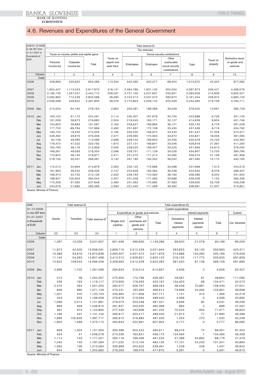#### 4.6. Revenues and Expenditures of the General Government

| Until 31.12.2006           |        |                              |                                            |           |                                       |           | Total revenue (I) |                                                          |           |                      |                                             |
|----------------------------|--------|------------------------------|--------------------------------------------|-----------|---------------------------------------|-----------|-------------------|----------------------------------------------------------|-----------|----------------------|---------------------------------------------|
| in mio SIT from            |        |                              |                                            |           |                                       |           | Tax revenues      |                                                          |           |                      |                                             |
| 01.01.2007 in              |        |                              | Taxes on income, profits and capital gains |           |                                       |           |                   | Social security contributions                            |           |                      |                                             |
| thousands of<br><b>EUR</b> |        | Personal<br>income tax       | Corporate<br>income tax                    | Total     | Taxes on<br>payroll and<br>work force | Employees | Employers         | Other<br>unallocable<br>social security<br>contributions | Total     | Taxes on<br>property | Domestics taxes<br>on goods and<br>services |
|                            | Column | $\mathbf{1}$                 | $\overline{c}$                             | 3         | $\overline{4}$                        | 5         | 6                 | $\overline{7}$                                           | 8         | 9                    | 10                                          |
|                            | Code   |                              |                                            |           |                                       |           |                   |                                                          |           |                      |                                             |
| 2006                       |        | 429,666                      | 225,820                                    | 655,486   | 113,334                               | 542,290   | 403,277           | 68,404                                                   | 1,013,970 | 45,322               | 977,082                                     |
|                            |        |                              |                                            |           |                                       |           |                   |                                                          |           |                      |                                             |
| 2007                       |        | 1,804,427                    | 1,113,243                                  | 2,917,670 | 418,141                               | 2,464,786 | 1,831,132         | 302,054                                                  | 4,597,973 | 206,421              | 4,498,576                                   |
| 2008                       |        | 2,185,135                    | 1,257,037                                  | 3,442,172 | 258,037                               | 2,731,100 | 2,027,957         | 335,951                                                  | 5,095,009 | 214,909              | 4,805,321                                   |
| 2009                       |        | 2,092,860                    | 712,228                                    | 2,805,088 | 28,490                                | 2,743,212 | 2,037,073         | 380,970                                                  | 5,161,254 | 206,975              | 4,660,123                                   |
| 2010                       |        | 2,039,298                    | 448,602                                    | 2,487,900 | 28,076                                | 2,770,803 | 2,058,123         | 405,559                                                  | 5,234,485 | 219,739              | 4,780,711                                   |
| 2009 Dec.                  |        | 214,004                      | 64,160                                     | 278,164   | 2,862                                 | 255,091   | 189,366           | 35,049                                                   | 479,505   | 12,691               | 395,729                                     |
| 2010                       | Jan.   | 163,120                      | 61,172                                     | 224,291   | 2,114                                 | 225,307   | 167,976           | 30,705                                                   | 423,988   | 6,726                | 331,145                                     |
|                            | Feb.   | 161,006                      | 58,873                                     | 219,880   | 2,004                                 | 219,340   | 163,171           | 32,127                                                   | 414,639   | 8,604                | 401,746                                     |
|                            | Mar.   | 154,603                      | 36,683                                     | 191,287   | 2,165                                 | 229,627   | 169,985           | 36,121                                                   | 435,733   | 8,779                | 291,028                                     |
|                            | Apr.   | 177,732                      | $-69,764$                                  | 107,968   | 2,492                                 | 231,897   | 172,109           | 33,430                                                   | 437,436   | 9,719                | 434,792                                     |
|                            | May    | 190,752                      | 19,253                                     | 210,005   | 2,195                                 | 228,330   | 169,972           | 33,245                                                   | 431,547   | 31,206               | 373,371                                     |
|                            | Jun.   | 226,492                      | 49,916                                     | 276,408   | 2,477                                 | 229,385   | 170,563           | 34,872                                                   | 434,821   | 18,006               | 391,065                                     |
|                            | Jul.   | 64,106                       | 49,393                                     | 113,499   | 2,566                                 | 228,740   | 169,603           | 34,335                                                   | 432,678   | 24,725               | 444,362                                     |
|                            | Aug.   | 178,470                      | 47,322                                     | 225,792   | 1,910                                 | 227,131   | 168,641           | 33,046                                                   | 428,818   | 27,387               | 411,230                                     |
|                            | Sep.   | 164,783                      | 48,176                                     | 212,959   | 2,005                                 | 229,024   | 169,407           | 33,525                                                   | 431,956   | 24,613               | 376,055                                     |
|                            | Oct.   | 169,261                      | 49,093                                     | 218,354   | 2,596                                 | 229,751   | 171,129           | 34,026                                                   | 434,907   | 13,705               | 393,795                                     |
|                            | Nov.   | 170,822                      | 48,155                                     | 218,977   | 2,411                                 | 231,075   | 171,214           | 34,085                                                   | 436,374   | 31,156               | 491,956                                     |
|                            | Dec.   | 218,150                      | 50,331                                     | 268,481   | 3,142                                 | 261,195   | 194,352           | 36,042                                                   | 491,590   | 15,115               | 440,165                                     |
|                            |        |                              |                                            |           |                                       |           |                   |                                                          |           |                      |                                             |
| 2011                       | Jan.   | 172,014                      | 42,964                                     | 214,979   | 2,262                                 | 232,125   | 172,986           | 32,588                                                   | 437,699   | 7,413                | 424,518                                     |
|                            | Feb.   | 161,963                      | 46,242                                     | 208,205   | 2,147                                 | 222.828   | 165,384           | 36,338                                                   | 424,550   | 8,278                | 299,407                                     |
|                            | Mar.   | 169,374                      | 42,752                                     | 212,126   | 2,300                                 | 229,793   | 170,393           | 38,180                                                   | 438,366   | 8,343                | 441,554                                     |
|                            | Apr.   | 188,841                      | 105,603                                    | 294,444   | 2,507                                 | 231,258   | 171,383           | 35,688                                                   | 438,329   | 7,132                | 380,256                                     |
|                            | May    | 170,256                      | 67,592                                     | 237,848   | 2,480                                 | 231.062   | 170.985           | 37,583                                                   | 439,630   | 25,709               | 426,248                                     |
|                            | Jun.   | 243,676                      | 51,690                                     | 295,366   | 2,593                                 | 231,040   | 171,469           | 36,482                                                   | 438,991   | 21,007               | 410,851                                     |
|                            |        | Source: Ministry of Finance. |                                            |           |                                       |           |                   |                                                          |           |                      |                                             |

Column | 22 | 23 | 24 | 1 | 2 | 3 | 4 | 5 | 6 | 7 Code 2006 1,287 10,259 3,021,927 651,456 496,830 1,148,286 68,620 21,578 90,199 96,556 2007 11,872 42,500 13,658,091 2,809,715 2,212,229 5,021,944 263,853 93,130 356,983 423,371 2008 10,388 53,916 14,973,838 3,084,407 2,527,472 5,611,879 214,886 120,280 335,166 476,509 2009 11,140 54,263 13,807,488 3,413,312 2,506,821 5,920,133 218,155 117,775 335,930 597,859 2010 12,622 109,544 14,066,559 3,409,663 2,512,429 5,922,092 391,020 97,139 488,159 581,895 2009 Dec. 2,666 1,702 1,281,066 294,843 318,014 612,857 5,606 0 5,606 83,327 2010 Jan. 215 38 1,050,357 275,600 170,798 446,397 28,567 97 28,664 111,095 Feb. 236 193 1,119,117 273,905 179,263 453,167 134,403 68 134,471 22,573 Mar. 2,470 264 1,001,205 282,577 206,767 489,344 38,439 70,991 109,430 27,001 Apr. 846 890 1,071,126 273,231 193,383 466,614 79,696 24,285 103,981 39,698 May 1,001 570 1,120,103 335,864 211,906 547,771 1,151 315 1,466 42,218 Jun. 343 833 1,198,009 279,876 219,564 499,440 4,568 0 4,568 40,895 Jul. 1,068 2,014 1,121,881 278,073 203,248 481,321 3,946 85 4,031 39,256 Aug. 969 948 1,246,910 281,837 200,530 482,368 884 2 886 27,597 Sep. 487 872 1,123,865 277,326 183,906 461,232 70,522 950 71,471 36,825 Oct. 1,189 527 1,141,154 285,817 203,217 489,035 21,813 77 21,890 46,398 Nov. 1,899 100,926 1,397,717 280,615 216,885 497,500 1,254 270 1,525 50,248 Dec. 1,900 1,469 1,475,115 284,943 322,961 607,904 5,777 0 5,777 98,090 2011 Jan. 859 1,504 1,151,264 283,389 202,222 485,611 88,516 75 88,591 97,453 Feb. 424 41 1,048,276 274,339 183,831 458,170 134,494 1 134,495 46,409 Mar. 1,114 743 1,177,201 282,118 199,406 481,524 47,286 40,892 88,178 27,379 Apr. 1,040 140 1,197,284 271,022 213,104 484,126 77,101 24,240 101,341 40,894 May 1,092 148 1,213,084 335,989 203,502 539,491 1,228 229 1,457 36,842 Jun. 834 90 1,252,882 278,293 199,576 477,870 5,281 0 5,281 49,910 **Until** 31.12.2006 in mio SIT from 01.01.2007 in thousands of EUR Interest payments Current expenditure Expenditure on goods and services Total revenue (I) **Total expenditure (II)** Total expenditure (II) Total Interest payments abroad Current **Other** purchases ao goods and services Grants Transfers Total Cur. transfers 22 23 Wages and salaries Domestics interest payments 24 Total revenue (I)<sup>2</sup>

Source: Ministry of Finance.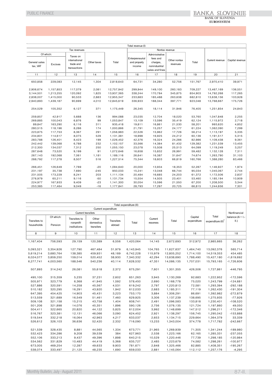|                           |                      |                                                       |             |            | Total revenue (I)                         |                                                                            |                          |         |                 |                 |
|---------------------------|----------------------|-------------------------------------------------------|-------------|------------|-------------------------------------------|----------------------------------------------------------------------------|--------------------------|---------|-----------------|-----------------|
|                           |                      | Tax revenues                                          |             |            |                                           |                                                                            | Nontax revenue           |         |                 |                 |
| General sales<br>tax, VAT | Of which:<br>Excises | Taxes on<br>intemational<br>trade and<br>transactions | Other taxes | Total      | Enterpreneurial<br>and property<br>income | Administrative<br>fees and<br>charges,<br>nonindustrial<br>sales and fines | Other nontax<br>revenues | Total   | Current revenue | Capital revenue |
| 11                        | 12                   | 13                                                    | 14          | 15         | 16                                        | 17                                                                         | 18                       | 19      | 20              | 21              |
|                           |                      |                                                       |             |            |                                           |                                                                            |                          |         |                 |                 |
| 650,858                   | 229,083              | 12,145                                                | 1,304       | 2,818,643  | 64,731                                    | 34,280                                                                     | 52,756                   | 151.767 | 2,970,410       | 39,971          |
| 2,906,674                 | 1,157,853            | 117,079                                               | 2,081       | 12,757,942 | 299,944                                   | 149,100                                                                    | 260,183                  | 709,227 | 13,467,169      | 136,551         |
| 3,144,501                 | 1,213,255            | 120,092                                               | 1,825       | 13,937,365 | 338,244                                   | 170,784                                                                    | 345,875                  | 854,903 | 14,792,268      | 117,265         |
| 2,838,007                 | 1,415,000            | 90,533                                                | 2,883       | 12,955,347 | 233,683                                   | 185,488                                                                    | 263,638                  | 682,810 | 13,638,156      | 103,928         |
| 2,940,893                 | 1,439,187            | 90,699                                                | 4,010       | 12,845,619 | 336,933                                   | 188,344                                                                    | 397,771                  | 923.048 | 13,768,667      | 175.726         |
| 254,529                   | 105,352              | 6,127                                                 | 371         | 1,175,449  | 26,345                                    | 18,114                                                                     | 31,946                   | 76,405  | 1,251,854       | 24,843          |
| 259,857                   | 42,917               | 5,688                                                 | 136         | 994,088    | 23,035                                    | 12,704                                                                     | 18,020                   | 53,760  | 1,047,848       | 2,255           |
| 269,885                   | 100,043              | 6,876                                                 | 99          | 1,053,847  | 13,109                                    | 13,596                                                                     | 35,419                   | 62,124  | 1,115,972       | 2,718           |
| 89,847                    | 163,290              | 6,116                                                 | 311         | 935,418    | 19,811                                    | 16,861                                                                     | 21,530                   | 58,201  | 993,620         | 4,852           |
| 280,515                   | 118,196              | 8,286                                                 | 174         | 1,000,866  | 21,791                                    | 15,257                                                                     | 24,177                   | 61,224  | 1,062,090       | 7,299           |
| 223,875                   | 117,753              | 8,367                                                 | 291         | 1,056,983  | 22,526                                    | 15,962                                                                     | 17,726                   | 56,214  | 1,113,197       | 5,335           |
| 234,801                   | 114.617              | 8,075                                                 | 529         | 1,131,381  | 18,998                                    | 16,925                                                                     | 24,212                   | 60,136  | 1,191,517       | 5,315           |
| 283,788                   | 126,401              | 8,423                                                 | 199         | 1.026.452  | 42,376                                    | 16,324                                                                     | 24,286                   | 82,986  | 1,109,438       | 9,361           |
| 242,442                   | 139,068              | 6,788                                                 | 232         | 1,102,157  | 33,566                                    | 14,384                                                                     | 81,432                   | 129,382 | 1,231,539       | 13,455          |
| 212,300                   | 134,037              | 7,312                                                 | 250         | 1,055,150  | 23,078                                    | 15,508                                                                     | 25,513                   | 64,099  | 1,119,249       | 3,257           |
| 287,648                   | 73,520               | 9,199                                                 | 91          | 1,072,646  | 16,658                                    | 15,832                                                                     | 26,991                   | 59,482  | 1,132,128       | 7,311           |
| 267,143                   | 192,068              | 7,061                                                 | 1,181       | 1,189,116  | 26,641                                    | 16,387                                                                     | 31,647                   | 74,674  | 1,263,790       | 31,103          |
| 288,792                   | 117,278              | 8,507                                                 | 516         | 1,227,514  | 75,344                                    | 18,603                                                                     | 66,819                   | 160,766 | 1,388,280       | 83,466          |
| 266,451                   | 126,649              | 7,789                                                 | $-20$       | 1,094,640  | 20,000                                    | 13,934                                                                     | 18,353                   | 52,287  | 1,146,927       | 1,974           |
| 231,197                   | 35,738               | 7,690                                                 | $-245$      | 950,033    | 15,241                                    | 13,048                                                                     | 66,744                   | 95,034  | 1,045,067       | 2,744           |
| 231,505                   | 173,229              | 8,241                                                 | 203         | 1,111,134  | 20,484                                    | 16,685                                                                     | 24,203                   | 61,372  | 1,172,506       | 2,837           |
| 276,979                   | 65,211               | 9,116                                                 | $-50$       | 1,131,734  | 15,554                                    | 14,505                                                                     | 23,401                   | 53,460  | 1,185,194       | 10,909          |
| 224,977                   | 167,933              | 9,409                                                 | $-23$       | 1,141,300  | 30,054                                    | 15,596                                                                     | 21,550                   | 67,200  | 1,208,500       | 3,344           |
| 253,385                   | 117,464              | 9.049                                                 | $-16$       | 1,177,841  | 28,793                                    | 17.297                                                                     | 20,725                   | 66.815  | 1,244,656       | 7.301           |

| Total expenditure (II)     |                      |                                           |                                 |                     |           |                     |            |                        |                                        |                               |  |  |
|----------------------------|----------------------|-------------------------------------------|---------------------------------|---------------------|-----------|---------------------|------------|------------------------|----------------------------------------|-------------------------------|--|--|
| Current expenditure        |                      |                                           |                                 |                     |           |                     |            |                        |                                        |                               |  |  |
|                            |                      | Current transfers                         |                                 |                     |           |                     |            |                        |                                        | Nonfinancial                  |  |  |
| Transfers to<br>households | Of which:<br>Pension | Transfers to<br>nonprofit<br>institutions | Other<br>domestics<br>transfers | Transfers<br>abroad | Total     | Current<br>reserves | Total      | Capital<br>expenditure | Total<br>expenditure (II) <sup>2</sup> | balance $(A = 1 -$<br>$II.$ ) |  |  |
| 8                          | 9                    | 10                                        | 11                              | 12                  | 13        | 14                  | 15         | 16                     | 17                                     | 18                            |  |  |
|                            |                      |                                           |                                 |                     |           |                     |            |                        |                                        |                               |  |  |
| 1,167,404                  | 756,593              | 29,159                                    | 120,389                         | 6,556               | 1,420,064 | 14,145              | 2,672,693  | 312,972                | 2,985,665                              | 36,262                        |  |  |
| 5,093,321                  | 3,354,926            | 127,790                                   | 467,484                         | 31,979              | 6,143,945 | 104,765             | 11,627,637 | 1,464,740              | 13,092,376                             | 565,714                       |  |  |
| 5,619,214                  | 3,680,764            | 138,385                                   | 459,931                         | 48,189              | 6,742,228 | 115,979             | 12,805,252 | 1,714,100              | 14,519,353                             | 454,485                       |  |  |
| 6,024,077                  | 3,859,250            | 159,014                                   | 520,452                         | 38,930              | 7,340,332 | 42,294              | 13,638,690 | 1,788,490              | 15,427,180                             | $-1,619,692$                  |  |  |
| 6,277,741                  | 4.003.560            | 188,546                                   | 540,236                         | 40,114              | 7,628,532 | 47.351              | 14,086,135 | 1,707,031              | 15,793,165                             | $-1,726,606$                  |  |  |
| 507.893                    | 314,242              | 26,081                                    | 55,618                          | 2,372               | 675,291   | 7,601               | 1,301,355  | 426,506                | 1,727,861                              | -446,795                      |  |  |
| 495,100                    | 315,359              | 5,235                                     | 37,231                          | 2,602               | 651,263   | 3,945               | 1,130,269  | 92,683                 | 1,222,952                              | $-172,596$                    |  |  |
| 505,971                    | 323,779              | 6,368                                     | 41,945                          | 1,592               | 578,450   | 2,690               | 1,168,778  | 75,020                 | 1,243,799                              | $-124,681$                    |  |  |
| 527,886                    | 320,591              | 14,258                                    | 45,567                          | 4,531               | 619,242   | 2,797               | 1,220,813  | 72,581                 | 1,293,394                              | $-292,188$                    |  |  |
| 510,182                    | 320,295              | 16,291                                    | 43,920                          | 1,942               | 612,033   | 2,683               | 1,185,311  | 77,119                 | 1,262,430                              | $-191,304$                    |  |  |
| 647,395                    | 454,425              | 14,903                                    | 45,431                          | 3,223               | 753,170   | 3,884               | 1,306,291  | 86,691                 | 1,392,982                              | $-272,879$                    |  |  |
| 513,559                    | 321,689              | 16,549                                    | 51,461                          | 7,460               | 629,925   | 3,306               | 1,137,239  | 138,695                | 1,275,935                              | $-77,926$                     |  |  |
| 509,108                    | 321,158              | 15,215                                    | 43,758                          | 1,404               | 608,741   | 2,491               | 1,096,583  | 133,818                | 1,230,401                              | $-108,520$                    |  |  |
| 501,206                    | 321,898              | 14,076                                    | 45,351                          | 1,896               | 590,126   | 2,756               | 1,076,135  | 121,724                | 1,197,860                              | 49,050                        |  |  |
| 504,411                    | 322,665              | 20,820                                    | 44,122                          | 5,825               | 612,004   | 3,992               | 1,148,699  | 147,512                | 1,296,211                              | $-172,346$                    |  |  |
| 516.767                    | 323,381              | 12,131                                    | 46.066                          | 3.090               | 624,452   | 2,921               | 1,138,297  | 156,745                | 1,295,042                              | $-153,888$                    |  |  |
| 519,544                    | 332,218              | 16,064                                    | 42,963                          | 4,217               | 633,037   | 2,653               | 1,134,715  | 229,664                | 1,364,379                              | 33,339                        |  |  |
| 526,612                    | 326,103              | 36,636                                    | 52,420                          | 2,332               | 716,090   | 13,233              | 1,343,004  | 374,778                | 1,717,782                              | $-242,667$                    |  |  |
| 521,539                    | 328,435              | 8,881                                     | 44,565                          | 1,334               | 673,771   | 21,965              | 1,269,939  | 71,305                 | 1,341,244                              | $-189,980$                    |  |  |
| 532,423                    | 334,286              | 9,208                                     | 39,539                          | 384                 | 627,963   | 2,538               | 1,223,166  | 62,165                 | 1,285,331                              | $-237,055$                    |  |  |
| 552,106                    | 333,213              | 9,437                                     | 49,396                          | 1,898               | 640,215   | 10,529              | 1,220,446  | 77,739                 | 1,298,185                              | $-120,984$                    |  |  |
| 534,562                    | 331,829              | 10,483                                    | 44,419                          | 5,368               | 635,727   | 2,485               | 1,223,679  | 74,582                 | 1,298,261                              | $-100,977$                    |  |  |
| 673,005                    | 469,254              | 12,287                                    | 49,633                          | 9,903               | 781,671   | 2,848               | 1,325,466  | 82,885                 | 1,408,351                              | $-195,267$                    |  |  |
| 538,074                    | 333,497              | 21,125                                    | 48,235                          | 1,690               | 659,033   | 2,881               | 1,145,064  | 112,112                | 1,257,176                              | $-4,295$                      |  |  |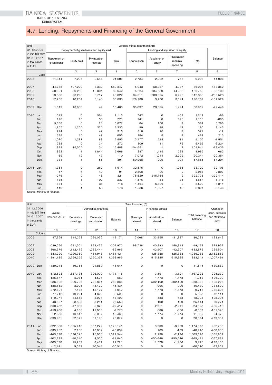**EUROSYSTEM**

# 4.7. Lending, Repayments and Financing of the General Government

| Until                                |                 | Lending minus repayments (B)<br>Repayment of given loans and equity sold |                |                           |                |             |                        |                                       |         |            |  |  |  |
|--------------------------------------|-----------------|--------------------------------------------------------------------------|----------------|---------------------------|----------------|-------------|------------------------|---------------------------------------|---------|------------|--|--|--|
| 31.12.2006                           |                 |                                                                          |                |                           |                |             |                        | Lending and aquisition of equity      |         |            |  |  |  |
| 01.01.2007<br>in thousands<br>of EUR | in mio SIT from | Repayment of<br>given loans                                              | Equity sold    | Privatization<br>receipts | Total          | Loans given | Acquision of<br>equity | Privatization<br>receipts<br>spending | Total   | Balance    |  |  |  |
|                                      |                 | $\mathbf{1}$                                                             | $\overline{2}$ | 3                         | $\overline{4}$ | 5           | 6                      | $\overline{7}$                        | 8       | 9          |  |  |  |
|                                      | Code            |                                                                          |                |                           |                |             |                        |                                       |         |            |  |  |  |
| 2006                                 |                 | 11,344                                                                   | 7,205          | 2,545                     | 21,094         | 2,784       | 2,902                  | 755                                   | 9,998   | 11,096     |  |  |  |
|                                      |                 |                                                                          |                |                           |                |             |                        |                                       |         |            |  |  |  |
| 2007                                 |                 | 44,785                                                                   | 497,229        | 8,332                     | 550,347        | 5,043       | 58,937                 | 4,037                                 | 86,995  | 463,352    |  |  |  |
| 2008                                 |                 | 50,391                                                                   | 20,250         | 10,001                    | 80.642         | 5,224       | 134,689                | 14,288                                | 166,752 | $-86,109$  |  |  |  |
| 2009                                 |                 | 19,808                                                                   | 23,298         | 5,717                     | 48,822         | 94,611      | 203,395                | 6,426                                 | 312,350 | $-263,528$ |  |  |  |
| 2010                                 |                 | 12,263                                                                   | 18,234         | 3,140                     | 33,638         | 179,230     | 3,488                  | 3,594                                 | 198,167 | $-164,529$ |  |  |  |
|                                      |                 |                                                                          |                |                           |                |             |                        |                                       |         |            |  |  |  |
| 2009                                 | Dec.            | 1,519                                                                    | 16,900         | 44                        | 18,463         | 35,897      | 23,395                 | 1,494                                 | 60,912  | $-42, 449$ |  |  |  |
|                                      |                 |                                                                          |                |                           |                |             |                        |                                       |         |            |  |  |  |
| 2010                                 | Jan.            | 549                                                                      | $\circ$        | 564                       | 1,113          | 742         | $\circ$                | 469                                   | 1,211   | $-98$      |  |  |  |
|                                      | Feb.            | 170                                                                      | 13             | 38                        | 221            | 941         | $\circ$                | 175                                   | 1,116   | $-895$     |  |  |  |
|                                      | Mar.            | 5,656                                                                    | $\mathbf 0$    | 21                        | 5,677          | 84          | 108                    | $\overline{c}$                        | 381     | 5,296      |  |  |  |
|                                      | Apr.            | 1,757                                                                    | 1,250          | 325                       | 3,333          | 99          | 48                     | 44                                    | 190     | 3,143      |  |  |  |
|                                      | May             | 274                                                                      | $\mathbf 0$    | 42                        | 316            | 316         | 10                     | $\overline{c}$                        | 327     | $-12$      |  |  |  |
|                                      | Jun.            | 638                                                                      | 10             | 47                        | 695            | 284         | 8                      | $\overline{2}$                        | 481     | 213        |  |  |  |
|                                      | Jul.            | 1,070                                                                    | 1,397          | 88                        | 2,555          | 3,477       | 618                    | 11                                    | 4,106   | $-1,551$   |  |  |  |
|                                      | Aug.            | 238                                                                      | $\mathbf 0$    | 34                        | 272            | 309         | 11                     | 76                                    | 5,495   | $-5,224$   |  |  |  |
|                                      | Sep.            | 824                                                                      | 15,550         | 34                        | 16,408         | 104,651     | $-1$                   | $\overline{c}$                        | 104,844 | $-88,436$  |  |  |  |
|                                      | Oct.            | 822                                                                      | $\mathbf{1}$   | 1,844                     | 2,668          | 287         | 1,415                  | 283                                   | 1,985   | 682        |  |  |  |
|                                      | Nov.            | $-69$                                                                    | 12             | 47                        | $-10$          | 17,072      | 1,044                  | 2,229                                 | 20,344  | $-20,354$  |  |  |  |
|                                      | Dec.            | 334                                                                      | $\mathbf{1}$   | 55                        | 391            | 50,968      | 229                    | 301                                   | 57,686  | $-57,294$  |  |  |  |
|                                      |                 |                                                                          |                |                           |                |             |                        |                                       |         |            |  |  |  |
| 2011                                 | Jan.            | 1,351                                                                    | 0              | 262                       | 1,614          | 32,575      | $\circ$                | 1,085                                 | 33,720  | $-32,106$  |  |  |  |
|                                      | Feb.            | 47                                                                       | 4              | 40                        | 91             | 2,808       | 90                     | $\overline{c}$                        | 2,988   | $-2,897$   |  |  |  |
|                                      | Mar.            | 276                                                                      | $\mathbf 0$    | 45                        | 321            | 75,629      | 245,755                | $\overline{c}$                        | 322,735 | $-322,414$ |  |  |  |
|                                      | Apr.            | 135                                                                      | $\mathbf{1}$   | 102                       | 237            | 1,576       | 44                     | 34                                    | 1,654   | $-1,416$   |  |  |  |
|                                      | May             | 684                                                                      | $\mathbf 0$    | 35                        | 718            | 1,464       | 6,826                  | $\overline{c}$                        | 8,529   | $-7,811$   |  |  |  |
|                                      | Jun.            | 119                                                                      | $\mathbf{1}$   | 58                        | 178            | 1,586       | 1,607                  | 48                                    | 8,324   | $-8,146$   |  |  |  |

Source: Ministry of Finance.

| Until                                |                 | Total financing (C)      |                       |                          |            |                    |                        |            |                            |                                            |
|--------------------------------------|-----------------|--------------------------|-----------------------|--------------------------|------------|--------------------|------------------------|------------|----------------------------|--------------------------------------------|
| 31.12.2006                           |                 |                          |                       | Domestics financing      |            |                    | Financing abroad       |            |                            | Change in                                  |
| 01.01.2007<br>in thousands<br>of EUR | in mio SIT from | Overall<br>balance (A+B) | Domestics<br>drawings | Domestic<br>amortization | Balance    | Drawings<br>abroad | Amortization<br>abroad | Balance    | Total financing<br>balance | cash, deposits<br>and statistical<br>error |
|                                      |                 | 10                       | 11                    | 12                       | 13         | 14                 | 15                     | 16         | 17                         | 18                                         |
|                                      | Column          |                          |                       |                          |            |                    |                        |            |                            |                                            |
| 2006                                 |                 | 47.358                   | 344,223               | 226,052                  | 118,171    | 2.068              | 33.955                 | $-31,887$  | 86,284                     | 133.642                                    |
|                                      |                 |                          |                       |                          |            |                    |                        |            |                            |                                            |
| 2007                                 |                 | 1,029,066                | 691,504               | 899,476                  | $-207,972$ | 199,736            | 40,893                 | 158,843    | $-49,129$                  | 979,937                                    |
| 2008                                 |                 | 368,376                  | 1,142,479             | 1,232,444                | $-89,965$  | 0                  | 42,907                 | $-42,907$  | $-132,872$                 | 235,504                                    |
| 2009                                 |                 | $-1,883,220$             | 4,926,369             | 464,948                  | 4,461,421  | 0                  | 425,338                | $-425,338$ | 4,036,083                  | 2,152,863                                  |
| 2010                                 |                 | $-1,891,135$             | 2,659,326             | 1,260,357                | 1,398,969  | 0                  | 515,325                | $-515,325$ | 883,644                    | $-1,007,491$                               |
|                                      |                 |                          |                       |                          |            |                    |                        |            |                            |                                            |
| 2009                                 | Dec.            | $-489.244$               | $-19.765$             | 21,880                   | $-41.644$  | $\circ$            | $\mathbf 0$            | $\Omega$   | $-41.644$                  | -530,889                                   |
|                                      |                 |                          |                       |                          |            |                    |                        |            |                            |                                            |
| 2010                                 | Jan.            | $-172,693$               | 1,567,135             | 396,020                  | 1,171,115  | 0                  | 3,191                  | $-3,191$   | 1,167,923                  | 995,230                                    |
|                                      | Feb.            | $-125,577$               | 5,081                 | 4,521                    | 560        | 0                  | 1.773                  | $-1,773$   | $-1,213$                   | $-126,790$                                 |
|                                      | Mar.            | $-286,892$               | 996.726               | 732,861                  | 263,865    | 0                  | 502.199                | $-502,199$ | $-238,333$                 | $-525,225$                                 |
|                                      | Apr.            | $-188, 162$              | 2,995                 | 48,429                   | $-45,434$  | $\Omega$           | 996                    | $-996$     | $-46,430$                  | $-234,592$                                 |
|                                      | May             | $-272,891$               | 7,185                 | 15,127                   | $-7,942$   | 0                  | 1,773                  | $-1,773$   | $-9,715$                   | $-282,606$                                 |
|                                      | Jun.            | $-77.712$                | 10,221                | 4,622                    | 5,598      | 0                  | 0                      | 0          | 5,598                      | $-72,114$                                  |
|                                      | Jul.            | $-110,071$               | $-14,563$             | 3,927                    | $-18,490$  | 0                  | 433                    | $-433$     | $-18,923$                  | $-128,994$                                 |
|                                      | Aug.            | 43,827                   | 28,803                | 3,251                    | 25,553     | 0                  | 109                    | $-109$     | 25,444                     | 69,271                                     |
|                                      | Sep.            | $-260,782$               | $-17,039$             | 5,378                    | $-22,417$  | 0                  | 2,211                  | $-2,211$   | $-24,628$                  | $-285,410$                                 |
|                                      | Oct.            | $-153,206$               | 4,163                 | 11,936                   | $-7,773$   | 0                  | 866                    | $-866$     | $-8,639$                   | $-161,845$                                 |
|                                      | Nov.            | 12,985                   | 16,547                | 3,087                    | 13,460     | 0                  | 1,774                  | $-1,774$   | 11,686                     | 24,670                                     |
|                                      | Dec.            | $-299,961$               | 52,072                | 31,198                   | 20.874     | 0                  | $\mathbf 0$            | 0          | 20,874                     | $-279,087$                                 |
|                                      |                 |                          |                       |                          |            |                    |                        |            |                            |                                            |
| 2011                                 | Jan.            | $-222,086$               | 1,535,413             | 357,272                  | 1,178,141  | 0                  | 3,269                  | $-3,269$   | 1,174,873                  | 952,786                                    |
|                                      | Feb.            | $-239.952$               | 2.163                 | 43,002                   | $-40.839$  | 0                  | 109                    | $-109$     | $-40.948$                  | $-280,900$                                 |
|                                      | Mar.            | -443.398                 | 1,526,575             | 15,030                   | 1,511,544  | 0                  | 2.196                  | $-2,196$   | 1,509,348                  | 1,065,951                                  |
|                                      | Apr.            | $-102,393$               | $-10,340$             | 4,505                    | $-14,845$  | $\Omega$           | 450,646                | $-450,646$ | -465,491                   | -567,884                                   |
|                                      | May             | $-203,078$               | 15,202                | 3,481                    | 11,721     | $\Omega$           | 1,776                  | $-1,776$   | 9,945                      | $-193, 133$                                |
|                                      | Jun.            | $-12,441$                | 9,539                 | 70,048                   | $-60,510$  | 0                  | 0                      | 0          | $-60,510$                  | $-72,951$                                  |

Source: Ministry of Finance.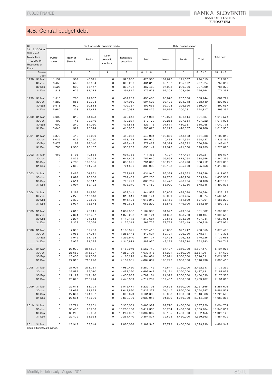# 4.8. Central budget debt

| Till                   |                       |                     |                  |                    | Debt incurred in domestic market |                          |                          |                    | Debt incurred abroad   |                    |                          |
|------------------------|-----------------------|---------------------|------------------|--------------------|----------------------------------|--------------------------|--------------------------|--------------------|------------------------|--------------------|--------------------------|
|                        | 31.12.2006 in         |                     |                  |                    |                                  |                          |                          |                    |                        |                    |                          |
| Millions of            |                       |                     |                  |                    | Other                            |                          |                          |                    |                        |                    |                          |
| Tolars, from           |                       | Public              | Bank of          | Banks              | domestic                         | Negotiable               | Total                    | Loans              | <b>Bonds</b>           | Total              | Total debt               |
| 1.1.2007 in            |                       | sector              | Slovenia         |                    | creditors                        | securities               |                          |                    |                        |                    |                          |
| Thousands of<br>Euros. |                       |                     |                  |                    |                                  |                          |                          |                    |                        |                    |                          |
|                        | Column                | $\mathbf{1}$        | $\overline{c}$   | 3                  | $\overline{4}$                   | $\mathbf 5$              | $6 = 1  5$               | $\overline{7}$     | 8                      | $9 = 7 + 8$        | $10 = 6 + 9$             |
|                        | Code                  |                     |                  |                    |                                  |                          |                          |                    |                        |                    |                          |
|                        | 1998 31.Mar           | 11,157              | 509              | 43,311             | $\circ$                          | 370,988                  | 425,965                  | 102,626            | 191,387                | 294,013            | 719,978                  |
|                        | 30.Jun                | 3,450               | 553              | 67,554             | $\mathsf{O}\xspace$              | 390,256                  | 461,813                  | 92,132             | 205,092                | 297,224            | 759,037                  |
|                        | 30.Sep                | 3,526               | 609              | 65,147             | $\mathsf{O}\xspace$              | 398,181                  | 467,463                  | 97,003             | 200,906                | 297,909            | 765,372                  |
|                        | 31.Dec                | 1,818               | 625              | 81,273             | 0                                | 391,817                  | 475,533                  | 92,304             | 203,460                | 295,764            | 771,297                  |
| 1999                   | 31.Mar                | 1,518               | 766              | 94,987             | 0                                | 401,209                  | 498,480                  | 95,878             | 287,366                | 383,244            | 881,724                  |
|                        | 30.Jun                | 14,289              | 856              | 82,333             | $\mathsf{O}\xspace$              | 407,050                  | 504,528                  | 93,492             | 294,948                | 388,440            | 892,968                  |
|                        | 30.Sep                | 9,518               | 930              | 90,818             | 0                                | 402,387                  | 503,653                  | 92,308             | 296,696                | 389,004            | 892,657                  |
|                        | 31.Dec                | 5,680               | 238              | 82,473             | $\mathsf O$                      | 410,084                  | 498,475                  | 94,536             | 300,281                | 394,817            | 893,292                  |
|                        |                       |                     |                  |                    |                                  |                          |                          |                    |                        |                    |                          |
| 2000                   | 31.Mar                | 4,600               | 310              | 84,378             | $\circ$                          | 422,648                  | 511,937                  | 110,073            | 391,514                | 501,587            | 1,013,524                |
|                        | 30.Jun                | 400                 | 146              | 79,346             | 0                                | 439,281                  | 519,173                  | 100,268            | 397,654                | 497,922            | 1,017,095                |
|                        | 30.Sep                | 11,600              | 240              | 84,060             | $\circ$<br>0                     | 431,813                  | 527,713                  | 104,671            | 410,387                | 515,058            | 1,042,771                |
|                        | 31.Dec                | 13,040              | 322              | 75,824             |                                  | 415,887                  | 505,073                  | 98,222             | 410,057                | 508,280            | 1,013,353                |
| 2001                   | 31.Mar                | 4,373               | 413              | 95,080             | $\circ$                          | 449,068                  | 548,934                  | 108,360            | 443,523                | 551,883            | 1,100,818                |
|                        | 30.Jun                | 6,035               | 526              | 80,260             | $\circ$                          | 478,114                  | 564,935                  | 110,433            | 547,994                | 658,427            | 1,223,362                |
|                        | 30.Sep                | 5,478               | 169              | 83,340             | 0                                | 488,442                  | 577,429                  | 102,394            | 468,592                | 570,986            | 1,148,415                |
|                        | 31.Dec                | 768                 | 7,935            | 96,187             | $\mathsf O$                      | 530,252                  | 635,142                  | 122,373            | 471,360                | 593,733            | 1,228,875                |
|                        |                       |                     |                  |                    |                                  |                          |                          |                    |                        |                    |                          |
| 2002                   | 31.Mar                | 553                 | 8,196            | 110,855            | $\circ$                          | 591,752                  | 711,356                  | 117,797            | 477,424                | 595,221            | 1,306,577                |
|                        | 30.Jun                | 0                   | 7,836            | 104,398            | 0                                | 641,405                  | 753,640                  | 109,592            | 479,064                | 588,656            | 1,342,296                |
|                        | 30.Sep<br>31.Dec      | 0<br>0              | 7,736<br>7,643   | 102,365<br>101,738 | $\mathsf{O}\xspace$<br>$\circ$   | 680,995<br>724,520       | 791,096<br>833,902       | 105,222<br>100,108 | 483,490<br>485,650     | 588,712<br>585,758 | 1,379,808<br>1,419,660   |
|                        |                       |                     |                  |                    |                                  |                          |                          |                    |                        |                    |                          |
| 2003                   | 31.Mar                | 0                   | 7,466            | 101,861            | $\circ$                          | 722,612                  | 831,940                  | 96,334             | 489,362                | 585,696            | 1,417,636                |
|                        | 30.Jun                | 0                   | 7,097            | 95,666             | $\circ$                          | 767,469                  | 870,233                  | 94,783             | 490,950                | 585,734            | 1,455,967                |
|                        | 30.Sep                | 0                   | 7,511            | 83,517             | 0                                | 795,729                  | 886,757                  | 92,473             | 493,964                | 586,438            | 1,473,195                |
|                        | 31.Dec                | 0                   | 7,097            | 82,122             | $\mathsf{O}\xspace$              | 823,270                  | 912,489                  | 83,090             | 495,256                | 578,346            | 1,490,835                |
|                        |                       |                     |                  |                    |                                  |                          |                          |                    |                        |                    |                          |
| 2004                   | 31.Mar                | $\mathsf{O}\xspace$ | 7,283            | 84,930             | $\mathsf{O}\xspace$              | 852,341                  | 944,553                  | 80,606             | 498,038                | 578,644            | 1,523,198                |
|                        | 30.Jun                | 0                   | 7,276            | 117,348            | 0<br>$\mathsf O$                 | 913,519                  | 1,038,144                | 80,089             | 450,285                | 530,374            | 1,568,518                |
|                        | 30.Sep<br>31.Dec      | 0<br>0              | 7,339<br>6,937   | 99,506<br>78,578   | $\mathsf O$                      | 941,403<br>980,694       | 1,048,248<br>1,066,209   | 86,452<br>83,849   | 451,509<br>449,700     | 537,961<br>533,549 | 1,586,209<br>1,599,759   |
|                        |                       |                     |                  |                    |                                  |                          |                          |                    |                        |                    |                          |
|                        | 2005 31.Mar           | 0                   | 7,015            | 75,911             | $\mathsf O$                      | 1,082,058                | 1,164,985                | 81,527             | 449,854                | 531,382            | 1,696,366                |
|                        | 30.Jun                | 0                   | 7,344            | 107,497            | $\mathsf{O}\xspace$              | 1,078,283                | 1,193,124                | 81,688             | 328,720                | 410,407            | 1,603,532                |
|                        | 30.Sep                | 0                   | 7,297            | 124,218            | $\mathsf O$                      | 1,112,172                | 1,243,687                | 78,515             | 328,729                | 407,244            | 1,650,931                |
|                        | 31.Dec                | 0                   | 7,358            | 105,066            | $\mathsf O$                      | 1,155,313                | 1,267,736                | 78,769             | 327,449                | 406,218            | 1,673,954                |
|                        |                       |                     |                  |                    |                                  |                          |                          |                    |                        |                    |                          |
|                        | 2006 31.Mar           | $\circ$             | 7,353            | 82,736             | $\mathsf{O}\xspace$              | 1,185,321                | 1,275,410                | 75,638             | 327,417                | 403,055            | 1,678,465                |
|                        | 30.Jun<br>30.Sep      | 0<br>0              | 7,068<br>7,045   | 77,011<br>61,153   | $\mathsf O$<br>$\mathsf O$       | 1,256,445<br>1,295,940   | 1,340,524<br>1,364,137   | 52,721<br>49,493   | 326,090<br>326,032     | 378,811<br>375,526 | 1,719,335<br>1,739,663   |
|                        | 31.Dec                | 0                   | 6,956            | 71,335             | 0                                | 1,310,679                | 1,388,970                | 49,229             | 323,514                | 372,743            | 1,761,713                |
|                        |                       |                     |                  |                    |                                  |                          |                          |                    |                        |                    |                          |
|                        | 2007 31.Mar           | 0                   | 28,979           | 354,821            | 0                                | 5,183,949                | 5,567,749                | 187,177            | 2,350,000              | 2,537,177          | 8,104,926                |
|                        | 30.Jun                | 0                   | 28,582           | 315,627            | 0                                | 4,289,109                | 4,633,318                | 181,291            | 2,350,000              | 2,531,291          | 7,164,609                |
|                        | 30.Sep                | 0                   | 28,403           | 311,008            | 0                                | 4,165,273                | 4,504,684                | 166,891            | 2,350,000              | 2,516,891          | 7,021,575                |
|                        | 31.Dec                | 0                   | 27,313           | 718,298            | 0                                | 4,139,051                | 4,884,662                | 160,796            | 2,350,000              | 2,510,796          | 7,395,458                |
|                        | 2008 31.Mar           | 0                   | 27,004           | 273,281            | 0                                | 4,980,460                | 5,280,745                | 142,547            | 2,350,000              | 2,492,547          | 7,773,292                |
|                        | 30.Jun                | 0                   | 26,577           | 196,010            | 0                                | 4,477,360                | 4,699,947                | 137,131            | 2,350,000              | 2,487,131          | 7,187,078                |
|                        | 30.Sep                | 0                   | 27,129           | 219,170            | 0                                | 4,455,885                | 4,702,184                | 124,399            | 2,350,000              | 2,474,399          | 7,176,583                |
|                        | 31.Dec                | 0                   | 28,096           | 238,724            | 0                                | 4,445,389                | 4,712,209                | 119,407            | 2,350,000              | 2,469,407          | 7,181,616                |
|                        |                       |                     |                  |                    |                                  |                          |                          |                    |                        |                    |                          |
|                        | 2009 31.Mar           | 0                   | 29,513           | 183,724            | 0                                | 6,016,471                | 6,229,708                | 107,895            | 1,950,000              | 2,057,895          | 8,287,603                |
|                        | 30.Jun                | 0                   | 27,692           | 181,692            | 0                                | 7,617,890                | 7,827,273                | 104,247            | 1,950,000              | 2,054,247          | 9,881,521                |
|                        | 30.Sep                | 0                   | 27,867           | 144,062            | 0                                | 9,009,679                | 9,181,608                | 96,988             | 1,950,000              | 2,046,988          | 11,228,596               |
|                        | 31.Dec                | 0                   | 27,684           | 118,626            | 0                                | 8,892,736                | 9,039,046                | 94,320             | 1,950,000              | 2,044,320          | 11,083,366               |
|                        |                       | 0                   |                  |                    |                                  |                          |                          |                    |                        | 1,537,720          |                          |
|                        | 2010 31.Mar<br>30.Jun | 0                   | 28,721<br>30,465 | 108,201<br>96,703  | 0<br>0                           | 10,330,059<br>10,285,168 | 10,466,982<br>10,412,335 | 87,720<br>85,704   | 1,450,000<br>1,450,000 | 1,535,704          | 12,004,701<br>11,948,039 |
|                        | 30.Sep                | 0                   | 30,263           | 95,683             | 0                                | 10,267,022               | 10,392,967               | 82,155             | 1,450,000              | 1,532,155          | 11,925,122               |
|                        | 31.Dec                | 0                   | 29,429           | 63,968             | 0                                | 10,261,440               | 10,354,837               | 79,692             | 1,450,000              | 1,529,692          | 11,884,529               |
|                        |                       |                     |                  |                    |                                  |                          |                          |                    |                        |                    |                          |
|                        | 2011 31.Mar           | 0                   | 28,917           | 53,544             | 0                                | 12,885,088               | 12,967,548               | 73,799             | 1,450,000              | 1,523,799          | 14,491,347               |

Source: Ministry of Finance.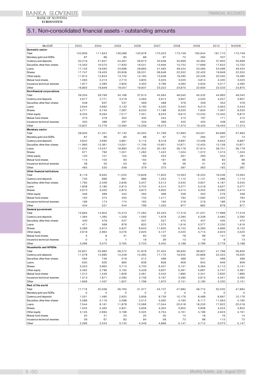**EUROSYSTEM**

# 5.1. Non-consolidated financial assets - outstanding amounts

| Mio EUR                      | 2003    | 2004    | 2005         | 2006    | 2007    | 2008    | 2009    | 2010    | IV-2008 |
|------------------------------|---------|---------|--------------|---------|---------|---------|---------|---------|---------|
| Domestic sector              |         |         |              |         |         |         |         |         |         |
|                              |         |         |              |         |         | 173,749 |         |         | 173,749 |
| Total                        | 102,906 | 111,843 | 126,088      | 140,978 | 175,003 |         | 185,644 | 181,710 |         |
| Monetary gold and SDRs       | 87      | 86      | 80           | 88      | 67      | 72      | 294     | 337     | 72      |
| Currency and deposits        | 20,216  | 21,847  | 24,467       | 26,673  | 32,638  | 35,699  | 40,362  | 37,905  | 35,699  |
| Securities other than shares | 15,355  | 16,570  | 17,930       | 16,541  | 15,946  | 15,752  | 17,699  | 17,622  | 15,752  |
| Loans                        | 17,155  | 19,593  | 24,698       | 29,893  | 41,465  | 49,424  | 53,565  | 53,566  | 49,424  |
| Shares                       | 17,747  | 19,455  | 20,608       | 26,531  | 36,648  | 22,552  | 22,402  | 19,849  | 22,552  |
|                              | 11,912  | 12,844  | 13,732       | 14,160  | 15,628  | 19,290  | 20,226  | 20,550  | 19,290  |
| Other equity                 |         |         |              |         |         |         |         |         |         |
| Mutual fund shares           | 1,565   | 2,213   | 2,710        | 3,805   | 5,505   | 3,025   | 3,814   | 4,330   | 3,025   |
| Insurance technical reserves | 1,977   | 2,385   | 2,805        | 3,350   | 3,786   | 4,060   | 4,632   | 5,017   | 4,060   |
| Other                        | 16,892  | 16,849  | 19,057       | 19,937  | 23,322  | 23,875  | 22,650  | 22,533  | 23,875  |
| Non-financial corporations   |         |         |              |         |         |         |         |         |         |
| Total                        | 29,334  | 29,766  | 34,186       | 37,610  | 45,564  | 46,045  | 45,532  | 44,993  | 46,045  |
| Currency and deposits        | 2,677   | 2,771   | 3,219        | 3,484   | 3,914   | 3,907   | 4,020   | 4,207   | 3,907   |
|                              |         |         |              |         |         |         |         |         |         |
| Securities other than shares | 548     | 637     | 537          | 569     | 488     | 378     | 359     | 352     | 378     |
| Loans                        | 2,644   | 2,682   | 3,132        | 3,180   | 4,525   | 5,443   | 6,013   | 5,952   | 5,443   |
| Shares                       | 5,771   | 5,740   | 7,087        | 8,033   | 11,188  | 8,520   | 7,834   | 7,067   | 8,520   |
| Other equity                 | 6,334   | 6,594   | 7,017        | 7,351   | 8,043   | 9,810   | 10,232  | 10,350  | 9,810   |
| Mutual fund shares           | 273     | 278     | 302          | 400     | 544     | 212     | 197     | 171     | 212     |
| Insurance technical reserves | 250     | 288     | 297          | 334     | 389     | 402     | 450     | 438     | 402     |
|                              |         |         |              |         |         |         |         |         |         |
| Other                        | 10,837  | 10,776  | 12,594       | 14,258  | 16,473  | 17,373  | 16,425  | 16,455  | 17,373  |
| Monetary sector              |         |         |              |         |         |         |         |         |         |
| Total                        | 28,940  | 31,251  | 37,132       | 40,302  | 51,769  | 57,993  | 63,021  | 60,896  | 57.993  |
| Monetary gold and SDRs       | 87      | 86      | 80           | 88      | 67      | 72      | 294     | 337     | 72      |
| Currency and deposits        | 3,842   | 3,690   | 4,861        | 5,115   | 8,318   | 8,897   | 10,006  | 6,604   | 8,897   |
| Securities other than shares | 11,990  | 12,361  | 13,501       | 11,706  | 10,921  | 10,871  | 12,455  | 12,159  | 10,871  |
|                              |         |         |              |         |         |         |         |         |         |
| Loans                        | 11,602  | 13,537  | 16,890       | 21,352  | 30,192  | 36,179  | 37,914  | 39,701  | 36,179  |
| Shares                       | 671     | 792     | 1,001        | 1,282   | 1,422   | 1,324   | 1,572   | 1,515   | 1,324   |
| Other equity                 | 120     | 101     | 104          | 169     | 253     | 261     | 293     | 252     | 261     |
| Mutual fund shares           | 114     | 104     | 93           | 150     | 181     | 66      | 85      | 93      | 66      |
| Insurance technical reserves | 48      | 50      | 53           | 60      | 39      | 36      | 41      | 43      | 36      |
| Other                        | 465     | 530     | 548          | 379     | 375     | 287     | 363     | 192     | 287     |
|                              |         |         |              |         |         |         |         |         |         |
| Other financial institutions |         |         |              |         |         |         |         |         |         |
| Total                        | 8,116   | 9,940   | 11,025       | 13,826  | 17,833  | 15,563  | 16,252  | 16,036  | 15,563  |
| Currency and deposits        | 735     | 996     | 881          | 988     | 1,253   | 1,110   | 1,131   | 1,286   | 1,110   |
| Securities other than shares | 1,792   | 2,348   | 2,846        | 3,247   | 3,512   | 3,545   | 3,957   | 4,187   | 3,545   |
| Loans                        | 1,808   | 2,180   | 2,913        | 3,702   | 4,314   | 5,277   | 5,318   | 4,637   | 5,277   |
| Shares                       | 2,673   | 3,050   | 2,870        | 3,872   | 5,950   | 3,414   | 3,352   | 3,260   | 3,414   |
|                              | 346     | 389     |              | 292     | 368     | 338     | 300     | 278     | 338     |
| Other equity                 |         |         | 343          |         |         |         |         |         |         |
| Mutual fund shares           | 162     | 274     | 455          | 733     | 1,217   | 784     | 1,092   | 1,325   | 784     |
| Insurance technical reserves | 166     | 174     | 174          | 193     | 165     | 219     | 219     | 186     | 219     |
| Other                        | 434     | 531     | 544          | 799     | 1,055   | 877     | 882     | 878     | 877     |
| General government           |         |         |              |         |         |         |         |         |         |
| Total                        | 13,684  | 14,902  | 15,473       | 17,262  | 22,433  | 17,319  | 21,031  | 17,998  | 17,319  |
| Currency and deposits        | 1,384   | 1,395   | 1,258        | 1,592   | 1,978   | 2,280   | 4,336   | 3,485   | 2,280   |
| Securities other than shares |         |         |              |         |         |         |         |         | 470     |
|                              | 430     | 479     | 527          | 507     | 527     | 470     | 427     | 435     |         |
| Loans                        | 471     | 568     | 878          | 820     | 1,575   | 1,616   | 3,377   | 2,330   | 1,616   |
| Shares                       | 5,289   | 5,910   | 5,937        | 8,643   | 11,630  | 6,152   | 6,280   | 4,896   | 6,152   |
| Other equity                 | 2,618   | 2,964   | 3,076        | 2,920   | 3,127   | 3,520   | 3,714   | 3,923   | 3,520   |
| Mutual fund shares           | 5       | 8       | 31           | 60      | 120     | 78      | 99      | 141     | 78      |
| Insurance technical reserves | $\circ$ | 3       | $\mathbf{1}$ | 16      | 26      | 13      | 10      | 9       | 13      |
| Other                        | 3,486   | 3,575   | 3,765        | 2,703   | 3,450   | 3,188   | 2,789   | 2,778   | 3,188   |
| <b>Households and NPISHs</b> |         |         |              |         |         |         |         |         |         |
|                              |         |         |              |         |         |         |         |         |         |
| Total                        | 22,831  | 25,983  | 28,272       | 31,979  | 37,404  | 36,830  | 39,807  | 41,788  | 36,830  |
| Currency and deposits        | 11,578  | 12,995  | 14,248       | 15,495  | 17,175  | 19,505  | 20,869  | 22,322  | 19,505  |
| Securities other than shares | 594     | 746     | 519          | 512     | 498     | 489     | 501     | 489     | 489     |
| Loans                        | 630     | 626     | 885          | 838     | 858     | 909     | 942     | 946     | 909     |
| Shares                       | 3,343   | 3,963   | 3,713        | 4,700   | 6,457   | 3,141   | 3,364   | 3,112   | 3,141   |
| Other equity                 | 2,492   | 2,796   | 3,192        | 3,428   | 3,837   | 5,361   | 5,687   | 5,747   | 5,361   |
|                              |         |         |              |         |         |         |         |         |         |
| Mutual fund shares           | 1,012   | 1,549   | 1,828        | 2,461   | 3,442   | 1,885   | 2,341   | 2,600   | 1,885   |
| Insurance technical reserves | 1,513   | 1,871   | 2,280        | 2,746   | 3,167   | 3,390   | 3,912   | 4,341   | 3,390   |
| Other                        | 1,669   | 1,437   | 1,607        | 1,798   | 1,970   | 2,151   | 2,190   | 2,230   | 2,151   |
| Rest of the world            |         |         |              |         |         |         |         |         |         |
| Total                        | 17,716  | 20,558  | 26,765       | 31,377  | 43,107  | 47,684  | 48,774  | 50,035  | 47,684  |
| Monetary gold and SDRs       | 0       | 0       | 0            | $\circ$ | 0       | 0       | 0       | 0       | O       |
|                              |         |         |              |         |         |         |         |         |         |
| Currency and deposits        | 1,051   | 1,490   | 2,920        | 3,858   | 9,739   | 10,179  | 8,489   | 6,697   | 10,179  |
| Securities other than shares | 2,088   | 2,119   | 2,098        | 2,512   | 3,260   | 4,190   | 9,117   | 11,563  | 4,190   |
| Loans                        | 7,544   | 9,161   | 11,878       | 13,566  | 17,044  | 20,018  | 18,233  | 17,922  | 20,018  |
| Shares                       | 1,545   | 2,465   | 2,851        | 3,658   | 4,354   | 3,902   | 3,908   | 4,024   | 3,902   |
| Other equity                 | 3,145   | 2,694   | 3,168        | 3,320   | 3,754   | 4,161   | 4,199   | 4,623   | 4,161   |
| Mutual fund shares           | 20      | 21      | 23           | 20      | 30      | 14      | 18      | 16      | 14      |
|                              |         |         |              |         |         |         |         |         |         |
| Insurance technical reserves | 59      | 67      | 82           | 94      | 58      | 73      | 98      | 115     | 73      |
| Other                        | 2,266   | 2,543   | 3,745        | 4,349   | 4,868   | 5,147   | 4,712   | 5,073   | 5,147   |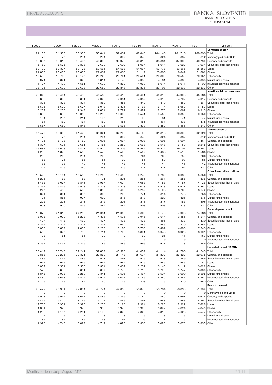| $I-2009$ | II-2009 | III-2009            | IV-2009 | $I-2010$ | $II-2010$ | III-2010 | IV-2010     | $I-2011$       | Mio EUR                              |
|----------|---------|---------------------|---------|----------|-----------|----------|-------------|----------------|--------------------------------------|
|          |         |                     |         |          |           |          |             |                | Domestic sector                      |
| 174,135  | 181,580 | 186,936             | 185,644 | 187,401  | 187,840   | 184,145  | 181,710     | 188,893 Total  |                                      |
| 79       | 77      | 284                 | 294     | 307      | 342       | 324      | 337         |                | 312 Monetary gold and SDRs           |
| 35,337   | 38,012  | 39,497              | 40,362  | 39,975   | 40,815    | 38,334   | 37,905      |                | 40,736 Currency and deposits         |
| 16,182   | 16,576  | 17,808              | 17,699  | 17,602   | 18,027    | 18,044   | 17,622      | 17,634         | Securities other than shares         |
| 50,779   | 52,307  | 53,778              | 53,565  | 54,528   | 54,067    | 53,778   | 53,566      | 55.553         | Loans                                |
| 21,860   | 23,458  | 23,638              | 22,402  | 22,408   | 21,117    | 20,606   | 19,849      | 21,882 Shares  |                                      |
| 19,532   | 19,760  | 20,147              | 20,226  | 20,761   | 20,591    | 20,805   | 20,550      |                | 20,951 Other equity                  |
| 2,974    | 3,321   | 3,628               | 3,814   | 4,149    | 4,086     | 4,131    | 4,330       |                | 4,388 Mutual fund shares             |
| 4,197    | 4,430   | 4,551               | 4,632   | 4,822    | 4,920     | 5,017    | 5,017       | 5,100          | Insurance technical reserves         |
| 23,195   | 23,639  | 23,603              | 22,650  | 22,848   | 23,876    | 23,108   | 22,533      | 22,337         | Other                                |
|          |         |                     |         |          |           |          |             |                | Non-financial corporations           |
| 45,042   | 45,464  | 45,480              | 45,532  | 46,413   | 46,491    | 45,810   | 44,993      | 45,135         | Total                                |
| 3,830    | 3,896   | 3,881               | 4,020   | 4,031    | 4,037     | 4,015    | 4,207       |                | 4,017 Currency and deposits          |
| 395      | 378     | 394                 | 359     | 386      | 342       | 319      | 352         | 361            | Securities other than shares         |
| 5,535    | 5,692   | 5,677               | 6,013   | 6,375    | 6,168     | 6,117    | 5,952       | 6,187          | Loans                                |
| 8,259    | 8,260   | 7,947               | 7,834   | 7,792    | 7,391     | 7,273    | 7,067       | 6,913          | Shares                               |
| 9,808    | 9,892   | 10,059              | 10,232  | 10,603   | 10,541    | 10,556   | 10,350      | 10,659         | Other equity                         |
| 194      | 207     | 211                 | 197     | 215      | 198       | 181      | 171         | 177            | Mutual fund shares                   |
| 464      | 480     | 464                 | 450     | 485      | 481       | 467      | 438         | 478            | Insurance technical reserves         |
| 16,557   | 16,659  | 16,846              | 16,425  | 16,526   | 17,333    | 16,882   | 16,455      | 16,343         | Other                                |
|          |         |                     |         |          |           |          |             |                | Monetary sector                      |
| 57,479   | 59,606  | 61,443              | 63,021  | 62,298   | 64,160    | 61,813   | 60,896      | 62,029 Total   |                                      |
| 79       | 77      | 284                 | 294     | 307      | 342       | 324      | 337         |                | 312 Monetary gold and SDRs           |
| 7,405    | 8,738   | 8,769               | 10,006  | 9,024    | 9,908     | 7,606    | 6,604       |                | 7,461 Currency and deposits          |
| 11,397   | 11,625  | 12,651              | 12,455  | 12,259   | 12,668    | 12,548   | 12,159      | 12,248         | Securities other than shares         |
| 36,681   | 37,018  | 37,411              | 37,914  | 38,309   | 38,962    | 39,212   | 39,701      | 39,857         | Loans                                |
| 1,232    | 1,345   | 1,558               | 1,572   | 1,590    | 1,557     | 1,488    | 1,515       | 1,535 Shares   |                                      |
| 263      | 260     | 284                 | 293     | 299      | 264       | 266      | 252         |                | 266 Other equity                     |
| 68       | 75      | 86                  | 85      | 92       | 85        | 89       | 93          | 85             | Mutual fund shares                   |
| 36       | 39      | 40                  | 41      | 42       | 43        | 44       | 43          | 42             | Insurance technical reserves         |
| 317      | 429     | 360                 | 363     | 375      | 331       | 237      | 192         | 222            | Other                                |
|          |         |                     |         |          |           |          |             |                | Other financial institutions         |
| 15,528   | 16,154  | 16,539              | 16,252  | 16,458   | 16,240    | 16,232   | 16,036      | 15,856         | Total                                |
| 1,205    | 1,163   | 1,183               | 1,131   | 1,201    | 1,251     | 1,267    | 1,286       | 1,335          | Currency and deposits                |
| 3,476    | 3,677   | 3,843               | 3,957   | 4,024    | 4,069     | 4,186    | 4,187       |                | 4,125 Securities other than shares   |
| 5,374    | 5,439   | 5,528               | 5,318   | 5,228    | 5,073     | 4,918    | 4,637       | 4,461          | Loans                                |
| 3,247    | 3,486   | 3,508               | 3,352   | 3,403    | 3,237     | 3,198    | 3,260       | $3,172$ Shares |                                      |
| 321      | 361     | 387                 | 300     | 296      | 271       | 314      | 278         | 258            | Other equity                         |
| 791      | 885     | 997                 | 1,092   | 1,216    | 1,213     | 1,229    | 1,325       | 1,375          | Mutual fund shares                   |
| 209      | 223     | 213                 | 219     | 208      | 218       | 217      | 186         | 206            | Insurance technical reserves         |
| 903      | 920     | 879                 | 882     | 882      | 908       | 903      | 878         |                | 923 Other                            |
|          |         |                     |         |          |           |          |             |                | General government                   |
| 18,675   | 21,610  | 24,233              | 21,031  | 21,659   | 19,893    | 19,176   | 17,998      | 24,133 Total   |                                      |
| 3,038    | 3,920   | 5,293               | 4,336   | 4,576    | 3,946     | 3,644    | 3,485       | 5,244          | Currency and deposits                |
| 427      | 419     | 430                 | 427     | 436      | 429       | 458      | 435         | 430            | Securities other than shares         |
| 2,237    | 3,212   | 4,207               | 3,377   | 3,654    | 2,889     | 2,586    | 2,330       | 4,265          | Loans                                |
| 6,033    | 6,867   | 7,088               | 6,280   | 6,185    | 5,700     | 5,499    | 4,896       | 7,240          | Shares                               |
| 3,566    | 3,647   | 3,785               | 3,714   | 3,793    | 3,801     | 3,943    | 3,923       | 3,901          | Other equity                         |
| 73       | 81      | 85                  | 99      | 119      | 122       | 125      | 141         | 153            | Mutual fund shares                   |
| 9        | 10      | 10                  | 10      | 10       | 9         | 9        | 9           | 10             | Insurance technical reserves         |
| 3,292    | 3,454   | 3,335               | 2,789   | 2,886    | 2,996     | 2,911    | 2,778       | 2,889          | <b>Other</b>                         |
|          |         |                     |         |          |           |          |             |                | Households and NPISHs                |
| 37,412   | 38,747  | 39,241              | 39,807  | 40,573   | 41,057    | 41,114   | 41,788      | 41,740 Total   |                                      |
| 19,858   | 20,295  | 20,371              | 20,869  | 21,143   | 21,674    | 21,802   | 22,322      |                | 22,678 Currency and deposits         |
| 486      | 477     | 489                 | 501     | 497      | 519       | 533      | 489         |                | 469 Securities other than shares     |
| 952      | 946     | 955                 | 942     | 962      | 975       | 945      | 946         |                | 783 Loans                            |
| 3,089    | 3,501   | 3,538               | 3,364   | 3,439    | 3,231     | 3,148    | 3,112       | 3,022 Shares   |                                      |
| 5,573    | 5,600   | 5,631               | 5,687   | 5,770    | 5,713     | 5,726    | 5,747       |                | 5,866 Other equity                   |
| 1,848    | 2,073   | 2,250               | 2,341   | 2,506    | 2,467     | 2,507    | 2,600       |                | 2,598 Mutual fund shares             |
| 3,480    | 3,678   | 3,824               | 3,912   | 4,077    | 4,169     | 4,280    | 4,341       |                | 4,363   Insurance technical reserves |
| 2,125    | 2,176   | 2,184               | 2,190   | 2,179    | 2,308     | 2,175    | 2,230       | 1,960 Other    |                                      |
|          |         |                     |         |          |           |          |             |                | Rest of the world                    |
| 46,472   | 46,351  | 49,064              | 48,774  | 49,638   | 50,876    | 50,704   | 50,035      | 51,989 Total   |                                      |
| 0        | 0       | $\mathsf{O}\xspace$ | 0       | 0        | 0         | 0        | $\mathsf O$ | 0              | Monetary gold and SDRs               |
| 9,028    | 9,037   | 8,047               | 8,489   | 7,345    | 7,784     | 7,480    | 6,697       |                | 5,674 Currency and deposits          |
| 4,455    | 5,420   | 8,749               | 9,117   | 10,866   | 11,497    | 11,563   | 11,563      |                | 14,393 Securities other than shares  |
| 19,755   | 18,951  | 18,926              | 18,233  | 18,120   | 17,924    | 18,225   | 17,922      | 17,826 Loans   |                                      |
| 4,001    | 3,928   | 3,978               | 3,908   | 3,970    | 3,923     | 3,899    | 4,024       | 4,045 Shares   |                                      |
| 4,208    | 4,167   | 4,231               | 4,199   | 4,326    | 4,322     | 4,313    | 4,623       |                | 4,577 Other equity                   |
| 14       | 16      | 17                  | 18      | 18       | 19        | 18       | 16          |                | 19 Mutual fund shares                |
| 89       | 89      | 89                  | 98      | 97       | 105       | 111      | 115         | 122            | Insurance technical reserves         |
| 4,923    | 4,743   | 5,027               | 4,712   | 4,896    | 5,303     | 5,095    | 5,073       | 5,335 Other    |                                      |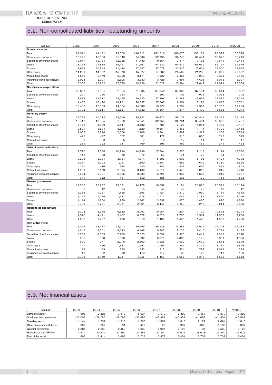BANK OF SLOVENIA **EUROSYSTEM**

# 5.2. Non-consolidated liabilities - outstanding amounts

| Mio EUR                      | 2003                | 2004                | 2005       | 2006                     | 2007    | 2008      | 2009    | 2010    | IV-2008   |
|------------------------------|---------------------|---------------------|------------|--------------------------|---------|-----------|---------|---------|-----------|
| Domestic sector              |                     |                     |            |                          |         |           |         |         |           |
| Total                        | 104,511             | 114,171             | 129,500    | 146,612                  | 182,516 | 186,078   | 198,101 | 195,079 | 186,078   |
| Currency and deposits        | 16.721              | 18.836              | 21,343     | 24.066                   | 32,995  | 36.743    | 39.441  | 35.878  | 36.743    |
| Securities other than shares | 12,077              | 12,134              | 12,928     | 11,730                   | 9,554   | 10,414    | 17,405  | 19,641  | 10,414    |
| Loans                        | 23,764              | 27,885              | 35,191     | 41,567                   | 54,532  | 64,579    | 66,652  | 66,157  | 64,579    |
| Shares                       | 18,692              | 20,943              | 21,444     | 27,587                   | 37,076  | 23,925    | 23,631  | 21,000  | 23,925    |
| Other equity                 | 14,299              | 14,572              | 15,570     | 15,827                   | 17,282  | 20,592    | 21,286  | 22,036  | 20,592    |
| Mutual fund shares           | 1,569               | 2.179               | 2,398      | 3,171                    | 4,622   | 2,465     | 3,033   | 3,328   | 2,465     |
| Insurance technical reserves | 2,024               | 2,391               | 2,805      | 3,333                    | 3,726   | 3,997     | 4,605   | 5,015   | 3,997     |
| Other                        | 15,365              | 15,232              | 17,820     | 19,330                   | 22,728  | 23,364    | 22,049  | 22,024  | 23,364    |
| Non-financial corporations   |                     |                     |            |                          |         |           |         |         |           |
| Total                        | 52,387              | 56,551              | 62,984     | 71,305                   | 87,946  | 87,002    | 87,191  | 86,544  | 87,002    |
| Securities other than shares | 227                 | 350                 | 523        | 511                      | 592     | 705       | 978     | 1,033   | 705       |
| Loans                        | 13,533              | 15,611              | 18,465     | 20,920                   | 27,398  | 33,348    | 33,653  | 33,575  | 33,348    |
| Shares                       | 14,456              | 16,420              | 16,761     | 20,657                   | 27,366  | 16,501    | 16,198  | 14,665  | 16,501    |
| Other equity                 | 13,463              | 13,659              | 14,584     | 14,886                   | 15,926  | 19,204    | 19,932  | 20,703  | 19,204    |
| Other                        | 10,708              | 10,511              | 12,651     | 14,332                   | 16,664  | 17,244    | 16,430  | 16,568  | 17,244    |
| Monetary sector              |                     |                     |            |                          |         |           |         |         |           |
| Total                        | 27,796              | 30,012              | 35,619     | 38,737                   | 50,372  | 56,178    | 60,849  | 58,232  | 56,178    |
| Currency and deposits        | 16,713              | 18,825              | 21,329     | 24,051                   | 32,955  | 36,701    | 39,401  | 35,832  | 36,701    |
| Securities other than shares | 5,453               | 4,639               | 5,147      | 3,482                    | 1,788   | 2,127     | 4,261   | 5,430   | 2,127     |
| Loans                        | 2,821               | 3,504               | 5,833      | 7,520                    | 10,651  | 12,468    | 11,714  | 11,709  | 12,468    |
| Shares                       | 2,065               | 2,226               | 2,356      | 2,708                    | 3,901   | 3,889     | 4,322   | 4,266   | 3,889     |
| Other equity                 | 475                 | 497                 | 602        | 501                      | 472     | 513       | 683     | 742     | 513       |
|                              | $\mathsf{O}\xspace$ | $\mathsf{O}\xspace$ | $\sqrt{5}$ | $\overline{\mathcal{I}}$ | 10      |           | 14      | 12      |           |
| Mutual fund shares           | 269                 | 322                 | 347        | 469                      | 596     | 17<br>463 | 455     |         | 17<br>463 |
| Other                        |                     |                     |            |                          |         |           |         | 241     |           |
| Other financial institutions |                     |                     |            |                          |         |           |         |         | 16.500    |
| Total                        | 7,720               | 9,588               | 10,994     | 14,298                   | 17,804  | 16,500    | 17,218  | 17,174  |           |
| Securities other than shares | 113                 | 93                  | 60         | 72                       | 53      | 71        | 76      | 64      | 71        |
| Loans                        | 2,225               | 3,034               | 3,764      | 4,874                    | 5,692   | 7,008     | 6,795   | 6,421   | 7,008     |
| Shares                       | 1,057               | 1,093               | 1,097      | 1,860                    | 2,251   | 1,665     | 1,645   | 1,380   | 1,665     |
| Other equity                 | 361                 | 416                 | 384        | 440                      | 885     | 803       | 605     | 514     | 803       |
| Mutual fund shares           | 1,569               | 2,179               | 2,394      | 3,165                    | 4,612   | 2,448     | 3,019   | 3,315   | 2,448     |
| Insurance technical reserves | 2,024               | 2,391               | 2,805      | 3,333                    | 3,726   | 3,997     | 4,605   | 5,015   | 3,997     |
| Other                        | 371                 | 382                 | 491        | 552                      | 585     | 508       | 472     | 465     | 508       |
| General government           |                     |                     |            |                          |         |           |         |         |           |
| Total                        | 11,300              | 12,272              | 13,021     | 14,179                   | 16,339  | 15.194    | 21.065  | 20,591  | 15.194    |
| Currency and deposits        | 8                   | 12                  | 14         | 15                       | 40      | 42        | 40      | 46      | 42        |
| Securities other than shares | 6,284               | 7,051               | 7,198      | 7,665                    | 7,121   | 7,512     | 12,090  | 13,114  | 7,512     |
| Loans                        | 1,165               | 1,245               | 1,647      | 1,476                    | 2,171   | 2,046     | 4,187   | 3,450   | 2,046     |
| Shares                       | 1,114               | 1,204               | 1,230      | 2,362                    | 3,559   | 1,870     | 1,465   | 690     | 1,870     |
| Other                        | 2,729               | 2,761               | 2,931      | 2,661                    | 3,449   | 3,653     | 3,217   | 3,214   | 3,653     |
| <b>Households and NPISHs</b> |                     |                     |            |                          |         |           |         |         |           |
| Total                        | 5,308               | 5,748               | 6,882      | 8,093                    | 10,054  | 11,204    | 11,779  | 12,538  | 11,204    |
| Loans                        | 4,020               | 4,491               | 5,482      | 6,777                    | 8,620   | 9,708     | 10,304  | 11,002  | 9,708     |
| Other                        | 1,288               | 1,257               | 1,400      | 1,316                    | 1,434   | 1,496     | 1,475   | 1,536   | 1,496     |
| Rest of the world            |                     |                     |            |                          |         |           |         |         |           |
| Total                        | 16,024              | 18,144              | 23,273     | 25,655                   | 35,528  | 35,283    | 36,022  | 36,328  | 35,283    |
| Currency and deposits        | 4,545               | 4,501               | 6,043      | 6,466                    | 9,382   | 9,135     | 9,410   | 8,724   | 9,135     |
| Securities other than shares | 5,365               | 6,555               | 7,100      | 7,323                    | 9,652   | 9,528     | 9,411   | 9,545   | 9,528     |
| Loans                        | 935                 | 868                 | 1,386      | 1,892                    | 3,976   | 4,863     | 5,146   | 5,331   | 4,863     |
| Shares                       | 600                 | 977                 | 2,015      | 2,602                    | 3,925   | 2,529     | 2,679   | 2,873   | 2,529     |
| Other equity                 | 757                 | 966                 | 1,331      | 1,653                    | 2,099   | 2,859     | 3,139   | 3,137   | 2,859     |
| Mutual fund shares           | 16                  | 55                  | 335        | 653                      | 913     | 574       | 799     | 1,019   | 574       |
| Insurance technical reserves | 12                  | 62                  | 83         | 110                      | 117     | 136       | 125     | 118     | 136       |
| Other                        | 3.793               | 4,160               | 4.981      | 4,955                    | 5,462   | 5.658     | 5,313   | 5.582   | 5,658     |
|                              |                     |                     |            |                          |         |           |         |         |           |

#### 5.3. Net financial assets

| Mio EUR                      | 2003      | 2004      | 2005      | 2006      | 2007     | 2008      | 2009      | 2010      | IV-2008   |
|------------------------------|-----------|-----------|-----------|-----------|----------|-----------|-----------|-----------|-----------|
| Domestic sector              | $-1.606$  | $-2,328$  | $-3.412$  | $-5.634$  | $-7.512$ | $-12.329$ | $-12.457$ | $-13.370$ | $-12.329$ |
| Non-financial corporations   | $-23.052$ | $-26.785$ | $-28.798$ | $-33.696$ | -42.382  | $-40.957$ | -41.659   | $-41.551$ | $-40.957$ |
| Monetary sector              | 1.144     | .239      | 1.513     | .565      | 1.397    | 1.815     | 2.172     | 2.664     | 815.      |
| Other financial institutions | 396       | 352       | 31        | $-472$    | 29       | $-937$    | $-966$    | $-1.139$  | $-937$    |
| General government           | 2.384     | 2.630     | 2.452     | 3.083     | 6.094    | 2.125     | $-34$     | $-2.593$  | 2.125     |
| Households and NPISHs        | 17.522    | 20.235    | 21.390    | 23.886    | 27.350   | 25.626    | 28,028    | 29.250    | 25.626    |
| Rest of the world            | 1.693     | 2.414     | 3.492     | 5.722     | 7.579    | 12.401    | 12.752    | 13.707    | 12.401    |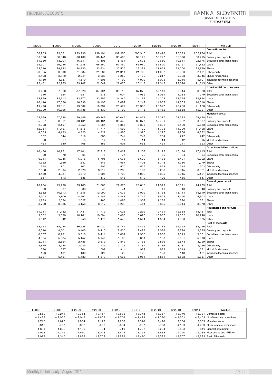**EUROSYSTEM**

| $I-2009$ | II-2009 | <b>III-2009</b> | IV-2009 | $I - 2010$ | $II-2010$ | III-2010 | IV-2010 | $1 - 2011$    | Mio EUR                             |
|----------|---------|-----------------|---------|------------|-----------|----------|---------|---------------|-------------------------------------|
|          |         |                 |         |            |           |          |         |               | Domestic sector                     |
| 186,985  | 193,821 | 199,290         | 198,101 | 199,986    | 200,918   | 197,413  | 195,079 | 202,274 Total |                                     |
| 36,026   | 38,548  | 38,139          | 39,441  | 38,490     | 39,122    | 36,777   | 35,878  | 36,715        | Currency and deposits               |
| 11,780   | 13,204  | 16,841          | 17,405  | 18,467     | 19,536    | 19,650   | 19,641  | 22,176        | Securities other than shares        |
| 65,701   | 66,225  | 67,548          | 66,652  | 67,450     | 66,960    | 66,820   | 66,157  | 67,762        | Loans                               |
| 23,516   | 24,823  | 24,830          | 23,631  | 23,535     | 22,274    | 21,669   | 21,000  | 22,899 Shares |                                     |
| 20,925   | 20,999  | 21,334          | 21,286  | 21,914     | 21,726    | 21,932   | 22,036  | 22,461        | Other equity                        |
| 2,408    | 2,710   | 2,941           | 3,033   | 3,253      | 3,182     | 3,217    | 3,328   | 3.346         | Mutual fund shares                  |
| 4,150    | 4,387   | 4,510           | 4,605   | 4,799      | 4,902     | 5,005    | 5,015   | 5,101         |                                     |
|          |         |                 |         |            |           |          |         |               | Insurance technical reserves        |
| 22,481   | 22,925  | 23,147          | 22,049  | 22,078     | 23,217    | 22,342   | 22,024  | 21,815        | Other                               |
|          |         |                 |         |            |           |          |         |               | Non-financial corporations          |
| 86,480   | 87,519  | 87,526          | 87,191  | 88,119     | 87,970    | 87,140   | 86,544  | 88,538 Total  |                                     |
| 710      | 664     | 681             | 978     | 1,004      | 1,062     | 1,031    | 1,033   | 979           | Securities other than shares        |
| 33,899   | 33,913  | 33,873          | 33,653  | 34,245     | 34,162    | 34,208   | 33,575  | 33,794        | Loans                               |
| 16,146   | 17,036  | 16,796          | 16,198  | 16,099     | 15,242    | 14,862   | 14,665  | 16,616        | Shares                              |
| 19,496   | 19,511  | 19,737          | 19,932  | 20,579     | 20,388    | 20,577   | 20,703  |               | 21,158 Other equity                 |
| 16,229   | 16,395  | 16,438          | 16,430  | 16,192     | 17,116    | 16,462   | 16,568  | 15,991        | Other                               |
|          |         |                 |         |            |           |          |         |               | Monetary sector                     |
| 55,769   | 57,928  | 59,489          | 60,849  | 60,042     | 61,834    | 59,317   | 58,232  | 59,190 Total  |                                     |
| 35,987   |         | 38,101          | 39,401  | 38,449     | 39,077    | 36,731   | 35,832  | 36,667        |                                     |
|          | 38,511  |                 |         |            |           |          |         |               | Currency and deposits               |
| 2,308    | 2,157   | 4,250           | 4,261   | 4,355      | 5,395     | 5,392    | 5,430   |               | 5,613 Securities other than shares  |
| 12,354   | 11,767  | 11,615          | 11,714  | 11,593     | 11,729    | 11,735   | 11,709  | 11,428 Loans  |                                     |
| 4,075    | 4,193   | 4,320           | 4,322   | 4,386      | 4,320     | 4,227    | 4,266   |               | 4,332 Shares                        |
| 562      | 644     | 719             | 683     | 744        | 747       | 764      | 742     |               | 742 Other equity                    |
| 20       | 17      | 15              | 14      | 14         | 14        | 14       | 12      | 15            | Mutual fund shares                  |
| 463      | 640     | 468             | 455     | 501        | 553       | 454      | 241     |               | 393 Other                           |
|          |         |                 |         |            |           |          |         |               | Other financial institutions        |
| 16,438   | 16,951  | 17,441          | 17,218  | 17,422     | 17,207    | 17,125   | 17,174  | 17,115        | Total                               |
| 80       | 70      | 64              | 76      | 74         | 70        | 65       | 64      | 64            | Securities other than shares        |
| 6,944    | 6,946   | 6,916           | 6,795   | 6,676      | 6,622     | 6,485    | 6,421   | 6,292         | Loans                               |
| 1,562    | 1,569   | 1,687           | 1,645   | 1,557      | 1,403     | 1,343    | 1,380   |               | 1,279 Shares                        |
|          |         |                 |         |            |           |          |         |               |                                     |
| 798      | 771     | 803             | 605     | 530        | 529       | 528      | 514     | 502           | Other equity                        |
| 2,388    | 2.694   | 2,926           | 3,019   | 3,239      | 3,167     | 3,203    | 3,315   | 3.331         | Mutual fund shares                  |
| 4,150    | 4,387   | 4,510           | 4,605   | 4,799      | 4,902     | 5,005    | 5,015   | 5,101         | Insurance technical reserves        |
| 517      | 513     | 535             | 472     | 546        | 513       | 496      | 465     | 547           | Other                               |
|          |         |                 |         |            |           |          |         |               | General government                  |
| 16,984   | 19,990  | 23,103          | 21,065  | 22,375     | 21,615    | 21,399   | 20,591  | 24,979        | Total                               |
| 39       | 37      | 38              | 40      | 41         | 45        | 46       | 46      | 48            | Currency and deposits               |
| 8,682    | 10,313  | 11,846          | 12,090  | 13,033     | 13,009    | 13,163   | 13,114  |               | 15,519 Securities other than shares |
| 2,702    | 3,709   | 4,962           | 4,187   | 4,448      | 3,749     | 3,525    | 3,450   | 5,303         | Loans                               |
| 1,733    | 2,024   | 2,027           | 1,465   | 1,493      | 1,309     | 1,238    | 690     | 671           | Shares                              |
| 3,760    | 3,835   | 4,156           | 3,217   | 3,299      | 3,441     | 3,365    | 3,214   | 3,379         | Other                               |
|          |         |                 |         |            |           |          |         |               | <b>Households and NPISHs</b>        |
|          |         |                 |         |            |           |          |         |               | Total                               |
| 11,314   | 11,432  | 11,731          | 11,779  | 12,028     | 12,292    | 12,431   | 12,538  | 12,451        |                                     |
| 9,802    | 9,890   | 10,181          | 10,304  | 10,488     | 10,698    | 10,867   | 11,002  | 10,946 Loans  |                                     |
| 1,512    | 1,542   | 1,550           | 1,475   | 1,540      | 1,594     | 1,564    | 1,536   | 1,505         | Other                               |
|          |         |                 |         |            |           |          |         |               | Rest of the world                   |
| 33,543   | 34,034  | 36,426          | 36,022  | 36,746     | 37,456    | 37,112   | 36,328  | 38,296 Total  |                                     |
| 8,340    | 8,501   | 9,405           | 9,410   | 8,830      | 9,477     | 9,036    | 8,724   |               | 9,695 Currency and deposits         |
| 8,857    | 8,791   | 9,716           | 9,411   | 10,001     | 9,988     | 9,956    | 9,545   | 9,851         | Securities other than shares        |
| 4,834    | 5,034   | 5,157           | 5,146   | 5,198      | 5,031     | 5,183    | 5,331   | 5,616 Loans   |                                     |
| 2,344    | 2,564   | 2,786           | 2,679   | 2,843      | 2,766     | 2,836    | 2,873   |               | 3,029 Shares                        |
| 2,815    | 2,928   | 3,045           | 3,139   | 3,173      | 3,187     | 3,186    | 3,137   | 3,066         | Other equity                        |
| 580      | 627     | 704             | 799     | 914        | 922       | 932      | 1,019   | 1,061         | Mutual fund shares                  |
|          |         |                 |         |            |           |          |         |               |                                     |
| 136      | 131     | 130             | 125     | 120        | 123       | 123      | 118     | 121           | Insurance technical reserves        |
| 5.637    | 5.457   | 5.483           | 5.313   | 5.666      | 5.961     | 5.861    | 5,582   | 5.857         | Other                               |

| $I-2009$  | $II-2009$ | $III-2009$ | IV-2009   | $1 - 2010$ | $II - 2010$ | $III-2010$ | IV-2010   | $1 - 2011$ | Mio EUR                              |
|-----------|-----------|------------|-----------|------------|-------------|------------|-----------|------------|--------------------------------------|
| $-12.850$ | $-12.241$ | $-12.354$  | $-12.457$ | $-12.585$  | $-13.078$   | $-13.267$  | $-13.370$ |            | -13.381 Domestic sector              |
| $-41.438$ | $-42.055$ | $-42.046$  | $-41.659$ | $-41.706$  | $-41.479$   | $-41.330$  | $-41.551$ |            | -43.403   Non-financial corporations |
| 1.710     | 1.677     | .954       | 2.172     | 2.256      | 2.326       | 2.496      | 2.664     |            | 2.839   Monetary sector              |
| $-910$    | $-797$    | $-902$     | $-966$    | $-964$     | $-967$      | $-893$     | $-1.139$  |            | -1.259 Other financial institutions  |
| 1.691     | 620. ا    | 1.130      | $-34$     | $-716$     | $-1.722$    | $-2.224$   | $-2.593$  |            | -846 General government              |
| 26.098    | 27.315    | 27.510     | 28.028    | 28.545     | 28.765      | 28.683     | 29,250    |            | 29.289 Households and NPISHs         |
| 12.929    | 12.317    | 12.639     | 12.752    | 12.893     | 13.420      | 13.592     | 13.707    |            | 13.693 Rest of the world             |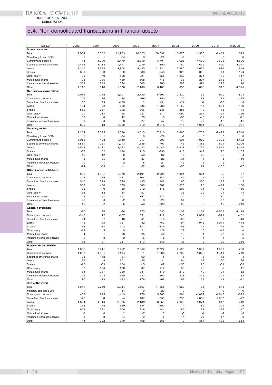# 5.4. Non-consolidated transactions in financial assets

| Mio EUR                      | 2003           | 2004           | 2005             | 2006                | 2007   | 2008                    | 2009           | 2010           | IV-2008        |
|------------------------------|----------------|----------------|------------------|---------------------|--------|-------------------------|----------------|----------------|----------------|
| Domestic sector              |                |                |                  |                     |        |                         |                |                |                |
| Total                        |                | 5,382          | 11,733           | 10,823              |        | 13,875                  | 11,360         |                | 393            |
|                              | 7,004          |                |                  |                     | 20,592 |                         |                | $-1,484$       |                |
| Monetary gold and SDRs       | $\overline{1}$ | $\overline{1}$ | $-34$            | $\circ$             | $-29$  | -9                      | $\mathbf 0$    | 0              | 0              |
| Currency and deposits        | $-14$          | 1,200          | 2,479            | 2,249               | 3,701  | 3,026                   | 4,599          | $-2,626$       | 1,596          |
| Securities other than shares | 2,416          | 1,113          | 1,317            | $-1,049$            | $-400$ | $-80$                   | 1,635          | -490           | $-1,051$       |
| Loans                        | 2,210          | 2,673          | 4,704            | 5,430               | 11,321 | 7,880                   | 4,674          | 671            | 846            |
| Shares                       | 809            | $-350$         | 559              | 638                 | 948    | 920                     | 363            | $-41$          | 174            |
| Other equity                 | 25             | $-79$          | 198              | 321                 | 655    | 1,239                   | 371            | 139            | 417            |
|                              |                |                |                  |                     |        |                         |                |                |                |
| Mutual fund shares           | 133            | 365            | 439              | 568                 | 715    | $-138$                  | 207            | 276            | $-81$          |
| Insurance technical reserves | 309            | 349            | 394              | 500                 | 280    | 388                     | 394            | 277            | 18             |
| Other                        | 1,116          | 110            | 1,678            | 2,168               | 3,401  | 650                     | $-883$         | 310            | $-1,525$       |
| Non-financial corporations   |                |                |                  |                     |        |                         |                |                |                |
| Total                        | 2,079          | $-272$         | 2,701            | 2,780               | 5,993  | 3,332                   | $-55$          | 900            | $-804$         |
| Currency and deposits        | 106            | 76             | 434              | 266                 | 350    | 30                      | 88             | 181            | $-138$         |
| Securities other than shares | 50             | 65             | $-100$           | $\overline{c}$      | $-51$  | $-21$                   | $-1$           | $-60$          | $\sim$         |
|                              |                |                |                  |                     |        |                         |                |                |                |
| Loans                        | 134            | 22             | 639              | 235                 | 1,280  | 1,158                   | 717            | 531            | 109            |
| Shares                       | 869            | $-267$         | 312              | 366                 | 1,636  | 386                     | $-110$         | $-113$         | $-144$         |
| Other equity                 | $-21$          | $-214$         | 98               | 237                 | 511    | 1,090                   | 257            | 154            | 366            |
| Mutual fund shares           | 59             | $-4$           | 42               | 29                  | 3      | $-38$                   | $-48$          | $-31$          | $-21$          |
| Insurance technical reserves | -9             | 36             | 6                | 27                  | 47     | 12                      | 47             | $-13$          | $-11$          |
| Other                        | 892            | 13             | 1,269            | 1,619               | 2,218  | 715                     | $-1,004$       | 249            | $-961$         |
|                              |                |                |                  |                     |        |                         |                |                |                |
| Monetary sector              |                |                |                  |                     |        |                         |                |                |                |
| Total                        | 2,204          | 2,025          | 5,596            | 3,513               | 7,910  | 6,660                   | 4,733          | $-2,479$       | 1,548          |
| Monetary gold and SDRs       | $\overline{1}$ | $\overline{1}$ | $-34$            | $\circ$             | $-29$  | -9                      | 0              | $\mathbf 0$    | 0              |
| Currency and deposits        | $-1,056$       | $-428$         | 1,140            | 317                 | 903    | 601                     | 1,099          | $-3,396$       | 1,432          |
| Securities other than shares | 1,831          | 351            | 1,073            | $-1,385$            | $-703$ | $-46$                   | 1,383          | $-594$         | $-1,006$       |
| Loans                        | 1,556          | 2,131          | 3,222            | 4,422               | 8,045  | 5,828                   | 1,779          | 1,537          | 1,028          |
| Shares                       | $-38$          | 52             | 194              | 115                 | $-390$ | 418                     | 347            | 90             | 155            |
|                              |                |                |                  |                     |        |                         |                |                |                |
| Other equity                 | 10             | $-12$          | $\mathsf O$      | 53                  | 62     | $-5$                    | 29             | 30             | $-4$           |
| Mutual fund shares           | $-5$           | $-35$          | -2               | 37                  | $-22$  | $-31$                   | 1              | 5              | $-10$          |
| Insurance technical reserves | $\circ$        | $\overline{1}$ | $\overline{c}$   | 6                   | $-21$  | $-3$                    | 5              | $\overline{c}$ | $-1$           |
| Other                        | $-94$          | $-35$          | $-1$             | $-52$               | 66     | -93                     | 91             | $-153$         | $-47$          |
| Other financial institutions |                |                |                  |                     |        |                         |                |                |                |
| Total                        | 922            | 1,321          | 1,070            | 2,101               | 2,929  | 1,391                   | 624            | 90             | 67             |
|                              | $-26$          | 179            | $-121$           | 104                 | 347    | $-149$                  | 17             | 149            | $-47$          |
| Currency and deposits        |                |                |                  |                     |        |                         |                |                |                |
| Securities other than shares | 540            | 519            | 329              | 435                 | 342    | 95                      | 300            | 182            | 5              |
| Loans                        | 389            | 430            | 693              | 840                 | 1,202  | 1,025                   | 198            | $-414$         | 150            |
| Shares                       | 25             | $\mathsf g$    | 60               | 312                 | 475    | 298                     | $-31$          | 48             | 156            |
| Other equity                 | $-33$          | 18             | $-34$            | $-57$               | $-1$   | 35                      | 22             | $-24$          | 44             |
| Mutual fund shares           | -9             | 67             | 151              | 197                 | 273    | 132                     | 115            | 170            | $\overline{7}$ |
| Insurance technical reserves | 21             | 6              | $-2$             | 18                  | $-29$  | 54                      | 0              | $-32$          | -8             |
|                              |                |                |                  |                     |        |                         |                |                |                |
| Other                        | 15             | 92             | $-5$             | 253                 | 320    | $-99$                   | $\overline{c}$ | 10             | $-240$         |
| General government           |                |                |                  |                     |        |                         |                |                |                |
| Total                        | $-90$          | 98             | $-86$            | 370                 | 1,033  | $-102$                  | 4,101          | $-1,901$       | $-1, 118$      |
| Currency and deposits        | $-245$         | 12             | $-157$           | 351                 | 412    | 248                     | 2,062          | $-971$         | $-401$         |
| Securities other than shares | 24             | 37             | 48               | $-41$               | 16     | $-93$                   | $-53$          | 0              | $-43$          |
| Loans                        | 42             | 98             | $-121$           | $-32$               | 763    | $-194$                  | 1,943          | $-1,014$       | $-478$         |
| Shares                       | $-33$          | $-84$          |                  |                     | $-819$ | $-48$                   | 136            |                | 40             |
|                              |                |                | $-112$           | $-141$              |        |                         |                | $-15$          |                |
| Other equity                 | $-12$          | 5              | 9                | 21                  | $-28$  | 22                      | 15             | $-16$          | 0              |
| Mutual fund shares           | $\overline{4}$ | $\overline{1}$ | 18               | 25                  | 42     | 12                      | $-1$           | 27             | $-5$           |
| Insurance technical reserves | $-2$           | $\overline{c}$ | $-2$             | 15                  | 18     | $-13$                   | $-4$           | $-1$           | 5              |
| Other                        | 133            | 27             | 231              | 173                 | 630    | $-35$                   | $\overline{c}$ | 90             | $-236$         |
| <b>Households and NPISHs</b> |                |                |                  |                     |        |                         |                |                |                |
| Total                        | 1,888          | 2,211          | 2,452            | 2,059               | 2,727  | 2,593                   | 1,957          | 1,906          | 700            |
| Currency and deposits        | 1,207          | 1,361          | 1,184            | 1,211               | 1,690  | 2,296                   | 1,333          | 1,411          | 749            |
|                              |                |                |                  |                     |        |                         |                |                |                |
| Securities other than shares | $-28$          | 142            | $-34$            | $-60$               | $-5$   | $-15$                   | 6              | $-18$          | $-4$           |
| Loans                        | 88             | -9             | 271              | $-35$               | 31     | 64                      | 37             | 30             | 36             |
| Shares                       | $-13$          | $-59$          | 104              | $-15$               | 47     | $-135$                  | 20             | $-51$          | $-33$          |
| Other equity                 | 80             | 124            | 126              | 67                  | 112    | 98                      | 48             | $-5$           | 11             |
| Mutual fund shares           | 84             | 337            | 229              | 281                 | 419    | $-213$                  | 140            | 104            | $-52$          |
| Insurance technical reserves | 299            | 303            | 390              | 433                 | 265    | 338                     | 346            | 321            | 34             |
|                              |                |                |                  |                     |        |                         |                |                |                |
| Other                        | 170            | 13             | 183              | 176                 | 168    | 162                     | 27             | 114            | -41            |
| Rest of the world            |                |                |                  |                     |        |                         |                |                |                |
| Total                        | 1,941          | 2,759          | 5,044            | 4,667               | 11,555 | 4,022                   | 731            | 543            | -933           |
| Monetary gold and SDRs       | $-1$           | $-1$           | 34               | $\mathsf{O}\xspace$ | 29     | 9                       | 0              | 0              | $\circ$        |
| Currency and deposits        | 409            | 225            | 1,419            | 976                 | 5,905  | 384                     | $-1,689$       | $-1,847$       | $-829$         |
| Securities other than shares | $-78$          | -6             | $-4$             | 437                 | 853    | 785                     | 4,605          | 2,007          | $-77$          |
|                              |                |                |                  |                     |        |                         |                |                |                |
| Loans                        | 1,364          | 1,814          | 2,625            | 2,183               | 3,358  | 2,663                   | $-1,971$       | $-647$         | 419            |
| Shares                       | $-712$         | 172            | 369              | 384                 | 600    | 4                       | 80             | 304            | 109            |
| Other equity                 | 909            | 331            | 206              | 216                 | 144    | 165                     | 68             | 288            | 117            |
| Mutual fund shares           | -3             | -6             | $\boldsymbol{2}$ | $-7$                | 3      | $-5$                    | $-1$           | $-2$           | $\sim$         |
| Insurance technical reserves | 8              | 8              | 14               | 10                  | 5      | 14                      | 25             | 17             | -6             |
| Other                        | 44             | 222            | 379              | 468                 | 658    | $\overline{\mathbf{c}}$ | $-387$         | 422            | $-664$         |
|                              |                |                |                  |                     |        |                         |                |                |                |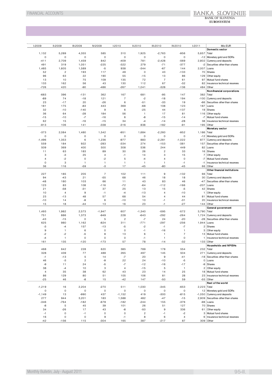**EUROSYSTEM**

| $I-2009$       | II-2009                 | <b>III-2009</b>     | IV-2009                       | $I-2010$                | $II-2010$      | III-2010              | IV-2010              | $I-2011$             | Mio EUR                                                        |
|----------------|-------------------------|---------------------|-------------------------------|-------------------------|----------------|-----------------------|----------------------|----------------------|----------------------------------------------------------------|
|                |                         |                     |                               |                         |                |                       |                      |                      | Domestic sector                                                |
| 1,132          | 5,289                   | 4,355               | 585                           | 310                     | 1,925          | $-2,763$              | $-956$               | 5,657                | Total                                                          |
| $\circ$        | 0                       | $\mathbf 0$         | $\mathsf{O}\xspace$           | $\mathsf{O}\xspace$     | $\mathsf O$    | 0                     | $\mathsf{O}\xspace$  | $-12$                | Monetary gold and SDRs                                         |
| $-411$<br>491  | 2,709<br>319            | 1,459<br>1,051      | 842<br>$-225$                 | $-409$<br>$-322$        | 781<br>279     | $-2,428$<br>$-71$     | $-569$<br>$-377$     |                      | 2,802 Currency and deposits<br>-2 Securities other than shares |
| 1,485          | 1,605                   | 1,589               | $-5$                          | 938                     | $-344$         | $-67$                 | 144                  | 2,007                | Loans                                                          |
| 52             | $\overline{\mathbf{c}}$ | 193                 | 117                           | 49                      | $\mathsf O$    | 43                    | $-133$               |                      | 70 Shares                                                      |
| 96             | 63                      | 22                  | 190                           | 55                      | $-15$          | 13                    | 86                   | 129                  | Other equity                                                   |
| 13             | 10                      | 75                  | 109                           | 135                     | 72             | $\overline{7}$        | 61                   | 97                   | Mutual fund shares                                             |
| 133            | 162                     | 56                  | 43                            | 130                     | 112            | 67                    | $-32$                | 82                   | Insurance technical reserves                                   |
| $-726$         | 420                     | $-90$               | $-486$                        | $-267$                  | 1,041          | $-328$                | $-136$               | 484                  | Other                                                          |
|                |                         |                     |                               |                         |                |                       |                      |                      | Non-financial corporations                                     |
| $-683$         | 396                     | $-131$              | 362                           | 167                     | 681            | $-95$                 | 147                  |                      | 382 Total                                                      |
| $-89$          | 74                      | $-18$               | 121                           | $\overline{7}$          | $-2$           | $-18$                 | 194                  | $-100$               | Currency and deposits                                          |
| 23<br>181      | $-17$<br>175            | 20<br>$-83$         | $-26$<br>443                  | 6<br>369                | $-51$<br>$-68$ | $-33$<br>108          | 19<br>123            | $-66$<br>187         | Securities other than shares<br>Loans                          |
| 32             | $-10$                   | $-140$              | 9                             | 6                       | $-25$          | 44                    | $-137$               | 19                   | Shares                                                         |
| 36             | 64                      | $-28$               | 184                           | 56                      | $\mathbf{1}$   | 17                    | 81                   |                      | 116 Other equity                                               |
| $-15$          | $-10$                   | $-7$                | $-16$                         | 6                       | -8             | $-15$                 | $-14$                | $-7$                 | Mutual fund shares                                             |
| 62             | 15                      | $-16$               | $-15$                         | 34                      | $-4$           | $-14$                 | $-28$                | 38                   | Insurance technical reserves                                   |
| $-913$         | 106                     | 141                 | $-338$                        | $-316$                  | 838            | $-182$                | $-91$                |                      | $195$ Other                                                    |
|                |                         |                     |                               |                         |                |                       |                      |                      | Monetary sector                                                |
| $-373$         | 2,084                   | 1,480               | 1,542                         | $-951$                  | 1,684          | $-2,260$              | $-952$               | 1,186   Total        |                                                                |
| $\mathbf 0$    | 0                       | $\mathbf 0$         | $\mathsf{O}\xspace$           | $\mathsf{O}\xspace$     | $\mathsf O$    | $\circ$               | $\mathsf{O}\xspace$  |                      | -12   Monetary gold and SDRs                                   |
| $-1,496$       | 1,353                   | 6                   | 1,236                         | $-977$                  | 883            | $-2,281$              | $-1,022$             | 877                  | Currency and deposits                                          |
| 559            | 184                     | 922                 | $-283$                        | $-334$                  | 274            | $-153$                | $-381$               | 157                  | Securities other than shares                                   |
| 509            | 369                     | 400                 | 500                           | 308                     | 536            | 244<br>$\overline{c}$ | 449                  | 82                   | Loans<br>Shares                                                |
| 11<br>3        | 63<br>-3                | 183<br>25           | 89<br>$\overline{\mathbf{4}}$ | 30<br>$-1$              | 26<br>14       | 3                     | 33<br>15             | 16<br>$\overline{7}$ | Other equity                                                   |
| 4              | $-2$                    | $\mathbf 0$         | $-2$                          | 5                       | $-4$           | 4                     | $\circ$              | $-7$                 | Mutual fund shares                                             |
| $\circ$        | 3                       | $\overline{1}$      | $\mathbf{1}$                  | $\mathbf{1}$            | $\mathbf{1}$   | 1                     | $-1$                 | $-1$                 | Insurance technical reserves                                   |
| 36             | 116                     | $-59$               | $-3$                          | 17                      | $-45$          | $-80$                 | $-45$                |                      | 66 Other                                                       |
|                |                         |                     |                               |                         |                |                       |                      |                      | Other financial institutions                                   |
| 227            | 185                     | 205                 | $\overline{7}$                | 102                     | 111            | 9                     | $-132$               | 66                   | Total                                                          |
| 94             | $-43$                   | 21                  | $-55$                         | 68                      | 46             | 18                    | 18                   | 30                   | Currency and deposits                                          |
| $-48$          | 180                     | 103                 | 66                            | 11                      | 43             | 83                    | 46                   | $-47$                | Securities other than shares                                   |
| 123            | 83                      | 108                 | $-116$                        | $-72$                   | $-64$          | $-112$                | $-166$               | $-207$               | Loans                                                          |
| 21             | $-58$                   | $-31$               | 37                            | 25                      | 13             | 15                    | $-5$                 | 42                   | Shares                                                         |
| 10             | 4                       | 9                   | $-1$                          | $-4$                    | $-13$          | $\overline{4}$        | $-10$                | 1                    | Other equity                                                   |
| 23             | $-13$                   | 48                  | 57                            | 68                      | 54             | 4                     | 44                   | 81                   | Mutual fund shares                                             |
| $-10$          | 14                      | -9                  | 6                             | $-10$                   | 10             | $-1$                  | $-31$                | 20                   | Insurance technical reserves                                   |
| 15             | 18                      | -44                 | 13                            | 16                      | 23             | $-1$                  | $-27$                | 144                  | Other                                                          |
| 1,493          | 1,982                   | 2,573               | $-1,947$                      | 607                     | $-1,340$       | $-595$                | $-572$               | 3,790                | General government<br>Total                                    |
| 751            | 886                     | 1,373               | $-949$                        | 228                     | $-643$         | $-292$                | $-264$               | 1,724                | Currency and deposits                                          |
| $-43$          | $-15$                   | $\mathbf 0$         | 5                             | $\overline{c}$          | $-7$           | 24                    | $-20$                | $-28$                | Securities other than shares                                   |
| 625            | 980                     | 1,162               | $-824$                        | 311                     | $-771$         | $-297$                | $-256$               | 1,944                | Loans                                                          |
| -3             | $-4$                    | 157                 | $-13$                         | $-5$                    | $-2$           | $-1$                  | $-7$                 | $\sqrt{2}$           | Shares                                                         |
| 9              | 1                       | 6                   | 0                             | $\mathsf{O}\xspace$     | $-1$           | $-16$                 | $\mathbf{1}$         | 3                    | Other equity                                                   |
| $-2$           | $-2$                    | $-5$                | 8                             | 13                      | 6              | 1                     | $\overline{7}$       |                      | 13 Mutual fund shares                                          |
| $-4$           | $\mathbf{1}$            | $\circ$             | $\circ$                       | 0                       | $-1$           | $\mathbf{1}$          | $\mathsf O$          | 1                    | Insurance technical reserves                                   |
| 161            | 135                     | $-120$              | $-173$                        | 57                      | 78             | $-14$                 | $-32$                | 133                  | Other                                                          |
|                |                         |                     |                               |                         |                |                       |                      |                      | <b>Households and NPISHs</b>                                   |
| 468            | 642                     | 228                 | 620                           | 385                     | 789            | 178                   | 554                  |                      | $232$ Total                                                    |
| 328<br>$-1$    | 439<br>$-13$            | 77<br>5             | 489<br>14                     | 265<br>$-7$             | 497<br>20      | 145<br>$\mathsf g$    | 504<br>$-41$         |                      | 271 Currency and deposits<br>-18 Securities other than shares  |
| 46             | $-3$                    | $\overline{c}$      | -9                            | 22                      | 24             | $-10$                 | $-5$                 | $\circ$              | Loans                                                          |
| -9             | 11                      | 24                  | $-5$                          | $-7$                    | $-12$          | $-16$                 | $-17$                | -9                   | Shares                                                         |
| 38             | $-4$                    | 10                  | 3                             | $\overline{\mathbf{4}}$ | $-15$          | 5                     | $\overline{1}$       |                      | 2 Other equity                                                 |
| $\overline{4}$ | 35                      | 38                  | 62                            | 43                      | 23             | 14                    | 25                   |                      | 18 Mutual fund shares                                          |
| 86             | 129                     | 80                  | 51                            | 105                     | 106            | 81                    | 28                   |                      | 23   Insurance technical reserves                              |
| $-25$          | 46                      | -8                  | 15                            | $-42$                   | 147            | $-50$                 | 59                   |                      | $-55$ Other                                                    |
|                |                         |                     |                               |                         |                |                       |                      |                      | Rest of the world                                              |
| $-1,219$       | 16                      | 2,204               | $-270$                        | 511                     | 1,030          | $-345$                | $-653$               | 2,223 Total          |                                                                |
| $\circ$        | 0                       | $\mathsf{O}\xspace$ | $\mathsf O$                   | $\mathsf{O}\xspace$     | $\mathsf O$    | $\mathsf O$           | $\mathsf O$          |                      | 12 Monetary gold and SDRs                                      |
| $-1, 149$      | 13                      | $-990$              | 437                           | $-1,152$                | 419            | $-300$                | $-815$               |                      | -1,050 Currency and deposits                                   |
| 277            | 944                     | 3,201               | 183                           | 1,588                   | 482            | $-47$                 | $-15$                |                      | 2,909 Securities other than shares                             |
| $-346$         | $-764$                  | $-182$              | $-678$                        | $-182$                  | $-244$         | 155                   | $-376$               | $-98$                | Loans                                                          |
| -8             | 5                       | 45                  | 39                            | 101                     | 26             | 51                    | 127                  |                      | 70 Shares                                                      |
| 34             | $-26$                   | 17                  | 43                            | -8                      | $-50$          | 9                     | 336                  | 61                   | Other equity                                                   |
| $-1$           | $\mathsf{O}\xspace$     | $-1$                | $\mathsf{O}\xspace$           | $\mathsf{O}\xspace$     | $\sqrt{2}$     | $-1$                  | $-2$                 | $\mathbf{3}$         | Mutual fund shares                                             |
| 16<br>$-42$    | 0<br>$-156$             | $\circ$<br>115      | $\mathsf g$<br>$-304$         | $-1$<br>165             | 8<br>387       | 6<br>$-217$           | $\overline{4}$<br>87 | 6                    | Insurance technical reserves<br>309 Other                      |
|                |                         |                     |                               |                         |                |                       |                      |                      |                                                                |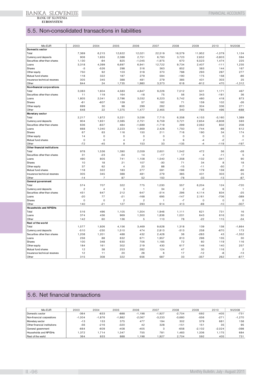### 5.5. Non-consolidated transactions in liabilities

| Mio EUR                      | 2003           | 2004           | 2005           | 2006           | 2007     | 2008           | 2009           | 2010        | IV-2008        |
|------------------------------|----------------|----------------|----------------|----------------|----------|----------------|----------------|-------------|----------------|
| Domestic sector              |                |                |                |                |          |                |                |             |                |
| Total                        | 7,369          | 6,215          | 12,622         | 12,021         | 22,519   | 16,579         | 11,952         | $-1,079$    | 1,124          |
| Currency and deposits        | 906            | 1,655          | 2,388          | 2,751          | 6,793    | 3,723          | 2,652          | $-3,803$    | 594            |
| Securities other than shares | 1,130          | $-94$          | 825            | $-1,045$       | $-1,975$ | 670            | 6,523          | 1,474       | 225            |
| Loans                        | 3,318          | 4,399          | 6,697          | 6,941          | 12,722   | 9,734          | 2,407          | $-111$      | 1,235          |
| Shares                       | $-3$           | $-526$         | 298            | 316            | 363      | 852            | 383            | 144         | 167            |
| Other equity                 | 750            | 92             | 103            | 318            | 370      | 788            | 293            | 287         | 277            |
| Mutual fund shares           | 118            | 322            | 187            | 279            | 594      | $-190$         | 175            | 158         | $-86$          |
| Insurance technical reserves | 305            | 345            | 388            | 481            | 279      | 385            | 431            | 303         | 25             |
| Other                        | 844            | 24             | 1,735          | 1,980          | 3,373    | 618            | $-912$         | 470         | $-1,312$       |
| Non-financial corporations   |                |                |                |                |          |                |                |             |                |
| Total                        | 3,083          | 1,604          | 4,583          | 4,847          | 9,226    | 7.012          | 501            | 1,171       | 467            |
| Securities other than shares | 11             | 119            | 164            | $-18$          | 75       | 56             | 343            | $-181$      | 36             |
| Loans                        | 1,805          | 2,041          | 2,786          | 3,032          | 6,223    | 5,742          | 480            | 418         | 873            |
| Shares                       | $-81$          | $-607$         | 159            | 57             | 182      | 71             | 159            | 102         | $-26$          |
| Other equity                 | 699            | 30             | 98             | 299            | 282      | 803            | 304            | 336         | 271            |
|                              | 648            | 22             |                |                |          | 340            |                | 496         | $-688$         |
| Other                        |                |                | 1,375          | 1,477          | 2,465    |                | $-785$         |             |                |
| Monetary sector              | 2,217          |                | 5,221          | 3,036          | 7,715    | 6,358          |                |             | 1,389          |
| Total                        | 904            | 1,872          |                |                |          |                | 4,153          | $-3,160$    |                |
| Currency and deposits        |                | 1,651          | 2,385          | 2,751          | 6,759    | 3,721          | 2,654          | $-3,808$    | 593            |
| Securities other than shares | 636            | $-837$         | 484            | $-1,689$       | $-1,719$ | 299            | 2,062          | 832         | 208            |
| Loans                        | 668            | 1,040          | 2,223          | 1,669          | 2,428    | 1,750          | $-744$         | $-98$       | 612            |
| Shares                       | 67             | 63             | 116            | 150            | 211      | 716            | 190            | 34          | 174            |
| Other equity                 | 14             | $\circ$        | $\circ$        | $\circ$        | 0        | $\circ$        | $\mathbf 0$    | $\mathbf 0$ | $\mathbf 0$    |
| Mutual fund shares           | $\circ$        | $\circ$        | $\overline{4}$ | $\overline{c}$ | 3        | 6              | $-4$           | $-2$        | $-1$           |
| Other                        | $-72$          | $-45$          | 9              | 153            | 33       | $-135$         | $-4$           | $-119$      | $-197$         |
| Other financial institutions |                |                |                |                |          |                |                |             |                |
| Total                        | 978            | 1,536          | 1,390          | 2,059          | 2,601    | 1,542          | 472            | 56          | $-28$          |
| Securities other than shares | 31             | $-23$          | $-34$          | 14             | $-17$    | 17             | $\overline{4}$ | $-11$       | 5              |
| Loans                        | 490            | 805            | 741            | 1,108          | 1,540    | 1,358          | $-132$         | $-341$      | 90             |
| Shares                       | 10             | 18             | 21             | 107            | $-30$    | 71             | 34             | 8           | 18             |
| Other equity                 | 37             | 62             | $\overline{4}$ | 20             | 88       | $-15$          | $-11$          | $-50$       | $\overline{7}$ |
| Mutual fund shares           | 118            | 322            | 183            | 277            | 591      | $-196$         | 179            | 159         | $-86$          |
| Insurance technical reserves | 305            | 345            | 388            | 481            | 279      | 385            | 431            | 303         | 25             |
| Other                        | $-14$          | $\overline{7}$ | 87             | 52             | 150      | $-78$          | $-33$          | $-13$       | $-87$          |
| General government           |                |                |                |                |          |                |                |             |                |
| Total                        | 574            | 707            | 322            | 775            | 1,030    | 557            | 6,204          | 124         | $-720$         |
| Currency and deposits        | $\overline{c}$ | $\overline{4}$ | 3              | $\mathbf{1}$   | 34       | $\overline{c}$ | $-2$           | 6           | $\overline{1}$ |
| Securities other than shares | 451            | 647            | 212            | 647            | $-314$   | 296            | 4,114          | 834         | $-25$          |
| Loans                        | $-20$          | 77             | $-21$          | $-168$         | 695      | $-147$         | 2,161          | $-706$      | $-389$         |
| Shares                       | $\circ$        | $\circ$        | $\overline{c}$ | $\overline{c}$ | 1        | $-7$           | $\mathbf 0$    | $\mathbf 0$ | $\circ$        |
| Other                        | 140            | $-21$          | 127            | 293            | 614      | 413            | $-69$          | $-10$       | $-307$         |
| Households and NPISHs        |                |                |                |                |          |                |                |             |                |
| Total                        | 516            | 496            | 1,105          | 1,304          | 1,946    | 1,111          | 621            | 731         | 16             |
| Loans                        | 374            | 436            | 969            | 1,300          | 1,836    | 1,031          | 643            | 616         | 50             |
| Other                        | 142            | 60             | 136            | 5              | 110      | 78             | $-22$          | 115         | $-34$          |
| Rest of the world            |                |                |                |                |          |                |                |             |                |
| Total                        | 1,577          | 1,926          | 4,156          | 3,469          | 9,628    | 1,318          | 139            | 138         | $-1,664$       |
| Currency and deposits        | $-510$         | $-230$         | 1,510          | 474            | 2,813    | $-313$         | 258            | $-670$      | 173            |
| Securities other than shares | 1,208          | 1,201          | 488            | 432            | 2,428    | 36             | $-283$         | 43          | $-1,352$       |
| Loans                        | 256            | 88             | 632            | 671            | 1,957    | 810            | 296            | 135         | 30             |
| Shares                       | 100            | 348            | 630            | 706            | 1,185    | 72             | 60             | 119         | 116            |
| Other equity                 | 184            | 161            | 302            | 219            | 430      | 617            | 146            | 140         | 257            |
| Mutual fund shares           | 12             | 38             | 253            | 282            | 124      | 47             | 30             | 116         | $\overline{c}$ |
| Insurance technical reserves | 12             | 11             | 20             | 28             | 6        | 17             | $-12$          | -8          | $-13$          |
| Other                        | 315            | 308            | 322            | 656            | 687      | 33             | $-357$         | 262         | $-877$         |

#### 5.6. Net financial transactions

| Mio EUR                      | 2003     | 2004     | 2005     | 2006     | 2007     | 2008     | 2009     | 2010     | IV-2008  |
|------------------------------|----------|----------|----------|----------|----------|----------|----------|----------|----------|
| Domestic sector              | $-364$   | $-833$   | $-888$   | $-1.198$ | $-1.927$ | $-2.704$ | $-592$   | $-405$   | $-731$   |
| Non-financial corporations   | $-1.004$ | $-1.876$ | $-1.882$ | $-2.067$ | $-3.233$ | $-3.680$ | $-556$   | $-271$   | $-1.270$ |
| <b>Monetary sector</b>       | $-13$    | 153      | 375      | 477      | 194      | 302      | 579      | 681      | 158      |
| Other financial institutions | $-56$    | $-216$   | $-320$   | 42       | 328      | $-151$   | 151      | 35       | 95       |
| General government           | $-664$   | $-609$   | $-408$   | $-405$   |          | $-658$   | $-2.102$ | $-2.024$ | $-398$   |
| Households and NPISHs        | 1.372    | .714     | .347     | 755      | 781      | .483     | ,336     | 1.175    | 684      |
| Rest of the world            | 364      | 833      | 888      | .198     | .927     | 2.704    | 592      | 405      | 731      |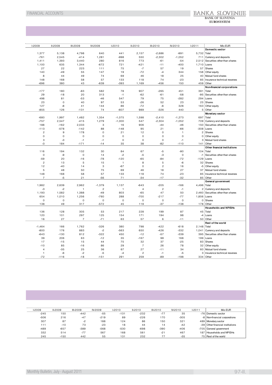**EUROSYSTEM**

| $I-2009$            | <b>II-2009</b>      | III-2009            | IV-2009             | $I - 2010$          | $II-2010$           | III-2010            | IV-2010             | $1 - 2011$     | Mio EUR                                               |
|---------------------|---------------------|---------------------|---------------------|---------------------|---------------------|---------------------|---------------------|----------------|-------------------------------------------------------|
|                     |                     |                     |                     |                     |                     |                     |                     |                | Domestic sector                                       |
| 1,377               | 5,138               | 4,798               | 640                 | 441                 | 2,157               | $-2,686$            | $-991$              | 5,732 Total    |                                                       |
| $-761$              | 2,545               | $-414$              | 1,281               | $-998$              | 550                 | $-2,302$            | $-1,052$            | 711            | Currency and deposits                                 |
| 1,411               | 1,393               | 3,440               | 280                 | 816                 | 773                 | $-61$               | $-54$               |                | 2,512 Securities other than shares                    |
| 1,100               | 635                 | 1,344               | $-672$              | 721                 | $-421$              | $-11$               | $-400$              | 1,710 Loans    |                                                       |
| 27                  | 22                  | 223                 | 111                 | 75                  | $-7$                | 57                  | 19                  | 57             | Shares                                                |
| 140                 | $-49$               | 55                  | 147                 | 19                  | $-72$               | $-4$                | 344                 |                | 158 Other equity                                      |
| 8                   | 44                  | 49                  | 74                  | 69                  | 46                  | 18                  | 25                  |                | 40 Mutual fund shares                                 |
| 148                 | 168                 | 58                  | 57                  | 133                 | 118                 | 74                  | $-23$               | 85             | Insurance technical reserves                          |
| $-696$              | 380                 | 43                  | $-639$              | $-393$              | 1,169               | $-456$              | 150                 | 459            | Other                                                 |
|                     |                     |                     |                     |                     |                     |                     |                     |                | Non-financial corporations                            |
| $-177$              | 180                 | $-83$               | 582                 | 78                  | 907                 | $-265$              | 451                 | 391            | <b>Total</b>                                          |
| 29                  | $-18$               | 20                  | 313                 | $-1$                | $-62$               | $-61$               | $-58$               | $-95$          | Securities other than shares                          |
| 498                 | 81                  | $-53$               | $-46$               | 547                 | 79                  | 75                  | $-282$              |                | 294 Loans                                             |
| 23                  | $\mathsf{O}\xspace$ | 40                  | 97                  | 53                  | $-26$               | 52                  | 23                  | 23             | Shares                                                |
| 127                 | -8                  | 41                  | 144                 | 86                  | $-72$               | $-6$                | 328                 |                | 163 Other equity                                      |
| $-855$              | 126                 | $-131$              | 74                  | $-607$              | 989                 | $-326$              | 440                 |                | 5 Other                                               |
|                     |                     |                     |                     |                     |                     |                     |                     |                | Monetary sector                                       |
| $-680$              | 1,997               | 1,482               | 1,354               | $-1,075$            | 1,598               | $-2,410$            | $-1,273$            | 697            | <b>Total</b>                                          |
|                     |                     |                     |                     | $-1,000$            |                     |                     |                     | 709            |                                                       |
| $-757$              | 2,547               | $-415$              | 1,279               |                     | 547<br>906          | $-2,304$            | $-1,052$            |                | Currency and deposits<br>Securities other than shares |
| 188                 | $-162$              | 2,033               | 3                   | 16                  |                     | $-44$               | $-46$               | 150            |                                                       |
| $-113$              | $-578$              | $-142$              | 88                  | $-148$              | 95                  | 21                  | $-66$               |                | $-308$ Loans                                          |
| $\overline{c}$      | $\mathsf g$         | 178                 | $\mathsf{O}\xspace$ | 21                  | 12                  | $\mathsf{O}\xspace$ | $\mathbf{1}$        | $\overline{c}$ | Shares                                                |
| $\mathsf{O}\xspace$ | $\mathsf{O}\xspace$ | $\mathsf{O}\xspace$ | $\mathsf{O}\xspace$ | $\mathsf{O}\xspace$ | $\mathsf{O}\xspace$ | $\mathsf{O}\xspace$ | $\mathsf{O}\xspace$ | 0              | Other equity                                          |
| 3                   | $-3$                | $-1$                | $-1$                | $\mathsf{O}\xspace$ | $\circ$             | $\circ$             | $-1$                | 3              | Mutual fund shares                                    |
| -3                  | 184                 | $-171$              | $-14$               | 35                  | 38                  | $-82$               | $-110$              | 141            | Other                                                 |
|                     |                     |                     |                     |                     |                     |                     |                     |                | Other financial institutions                          |
| 116                 | 194                 | 132                 | 30                  | 84                  | 67                  | $-5$                | -90                 | 104            | Total                                                 |
| $\circ$             | -9                  | $\circ$             | 14                  | $-2$                | $-5$                | $-3$                | $\circ$             | $-1$           | Securities other than shares                          |
| $-59$               | 20                  | $-16$               | $-78$               | $-120$              | $-65$               | $-84$               | $-72$               | $-129$         | Loans                                                 |
| $\sqrt{2}$          | 13                  | $\,$ 5 $\,$         | 15                  | $\mathbf{1}$        | 8                   | 5                   | $\textbf{-}6$       |                | 32 Shares                                             |
| 12                  | $-40$               | 14                  | 3                   | $-67$               | $\mathsf{O}\xspace$ | $\overline{c}$      | 16                  | $-5$           | Other equity                                          |
| $\,$ 5              | 48                  | 50                  | 75                  | 69                  | 46                  | 18                  | 27                  | 37             | Mutual fund shares                                    |
| 148                 | 168                 | 58                  | 57                  | 133                 | 118                 | 74                  | $-23$               | 85             | Insurance technical reserves                          |
| $\overline{7}$      | $-5$                | 21                  | $-56$               | 71                  | $-34$               | $-17$               | $-32$               |                | 85 Other                                              |
|                     |                     |                     |                     |                     |                     |                     |                     |                | General government                                    |
| 1,982               | 2,639               | 2,962               | $-1,379$            | 1,137               | $-643$              | $-205$              | $-166$              | 4,496 Total    |                                                       |
| $-3$                | $-2$                | $\overline{1}$      | $\overline{c}$      | $\mathbf{1}$        | $\overline{4}$      | $\overline{c}$      | $-1$                | $\overline{c}$ | Currency and deposits                                 |
| 1,193               | 1,582               | 1,388               | $-49$               | 803                 | $-65$               | 47                  | 50                  |                | 2.460 Securities other than shares                    |
| 654                 | 1,010               | 1,256               | $-760$              | 288                 | $-700$              | $-217$              | $-77$               | 1,856 Loans    |                                                       |
| $\mathsf{O}\xspace$ | $\mathsf{O}\xspace$ | $\mathsf{O}\xspace$ | $\mathsf{O}\xspace$ | $\mathsf{O}\xspace$ | $\mathsf O$         | $\mathsf O$         | $\mathsf{O}\xspace$ |                | 0 Shares                                              |
| 138                 | 49                  | 317                 | $-572$              | 45                  | 119                 | $-37$               | $-138$              |                | 178 Other                                             |
|                     |                     |                     |                     |                     |                     |                     |                     |                | <b>Households and NPISHs</b>                          |
| 136                 | 128                 | 305                 | 53                  | 217                 | 228                 | 199                 | 87                  | 45             | Total                                                 |
| 120                 | 101                 | 297                 | 125                 | 154                 | 171                 | 194                 | 98                  | $-4$           | Loans                                                 |
| 16                  | 27                  | $\overline{7}$      | $-71$               | 63                  | 57                  | 6                   | $-11$               | 50             | Other                                                 |
|                     |                     |                     |                     |                     |                     |                     |                     |                | Rest of the world                                     |
| $-1,464$            | 166                 | 1,762               | $-326$              | 380                 | 798                 | $-422$              | $-618$              | 2,148 Total    |                                                       |
| $-800$              | 176                 | 883                 | $-2$                | $-563$              | 650                 | $-426$              | $-332$              | 1,041          | Currency and deposits                                 |
| $-643$              | $-130$              | 812                 | $-322$              | 450                 | $-12$               | $-57$               | $-339$              | 395            | Securities other than shares                          |
|                     |                     |                     |                     |                     |                     |                     |                     |                |                                                       |
| 39                  | 206                 | 63                  | $-12$               | 35                  | $-167$              | 98                  | 168                 | 199            | Loans                                                 |
| 17                  | $-15$               | 15                  | 44                  | 75                  | 32                  | 37                  | $-25$               |                | 83 Shares                                             |
| $-10$               | 85                  | $-16$               | 86                  | 29                  | $\overline{7}$      | 26                  | 78                  | 32             | Other equity                                          |
| $\overline{4}$      | $-35$               | 25                  | 36                  | 67                  | 27                  | $-11$               | 34                  |                | 60   Mutual fund shares                               |
| $\overline{1}$      | $-6$                | $-2$                | $-5$                | $-4$                | $\overline{c}$      | $-1$                | $-5$                |                | 3   Insurance technical reserves                      |
| $-72$               | $-116$              | $-18$               | $-151$              | 291                 | 259                 | $-89$               | $-198$              |                | 334 Other                                             |

| $I-2009$ | $II - 2009$ | <b>III-2009</b> | IV-2009 | $I - 2010$ | $II - 2010$ | $III-2010$ | IV-2010 | $1 - 2011$ | Mio EUR                          |
|----------|-------------|-----------------|---------|------------|-------------|------------|---------|------------|----------------------------------|
| $-245$   | 150         | $-442$          | $-55$   | $-131$     | $-232$      | $-77$      | 35      |            | -76 Domestic sector              |
| $-506$   | 216         | $-47$           | $-219$  | 89         | $-226$      | 170        | $-305$  |            | -8   Non-financial corporations  |
| 307      | 87          | $-2$            | 188     | 124        | 86          | 150        | 321     |            | 489 Monetary sector              |
| 111      | $-10$       | 73              | $-23$   | 18         | 44          | 14         | $-42$   |            | -39 Other financial institutions |
| $-489$   | $-657$      | $-389$          | $-568$  | $-530$     | $-698$      | $-390$     | $-406$  |            | -705 General government          |
| 332      | 514         | $-77$           | 567     | 168        | 561         | $-21$      | 467     |            | 187 Households and NPISHs        |
| 245      | $-150$      | 442             | 55      | 131        | 232         | 77         | $-35$   |            | 75 Rest of the world             |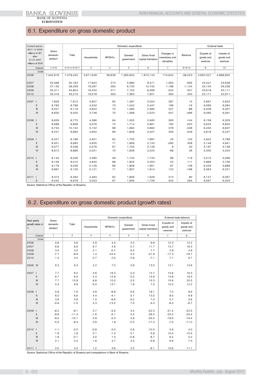# 6.1. Expenditure on gross domestic product

| Current prices,                                                               |                              |               |            |                | Domestic expenditure  |                                  |                                            |              | External trade                      |                                     |
|-------------------------------------------------------------------------------|------------------------------|---------------|------------|----------------|-----------------------|----------------------------------|--------------------------------------------|--------------|-------------------------------------|-------------------------------------|
| till 31.12.2006<br>millions of SIT.<br>after<br>01.01.2007<br>millions of EUR | Gross<br>domestic<br>product | Total         | Households | NPISH's        | General<br>government | Gross fixed<br>capital formation | Changes in<br>inventories and<br>valuables | Balance      | Exports of<br>goods and<br>services | Imports of<br>goods and<br>services |
| Column                                                                        | $1 = 2 + 8$                  | $2=3+4+5+6+7$ | 3          | $\overline{4}$ | 5                     | 6                                | $\overline{7}$                             | $8 = 9 - 10$ | 9                                   | 10 <sup>1</sup>                     |
| Code                                                                          |                              |               |            |                |                       |                                  |                                            |              |                                     |                                     |
| 2006                                                                          | 7,440,916                    | 7,479,440     | 3.871.639  | 58,839         | 1,395,840             | 1,975,143                        | 175,642                                    | $-38,523$    | 4,950,327                           | 4,988,850                           |
| 2007                                                                          | 34.568                       | 35.163        | 17.944     | 274            | 5.990                 | 9.571                            | 1.363                                      | $-595$       | 24,041                              | 24,636                              |
| 2008                                                                          | 37.135                       | 38.259        | 19.297     | 283            | 6.735                 | 10.742                           | 1.188                                      | $-1.124$     | 25.134                              | 26,258                              |
| 2009                                                                          | 35,311                       | 34.804        | 19.434     | 271            | 7.152                 | 8,268                            | $-324$                                     | 507          | 20,618                              | 20,111                              |
| 2010                                                                          | 35,416                       | 35,216        | 19,578     | 263            | 7,363                 | 7.651                            | 360                                        | 200          | 23,171                              | 22,971                              |
| 2007                                                                          | 7.829                        | 7.815         | 3.907      | 65             | 1.397                 | 2.054                            | 387                                        | 14           | 5.667                               | 5,653                               |
| $\mathbf{II}$                                                                 | 8.783                        | 8.798         | 4.532      | 73             | 1,542                 | 2.447                            | 199                                        | $-16$        | 6.069                               | 6,084                               |
| III                                                                           | 9,021                        | 9.119         | 4.654      | 70             | 1,482                 | 2,580                            | 327                                        | $-98$        | 6,209                               | 6,307                               |
| IV                                                                            | 8,930                        | 9,425         | 4,748      | 75             | 1,568                 | 2,523                            | 507                                        | $-496$       | 6,095                               | 6,591                               |
| 2008                                                                          | 8.626                        | 8.770         | 4.386      | 64             | 1,555                 | 2,480                            | 283                                        | $-144$       | 6,159                               | 6,303                               |
| $\mathbf{II}$                                                                 | 9.688                        | 9.908         | 5.076      | 73             | 1.714                 | 2.861                            | 183                                        | $-220$       | 6,625                               | 6,845                               |
| III                                                                           | 9.734                        | 10,142        | 5.132      | 68             | 1,682                 | 2.882                            | 378                                        | $-408$       | 6,430                               | 6,837                               |
| IV                                                                            | 9,231                        | 9,660         | 4,950      | 69             | 1,808                 | 2,507                            | 326                                        | $-429$       | 5,818                               | 6,247                               |
| 2009                                                                          | 8,321                        | 8,188         | 4,401      | 62             | 1,703                 | 1,997                            | 25                                         | 133          | 4,922                               | 4,789                               |
| $\mathbf{II}$                                                                 | 9,001                        | 8,693         | 4.935      | 71             | 1,856                 | 2,120                            | $-290$                                     | 308          | 5,149                               | 4,841                               |
| III                                                                           | 9,077                        | 9,038         | 5,078      | 67             | 1,755                 | 2,128                            | 9                                          | 40           | 5,197                               | 5,158                               |
| IV                                                                            | 8,912                        | 8.886         | 5.021      | 70             | 1.839                 | 2.023                            | $-68$                                      | 26           | 5.350                               | 5,324                               |
| 2010                                                                          | 8.145                        | 8.026         | 4.390      | 59             | 1.745                 | 1.733                            | 99                                         | 119          | 5.215                               | 5,096                               |
| $\mathbf{II}$                                                                 | 9.126                        | 9.015         | 4.940      | 68             | 1.902                 | 2.053                            | 52                                         | 111          | 5.866                               | 5.756                               |
| III                                                                           | 9.178                        | 9.039         | 5.126      | 66             | 1.808                 | 1.951                            | 87                                         | 139          | 6.026                               | 5,888                               |
| IV                                                                            | 8,967                        | 9,135         | 5,121      | 71             | 1.907                 | 1,914                            | 122                                        | $-168$       | 6,063                               | 6,231                               |
| $2011$                                                                        | 8.374                        | 8,294         | 4,484      | 62             | 1.806                 | 1,629                            | 313                                        | 80           | 6.147                               | 6.067                               |
| $\mathbf{I}$                                                                  | 9.242                        | 8.978         | 5.053      | 67             | 1.926                 | 1.729                            | 202                                        | 264          | 6.567                               | 6,303                               |

Source: Statistical Office of the Republic of Slovenia.

# 6.2. Expenditure on gross domestic product (growth rates)

|                                                 |                              |                | Domestic expenditure<br>External trade balance |                |                       |                                  |                                     |                                     |  |  |  |  |  |  |  |
|-------------------------------------------------|------------------------------|----------------|------------------------------------------------|----------------|-----------------------|----------------------------------|-------------------------------------|-------------------------------------|--|--|--|--|--|--|--|
| Real yearly<br>growth rates in<br>$\frac{0}{0}$ | Gross<br>domestic<br>product | Total          | Households                                     | NPISH's        | General<br>government | Gross fixed<br>capital formation | Exports of<br>goods and<br>services | Imports of<br>goods and<br>services |  |  |  |  |  |  |  |
| Column                                          | $\overline{1}$               | $\overline{2}$ | $\overline{\mathbf{3}}$                        | $\overline{4}$ | $\overline{5}$        | $\overline{6}$                   | $\overline{7}$                      | $\overline{8}$                      |  |  |  |  |  |  |  |
| Code                                            |                              |                |                                                |                |                       |                                  |                                     |                                     |  |  |  |  |  |  |  |
| 2006                                            | 5.8                          | 5.6            | 2.9                                            | 4.5            | 4.0                   | 9.9                              | 12.5                                | 12.2                                |  |  |  |  |  |  |  |
| 2007                                            | 6.8                          | 8.6            | 6.7                                            | 4.6            | 0.7                   | 11.7                             | 13.7                                | 16.3                                |  |  |  |  |  |  |  |
| 2008                                            | 3.5                          | 3.5            | 2.1                                            | $-0.7$         | 6.2                   | 7.7                              | 2.9                                 | 2.9                                 |  |  |  |  |  |  |  |
| 2009                                            | $-7.7$                       | $-8.9$         | 1.4                                            | $-24.4$        | 3.2                   | $-21.9$                          | $-17.3$                             | $-18.7$                             |  |  |  |  |  |  |  |
| 2010                                            | 1.2                          | 0.5            | 0.7                                            | 0.5            | 0.8                   | $-7.1$                           | 7.7                                 | 6.7                                 |  |  |  |  |  |  |  |
| 2006 IV                                         | 6.3                          | 6.3            | 2.2                                            | 7.0            | 3.9                   | 13.5                             | 13.1                                | 12.6                                |  |  |  |  |  |  |  |
| 2007                                            | 7.7                          | 8.2            | 4.6                                            | 16.3           | 0.3                   | 14.7                             | 15.6                                | 16.3                                |  |  |  |  |  |  |  |
| $\mathbf{H}$                                    | 6.7                          | 9.5            | 5.4                                            | 12.9           | 0.2                   | 15.9                             | 13.9                                | 18.3                                |  |  |  |  |  |  |  |
| III                                             | 7.7                          | 10.9           | 8.8                                            | 10.0           | 0.5                   | 15.3                             | 15.6                                | 20.5                                |  |  |  |  |  |  |  |
| IV                                              | 5.3                          | 6.9            | 6.4                                            | 13.1           | 1.9                   | 7.5                              | 10.2                                | 12.2                                |  |  |  |  |  |  |  |
| 2008                                            | 5.8                          | 7.6            | 4.8                                            | $-6.8$         | 6.6                   | 18.1                             | 7.0                                 | 9.6                                 |  |  |  |  |  |  |  |
| $\mathbf{H}$                                    | 6.0                          | 6.6            | 4.4                                            | $-4.1$         | 5.7                   | 13.5                             | 9.0                                 | 9.9                                 |  |  |  |  |  |  |  |
| III                                             | 3.9                          | 3.9            | 1.5                                            | $-6.6$         | 6.2                   | 7.0                              | 3.7                                 | 3.6                                 |  |  |  |  |  |  |  |
| IV                                              | $-0.8$                       | $-1.5$         | 2.3                                            | $-13.2$        | 7.0                   | $-5.3$                           | $-6.2$                              | $-6.7$                              |  |  |  |  |  |  |  |
| 2009                                            | $-8.2$                       | $-9.1$         | 0.7                                            | $-5.5$         | 3.4                   | $-22.3$                          | $-21.4$                             | $-22.5$                             |  |  |  |  |  |  |  |
| $\mathbf{H}$                                    | $-9.6$                       | $-11.4$        | $-1.6$                                         | $-5.1$         | 4.2                   | $-26.4$                          | $-23.2$                             | $-25.4$                             |  |  |  |  |  |  |  |
| III                                             | $-9.0$                       | $-10.1$        | 0.9                                            | $-2.3$         | 3.9                   | $-25.0$                          | $-18.0$                             | $-19.4$                             |  |  |  |  |  |  |  |
| IV                                              | $-5.5$                       | $-8.3$         | 0.6                                            | 1.9            | 0.3                   | $-17.4$                          | $-7.0$                              | $-11.0$                             |  |  |  |  |  |  |  |
| 2010                                            | $-1.1$                       | $-2.0$         | $-0.9$                                         | $-3.0$         | 0.6                   | $-10.5$                          | 5.6                                 | 4.0                                 |  |  |  |  |  |  |  |
| Ш                                               | 1.9                          | 1.8            | 0.1                                            | $-1.4$         | 0.1                   | $-3.8$                           | 10.4                                | 10.4                                |  |  |  |  |  |  |  |
| III                                             | 1.8                          | $-0.1$         | 2.0                                            | 1.3            | $-0.8$                | $-8.7$                           | 8.2                                 | 5.2                                 |  |  |  |  |  |  |  |
| IV.                                             | 2.1                          | 2.2            | 1.6                                            | 4.7            | 3.3                   | $-5.8$                           | 6.6                                 | 7.0                                 |  |  |  |  |  |  |  |
| 2011                                            | 2.0                          | 2.2            | 1.2                                            | 3.6            | 2.2                   | $-6.1$                           | 10.6                                | 11.1                                |  |  |  |  |  |  |  |

II.-98 Monthly Bulletin, July - August 2011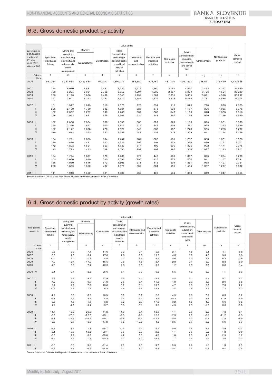# 6.3. Gross domestic product by activity

|                                                                                                   | Value added                             |                                                                                                      |                            |                |                                                                                                 |                                     |                                          |                           |                                                                               |                |                          |                              |
|---------------------------------------------------------------------------------------------------|-----------------------------------------|------------------------------------------------------------------------------------------------------|----------------------------|----------------|-------------------------------------------------------------------------------------------------|-------------------------------------|------------------------------------------|---------------------------|-------------------------------------------------------------------------------|----------------|--------------------------|------------------------------|
| Current prices<br>till 31.12.2006<br>in Milions of<br>SIT, after<br>01.01.2007<br>Millions of EUR | Agriculture,<br>forestry and<br>fishina | Mining and<br>quanying,<br>manufacturing,<br>electricity and<br>water supply,<br>waste<br>management | of which:<br>Manufacturing | Construction   | Trade.<br>transportation<br>and storage,<br>accommodatio<br>n and food<br>service<br>activities | Information<br>and<br>communication | Financial and<br>insurance<br>activities | Real estate<br>activities | Public<br>administration.<br>education,<br>human health<br>and social<br>work | Other services | Net taxes on<br>products | Gross<br>domestic<br>product |
| Column                                                                                            | $\overline{1}$                          | $\overline{2}$                                                                                       | 3                          | $\overline{4}$ | 5                                                                                               | 6                                   | $\overline{7}$                           | 8                         | 9                                                                             | 10             | 11                       | 12                           |
| Code                                                                                              |                                         |                                                                                                      |                            |                |                                                                                                 |                                     |                                          |                           |                                                                               |                |                          |                              |
| 2006                                                                                              | 150,254                                 | 1,753,518                                                                                            | 1,487,853                  | 469.047        | 1,302,971                                                                                       | 263,580                             | 329,769                                  | 481.101                   | 1,047,371                                                                     | 726,541        | 915,449                  | 7,439,648                    |
| 2007                                                                                              | 744                                     | 8,070                                                                                                | 6,881                      | 2,451          | 6,222                                                                                           | 1,216                               | 1,460                                    | 2,151                     | 4,597                                                                         | 3,413          | 4,227                    | 34,550                       |
| 2008                                                                                              | 798                                     | 8,265                                                                                                | 6,981                      | 2,762          | 6,852                                                                                           | 1,294                               | 1,539                                    | 2,387                     | 5,064                                                                         | 3,756          | 4,564                    | 37,280                       |
| 2009                                                                                              | 730                                     | 7,123                                                                                                | 5.850                      | 2,469          | 6,343                                                                                           | 1,199                               | 1,581                                    | 2,351                     | 5,365                                                                         | 3,621          | 4,516                    | 35,297                       |
| 2010                                                                                              | 727                                     | 7,601                                                                                                | 6,272                      | 2,152          | 6,512                                                                                           | 1,185                               | 1,639                                    | 2,328                     | 5,485                                                                         | 3,761          | 4,585                    | 35,974                       |
| 2007 l                                                                                            | 161                                     | 1,917                                                                                                | 1,613                      | 510            | 1,370                                                                                           | 276                                 | 354                                      | 518                       | 1,076                                                                         | 720            | 923                      | 7,825                        |
| $\mathbf{H}$                                                                                      | 205                                     | 2,100                                                                                                | 1,790                      | 622            | 1,581                                                                                           | 283                                 | 378                                      | 523                       | 1,177                                                                         | 826            | 1.085                    | 8,778                        |
| $\mathbf{III}$                                                                                    | 182                                     | 2,062                                                                                                | 1.787                      | 690            | 1.705                                                                                           | 332                                 | 388                                      | 543                       | 1,156                                                                         | 878            | 1,083                    | 9,018                        |
| IV                                                                                                | 196                                     | 1,992                                                                                                | 1,691                      | 629            | 1,567                                                                                           | 324                                 | 341                                      | 567                       | 1,188                                                                         | 990            | 1,136                    | 8,930                        |
| 2008                                                                                              | 182                                     | 2,000                                                                                                | 1,674                      | 638            | 1,550                                                                                           | 300                                 | 399                                      | 573                       | 1,166                                                                         | 825            | 1,001                    | 8,633                        |
| $\mathbf{II}$                                                                                     | 225                                     | 2,226                                                                                                | 1,877                      | 700            | 1,741                                                                                           | 313                                 | 446                                      | 609                       | 1,281                                                                         | 925            | 1,223                    | 9,689                        |
| $\mathbf{H}$                                                                                      | 182                                     | 2,147                                                                                                | 1,858                      | 770            | 1,921                                                                                           | 340                                 | 336                                      | 587                       | 1,278                                                                         | 965            | 1,206                    | 9,732                        |
| IV.                                                                                               | 210                                     | 1,892                                                                                                | 1,573                      | 653            | 1,639                                                                                           | 341                                 | 359                                      | 619                       | 1,339                                                                         | 1,041          | 1,134                    | 9,226                        |
| 2009<br>- 1                                                                                       | 164                                     | 1,721                                                                                                | 1,395                      | 604            | 1,457                                                                                           | 287                                 | 387                                      | 581                       | 1,287                                                                         | 803            | 1,031                    | 8,320                        |
| $\mathbf{II}$                                                                                     | 199                                     | 1,826                                                                                                | 1,491                      | 643            | 1,626                                                                                           | 296                                 | 391                                      | 574                       | 1,386                                                                         | 890            | 1,171                    | 9,001                        |
| $\mathbf{III}$                                                                                    | 172                                     | 1,803                                                                                                | 1,521                      | 653            | 1,730                                                                                           | 317                                 | 402                                      | 600                       | 1,325                                                                         | 902            | 1,171                    | 9,075                        |
| IV                                                                                                | 195                                     | 1.773                                                                                                | 1.443                      | 569            | 1.530                                                                                           | 299                                 | 402                                      | 597                       | 1.368                                                                         | 1,027          | 1,143                    | 8,901                        |
| $2010$                                                                                            | 134                                     | 1,724                                                                                                | 1,397                      | 523            | 1,439                                                                                           | 277                                 | 440                                      | 566                       | 1,307                                                                         | 826            | 1,004                    | 8,239                        |
| $\mathbf{II}$                                                                                     | 205                                     | 2,030                                                                                                | 1,680                      | 560            | 1,694                                                                                           | 295                                 | 423                                      | 573                       | 1,404                                                                         | 941            | 1,167                    | 9,291                        |
| $\mathbf{III}$                                                                                    | 185                                     | 1,950                                                                                                | 1,646                      | 572            | 1,808                                                                                           | 311                                 | 416                                      | 594                       | 1,361                                                                         | 958            | 1,197                    | 9,351                        |
| IV.                                                                                               | 203                                     | 1,896                                                                                                | 1,550                      | 497            | 1,571                                                                                           | 302                                 | 361                                      | 595                       | 1,414                                                                         | 1,037          | 1,217                    | 9,092                        |
| $2011$                                                                                            | 141                                     | 1,910                                                                                                | 1.562                      | 431            | 1,506                                                                                           | 269                                 | 439                                      | 564                       | 1,348                                                                         | 849            | 1.047                    | 8.505                        |

Source: Statistical Office of the Republic of Slovenia and computations in Bank of Slovenia.

## 6.4. Gross domestic product by activity (growth rates)

|                           |                                    |                                         | Mining and<br>quarrying,                                                  | of which:               |                | Trade,<br>transportation                                            |                                  |                                          |                           | Public                                                              |                |                          | Gross               |
|---------------------------|------------------------------------|-----------------------------------------|---------------------------------------------------------------------------|-------------------------|----------------|---------------------------------------------------------------------|----------------------------------|------------------------------------------|---------------------------|---------------------------------------------------------------------|----------------|--------------------------|---------------------|
| Real growth<br>rates in % |                                    | Agriculture,<br>forestry and<br>fishing | manufacturing,<br>electricity and<br>water supply,<br>waste<br>management | Manufacturing           | Construction   | and storage.<br>accommodatio<br>n and food<br>service<br>activities | Information and<br>communication | Financial and<br>insurance<br>activities | Real estate<br>activities | administration,<br>education,<br>human health<br>and social<br>work | Other services | Net taxes on<br>products | domestic<br>product |
|                           | Column                             | $\mathbf{1}$                            | $\overline{2}$                                                            | $\overline{\mathbf{3}}$ | $\overline{4}$ | $\overline{5}$                                                      | 6                                | $\overline{7}$                           | 8                         | $\mathsf g$                                                         | 10             | 11                       | 12                  |
|                           | Code                               |                                         |                                                                           |                         |                |                                                                     |                                  |                                          |                           |                                                                     |                |                          |                     |
| 2006                      |                                    | $-0.8$                                  | 7.3                                                                       | 7.4                     | 14.6           | 7.2                                                                 | 9.1                              | 5.6                                      | 2.7                       | 1.8                                                                 | 5.1            | 4.1                      | 5.8                 |
| 2007                      |                                    | 3.0                                     | 7.5                                                                       | 8.4                     | 17.6           | 7.0                                                                 | 9.0                              | 15.0                                     | 4.3                       | 1.9                                                                 | 4.6            | 5.6                      | 6.9                 |
| 2008                      |                                    | $-0.4$                                  | 1.0                                                                       | 0.2                     | 4.8            | 3.2                                                                 | 9.8                              | 8.3                                      | 5.6                       | 2.0                                                                 | 3.2            | 6.3                      | 3.6                 |
| 2009                      |                                    | $-7.0$                                  | $-15.4$                                                                   | $-17.0$                 | $-15.5$        | $-9.6$                                                              | $-4.6$                           | 2.7                                      | $-2.9$                    | 2.4                                                                 | $-5.9$         | $-8.3$                   | $-8.0$              |
| 2010                      |                                    | $-4.6$                                  | 6.6                                                                       | 7.4                     | $-19.9$        | 2.5                                                                 | 3.5                              | $5.0$                                    | 1.2                       | 2.5                                                                 | 3.7            | $-0.8$                   | 1.4                 |
| 2006 IV                   |                                    | 2.1                                     | 9.4                                                                       | 8.6                     | 26.6           | 8.1                                                                 | 2.7                              | $-6.5$                                   | 5.5                       | 1.2                                                                 | 6.9            | 1.1                      | 6.3                 |
| 2007                      |                                    | 6.8                                     | 8.9                                                                       | 9.5                     | 27.9           | 6.5                                                                 | 2.1                              | 14.9                                     | 5.4                       | 2.1                                                                 | 6.9            | 5.7                      | 7.7                 |
|                           | $\mathbf{H}$                       | 4.2                                     | 8.0                                                                       | 9.0                     | 24.0           | 7.5                                                                 | 8.1                              | 11.3                                     | 4.8                       | 2.3                                                                 | 3.3            | 2.0                      | 6.8                 |
|                           | $\ensuremath{\mathsf{III}}\xspace$ | 2.1                                     | 7.6                                                                       | 7.9                     | 15.8           | 8.2                                                                 | 13.1                             | 19.7                                     | 4.7                       | 1.5                                                                 | 5.7            | 7.6                      | 7.7                 |
|                           | IV                                 | $-0.6$                                  | 5.7                                                                       | 7.4                     | 6.3            | 5.6                                                                 | 12.9                             | 14.1                                     | 2.4                       | 1.8                                                                 | 3.2            | 7.2                      | 5.3                 |
| 2008                      | $\blacksquare$                     | $-1.2$                                  | 3.8                                                                       | 3.5                     | 16.5           | 5.9                                                                 | 13.2                             | 2.3                                      | 4.9                       | 2.8                                                                 | 7.2            | 6.9                      | 5.7                 |
|                           | $\mathbf{H}$                       | $-2.1$                                  | 6.6                                                                       | 5.5                     | 4.5            | 3.4                                                                 | 12.2                             | 3.9                                      | 10.3                      | 2.3                                                                 | 4.7            | 11.9                     | 5.9                 |
|                           | $\mathbf{III}$                     | 0.8                                     | 1.6                                                                       | 1.3                     | 3.8            | 3.2                                                                 | 5.9                              | 17.2                                     | 3.2                       | 1.8                                                                 | 4.0            | 6.0                      | 3.8                 |
|                           | IV                                 | 1.2                                     | $-7.9$                                                                    | $-9.4$                  | $-3.7$         | 0.5                                                                 | 8.1                              | 9.6                                      | 4.3                       | 1.3                                                                 | $-1.6$         | 0.6                      | $-0.9$              |
| 2009                      | $\mathbf{I}$                       | $-11.7$                                 | $-18.2$                                                                   | $-20.5$                 | $-11.8$        | $-11.0$                                                             | $-2.1$                           | 18.3                                     | $-1.1$                    | 2.0                                                                 | $-8.0$         | $-7.8$                   | $-8.1$              |
|                           | $\mathbf{H}$                       | $-5.5$                                  | $-20.8$                                                                   | $-22.7$                 | $-13.1$        | $-9.5$                                                              | $-2.8$                           | 12.6                                     | $-7.3$                    | 1.6                                                                 | $-5.7$         | $-11.2$                  | $-9.5$              |
|                           | $\mathbf{III}$                     | $-5.1$                                  | $-15.6$                                                                   | $-16.9$                 | $-19.1$        | $-9.8$                                                              | $-2.4$                           | $-12.4$                                  | 0.5                       | 2.2                                                                 | $-7.7$         | $-7.5$                   | $-8.9$              |
|                           | IV                                 | $-6.2$                                  | $-5.7$                                                                    | $-6.6$                  | $-17.8$        | $-7.8$                                                              | $-10.6$                          | $-4.8$                                   | $-3.5$                    | 3.7                                                                 | $-2.6$         | $-6.6$                   | $-5.3$              |
| $2010$ $\mid$             |                                    | $-5.8$                                  | 1.1                                                                       | 1.1                     | $-18.7$        | $-0.9$                                                              | 2.3                              | 4.2                                      | 0.0                       | 2.5                                                                 | 4.3            | $-2.9$                   | $-0.7$              |
|                           | $\mathbf{H}$                       | $-3.1$                                  | 10.8                                                                      | 12.8                    | $-20.1$        | 3.6                                                                 | 2.0                              | $-2.5$                                   | 1.1                       | 2.5                                                                 | 5.5            | $-1.8$                   | 2.0                 |
|                           | $\mathbf{III}$                     | $-5.0$                                  | 7.2                                                                       | 8.0                     | $-20.6$        | 4.7                                                                 | 3.8                              | 4.6                                      | 1.8                       | 2.5                                                                 | 4.3            | $-2.3$                   | 1.7                 |
|                           | IV                                 | $-4.9$                                  | 6.9                                                                       | 7.3                     | $-20.3$        | 2.2                                                                 | 6.0                              | 15.5                                     | 1.7                       | 2.4                                                                 | 1.2            | 3.8                      | 2.3                 |
| 2011                      |                                    | $-0.8$                                  | 8.6                                                                       | 9.8                     | $-21.4$        | 2.6                                                                 | 2.5                              | 9.7                                      | 0.9                       | 2.2                                                                 | 1.8            | 1.3                      | 2.3                 |
|                           | $\mathbf{II}$                      | $-2.5$                                  | 5.5                                                                       | 6.2                     | $-24.0$        | 2.1                                                                 | 1.2                              | 5.8                                      | 0.4                       | 2.4                                                                 | 0.4            | 0.4                      | 0.9                 |

Source: Statistical Office of the Republic of Slovenia and computations in Bank of Slovenia.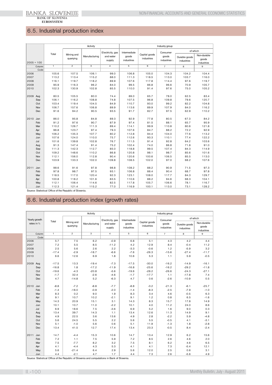# 6.5. Industrial production index

|          |              |              |                         | Activity      |                     | Industry group      |                             |                     |                             |                                    |  |  |
|----------|--------------|--------------|-------------------------|---------------|---------------------|---------------------|-----------------------------|---------------------|-----------------------------|------------------------------------|--|--|
|          |              |              |                         |               | Electricity, gas    | Intermediate        |                             | Consumer            | of which                    |                                    |  |  |
|          | $2005 = 100$ | Total        | Mining and<br>quarrying | Manufacturing | and water<br>supply | goods<br>industries | Capital goods<br>industries | goods<br>industries | Durable goods<br>industries | Non-durable<br>goods<br>industries |  |  |
|          | Column       | $\mathbf{1}$ | $\overline{c}$          | 3             | $\overline{4}$      | 5                   | 6                           | $\overline{7}$      | 8                           | 9                                  |  |  |
|          | Code         |              |                         |               |                     |                     |                             |                     |                             |                                    |  |  |
| 2006     |              | 105.6        | 107.5                   | 106.1         | 99.0                | 106.8               | 105.0                       | 104.3               | 104.2                       | 104.4                              |  |  |
| 2007     |              | 113.2        | 113.4                   | 115.2         | 88.0                | 111.3               | 118.5                       | 113.0               | 103.7                       | 116.0                              |  |  |
| 2008     |              | 116.1        | 119.7                   | 118.2         | 89.9                | 107.6               | 117.8                       | 114.4               | 97.6                        | 119.7                              |  |  |
| 2009     |              | 95.9         | 116.3                   | 96.2          | 84.0                | 99.5                | 86.8                        | 96.6                | 70.9                        | 105.7                              |  |  |
| 2010     |              | 102.3        | 130.9                   | 102.8         | 85.5                | 110.0               | 91.4                        | 97.6                | 75.0                        | 105.2                              |  |  |
|          |              |              |                         |               |                     |                     |                             |                     |                             |                                    |  |  |
| 2009 Aug |              | 80.5         | 105.5                   | 80.0          | 74.4                | 89.0                | 65.7                        | 78.0                | 62.5                        | 83.4                               |  |  |
|          | Sep          | 106.1        | 116.2                   | 108.8         | 74.8                | 107.5               | 96.8                        | 109.8               | 79.6                        | 120.7                              |  |  |
|          | Oct          | 103.4        | 119.4                   | 104.5         | 84.9                | 110.7               | 93.0                        | 99.2                | 82.2                        | 104.8                              |  |  |
|          | Nov          | 106.7        | 157.6                   | 106.8         | 89.9                | 113.6               | 89.9                        | 107.9               | 84.0                        | 116.2                              |  |  |
|          | Dec          | 91.6         | 94.2                    | 90.5          | 93.5                | 91.7                | 82.7                        | 97.5                | 62.9                        | 110.2                              |  |  |
|          |              |              |                         |               |                     |                     |                             |                     |                             |                                    |  |  |
| 2010     | Jan          | 86.0         | 95.8                    | 84.8          | 89.3                | 92.9                | 77.8                        | 80.5                | 67.3                        | 84.2                               |  |  |
|          | Feb          | 91.2         | 97.6                    | 90.7          | 87.9                | 97.4                | 81.5                        | 88.1                | 65.7                        | 95.9                               |  |  |
|          | Mar          | 110.2        | 126.7                   | 111.3         | 89.4                | 114.1               | 99.9                        | 110.8               | 80.6                        | 121.8                              |  |  |
|          | Apr          | 96.8         | 123.7                   | 97.4          | 79.3                | 107.6               | 84.7                        | 88.2                | 72.2                        | 92.9                               |  |  |
|          | May          | 106.2        | 135.3                   | 107.7         | 80.2                | 112.8               | 94.4                        | 104.0               | 77.6                        | 113.2                              |  |  |
|          | Jun          | 107.6        | 124.0                   | 110.0         | 75.7                | 112.6               | 93.3                        | 110.1               | 77.4                        | 122.2                              |  |  |
|          | Jul          | 101.6        | 139.8                   | 102.8         | 76.7                | 111.5               | 91.4                        | 92.8                | 64.2                        | 103.6                              |  |  |
|          | Aug          | 91.3         | 147.4                   | 91.4          | 75.2                | 102.4               | 74.0                        | 86.8                | 71.8                        | 91.0                               |  |  |
|          | Sep          | 111.3        | 142.3                   | 112.7         | 85.0                | 118.8               | 99.5                        | 107.4               | 84.3                        | 114.9                              |  |  |
|          | Oct          | 109.2        | 148.6                   | 110.2         | 86.8                | 120.8               | 98.1                        | 98.7                | 85.6                        | 101.6                              |  |  |
|          | Nov          | 112.1        | 156.0                   | 112.8         | 90.4                | 120.6               | 100.6                       | 106.5               | 85.5                        | 113.0                              |  |  |
|          | Dec          | 103.9        | 133.3                   | 102.0         | 109.8               | 108.5               | 102.0                       | 97.0                | 68.2                        | 107.6                              |  |  |
|          |              |              |                         |               |                     |                     |                             |                     |                             |                                    |  |  |
| 2011     | Jan          | 98.6         | 91.6                    | 97.8          | 98.8                | 108.2               | 88.2                        | 90.9                | 71.5                        | 97.3                               |  |  |
|          | Feb          | 97.8         | 98.7                    | 97.5          | 93.1                | 106.8               | 88.4                        | 90.4                | 68.7                        | 97.8                               |  |  |
|          | Mar          | 118.5        | 117.0                   | 120.4         | 92.3                | 123.1               | 108.0                       | 117.7               | 84.3                        | 129.7                              |  |  |
|          | Apr          | 100.8        | 118.2                   | 101.6         | 83.5                | 110.6               | 88.2                        | 94.6                | 68.3                        | 104.1                              |  |  |
|          | May          | 112.1        | 106.4                   | 114.6         | 82.5                | 117.8               | 105.7                       | 106.6               | 78.1                        | 116.7                              |  |  |
|          | Jun          | 112.3        | 121.4                   | 115.2         | 77.0                | 116.9               | 100.1                       | 113.0               | 73.1                        | 128.2                              |  |  |

Source: Statistical Office of the Republic of Slovenia.

# 6.6. Industrial production index (growth rates)

| Yearly growth<br>rates in % |      |              |                         | Activity      |                                         | Industry group                      |                             |                                 |                                         |                                    |  |  |
|-----------------------------|------|--------------|-------------------------|---------------|-----------------------------------------|-------------------------------------|-----------------------------|---------------------------------|-----------------------------------------|------------------------------------|--|--|
|                             |      | Total        | Mining and<br>quarrying | Manufacturing | Electricity, gas<br>and water<br>supply | Intermediate<br>goods<br>industries | Capital goods<br>industries | Consumer<br>goods<br>industries | of which<br>Durable goods<br>industries | Non-durable<br>goods<br>industries |  |  |
| Column                      |      | $\mathbf{1}$ | $\overline{c}$          | 3             | $\overline{4}$                          | 5                                   | 6                           | $\overline{7}$                  | 8                                       | 9                                  |  |  |
|                             | Code |              |                         |               |                                         |                                     |                             |                                 |                                         |                                    |  |  |
| 2006                        |      | 5.7          | 7.5                     | 6.2           | $-0.9$                                  | 6.8                                 | 5.1                         | 4.3                             | 4.2                                     | 4.4                                |  |  |
| 2007                        |      | 7.2          | 5.5                     | 8.5           | $-11.2$                                 | 4.2                                 | 12.9                        | 8.4                             | $-0.4$                                  | 11.2                               |  |  |
| 2008                        |      | 2.5          | 5.6                     | 2.6           | 2.2                                     | $-3.3$                              | $-0.6$                      | 1.2                             | $-5.9$                                  | 3.2                                |  |  |
| 2009                        |      | $-17.4$      | $-2.9$                  | $-18.7$       | $-6.6$                                  | $-7.6$                              | $-26.3$                     | $-15.6$                         | $-27.4$                                 | $-11.7$                            |  |  |
| 2010                        |      | 6.6          | 12.6                    | 6.9           | 1.8                                     | 10.6                                | 5.3                         | 1.1                             | 5.9                                     | $-0.5$                             |  |  |
|                             |      |              |                         |               |                                         |                                     |                             |                                 |                                         |                                    |  |  |
| 2009 Aug                    |      | $-17.5$      | 13.3                    | $-19.4$       | $-7.3$                                  | $-17.5$                             | $-30.0$                     | $-16.2$                         | $-14.9$                                 | $-16.1$                            |  |  |
|                             | Sep  | $-16.8$      | 1.8                     | $-17.2$       | $-11.9$                                 | $-16.8$                             | $-25.6$                     | $-16.2$                         | $-29.2$                                 | $-11.8$                            |  |  |
|                             | Oct  | $-19.6$      | $-4.3$                  | $-20.8$       | $-5.6$                                  | $-19.6$                             | $-28.2$                     | $-26.6$                         | $-24.3$                                 | $-27.1$                            |  |  |
|                             | Nov  | $-1.7$       | 32.4                    | $-2.6$        | $-4.6$                                  | $-1.7$                              | $-17.7$                     | 1.1                             | $-17.8$                                 | 7.4                                |  |  |
|                             | Dec  | 4.7          | $-14.8$                 | 5.2           | $-6.3$                                  | 4.7                                 | 0.6                         | $-2.6$                          | $-10.9$                                 | 0.5                                |  |  |
|                             |      |              |                         |               |                                         |                                     |                             |                                 |                                         |                                    |  |  |
| 2010 Jan                    |      | $-8.8-$      | $-7.2$                  | $-8.8$        | $-7.7$                                  | $-8.8$                              | $-3.2$                      | $-21.3$                         | $-6.1$                                  | $-25.7$                            |  |  |
|                             | Feb  | $-1.4$       | $-18.0$                 | $-0.9$        | $-2.0$                                  | $-1.4$                              | $-8.3$                      | $-2.5$                          | $-7.9$                                  | $-1.0$                             |  |  |
|                             | Mar  | 8.3          | 0.2                     | 9.0           | 1.9                                     | 8.3                                 | 3.4                         | 4.6                             | $-0.5$                                  | 6.3                                |  |  |
|                             | Apr  | 9.1          | 10.7                    | 10.2          | $-2.1$                                  | 9.1                                 | 1.2                         | 0.8                             | 6.5                                     | $-1.6$                             |  |  |
|                             | May  | 14.3         | 20.9                    | 15.1          | 3.1                                     | 14.3                                | 8.3                         | 15.7                            | 17.8                                    | 14.9                               |  |  |
|                             | Jun  | 10.1         | 10.7                    | 11.0          | $-2.2$                                  | 10.1                                | 4.0                         | 11.2                            | 24.0                                    | 8.6                                |  |  |
|                             | Jul  | 6.9          | 18.6                    | 7.5           | $-3.6$                                  | 6.9                                 | 5.2                         | 1.6                             | 9.0                                     | 0.3                                |  |  |
|                             | Aug  | 13.4         | 39.7                    | 14.3          | 1.1                                     | 13.4                                | 12.6                        | 11.3                            | 14.9                                    | 9.1                                |  |  |
|                             | Sep  | 4.9          | 22.5                    | 3.6           | 13.6                                    | 4.9                                 | 2.8                         | $-2.2$                          | 5.9                                     | $-4.8$                             |  |  |
|                             | Oct  | 5.6          | 24.5                    | 5.5           | 2.2                                     | 5.6                                 | 5.5                         | $-0.5$                          | 4.1                                     | $-3.1$                             |  |  |
|                             | Nov  | 5.1          | $-1.0$                  | 5.6           | 0.6                                     | 5.1                                 | 11.9                        | $-1.3$                          | 1.8                                     | $-2.8$                             |  |  |
|                             | Dec  | 13.4         | 41.5                    | 12.7          | 17.4                                    | 13.4                                | 23.3                        | $-0.5$                          | 8.4                                     | $-2.4$                             |  |  |
|                             |      |              |                         |               |                                         |                                     |                             |                                 |                                         |                                    |  |  |
| 2011                        | Jan  | 14.7         | $-4.4$                  | 15.3          | 10.6                                    | 14.7                                | 13.4                        | 12.9                            | 6.2                                     | 15.6                               |  |  |
|                             | Feb  | 7.2          | 1.1                     | 7.5           | 5.9                                     | 7.2                                 | 8.5                         | 2.6                             | 4.6                                     | 2.0                                |  |  |
|                             | Mar  | 7.5          | $-7.7$                  | 8.2           | 3.2                                     | 7.5                                 | 8.1                         | 6.2                             | 4.6                                     | 6.5                                |  |  |
|                             | Apr  | 4.1          | $-4.4$                  | 4.3           | 5.3                                     | 4.1                                 | 4.1                         | 7.3                             | $-5.4$                                  | 12.1                               |  |  |
|                             | May  | 5.6          | $-21.4$                 | 6.4           | 2.9                                     | 5.6                                 | 12.0                        | 2.5                             | 0.6                                     | 3.1                                |  |  |
|                             | Jun  | 4.4          | $-2.1$                  | 4.7           | 1.7                                     | 4.4                                 | 7.3                         | 2.6                             | $-5.6$                                  | 4.9                                |  |  |

Source: Statistical Office of the Republic of Slovenia and computations in Bank of Slovenia.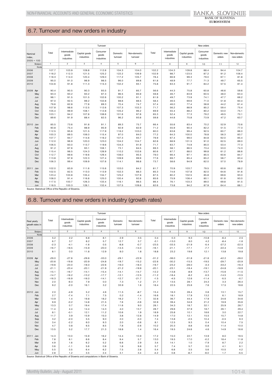#### BANKA SLOVENIJE BANK OF SLOVENIA

**EUROSYSTEM**

## 6.7. Turnover and new orders in industry

|                                   |         |              |                                     |                             | Tumover                         |                     |                         |                |                                     |                             | New orders                      |                        |                            |
|-----------------------------------|---------|--------------|-------------------------------------|-----------------------------|---------------------------------|---------------------|-------------------------|----------------|-------------------------------------|-----------------------------|---------------------------------|------------------------|----------------------------|
| Nominal<br>index,<br>$2005 = 100$ |         | Total        | Intermediate<br>goods<br>industries | Capital goods<br>industries | Consumer<br>goods<br>industries | Domestic<br>tumover | Non-domestic<br>tumover | Total          | Intermediate<br>goods<br>industries | Capital goods<br>industries | Consumer<br>goods<br>industries | Domestic new<br>orders | Non-domestic<br>new orders |
|                                   | Stolpec | $\mathbf{1}$ | $\overline{2}$                      | 3                           | $\overline{4}$                  | 5                   | 6                       | $\overline{7}$ | 8                                   | 9                           | 10                              | 11                     | 12                         |
|                                   | Koda    |              |                                     |                             |                                 |                     |                         |                |                                     |                             |                                 |                        |                            |
| 2006                              |         | 107.7        | 103.9                               | 109.8                       | 112.6                           | 104.3               | 104.0                   | 102.2          | 104.3                               | 109.8                       | 88.4                            | 94.4                   | 104.7                      |
| 2007                              |         | 118.2        | 112.3                               | 121.5                       | 125.2                           | 122.2               | 106.9                   | 102.9          | 98.7                                | 123.5                       | 87.2                            | 91.2                   | 106.4                      |
| 2008                              |         | 118.3        | 114.0                               | 120.4                       | 129.0                           | 117.2               | 105.7                   | 78.4           | 66.9                                | 99.3                        | 79.0                            | 67.1                   | 81.8                       |
| 2009                              |         | 95.0         | 91.0                                | 96.9                        | 98.5                            | 96.0                | 89.8                    | 61.8           | 48.9                                | 77.7                        | 71.3                            | 49.7                   | 65.5                       |
| 2010                              |         | 104.6        | 91.8                                | 111.3                       | 115.3                           | 102.2               | 93.1                    | 75.8           | 63.3                                | 91.7                        | 84.2                            | 57.5                   | 81.4                       |
|                                   |         |              |                                     |                             |                                 |                     |                         |                |                                     |                             |                                 |                        |                            |
| 2009 Apr                          |         | 90.4         | 90.5                                | 90.3                        | 93.5                            | 91.7                | 85.7                    | 56.6           | 44.3                                | 75.8                        | 60.8                            | 46.6                   | 59.6                       |
|                                   | May     | 93.3         | 93.2                                | 93.2                        | 97.3                            | 96.5                | 85.9                    | 59.8           | 46.7                                | 83.9                        | 60.5                            | 48.0                   | 63.4                       |
|                                   | Jun     | 98.1         | 91.5                                | 101.5                       | 102.6                           | 100.2               | 91.1                    | 61.9           | 49.7                                | 73.9                        | 74.1                            | 47.7                   | 66.2                       |
|                                   | Jul     | 97.0         | 92.5                                | 99.2                        | 102.8                           | 98.6                | 88.5                    | 58.4           | 46.5                                | 69.6                        | 71.0                            | 51.8                   | 60.4                       |
|                                   | Aug     | 79.6         | 82.8                                | 77.8                        | 89.3                            | 70.4                | 74.7                    | 57.4           | 46.0                                | 77.4                        | 58.8                            | 44.2                   | 61.4                       |
|                                   | Sep     | 107.8        | 98.6                                | 112.5                       | 112.6                           | 107.3               | 102.3                   | 71.7           | 56.2                                | 88.9                        | 85.2                            | 59.4                   | 75.4                       |
|                                   | Oct     | 105.4        | 99.9                                | 108.1                       | 112.8                           | 105.2               | 96.2                    | 69.9           | 55.4                                | 88.2                        | 80.2                            | 53.0                   | 75.1                       |
|                                   | Nov     | 103.1        | 94.2                                | 107.8                       | 108.6                           | 101.6               | 97.8                    | 65.3           | 52.4                                | 77.3                        | 79.2                            | 49.5                   | 70.1                       |
|                                   | Dec     | 89.6         | 91.9                                | 88.4                        | 82.5                            | 96.2                | 93.8                    | 59.8           | 44.8                                | 75.8                        | 73.9                            | 47.2                   | 63.7                       |
| 2010                              | Jan     | 85.5         | 73.6                                | 91.8                        | 91.1                            | 89.3                | 75.7                    | 66.4           | 55.6                                | 83.4                        | 70.2                            | 52.9                   | 70.6                       |
|                                   | Feb     | 90.8         | 75.4                                | 98.9                        | 95.9                            | 92.9                | 82.9                    | 71.2           | 55.9                                | 90.4                        | 82.2                            | 51.5                   | 77.3                       |
|                                   | Mar     | 112.5        | 95.6                                | 121.5                       | 117.9                           | 116.2               | 103.0                   | 80.0           | 63.8                                | 99.4                        | 92.5                            | 60.7                   | 86.0                       |
|                                   | Apr     | 100.3        | 89.5                                | 106.0                       | 115.4                           | 97.0                | 84.0                    | 77.2           | 64.3                                | 100.0                       | 78.8                            | 56.3                   | 83.7                       |
|                                   | May     | 107.7        | 94.7                                | 114.6                       | 119.2                           | 107.3               | 93.7                    | 79.9           | 67.4                                | 99.0                        | 84.8                            | 62.0                   | 85.4                       |
|                                   | Jun     | 112.0        | 96.9                                | 120.0                       | 123.0                           | 104.2               | 104.7                   | 82.8           | 68.9                                | 101.5                       | 91.0                            | 62.5                   | 89.0                       |
|                                   | Jul     | 106.5        | 93.0                                | 113.7                       | 119.6                           | 104.3               | 91.9                    | 71.7           | 63.7                                | 74.9                        | 85.0                            | 53.4                   | 77.3                       |
|                                   | Aug     | 91.2         | 87.6                                | 93.1                        | 108.1                           | 73.1                | 84.5                    | 69.3           | 58.1                                | 86.5                        | 73.4                            | 53.0                   | 74.3                       |
|                                   | Sep     | 115.4        | 98.5                                | 124.3                       | 128.9                           | 110.2               | 102.6                   | 80.6           | 67.7                                | 88.0                        | 99.8                            | 61.2                   | 86.6                       |
|                                   | Oct     | 112.7        | 99.6                                | 119.6                       | 129.4                           | 108.0               | 95.5                    | 79.0           | 66.4                                | 97.1                        | 85.5                            | 60.6                   | 84.7                       |
|                                   | Nov     | 113.8        | 97.8                                | 122.3                       | 127.4                           | 109.9               | 99.9                    | 77.6           | 69.7                                | 85.4                        | 85.2                            | 58.7                   | 83.4                       |
|                                   | Dec     | 106.3        | 99.4                                | 109.9                       | 107.6                           | 114.1               | 98.8                    | 73.7           | 58.6                                | 94.9                        | 82.0                            | 57.0                   | 78.9                       |
|                                   |         |              |                                     |                             |                                 |                     |                         |                |                                     |                             |                                 |                        |                            |
| 2011                              | Jan     | 102.0        | 83.9                                | 111.6                       | 115.6                           | 103.0               | 84.2                    | 81.7           | 70.9                                | 103.7                       | 79.5                            | 60.6                   | 88.2                       |
|                                   | Feb     | 102.5        | 82.5                                | 113.0                       | 113.9                           | 102.3               | 88.3                    | 85.3           | 74.6                                | 107.8                       | 82.0                            | 64.6                   | 91.6                       |
|                                   | Mar     | 123.4        | 100.8                               | 135.4                       | 134.7                           | 125.2               | 107.9                   | 87.5           | 80.2                                | 102.5                       | 85.8                            | 69.6                   | 93.0                       |
|                                   | Apr     | 108.0        | 91.4                                | 116.8                       | 125.0                           | 100.4               | 92.8                    | 85.6           | 75.9                                | 108.4                       | 80.1                            | 61.6                   | 93.0                       |
|                                   | May     | 117.5        | 100.7                               | 126.3                       | 133.4                           | 116.1               | 98.5                    | 86.4           | 76.1                                | 103.3                       | 89.0                            | 69.8                   | 91.5                       |
|                                   | Jun     | 118.5        | 100.3                               | 128.1                       | 132.4                           | 107.5               | 109.8                   | 82.6           | 73.8                                | 94.2                        | 87.9                            | 64.4                   | 88.1                       |

Source: Statistical Office of the Republic of Slovenia.

## 6.8. Turnover and new orders in industry (growth rates)

|                                                 |              |                                     |                             |                                 |                     |                         | New orders     |                                     |                             |                                 |                        |                            |
|-------------------------------------------------|--------------|-------------------------------------|-----------------------------|---------------------------------|---------------------|-------------------------|----------------|-------------------------------------|-----------------------------|---------------------------------|------------------------|----------------------------|
| Real yearly<br>growth rates in<br>$\frac{0}{0}$ | Total        | Intermediate<br>goods<br>industries | Capital goods<br>industries | Consumer<br>goods<br>industries | Domestic<br>tumover | Non-domestic<br>tumover | Total          | Intermediate<br>goods<br>industries | Capital goods<br>industries | Consumer<br>goods<br>industries | Domestic new<br>orders | Non-domestic<br>new orders |
| Stolpec                                         | $\mathbf{1}$ | $\overline{2}$                      | $\overline{\mathbf{3}}$     | $\overline{4}$                  | $\overline{5}$      | 6                       | $\overline{7}$ | 8                                   | $\mathbf{9}$                | 10                              | 11                     | 12                         |
| Koda                                            |              |                                     |                             |                                 |                     |                         |                |                                     |                             |                                 |                        |                            |
| 2006                                            | 5.2          | 2.2                                 | 6.8                         | 8.1                             | 2.9                 | 3.5                     | 0.4            | 0.3                                 | 9.3                         | $-10.8$                         | $-6.4$                 | 2.5                        |
| 2007                                            | 6.7          | 3.7                                 | 8.2                         | 5.7                             | 12.7                | 3.7                     | $-3.1$         | $-13.0$                             | 8.0                         | 4.2                             | $-8.4$                 | $-1.6$                     |
| 2008                                            | $-2.3$       | $-4.1$                              | $-1.6$                      | 0.5                             | $-8.8$              | $-0.7$                  | $-23.5$        | $-33.5$                             | $-21.9$                     | $-5.4$                          | $-27.2$                | $-22.5$                    |
| 2009                                            | $-16.7$      | $-18.5$                             | $-15.9$                     | $-20.0$                         | $-14.5$             | $-14.0$                 | $-16.1$        | $-21.1$                             | $-17.1$                     | $-7.7$                          | $-22.4$                | $-14.6$                    |
| 2010                                            | 8.1          | 0.0                                 | 11.8                        | 12.9                            | 8.0                 | 1.8                     | 18.8           | 23.2                                | 19.6                        | 12.1                            | 13.8                   | 19.8                       |
| 2009 Apr                                        | $-29.0$      | $-27.6$                             | $-29.6$                     | $-33.0$                         | $-29.1$             | $-22.9$                 | $-31.2$        | $-36.0$                             | $-31.8$                     | $-21.6$                         | $-42.2$                | $-28.0$                    |
| May                                             | $-20.6$      | $-19.8$                             | $-20.9$                     | $-24.8$                         | $-19.7$             | $-15.2$                 | $-22.6$        | $-30.2$                             | $-15.5$                     | $-19.5$                         | $-29.7$                | $-20.9$                    |
| Jun                                             | $-19.6$      | $-23.0$                             | $-18.0$                     | $-22.6$                         | $-16.0$             | $-18.3$                 | $-19.7$        | $-23.2$                             | $-28.0$                     | $-3.3$                          | $-33.2$                | $-16.3$                    |
| Jul                                             | $-21.1$      | $-23.4$                             | $-20.1$                     | $-21.9$                         | $-21.2$             | $-19.9$                 | $-20.1$        | $-23.1$                             | $-18.4$                     | $-19.1$                         | $-24.8$                | $-18.9$                    |
| Aug                                             | $-15.1$      | $-16.7$                             | $-14.1$                     | $-15.4$                         | $-14.1$             | $-14.7$                 | $-12.2$        | $-13.8$                             | $-8.9$                      | $-13.7$                         | $-15.6$                | $-11.5$                    |
| Sep                                             | $-14.7$      | $-18.2$                             | $-13.2$                     | $-17.7$                         | $-12.1$             | $-12.5$                 | $-11.2$        | $-18.4$                             | $-8.2$                      | $-5.5$                          | $-14.5$                | $-10.5$                    |
| Oct                                             | $-16.3$      | $-16.9$                             | $-16.0$                     | $-14.1$                         | $-12.7$             | $-21.7$                 | $-1.5$         | $-4.5$                              | 12.6                        | $-11.4$                         | $-5.5$                 | $-0.7$                     |
| Nov                                             | 2.0          | $-9.3$                              | 7.9                         | 0.0                             | 7.3                 | 1.2                     | 21.7           | 13.5                                | 28.1                        | 24.3                            | 3.3                    | 26.4                       |
| Dec                                             | 9.2          | $-2.0$                              | 16.1                        | 3.2                             | 33.9                | 1.6                     | 18.4           | 22.5                                | 25.6                        | 7.6                             | 17.5                   | 18.6                       |
|                                                 |              |                                     |                             |                                 |                     |                         |                |                                     |                             |                                 |                        |                            |
| 2010<br>Jan                                     | 2.0          | $-4.9$                              | 5.2                         | 4.6                             | 11.5                | $-8.7$                  | 15.4           | 16.3                                | 28.4                        | 0.8                             | 13.1                   | 15.7                       |
| Feb                                             | 2.7          | $-7.4$                              | 7.1                         | 7.5                             | 0.2                 | $-1.4$                  | 16.6           | 18.1                                | 17.9                        | 13.2                            | 6.1                    | 18.9                       |
| Mar                                             | 13.9         | 1.4                                 | 19.8                        | 18.2                            | 16.2                | 7.1                     | 32.8           | 36.7                                | 44.4                        | 17.9                            | 24.6                   | 34.6                       |
| Apr                                             | 9.9          | $-0.2$                              | 14.8                        | 21.5                            | 7.6                 | $-3.6$                  | 32.8           | 39.4                                | 34.6                        | 21.2                            | 19.9                   | 35.6                       |
| May                                             | 13.3         | 0.7                                 | 19.4                        | 17.4                            | 11.6                | 9.0                     | 28.1           | 34.3                                | 18.7                        | 32.1                            | 25.9                   | 28.7                       |
| Jun                                             | 11.4         | 4.4                                 | 14.4                        | 14.3                            | 4.0                 | 13.7                    | 28.7           | 29.6                                | 37.9                        | 18.7                            | 26.1                   | 29.4                       |
| Jul                                             | 8.1          | $-0.1$                              | 12.1                        | 11.2                            | 10.6                | 1.9                     | 18.9           | 25.8                                | 10.1                        | 18.6                            | 3.0                    | 22.7                       |
| Aug                                             | 11.7         | 3.9                                 | 15.9                        | 15.0                            | 3.8                 | 12.8                    | 14.9           | 17.0                                | 12.1                        | 15.5                            | 15.7                   | 14.8                       |
| Sep                                             | 3.2          | $-2.0$                              | 5.5                         | 9.0                             | 2.0                 | $-3.0$                  | 7.4            | 13.8                                | $-2.5$                      | 10.4                            | $-0.5$                 | 9.3                        |
| Oct                                             | 3.4          | $-2.2$                              | 6.0                         | 9.3                             | 2.0                 | $-3.6$                  | 8.1            | 12.5                                | 9.3                         | 0.4                             | 10.4                   | 7.5                        |
| Nov                                             | 4.7          | 0.8                                 | 6.5                         | 8.5                             | 7.8                 | $-2.6$                  | 10.2           | 20.3                                | 8.8                         | $-0.8$                          | 11.4                   | 10.0                       |
| Dec                                             | 13.5         | 5.2                                 | 17.7                        | 21.3                            | 18.8                | 1.4                     | 16.4           | 19.5                                | 24.6                        | 4.6                             | 14.9                   | 16.6                       |
| 2011<br>Jan                                     | 14.3         | 10.0                                | 15.9                        | 16.2                            | 14.4                | 10.9                    | 17.2           | 15.0                                | 22.7                        | 13.9                            | 8.0                    | 19.5                       |
| Feb                                             | 7.8          | 6.1                                 | 8.6                         | 8.4                             | 9.4                 | 5.7                     | 13.0           | 19.5                                | 17.0                        | $-0.2$                          | 18.4                   | 11.8                       |
| Mar                                             | 4.9          | 1.6                                 | 6.2                         | 5.2                             | 6.6                 | 2.9                     | 3.4            | 14.1                                | 1.0                         | $-7.9$                          | 8.7                    | 2.2                        |
| Apr                                             | 3.6          | $-1.1$                              | 5.6                         | 0.9                             | 1.8                 | 9.8                     | 5.7            | 7.4                                 | 5.7                         | 3.0                             | 4.1                    | 6.1                        |
| May                                             | 5.5          | 3.5                                 | 6.4                         | 6.2                             | 7.5                 | 2.8                     | 5.4            | 6.8                                 | 3.5                         | 5.6                             | 10.5                   | 4.2                        |
| Jun                                             | 2.8          | 1.2                                 | 3.5                         | 2.4                             | 3.1                 | 3.4                     | $-4.2$         | 0.8                                 | $-8.7$                      | $-6.0$                          | 1.7                    | $-5.5$                     |

Source: Statistical Office of the Republic of Slovenia and computations in Bank of Slovenia.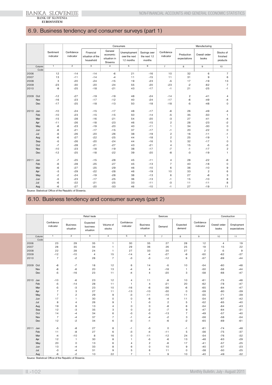## 6.9. Business tendency and consumer surveys (part 1)

|      |        |                        |                         |                                            | Consumers                                       |                                            |                                       |                         |                            | Manufacturing           |                                   |
|------|--------|------------------------|-------------------------|--------------------------------------------|-------------------------------------------------|--------------------------------------------|---------------------------------------|-------------------------|----------------------------|-------------------------|-----------------------------------|
|      |        | Sentiment<br>indicator | Confidence<br>indicator | Financial<br>situation of the<br>household | General<br>economic<br>situation in<br>Slovenia | Unemployment<br>over the next<br>12 months | Savings over<br>the next 12<br>months | Confidence<br>indicator | Production<br>expectations | Overall order-<br>books | Stocks of<br>finished<br>products |
|      | Column | 1                      | $\overline{2}$          | 3                                          | $\overline{4}$                                  | 5                                          | $\mathbf 6$                           | $\overline{7}$          | 8                          | 9                       | 10                                |
|      | Code   |                        |                         |                                            |                                                 |                                            |                                       |                         |                            |                         |                                   |
| 2006 |        | 12                     | $-14$                   | $-14$                                      | $-6$                                            | 21                                         | $-16$                                 | 10                      | 32                         | 6                       | $\overline{7}$                    |
| 2007 |        | 13                     | $-11$                   | $-14$                                      | $-4$                                            | 11                                         | $-15$                                 | 11                      | 31                         | 9                       | 6                                 |
| 2008 |        | 3                      | $-20$                   | $-24$                                      | $-15$                                           | 19                                         | $-23$                                 | $-5$                    | 17                         | $-19$                   | 13                                |
| 2009 |        | $-23$                  | $-30$                   | $-20$                                      | $-24$                                           | 55                                         | $-20$                                 | $-23$                   | $-2$                       | $-62$                   | $\overline{7}$                    |
| 2010 |        | -9                     | $-25$                   | $-18$                                      | $-21$                                           | 43                                         | $-17$                                 | $-1$                    | 21                         | $-25$                   | $-1$                              |
|      |        |                        |                         |                                            |                                                 |                                            |                                       |                         |                            |                         |                                   |
| 2009 | Oct    | $-12$                  | $-27$                   | $-19$                                      | $-19$                                           | 48                                         | $-24$                                 | $-14$                   | $\sqrt{2}$                 | $-41$                   | $\overline{4}$                    |
|      | Nov    | $-16$                  | $-23$                   | $-17$                                      | $-12$                                           | 40                                         | $-24$                                 | $-17$                   | $-6$                       | $-49$                   | $-4$                              |
|      | Dec    | $-17$                  | $-25$                   | $-18$                                      | $-13$                                           | 50                                         | $-18$                                 | $-18$                   | $-5$                       | $-48$                   | $\mathbf 0$                       |
|      |        |                        |                         |                                            |                                                 |                                            |                                       |                         |                            |                         |                                   |
| 2010 | Jan    | $-10$                  | $-24$                   | $-15$                                      | $-17$                                           | 48                                         | $-17$                                 | $-6$                    | 26                         | $-49$                   | $-4$                              |
|      | Feb    | $-10$                  | $-23$                   | $-15$                                      | $-15$                                           | 50                                         | $-14$                                 | $-5$                    | 35                         | $-50$                   | 1                                 |
|      | Mar    | $-15$                  | $-28$                   | $-16$                                      | $-21$                                           | 54                                         | $-20$                                 | $-3$                    | 27                         | $-41$                   | $-4$                              |
|      | Apr    | $-11$                  | $-26$                   | $-18$                                      | $-23$                                           | 46                                         | $-15$                                 | $\overline{c}$          | 28                         | $-23$                   | $-2$                              |
|      | May    | -8                     | $-23$                   | $-19$                                      | $-20$                                           | 40                                         | $-11$                                 | $\mathbf{1}$            | 34                         | $-30$                   | $\mathbf 0$                       |
|      | Jun    | $-6$                   | $-21$                   | $-17$                                      | $-15$                                           | 37                                         | $-17$                                 | $-1$                    | 20                         | $-22$                   | $\mathbf 0$                       |
|      | Jul    | $-6$                   | $-26$                   | $-20$                                      | $-26$                                           | 38                                         | $-19$                                 | $\overline{c}$          | 16                         | $-11$                   | $-1$                              |
|      | Aug    | $-6$                   | $-27$                   | $-22$                                      | $-25$                                           | 44                                         | $-18$                                 | $\sqrt{2}$              | 25                         | $-19$                   | $\mathbf{1}$                      |
|      | Sep    | $-5$                   | $-26$                   | $-20$                                      | $-24$                                           | 44                                         | $-16$                                 | 5                       | 32                         | $-17$                   | 0                                 |
|      | Oct    | $-7$                   | $-28$                   | $-21$                                      | $-27$                                           | 43                                         | $-21$                                 | $\overline{4}$          | 15                         | $-5$                    | $-3$                              |
|      | Nov    | $-10$                  | $-23$                   | $-18$                                      | $-19$                                           | 38                                         | $-17$                                 | $-7$                    | $-1$                       | $-17$                   | $\overline{c}$                    |
|      | Dec    | $-12$                  | $-25$                   | $-18$                                      | $-22$                                           | 39                                         | $-20$                                 | -8                      | $-3$                       | $-19$                   | $\mathbf{1}$                      |
|      |        |                        |                         |                                            |                                                 |                                            |                                       |                         |                            |                         |                                   |
| 2011 | Jan    | $-7$                   | $-25$                   | $-15$                                      | $-28$                                           | 45                                         | $-11$                                 | 4                       | 28                         | $-22$                   | $-6$                              |
|      | Feb    | -6                     | $-28$                   | $-25$                                      | $-27$                                           | 45                                         | $-13$                                 | $\overline{7}$          | 40                         | $-18$                   | $\mathbf 0$                       |
|      | Mar    | -6                     | $-27$                   | $-25$                                      | $-29$                                           | 46                                         | $-10$                                 | 6                       | 36                         | $-10$                   | 9                                 |
|      | Apr    | $-3$                   | $-29$                   | $-22$                                      | $-28$                                           | 46                                         | $-19$                                 | 10                      | 33                         | $\boldsymbol{2}$        | 6                                 |
|      | May    | $-2$                   | $-24$                   | $-19$                                      | $-28$                                           | 38                                         | $-13$                                 | 6                       | 27                         | $-8$                    | 3                                 |
|      | Jun    | $-5$                   | $-23$                   | $-17$                                      | $-25$                                           | 36                                         | $-13$                                 | $-1$                    | 15                         | $-10$                   | 8                                 |
|      | Jul    | $-6$                   | $-22$                   | $-21$                                      | $-25$                                           | 33                                         | $-11$                                 | -3                      | 11                         | $-11$                   | 8                                 |
|      | Aug    | $-6$                   | $-27$                   | $-20$                                      | $-33$                                           | 46                                         | $-10$                                 | $-1$                    | 27                         | $-19$                   | 11                                |

Source: Statistical Office of the Republic of Slovenia.

## 6.10. Business tendency and consumer surveys (part 2)

|          |        |                         |                              | Retail trade                      |                     |                         |                              | Services       |                     |                         |                         | Construction               |
|----------|--------|-------------------------|------------------------------|-----------------------------------|---------------------|-------------------------|------------------------------|----------------|---------------------|-------------------------|-------------------------|----------------------------|
|          |        | Confidence<br>indicator | <b>Business</b><br>situation | Expected<br>business<br>situation | Volume of<br>stocks | Confidence<br>indicator | <b>Business</b><br>situation | Demand         | Expected<br>demand  | Confidence<br>indicator | Overall order-<br>books | Employment<br>expectations |
|          | Column | $\mathbf{1}$            | $\overline{2}$               | $\overline{3}$                    | $\overline{4}$      | $\overline{5}$          | 6                            | $\overline{7}$ | 8                   | $\mathsf g$             | 10                      | 11                         |
|          | Code   |                         |                              |                                   |                     |                         |                              |                |                     |                         |                         |                            |
| 2006     |        | 23                      | 29                           | 35                                | $\mathbf{1}$        | 30                      | 35                           | 27             | 28                  | 12                      | $\overline{4}$          | 19                         |
| 2007     |        | 28                      | 35                           | 34                                | $\mathbf{1}$        | 29                      | 36                           | 26             | 25                  | 19                      | 15                      | 22                         |
| 2008     |        | 22                      | 28                           | 24                                | $\mathbf{1}$        | 27                      | 33                           | 20             | 27                  | $\overline{c}$          | $-5$                    | 9                          |
| 2009     |        | $-12$                   | $-10$                        | $\overline{4}$                    | 15                  | $-14$                   | $-4$                         | $-27$          | -9                  | $-50$                   | $-62$                   | $-37$                      |
| 2010     |        | $\overline{7}$          | $-2$                         | 28                                | $\overline{7}$      | $-3$                    | $-3$                         | $-12$          | 6                   | $-57$                   | $-69$                   | $-44$                      |
|          |        |                         |                              |                                   |                     |                         |                              |                |                     |                         |                         |                            |
| 2009 Oct |        | -8                      | $-7$                         | 18                                | 12                  | 6                       | 14                           | $-5$           | 10                  | $-54$                   | $-60$                   | $-48$                      |
|          | Nov    | -8                      | $-6$                         | 20                                | 13                  | $-4$                    | $\overline{4}$               | $-18$          | $\mathbf{1}$        | $-50$                   | $-56$                   | $-44$                      |
|          | Dec    | $-5$                    | $-16$                        | 23                                | 11                  | $-4$                    | $\overline{4}$               | $-20$          | 3                   | $-58$                   | $-68$                   | $-47$                      |
|          |        |                         |                              |                                   |                     |                         |                              |                |                     |                         |                         |                            |
| 2010     | Jan    | $-10$                   | $-6$                         | 23                                | 12                  | $\overline{4}$          | 11                           | -9             | 10                  | $-61$                   | $-75$                   | $-48$                      |
|          | Feb    | $-5$                    | $-14$                        | 28                                | 11                  | $\mathbf{1}$            | $\overline{4}$               | $-21$          | 20                  | $-62$                   | $-78$                   | $-47$                      |
|          | Mar    | $-5$                    | $-3$                         | 23                                | 10                  | $-16$                   | $-6$                         | $-36$          | $-6$                | $-65$                   | $-84$                   | $-47$                      |
|          | Apr    | $\overline{7}$          | 3                            | 27                                | 11                  | $-13$                   | $-10$                        | $-30$          | $\mathsf O$         | $-59$                   | $-80$                   | $-39$                      |
|          | May    | $\overline{7}$          | $\overline{c}$               | 29                                | 9                   | $-3$                    | $-11$                        | $-10$          | 11                  | $-55$                   | $-71$                   | $-39$                      |
|          | Jun    | 17                      | $\mathbf{1}$                 | 30                                | $\circ$             | $\mathbf 0$             | $-6$                         | $-4$           | 11                  | $-54$                   | $-67$                   | $-42$                      |
|          | Jul    | 8                       | $\overline{4}$               | 26                                | 9                   | $\overline{1}$          | $\mathcal{A}$                | $\sqrt{2}$     | 5                   | $-52$                   | $-65$                   | $-40$                      |
|          | Aug    | 19                      | 8                            | 13                                | $\overline{4}$      | $\circ$                 | $\mathsf{O}\xspace$          | -8             | 8                   | $-54$                   | $-64$                   | $-43$                      |
|          | Sep    | 12                      | $-3$                         | 35                                | 3                   | $\circ$                 | $-2$                         | $-7$           | 9                   | $-47$                   | $-64$                   | $-31$                      |
|          | Oct    | 14                      | $-4$                         | 34                                | 6                   | $-3$                    | $-3$                         | $-13$          | $\overline{7}$      | $-49$                   | $-57$                   | $-40$                      |
|          | Nov    | $\overline{7}$          | $-4$                         | 37                                | $\overline{7}$      | $-1$                    | $-4$                         | $-2$           | 3                   | $-56$                   | $-58$                   | $-54$                      |
|          | Dec    | 12                      | $-2$                         | 34                                | 6                   | $-3$                    | $-1$                         | $-6$           | $-2$                | $-65$                   | $-69$                   | $-61$                      |
|          |        |                         |                              |                                   |                     |                         |                              |                |                     |                         |                         |                            |
| 2011     | Jan    | $-5$                    | -8                           | 27                                | 8                   | $-1$                    | $-3$                         | $\mathsf{O}$   | $-1$                | $-61$                   | $-74$                   | $-48$                      |
|          | Feb    | 11                      | $-8$                         | 27                                | 6                   | $-3$                    | $-4$                         | $-11$          | 5                   | $-56$                   | $-75$                   | $-37$                      |
|          | Mar    | $-4$                    | $-10$                        | 8                                 | 16                  | $\mathbf 0$             | $-11$                        | $-12$          | 24                  | $-54$                   | $-76$                   | $-32$                      |
|          | Apr    | 12                      | $\mathbf{1}$                 | 30                                | 8                   | $\mathbf{1}$            | $-5$                         | $-6$           | 13                  | $-46$                   | $-63$                   | $-29$                      |
|          | May    | 20                      | $\mathbf 0$                  | 13                                | 6                   | $\overline{4}$          | $\overline{c}$               | -6             | 17                  | $-41$                   | $-57$                   | $-25$                      |
|          | Jun    | 13                      | $-4$                         | 33                                | 8                   | 6                       | $\mathsf{O}\xspace$          | 10             | 9                   | $-40$                   | $-57$                   | $-23$                      |
|          | Jul    | $-3$                    | $-4$                         | 31                                | 9                   | 5                       | 6                            | 11             | $\mathsf{O}\xspace$ | $-38$                   | $-50$                   | $-25$                      |
|          | Aug    | -6                      | $-2$                         | 10                                | 22                  | $\overline{7}$          | $\mathbf{1}$                 | $\mathsf g$    | 10                  | $-40$                   | $-49$                   | $-32$                      |

Source: Statistical Office of the Republic of Slovenia.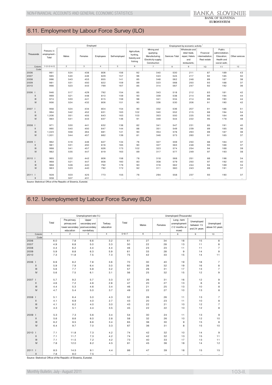### BANKA SLOVENIJE BANK OF SLOVENIA

**EUROSYSTEM**

## 6.11. Employment by Labour Force Survey (ILO)

|                                           |                                     |                | Employed                |                |                |                                                     |                                                                                  |                | Employment by economic activity                                         |                                             |                                                                       |                |
|-------------------------------------------|-------------------------------------|----------------|-------------------------|----------------|----------------|-----------------------------------------------------|----------------------------------------------------------------------------------|----------------|-------------------------------------------------------------------------|---------------------------------------------|-----------------------------------------------------------------------|----------------|
| Thousands                                 | Persons in<br>employment -<br>Total | Males          | Females                 | Employees      | Self-employed  | Agriculture,<br>hunting,<br>forestry and<br>fishing | Mining and<br>quanying;<br>Manufacturing;<br>Electricity supply;<br>Construction | Services Total | Wholesale and<br>retail trade.<br>repair; Hotels<br>and<br>restaurants; | Financial<br>intermediation;<br>Real estate | Public<br>administration;<br>Education;<br>Health and<br>social work; | Other services |
| Column                                    | $1 - 2 + 3 - 4 + 5$                 | $\overline{2}$ | $\overline{\mathbf{3}}$ | $\overline{4}$ | $\overline{5}$ | $\overline{6}$                                      | $\overline{7}$                                                                   | 8              | 9                                                                       | 10                                          | 11                                                                    | 12             |
| Code                                      |                                     |                |                         |                |                |                                                     |                                                                                  |                |                                                                         |                                             |                                                                       |                |
| 2006                                      | 961                                 | 524            | 438                     | 806            | 156            | 92                                                  | 340                                                                              | 530            | 211                                                                     | 87                                          | 189                                                                   | 43             |
| 2007                                      | 985                                 | 540            | 446                     | 829            | 157            | 96                                                  | 343                                                                              | 545            | 217                                                                     | 92                                          | 185                                                                   | 50             |
| 2008                                      | 996                                 | 543            | 453                     | 855            | 141            | 85                                                  | 348                                                                              | 562            | 248                                                                     | 89                                          | 187                                                                   | 38             |
| 2009                                      | 981                                 | 531            | 450                     | 822            | 159            | 89                                                  | 323                                                                              | 568            | 250                                                                     | 93                                          | 188                                                                   | 37             |
| 2010                                      | 966                                 | 523            | 443                     | 799            | 167            | 85                                                  | 314                                                                              | 567            | 247                                                                     | 92                                          | 192                                                                   | 36             |
| 2006                                      | 946                                 | 517            | 429                     | 792            | 154            | 85                                                  | 343                                                                              |                | 212                                                                     | 83                                          | 181                                                                   | 42             |
| $\mathbf{H}$                              | 969                                 | 521            | 448                     | 810            | 159            | 93                                                  | 339                                                                              | 518<br>538     | 214                                                                     | 86                                          | 194                                                                   | 44             |
| $\mathop{\mathsf{III}}\nolimits$          | 974                                 | 533            | 441                     | 815            | 159            | 98                                                  | 341                                                                              | 534            | 214                                                                     | 86                                          | 190                                                                   | 44             |
| IV                                        | 956                                 | 524            | 432                     | 806            | 151            | 90                                                  | 336                                                                              | 530            | 206                                                                     | 91                                          | 190                                                                   | 42             |
|                                           |                                     |                |                         |                |                |                                                     |                                                                                  |                |                                                                         |                                             |                                                                       |                |
| 2007                                      | 958                                 | 524            | 434                     | 804            | 154            | 90                                                  | 332                                                                              | 536            | 207                                                                     | 91                                          | 186                                                                   | 51             |
| $\mathbf{H}$                              | 994                                 | 542            | 452                     | 831            | 163            | 102                                                 | 340                                                                              | 552            | 215                                                                     | 88                                          | 194                                                                   | 54             |
| III                                       | 1,006                               | 551            | 455                     | 843            | 163            | 103                                                 | 353                                                                              | 550            | 225                                                                     | 92                                          | 184                                                                   | 49             |
| IV                                        | 983                                 | 541            | 443                     | 837            | 146            | 91                                                  | 349                                                                              | 544            | 222                                                                     | 95                                          | 178                                                                   | 48             |
|                                           |                                     |                |                         |                |                |                                                     |                                                                                  |                |                                                                         |                                             |                                                                       |                |
| 2008                                      | 971                                 | 530            | 441                     | 832            | 138            | 82                                                  | 341                                                                              | 547            | 231                                                                     | 85                                          | 191                                                                   | 40             |
| $\mathsf{I}\mathsf{I}$                    | 990                                 | 540            | 450                     | 847            | 144            | 88                                                  | 351                                                                              | 549            | 239                                                                     | 89                                          | 185                                                                   | 36             |
| $\ensuremath{\mathsf{III}}\xspace$        | 1,023                               | 558            | 464                     | 881            | 141            | 90                                                  | 354                                                                              | 578            | 263                                                                     | 89                                          | 187                                                                   | 38             |
| IV                                        | 1,001                               | 544            | 457                     | 862            | 139            | 81                                                  | 346                                                                              | 573            | 260                                                                     | 91                                          | 185                                                                   | 37             |
| 2009                                      | 962                                 | 516            | 446                     | 827            | 134            | 76                                                  | 327                                                                              | 559            | 250                                                                     | 88                                          | 184                                                                   | 37             |
| $\mathbf{I}$                              | 981                                 | 531            | 450                     | 816            | 165            | 90                                                  | 327                                                                              | 563            | 248                                                                     | 93                                          | 186                                                                   | 37             |
| $\begin{array}{c} \text{III} \end{array}$ | 998                                 | 541            | 457                     | 826            | 173            | 102                                                 | 323                                                                              | 574            | 254                                                                     | 94                                          | 188                                                                   | 39             |
| IV                                        | 982                                 | 535            | 447                     | 819            | 163            | 89                                                  | 317                                                                              | 577            | 249                                                                     | 97                                          | 193                                                                   | 38             |
|                                           |                                     |                |                         |                |                |                                                     |                                                                                  |                |                                                                         |                                             |                                                                       |                |
| $2010$ $\mid$                             | 965                                 | 522            | 442                     | 806            | 158            | 78                                                  | 318                                                                              | 568            | 251                                                                     | 88                                          | 196                                                                   | 34             |
| $\mathbf{H}$                              | 968                                 | 521            | 447                     | 808            | 160            | 80                                                  | 308                                                                              | 579            | 250                                                                     | 97                                          | 192                                                                   | 40             |
| Ш                                         | 968                                 | 528            | 440                     | 792            | 176            | 90                                                  | 316                                                                              | 562            | 244                                                                     | 94                                          | 189                                                                   | 34             |
| IV                                        | 963                                 | 523            | 440                     | 792            | 172            | 92                                                  | 311                                                                              | 560            | 243                                                                     | 89                                          | 191                                                                   | 37             |
|                                           |                                     |                |                         |                |                |                                                     |                                                                                  |                |                                                                         |                                             |                                                                       |                |
| 2011                                      | 928                                 | 503            | 425                     | 773            | 155            | 76                                                  | 294                                                                              | 558            | 237                                                                     | 93                                          | 190                                                                   | 37             |
| $\mathbf{II}$                             | 938                                 | 507            | 431                     | $\cdots$       | $\cdots$       | $\cdots$                                            | $\cdots$                                                                         | $\ldots$ .     | $\cdots$                                                                | $\cdots$                                    | $\cdots$                                                              | $\cdots$       |

Source: Statistical Office of the Republic of Slovenia, Eurostat.

## 6.12. Unemployment by Labour Force Survey (ILO)

|        |                                    |                |                                                             | Unemployment rate (%)                                    |                       |          |          |                | Unemployed (Thousands)                                |                                          |                              |
|--------|------------------------------------|----------------|-------------------------------------------------------------|----------------------------------------------------------|-----------------------|----------|----------|----------------|-------------------------------------------------------|------------------------------------------|------------------------------|
|        |                                    | Total          | Pre-primary,<br>primary and<br>lower secondary<br>education | Upper<br>secondary and<br>post-secondary<br>non-tertiary | Tertiary<br>education | Total    | Males    | Females        | Long - term<br>unemployment<br>(12 months or<br>more) | Unemployed<br>between 15<br>and 24 years | Unemployed<br>above 50 years |
|        | Column                             | $\overline{1}$ | $\overline{2}$                                              | $\overline{3}$                                           | $\overline{4}$        | $5=6+7$  | 6        | $\overline{7}$ | 8                                                     | 9                                        | 10                           |
|        | Code                               |                |                                                             |                                                          |                       |          |          |                |                                                       |                                          |                              |
| 2006   |                                    | 6.0            | 7.8                                                         | 6.6                                                      | 3.2                   | 61       | 27       | 34             | 18                                                    | 15                                       | 8                            |
| 2007   |                                    | 4.9            | 6.8                                                         | 5.0                                                      | 3.3                   | 50       | 22       | 28             | 13                                                    | 11                                       | 8                            |
| 2008   |                                    | 4.4            | 6.2                                                         | 4.4                                                      | 4.4                   | 46       | 23       | 23             | 11                                                    | 11                                       | $\overline{7}$               |
| 2009   |                                    | 5.9            | 8.8                                                         | 6.3                                                      | 5.9                   | 61       | 33       | 28             | 9                                                     | 14                                       | 9                            |
| 2010   |                                    | 7.3            | 11.8                                                        | 7.5                                                      | 7.3                   | 75       | 42       | 33             | 15                                                    | 14                                       | 11                           |
| 2006   |                                    | 6.9            | 8.2                                                         | 7.8                                                      | 3.6                   | 70       | 30       | 40             | 19                                                    | 18                                       | $\overline{7}$               |
|        | $\mathbf{H}$                       | 5.9            | 7.9                                                         | 6.4                                                      | 3.0                   | 60       | 28       | 32             | 19                                                    | 16                                       | 8                            |
|        | $\ensuremath{\mathsf{III}}\xspace$ | 5.6            | 7.7                                                         | 5.9                                                      | 3.2                   | 57       | 26       | 31             | 17                                                    | 13                                       | $\overline{7}$               |
|        | IV                                 | 5.6            | 7.5                                                         | 6.1                                                      | 3.1                   | 56       | 25       | 32             | 15                                                    | 12                                       | 9                            |
|        |                                    |                |                                                             |                                                          |                       |          |          |                |                                                       |                                          |                              |
| 2007   |                                    | 5.7            | 9.2                                                         | 5.7                                                      | 3.3                   | 57       | 26       | 31             | 16                                                    | 12                                       | 9                            |
|        | Ш                                  | 4.6            | 7.2                                                         | 4.6                                                      | 2.8                   | 47       | 20       | 27             | 13                                                    | 8                                        | 8                            |
|        | $\ensuremath{\mathsf{III}}\xspace$ | 4.4            | 5.3                                                         | 4.6                                                      | 3.4                   | 46       | 21       | 25             | 13                                                    | 10                                       | 8                            |
|        | IV                                 | 4.7            | 5.4                                                         | 5.0                                                      | 3.7                   | 49       | 22       | 27             | 10                                                    | 13                                       | 8                            |
|        |                                    |                |                                                             |                                                          |                       |          |          |                |                                                       |                                          |                              |
| 2008   |                                    | 5.1            | 6.4                                                         | 5.0                                                      | 4.3                   | 52       | 26       | 26             | 11                                                    | 13                                       | $\overline{7}$               |
|        | $\mathbf{II}$                      | 4.1            | 6.9                                                         | 4.0                                                      | 2.7                   | 43       | 20       | 23             | 11                                                    | 10                                       | 8                            |
|        | $\ensuremath{\mathsf{III}}\xspace$ | 4.1            | 6.2                                                         | 4.0                                                      | 3.0                   | 43       | 22       | 21             | 10                                                    | 12                                       | $\overline{7}$               |
|        | IV                                 | 4.3            | 5.1                                                         | 4.4                                                      | 3.5                   | 45       | 22       | 22             | 10                                                    | 12                                       | 8                            |
|        |                                    |                |                                                             |                                                          |                       |          |          |                |                                                       |                                          |                              |
| 2009   |                                    | 5.3            | 7.3                                                         | 5.6                                                      | 3.4                   | 54       | 30       | 24             | 11                                                    | 13                                       | 9                            |
|        | $\rm{II}$                          | 5.6            | 8.6                                                         | $6.0\,$                                                  | 2.8                   | 58       | 32       | 26             | 10                                                    | 12                                       | 10                           |
|        | $\ensuremath{\mathsf{III}}\xspace$ | 6.2            | 9.5                                                         | 6.6                                                      | 3.4                   | 65       | 36       | 30             | 9                                                     | 15                                       | 8                            |
|        | IV                                 | 6.4            | 9.7                                                         | 7.0                                                      | 3.3                   | 67       | 36       | 31             | 8                                                     | 15                                       | 10                           |
|        |                                    |                |                                                             |                                                          |                       |          |          |                |                                                       |                                          |                              |
| 2010   |                                    | 7.1            | 11.8                                                        | 7.3                                                      | 4.2                   | 74       | 42       | 32             | 10                                                    | 14                                       | 9                            |
|        | II.                                | 7.1            | 11.7                                                        | 7.3                                                      | 4.2                   | 74       | 42       | 32             | 13                                                    | 15                                       | 11                           |
|        | $\ensuremath{\mathsf{III}}\xspace$ | 7.1            | 11.5                                                        | 7.2                                                      | 4.2                   | 73       | 40       | 33             | 17                                                    | 13                                       | 11                           |
|        | IV                                 | 7.8            | 12.0                                                        | 8.2                                                      | 4.5                   | 81       | 45       | 36             | 18                                                    | 14                                       | 12                           |
| $2011$ |                                    | 8.5            | 14.5                                                        | 9.1                                                      | 4.4                   | 86       | 47       | 39             | 18                                                    | 15                                       | 15                           |
|        | $\,$ II                            | 7.8            | 0.8                                                         | 7.5                                                      | $\cdots$              | $\cdots$ | $\cdots$ | $\cdots$       | $\cdots$                                              | $\cdots$                                 | $\cdots$                     |

Source: Statistical Office of the Republic of Slovenia, Eurostat.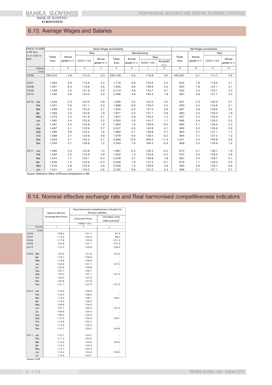BANKA SLOVENIJE BANK OF SLOVENIA

**EUROSYSTEM**

## 6.13. Average Wages and Salaries

|               | Until 31.12.2006 |              |                |              |                       | Gross Wages and Salaries |                       |                |                   |         |             | Net Wages and Salaries |                       |
|---------------|------------------|--------------|----------------|--------------|-----------------------|--------------------------|-----------------------|----------------|-------------------|---------|-------------|------------------------|-----------------------|
| in SIT from   |                  |              |                | Real         |                       |                          |                       | Manufacturing  |                   |         |             | Real                   |                       |
| 01.01.2007 in |                  | Tolars       | Annual         |              |                       |                          |                       | Real           |                   | Tolars  | Annual      |                        |                       |
| <b>EUR</b>    |                  | Euro         | growth in %    | $2000 = 100$ | Annual<br>growth in % | Tolars<br>Euro           | Annual<br>growth in % | $2000 = 100$   | An.growth<br>in % | Euro    | growth in % | $2000 = 100$           | Annual<br>growth in % |
|               | Column           | $\mathbf{1}$ | $\overline{2}$ | 3            | $\overline{4}$        | 5                        | 6                     | $\overline{7}$ | 8                 | 9       | 10          | 11                     | 12                    |
|               | Code             |              |                |              |                       |                          |                       |                |                   |         |             |                        |                       |
| 2006          |                  | 290,542      | 4.8            | 113.3        | 2.3                   | 252,109                  | 5.5                   | 116.8          | 3.0               | 185,287 | 5.1         | 114.7                  | 2.6                   |
|               |                  |              |                |              |                       |                          |                       |                |                   |         |             |                        |                       |
| 2007          |                  | 1,284        | 5.9            | 115.9        | 2.2                   | 1,778                    | 5.9                   | 134.6          | 2.2               | 834     | 7.9         | 119.5                  | 4.1                   |
| 2008          |                  | 1,391        | 8.4            | 118.8        | 2.6                   | 1,946                    | 9.9                   | 139.6          | 4.0               | 900     | 7.9         | 122.1                  | 2.1                   |
| 2009          |                  | 1,439        | 3.5            | 121.9        | 2.6                   | 2,019                    | 4.6                   | 143.7          | 3.7               | 930     | 3.4         | 125.1                  | 2.5                   |
| 2010          |                  | 1,495        | 3.9            | 124.3        | 2.0                   | 2,096                    | 3.6                   | 146.4          | 1.8               | 967     | 3.9         | 127.7                  | 2.0                   |
|               |                  |              |                |              |                       |                          |                       |                |                   |         |             |                        |                       |
| 2010          | Jan              | 1,448        | 2.3            | 123.0        | 0.8                   | 1,990                    | 3.4                   | 142.0          | 2.0               | 937     | 2.2         | 126.3                  | 0.7                   |
|               | Feb              | 1,431        | 3.6            | 121.1        | 2.2                   | 1.899                    | 6.6                   | 135.0          | 5.2               | 930     | 3.4         | 124.9                  | 2.1                   |
|               | Mar              | 1,499        | 5.2            | 125.5        | 3.7                   | 1,955                    | 4.3                   | 137.5          | 2.8               | 967     | 4.9         | 128.6                  | 3.4                   |
|               | Apr              | 1,483        | 4.2            | 122.9        | 1.9                   | 1,977                    | 3.3                   | 137.7          | 0.9               | 960     | 4.2         | 126.3                  | 1.9                   |
|               | May              | 1,475        | 4.2            | 121.8        | 2.1                   | 1,921                    | 0.8                   | 133.2          | $-1.2$            | 957     | 4.2         | 125.4                  | 2.1                   |
|               | Jun              | 1,492        | 4.4            | 122.8        | 2.5                   | 2,093                    | 3.0                   | 144.7          | 1.1               | 966     | 4.4         | 126.2                  | 2.5                   |
|               | Jul              | 1,481        | 4.0            | 122.8        | 1.9                   | 1,960                    | 1.6                   | 136.6          | $-0.5$            | 960     | 4.1         | 126.4                  | 2.0                   |
|               | Aug              | 1,487        | 5.1            | 122.9        | 2.7                   | 2,027                    | 6.5                   | 140.8          | 4.1               | 965     | 5.0         | 126.6                  | 2.6                   |
|               | Sep              | 1,486        | 3.6            | 123.4        | 1.6                   | 1,989                    | 2.7                   | 138.8          | 0.7               | 964     | 3.7         | 127.1                  | 1.7                   |
|               | Oct              | 1,488        | 2.7            | 123.6        | 0.8                   | 1,978                    | $-3.4$                | 138.0          | $-5.2$            | 964     | 3.1         | 127.2                  | 1.2                   |
|               | Nov              | 1,634        | 4.1            | 135.3        | 2.7                   | 2,966                    | 13.0                  | 206.3          | 11.4              | 1,041   | 4.2         | 136.9                  | 2.8                   |
|               | Dec              | 1,534        | 3.1            | 126.9        | 1.2                   | 2,393                    | 1.6                   | 166.4          | $-0.3$            | 989     | 3.3         | 129.9                  | 1.4                   |
|               |                  |              |                |              |                       |                          |                       |                |                   |         |             |                        |                       |
| 2011          | Jan              | 1.496        | 3.3            | 124.8        | 1.5                   | 1.987                    | $-0.2$                | 139.3          | $-2.0$            | 972     | 3.7         | 128.7                  | 1.9                   |
|               | Feb              | 1,494        | 4.3            | 124.6        | 2.9                   | 1,922                    | 1.2                   | 134.8          | $-0.2$            | 970     | 4.3         | 128.5                  | 2.9                   |
|               | Mar              | 1.524        | 1.7            | 125.1        | $-0.3$                | 2,028                    | 3.7                   | 139.9          | 1.8               | 987     | 2.0         | 128.7                  | 0.1                   |
|               | Apr              | 1,505        | 1.4            | 122.6        | $-0.3$                | 2.009                    | 1.6                   | 137.5          | $-0.1$            | 976     | 1.7         | 126.3                  | 0.0                   |
|               | May              | 1.516        | 2.8            | 122.5        | 0.6                   | 2.059                    | 7.2                   | 139.8          | 4.9               | 983     | 2.8         | 126.1                  | 0.6                   |
|               | Jun              | 1.521        | 2.0            | 123.5        | 0.6                   | 2.235                    | 6.8                   | 152.5          | 5.4               | 986     | 2.1         | 127.1                  | 0.7                   |

Source: Statistical Office of RS and computations in BS.

## 6.14. Nominal effective exchange rate and Real harmonised competitiveness indicators

|             |        |                       | Real harmonised competitiveness indicators for |                   |
|-------------|--------|-----------------------|------------------------------------------------|-------------------|
|             |        | Nominal effective     | Slovenia: deflators                            |                   |
|             |        | exchange rate of euro | <b>Consumer Prices</b>                         | Unit labour costs |
|             |        |                       |                                                | (total economy)   |
|             |        |                       | 1999Q1=100                                     |                   |
|             | Column | 1                     | $\overline{2}$                                 | 3                 |
|             | Code   |                       |                                                |                   |
| 2006        |        | 109.4                 | 101.7                                          | 97.4              |
| 2007        |        | 113.0                 | 103.5                                          | 98.4              |
| 2008        |        | 117.9                 | 105.9                                          | 101.2             |
| 2009        |        | 120.6                 | 107.1                                          | 107.5             |
| 2010        |        | 112.3                 | 105.6                                          | 106.2             |
| 2009        | Mar    | 120.5                 | 107.6                                          | 102.5             |
|             | Apr    | 119.1                 | 106.8                                          | $\ddotsc$         |
|             | May    | 119.6                 | 106.8                                          | $\cdots$          |
|             | Jun    | 120.8                 | 107.1                                          | 107.3             |
|             | Jul    | 120.6                 | 106.8                                          | $\cdots$          |
|             | Aug    | 120.7                 | 106.7                                          | $\ddotsc$         |
|             | Sep    | 122.0                 | 107.1                                          | 107.4             |
|             | Oct    | 123.0                 | 107.6                                          | $\ddotsc$         |
|             | Nov    | 122.9                 | 107.9                                          | $\sim$            |
|             | Dec    | 121.7                 | 107.5                                          | 107.2             |
| 2010        | Jan    | 119.2                 | 106.9                                          | .                 |
|             | Feb    | 116.3                 | 106.4                                          | $\cdots$          |
|             | Mar    | 115.2                 | 106.1                                          | 108.1             |
|             | Apr    | 113.5                 | 106.2                                          | $\cdots$          |
|             | May    | 109.9                 | 105.5                                          | $\cdots$          |
|             | Jun    | 107.7                 | 105.0                                          | 107.2             |
|             | Jul    | 109.9                 | 105.4                                          | $\cdots$          |
|             | Aug    | 109.5                 | 105.3                                          | $\cdots$          |
|             | Sep    | 110.0                 | 105.0                                          | 106.1             |
|             | Oct    | 113.8                 | 105.7                                          | $\cdots$          |
|             | Nov    | 112.5                 | 105.3                                          | $\cdots$          |
|             | Dec    | 110.1                 | 105.0                                          | 105.9             |
| 2011        | Jan    | 110.1                 | 104.7                                          | $\cdots$          |
|             | Feb    | 111.4                 | 104.6                                          | $\cdots$          |
|             | Mar    | 113.2                 | 105.0                                          | 105.4             |
|             | Apr    | 115.0                 | 105.2                                          | $\cdots$          |
|             | May    | 114.1                 | 105.3                                          | $\cdots$          |
|             | Jun    | 114.4                 | 104.4                                          | 105.2             |
|             | Jul    | 113.4                 | 104.1                                          |                   |
| Source: ECB |        |                       |                                                |                   |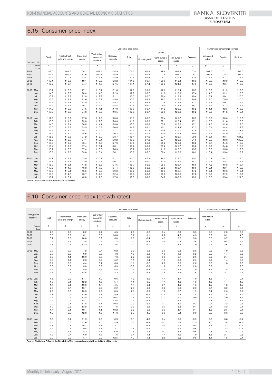## 6.15. Consumer price index

|              |              |                                                         |                     |                      |                      | Consumer price index |                |                       |                      |          |                     | Harmonised consumer price index |          |
|--------------|--------------|---------------------------------------------------------|---------------------|----------------------|----------------------|----------------------|----------------|-----------------------|----------------------|----------|---------------------|---------------------------------|----------|
|              |              |                                                         |                     | Total without        |                      |                      |                | Goods                 |                      |          |                     |                                 |          |
| $2005 = 100$ | Total        | Total without<br>fuels and energy                       | Fuels and<br>energy | seasonal<br>products | Seasonal<br>products | Total                | Durable goods  | Semi-durable<br>goods | Non-durable<br>goods | Services | Harmonised<br>index | Goods                           | Services |
| Column       | $\mathbf{1}$ | $\overline{2}$                                          | $\overline{3}$      | $\overline{4}$       | $\overline{5}$       | 6                    | $\overline{7}$ | 8                     | 9                    | 10       | 11                  | 12                              | 13       |
| Code         |              |                                                         |                     |                      |                      |                      |                |                       |                      |          |                     |                                 |          |
| 2006         | 102.5        | 101.6                                                   | 108.2               | 102.4                | 104.5                | 102.0                | 96.8           | 99.6                  | 103.9                | 103.5    | 102.6               | 102.1                           | 103.5    |
| 2007         | 106.2        | 105.4                                                   | 111.6               | 105.7                | 118.9                | 105.3                | 95.8           | 101.8                 | 108.7                | 108.1    | 106.4               | 105.3                           | 108.6    |
| 2008         | 112.2        | 110.6                                                   | 123.4               | 111.7                | 124.9                | 111.5                | 95.4           | 106.3                 | 117.4                | 113.5    | 112.3               | 111.3                           | 114.3    |
| 2009         | 113.1        | 112.3                                                   | 119.1               | 112.8                | 123.2                | 111.6                | 93.1           | 106.3                 | 118.4                | 116.5    | 113.2               | 110.8                           | 118.0    |
| 2010         | 115.2        | 112.7                                                   | 134.7               | 114.8                | 127.5                | 114.1                | 87.4           | 105.0                 | 124.9                | 117.6    | 115.6               | 113.7                           | 119.3    |
|              |              |                                                         |                     |                      |                      |                      |                |                       |                      |          |                     |                                 |          |
| 2009<br>May  | 113.7        | 113.2                                                   | 117.1               | 113.1                | 131.8                | 112.8                | 93.8           | 112.6                 | 118.4                | 115.7    | 113.7               | 111.9                           | 117.3    |
| Jun          | 114.3        | 113.5                                                   | 120.4               | 114.0                | 122.9                | 112.9                | 93.7           | 111.6                 | 118.9                | 117.4    | 114.3               | 112.2                           | 118.6    |
| Jul          | 113.2        | 112.2                                                   | 121.0               | 112.9                | 121.1                | 110.5                | 92.7           | 98.4                  | 118.9                | 119.4    | 113.4               | 110.1                           | 120.0    |
| Aug          | 113.3        | 112.2                                                   | 121.6               | 113.2                | 115.8                | 110.3                | 93.2           | 98.2                  | 118.5                | 120.0    | 113.5               | 109.9                           | 120.5    |
| Sep          | 113.1        | 111.9                                                   | 122.0               | 113.0                | 115.2                | 111.2                | 92.3           | 103.6                 | 118.8                | 117.2    | 113.4               | 110.7                           | 118.6    |
| Oct          | 113.2        | 112.2                                                   | 120.7               | 113.2                | 114.4                | 111.8                | 92.0           | 109.5                 | 118.3                | 116.3    | 113.5               | 111.2                           | 118.1    |
| Nov          | 114.2        | 112.9                                                   | 124.5               | 114.1                | 117.0                | 113.3                | 90.7           | 111.2                 | 120.5                | 116.2    | 114.4               | 112.5                           | 118.0    |
| Dec          | 113.7        | 112.3                                                   | 124.3               | 113.6                | 116.5                | 112.5                | 89.7           | 108.9                 | 120.3                | 116.2    | 113.9               | 111.8                           | 118.1    |
|              |              |                                                         |                     |                      |                      |                      |                |                       |                      |          |                     |                                 |          |
| 2010<br>Jan  | 112.8        | 110.9                                                   | 127.8               | 112.6                | 120.0                | 111.1                | 89.2           | 96.4                  | 121.7                | 116.7    | 113.2               | 110.6                           | 118.5    |
| Feb          | 113.3        | 111.3                                                   | 129.0               | 112.9                | 124.3                | 111.6                | 89.0           | 97.1                  | 122.4                | 117.1    | 113.6               | 111.0                           | 118.8    |
| Mar          | 114.5        | 112.4                                                   | 130.8               | 114.1                | 123.6                | 113.3                | 88.6           | 105.8                 | 122.8                | 117.1    | 114.8               | 112.6                           | 119.0    |
| Apr          | 115.6        | 113.3                                                   | 133.5               | 115.3                | 126.8                | 114.8                | 88.1           | 110.1                 | 124.4                | 117.3    | 116.1               | 114.4                           | 119.3    |
| May          | 116.1        | 113.6                                                   | 135.2               | 115.6                | 131.1                | 115.2                | 87.3           | 110.6                 | 125.1                | 117.9    | 116.5               | 114.8                           | 119.8    |
| Jun          | 116.4        | 114.0                                                   | 135.6               | 116.0                | 130.2                | 115.3                | 87.5           | 110.0                 | 125.3                | 119.0    | 116.8               | 114.9                           | 120.5    |
| Jul          | 115.6        | 112.8                                                   | 137.2               | 115.0                | 133.7                | 113.4                | 87.0           | 97.1                  | 126.1                | 120.5    | 116.1               | 113.4                           | 121.5    |
| Aug          | 115.9        | 113.2                                                   | 137.1               | 115.4                | 130.2                | 113.5                | 87.3           | 97.1                  | 126.2                | 121.3    | 116.2               | 113.3                           | 122.0    |
| Sep          | 115.3        | 112.6                                                   | 136.4               | 114.9                | 127.6                | 114.6                | 86.6           | 105.8                 | 125.8                | 116.8    | 115.7               | 114.3                           | 118.5    |
| Oct          | 115.4        | 112.6                                                   | 137.4               | 115.1                | 123.1                | 115.2                | 86.6           | 109.2                 | 125.7                | 115.8    | 115.9               | 114.8                           | 118.0    |
| Nov          | 115.7        | 113.0                                                   | 137.4               | 115.3                | 128.9                | 115.7                | 86.0           | 111.6                 | 126.2                | 115.7    | 116.2               | 115.3                           | 117.9    |
| Dec          | 115.8        | 112.8                                                   | 139.6               | 115.4                | 130.1                | 115.6                | 85.7           | 109.4                 | 126.8                | 116.2    | 116.4               | 115.4                           | 118.2    |
|              |              |                                                         |                     |                      |                      |                      |                |                       |                      |          |                     |                                 |          |
| 2011<br>Jan  | 114.9        | 111.3                                                   | 143.0               | 115.2                | 121.1                | 114.5                | 85.3           | 96.7                  | 128.7                | 115.7    | 115.9               | 114.7                           | 118.0    |
| Feb          | 114.9        | 111.2                                                   | 143.9               | 115.2                | 120.7                | 115.1                | 86.0           | 97.0                  | 129.5                | 114.2    | 115.9               | 115.2                           | 117.1    |
| Mar          | 116.7        | 113.1                                                   | 144.8               | 116.5                | 127.5                | 116.7                | 86.0           | 105.3                 | 129.7                | 116.5    | 117.5               | 116.8                           | 118.7    |
| Apr          | 117.6        | 114.0                                                   | 146.3               | 117.2                | 131.4                | 118.0                | 86.2           | 108.8                 | 130.7                | 116.6    | 118.4               | 118.1                           | 118.8    |
| May          | 118.6        | 115.1                                                   | 146.5               | 117.5                | 139.0                | 119.2                | 86.2           | 110.5                 | 132.1                | 117.2    | 119.4               | 119.3                           | 119.4    |
| Jun          | 118.0        | 114.7                                                   | 143.7               | 117.5                | 132.4                | 118.0                | 86.3           | 108.5                 | 130.8                | 117.8    | 118.6               | 117.9                           | 119.7    |
| Jul          | 116.7        | 113.1                                                   | 145.0               | 117.5                | 117.0                | 115.3                | 85.8           | 94.7                  | 130.6                | 119.5    | 117.3               | 115.4                           | 121.0    |
|              |              | Source: Statistical Office of the Republic of Slovenia. |                     |                      |                      |                      |                |                       |                      |          |                     |                                 |          |

## 6.16. Consumer price index (growth rates)

|                            | Consumer price index<br>Harmonised consumer price index |                                   |                     |                                       |                      |        |                |                       |                      |          |                     |        |        |
|----------------------------|---------------------------------------------------------|-----------------------------------|---------------------|---------------------------------------|----------------------|--------|----------------|-----------------------|----------------------|----------|---------------------|--------|--------|
|                            |                                                         |                                   |                     |                                       |                      |        |                |                       |                      |          |                     |        |        |
| Yearly growth<br>rate in % | Total                                                   | Total without<br>fuels and energy | Fuels and<br>energy | Total without<br>seasonal<br>products | Seasonal<br>products | Total  | Durable goods  | Semi-durable<br>goods | Non-durable<br>goods | Services | Harmonised<br>index |        |        |
| Column                     | $\overline{1}$                                          | $\overline{2}$                    | $\overline{3}$      | $\overline{4}$                        | $\overline{5}$       | 6      | $\overline{7}$ | 8                     | 9                    | 10       | 11                  | 12     | 13     |
| Code                       |                                                         |                                   |                     |                                       |                      |        |                |                       |                      |          |                     |        |        |
| 2006                       | 2.5                                                     | 1.6                               | 8.2                 | 2.4                                   | 4.5                  | 2.0    | $-3.2$         | $-0.4$                | 3.9                  | 3.5      | 2.5                 | 2.0    | 3.5    |
| 2007                       | 3.6                                                     | 3.7                               | 3.1                 | 3.2                                   | 13.8                 | 3.2    | $-1.1$         | 2.2                   | 4.6                  | 4.5      | 3.7                 | 3.2    | 4.9    |
| 2008                       | 5.7                                                     | 5.0                               | 10.6                | 5.7                                   | 5.0                  | 6.0    | $-0.4$         | 4.5                   | 8.0                  | 5.0      | 5.5                 | 5.7    | 5.3    |
| 2009                       | 0.9                                                     | 1.6                               | $-3.5$              | 0.9                                   | $-1.4$               | 0.0    | $-2.4$         | 0.0                   | 0.8                  | 2.6      | 0.9                 | $-0.4$ | 3.2    |
| 2010                       | 1.8                                                     | 0.3                               | 13.2                | 1.8                                   | 3.5                  | 2.2    | $-6.1$         | $-1.2$                | 5.5                  | 1.0      | 2.1                 | 2.6    | 1.2    |
|                            |                                                         |                                   |                     |                                       |                      |        |                |                       |                      |          |                     |        |        |
| 2009<br>May                | 0.7                                                     | 2.0                               | $-7.8$              | 0.7                                   | $-0.2$               | $-0.3$ | $-2.2$         | 2.0                   | $-0.3$               | 2.8      | 0.5                 | $-1.0$ | 3.5    |
| Jun                        | 0.3                                                     | 2.0                               | $-9.9$              | 0.5                                   | $-4.3$               | $-1.0$ | $-2.2$         | 1.3                   | $-1.2$               | 3.2      | 0.2                 | $-1.7$ | 3.8    |
| Jul                        | $-0.6$                                                  | 1.1                               | $-10.9$             | $-0.3$                                | $-7.6$               | $-2.2$ | $-3.0$         | $-0.8$                | $-2.1$               | 2.9      | $-0.6$              | $-2.7$ | 3.3    |
| Aug                        | 0.0                                                     | 1.1                               | $-6.6$              | 0.2                                   | $-5.2$               | $-1.1$ | $-2.4$         | $-1.3$                | $-0.6$               | 2.5      | 0.1                 | $-1.4$ | 3.0    |
| Sep                        | $-0.1$                                                  | 0.6                               | $-4.4$              | 0.1                                   | $-5.6$               | $-1.1$ | $-3.2$         | $-2.7$                | 0.0                  | 2.0      | 0.0                 | $-1.3$ | 2.6    |
| Oct                        | 0.0                                                     | 0.5                               | $-3.0$              | 0.2                                   | $-5.9$               | $-0.9$ | $-3.6$         | $-1.6$                | 0.0                  | 2.0      | 0.2                 | $-1.1$ | 2.6    |
| Nov                        | 1.6                                                     | 0.8                               | 8.0                 | 1.8                                   | $-4.5$               | 1.5    | $-3.8$         | $-2.0$                | 3.9                  | 1.9      | 1.8                 | 1.5    | 2.4    |
| Dec                        | 1.8                                                     | 0.3                               | 14.6                | 2.0                                   | $-4.3$               | 1.9    | $-5.8$         | $-2.8$                | 5.3                  | 1.6      | 2.1                 | 2.1    | 2.1    |
|                            |                                                         |                                   |                     |                                       |                      |        |                |                       |                      |          |                     |        |        |
| 2010<br>Jan                | 1.5                                                     | $-0.2$                            | 14.7                | 1.9                                   | $-9.6$               | 1.2    | $-6.0$         | $-4.4$                | 4.7                  | 1.9      | 1.8                 | 1.7    | 2.1    |
| Feb                        | 1.3                                                     | $-0.1$                            | 12.2                | 1.6                                   | $-5.4$               | 1.1    | $-6.5$         | $-4.1$                | 4.6                  | 1.8      | 1.6                 | 1.4    | 1.9    |
| Mar                        | 1.4                                                     | $-0.1$                            | 13.6                | 1.7                                   | $-4.5$               | 1.4    | $-6.4$         | $-3.1$                | 4.8                  | 1.6      | 1.8                 | 1.8    | 1.8    |
| Apr                        | 2.3                                                     | 0.7                               | 15.1                | 2.5                                   | $-2.2$               | 2.5    | $-6.9$         | $-0.6$                | 6.0                  | 2.0      | 2.7                 | 3.0    | 2.1    |
| May                        | 2.1                                                     | 0.3                               | 15.5                | 2.2                                   | $-0.5$               | 2.1    | $-6.9$         | $-1.8$                | 5.7                  | 1.9      | 2.4                 | 2.6    | 2.1    |
| Jun                        | 1.9                                                     | 0.4                               | 12.6                | 1.7                                   | 5.9                  | 2.1    | $-6.6$         | $-1.4$                | 5.4                  | 1.4      | 2.1                 | 2.4    | 1.6    |
| Jul                        | 2.1                                                     | 0.6                               | 13.5                | 1.8                                   | 10.4                 | 2.6    | $-6.2$         | $-1.3$                | 6.1                  | 0.9      | 2.3                 | 3.0    | 1.3    |
| Aug                        | 2.3                                                     | 0.9                               | 12.7                | 2.0                                   | 12.5                 | 2.9    | $-6.3$         | $-1.1$                | 6.5                  | 1.1      | 2.4                 | 3.1    | 1.3    |
| Sep                        | 2.0                                                     | 0.7                               | 11.8                | 1.7                                   | 10.8                 | 3.0    | $-6.2$         | 2.1                   | 5.9                  | $-0.3$   | 2.1                 | 3.2    | $-0.1$ |
| Oct                        | 1.9                                                     | 0.3                               | 13.8                | 1.7                                   | 7.6                  | 3.0    | $-5.9$         | $-0.3$                | 6.3                  | $-0.4$   | 2.1                 | 3.2    | $-0.1$ |
| Nov                        | 1.4                                                     | 0.1                               | 10.4                | 1.1                                   | 10.2                 | 2.2    | $-5.2$         | 0.3                   | 4.7                  | $-0.4$   | 1.6                 | 2.5    | $-0.1$ |
| Dec                        | 1.9                                                     | 0.5                               | 12.3                | 1.6                                   | 11.6                 | 2.7    | $-4.5$         | 0.5                   | 5.4                  | 0.0      | 2.2                 | 3.3    | 0.2    |
|                            |                                                         |                                   |                     |                                       |                      |        |                |                       |                      |          |                     |        |        |
| 2011<br>Jan                | 1.8                                                     | 0.4                               | 11.9                | 2.3                                   | 0.9                  | 3.1    | $-4.3$         | 0.4                   | 5.8                  | $-0.9$   | 2.3                 | 3.8    | $-0.4$ |
| Feb                        | 1.4                                                     | 0.0                               | 11.6                | 2.0                                   | $-2.9$               | 3.2    | $-3.4$         | $-0.1$                | 5.8                  | $-2.5$   | 2.0                 | 3.8    | $-1.4$ |
| Mar                        | 1.9                                                     | 0.7                               | 10.7                | 2.1                                   | 3.1                  | 3.1    | $-2.9$         | $-0.5$                | 5.6                  | $-0.5$   | 2.4                 | 3.7    | $-0.2$ |
| Apr                        | 1.7                                                     | 0.6                               | 9.5                 | 1.7                                   | 3.7                  | 2.8    | $-2.2$         | $-1.2$                | 5.1                  | $-0.6$   | 2.0                 | 3.2    | $-0.4$ |
| May                        | 2.2                                                     | 1.3                               | 8.3                 | 1.7                                   | 6.0                  | 3.4    | $-1.3$         | $-0.1$                | 5.5                  | $-0.6$   | 2.4                 | 3.8    | $-0.3$ |
| Jun                        | 1.3                                                     | 0.7                               | 6.0                 | 1.3                                   | 1.6                  | 2.4    | $-1.4$         | $-1.4$                | 4.3                  | $-1.0$   | 1.6                 | 2.7    | $-0.6$ |
| Jul                        | 0.9                                                     | 0.2                               | 5.7                 | 2.2                                   | $-12.5$              | 1.7    | $-1.4$         | $-2.5$                | 3.5                  | $-0.8$   | 1.1                 | 1.8    | $-0.4$ |

**Source: Statistical Office of the Republic of Slovenia and computations in Bank of Slovenia.**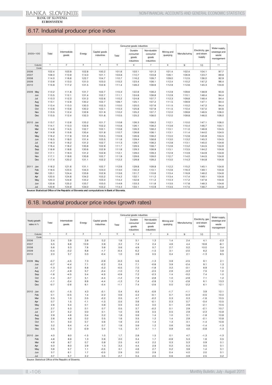## 6.17. Industrial producer price index

|              |                |                       |                         |                             |                | Consumer goods industries                  |                                                |                         |               |                                         |                                                      |
|--------------|----------------|-----------------------|-------------------------|-----------------------------|----------------|--------------------------------------------|------------------------------------------------|-------------------------|---------------|-----------------------------------------|------------------------------------------------------|
| $2005 = 100$ | Total          | Intermediate<br>goods | Energy                  | Capital goods<br>industries | Total          | Durable<br>consumer<br>goods<br>industries | Non-durable<br>consumer<br>goods<br>industries | Mining and<br>quarrying | Manufacturing | Electricity, gas<br>and steam<br>supply | Water supply,<br>sewerage and<br>waste<br>management |
| Column       | $\overline{1}$ | $\overline{2}$        | $\overline{\mathbf{3}}$ | $\overline{4}$              | $\overline{5}$ | 6                                          | $\overline{7}$                                 | 8                       | 9             | 10                                      | 11                                                   |
| Code         |                |                       |                         |                             |                |                                            |                                                |                         |               |                                         |                                                      |
| 2006         | 102.4          | 103.9                 | 102.8                   | 100.2                       | 101.6          | 103.1                                      | 101.3                                          | 101.4                   | 102.4         | 104.1                                   | 97.7                                                 |
| 2007         | 108.0          | 110.9                 | 114.0                   | 101.1                       | 104.8          | 110.7                                      | 103.8                                          | 106.1                   | 106.9         | 123.7                                   | 89.8                                                 |
| 2008         | 114.0          | 116.8                 | 122.7                   | 104.7                       | 110.7          | 116.2                                      | 109.7                                          | 109.0                   | 112.5         | 136.0                                   | 92.9                                                 |
| 2009         | 113.6          | 113.0                 | 131.0                   | 103.0                       | 110.2          | 123.4                                      | 108.1                                          | 112.4                   | 110.2         | 147.2                                   | 96.4                                                 |
| 2010         | 115.9          | 117.2                 | 131.5                   | 102.6                       | 111.4          | 128.2                                      | 108.6                                          | 112.9                   | 112.6         | 145.3                                   | 104.6                                                |
| 2009 May     | 113.2          | 111.8                 | 131.7                   | 102.7                       | 110.3          | 122.6                                      | 108.2                                          | 112.9                   | 109.6         | 148.9                                   | 94.6                                                 |
| Jun          | 113.5          | 112.1                 | 131.4                   | 102.7                       | 111.1          | 124.8                                      | 108.8                                          | 112.9                   | 110.1         | 148.4                                   | 94.4                                                 |
| Jul          | 113.3          | 112.3                 | 131.2                   | 102.6                       | 110.2          | 124.8                                      | 107.7                                          | 112.3                   | 109.8         | 148.4                                   | 94.4                                                 |
| Aug          | 113.1          | 112.8                 | 130.2                   | 102.7                       | 109.7          | 125.1                                      | 107.2                                          | 111.5                   | 109.9         | 147.1                                   | 94.4                                                 |
| Sep          | 113.4          | 113.3                 | 130.3                   | 102.3                       | 110.0          | 125.0                                      | 107.6                                          | 111.5                   | 110.2         | 147.2                                   | 94.4                                                 |
| Oct          | 113.6          | 113.6                 | 130.2                   | 102.1                       | 110.3          | 125.8                                      | 107.8                                          | 111.5                   | 110.4         | 147.0                                   | 94.6                                                 |
| Nov          | 113.5          | 112.4                 | 132.6                   | 101.9                       | 110.2          | 125.2                                      | 107.7                                          | 112.0                   | 109.8         | 146.5                                   | 106.0                                                |
| Dec          | 113.5          | 112.4                 | 132.3                   | 101.8                       | 110.5          | 125.2                                      | 108.0                                          | 112.0                   | 109.8         | 146.0                                   | 106.0                                                |
|              |                |                       |                         |                             |                |                                            |                                                |                         |               |                                         |                                                      |
| 2010<br>Jan  | 113.7          | 112.6                 | 133.2                   | 101.7                       | 110.8          | 126.3                                      | 108.2                                          | 112.1                   | 110.0         | 147.1                                   | 106.0                                                |
| Feb          | 114.1          | 113.3                 | 132.6                   | 102.2                       | 110.8          | 126.1                                      | 108.2                                          | 113.6                   | 110.4         | 146.7                                   | 104.1                                                |
| Mar          | 114.6          | 114.5                 | 132.7                   | 102.1                       | 110.8          | 126.3                                      | 108.2                                          | 113.1                   | 111.0         | 146.9                                   | 104.5                                                |
| Apr          | 114.8          | 115.6                 | 130.4                   | 101.8                       | 110.7          | 126.6                                      | 108.1                                          | 113.1                   | 111.4         | 144.0                                   | 104.5                                                |
| May          | 116.2          | 117.8                 | 131.8                   | 103.5                       | 110.9          | 126.6                                      | 108.2                                          | 113.0                   | 112.8         | 145.8                                   | 104.5                                                |
| Jun          | 116.5          | 118.0                 | 131.4                   | 103.5                       | 111.6          | 129.4                                      | 108.6                                          | 113.0                   | 113.2         | 145.3                                   | 104.5                                                |
| Jul          | 116.3          | 118.2                 | 131.2                   | 102.7                       | 111.3          | 129.7                                      | 108.2                                          | 112.8                   | 113.1         | 145.0                                   | 104.6                                                |
| Aug          | 116.4          | 118.2                 | 130.8                   | 102.9                       | 111.7          | 129.5                                      | 108.7                                          | 112.6                   | 113.2         | 144.5                                   | 104.6                                                |
| Sep          | 116.6          | 118.6                 | 130.6                   | 102.9                       | 111.8          | 129.3                                      | 108.9                                          | 113.1                   | 113.5         | 144.2                                   | 104.6                                                |
| Oct          | 117.1          | 119.3                 | 131.2                   | 102.8                       | 112.1          | 129.0                                      | 109.3                                          | 112.9                   | 113.9         | 144.9                                   | 104.6                                                |
| Nov          | 117.1          | 119.6                 | 130.8                   | 102.7                       | 111.9          | 129.6                                      | 109.0                                          | 112.7                   | 114.0         | 144.5                                   | 104.6                                                |
| Dec          | 117.4          | 120.2                 | 131.1                   | 102.2                       | 112.2          | 129.8                                      | 109.2                                          | 113.0                   | 114.3         | 144.8                                   | 104.6                                                |
| 2011 Jan     | 118.2          | 121.6                 | 131.1                   | 102.7                       | 112.6          | 129.8                                      | 109.8                                          | 112.2                   | 115.2         | 145.1                                   | 104.6                                                |
| Feb          | 119.5          | 123.5                 | 134.3                   | 103.0                       | 113.0          | 130.3                                      | 110.1                                          | 112.6                   | 116.3         | 149.1                                   | 104.6                                                |
| Mar          | 120.1          | 124.4                 | 133.6                   | 102.9                       | 113.6          | 131.7                                      | 110.6                                          | 113.4                   | 116.9         | 148.2                                   | 104.6                                                |
| Apr          | 120.5          | 124.8                 | 134.2                   | 103.2                       | 114.2          | 132.1                                      | 111.2                                          | 113.4                   | 117.4         | 149.1                                   | 104.6                                                |
| May          | 120.3          | 124.6                 | 133.2                   | 103.0                       | 114.2          | 132.6                                      | 111.2                                          | 113.3                   | 117.2         | 147.8                                   | 104.6                                                |
| Jun          | 120.8          | 125.2                 | 133.7                   | 103.0                       | 114.9          | 133.3                                      | 111.8                                          | 113.5                   | 117.8         | 148.3                                   | 104.6                                                |
| Jul          | 120.6          | 124.9                 | 134.0                   | 103.2                       | 114.3          | 134.1                                      | 110.9                                          | 113.5                   | 117.5         | 148.7                                   | 104.8                                                |

**Source: Statistical Office of the Republic of Slovenia and computations in Bank of Slovenia.**

## 6.18. Industrial producer price index (growth rates)

|          |                             |        |                       |                         |                             |                | Consumer goods industries                  |                                                |                         |                |                                         |                                                      |
|----------|-----------------------------|--------|-----------------------|-------------------------|-----------------------------|----------------|--------------------------------------------|------------------------------------------------|-------------------------|----------------|-----------------------------------------|------------------------------------------------------|
|          | Yearly growth<br>rates in % | Total  | Intermediate<br>goods | Energy                  | Capital goods<br>industries | Total          | Durable<br>consumer<br>goods<br>industries | Non-durable<br>consumer<br>goods<br>industries | Mining and<br>quarrying | Manufacturing  | Electricity, gas<br>and steam<br>supply | Water supply,<br>sewerage and<br>waste<br>management |
|          | Column                      | 1      | $\overline{2}$        | $\overline{\mathbf{3}}$ | $\overline{4}$              | $\overline{5}$ | 6                                          | $\overline{7}$                                 | 8                       | $\overline{9}$ | 10                                      | 11                                                   |
|          | Code                        |        |                       |                         |                             |                |                                            |                                                |                         |                |                                         |                                                      |
| 2006     |                             | 2.4    | 3.9                   | 2.8                     | 0.2                         | 1.6            | 3.1                                        | 1.3                                            | 1.4                     | 2.4            | 4.1                                     | $-2.3$                                               |
| 2007     |                             | 5.5    | 6.8                   | 10.9                    | 0.9                         | 3.2            | 7.4                                        | 2.4                                            | 4.6                     | 4.4            | 18.8                                    | $-8.1$                                               |
| 2008     |                             | 5.6    | 5.3                   | 7.6                     | 3.6                         | 5.6            | 4.9                                        | 5.7                                            | 2.7                     | 5.2            | 10.0                                    | 3.4                                                  |
| 2009     |                             | $-0.4$ | $-3.2$                | 6.8                     | $-1.7$                      | $-0.4$         | 6.2                                        | $-1.5$                                         | 3.1                     | $-2.0$         | 8.2                                     | 3.8                                                  |
| 2010     |                             | 2.0    | 3.7                   | 0.3                     | $-0.4$                      | 1.0            | 3.9                                        | 0.5                                            | 0.4                     | 2.1            | $-1.3$                                  | 8.5                                                  |
| 2009 May |                             | $-0.7$ | $-4.5$                | 7.3                     | $-0.9$                      | $-0.3$         | 5.6                                        | $-1.3$                                         | 3.9                     | $-2.5$         | 9.1                                     | 2.1                                                  |
|          | Jun                         | $-0.7$ | $-4.4$                | 7.1                     | $-2.2$                      | 0.4            | 7.1                                        | $-0.8$                                         | 3.9                     | $-2.4$         | 9.1                                     | 1.3                                                  |
|          | Jul                         | $-1.3$ | $-5.0$                | 6.8                     | $-3.2$                      | $-0.5$         | 7.0                                        | $-1.8$                                         | 3.2                     | $-3.1$         | 8.9                                     | 1.0                                                  |
|          |                             | $-1.7$ | $-4.9$                | 5.7                     | $-3.4$                      | $-1.0$         | 7.2                                        | $-2.5$                                         | 2.6                     | $-3.3$         | 7.5                                     | 1.0                                                  |
|          | Aug<br>Sep                  | $-1.6$ | $-4.5$                | 5.4                     | $-4.5$                      | $-0.9$         | 7.2                                        | $-2.3$                                         | 1.4                     | $-3.2$         | 7.4                                     | 1.0                                                  |
|          | Oct                         | $-1.4$ | $-3.7$                | 5.1                     | $-4.4$                      | $-1.2$         | 7.9                                        | $-2.8$                                         | 1.0                     | $-2.9$         | 7.1                                     | 1.2                                                  |
|          | Nov                         | $-1.1$ | $-3.4$                | 6.6                     | $-4.4$                      | $-1.3$         | 7.4                                        | $-2.8$                                         | 1.3                     | $-2.8$         | 6.1                                     | 13.3                                                 |
|          | <b>Dec</b>                  | $-0.7$ | $-2.6$                | 6.1                     | $-3.4$                      | $-1.1$         | 7.4                                        | $-2.6$                                         | 0.0                     | $-2.2$         | 6.1                                     | 12.1                                                 |
|          |                             |        |                       |                         |                             |                |                                            |                                                |                         |                |                                         |                                                      |
| 2010 Jan |                             | $-0.1$ | $-1.5$                | 4.3                     | $-3.1$                      | 0.4            | 6.4                                        | $-0.6$                                         | $-1.7$                  | $-1.1$         | 3.9                                     | 12.1                                                 |
|          | Feb                         | 0.1    | $-0.5$                | 1.4                     | $-2.2$                      | 0.6            | 4.4                                        | $-0.1$                                         | 0.7                     | $-0.3$         | $-0.5$                                  | 10.0                                                 |
|          | Mar                         | 0.5    | 1.0                   | 0.5                     | $-2.2$                      | 0.5            | 4.7                                        | $-0.2$                                         | 0.3                     | 0.3            | $-1.6$                                  | 10.5                                                 |
|          | Apr                         | 0.7    | 1.5                   | $-1.1$                  | $-1.0$                      | 0.5            | 3.6                                        | $-0.1$                                         | 0.3                     | 0.7            | $-3.4$                                  | 10.5                                                 |
|          | May                         | 2.6    | 5.4                   | 0.1                     | 0.8                         | 0.5            | 3.2                                        | 0.0                                            | 0.1                     | 2.9            | $-2.1$                                  | 10.5                                                 |
|          | Jun                         | 2.7    | 5.3                   | 0.1                     | 0.7                         | 0.5            | 3.7                                        | $-0.2$                                         | 0.1                     | 2.9            | $-2.1$                                  | 10.7                                                 |
|          | Jul                         | 2.7    | 5.2                   | 0.0                     | 0.1                         | 1.0            | 3.9                                        | 0.5                                            | 0.5                     | 2.9            | $-2.3$                                  | 10.8                                                 |
|          | Aug                         | 2.9    | 4.8                   | 0.4                     | 0.2                         | 1.8            | 3.6                                        | 1.4                                            | 1.0                     | 3.1            | $-1.8$                                  | 10.8                                                 |
|          | Sep                         | 2.8    | 4.6                   | 0.2                     | 0.5                         | 1.6            | 3.5                                        | 1.2                                            | 1.4                     | 2.9            | $-2.1$                                  | 10.8                                                 |
|          | Oct                         | 3.1    | 5.0                   | 0.7                     | 0.6                         | 1.6            | 2.5                                        | 1.4                                            | 1.3                     | 3.1            | $-1.4$                                  | 10.6                                                 |
|          | Nov                         | 3.2    | 6.4                   | $-1.4$                  | 0.7                         | 1.6            | 3.6                                        | 1.2                                            | 0.6                     | 3.8            | $-1.4$                                  | $-1.3$                                               |
|          | <b>Dec</b>                  | 3.5    | 7.0                   | $-0.9$                  | 0.4                         | 1.5            | 3.7                                        | 1.1                                            | 0.9                     | 4.0            | $-0.8$                                  | $-1.3$                                               |
|          |                             |        |                       |                         |                             |                |                                            |                                                |                         |                |                                         |                                                      |
| 2010 Jan |                             | 4.0    | 8.0                   | $-1.5$                  | 1.0                         | 1.7            | 2.8                                        | 1.5                                            | 0.1                     | 4.7            | $-1.3$                                  | $-1.3$                                               |
|          | Feb                         | 4.8    | 8.9                   | 1.3                     | 0.8                         | 2.0            | 3.4                                        | 1.7                                            | $-0.9$                  | 5.3            | 1.6                                     | 0.5                                                  |
|          | Mar                         | 4.8    | 8.7                   | 0.7                     | 0.8                         | 2.5            | 4.3                                        | 2.2                                            | 0.3                     | 5.3            | 0.9                                     | 0.1                                                  |
|          | Apr                         | 5.0    | 8.0                   | 2.9                     | 1.3                         | 3.2            | 4.4                                        | 2.9                                            | 0.2                     | 5.3            | 3.5                                     | 0.1                                                  |
|          | May                         | 3.6    | 5.7                   | 1.1                     | $-0.5$                      | 3.1            | 4.8                                        | 2.7                                            | 0.2                     | 3.9            | 1.4                                     | 0.1                                                  |
|          | Jun                         | 3.7    | 6.1                   | 1.7                     | $-0.5$                      | 2.9            | 3.0                                        | 2.9                                            | 0.4                     | 4.0            | 2.0                                     | 0.1                                                  |
|          | Jul                         | 3.7    | 5.7                   | 2.2                     | 0.5                         | 2.7            | 3.4                                        | 2.5                                            | 0.6                     | 3.9            | 2.5                                     | 0.2                                                  |

Source: Statistical Office of the Republic of Slovenia.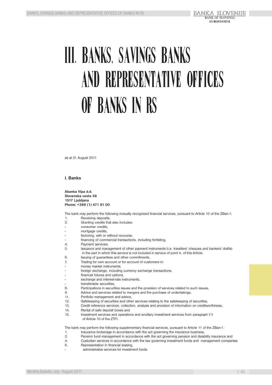# III. BANKS, SAVINGS BANKS AND REPRESENTATIVE OFFICES OF BANKS IN RS

as at 31 August 2011

#### **I. Banks**

**Abanka Vipa d.d. Slovenska cesta 58 1517 Ljubljana Phone: +386 (1) 471 81 00**

The bank may perform the following mutually recognized financial services, pursuant to Article 10 of the ZBan-1:

- 1. Receiving deposits<br>2. Granting credits that
- 2. Granting credits that also includes:
- consumer credits,
- mortgage credits.
- factoring, with or without recourse,
- financing of commercial transactions, including forfeiting,
- 4. Payment services;
- 5. Issuance and management of other payment instruments (i.e. travellers' cheques and bankers' drafts) in the part in which this service is not included in service of point 4. of this Article;
- 6. Issuing of guarantees and other commitments,
- 7. Trading for own account or for account of customers in:
- money market instruments,
- foreign exchange, including currency exchange transactions,
- financial futures and options,
- exchange and interest-rate instruments,
- transferable securities.
- 8. Participations in securities issues and the provision of services related to such issues,
- 9. Advice and services related to mergers and the purchase of undertakings,
- 11. Portfolio management and advice,
- 12. Safekeeping of securities and other services relating to the safekeeping of securities,
- 13. Credit reference services: collection, analysis and provision of information on creditworthiness,
- 14. Rental of safe deposit boxes and
- 15. Investment services and operations and ancillary investment services from paragraph (1) of Article 10 of the ZTFI.

The bank may perform the following supplementary financial services, pursuant to Article 11 of the ZBan-1:

- 1. Insurance brokerage in accordance with the act governing the insurance business,
- 3. Pension fund management in accordance with the act governing pension and disability insurance and
- 4. Custodian services in accordance with the law governing investment funds and management companies
- 6. Representation in financial leasing,
- administrative services for investment funds.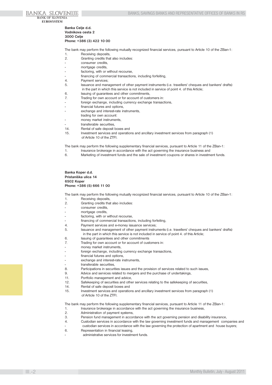#### **Banka Celje d.d. Vodnikova cesta 2 3000 Celje Phone: +386 (3) 422 10 00**

The bank may perform the following mutually recognized financial services, pursuant to Article 10 of the ZBan-1: 1. Receiving deposits,

- 2. Granting credits that also includes:
- consumer credits,
- mortgage credits,
- factoring, with or without recourse,
- financing of commercial transactions, including forfeiting
- 4. Payment services;
- 5. Issuance and management of other payment instruments (i.e. travellers' cheques and bankers' drafts) in the part in which this service is not included in service of point 4. of this Article;
- 6. Issuing of guarantees and other commitments,
- 7. Trading for own account or for account of customers in:
- foreign exchange, including currency exchange transactions,
- financial futures and options.
- exchange and interest-rate instruments,
- trading for own account:
- money market instruments
- transferable securities.
- 14. Rental of safe deposit boxes and
- 15. Investment services and operations and ancillary investment services from paragraph (1) of Article 10 of the ZTFI.

The bank may perform the following supplementary financial services, pursuant to Article 11 of the ZBan-1:

- 1. Insurance brokerage in accordance with the act governing the insurance business and
- 6. Marketing of investment funds and the sale of investment coupons or shares in investment funds.

#### **Banka Koper d.d. Pristaniška ulica 14 6502 Koper Phone: +386 (5) 666 11 00**

The bank may perform the following mutually recognized financial services, pursuant to Article 10 of the ZBan-1: 1. Receiving deposits,

- 2. Granting credits that also includes:
- consumer credits,
- mortgage credits.
- factoring, with or without recourse,
- financing of commercial transactions, including forfeiting,
- 4. Payment services and e-money issuance services;
- 5. Issuance and management of other payment instruments (i.e. travellers' cheques and bankers' drafts) in the part in which this service is not included in service of point 4. of this Article;
- 6. Issuing of guarantees and other commitments
- 7. Trading for own account or for account of customers in:
- money market instruments.
- foreign exchange, including currency exchange transactions,
- financial futures and options.
- exchange and interest-rate instruments,
- transferable securities
- 8. Participations in securities issues and the provision of services related to such issues,
- 9. Advice and services related to mergers and the purchase of undertakings,
- 11. Portfolio management and advice,
- 12. Safekeeping of securities and other services relating to the safekeeping of securities,
- 14. Rental of safe deposit boxes and
- 15. Investment services and operations and ancillary investment services from paragraph (1) of Article 10 of the ZTFI.

The bank may perform the following supplementary financial services, pursuant to Article 11 of the ZBan-1:

- 1. Insurance brokerage in accordance with the act governing the insurance business,
- 2. Administration of payment systems,
- 3. Pension fund management in accordance with the act governing pension and disability insurance,
- 4. Custodian services in accordance with the law governing investment funds and management companies and
	- custodian services in accordance with the law governing the protection of apartment and house buyers;
- 6. Representation in financial leasing,
- administrative services for investment funds.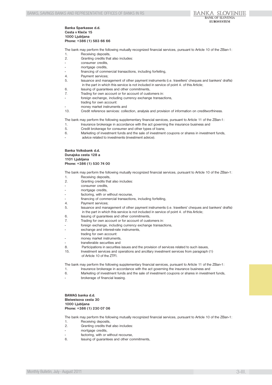

**Banka Sparkasse d.d. Cesta v Kleče 15 1000 Ljubljana Phone: +386 (1) 583 66 66**

The bank may perform the following mutually recognized financial services, pursuant to Article 10 of the ZBan-1: 1. Receiving deposits,

- 2. Granting credits that also includes:
- consumer credits,
- mortgage credits,
- financing of commercial transactions, including forfeiting,
- 4. Payment services;
- 5. Issuance and management of other payment instruments (i.e. travellers' cheques and bankers' drafts) in the part in which this service is not included in service of point 4. of this Article;
- 6. Issuing of guarantees and other commitments,
- 7. Trading for own account or for account of customers in:
- foreign exchange, including currency exchange transactions,
- trading for own account: money market instruments and
- 13. Credit reference services: collection, analysis and provision of information on creditworthiness.

The bank may perform the following supplementary financial services, pursuant to Article 11 of the ZBan-1: 1. Insurance brokerage in accordance with the act governing the insurance business and

- 5. Credit brokerage for consumer and other types of loans;
- 6. Marketing of investment funds and the sale of investment coupons or shares in investment funds,
- advice related to investments (investment advice).

**Banka Volksbank d.d. Dunajska cesta 128 a 1101 Ljubljana Phone: +386 (1) 530 74 00**

The bank may perform the following mutually recognized financial services, pursuant to Article 10 of the ZBan-1: 1. Receiving deposits,

- 2. Granting credits that also includes:
- 
- consumer credits,
- mortgage credits.
- factoring, with or without recourse,
- financing of commercial transactions, including forfeiting,
- Payment services;
- 5. Issuance and management of other payment instruments (i.e. travellers' cheques and bankers' drafts) in the part in which this service is not included in service of point 4. of this Article;
- 6. Issuing of guarantees and other commitments,
- 7. Trading for own account or for account of customers in:
- foreign exchange, including currency exchange transactions.
- exchange and interest-rate instruments,
- trading for own account:
- money market instruments,
- transferable securities and
- 8. Participations in securities issues and the provision of services related to such issues,
- 15. Investment services and operations and ancillary investment services from paragraph (1) of Article 10 of the ZTFI.

The bank may perform the following supplementary financial services, pursuant to Article 11 of the ZBan-1: 1. Insurance brokerage in accordance with the act governing the insurance business and

- 6. Marketing of investment funds and the sale of investment coupons or shares in investment funds,
- brokerage of financial leasing.

**BAWAG banka d.d. Bleiweisova cesta 30 1000 Ljubljana Phone: +386 (1) 230 07 06**

The bank may perform the following mutually recognized financial services, pursuant to Article 10 of the ZBan-1:

- 1. Receiving deposits,
- 2. Granting credits that also includes:
- mortgage credits.
- factoring, with or without recourse,<br>6. Saling of quarantees and other co
- 6. Issuing of guarantees and other commitments,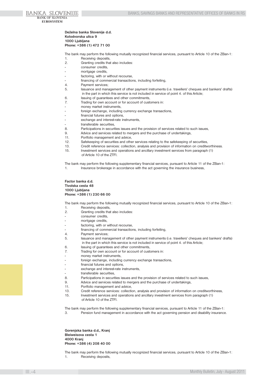**Deželna banka Slovenije d.d. Kolodvorska ulica 9 1000 Ljubljana Phone: +386 (1) 472 71 00**

The bank may perform the following mutually recognized financial services, pursuant to Article 10 of the ZBan-1:

- 1. Receiving deposits,
- 2. Granting credits that also includes:
- consumer credits.
- mortgage credits,
- factoring, with or without recourse.
- financing of commercial transactions, including forfeiting,
- 4. Payment services;
- 5. Issuance and management of other payment instruments (i.e. travellers' cheques and bankers' drafts) in the part in which this service is not included in service of point 4. of this Article;<br>6. Issuing of quarantees and other commitments.
- Issuing of guarantees and other commitments.
- 7. Trading for own account or for account of customers in:
- money market instruments.
- foreign exchange, including currency exchange transactions,
- financial futures and options.
- exchange and interest-rate instruments
- transferable securities,<br>8. Participations in securities
- Participations in securities issues and the provision of services related to such issues.
- 9. Advice and services related to mergers and the purchase of undertakings,
- 11. Portfolio management and advice,
- 12. Safekeeping of securities and other services relating to the safekeeping of securities,
- 13. Credit reference services: collection, analysis and provision of information on creditworthiness.
- 15. Investment services and operations and ancillary investment services from paragraph (1) of Article 10 of the ZTFI.

The bank may perform the following supplementary financial services, pursuant to Article 11 of the ZBan-1: 1. Insurance brokerage in accordance with the act governing the insurance business,

**Factor banka d.d. Tivolska cesta 48 1000 Ljubljana Phone: +386 (1) 230 66 00**

The bank may perform the following mutually recognized financial services, pursuant to Article 10 of the ZBan-1:

- 1. Receiving deposits<br>2. Granting credits that 2. Granting credits that also includes:
- consumer credits,
- mortgage credits.
- factoring, with or without recourse
- financing of commercial transactions, including forfeiting,
- 4. Payment services;
- 5. Issuance and management of other payment instruments (i.e. travellers' cheques and bankers' drafts) in the part in which this service is not included in service of point 4. of this Article;
- 6. Issuing of guarantees and other commitments,
- 7. Trading for own account or for account of customers in:
- money market instruments,
- foreign exchange, including currency exchange transactions,
- financial futures and options
- exchange and interest-rate instruments,
- transferable securities,
- 8. Participations in securities issues and the provision of services related to such issues,
- 9. Advice and services related to mergers and the purchase of undertakings,
- 11 Portfolio management and advice
- 13. Credit reference services: collection, analysis and provision of information on creditworthiness,
- 15. Investment services and operations and ancillary investment services from paragraph (1) of Article 10 of the ZTFI.

The bank may perform the following supplementary financial services, pursuant to Article 11 of the ZBan-1: 3. Pension fund management in accordance with the act governing pension and disability insurance.

**Gorenjska banka d.d., Kranj Bleiweisova cesta 1 4000 Kranj Phone: +386 (4) 208 40 00**

The bank may perform the following mutually recognized financial services, pursuant to Article 10 of the ZBan-1: 1. Receiving deposits,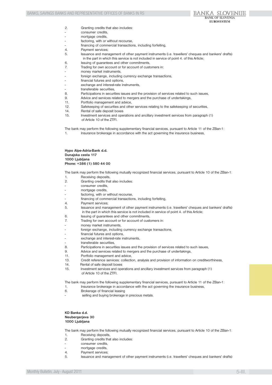

- 2. Granting credits that also includes:
- consumer credits,
- mortgage credits.
- factoring, with or without recourse,
- financing of commercial transactions, including forfeiting,
- 4. Payment services;
- 5. Issuance and management of other payment instruments (i.e. travellers' cheques and bankers' drafts) in the part in which this service is not included in service of point 4. of this Article;
- 6. Issuing of guarantees and other commitments,
- 7. Trading for own account or for account of customers in:
- money market instruments,
- foreign exchange, including currency exchange transactions,
- financial futures and options,
- exchange and interest-rate instruments,
- transferable securities.
- 8. Participations in securities issues and the provision of services related to such issues,
- 9. Advice and services related to mergers and the purchase of undertakings,
- 11. Portfolio management and advice,
- 12. Safekeeping of securities and other services relating to the safekeeping of securities,
- 14. Rental of safe deposit boxes
- 15. Investment services and operations and ancillary investment services from paragraph (1) of Article 10 of the ZTFI.

The bank may perform the following supplementary financial services, pursuant to Article 11 of the ZBan-1: 1. Insurance brokerage in accordance with the act governing the insurance business,

#### **Hypo Alpe-Adria-Bank d.d. Dunajska cesta 117 1000 Ljubljana Phone: +386 (1) 580 44 00**

The bank may perform the following mutually recognized financial services, pursuant to Article 10 of the ZBan-1:

- 1. Receiving deposits,
- 2. Granting credits that also includes:
- consumer credits, mortgage credits.
- factoring, with or without recourse,
- 
- financing of commercial transactions, including forfeiting,
- Payment services;
- 5. Issuance and management of other payment instruments (i.e. travellers' cheques and bankers' drafts) in the part in which this service is not included in service of point 4. of this Article;
- 6. Issuing of guarantees and other commitments,
- 7. Trading for own account or for account of customers in:
- money market instruments
- foreign exchange, including currency exchange transactions,
- financial futures and options
- exchange and interest-rate instruments,
- transferable securities,
- 8. Participations in securities issues and the provision of services related to such issues,
- 9. Advice and services related to mergers and the purchase of undertakings,
- 11. Portfolio management and advice,
- 13. Credit reference services: collection, analysis and provision of information on creditworthiness,
- 14. Rental of safe deposit boxes
- 15. Investment services and operations and ancillary investment services from paragraph (1) of Article 10 of the ZTFI.

The bank may perform the following supplementary financial services, pursuant to Article 11 of the ZBan-1:

- 1. Insurance brokerage in accordance with the act governing the insurance business,
- 6. Brokerage of financial leasing
- selling and buying brokerage in precious metals.

#### **KD Banka d.d. Neubergerjeva 30 1000 Ljubljana**

The bank may perform the following mutually recognized financial services, pursuant to Article 10 of the ZBan-1: 1. Receiving deposits,

- 2. Granting credits that also includes:
- consumer credits,
- mortgage credits.
- 4. Payment services;
- 5. Issuance and management of other payment instruments (i.e. travellers' cheques and bankers' drafts)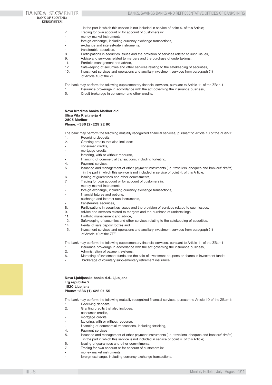- in the part in which this service is not included in service of point 4. of this Article;
- 7. Trading for own account or for account of customers in:
- money market instruments.
- foreign exchange, including currency exchange transactions,
- exchange and interest-rate instruments.
- transferable securities.
- 8. Participations in securities issues and the provision of services related to such issues,
- 9. Advice and services related to mergers and the purchase of undertakings,
- 11. Portfolio management and advice,
- 12. Safekeeping of securities and other services relating to the safekeeping of securities,
- 15. Investment services and operations and ancillary investment services from paragraph (1) of Article 10 of the ZTFI.

The bank may perform the following supplementary financial services, pursuant to Article 11 of the ZBan-1:

- 1. Insurance brokerage in accordance with the act governing the insurance business,
- 5. Credit brokerage in consumer and other credits.

**Nova Kreditna banka Maribor d.d. Ulica Vita Kraigherja 4 2505 Maribor Phone: +386 (2) 229 22 90**

The bank may perform the following mutually recognized financial services, pursuant to Article 10 of the ZBan-1:

- 1. Receiving deposits,
- 2. Granting credits that also includes:
- consumer credits,
- mortgage credits,
- factoring, with or without recourse,
- financing of commercial transactions, including forfeiting,
- 4. Payment services;
- 5. Issuance and management of other payment instruments (i.e. travellers' cheques and bankers' drafts) in the part in which this service is not included in service of point 4. of this Article;<br>6. Issuing of guarantees and other commitments,
- 6. Issuing of guarantees and other commitments,
- 7. Trading for own account or for account of customers in:
- money market instruments,
- foreign exchange, including currency exchange transactions.
- financial futures and options,
- exchange and interest-rate instruments,
- transferable securities
- 8. Participations in securities issues and the provision of services related to such issues,
- 9. Advice and services related to mergers and the purchase of undertakings,
- 11. Portfolio management and advice,
- 12. Safekeeping of securities and other services relating to the safekeeping of securities,
- 14. Rental of safe deposit boxes and
- 15. Investment services and operations and ancillary investment services from paragraph (1) of Article 10 of the ZTFI.

The bank may perform the following supplementary financial services, pursuant to Article 11 of the ZBan-1:

- 1. Insurance brokerage in accordance with the act governing the insurance business,
- 2. Administration of payment systems,
- 6. Marketing of investment funds and the sale of investment coupons or shares in investment funds:
- brokerage of voluntary supplementary retirement insurance.

**Nova Ljubljanska banka d.d., Ljubljana Trg republike 2 1520 Ljubljana Phone: +386 (1) 425 01 55**

The bank may perform the following mutually recognized financial services, pursuant to Article 10 of the ZBan-1: 1. Receiving deposits,

- 2. Granting credits that also includes:
- consumer credits,
- mortgage credits.
- factoring, with or without recourse,
- financing of commercial transactions, including forfeiting,
- 4. Payment services;
- 5. Issuance and management of other payment instruments (i.e. travellers' cheques and bankers' drafts) in the part in which this service is not included in service of point 4. of this Article;
- 6. Issuing of guarantees and other commitments,
- 7. Trading for own account or for account of customers in:
- money market instruments.
- foreign exchange, including currency exchange transactions,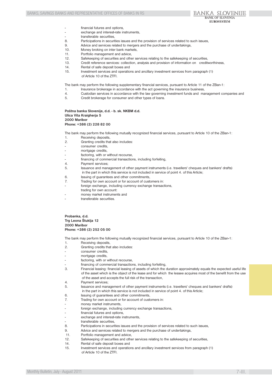

- financial futures and options,
- exchange and interest-rate instruments,
- transferable securities.
- 8. Participations in securities issues and the provision of services related to such issues,
- 9. Advice and services related to mergers and the purchase of undertakings,<br>10. Money broking on inter bank markets,
- Money broking on inter bank markets.
- 11 Portfolio management and advice
- 12. Safekeeping of securities and other services relating to the safekeeping of securities,
- 13. Credit reference services: collection, analysis and provision of information on creditworthiness,
- 14. Rental of safe deposit boxes and
- 15. Investment services and operations and ancillary investment services from paragraph (1) of Article 10 of the ZTFI.

The bank may perform the following supplementary financial services, pursuant to Article 11 of the ZBan-1:

- 1. Insurance brokerage in accordance with the act governing the insurance business,
- 4. Custodian services in accordance with the law governing investment funds and management companies and<br>5. Credit brokerage for consumer and other types of loans.
- 5. Credit brokerage for consumer and other types of loans.

**Poštna banka Slovenije, d.d. - b. sk. NKBM d.d. Ulica Vita Kraigherja 5 2000 Maribor Phone: +386 (2) 228 82 00**

The bank may perform the following mutually recognized financial services, pursuant to Article 10 of the ZBan-1:

- 1. Receiving deposits,
- 2. Granting credits that also includes:
- consumer credits,
- mortgage credits,
- factoring, with or without recourse,
- financing of commercial transactions, including forfeiting,
- 4. Payment services;
- 5. Issuance and management of other payment instruments (i.e. travellers' cheques and bankers' drafts) in the part in which this service is not included in service of point 4. of this Article;<br>6. Issuing of guarantees and other commitments,
- 6. Issuing of guarantees and other commitments,
- 7. Trading for own account or for account of customers in:
- foreign exchange, including currency exchange transactions, trading for own account:
- 
- money market instruments and
- transferable securities.

**Probanka, d.d. Trg Leona Štuklja 12 2000 Maribor Phone: +386 (2) 252 05 00**

The bank may perform the following mutually recognized financial services, pursuant to Article 10 of the ZBan-1:

- 1. Receiving deposits,
- 2. Granting credits that also includes:
- consumer credits.
- mortgage credits,
- factoring, with or without recourse,
- financing of commercial transactions, including forfeiting,
- 3. Financial leasing: financial leasing of assets of which the duration approximately equals the expected useful life of the asset which is the object of the lease and for which the lessee acquires most of the benefit from the use of the asset and accepts the full risk of the transaction,
- 4. Payment services;
- 5. Issuance and management of other payment instruments (i.e. travellers' cheques and bankers' drafts) in the part in which this service is not included in service of point 4. of this Article;
- 6. Issuing of guarantees and other commitments,
- 7. Trading for own account or for account of customers in:
- money market instruments,
- foreign exchange, including currency exchange transactions,
- financial futures and options,
- exchange and interest-rate instruments,
- transferable securities,
- 8. Participations in securities issues and the provision of services related to such issues,
- 9. Advice and services related to mergers and the purchase of undertakings,
- 11. Portfolio management and advice,
- 12. Safekeeping of securities and other services relating to the safekeeping of securities,
- 14. Rental of safe deposit boxes and
- 15. Investment services and operations and ancillary investment services from paragraph (1) of Article 10 of the ZTFI.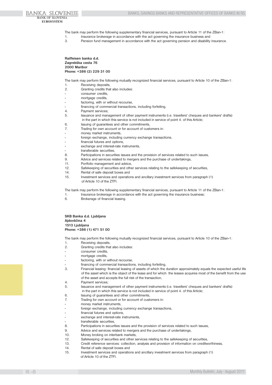The bank may perform the following supplementary financial services, pursuant to Article 11 of the ZBan-1: 1. Insurance brokerage in accordance with the act governing the insurance business and

3. Pension fund management in accordance with the act governing pension and disability insurance.

**Raiffeisen banka d.d. Zagrebška cesta 76 2000 Maribor Phone: +386 (2) 229 31 00**

The bank may perform the following mutually recognized financial services, pursuant to Article 10 of the ZBan-1: 1. Receiving deposits,

- 
- 2. Granting credits that also includes:
- consumer credits, mortgage credits.
- factoring, with or without recourse,
- financing of commercial transactions, including forfeiting,
- 4. Payment services;
- 5. Issuance and management of other payment instruments (i.e. travellers' cheques and bankers' drafts) in the part in which this service is not included in service of point 4. of this Article;
- 6. Issuing of guarantees and other commitments,
- 7. Trading for own account or for account of customers in:
- money market instruments,
- foreign exchange, including currency exchange transactions,
- financial futures and options,
- exchange and interest-rate instruments,
- transferable securities.
- 8. Participations in securities issues and the provision of services related to such issues,
- 9. Advice and services related to mergers and the purchase of undertakings,
- 11. Portfolio management and advice,
- 12. Safekeeping of securities and other services relating to the safekeeping of securities,
- 14. Rental of safe deposit boxes and
- 15. Investment services and operations and ancillary investment services from paragraph (1) of Article 10 of the ZTFI.

The bank may perform the following supplementary financial services, pursuant to Article 11 of the ZBan-1:

- 1. Insurance brokerage in accordance with the act governing the insurance business;
- 6. Brokerage of financial leasing.

**SKB Banka d.d. Ljubljana Ajdovščina 4 1513 Ljubljana Phone: +386 (1) 471 51 00**

The bank may perform the following mutually recognized financial services, pursuant to Article 10 of the ZBan-1:

- 1. Receiving deposits,
- 2. Granting credits that also includes:
- consumer credits.
- mortgage credits,
- factoring, with or without recourse,
- financing of commercial transactions, including forfeiting,
- 3. Financial leasing: financial leasing of assets of which the duration approximately equals the expected useful life of the asset which is the object of the lease and for which the lessee acquires most of the benefit from the use of the asset and accepts the full risk of the transaction,
- 4. Payment services;
- 5. Issuance and management of other payment instruments (i.e. travellers' cheques and bankers' drafts) in the part in which this service is not included in service of point 4. of this Article;
- 6. Issuing of guarantees and other commitments,
- 7. Trading for own account or for account of customers in:
- money market instruments,
- foreign exchange, including currency exchange transactions,
- financial futures and options,
- exchange and interest-rate instruments,
- transferable securities,
- 8. Participations in securities issues and the provision of services related to such issues,
- 9. Advice and services related to mergers and the purchase of undertakings,<br>10. Money broking on interbank markets,
- Money broking on interbank markets,
- 12. Safekeeping of securities and other services relating to the safekeeping of securities,
- 13. Credit reference services: collection, analysis and provision of information on creditworthiness,
- 14. Rental of safe deposit boxes and
- 15. Investment services and operations and ancillary investment services from paragraph (1) of Article 10 of the ZTFI.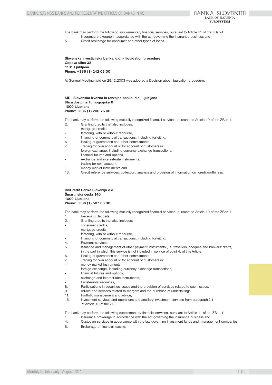BANKA SLOVENIJE BANK OF SLOVENIA **EUROSYSTEM**

The bank may perform the following supplementary financial services, pursuant to Article 11 of the ZBan-1: 1. Insurance brokerage in accordance with the act governing the insurance business and 5. Credit brokerage for consumer and other types of loans.

**Slovenska investicijska banka, d.d. – liquidation procedure Čopova ulica 38 1101 Ljubljana Phone: +386 (1) 242 03 00**

At General Meeting held on 29.12.2003 was adopted a Decision about liquidation procedure.

**SID - Slovenska izvozna in razvojna banka, d.d., Ljubljana Ulica Josipine Turnograjske 6 1000 Ljubljana Phone: +386 (1) 200 75 00**

The bank may perform the following mutually recognized financial services, pursuant to Article 10 of the ZBan-1: 2. Granting credits that also includes:

- mortgage credits.
- factoring, with or without recourse,
- financing of commercial transactions, including forfeiting,
- 6. Issuing of guarantees and other commitments,
- 7. Trading for own account or for account of customers in:
- foreign exchange, including currency exchange transactions,
- financial futures and options,
- exchange and interest-rate instruments.
- trading for own account:
- money market instruments and
- 13. Credit reference services: collection, analysis and provision of information on creditworthiness.

#### **UniCredit Banka Slovenija d.d. Šmartinska cesta 140 1000 Ljubljana Phone: +386 (1) 587 66 00**

The bank may perform the following mutually recognized financial services, pursuant to Article 10 of the ZBan-1:

- 1. Receiving deposits,
- 2. Granting credits that also includes:
- consumer credits,
- mortgage credits,
- factoring, with or without recourse.
- financing of commercial transactions, including forfeiting,
- 4. Payment services;
- 5. Issuance and management of other payment instruments (i.e. travellers' cheques and bankers' drafts) in the part in which this service is not included in service of point 4. of this Article;
- 6. Issuing of guarantees and other commitments,
- 7. Trading for own account or for account of customers in:
- money market instruments
- foreign exchange, including currency exchange transactions,
- financial futures and options,
- exchange and interest-rate instruments,
- transferable securities,
- 8. Participations in securities issues and the provision of services related to such issues,
- 9. Advice and services related to mergers and the purchase of undertakings,
- 11. Portfolio management and advice,
- 15. Investment services and operations and ancillary investment services from paragraph (1) of Article 10 of the ZTFI.

The bank may perform the following supplementary financial services, pursuant to Article 11 of the ZBan-1:

- 1. Insurance brokerage in accordance with the act governing the insurance business and
- 4. Custodian services in accordance with the law governing investment funds and management companies;
- 6. Brokerage of financial leasing.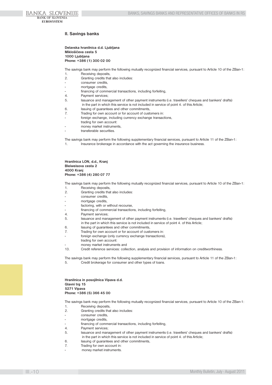#### **II. Savings banks**

**Delavska hranilnica d.d. Ljubljana Miklošičeva cesta 5 1000 Ljubljana Phone: +386 (1) 300 02 00**

The savings bank may perform the following mutually recognized financial services, pursuant to Article 10 of the ZBan-1:

- 1. Receiving deposits,
- 2. Granting credits that also includes:
- consumer credits,
- mortgage credits,
- financing of commercial transactions, including forfeiting,
- 4. Payment services;
- 5. Issuance and management of other payment instruments (i.e. travellers' cheques and bankers' drafts) in the part in which this service is not included in service of point 4. of this Article;
- 6. Issuing of guarantees and other commitments,
- 7. Trading for own account or for account of customers in:
- foreign exchange, including currency exchange transactions,
- trading for own account:
- money market instruments,
- transferable securities.

The savings bank may perform the following supplementary financial services, pursuant to Article 11 of the ZBan-1: 1. Insurance brokerage in accordance with the act governing the insurance business.

**Hranilnica LON, d.d., Kranj Bleiweisova cesta 2 4000 Kranj Phone: +386 (4) 280 07 77**

The savings bank may perform the following mutually recognized financial services, pursuant to Article 10 of the ZBan-1:

- 1. Receiving deposits,
- 2. Granting credits that also includes:
- consumer credits,
- mortgage credits,
- factoring, with or without recourse,
- financing of commercial transactions, including forfeiting,
- 4. Payment services;
- 5. Issuance and management of other payment instruments (i.e. travellers' cheques and bankers' drafts) in the part in which this service is not included in service of point 4. of this Article;<br>6. Issuing of guarantees and other commitments,
- 6. Issuing of guarantees and other commitments,
- 7. Trading for own account or for account of customers in:
- foreign exchange (only currency exchange transactions),
- trading for own account:
- money market instruments and
- 13. Credit reference services: collection, analysis and provision of information on creditworthiness.

The savings bank may perform the following supplementary financial services, pursuant to Article 11 of the ZBan-1: 5. Credit brokerage for consumer and other types of loans.

#### **Hranilnica in posojilnica Vipava d.d. Glavni trg 15 5271 Vipava Phone: +386 (5) 366 45 00**

The savings bank may perform the following mutually recognized financial services, pursuant to Article 10 of the ZBan-1:

- 1. Receiving deposits,
- 2. Granting credits that also includes:
- consumer credits,
- mortgage credits
- financing of commercial transactions, including forfeiting,
- 4. Payment services;
- 5. Issuance and management of other payment instruments (i.e. travellers' cheques and bankers' drafts) in the part in which this service is not included in service of point 4. of this Article;
- 6. Issuing of guarantees and other commitments,
- 7. Trading for own account in:
	- money market instruments.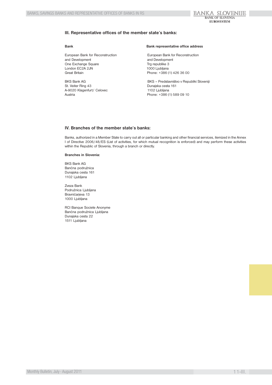BANKA SLOVENIJE BANK OF SLOVENIA **EUROSYSTEM**

#### **III. Representative offices of the member state's banks:**

#### **Bank Bank representative office address**

European Bank for Reconstruction European Bank for Reconstruction and Development and Development One Exchange Square Trg republike 3<br>
London EC2A 2JN 1000 Ljubljana London EC2A 2JN Great Britain **Phone: +386 (1) 426 36 00** 

St. Veiter Ring 43 Dunajska cesta 161 A-9020 Klagenfurt/ Celovec 1102 Ljubljana

BKS Bank AG **BKS** – Predstavništvo v Republiki Sloveniji Austria Phone: +386 (1) 589 09 10

#### **IV. Branches of the member state's banks:**

Banks, authorized in a Member State to carry out all or particular banking and other financial services, itemized in the Annex I of Directive 2006/48/ES (List of activities, for which mutual recognition is enforced) and may perform these activities within the Republic of Slovenia, through a branch or directly.

#### **Branches in Slovenia:**

BKS Bank AG Bančna podružnica Dunajska cesta 161 1102 Ljubljana

Zveza Bank Podružnica Ljubljana Bravničarjeva 13 1000 Ljubljana

RCI Banque Societe Anonyme Bančna podružnica Ljubljana Dunajska cesta 22 1511 Ljubljana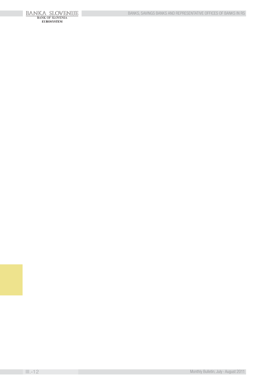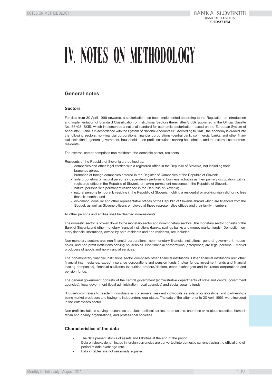## IV. NOTES ON METHODOLOGY

## **General notes**

#### **Sectors**

For data from 30 April 1999 onwards, a sectorization has been implemented according to the Regulation on Introduction and Implementation of Standard Classification of Institutional Sectors (hereinafter SKIS), published in the Official Gazette No. 56/98. SKIS, which implemented a national standard for economic sectorization, based on the European System of Accounts 95 and is in accordance with the System of National Accounts 93. According to SKIS, the economy is divided into the following sectors: non-financial corporations, financial corporations (central bank, commercial banks, and other financial institutions), general government, households, non-profit institutions serving households, and the external sector (nonresidents).

The external sector comprises non-residents; the domestic sector, residents.

Residents of the Republic of Slovenia are defined as:

- companies and other legal entities with a registered office in the Republic of Slovenia, not including their branches abroad;
- branches of foreign companies entered in the Register of Companies of the Republic of Slovenia;
- sole proprietors or natural persons independently performing business activities as their primary occupation, with a registered office in the Republic of Slovenia or having permanent residence in the Republic of Slovenia;
- natural persons with permanent residence in the Republic of Slovenia;
- natural persons temporarily residing in the Republic of Slovenia, holding a residential or working visa valid for no less than six months; and
- diplomatic, consular and other representative offices of the Republic of Slovenia abroad which are financed from the Budget, as well as Slovene citizens employed at these representative offices and their family members.

All other persons and entities shall be deemed non-residents.

The domestic sector is broken down to the monetary sector and non-monetary sectors. The monetary sector consists of the Bank of Slovenia and other monetary financial institutions (banks, savings banks and money market funds). Domestic monetary financial institutions, owned by both residents and non-residents, are included.

Non-monetary sectors are: non-financial corporations, non-monetary financial institutions, general government, households, and non-profit institutions serving households. Non-financial corporations (enterprises) are legal persons – market producers of goods and non-financial services.

The non-monetary financial institutions sector comprises other financial institutions. Other financial institutions are: other financial intermediaries, except insurance corporations and pension funds (mutual funds, investment funds and financial leasing companies), financial auxiliaries (securities brokers/dealers, stock exchanges) and insurance corporations and pension funds.

The general government consists of the central government (administrative departments of state and central government agencies), local government (local administration, local agencies) and social security funds.

"Households" refers to resident individuals as consumers, resident individuals as sole proprietorships, and partnerships being market producers and having no independent legal status. The data of the latter, prior to 30 April 1999, were included in the enterprises sector.

Non-profit institutions serving households are clubs, political parties, trade unions, churches or religious societies, humanitarian and charity organizations, and professional societies.

#### **Characteristics of the data**

- The data present stocks of assets and liabilities at the end of the period.
- Data on stocks denominated in foreign currencies are converted into domestic currency using the official end-ofperiod middle exchange rate.
- Data in tables are not seasonally adjusted.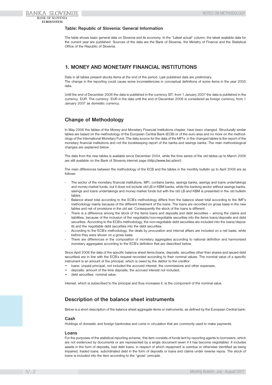#### **Table: Republic of Slovenia: General Information**

The table shows basic general data on Slovenia and its economy. In the "Latest actual" column, the latest available data for the current year are published. Sources of the data are the Bank of Slovenia, the Ministry of Finance and the Statistical Office of the Republic of Slovenia.

## **1. MONEY AND MONETARY FINANCIAL INSTITUTIONS**

Data in all tables present stocks items at the end of the period. Last published data are preliminary. The change in the reporting could cause some inconsistencies in conceptual definitions of some items in the year 2005 data.

Until the end of December 2006 the data is published in the currency SIT, from 1 January 2007 the data is published in the currency EUR. The currency EUR in the data until the end of December 2006 is considered as foreign currency, from 1 January 2007 as domestic currency.

## **Change of Methodology**

In May 2006 the tables of the Money and Monetary Financial Institutions chapter, have been changed. Structurally similar tables are based on the methodology of the European Central Bank (ECB) or of the euro area and no more on the methodology of the International Monetary Fund. The data source for the data of the MFI's in the changed tables is the report of the monetary financial institutions and not the bookkeeping report of the banks and savings banks. The main methodological changes are explained below.

The data from the new tables is available since December 2004, while the time series of the old tables up to March 2006 are still available on the Bank of Slovenia internet page (*http://www.bsi.si/en/*).

The main differences between the methodology of the ECB and the tables in the monthly bulletin up to April 2006 are as follows:

- The sector of the monetary financial institutions, MFI, contains banks, savings banks, savings and loans undertakings and money market funds, but it does not include old LB in KBM banks, while the banking sector without savings banks, savings and loans undertakings and money market funds but with the old LB and KBM is presented in the old bulletin tables.
- Balance sheet total according to the ECB's methodology differs from the balance sheet total according to the IMF's methodology mainly because of the different treatment of the loans. The loans are recorded on gross basis in the new tables and net of provisions in the old set. Consequently the stock of the loans is different.
- There is a difference among the stock of the items loans and deposits and debt securities among the claims and liabilities, because of the inclusion of the negotiable/non-negotiable securities into the items loans/deposits and debt securities. According to the ECB's methodology, the non-negotiable debt securities are included into the loans/deposits and the negotiable debt securities into the debt securities.
- According to the ECB's methodology, the deals by procuration and internal affairs are included on a net basis, while before they were shown on a gross basis.
- There are differences in the composition of monetary aggregates according to national definition and harmonized monetary aggregates according to the ECB's definition that are described below.

Since April 2006 the data of the specific balance sheet items (loans, deposits, securities other than shares and issued debt securities) are in line with the ECB's request recorded according to their nominal values. The nominal value of a specific instrument is an amount of the principal, which is owed by the debtor to the creditor:

- loans: unpaid principal, not included the accrued interest, the commissions and other expenses,
- deposits: amount of the time deposits, the accrued interest not included,
- debt securities: nominal value.

Interest, which is subscribed to the principal and thus increases it, is the component of the nominal value.

## **Description of the balance sheet instruments**

Below is a short description of the balance sheet aggregate items or instruments, as defined by the European Central bank:

#### **Cash**

Holdings of domestic and foreign banknotes and coins in circulation that are commonly used to make payments.

#### **Loans**

For the purposes of the statistical reporting scheme, this item consists of funds lent by reporting agents to borrowers, which are not evidenced by documents or are represented by a single document (even if it has become negotiable). It includes assets in the form of deposits, bad debt loans, in respect of which repayment is overdue or otherwise identified as being impaired, traded loans, subordinated debt in the form of deposits or loans and claims under reverse repos. The stock of loans is included into the item according to the "gross" principle.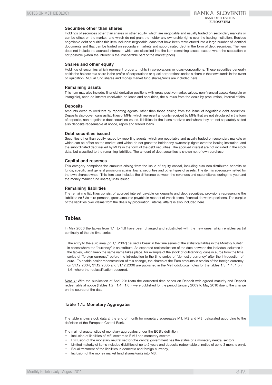#### BANKA SLOVENIJE BANK OF SLOVENL **EUROSYSTEM**

#### **Securities other than shares**

Holdings of securities other than shares or other equity, which are negotiable and usually traded on secondary markets or can be offset on the market, and which do not grant the holder any ownership rights over the issuing institution. Besides negotiable debt securities this item includes: negotiable loans that have been restructured into a large number of identical documents and that can be traded on secondary markets and subordinated debt in the form of debt securities. The item does not include the accrued interest – which are classified into the item remaining assets, except when the separation is not possible (when the interest is the inseparable part of the market price).

#### **Shares and other equity**

Holdings of securities which represent property rights in corporations or quasi-corporations. These securities generally entitle the holders to a share in the profits of corporations or quasi-corporations and to a share in their own funds in the event of liquidation. Mutual fund shares and money market fund shares/units are included here.

#### **Remaining assets**

This item may also include: financial derivative positions with gross positive market values, non-financial assets (tangible or intangible), accrued interest receivable on loans and securities, the surplus from the deals by procuration, internal affairs.

#### **Deposits**

Amounts owed to creditors by reporting agents, other than those arising from the issue of negotiable debt securities. Deposits also cover loans as liabilities of MFIs, which represent amounts received by MFIs that are not structured in the form of deposits, non-negotiable debt securities issued, liabilities for the loans received and where they are not separately stated also deposits redeemable at notice, repos and traded loans.

#### **Debt securities issued**

Securities other than equity issued by reporting agents, which are negotiable and usually traded on secondary markets or which can be offset on the market, and which do not grant the holder any ownership rights over the issuing institution, and the subordinated debt issued by MFI's in the form of the debt securities. The accrued interest are not included in the stock data, but classified to the remaining liabilities. The amount of debt securities is shown net of own purchase.

#### **Capital and reserves**

This category comprises the amounts arising from the issue of equity capital, including also non-distributed benefits or funds, specific and general provisions against loans, securities and other types of assets. The item is adequately netted for the own shares owned. This item also includes the difference between the revenues and expenditures during the year and the money market fund shares/units issued.

#### **Remaining liabilities**

The remaining liabilities consist of accrued interest payable on deposits and debt securities, provisions representing the liabilities vis-ŕ-vis third persons, gross amounts payable in respect of transit items, financial derivative positions. The surplus of the liabilities over claims from the deals by procuration, internal affairs is also included here.

## **Tables**

In May 2006 the tables from 1.1. to 1.8 have been changed and substituted with the new ones, which enables partial continuity of the old time series.

The entry to the euro area (on 1,1.2007) caused a break in the time series of the statistical tables in the Monthly bulletin in cases where the "currency" is an attribute. An expected reclassification of the data between the individual columns in the tables, which keep the same name takes place, for example of the stock of outstanding loans in euros from the time series of "foreign currency" before the introduction to the time series of "domestic currency" after the introduction of euro. To enable easier reconstruction of this change, the shares of the Euro amounts in stocks of the foreign currency on 31.12.2004, 31.12.2005 and 31.12.2006 are published in the Methodological notes for the tables 1.3, 1.4, 1.5 in 1.6, where the reclassification occurred.

*Note 1:* With the publication of April 2011data the corrected time series on Deposit with agreed maturity and Deposit redeemable at notice (Tables 1.2., 1.4., 1.6.) were published for the period January 2009 to May 2010 due to the change on the source of the data.

#### **Table 1.1.: Monetary Aggregates**

The table shows stock data at the end of month for monetary aggregates M1, M2 and M3, calculated according to the definition of the European Central Bank.

The main characteristics of monetary aggregates under the ECB's definition:

- Inclusion of liabilities of MFI sectors to EMU non-monetary sectors,
- Exclusion of the monetary neutral sector (the central government has the status of a monetary neutral sector),
- Limited maturity of items included (liabilities of up to 2 years and deposits redeemable at notice of up to 3 months only),
- Equal treatment of the liabilities in domestic and foreign currency,
- Inclusion of the money market fund shares/units into M3.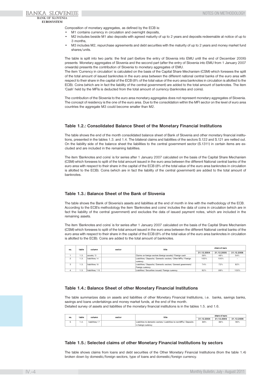Composition of monetary aggregates, as defined by the ECB is:

- M1 contains currency in circulation and overnight deposits,
- M2 includes beside M1 also deposits with agreed maturity of up to 2 years and deposits redeemable at notice of up to 3 months,
- M3 includes M2, repurchase agreements and debt securities with the maturity of up to 2 years and money market fund shares/units.

The table is split into two parts: the first part (before the entry of Slovenia into EMU until the end of December 2006) presents Monetary aggregates of Slovenia and the second part (after the entry of Slovenia into EMU from 1 January 2007 onwards) presents the contribution of Slovenia to monetary aggregates of EMU.

The item 'Currency in circulation' is calculated on the basis of the Capital Share Mechanism (CSM) which foresees the split of the total amount of issued banknotes in the euro area between the different national central banks of the euro area with respect to their share in the capital of the ECB (8% of the total value of the euro area banknotes in circulation is allotted to the ECB). Coins (which are in fact the liability of the central government) are added to the total amount of banknotes. The item 'Cash' held by the MFIs is deducted from the total amount of currency (banknotes and coins).

The contribution of the Slovenia to the euro area monetary aggregates does not represent monetary aggregates of Slovenia. The concept of residency is the one of the euro area. Due to the consolidation within the MFI sector on the level of euro area countries the aggregate M3 could become smaller than M2.

#### **Table 1.2.: Consolidated Balance Sheet of the Monetary Financial Institutions**

The table shows the end of the month consolidated balance sheet of Bank of Slovenia and other monetary financial institutions, presented in the tables 1.3. and 1.4. The bilateral claims and liabilities of the sectors S.122 and S.121 are netted out. On the liability side of the balance sheet the liabilities to the central government sector (S.1311) in certain items are excluded and are included in the remaining liabilities.

The item 'Banknotes and coins' is for series after 1 January 2007 calculated on the basis of the Capital Share Mechanism (CSM) which foresees to split of the total amount issued in the euro area between the different National central banks of the euro area with respect to their share in the capital of the ECB (8% of the total value of the euro area banknotes in circulation is allotted to the ECB). Coins (which are in fact the liability of the central government) are added to the total amount of banknotes.

#### **Table 1.3.: Balance Sheet of the Bank of Slovenia**

The table shows the Bank of Slovenia's assets and liabilities at the end of month in line with the methodology of the ECB. According to the ECB's methodology the item 'Banknotes and coins' includes the data of coins in circulation (which are in fact the liability of the central government) and excludes the data of issued payment notes, which are included in the remaining assets.

The item 'Banknotes and coins' is for series after 1 January 2007 calculated on the basis of the Capital Share Mechanism (CSM) which foresees to split of the total amount issued in the euro area between the different National central banks of the euro area with respect to their share in the capital of the ECB (8% of the total value of the euro area banknotes in circulation is allotted to the ECB). Coins are added to the total amount of banknotes.

| no. | table | column         | sector | title                                                            | share of euro |            |            |
|-----|-------|----------------|--------|------------------------------------------------------------------|---------------|------------|------------|
|     |       |                |        |                                                                  | 31.12.2004    | 31.12.2005 | 31.12.2006 |
|     | 1.3   | assets/3       |        | Claims on foreign sectors (foreign assets)/ Foreign cash         | 58%           | 48%        | 54%        |
|     | 1.3   | liabilities/4  |        | Liabilities / Deposits / Domestic sectors / Other MFIs / Foreign | 100%          | 100%       |            |
|     |       |                |        | currency                                                         |               |            |            |
| з   | 1.3.  | liabilities/8  |        | Liabilities / Deposits / Domestic sectors / General government/  | 74%           | 72%        | 82%        |
|     |       |                |        | Foreign currency                                                 |               |            |            |
|     | 1.3   | liabilities/15 |        | Liabilties/ Securities issued/ Foreion currency                  | 92%           | 89%        | 100%       |

#### **Table 1.4.: Balance Sheet of other Monetary Financial Institutions**

The table summarizes data on assets and liabilities of other Monetary Financial Institutions, i.e. banks, savings banks, savings and loans undertakings and money market funds, at the end of the month.

| Detailed survey of assets and liabilities of the monetary financial institutions is in the tables 1.5. and 1.6. |  |
|-----------------------------------------------------------------------------------------------------------------|--|
|-----------------------------------------------------------------------------------------------------------------|--|

| no. | table | column       | sector | title                                                              | share of euro |            |            |
|-----|-------|--------------|--------|--------------------------------------------------------------------|---------------|------------|------------|
|     |       |              |        |                                                                    | 31.12.2004    | 31.12.2005 | 31.12.2006 |
|     | 1.4.  | liabilities/ |        | Liabilities to domestic sectors/ Liabilities to non-MFIs/ Deposits | 88%           | 88%        | 90%        |
|     |       |              |        | I in foreign currency                                              |               |            |            |

#### **Table 1.5.: Selected claims of other Monetary Financial Institutions by sectors**

The table shows claims from loans and debt securities of the Other Monetary Financial Institutions (from the table 1.4) broken down by domestic/foreign sectors, type of loans and domestic/foreign currency.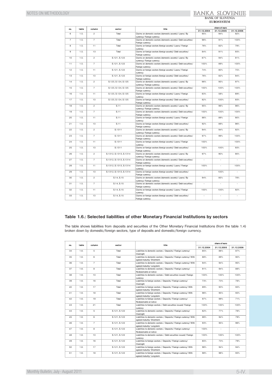#### BANKA SLOVENIJE BANK OF SLOVENIA

## **EUROSYSTEM**

|                |       |                  |                        |                                                                                       | share of euro |            |            |
|----------------|-------|------------------|------------------------|---------------------------------------------------------------------------------------|---------------|------------|------------|
| no.            | table | column           | sector                 | title                                                                                 | 31.12.2004    | 31.12.2005 | 31.12.2006 |
| 6              | 1.5.  | $\overline{c}$   | Total                  | Claims on domestic sectors (domestic assets)/ Loans/ By<br>currency/ Foreign currency | 95%           | 94%        | 92%        |
| $\overline{7}$ | 1.5.  | $\overline{7}$   | Total                  | Claims on domestic sectors (domestic assets)/ Debt securities/<br>Foreign currency    | 98%           | 91%        | 100%       |
| 8              | 1.5.  | 11               | Total                  | Claims on foreign sectors (foreign assets)/ Loans/ Foreign<br>currency                | 76%           | 82%        | 79%        |
| $\mathbf{9}$   | 1.5.  | 13               | Total                  | Claims on foreign sectors (foreign assets)/ Debt securities/<br>Foreign currency      | 84%           | 91%        | 93%        |
| 10             | 1.5.  | $\overline{c}$   | S.121, S.122           | Claims on domestic sectors (domestic assets)/ Loans/ By<br>currency/ Foreign currency | 87%           | 94%        | 91%        |
| 11             | 1.5.  | $\overline{7}$   | S.121, S.122           | Claims on domestic sectors (domestic assets)/ Debt securities/<br>Foreign currency    | 100%          | 89%        | 100%       |
| 12             | 1.5.  | 11               | S.121, S.122           | Claims on foreign sectors (foreign assets)/ Loans/ Foreign<br>currency                | 74%           | 80%        | 75%        |
| 13             | 1.5.  | 13               | S.121, S.122           | Claims on foreign sectors (foreign assets)/ Debt securities/<br>Foreign currency      | 76%           | 82%        | 94%        |
| 14             | 1.5.  | $\mathfrak{p}$   | S.123, S.124, S.125    | Claims on domestic sectors (domestic assets)/ Loans/ By<br>currency/ Foreign currency | 96%           | 95%        | 97%        |
| 15             | 1.5.  | $\overline{7}$   | S.123, S.124, S.125    | Claims on domestic sectors (domestic assets)/ Debt securities/<br>Foreign currency    | 100%          | 100%       | 100%       |
| 16             | 1.5.  | 11               | S.123, S.124, S.125    | Claims on foreign sectors (foreign assets)/ Loans/ Foreign<br>currency                | 63%           | 58%        | 69%        |
| 17             | 1.5.  | 13               | S.123, S.124, S.125    | Claims on foreign sectors (foreign assets)/ Debt securities/<br>Foreign currency      | 82%           | 100%       | 93%        |
| 18             | 1.5.  | $\overline{c}$   | S.11                   | Claims on domestic sectors (domestic assets)/ Loans/ By<br>currency/ Foreign currency | 95%           | 96%        | 96%        |
| 19             | 1.5.  | $\overline{7}$   | S.11                   | Claims on domestic sectors (domestic assets)/ Debt securities/<br>Foreign currency    | 100%          | 100%       | 100%       |
| 20             | 1.5.  | 11               | S.11                   | Claims on foreign sectors (foreign assets)/ Loans/ Foreign<br>currency                | 86%           | 89%        | 90%        |
| 21             | 1.5.  | 13               | S.11                   | Claims on foreign sectors (foreign assets)/ Debt securities/<br>Foreign currency      | 92%           | 89%        | 96%        |
| 22             | 1.5.  | $\overline{c}$   | S.1311                 | Claims on domestic sectors (domestic assets)/ Loans/ By<br>currency/ Foreign currency | 94%           | 94%        | 92%        |
| 23             | 1.5.  | $\boldsymbol{7}$ | S.1311                 | Claims on domestic sectors (domestic assets)/ Debt securities/<br>Foreign currency    | 97%           | 99%        | 100%       |
| 24             | 1.5.  | 11               | S.1311                 | Claims on foreign sectors (foreign assets)/ Loans/ Foreign<br>currency                | 100%          |            | 100%       |
| 25             | 1.5.  | 13               | S.1311                 | Claims on foreign sectors (foreign assets)/ Debt securities/<br>Foreign currency      | 100%          | 100%       | 93%        |
| 26             | 1.5.  | $\overline{c}$   | S.1312, S.1313, S.1314 | Claims on domestic sectors (domestic assets)/ Loans/ By<br>currency/ Foreign currency | 97%           | 90%        | 90%        |
| 27             | 1.5.  | $\overline{7}$   | S.1312, S.1313, S.1314 | Claims on domestic sectors (domestic assets)/ Debt securities/<br>Foreign currency    |               | ٠          |            |
| 28             | 1.5.  | 11               | S.1312, S.1313, S.1314 | Claims on foreign sectors (foreign assets)/ Loans/ Foreign<br>currency                | 100%          | ÷.         | 100%       |
| 29             | 1.5.  | 13               | S.1312, S.1313, S.1314 | Claims on foreign sectors (foreign assets)/ Debt securities/<br>Foreign currency      |               | 100%       |            |
| 30             | 1.5.  | $\overline{c}$   | S.14, S.15             | Claims on domestic sectors (domestic assets)/ Loans/ By<br>currency/ Foreign currency | 94%           | 85%        | 78%        |
| 31             | 1.5.  | $\overline{7}$   | S.14, S.15             | Claims on domestic sectors (domestic assets)/ Debt securities/<br>Foreign currency    |               | ٠          |            |
| 32             | 1.5.  | 11               | S.14, S.15             | Claims on foreign sectors (foreign assets)/ Loans/ Foreign<br>currency                | 100%          | 100%       | 92%        |
| 33             | 1.5.  | 13               | S.14, S.15             | Claims on foreign sectors (foreign assets)/ Debt securities/<br>Foreign currency      |               |            |            |

#### **Table 1.6.: Selected liabilities of other Monetary Financial Institutions by sectors**

The table shows liabilities from deposits and securities of the Other Monetary Financial Institutions (from the table 1.4) broken down by domestic/foreign sectors, type of deposits and domestic/foreign currency.

| no. | table | column         | sector       | title                                                                                              | share of euro |            |            |
|-----|-------|----------------|--------------|----------------------------------------------------------------------------------------------------|---------------|------------|------------|
|     |       |                |              |                                                                                                    | 31.12.2004    | 31.12.2005 | 31.12.2006 |
| 34  | 1.6.  | 5              | Total        | Liabilities to domestic sectors / Deposits/ Foreign currency/<br>Ovemight                          | 85%           | 86%        | 87%        |
| 35  | 1.6.  | 6              | Total        | Liabilities to domestic sectors / Deposits / Foreign currency/ With<br>agreed maturity/ Short-term | 88%           | 89%        | 90%        |
| 36  | 1.6.  | $\overline{7}$ | Total        | Liabilities to domestic sectors / Deposits/ Foreign currency/ With<br>agreed maturity/ Long-term   | 94%           | 94%        | 95%        |
| 37  | 1.6.  | 8              | Total        | Liabilities to domestic sectors / Deposits / Foreign currency/<br>Redeeemable at notice            | 91%           | 94%        | 88%        |
| 38  | 1.6.  | 10             | Total        | Liabilities to domestic sectors / Debt securities issued/ Foreign<br>currency                      | 100%          | 100%       | 100%       |
| 39  | 1.6.  | 16             | Total        | Liabilities to foreign sectors / Deposits/ Foreign currency/<br>Ovemight                           | 73%           | 73%        | 78%        |
| 40  | 1.6.  | 17             | Total        | Liabilities to foreign sectors / Deposits/ Foreign currency/ With<br>agreed maturity/ Short-term   | 89%           | 93%        | 93%        |
| 41  | 1.6.  | 18             | Total        | Liabilities to foreign sectors / Deposits/ Foreign currency/ With<br>agreed maturity/ Long-term    | 96%           | 95%        | 93%        |
| 42  | 1.6.  | 19             | Total        | Liabilities to foreign sectors / Deposits/ Foreign currency/<br>Redeeemable at notice              | 97%           | 99%        | 71%        |
| 43  | 1.6.  | 21             | Total        | Liabilities to foreign sectors / Debt securities issued/ Foreign<br>currency                       | 100%          | 100%       | 100%       |
| 44  | 1.6.  | 5              | S.121, S.122 | Liabilities to domestic sectors / Deposits/ Foreign currency/<br>Ovemiaht                          | 62%           | 77%        | 78%        |
| 45  | 1.6.  | 6              | S.121, S.122 | Liabilities to domestic sectors / Deposits/ Foreign currency/ With<br>agreed maturity/ Short-term  | 86%           | 94%        | 79%        |
| 46  | 1.6.  | $\overline{7}$ | S.121.S.122  | Liabilities to domestic sectors / Deposits/ Foreign currency/ With<br>agreed maturity/ Long-term   | 93%           | 95%        | 96%        |
| 47  | 1.6.  | 8              | S.121, S.122 | Liabilities to domestic sectors / Deposits/ Foreign currency/<br>Redeeemable at notice             | 100%          | ٠          | ٠          |
| 48  | 1.6.  | 10             | S.121, S.122 | Liabilities to domestic sectors / Debt securities issued/ Foreign<br>currency                      | 100%          | 100%       | 100%       |
| 49  | 1.6.  | 16             | S.121, S.122 | Liabilities to foreign sectors / Deposits/ Foreign currency/<br>Ovemight                           | 65%           | 73%        | 79%        |
| 50  | 1.6.  | 17             | S.121, S.122 | Liabilities to foreign sectors / Deposits/ Foreign currency/ With<br>agreed maturity/ Short-term   | 96%           | 94%        | 94%        |
| 51  | 1.6.  | 18             | S.121, S.122 | Liabilities to foreign sectors / Deposits/ Foreign currency/ With<br>agreed maturity/ Long-term    | 98%           | 96%        | 93%        |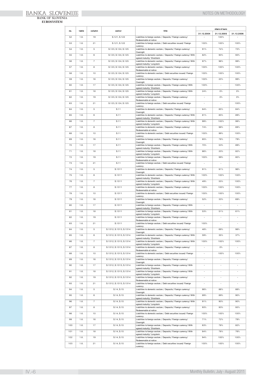#### BANK OF SLOVENIA **EUROSYSTEM**

|     |       |                           |                        |                                                                                                   |                          | share of euro            |                          |
|-----|-------|---------------------------|------------------------|---------------------------------------------------------------------------------------------------|--------------------------|--------------------------|--------------------------|
| no. | table | column                    | sector                 | title                                                                                             | 31.12.2004               | 31.12.2005               | 31.12.2006               |
| 52  | 1.6.  | 19                        | S.121, S.122           | Liabilities to foreign sectors / Deposits/ Foreign currency/<br>Redeeemable at notice             |                          | 100%                     |                          |
| 53  | 1.6.  | 21                        | S.121, S.122           | Liabilities to foreign sectors / Debt securities issued/ Foreign<br>currency                      | 100%                     | 100%                     | 100%                     |
| 54  | 1.6.  | $\mathbf 5$               | S.123, S.124, S.125    | Liabilities to domestic sectors / Deposits / Foreign currency/<br>Overnight                       | 91%                      | 74%                      | 72%                      |
| 55  | 1.6.  | 6                         | S.123, S.124, S.125    | Liabilities to domestic sectors / Deposits/ Foreign currency/ With                                | 82%                      | 93%                      | 93%                      |
| 56  | 1.6.  | $\overline{7}$            | S.123, S.124, S.125    | agreed maturity/ Short-term<br>Liabilities to domestic sectors / Deposits/ Foreign currency/ With | 97%                      | 98%                      | 99%                      |
| 57  | 1.6.  | 8                         | S.123, S.124, S.125    | agreed maturity/ Long-term<br>Liabilities to domestic sectors / Deposits/ Foreign currency/       | 100%                     | 100%                     | 100%                     |
| 58  | 1.6.  | 10                        | S.123, S.124, S.125    | Redeeemable at notice<br>Liabilities to domestic sectors / Debt securities issued/ Foreign        | 100%                     | 100%                     | 100%                     |
| 59  | 1.6.  | 16                        | S.123, S.124, S.125    | currency<br>Liabilities to foreign sectors / Deposits/ Foreign currency/                          | 100%                     | 20%                      | 99%                      |
| 60  | 1.6.  | 17                        | S.123, S.124, S.125    | Ovemight<br>Liabilities to foreign sectors / Deposits/ Foreign currency/ With                     | 100%                     | ٠                        | 100%                     |
| 61  | 1.6.  | 18                        | S.123, S.124, S.125    | agreed maturity/ Short-term<br>Liabilities to foreign sectors / Deposits/ Foreign currency/ With  | 24%                      | $0\%$                    | $O\%$                    |
| 62  | 1.6.  | 19                        | S.123, S.124, S.125    | agreed maturity/ Long-term<br>Liabilities to foreign sectors / Deposits/ Foreign currency/        | $\overline{\phantom{a}}$ | $0\%$                    | $O\%$                    |
| 63  | 1.6.  | 21                        | S.123, S.124, S.125    | Redeeemable at notice<br>Liabilities to foreign sectors / Debt securities issued/ Foreign         | $\overline{\phantom{a}}$ | $\overline{\phantom{a}}$ | 100%                     |
| 64  | 1.6.  | 5                         | S.11                   | currency<br>Liabilities to domestic sectors / Deposits/ Foreign currency/                         | 84%                      | 85%                      | 84%                      |
| 65  | 1.6.  | 6                         | S.11                   | Ovemight<br>Liabilities to domestic sectors / Deposits/ Foreign currency/ With                    | 81%                      | 85%                      | 89%                      |
| 66  | 1.6.  | $\overline{\mathfrak{c}}$ | S.11                   | agreed maturity/ Short-term<br>Liabilities to domestic sectors / Deposits/ Foreign currency/ With | 99%                      | 100%                     | 99%                      |
| 67  | 1.6.  | 8                         | S.11                   | agreed maturity/ Long-term<br>Liabilities to domestic sectors / Deposits/ Foreign currency/       | 74%                      | 98%                      | 69%                      |
| 68  | 1.6.  | 10                        |                        | Redeeemable at notice                                                                             | 100%                     | 99%                      | 100%                     |
|     |       |                           | S.11                   | Liabilities to domestic sectors / Debt securities issued/ Foreign<br>currency                     |                          |                          |                          |
| 69  | 1.6.  | 16                        | S.11                   | Liabilities to foreign sectors / Deposits/ Foreign currency/<br>Ovemight                          | 85%                      | 78%                      | 79%                      |
| 70  | 1.6.  | 17                        | S.11                   | Liabilities to foreign sectors / Deposits/ Foreign currency/ With<br>agreed maturity/ Short-term  | 70%                      | 53%                      | 89%                      |
| 71  | 1.6.  | 18                        | S.11                   | Liabilities to foreign sectors / Deposits/ Foreign currency/ With<br>agreed maturity/ Long-term   | 86%                      | 20%                      | 82%                      |
| 72  | 1.6.  | 19                        | S.11                   | Liabilities to foreign sectors / Deposits/ Foreign currency/<br>Redeeemable at notice             | 100%                     | 99%                      | 80%                      |
| 73  | 1.6.  | 21                        | S.11                   | Liabilities to foreign sectors / Debt securities issued/ Foreign<br>currency                      | ÷,                       | ÷,                       | ä,                       |
| 74  | 1.6.  | 5                         | S.1311                 | Liabilities to domestic sectors / Deposits/ Foreign currency/<br>Ovemight                         | 91%                      | 91%                      | 96%                      |
| 75  | 1.6.  | 6                         | S.1311                 | Liabilities to domestic sectors / Deposits/ Foreign currency/ With<br>agreed maturity/ Short-term | 100%                     | 100%                     | 100%                     |
| 76  | 1.6.  | $\overline{\mathfrak{c}}$ | S.1311                 | Liabilities to domestic sectors / Deposits/ Foreign currency/ With<br>agreed maturity/ Long-term  | 49%                      | 55%                      | 100%                     |
| 77  | 1.6.  | 8                         | S.1311                 | Liabilities to domestic sectors / Deposits/ Foreign currency/<br>Redeeemable at notice            | 100%                     | 100%                     | 100%                     |
| 78  | 1.6.  | 10                        | S.1311                 | Liabilities to domestic sectors / Debt securities issued/ Foreign<br>currency                     | 100%                     | 100%                     | 100%                     |
| 79  | 1.6.  | 16                        | S.1311                 | Liabilities to foreign sectors / Deposits/ Foreign currency/                                      | 52%                      | 33%                      | 69%                      |
| 80  | 1.6.  | 17                        | S.1311                 | Ovemight<br>Liabilities to foreign sectors / Deposits/ Foreign currency/ With                     | ÷.                       | ×,                       |                          |
| 81  | 1.6.  | 18                        | S.1311                 | agreed maturity/ Short-term<br>Liabilities to foreign sectors / Deposits/ Foreign currency/ With  | 53%                      | 51%                      | 61%                      |
| 82  | 1.6.  | 19                        | S.1311                 | agreed maturity/ Long-term<br>Liabilities to foreign sectors / Deposits/ Foreign currency/        | ×,                       | ÷,                       | $\sim$                   |
| 83  | 1.6.  | 21                        | S.1311                 | Redeeemable at notice<br>Liabilities to foreign sectors / Debt securities issued/ Foreign         | 100%                     |                          |                          |
| 84  | 1.6.  | 5                         | S.1312, S.1313, S.1314 | currency<br>Liabilities to domestic sectors / Deposits/ Foreign currency/                         | 48%                      | 69%                      | 98%                      |
| 85  | 1.6.  | 6                         | S.1312, S.1313, S.1314 | Overnight<br>Liabilities to domestic sectors / Deposits/ Foreign currency/ With                   | 59%                      | 35%                      | 37%                      |
| 86  | 1.6.  | $\overline{\mathfrak{c}}$ | S.1312, S.1313, S.1314 | agreed maturity/ Short-term<br>Liabilities to domestic sectors / Deposits/ Foreign currency/ With | 100%                     | 100%                     | 100%                     |
| 87  | 1.6.  | 8                         | S.1312, S.1313, S.1314 | agreed maturity/ Long-term<br>Liabilities to domestic sectors / Deposits/ Foreign currency/       | $\overline{\phantom{a}}$ | $O\%$                    | $\overline{\phantom{a}}$ |
| 88  | 1.6.  | 10                        | S.1312, S.1313, S.1314 | Redeeemable at notice<br>Liabilities to domestic sectors / Debt securities issued/ Foreign        | ×                        | 100%                     | 100%                     |
| 89  | 1.6.  | 16                        | S.1312, S.1313, S.1314 | currency<br>Liabilities to foreign sectors / Deposits/ Foreign currency/                          | ×,                       | ÷.                       | ä,                       |
| 90  | 1.6.  | 17                        | S.1312, S.1313, S.1314 | Ovemight<br>Liabilities to foreign sectors / Deposits/ Foreign currency/ With                     |                          | ÷,                       |                          |
| 91  | 1.6.  | 18                        | S.1312, S.1313, S.1314 | agreed maturity/ Short-term<br>Liabilities to foreign sectors / Deposits/ Foreign currency/ With  |                          | ٠                        |                          |
| 92  | 1.6.  | 19                        | S.1312, S.1313, S.1314 | agreed maturity/ Long-term<br>Liabilities to foreign sectors / Deposits/ Foreign currency/        | $\overline{\phantom{a}}$ | ÷,                       | $\overline{\phantom{a}}$ |
| 93  | 1.6.  | 21                        |                        | Redeeemable at notice                                                                             | $\sim$                   | ÷,                       | ÷.                       |
|     |       |                           | S.1312, S.1313, S.1314 | Liabilities to foreign sectors / Debt securities issued/ Foreign<br>currency                      |                          |                          |                          |
| 94  | 1.6.  | 5                         | S.14, S.15             | Liabilities to domestic sectors / Deposits/ Foreign currency/<br>Ovemight                         | 86%                      | 86%                      | 88%                      |
| 95  | 1.6.  | 6                         | S.14, S.15             | Liabilities to domestic sectors / Deposits/ Foreign currency/ With<br>agreed maturity/ Short-term | 89%                      | 89%                      | 90%                      |
| 96  | 1.6.  | $\overline{7}$            | S.14, S.15             | Liabilities to domestic sectors / Deposits/ Foreign currency/ With<br>agreed maturity/ Long-term  | 91%                      | 90%                      | 90%                      |
| 97  | 1.6.  | 8                         | S.14, S.15             | Liabilities to domestic sectors / Deposits/ Foreign currency/<br>Redeeemable at notice            | 93%                      | 93%                      | 93%                      |
| 98  | 1.6.  | 10                        | S.14, S.15             | Liabilities to domestic sectors / Debt securities issued/ Foreign<br>currency                     | 100%                     | 100%                     | 100%                     |
| 99  | 1.6.  | 16                        | S.14, S.15             | Liabilities to foreign sectors / Deposits/ Foreign currency/<br>Ovemight                          | 71%                      | 72%                      | 78%                      |
| 100 | 1.6.  | 17                        | S.14, S.15             | Liabilities to foreign sectors / Deposits/ Foreign currency/ With<br>agreed maturity/ Short-term  | 63%                      | 78%                      | 82%                      |
| 101 | 1.6.  | 18                        | S.14, S.15             | Liabilities to foreign sectors / Deposits/ Foreign currency/ With<br>agreed maturity/ Long-term   | 84%                      | 76%                      | 76%                      |
| 102 | 1.6.  | 19                        | S.14, S.15             | Liabilities to foreign sectors / Deposits/ Foreign currency/<br>Redeeemable at notice             | 94%                      | 100%                     | 100%                     |
| 103 | 1.6.  | 21                        | S.14, S.15             | Liabilities to foreign sectors / Debt securities issued/ Foreign<br>currency                      | 100%                     | 100%                     | 100%                     |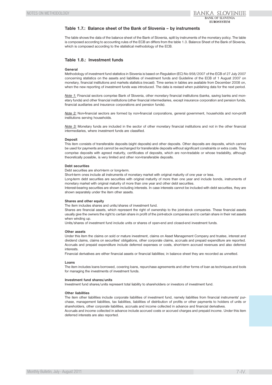#### **Table 1.7.: Balance sheet of the Bank of Slovenia – by instruments**

The table shows the data of the balance sheet of the Bank of Slovenia, split by instruments of the monetary policy. The table is composed according to accounting rules of the ECB an differs from the table 1.3. Balance Sheet of the Bank of Slovenia, which is composed according to the statistical methodology of the ECB.

#### **Table 1.8.: Investment funds**

#### **General**

Methodology of investment fund statistics in Slovenia is based on Regulation (EC) No 958/2007 of the ECB of 27 July 2007 concerning statistics on the assets and liabilities of investment funds and Guideline of the ECB of 1 August 2007 on monetary, financial institutions and markets statistics (recast). Time series in tables are available from December 2008 on, when the new reporting of investment funds was introduced. The data is revised when publishing data for the next period.

*Note 1:* Financial sectors comprise Bank of Slovenia, other monetary financial institutions (banks, saving banks and monetary funds) and other financial institutions (other financial intermediaries, except insurance corporation and pension funds, financial auxiliaries and insurance corporations and pension funds).

*Note 2:* Non-financial sectors are formed by non-financial corporations, general government, households and non-profit institutions serving households.

*Note 3:* Monetary funds are included in the sector of other monetary financial institutions and not in the other financial intermediaries, where investment funds are classified.

#### **Deposit**

This item consists of transferable deposits (sight deposits) and other deposits. Other deposits are deposits, which cannot be used for payments and cannot be exchanged for transferable deposits without significant constraints or extra costs. They comprise deposits with agreed maturity, certificates of deposits, which are non-tradable or whose tradability, although theoretically possible, is very limited and other non-transferable deposits.

#### **Debt securities**

Debt securities are short-term or long-term.

Short-term ones include all instruments of monetary market with original maturity of one year or less.

Long-term debt securities are securities with original maturity of more than one year and include bonds, instruments of monetary market with original maturity of more than one year and other debt securities.

Interest-bearing securities are shown including interests. In case interests cannot be included with debt securities, they are shown separately under the item other assets.

#### **Shares and other equity**

The item includes shares and units/shares of investment fund.

Shares are financial assets, which represent the right of ownership to the joint-stock companies. These financial assets usually give the owners the right to certain share in profit of the joint-stock companies and to certain share in their net assets when winding up.

Units/shares of investment fund include units or shares of open-end and closed-end investment funds.

#### **Other assets**

Under this item the claims on sold or mature investment, claims on Asset Management Company and trustee, interest and dividend claims, claims on securities' obligations, other corporate claims, accruals and prepaid expenditure are reported. Accruals and prepaid expenditure include deferred expenses or costs, short-term accrued revenues and also deferred interests.

Financial derivatives are either financial assets or financial liabilities; in balance sheet they are recorded as unnetted.

#### **Loans**

The item includes loans borrowed, covering loans, repurchase agreements and other forms of loan as techniques and tools for managing the investments of investment funds.

#### **Investment fund shares/units**

Investment fund shares/units represent total liability to shareholders or investors of investment fund.

#### **Other liabilities**

The item other liabilities include corporate liabilities of investment fund, namely liabilities from financial instruments' purchase, management liabilities, tax liabilities, liabilities of distribution of profits or other payments to holders of units or shareholders, other corporate liabilities, accruals and income collected in advance and financial derivatives. Accruals and income collected in advance include accrued costs or accrued charges and prepaid income. Under this item

deferred interests are also reported.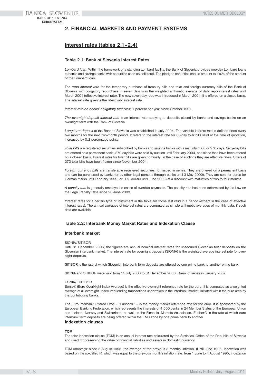## **2. FINANCIAL MARKETS AND PAYMENT SYSTEMS**

## **Interest rates (tables 2.1–2.4)**

#### **Table 2.1: Bank of Slovenia Interest Rates**

*Lombard loan*: Within the framework of a standing Lombard facility, the Bank of Slovenia provides one-day Lombard loans to banks and savings banks with securities used as collateral. The pledged securities should amount to 110% of the amount of the Lombard loan.

The *repo interest rate* for the temporary purchase of treasury bills and tolar and foreign currency bills of the Bank of Slovenia with obligatory repurchase in seven days was the weighted arithmetic average of daily repo interest rates until March 2004 (effective interest rate). The new seven-day repo was introduced in March 2004; it is offered on a closed basis. The interest rate given is the latest valid interest rate.

*Interest rate on banks' obligatory reserves*: 1 percent per year since October 1991.

*The overnight-deposit interest rate* is an interest rate applying to deposits placed by banks and savings banks on an overnight term with the Bank of Slovenia.

*Long-term deposit* at the Bank of Slovenia was established in July 2004. The variable interest rate is defined once every two months for the next two-month period. It refers to the interest rate for 60-day tolar bills valid at the time of quotation, increased by 0.2 percentage points.

*Tolar bills* are registered securities subscribed by banks and savings banks with a maturity of 60 or 270 days. Sixty-day bills are offered on a permanent basis; 270-day bills were sold by auction until February 2004, and since then have been offered on a closed basis. Interest rates for tolar bills are given nominally; in the case of auctions they are effective rates. Offers of 270-tolar bills have been frozen since November 2004.

*Foreign currency bills* are transferable registered securities not issued in series. They are offered on a permanent basis and can be purchased by banks (or by other legal persons through banks until 3 May 2000). They are sold for euros (or German marks until February 1999, or U.S. dollars until June 2006) at a discount with maturities of two to four months.

*A penalty rate* is generally employed in cases of overdue payments. The penalty rate has been determined by the Law on the Legal Penalty Rate since 28 June 2003.

*Interest rates* for a certain type of instrument in the table are those last valid in a period (except in the case of effective interest rates). The annual averages of interest rates are computed as simple arithmetic averages of monthly data, if such data are available.

#### **Table 2.2: Interbank Money Market Rates and Indexation Clause**

#### **Interbank market**

#### SIONIA/SITIBOR

Until 31 December 2006, the figures are annual nominal interest rates for unsecured Slovenian tolar deposits on the Slovenian interbank market. The interest rate for overnight deposits (SIONIA) is the weighted average interest rate for overnight deposits.

SITIBOR is the rate at which Slovenian interbank term deposits are offered by one prime bank to another prime bank.

SIONIA and SITIBOR were valid from 14 July 2003 to 31 December 2006. Break of series in January 2007.

#### EONIA/EURIBOR

Eonia® (Euro OverNight Index Average) is the effective overnight reference rate for the euro. It is computed as a weighted average of all overnight unsecured lending transactions undertaken in the interbank market, initiated within the euro area by the contributing banks.

The Euro Interbank Offered Rate – "Euribor®" – is the money market reference rate for the euro. It is sponsored by the European Banking Federation, which represents the interests of 4,500 banks in 24 Member States of the European Union and Iceland, Norway and Switzerland, as well as the Financial Markets Association. Euribor® is the rate at which euro interbank term deposits are being offered within the EMU zone by one prime bank to another **Indexation clauses**

#### **TOM**

The tolar indexation clause (TOM) is an annual interest rate calculated by the Statistical Office of the Republic of Slovenia and used for preserving the value of financial liabilities and assets in domestic currency.

TOM (monthly): since 5 August 1995, the average of the previous 3 months' inflation. (Until June 1995, indexation was based on the so-called R, which was equal to the previous month's inflation rate; from 1 June to 4 August 1995, indexation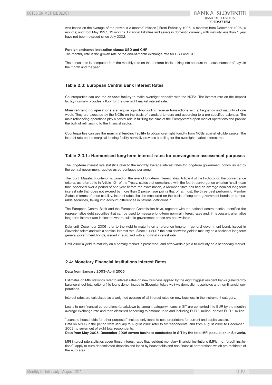was based on the average of the previous 3 months' inflation.) From February 1996, 4 months; from December 1996, 6 months; and from May 1997, 12 months. Financial liabilities and assets in domestic currency with maturity less than 1 year have not been revalued since July 2002.

#### **Foreign exchange indexation clause USD and CHF**

The monthly rate is the growth rate of the end-of-month exchange rate for USD and CHF.

The annual rate is computed from the monthly rate on the conform basis, taking into account the actual number of days in the month and the year.

#### **Table 2.3: European Central Bank Interest Rates**

Counterparties can use the **deposit facility** to make overnight deposits with the NCBs. The interest rate on the deposit facility normally provides a floor for the overnight market interest rate.

**Main refinancing operations** are regular liquidity-providing reverse transactions with a frequency and maturity of one week. They are executed by the NCBs on the basis of standard tenders and according to a pre-specified calendar. The main refinancing operations play a pivotal role in fulfilling the aims of the Eurosystem's open market operations and provide the bulk of refinancing to the financial sector.

Counterparties can use the **marginal lending facility** to obtain overnight liquidity from NCBs against eligible assets. The interest rate on the marginal lending facility normally provides a ceiling for the overnight market interest rate.

#### **Table 2.3.1.: Harmonised long-term interest rates for convergence assessment purposes**

The long-term interest rate statistics refer to the monthly average interest rates for long-term government bonds issued by the central government, quoted as percentages per annum.

The fourth Maastricht criterion is based on the level of long-term interest rates. Article 4 of the Protocol on the convergence criteria, as referred to in Article 121 of the Treaty, states that compliance with the fourth convergence criterion "shall mean that, observed over a period of one year before the examination, a Member State has had an average nominal long-term interest rate that does not exceed by more than 2 percentage points that of, at most, the three best performing Member States in terms of price stability. Interest rates shall be measured on the basis of long-term government bonds or comparable securities, taking into account differences in national definitions."

The European Central Bank and the European Commission have, together with the national central banks, identified the representative debt securities that can be used to measure long-term nominal interest rates and, if necessary, alternative long-term interest rate indicators where suitable government bonds are not available

Data until December 2006 refer to the yield to maturity on a reference long-term general government bond, issued in Slovenian tolars and with a nominal interest rate. Since 1.1.2007 the data show the yield to maturity on a basket of long-term general government bonds, issued in euro and with a nominal interest rate.

Until 2003 a yield to maturity on a primary market is presented, and afterwards a yield to maturity on a secondary market.

#### **2.4: Monetary Financial Institutions Interest Rates**

#### **Data from January 2003–April 2005**

Estimates on MIR statistics refer to interest rates on new business applied by the eight biggest resident banks (selected by balance-sheet-total criterion) to loans denominated in Slovenian tolars vis-ŕ-vis domestic households and non-financial corporations.

Interest rates are calculated as a weighted average of all interest rates on new business in the instrument category.

Loans to non-financial corporations (breakdown by amount category): loans in SIT are converted into EUR by the monthly average exchange rate and then classified according to amount up to and including EUR 1 million, or over EUR 1 million.

"Loans to households for other purposes" include only loans to sole proprietors for current and capital assets. Data on APRC in the period from January to August 2003 refer to six respondents, and from August 2003 to December 2003, to seven out of eight total respondents. **Data from May 2005–December 2006 covers business conducted in SIT by the total MFI population in Slovenia.**

MFI interest rate statistics cover those interest rates that resident monetary financial institutions (MFIs, i.e. "credit institutions") apply to euro-denominated deposits and loans by households and non-financial corporations which are residents of the euro area.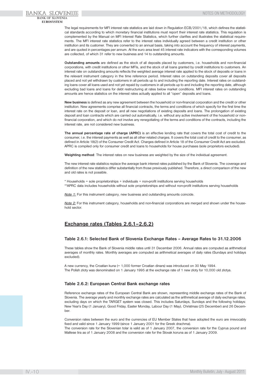The legal requirements for MFI interest rate statistics are laid down in Regulation ECB/2001/18, which defines the statistical standards according to which monetary financial institutions must report their interest rate statistics. This regulation is complemented by the Manual on MFI Interest Rate Statistics, which further clarifies and illustrates the statistical requirements. The MFI interest rate statistics refer to the interest rates individually agreed between a credit institution or other institution and its customer. They are converted to an annual basis, taking into account the frequency of interest payments, and are quoted in percentages per annum. At the euro area level 45 interest rate indicators with the corresponding volumes are collected, of which 31 refer to new business and 14 to outstanding amounts.

**Outstanding amounts** are defined as the stock of all deposits placed by customers, i.e. households and non-financial corporations, with credit institutions or other MFIs, and the stock of all loans granted by credit institutions to customers. An interest rate on outstanding amounts reflects the weighted average interest rate applied to the stock of deposits or loans in the relevant instrument category in the time reference period. Interest rates on outstanding deposits cover all deposits placed and not yet withdrawn by customers in all periods up to and including the reporting date. Interest rates on outstanding loans cover all loans used and not yet repaid by customers in all periods up to and including the reporting date, although excluding bad loans and loans for debt restructuring at rates below market conditions. MFI interest rates on outstanding amounts are hence statistics on the interest rates actually applied to all "open" deposits and loans.

**New business** is defined as any new agreement between the household or non-financial corporation and the credit or other institution. New agreements comprise all financial contracts, the terms and conditions of which specify for the first time the interest rate on the deposit or loan, and all new negotiations of existing deposits and loans. The prolongation of existing deposit and loan contracts which are carried out automatically, i.e. without any active involvement of the household or nonfinancial corporation, and which do not involve any renegotiating of the terms and conditions of the contracts, including the interest rate, are not considered new business.

**The annual percentage rate of charge (APRC)** is an effective lending rate that covers the total cost of credit to the consumer, i.e. the interest payments as well as all other related charges. It covers the total cost of credit to the consumer, as defined in Article 18(2) of the Consumer Credit Act. Charges defined in Article 18 of the Consumer Credit Act are excluded. APRC is compiled only for consumer credit and loans to households for house purchases (sole proprietors excluded).

**Weighting method**: The interest rates on new business are weighted by the size of the individual agreement.

The new interest rate statistics replace the average bank interest rates published by the Bank of Slovenia. The coverage and definition of the new statistics differ substantially from those previously published. Therefore, a direct comparison of the new and old rates is not possible.

\* Households = sole proprietorships + individuals + non-profit institutions serving households

\*\*APRC data includes households without sole proprietorships and without non-profit institutions serving households

**Note 1:** For this instrument category, new business and outstanding amounts coincide.

*Note 2:* For this instrument category, households and non-financial corporations are merged and shown under the household sector.

## **Exchange rates (Tables 2.6.1–2.6.2)**

#### **Table 2.6.1: Selected Bank of Slovenia Exchange Rates – Average Rates to 31.12.2006**

These tables show the Bank of Slovenia middle rates until 31 December 2006. Annual rates are computed as arithmetical averages of monthly rates. Monthly averages are computed as arithmetical averages of daily rates (Sundays and holidays excluded).

A new currency, the Croatian kuna (= 1,000 former Croatian dinars) was introduced on 30 May 1994. The Polish złoty was denominated on 1 January 1995 at the exchange rate of 1 new złoty for 10,000 old złotys.

#### **Table 2.6.2: European Central Bank exchange rates**

Reference exchange rates of the European Central Bank are shown, representing middle exchange rates of the Bank of Slovenia. The average yearly and monthly exchange rates are calculated as the arithmetical average of daily exchange rates, excluding days on which the TARGET system was closed. This includes Saturdays, Sundays and the following holidays: New Year's Day (1 January), Good Friday, Easter Monday, Labour Day (1 May), Christmas (25 December) and 26 December.

Conversion rates between the euro and the currencies of EU Member States that have adopted the euro are irrevocably fixed and valid since 1 January 1999 (since 1 January 2001 for the Greek drachma).

The conversion rate for the Slovenian tolar is valid as of 1 January 2007, the conversion rate for the Cyprus pound and Maltese lira as of 1 January 2008 and the conversion rate for the Slovak koruna as of 1 January 2009.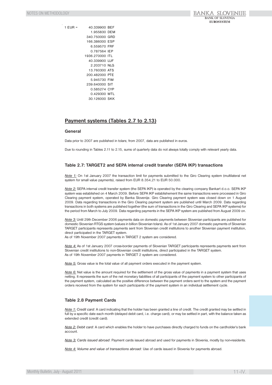- 
- 1 EUR = 40.339900 BEF 1.955830 DEM 340.750000 GRD 166.386000 ESP 6.559570 FRF 0.787564 IEP 1936.270000 ITL 40.339900 LUF 2.203710 NLG 13.760300 ATS 200.482000 PTE 5.945730 FIM 239.640000 SIT 0.585274 CYP 0.429300 MTL 30.126000 SKK

#### BANKA SLOVENIJE **BANK OF SLOVENIA EUROSYSTEM**

### **Payment systems (Tables 2.7 to 2.13)**

#### **General**

Data prior to 2007 are published in tolars; from 2007, data are published in euros.

Due to rounding in Tables 2.11 to 2.15, sums of quarterly data do not always totally comply with relevant yearly data.

#### **Table 2.7: TARGET2 and SEPA internal credit transfer (SEPA IKP) transactions**

*Note 1:* On 1st January 2007 the transaction limit for payments submitted to the Giro Clearing system (multilateral net system for small value payments), raised from EUR 8.354,21 to EUR 50.000.

*Note 2:* SEPA internal credit transfer system (the SEPA IKP) is operated by the clearing company Bankart d.o.o. SEPA IKP system was established on 4 March 2009. Before SEPA IKP establishement the same transactions were processed in Giro Clearing payment system, operated by Banka Slovenije. Giro Clearing payment system was closed down on 1 August 2009. Data regarding transactions in the Giro Clearing payment system are published until March 2009. Data regarding transactions in both systems are published together (the sum of transactions in the Giro Clearing and SEPA IKP systems) for the period from March to July 2009. Data regarding payments in the SEPA IKP system are published from August 2009 on.

*Note 3:* Until 29th December 2006 payments data on domestic payments between Slovenian participants are published for domestic Slovenian RTGS system (values in billion Slovenian tolars). As of 1st January 2007 domestic payments of Slovenian TARGET participants represents payments sent from Slovenian credit institutions to another Slovenian payment institution, direct participated in the TARGET system.

As of 19th November 2007 payments in TARGET 2 system are considered.

*Note 4:* As of 1st January 2007 cross-border payments of Slovenian TARGET participants represents payments sent from Slovenian credit institutions to non-Slovenian credit institutions, direct participated in the TARGET system. As of 19th November 2007 payments in TARGET 2 system are considered.

*Note 5:* Gross value is the total value of all payment orders executed in the payment system.

*Note 6:* Net value is the amount required for the settlement of the gross value of payments in a payment system that uses netting. It represents the sum of the net monetary liabilities of all participants of the payment system to other participants of the payment system, calculated as the positive difference between the payment orders sent to the system and the payment orders received from the system for each participants of the payment system in an individual settlement cycle.

#### **Table 2.8 Payment Cards**

*Note 1: Credit card*: A card indicating that the holder has been granted a line of credit. The credit granted may be settled in full by a specific date each month (delayed debit card, i.e. charge card), or may be settled in part, with the balance taken as extended credit (credit card).

*Note 2: Debit card*: A card which enables the holder to have purchases directly charged to funds on the cardholder's bank account.

*Note 3: Cards issued abroad*: Payment cards issued abroad and used for payments in Slovenia, mostly by non-residents.

*Note 4: Volume and value of transactions abroad*: Use of cards issued in Slovenia for payments abroad.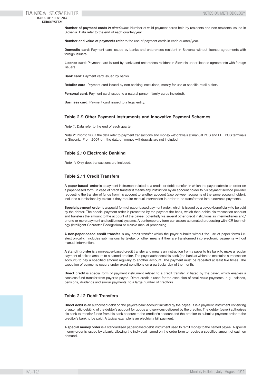#### BANKA SLOVENIJE BANK OF SLOVENIA

## **EUROSYSTEM**

**Number of payment cards** *in circulation*: Number of valid payment cards held by residents and non-residents issued in Slovenia. Data refer to the end of each quarter/year.

**Number and value of payments refer** to the use of payment cards in each quarter/year.

**Domestic card**: Payment card issued by banks and enterprises resident in Slovenia without licence agreements with foreign issuers.

**Licence card**: Payment card issued by banks and enterprises resident in Slovenia under licence agreements with foreign issuers.

**Bank card**: Payment card issued by banks.

**Retailer card**: Payment card issued by non-banking institutions, mostly for use at specific retail outlets.

Personal card: Payment card issued to a natural person (family cards included).

**Business card**: Payment card issued to a legal entity.

#### **Table 2.9 Other Payment Instruments and Innovative Payment Schemes**

*Note 1*: Data refer to the end of each quarter.

*Note 2*: Prior to 2007 the data refer to payment transactions and money withdrawals at manual POS and EFT POS terminals in Slovenia. From 2007 on, the data on money withdrawals are not included.

#### **Table 2.10 Electronic Banking**

*Note 1*: Only debt transactions are included.

#### **Table 2.11 Credit Transfers**

**A paper-based order** is a payment instrument related to a credit or debit transfer, in which the payer submits an order on a paper-based form. In case of credit transfer it means any instruction by an account holder to his payment service provider requesting the transfer of funds from his account to another account (also between accounts of the same account holder). Includes submissions by telefax if they require manual intervention in order to be transformed into electronic payments.

**Special payment order** is a special form of paper-based payment order, which is issued by a payee (beneficiary) to be paid by the debtor. The special payment order is presented by the payer at the bank, which then debits his transaction account and transfers the amount to the account of the payee, potentially via several other credit institutions as intermediaries and/ or one or more payment and settlement systems. A contemporary form can assure automated processing with ICR technology (Intelligent Character Recognition) or classic manual processing.

**A non-paper-based credit transfer** is any credit transfer which the payer submits without the use of paper forms i.e. electronically. Includes submissions by telefax or other means if they are transformed into electronic payments without manual intervention.

**A standing order** is a non-paper-based credit transfer and means an instruction from a payer to his bank to make a regular payment of a fixed amount to a named creditor. The payer authorises his bank (the bank at which he maintains a transaction account) to pay a specified amount regularly to another account. The payment must be repeated at least five times. The execution of payments occurs under exact conditions on a particular day of the month.

**Direct credit** is special form of payment instrument related to a credit transfer, initiated by the payer, which enables a cashless fund transfer from payer to payee. Direct credit is used for the execution of small value payments, e.g., salaries, pensions, dividends and similar payments, to a large number of creditors.

#### **Table 2.12 Debit Transfers**

**Direct debit** is an authorised debit on the payer's bank account initiated by the payee. It is a payment instrument consisting of automatic debiting of the debtor's account for goods and services delivered by the creditor. The debtor (payer) authorises his bank to transfer funds from his bank account to the creditor's account and the creditor to submit a payment order to the creditor's bank to be paid. A typical example is an electricity bill payment.

**A special money order** is a standardised paper-based debit instrument used to remit money to the named payee. A special money order is issued by a bank, allowing the individual named on the order form to receive a specified amount of cash on demand.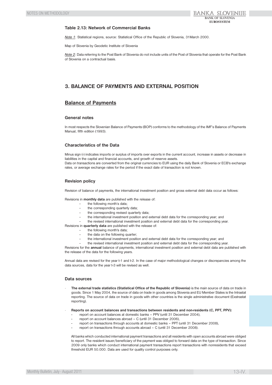#### **Table 2.13: Network of Commercial Banks**

*Note 1*: Statistical regions, source: Statistical Office of the Republic of Slovenia, 31March 2000.

Map of Slovenia by Geodetic Institute of Slovenia

*Note 2*: Data referring to the Post Bank of Slovenia do not include units of the Post of Slovenia that operate for the Post Bank of Slovenia on a contractual basis.

## **3. BALANCE OF PAYMENTS AND EXTERNAL POSITION**

## **Balance of Payments**

#### **General notes**

In most respects the Slovenian Balance of Payments (BOP) conforms to the methodology of the IMF's Balance of Payments Manual, fifth edition (1993).

#### **Characteristics of the Data**

Minus sign (-) indicates imports or surplus of imports over exports in the current account, increase in assets or decrease in liabilities in the capital and financial accounts, and growth of reserve assets. Data on transactions are converted from the original currencies to EUR using the daily Bank of Slovenia or ECB's exchange rates, or average exchange rates for the period if the exact date of transaction is not known.

#### **Revision policy**

Revision of balance of payments, the international investment position and gross external debt data occur as follows:

Revisions in **monthly data** are published with the release of:

- the following month's data;
- the corresponding quarterly data;
- the corresponding revised quarterly data;
- the international investment position and external debt data for the corresponding year; and
- the revised international investment position and external debt data for the corresponding year.

Revisions in **quarterly data** are published with the release of:

- the following month's data;
- the data on the following quarter;
- the international investment position and external debt data for the corresponding year; and
- the revised international investment position and external debt data for the corresponding year.

Revisions for the **annual** balance of payments, international investment position and external debt data are published with the release of the data for the following years.

Annual data are revised for the year t-1 and t-2. In the case of major methodological changes or discrepancies among the data sources, data for the year t-3 will be revised as well.

#### **Data sources**

- · **The external trade statistics (Statistical Office of the Republic of Slovenia)** is the main source of data on trade in goods. Since 1 May 2004, the source of data on trade in goods among Slovenia and EU Member States is the Intrastat reporting. The source of data on trade in goods with other countries is the single administrative document (Exstrastat reporting).
- · **Reports on account balances and transactions between residents and non-residents (C, PPT, PPV):**
	- report on account balances at domestic banks PPV (until 31 December 2004),
	- report on account balances abroad C (until 31 December 2006),
	- report on transactions through accounts at domestic banks PPT (until 31 December 2008),
	- report on transactions through accounts abroad C (until 31 December 2008).

All banks which conducted international payment transactions and all residents with open accounts abroad were obliged to report. The resident issuer/beneficiary of the payment was obliged to forward data on the type of transaction. Since 2009 only banks which conduct international payment transactions report transactions with nonresidents that exceed threshold EUR 50.000. Data are used for quality control purposes only.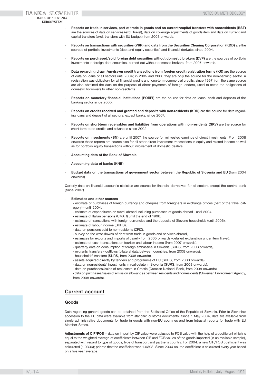- · **Reports on trade in services, part of trade in goods and on current/capital transfers with nonresidents (BST)** are the sources of data on services (excl. travel), data on coverage adjustments of goods item and data on current and capital transfers (excl. transfers with EU budget) from 2008 onwards.
- **Reports on transactions with securities (VRP) and data from the Securities Clearing Corporation (KDD)** are the sources of portfolio investments (debt and equity securities) and financial derivates since 2004.
- · **Reports on purchased/sold foreign debt securities without domestic brokers (DVP)** are the sources of portfolio investments in foreign debt securities, carried out without domestic brokers, from 2007 onwards.
- Data regarding drawn/un-drawn credit transactions from foreign credit registration forms (KR) are the source of data on loans of all sectors until 2004; in 2005 and 2006 they are only the source for the non-banking sector. A registration was obligatory for all financial credits and long-term commercial credits; since 1997 from the same source are also obtained the data on the purpose of direct payments of foreign lenders, used to settle the obligations of domestic borrowers to other non-residents.
- · **Reports on monetary financial institutions (PORFI)** are the source for data on loans, cash and deposits of the banking sector since 2005.
- · **Reports on credits received and granted and deposits with non-residents (KRD)** are the source for data regarding loans and deposit of all sectors, except banks, since 2007.
- · **Reports on short-term receivables and liabilities from operations with non-residents (SKV)** are the source for short-term trade credits and advances since 2002.
- · **Reports on investments (SN)** are until 2007 the source for reinvested earnings of direct investments. From 2008 onwards these reports are source also for all other direct investment transactions in equity and related income as well as for portfolio equity transactions without involvement of domestic dealers.
- · **Accounting data of the Bank of Slovenia**
- · **Accounting data of banks (KNB)**
- · **Budget data on the transactions of government sector between the Republic of Slovenia and EU** (from 2004 onwards)

Qarterly data on financial account's statistics are source for financial derivatives for all sectors except the central bank (since 2007).

- **Estimates and other sources** 
	- estimate of purchases of foreign currency and cheques from foreigners in exchange offices (part of the travel category) - until 2004,
	- estimate of expenditures on travel abroad including purchases of goods abroad until 2004
	- estimate of Italian pensions (UMAR) until the end of 1998,
	- estimate of transactions with foreign currencies and the deposits of Slovene households (until 2006),
	- estimate of labour income (SURS),
	- data on pensions paid to non-residents (ZPIZ),
	- survey on the write-downs of debt from trade in goods and services abroad,
	- estimates for exports and imports of travel from 2005 onwards (detailed explanation under item Travel),
	- estimate of cash transactions on tourism and labour income (from 2007 onwards),
	- quarterly data on consumption of foreign embassies in Slovenia (SURS, from 2008 onwards),
	- migrants' transfers outflows (bilateral data between countries, from 2008 onwards),
	- households' transfers (SURS, from 2008 onwards),
	- assets acquired directly by tenders and programms of EU (SURS, from 2008 onwards),
	- data on nonresidents' investments in real-estate in Slovenia (GURS, from 2008 onwards),
	- data on purchases/sales of real-estate in Croatia (Croatian National Bank, from 2008 onwards),

- data on purchases/sales of emission allowances between residents and nonresidents (Slovenian Environment Agency, from 2008 onwards).

### **Current account**

#### **Goods**

Data regarding general goods can be obtained from the Statistical Office of the Republic of Slovenia. Prior to Slovenia's accession to the EU data were available from standard customs documents. Since 1 May 2004, data are available from single administrative documents for trade in goods with non-EU countries and from Intrastat reports for trade with EU Member States.

**Adjustments of CIF/FOB** – data on import by CIF value were adjusted to FOB value with the help of a coefficient which is equal to the weighted average of coefficients between CIF and FOB values of the goods imported (in an available sample), separated with regard to type of goods, type of transport and partner's country. For 2004, a new CIF/FOB coefficient was calculated (1.0306); prior to that the coefficient was 1.0393. Since 2004 on, the coefficient is calculated every year based on a five year average.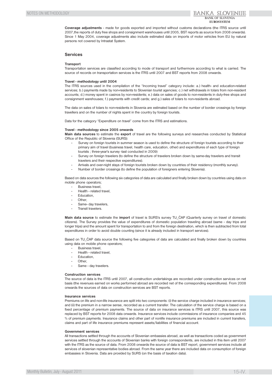#### BANKA SLOVENIJE BANK OF SLOVENIA **EUROSYSTEM**

**Coverage adjustments** - made for goods exported and imported without customs declarations (the ITRS source until 2007,the reports of duty free shops and consignment warehouses until 2005, BST reports as source from 2008 onwards). Since 1 May 2004, coverage adjustments also include estimated data on imports of motor vehicles from EU by natural persons not covered by Intrastat System.

#### **Services**

#### **Transport**

Transportation services are classified according to mode of transport and furthermore according to what is carried. The source of records on transportation services is the ITRS until 2007 and BST reports from 2008 onwards.

#### **Travel - methodology until 2004**

The ITRS sources used in the compilation of the "Incoming travel" category include: a.) health- and education-related services; b.) payments made by non-residents to Slovenian tourist agencies; c.) net withdrawals in tolars from non-resident accounts; d.) money spent in casinos by non-residents; e.) data on sales of goods to non-residents in duty-free shops and consignment warehouses; f.) payments with credit cards; and g.) sales of tolars to non-residents abroad.

The data on sales of tolars to non-residents in Slovenia are estimated based on the number of border crossings by foreign travellers and on the number of nights spent in the country by foreign tourists.

Data for the category "Expenditure on travel" come from the ITRS and estimations.

#### **Travel - methodology since 2005 onwards**

**Main data sources** to estimate the **export** of travel are the following surveys and researches conducted by Statistical Office of the Republic of Slovenia (SURS):

- Survey on foreign tourists in summer season is used to define the structure of foreign tourists according to their primary aim of travel (business travel, health care, education, other) and expenditures of each type of foreign tourists ; three-year's survey -last conducted in 2009)
- Survey on foreign travelers (to define the structure of travelers broken down by same-day travelers and transit travelers and their respective expenditures).
- Arrivals and over-night stays of foreign tourists broken down by countries of their residency (monthly survey).
- Number of border crossings (to define the population of foreigners entering Slovenia).

Based on data sources the following six categories of data are calculated and finally broken down by countries using data on mobile phone operators;

- Business travel,
- Health related travel,
- Education,
- Other.
- Same- day travelers,
- Transit travelers.

**Main data source** to estimate the **import** of travel is SURS's survey TU\_ČAP (Quarterly survey on travel of domestic citizens). The Survey provides the value of expenditures of domestic population traveling abroad (same - day trips and longer trips) and the amount spent for transportation to and from the foreign destination, which is then subtracted from total expenditures in order to avoid double counting (since it is already included in transport services).

Based on TU\_ČAP data source the following five categories of data are calculated and finally broken down by countries using data on mobile phone operators;

- Business travel
- Health related travel,
- Education.
- Other,
- Same day travelers.

#### **Construction services**

The source of data is the ITRS until 2007, all construction undertakings are recorded under construction services on net basis (the revenues earned on works performed abroad are recorded net of the corresponding expenditures). From 2008 onwards the sources of data on construction services are BST reports.

#### **Insurance services**

Premiums on life and non-life insurance are split into two components: (i) the service charge included in insurance services; and (ii) the premium in a narrow sense, recorded as a current transfer. The calculation of the service charge is based on a fixed percentage of premium payments. The source of data on insurance services is ITRS until 2007, this source was replaced by BST reports for 2008 data onwards. Insurance services include commissions of insurance companies and 45 % of premium payments. Insurance claims and other part of nonlife insurance premiums are included in current transfers, claims and part of life insurance premiums represent assets/liabilities of financial account.

#### **Government services**

All transactions settled through the accounts of Slovenian embassies abroad, as well as transactions coded as government services settled through the accounts of Slovenian banks with foreign correspondents, are included in this item until 2007 with the ITRS as the source of data. From 2008 onwards the source of data is BST report, government services include all services of slovenian representative bodies abroad. From the same year there are included data on consumption of foreign embassies in Slovenia. Data are provided by SURS (on the basis of taxation data).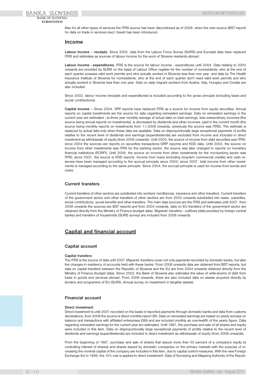Also for all other types of services the ITRS source has been discontinued as of 2008, when the new source (BST report) for data on trade in services (excl. travel) has been introduced.

#### **Income**

**Labour income** – **receipts**. Since 2002, data from the Labour Force Survey (SURS) and Eurostat data have replaced ITRS and estimates as sources of labour income for the work of Slovene residents abroad.

**Labour income - expenditures.** ITRS is the source for labour income - expenditures until 2004. Data relating to 2005 onwards are provided by SURS on the basis of Labour Office register for the number of nonresidents, who at the end of each quarter possess valid work permits and who actually worked in Slovenia less than one year and data by The Health Insurance Institute of Slovenia for nonresidents, who at the end of each quarter don't need valid work permits and who actually worked in Slovenia less than one year. Data on daily migrant workers from Austria, Italy, Hungary and Croatia are also included.

Since 2002, labour income (receipts and expenditures) is included according to the gross principle (including taxes and social contributions).

**Capital income** – Since 2004, VRP reports have replaced ITRS as a source for income from equity securities. Annual reports on capital investments are the source for data regarding reinvested earnings. Data on reinvested earnings in the current year are estimated - (a three year monthly average of actual data on total earnings, less extraordinary incomes [the source being annual reports on investments], is decreased by dividends and other incomes, paid in the current month (the source being monthly reports on investments from 1.1.2008 onwards, previously the source was ITRS). The estimate is replaced by actual data only when these data are available. Data on disproportionally large exceptional payments of profits relative to the recent level of dividends and earnings (superdividends) are excluded from income and included in direct investment as withdrawals of equity (from 2008 onwards). Until 2003, the source of income from debt securities was ITRS; since 2004 the sources are reports on securities transactions (VRP reports) and KDD data. Until 2004, the source on income from other investments was ITRS for the banking sector; the source was later changed to reports on monetary financial institutions (PORFI). Until 2006, the source on income from other investments for the non-banking sector was ITRS; since 2007, the source is KDD reports. Income from loans (including long-tern commercial credits) and cash reserves have been managed according to the accrual principle since 2002; since 2007, total income from other investments is managed according to the same principle. Since 2004, the accrual principle is used for income from bonds and notes.

#### **Current transfers**

Current transfers of other sectors are subdivided into workers' remittances, insurance and other transfers. Current transfers of the government sector and other transfers of other sectors are from 2002 onwards subdivided into taxes, subsidies, social contributions, social benefits and other transfers. The main data sources are the ITRS and estimates until 2007, from 2008 onwards the sources are BST reports and from 2004 onwards, data on EU transfers of the government sector are obtained directly from the Ministry of Finance (budget data). Migrants' transfers - outflows (data provided by foreign central banks) and transfers of households (SURS survey) are included from 2008 onwards.

## **Capital and financial account**

#### **Capital account**

#### **Capital transfers**

The ITRS is the source of data until 2007. Migrants' transfers cover not only payments recorded by domestic banks, but also the changes in residency of accounts held with these banks. From 2008 onwards data are obtained from BST reports, but data on capital transfers between the Republic of Slovenia and the EU are from 2004 onwards obtained directly from the Ministry of Finance (budget data). Since 2002, the Bank of Slovenia also estimates the value of write-downs of debt from trade in goods and services abroad. From 2008 onwards, there are also included data on assets acquired directly by tenders and programms of EU (SURS, Annual survey on investment in tangible assets).

#### **Financial account**

#### **Direct investment**

Direct investment is until 2007 recorded on the basis of reported payments through domestic banks and data from customs declarations, from 2008 the source is direct monthly report SN. Data on reinvested earnings are based on yearly surveys on balance and transactions with affiliated enterprises (SN) and are included monthly as one-twelfth of the yearly figure. Data regarding reinvested earnings for the current year are estimated. Until 1997, the purchase and sale of all shares and equity were included in this item. Data on disproportionally large exceptional payments of profits relative to the recent level of dividends and earnings (superdividends) are included in direct investment as withdrawals of equity (from 2008 onwards).

From the beginning of 1997, purchase and sale of shares that assure more than 50 percent of a company's equity (a controlling interest of shares) and shares issued by domestic companies on the primary markets with the purpose of increasing the nominal capital of the company are included in this item, due to capital control measures. With the new Foreign Exchange Act in 1999, the 10% rule is applied to direct investment. Data of Surveying and Mapping Authority of the Repub-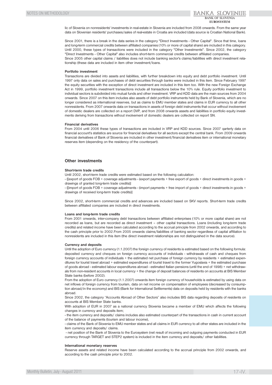#### BANKA SLOVENIJE BANK OF SLOVENIA **EUROSYSTEM**

lic of Slovenia on nonresidents' investments in real-estate in Slovenia are included from 2008 onwards. From the same year data on Slovenian residents' purchases/sales of real-estate in Croatia are included (data source is Croatian National Bank).

Since 2001, there is a break in the data series in the category "Direct Investments - Other Capital". Since that time, loans and long-term commercial credits between affiliated companies (10% or more of capital share) are included in this category. Until 2000, these types of transactions were included in the category "Other Investments". Since 2002, the category "Direct Investments - Other Capital" also includes short-term commercial credits between affiliated companies. Since 2005 other capital claims / liabilities does not include banking sector's claims/liabilities with direct investment relationship (these data are included in item other investment/loans.

#### **Portfolio investment**

Transactions are divided into assets and liabilities, with further breakdown into equity and debt portfolio investment. Until 1997 only data on sales and purchases of debt securities through banks were included in this item. Since February 1997 the equity securities with the exception of direct investment are included in this item too. With the new Foreign Exchange Act in 1999, portfolio investment transactions include all transactions below the 10% rule. Equity portfolio investment to individual sectors is subdivided into mutual funds and other investment. VRP and KDD data are the main sources from 2004 onwards. Since 2007 on this item includes also assets of debt portfolio instruments held by Bank of Slovenia, which are no longer considered as international reserves, but as claims to EMU member states and claims in EUR currency to all other nonresidents. From 2007 onwards data on transactions in assets of foreign debt instruments that occur without involvement of domestic dealers are collected on a report DVP, and from 2008 onwards assets and liabilities in portfolio equity investments deriving from transactions without involvement of domestic dealers are collected on report SN.

#### **Financial derivatives**

From 2004 until 2006 these types of transactions are included in VRP and KDD sources. Since 2007 qarterly data on financial account's statistics are source for financial derivatives for all sectors except the central bank. From 2009 onwards financial derivatives of Bank of Slovenia are included in other investment/financial derivatives item or international monetary reserves item (depending on the residency of the counterpart).

#### **Other investments**

#### **Short-term trade credits**

Until 2002, short-term trade credits were estimated based on the following calculation:

- {[export of goods FOB + coverage adjustments - (export payments + free export of goods + direct investments in goods + drawings of granted long-term trade credits)]

- {[import of goods FOB + coverage adjustments - (import payments + free import of goods + direct investments in goods + drawings of received long-term trade credits)]

Since 2002, short-term commercial credits and advances are included based on SKV reports. Short-term trade credits between affiliated companies are included in direct investments.

#### **Loans and long-term trade credits**

From 2001 onwards, inter-company debt transactions between affiliated enterprises (10% or more capital share) are not recorded as loans, but are recorded as direct investment – other capital transactions. Loans (including long-term trade credits) and related income have been calculated according to the accrual principle from 2002 onwards, and according to the cash principle prior to 2002.From 2005 onwards claims/liabilities of banking sector regardless of capital affiliation to nonresidents are included in this item (the direct investment relationships are not distinguished in the data source).

#### **Currency and deposits**

Until the adoption of Euro currency (1.1.2007) the foreign currency of residents is estimated based on the following formula: deposited currency and cheques on foreign currency accounts of individuals - withdrawals of cash and cheques from foreign currency accounts of individuals + the estimated net purchase of foreign currency by residents + estimated expenditures for tourist travel abroad + estimated expenditures of tourist travel to the former Yugoslavia + the estimated purchase of goods abroad - estimated labour expenditures abroad - estimated Italian pensions (until the end of 1998) + net withdrawals from non-resident accounts in local currency + the change of deposit balances of residents on accounts at BIS Member State banks (before 2002).

From the adoption of Euro currency (1.1.2007) onwards item foreign currency of households is estimated by using data on net inflows of foreign currency from tourism, data on net income on compensation of employees (decreased by consumption abroad/in the economy) and BIS (Bank for International Settlements) data on deposits held by residents with the banks abroad.

Since 2002, the category "Accounts Abroad of Other Sectors" also includes BIS data regarding deposits of residents on accounts at BIS Member State banks.

With adoption of EUR in 2007 as a national currency Slovenia became a member of EMU which affects the following changes in currency and deposits item;

- the item currency and deposits/ claims includes also estimated counterpart of the transactions in cash in current account of the balance of payments (tourism and labour income),

- claims of the Bank of Slovenia to EMU member states and all claims in EUR currency to all other states are included in the item currency and deposits/ claims.

 - net position of the Bank of Slovenia to the Eurosystem (net result of incoming and outgoing payments conducted in EUR currency through TARGET and STEP2 system) is included in the item currency and deposits/ other liabilities.

#### **International monetary reserves**

Reserve assets and related income have been calculated according to the accrual principle from 2002 onwards, and according to the cash principle prior to 2002.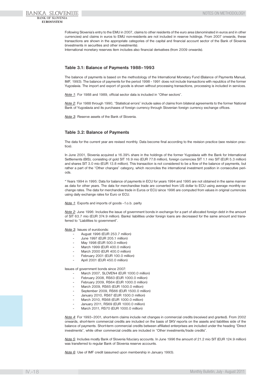Following Slovenia's entry to the EMU in 2007, claims to other residents of the euro area (denominated in euros and in other currencies) and claims in euros to EMU non-residents are not included in reserve holdings. From 2007 onwards, these transactions are shown in the appropriate categories of the capital and financial account sector of the Bank of Slovenia (investments in securities and other investments).

International monetary reserves item includes also financial derivatives (from 2009 onwards).

#### **Table 3.1: Balance of Payments 1988–1993**

The balance of payments is based on the methodology of the International Monetary Fund (Balance of Payments Manual, IMF, 1993). The balance of payments for the period 1998 - 1991 does not include transactions with republics of the former Yugoslavia. The import and export of goods is shown without processing transactions, processing is included in services.

*Note 1*: For 1988 and 1989, official sector data is included in "Other sectors".

*Note 2*: For 1988 through 1990, "Statistical errors" include sales of claims from bilateral agreements to the former National Bank of Yugoslavia and its purchases of foreign currency through Slovenian foreign currency exchange offices.

*Note 3*: Reserve assets of the Bank of Slovenia.

#### **Table 3.2: Balance of Payments**

The data for the current year are revised monthly. Data become final according to the revision practice (see revision practice).

In June 2001, Slovenia acquired a 16.39% share in the holdings of the former Yugoslavia with the Bank for International Settlements (BIS), consisting of gold SIT 16.9 mio (EUR 77.8 million), foreign currencies SIT 1.1 mio SIT (EUR 5.3 million) and shares SIT 3.0 mio (EUR 13.8 million). This transaction is not considered to be a flow of the balance of payments, but rather a part of the "Other changes" category, which reconciles the international investment position in consecutive periods.

\* Years 1994 in 1995: Data for balance of payments in ECU for years 1994 and 1995 are not obtained in the same manner as data for other years. The data for merchandise trade are converted from US dollar to ECU using average monthly exchange rates. The data for merchandise trade in Euros or ECU since 1996 are computed from values in original currencies using daily exchange rates for Euro or ECU.

*Note 1*: Exports and imports of goods - f.o.b. parity

*Note 2*: June 1996: Includes the issue of government bonds in exchange for a part of allocated foreign debt in the amount of SIT 63.7 mio (EUR 374.9 million). Banks' liabilities under foreign loans are decreased for the same amount and transferred to "Liabilities to government".

*Note 3*: Issues of eurobonds:

- August 1996 (EUR 253.7 million)
- June 1997 (EUR 205.1 million)
- May 1998 (EUR 500.0 million)
- March 1999 (EUR 400.0 million)
- March 2000 (EUR 400.0 million)
- February 2001 (EUR 100.0 million)
- April 2001 (EUR 450.0 million)

Issues of government bonds since 2007:

- March 2007, SLOVEN4 (EUR 1000.0 million)
- February 2008, RS63 (EUR 1000.0 million)
- February 2009, RS64 (EUR 1000.0 million)
- March 2009, RS65 (EUR 1500.0 million)
- September 2009, RS66 (EUR 1500.0 million)
- January 2010, RS67 (EUR 1500.0 million)
- March 2010, RS68 (EUR 1000.0 million)
- January 2011, RS69 (EUR 1000.0 million)
- March 2011, RS70 (EUR 1000.0 million)

*Note 4*: For 1993–2001, short-term claims include net changes in commercial credits (received and granted). From 2002 onwards, short-term commercial credits are included on the basis of SKV reports on the assets and liabilities side of the balance of payments. Short-term commercial credits between affiliated enterprises are included under the heading "Direct investments", while other commercial credits are included in "Other investments/trade credits".

*Note 5*: Includes mostly Bank of Slovenia fiduciary accounts. In June 1996 the amount of 21.2 mio SIT (EUR 124.9 million) was transferred to regular Bank of Slovenia reserve accounts.

*Note 6*: Use of IMF credit (assumed upon membership in January 1993).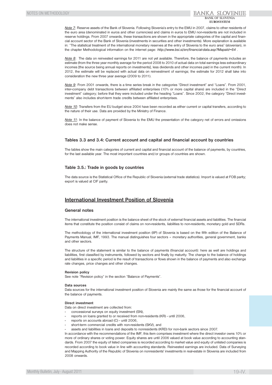#### BANKA SLOVENIJE BANK OF SLOVENIA **EUROSYSTEM**

*Note 7*: Reserve assets of the Bank of Slovenia. Following Slovenia's entry to the EMU in 2007, claims to other residents of the euro area (denominated in euros and other currencies) and claims in euros to EMU non-residents are not included in reserve holdings. From 2007 onwards, these transactions are shown in the appropriate categories of the capital and financial account sector of the Bank of Slovenia (investments in securities and other investments). More explanation is available in: "The statistical treatment of the international monetary reserves at the entry of Slovenia to the euro area" (slovenian), in the chapter Methodological information on the internet page: *http://www.bsi.si/en/financial-data.asp?MapaId=64* .

*Note 8*: The data on reinvested earnings for 2011 are not yet available. Therefore, the balance of payments includes an estimate (from the three year monthly average for the period 2008 to 2010 of actual data on total earnings less extraordinary incomes [the source being annual reports on investments], less dividends and other incomes paid in the current month). In 2012, the estimate will be replaced with actual data on reinvestment of earnings; the estimate for 2012 shall take into consideration the new three year average (2009 to 2011).

*Note 9*: From 2001 onwards, there is a time series break in the categories "Direct investment" and "Loans". From 2001, inter-company debt transactions between affiliated enterprises (10% or more capital share) are included in the "Direct investment" category; before that they were included under the heading "Loans". Since 2002, the category "Direct investments" also includes short-term trade credits between affiliated enterprises.

*Note 10*: Transfers from the EU budget since 2004 have been recorded as either current or capital transfers, according to the nature of their use. Data are provided by the Ministry of Finance.

*Note 11*: In the balance of payment of Slovenia to the EMU the presentation of the category net of errors and omissions does not make sense.

## **Tables 3.3 and 3.4: Current account and capital and financial account by countries**

The tables show the main categories of current and capital and financial account of the balance of payments, by countries, for the last available year. The most important countries and/or groups of countries are shown.

## **Table 3.5.: Trade in goods by countries**

The data source is the Statistical Office of the Republic of Slovenia (external trade statistics). Import is valued at FOB parity; export is valued at CIF parity.

# **International Investment Position of Slovenia**

#### **General notes**

The international investment position is the balance sheet of the stock of external financial assets and liabilities. The financial items that constitute the position consist of claims on non-residents, liabilities to non-residents, monetary gold and SDRs.

The methodology of the international investment position (IIP) of Slovenia is based on the fifth edition of the Balance of Payments Manual, IMF, 1993. The manual distinguishes four sectors – monetary authorities, general government, banks and other sectors.

The structure of the statement is similar to the balance of payments (financial account): here as well are holdings and liabilities, first classified by instruments, followed by sectors and finally by maturity. The change to the balance of holdings and liabilities in a specific period is the result of transactions or flows shown in the balance of payments and also exchange rate changes, price changes and other changes.

#### **Revision policy**

See note "Revision policy" in the section "Balance of Payments".

#### **Data sources**

Data sources for the international investment position of Slovenia are mainly the same as those for the financial account of the balance of payments.

#### **Direct investment**

Data on direct investment are collected from:

- concessional surveys on equity investment (SN),
- reports on loans granted to or received from non-residents (KR) until 2006,
- reports on accounts abroad (C) until 2006,
- short-term commercial credits with non-residents (SKV), and
- assets and liabilities in loans and deposits to nonresidents (KRD) for non-bank sectors since 2007.

In accordance with the recommendations of the IMF, this item comprises investment where the direct investor owns 10% or more of ordinary shares or voting power. Equity shares are until 2006 valued at book value according to accounting standards. From 2007 the equity of listed companies is recorded according to market value and equity of unlisted companies is recorded according to book value in line with accounting standards. Reinvested earnings are included. Data of Surveying and Mapping Authority of the Republic of Slovenia on nonresidents' investments in real-estate in Slovenia are included from 2008 onwards.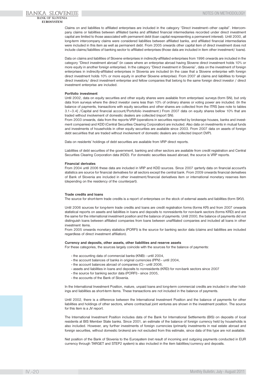## **EUROSYSTEM**

Claims on and liabilities to affiliated enterprises are included in the category "Direct investment–other capital". Intercompany claims or liabilities between affiliated banks and affiliated financial intermediaries recorded under direct investment capital are limited to those associated with permanent debt (loan capital respresenting a permanent interest). Until 2000, all long-term intercompany claims were considered liabilities between affiliated banks, and affiliated financial intermediaries were included in this item as well as permanent debt. From 2005 onwards other capital item of direct investment does not include claims/liabilities of banking sector to affiliated enterprises (those data are included in item other investment/ loans).

Data on claims and liabilities of Slovene enterprises in indirectly-affiliated enterprises from 1996 onwards are included in the category "Direct investment abroad" (in cases where an enterprise abroad having Slovene direct investment holds 10% or more equity in another foreign enterprise). In the category "Direct investment in Slovenia", data on the investment of foreign enterprises in indirectly-affiliated enterprises in Slovenia are included (in the case that a Slovene enterprise with foreign direct investment holds 10% or more equity in another Slovene enterprise). From 2007 all claims and liabilities to foreign direct investors/ direct investment enterprise and fellow companies that belong to the same foreign direct investor / direct investment enterprise are included.

#### **Portfolio investment**

Until 2002, data on equity securities and other equity shares were available from enterprises' surveys (form SN), but only data from surveys where the direct investor owns less than 10% of ordinary shares or voting power are included. (In the balance of payments, transactions with equity securities and other shares are collected from the ITRS [see note to tables 3.1–3.4] /Capital and financial account/Portofolio investment.) From 2007 data on equity shares bellow 10% that are traded without involvement of domestic dealers are collected (report SN).

From 2003 onwards, data from the reports VRP (operations in securities reported by brokerage houses, banks and investment companies) and KDD (Central Securities Clearing Corporation) are included. Also data on investments in mutual funds and investments of households in other equity securities are available since 2003. From 2007 data on assets of foreign debt secuirities that are traded without involvement of domestic dealers are collected (report DVP).

Data on residents' holdings of debt securities are available from VRP direct reports.

Liabilities of debt securities of the government, banking and other sectors are available from credit registration and Central Securities Clearing Corporation data (KDD). For domestic securities issued abroad, the source is VRP reports.

#### **Financial derivates**

From 2004 until 2006 these data are included in VRP and KDD sources. Since 2007 qarterly data on financial account's statistics are source for financial derivatives for all sectors except the central bank. From 2009 onwards financial derivatives of Bank of Slovenia are included in other investment/financial derivatives item or international monetary reserves item (depending on the residency of the counterpart).

#### **Trade credits and loans**

The source for short-term trade credits is a report of enterprises on the stock of external assets and liabilities (form SKV).

Until 2006 sources for long-term trade credits and loans are credit registration forms (forms KR) and from 2007 onwards statistical reports on assets and liabilities in loans and deposits to nonresidents for non-bank sectors (forms KRD) and are the same for the international investment position and the balance of payments. Until 2000, the balance of payments did not distinguish loans between affiliated companies from loans between unaffiliated companies and included all loans in other investment items.

From 2005 onwards monetary statistics (PORFI) is the source for banking sector data (claims and liabilities are included regardless of direct investment affiliation).

#### **Currency and deposits, other assets, other liabilities and reserve assets**

For these categories, the sources largely coincide with the sources for the balance of payments:

- the accounting data of commercial banks (KNB) until 2004,
- the account balances of banks in original currencies (PPV) until 2004,
- the account balances abroad of companies (C) until 2006,
- assets and liabilities in loans and deposits to nonresidents (KRD) for non-bank sectors since 2007
- the source for banking sector data (PORFI) since 2005,
- the accounts of the Bank of Slovenia.

In the International Investment Position, mature, unpaid loans and long-term commercial credits are included in other holdings and liabilities as short-term items. These transactions are not included in the balance of payments.

Until 2002, there is a difference between the International Investment Position and the balance of payments for other liabilities and holdings of other sectors, where contractual joint ventures are shown in the investment position. The source for this item is a JV report.

The International Investment Position includes data of the Bank for International Settlements (BIS) on deposits of local residents at BIS Member State banks. Since 2001, an estimate of the balance of foreign currency held by households is also included. However, any further investments of foreign currencies (primarily investments in real estate abroad and foreign securities, without domestic brokers) are not excluded from this estimate, since data of this type are not available.

Net position of the Bank of Slovenia to the Eurosystem (net result of incoming and outgoing payments conducted in EUR currency through TARGET and STEP2 system) is also included in the item liabilities/currency and deposits.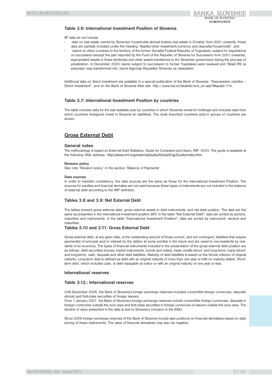# **Table 3.6: International Investment Position of Slovenia**

IIP data do not include:

- data on real estate owned by Slovenian households abroad (mainly real estate in Croatia); from 2001 onwards, these data are partially included under the heading "Assets/other investment/currency and deposits/households"; and
- claims on other countries in the territory of the former Socialist Federal Republic of Yugoslavia, subject to negotiations on succession (except the part reported by the Fund of the Republic of Slovenia for Succession from 2001 onwards), expropriated assets in these territories and other assets transferred to the Slovenian government during the process of privatization. In December 2006 claims subject to succession to former Yugoslavia were revalued and 'Sklad RS za sukcesijo' was transformed into 'Javna Agencija Republike Slovenije za nasledstvo'.

Additional data on direct investment are available in a special publication of the Bank of Slovenia: "Neposredne naložbe – Direct Investment", and on the Bank of Slovenia Web site: http://www.bsi.si/iskalniki/ecb\_en.asp?MapaId=714.

## **Table 3.7: International Investment Position by countries**

The table includes data for the last available year by countries in which Slovenes invest (in holdings) and includes data from which countries foreigners invest in Slovenia (in liabilities). The most important countries and/or groups of countries are shown.

# **Gross External Debt**

#### **General notes**

The methodology is based on External Debt Statistics: Guide for Compilers and Users, IMF, 2003. The guide is available at the following Web address: *http://www.imf.org/external/pubs/ft/eds/Eng/Guide/index.htm*.

#### **Revision policy**

See note "Revision policy" in the section "Balance of Payments".

#### **Data sources**

In order to maintain consistency, the data sources are the same as those for the International Investment Position. The sources for equities and financial derivates are not used because these types of instruments are not included in the balance of external debt according to the IMF definition.

## **Tables 3.8 and 3.9: Net External Debt**

The tables present gross external debt, gross external assets in debt instruments, and net debt position. The data are the same as presented in the international investment position (IIP). In the table "Net External Debt", data are sorted by sectors, maturities and instruments; in the table "International Investment Position", data are sorted by instrument, sectors and maturities.

#### **Tables 3.10 and 3.11: Gross External Debt**

Gross external debt, at any given data, is the outstanding amount of those current, and not contingent, liabilities that require payment(s) of principal and/or interest by the debtor at some point(s) in the future and are owed to non-residents by residents of an economy. The types of financial instruments included in the presentation of the gross external debt position are as follows: debt securities (money market instruments, bonds and notes), trade credits (short- and long-term), loans (shortand long-term), cash, deposits and other debt liabilities. Maturity of debt liabilities is based on the formal criterion of original maturity. Long-term debt is defined as debt with an original maturity of more than one year or with no maturity stated. Shortterm debt, which includes cash, is debt repayable at notice or with an original maturity of one year or less.

#### **International reserves**

## **Table 3.12.: International reserves**

Until December 2006, the Bank of Slovenia's foreign exchange reserves included convertible foreign currencies, deposits abroad and first-class securities of foreign issuers.

From 1 January 2007, the Bank of Slovenia's foreign exchange reserves include convertible foreign currencies, deposits in foreign currencies outside the euro area and first-class securities in foreign currencies of issuers outside the euro area. The decline of value presented in the data is due to Slovenia's inclusion in the EMU.

Since 2009 foreign exchange reserves of the Bank of Slovenia include also positions on financial derivatives based on daily pricing of these instruments. The value of financial derivatives may also be negative.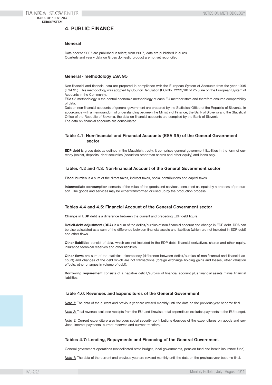**EUROSYSTEM**

# **4. PUBLIC FINANCE**

## **General**

Data prior to 2007 are published in tolars; from 2007, data are published in euros. Quarterly and yearly data on Gross domestic product are not yet reconciled.

#### **General - methodology ESA 95**

Non-financial and financial data are prepared in compliance with the European System of Accounts from the year 1995 (ESA 95). This methodology was adopted by Council Regulation (EC) No. 2223/96 of 25 June on the European System of Accounts in the Community.

ESA 95 methodology is the central economic methodology of each EU member state and therefore ensures comparability of data.

Data on non-financial accounts of general government are prepared by the Statistical Office of the Republic of Slovenia. In accordance with a memorandum of understanding between the Ministry of Finance, the Bank of Slovenia and the Statistical Office of the Republic of Slovenia, the data on financial accounts are compiled by the Bank of Slovenia. The data on financial accounts are consolidated.

## **Table 4.1: Non-financial and Financial Accounts (ESA 95) of the General Government sector**

**EDP debt** is gross debt as defined in the Maastricht treaty. It comprises general government liabilities in the form of currency (coins), deposits, debt securities (securities other than shares and other equity) and loans only.

# **Tables 4.2 and 4.3: Non-financial Account of the General Government sector**

Fiscal burden is a sum of the direct taxes, indirect taxes, social contributions and capital taxes.

**Intermediate consumption** consists of the value of the goods and services consumed as inputs by a process of production. The goods and services may be either transformed or used up by the production process.

# **Tables 4.4 and 4.5: Financial Account of the General Government sector**

**Change in EDP** debt is a difference between the current and preceding EDP debt figure.

**Deficit-debt adjustment (DDA)** is a sum of the deficit/surplus of non-financial account and change in EDP debt. DDA can be also calculated as a sum of the difference between financial assets and liabilities (which are not included in EDP debt) and other flows.

**Other liabilities** consist of data, which are not included in the EDP debt: financial derivatives, shares and other equity, insurance technical reserves and other liabilities.

**Other flows** are sum of the statistical discrepancy (difference between deficit/surplus of non-financial and financial account) and changes of the debt which are not transactions (foreign exchange holding gains and losses, other valuation effects, other changes in volume of debt).

**Borrowing requirement** consists of a negative deficit/surplus of financial account plus financial assets minus financial liabilities.

### **Table 4.6: Revenues and Expenditures of the General Government**

*Note 1:* The data of the current and previous year are revised monthly until the data on the previous year become final.

*Note 2:* Total revenue excludes receipts from the EU, and likewise, total expenditure excludes payments to the EU budget.

*Note 3:* Current expenditure also includes social security contributions (besides of the expenditures on goods and services, interest payments, current reserves and current transfers).

#### **Tables 4.7: Lending, Repayments and Financing of the General Government**

General government operations (consolidated state budget, local governments, pension fund and health insurance fund).

*Note 1:* The data of the current and previous year are revised monthly until the data on the previous year become final.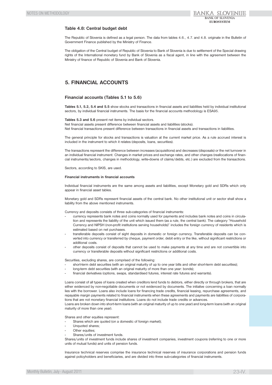#### BANKA SLOVENIJE BANK OF SLOVENIA **EUROSYSTEM**

## **Table 4.8: Central budget debt**

The Republic of Slovenia is defined as a legal person. The data from tables 4.6., 4.7. and 4.8. originate in the Bulletin of Government Finance published by the Ministry of Finance.

The obligation of the Central budget of Republic of Slovenia to Bank of Slovenia is due to settlement of the Special drawing rights of the International monetary fund by Bank of Slovenia as a fiscal agent, in line with the agreement between the Ministry of finance of Republic of Slovenia and Bank of Slovenia.

# **5. FINANCIAL ACCOUNTS**

#### **Financial accounts (Tables 5.1 to 5.6)**

**Tables 5.1, 5.2, 5.4 and 5.5** show stocks and transactions in financial assets and liabilities held by individual institutional sectors, by individual financial instruments. The basis for the financial accounts methodology is ESA95.

#### **Tables 5.3 and 5.6** present net items by individual sectors.

Net financial assets present difference between financial assets and liabilities (stocks). Net financial transactions present difference between transactions in financial assets and transactions in liabilities.

The general principle for stocks and transactions is valuation at the current market price. As a rule accrued interest is included in the instrument to which it relates (deposits, loans, securities).

The transactions represent the difference between increases (acquisitions) and decreases (disposals) or the net turnover in an individual financial instrument. Changes in market prices and exchange rates, and other changes (reallocations of financial instruments/sectors, changes in methodology, write-downs of claims/debts, etc.) are excluded from the transactions.

Sectors, according to SKIS, are used.

#### **Financial instruments in financial accounts**

Individual financial instruments are the same among assets and liabilities, except Monetary gold and SDRs which only appear in financial asset tables.

Monetary gold and SDRs represent financial assets of the central bank. No other institutional unit or sector shall show a liability from the above mentioned instruments.

Currency and deposits consists of three sub-categories of financial instruments:

- currency represents bank notes and coins normally used for payments and includes bank notes and coins in circulation and represents the liability of the unit which issued them (as a rule, the central bank). The category "Household Currency and NIPSH (non-profit institutions serving households)" includes the foreign currency of residents which is estimated based on net purchases.
- transferable deposits consist of sight deposits in domestic or foreign currency. Transferable deposits can be converted into currency or transferred by cheque, payment order, debit entry or the like, without significant restrictions or additional costs.
- other deposits consist of deposits that cannot be used to make payments at any time and are not convertible into currency or transferable deposits without significant restrictions or additional costs.

Securities, excluding shares, are comprised of the following:

- short-term debt securities (with an original maturity of up to one year bills and other short-term debt securities);
- long-term debt securities (with an original maturity of more than one year: bonds);
- financial derivatives (options, swaps, standardised futures, interest rate futures and warrants).

Loans consist of all types of loans created when creditors lend funds to debtors, either directly or through brokers, that are either evidenced by non-negotiable documents or not evidenced by documents. The initiative concerning a loan normally lies with the borrower. Loans also include loans for financing trade credits, financial leasing, repurchase agreements, and repayable margin payments related to financial instruments when these agreements and payments are liabilities of corporations that are not monetary financial institutions. Loans do not include trade credits or advances.

Loans are broken down into short-term loans (with an original maturity of up to one year) and long-term loans (with an original maturity of more than one year).

Shares and other equities represent:

- Shares which are quoted (on a domestic of foreign market);
- Unquoted shares;
- Other equities:
- Shares/units of investment funds.

Shares/units of investment funds include shares of investment companies, investment coupons (referring to one or more units of mutual funds) and units of pension funds.

Insurance technical reserves comprise the insurance technical reserves of insurance corporations and pension funds against policyholders and beneficiaries, and are divided into three sub-categories of financial instruments.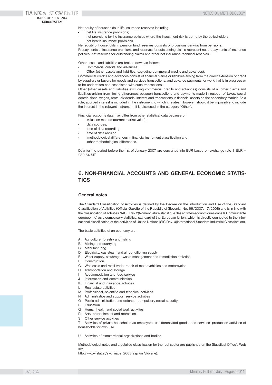**EUROSYSTEM**

Net equity of households in life insurance reserves including:

- net life insurance provisions;
- net provisions for life insurance policies where the investment risk is borne by the policyholders;

net health insurance provisions. Net equity of households in pension fund reserves consists of provisions deriving from pensions. Prepayments of insurance premiums and reserves for outstanding claims represent net prepayments of insurance policies, net reserves for outstanding claims and other net insurance technical reserves.

Other assets and liabilities are broken down as follows:

- Commercial credits and advances;
- Other (other assets and liabilities, excluding commercial credits and advances).

Commercial credits and advances consist of financial claims or liabilities arising from the direct extension of credit by suppliers or buyers for goods and services transactions, and advance payments for work that is in progress or to be undertaken and associated with such transactions.

Other (other assets and liabilities excluding commercial credits and advances) consists of all other claims and liabilities arising from timing differences between transactions and payments made in respect of taxes, social contributions, wages, rents, dividends, interest and transactions in financial assets on the secondary market. As a rule, accrued interest is included in the instrument to which it relates. However, should it be impossible to include the interest in the relevant instrument, it is disclosed in the category "Other".

Financial accounts data may differ from other statistical data because of:

- valuation method (current market value),
- data sources,
- time of data recording,
- time of data revision,
- methodological differences in financial instrument classification and
- other methodological differences.

Data for the period before the 1st of January 2007 are converted into EUR based on exchange rate 1 EUR = 239,64 SIT.

# **6. NON-FINANCIAL ACCOUNTS AND GENERAL ECONOMIC STATIS-TICS**

#### **General notes**

The Standard Classification of Activities is defined by the Decree on the Introduction and Use of the Standard Classification of Activities (Official Gazette of the Republic of Slovenia, No. 69/2007, 17/2008) and is in line with the classification of activities NACE Rev.2(Nomenclature statistique des activités économiques dans la Communanté européenne) as a compulsory statistical standard of the European Union, which is directly connected to the international classification of the activities of United Nations ISIC Rev. 4(International Standard Industrial Classification).

The basic activities of an economy are:

- A Agriculture, forestry and fishing
- B Mining and quarrying
- C Manufacturing
- D Electricity, gas steam and air conditioning supply
- E Water supply, sewerage, waste management and remediation activities
- F Construction
- G Wholesale and retail trade; repair of motor vehicles and motorcycles
- H Transportation and storage
- I Accommodation and food service
- J Information and communication
- K Financial and insurance activities
- L Real estate activities
- M Professional, scientific and technical activities
- N Administrative and support service activities
- O Public administration and defence, compulsory social security
- P Education
- Q Human health and social work activities
- R Arts, entertainment and recreation
- S Other service activities

T Activities of private households as employers, undifferentiated goods- and services- production activities of households for own use

U Activities of extraterritorial organizations and bodies

Methodological notes and a detailed classification for the real sector are published on the Statistical Office's Web site:

http://www.stat.si/skd\_nace\_2008.asp (in Slovene).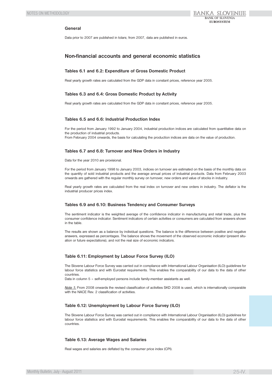# **General**

Data prior to 2007 are published in tolars; from 2007, data are published in euros.

# **Non-financial accounts and general economic statistics**

#### **Tables 6.1 and 6.2: Expenditure of Gross Domestic Product**

Real yearly growth rates are calculated from the GDP data in constant prices, reference year 2005.

### **Tables 6.3 and 6.4: Gross Domestic Product by Activity**

Real yearly growth rates are calculated from the GDP data in constant prices, reference year 2005.

#### **Tables 6.5 and 6.6: Industrial Production Index**

For the period from January 1992 to January 2004, industrial production indices are calculated from quantitative data on the production of industrial products. From February 2004 onwards, the basis for calculating the production indices are data on the value of production.

# **Tables 6.7 and 6.8: Turnover and New Orders in Industry**

Data for the year 2010 are provisional.

For the period from January 1998 to January 2003, indices on turnover are estimated on the basis of the monthly data on the quantity of sold industrial products and the average annual prices of industrial products. Data from February 2003 onwards are gathered with the regular monthly survey on turnover, new orders and value of stocks in industry.

Real yearly growth rates are calculated from the real index on turnover and new orders in industry. The deflator is the industrial producer prices index.

#### **Tables 6.9 and 6.10: Business Tendency and Consumer Surveys**

The sentiment indicator is the weighted average of the confidence indicator in manufacturing and retail trade, plus the consumer confidence indicator. Sentiment indicators of certain activities or consumers are calculated from answers shown in the table.

The results are shown as a balance by individual questions. The balance is the difference between positive and negative answers, expressed as percentages. The balance shows the movement of the observed economic indicator (present situation or future expectations), and not the real size of economic indicators.

#### **Table 6.11: Employment by Labour Force Survey (ILO)**

The Slovene Labour Force Survey was carried out in compliance with International Labour Organisation (ILO) guidelines for labour force statistics and with Eurostat requirements. This enables the comparability of our data to the data of other countries.

Data in column 5 – self-employed persons include family-member assistants as well.

*Note 1:* From 2008 onwards the revised classification of activities SKD 2008 is used, which is internationally comparable with the NACE Rev. 2 classification of activities.

#### **Table 6.12: Unemployment by Labour Force Survey (ILO)**

The Slovene Labour Force Survey was carried out in compliance with International Labour Organisation (ILO) guidelines for labour force statistics and with Eurostat requirements. This enables the comparability of our data to the data of other countries.

#### **Table 6.13: Average Wages and Salaries**

Real wages and salaries are deflated by the consumer price index (CPI).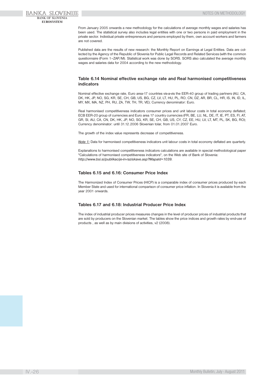From January 2005 onwards a new methodology for the calculations of average monthly wages and salaries has been used. The statistical survey also includes legal entities with one or two persons in paid employment in the private sector. Individual private entrepreneurs and persons employed by them, own account workers and farmers are not covered.

Published data are the results of new research: the Monthly Report on Earnings at Legal Entities. Data are collected by the Agency of the Republic of Slovenia for Public Legal Records and Related Services (with the common questionnaire (Form 1–ZAP/M). Statistical work was done by SORS. SORS also calculated the average monthly wages and salaries data for 2004 according to the new methodology.

# **Table 6.14 Nominal effective exchange rate and Real harmonised competitiveness indicators**

Nominal effective exchange rate, Euro area-17 countries vis-a-vis the EER-40 group of trading partners (AU, CA, DK, HK, JP, NO, SG, KR, SE, CH, GB, US, BG, CZ, LV, LT, HU, PL, RO, CN, DZ, AR, BR, CL, HR, IS, IN, ID, IL, MY, MX, MA, NZ, PH, RU, ZA, TW, TH, TR, VE); Currency denominator: Euro.

Real harmonised competitiveness indicators consumer prices and unit labour costs in total economy deflated; ECB EER-20 group of currencies and Euro area 17 country currencies (FR, BE, LU, NL, DE, IT, IE, PT, ES, FI, AT, GR, SI, AU, CA, CN, DK, HK, JP, NO, SG, KR, SE, CH, GB, US, CY, CZ, EE, HU, LV, LT, MT, PL, SK, BG, RO); Currency denominator: until 31.12.2006 Slovenian tolar, from 01.01.2007 Euro.

The growth of the index value represents decrease of competitiveness.

*Note 1:* Data for harmonised competitiveness indicators unit labour costs in total economy deflated are quarterly.

Explanations to harmonised competitiveness indicators calculations are available in special methodological paper "Calculations of harmonised competitiveness indicators", on the Web site of Bank of Slovenia: *http://www.bsi.si/publikacije-in-raziskave.asp?MapaId=1039.*

#### **Tables 6.15 and 6.16: Consumer Price Index**

The Harmonized Index of Consumer Prices (HICP) is a comparable index of consumer prices produced by each Member State and used for international comparison of consumer price inflation. In Slovenia it is available from the year 2001 onwards.

## **Tables 6.17 and 6.18: Industrial Producer Price Index**

The index of industrial producer prices measures changes in the level of producer prices of industrial products that are sold by producers on the Slovenian market. The tables show the price indices and growth rates by end-use of products , as well as by main divisions of activities, v2 (2008).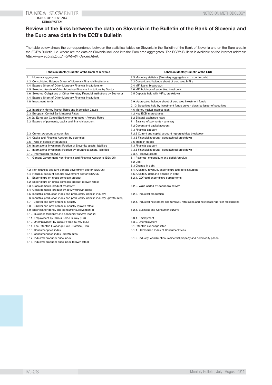BANKA SLOVENIJE

BANK OF SLOVENIA **EUROSYSTEM**

# **Review of the links between the data on Slovenia in the Bulletin of the Bank of Slovenia and the Euro area data in the ECB's Bulletin**

The table below shows the correspondence between the statistical tables on Slovenia in the Bulletin of the Bank of Slovenia and on the Euro area in the ECB's Bulletin, i.e. where are the data on Slovenia included into the Euro area aggregates. The ECB's Bulletin is available on the internet address: *http://www.ecb.int/pub/mb/html/index.en.html*.

| Tabels in Monthly Bulletin of the Bank of Slovenia                                 | Tabels in Monthly Bulletin of the ECB                                                       |  |  |
|------------------------------------------------------------------------------------|---------------------------------------------------------------------------------------------|--|--|
| 1.1. Monetary aggregates                                                           | 2.3 Monetary statistics (Monetary aggregates and counterparts)                              |  |  |
| 1.2. Consolidated Balance Sheet of Monetary Financial Institutions                 | 2.2 Consolidated balance sheet of euro area MFI s                                           |  |  |
| 1.4. Balance Sheet of Other Monetary Financial Institutions or                     | 2.4 MFI loans, breakdown                                                                    |  |  |
| 1.5. Selected Assets of Other Monetary Financial Institutions by Sector            | 2.6 MFI holdings of securities, breakdown                                                   |  |  |
| 1.6. Selected Obligations of Other Monetary Financial Institutions by Sector or    | 2.5 Deposits held with MFIs, breakdown                                                      |  |  |
| 1.4. Balance Sheet of Other Monetary Financial Institutions                        |                                                                                             |  |  |
| 1.8. Investment funds                                                              | 2.9. Aggregated balance sheet of euro area investment funds                                 |  |  |
|                                                                                    | 2.10. Securities held by investment funds broken down by issuer of securities               |  |  |
| 2.2. Interbank Money Market Rates and Indexation Clause                            | 4.6 Money market interest rates                                                             |  |  |
| 2.3. European Central Bank Interest Rates                                          | 1.2 Key ECB interest rates                                                                  |  |  |
| 2.6.2a. European Central Bank exchange rates - Average Rates                       | 8.2 Bilateral exchange rates                                                                |  |  |
| 3.2. Balance of payments, capital and financial account                            | 7.1 Balance of payments - summary                                                           |  |  |
|                                                                                    | 7.2 Current and capital account                                                             |  |  |
|                                                                                    | 7.3 Financial account                                                                       |  |  |
| 3.3. Current Account by countries                                                  | 7.2.3 Current and capital account - geographical breakdown                                  |  |  |
| 3.4. Capital and Financial Account by countries                                    | 7.3.8 Financial account - geographical breakdown                                            |  |  |
| 3.5. Trade in goods by countries                                                   | 7.5 Trade in goods                                                                          |  |  |
| 3.6. International Investment Position of Slovenia; assets, liabilities            | 7.3 Financial account                                                                       |  |  |
| 3.7. International Investment Position by countries; assets, liabilities           | 7.3.8 Financial account - geographical breakdown                                            |  |  |
| 3.12. International reserves                                                       | 7.3.7. Reserve assets                                                                       |  |  |
| 4.1. General Government Non-financial and Financial Accounts (ESA 95)              | 6.1 Revenue, expenditure and deficit/surplus                                                |  |  |
|                                                                                    | 6.2 Debt                                                                                    |  |  |
|                                                                                    | 6.3 Change in debt                                                                          |  |  |
| 4.2. Non-financial account general government sector (ESA 95)                      | 6.4. Quarterly revenue, expenditure and deficit/surplus                                     |  |  |
| 4.4. Financial account general government sector (ESA 95)                          | 6.5. Quarterly debt and change in debt                                                      |  |  |
| 6.1. Expenditure on gross domestic product                                         | 5.2.1. GDP and expenditure components                                                       |  |  |
| 6.2. Expenditure on gross domestic product (growth rates)                          |                                                                                             |  |  |
| 6.3. Gross domestic product by activity                                            | 5.2.2. Value added by economic activity                                                     |  |  |
| 6.4. Gross domestic product by activity (growth rates)                             |                                                                                             |  |  |
| 6.5. Industrial production index and productivity index in industry                | 5.2.3. Industrial production                                                                |  |  |
| 6.6. Industrial production index and productivity index in industry (growth rates) |                                                                                             |  |  |
| 6.7. Tumover and new orders in industry                                            | 5.2.4. Industrial new orders and turnover, retail sales and new passenger car registrations |  |  |
| 6.8. Tumover and new orders in industry (growth rates)                             |                                                                                             |  |  |
| 6.9. Business tendency and consumer surveys (part 1)                               | 5.2.5. Business and Consumer Surveys                                                        |  |  |
| 6.10. Business tendency and consumer surveys (part 2)                              |                                                                                             |  |  |
| 6.11. Employment by Labour Force Survey (ILO)                                      | 5.3.1. Employment                                                                           |  |  |
| 6.12. Unemployment by Labour Force Survey (ILO)                                    | 5.3.2. Unemployment                                                                         |  |  |
| 6.14. The Effective Exchange Rate - Nominal, Real                                  | 8.1 Effective exchange rates                                                                |  |  |
| 6.15. Consumer price index                                                         | 5.1.1. Harmonised Index of Consumer Prices                                                  |  |  |
| 6.16. Consumer price index (growth rates)                                          |                                                                                             |  |  |
| 6.17. Industrial producer price index                                              | 5.1.2. Industry, construction, residential property and commodity prices                    |  |  |
| 6.18. Industrial producer price index (growth rates)                               |                                                                                             |  |  |